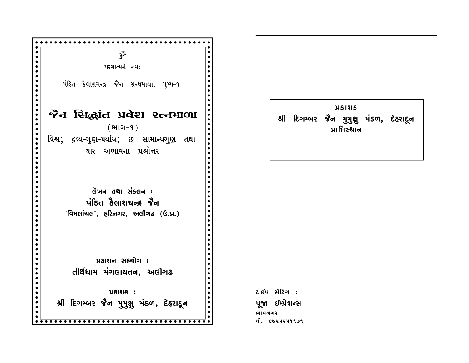

**USINS** શ્રી દિગમ્બર જેન મુમુશુ મંડળ, દેહરાદૂન પ્રાપ્તિસ્થાન

ટાઈપ સેટિંગ : પૂજા ઇમ્પ્રેશન્સ ભાવનગર મો. ૯७૨૫૨૫૧૧૩૧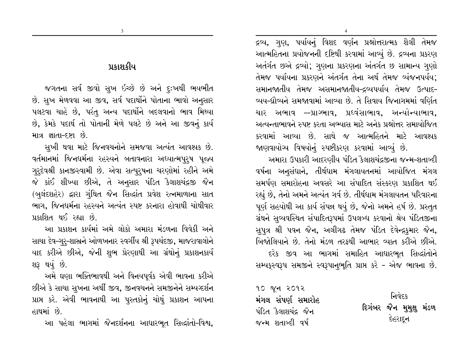દ્રવ્ય, ગુણ, પર્યાયનું વિશદ વર્ણન પ્રશ્નોત્તરાત્મક શૈલી તેમજ આત્મહિતના પ્રયોજનની દષ્ટિથી કરવામાં આવ્યું છે. દ્રવ્યના પ્રકરણ અતંર્ગત છએ દ્રવ્યો; ગુણના પ્રકરણના અંતર્ગત છ સામાન્ય ગુણો તેમજ પર્યાયના પ્રકરણને અંતર્ગત તેના અર્થ તેમજ વ્યંજનપર્યય; સમાનજાતીય તેમજ અસમાનજાતીય–દ્રવ્યપર્યાય તેમજ ઉત્પાદ– વ્યય-ઘ્રૌવ્યને સમજાવામાં આવ્યા છે. તે સિવાય જિનાગમમાં વર્ણિત ચાર અભાવ ––પ્રાગ્ભાવ, પ્રદવંસાભાવ, અન્યોન્યાભાવ, અત્યન્તાભાવને સ્પષ્ટ કરતા અભ્યાસ માટે અનેક પ્રશ્નોત્તર સમાયોજિત કરવામાં આવ્યા છે. સાથે જ આત્મહિતને માટે આવશ્યક જાણવાયોચ્ય વિષયોનું સ્પષ્ટીકરણ કરવામાં આવ્યું છે.

અમારા ઉપકારી આદરણીય પંડિત કૈલાશચંદ્રજીના જન્મ-શતાબ્દી વર્ષના અનુસંધાને, તીર્થધામ મંગલાયતનમાં આયોજિત મંગલ સમર્પણ સમારોહના અવસરે આ સંપાદિત સંસ્કરણ પ્રકાશિત થઈ રહ્યું છે, તેનો અમને અત્યંત ગર્વ છે. તીર્થધામ મંગલાયતન પરિવારના પૂર્ણ સહયોથી આ કાર્ય સંપન્ન થયું છે, જેનો અમને હર્ષ છે. પ્રસ્તુત ગ્રંથને સૂવ્યવસ્થિત સંપાદિતરૂપમાં ઉપલબ્ધ કરવાનો શ્રેય પંડિતજીના સુપત્ર શ્રી પવન જૈન, અલીગઢ તેમજ પંડિત દેવેન્દ્રકુમાર જૈન, બિજોલિયાને છે. તેનો મંડળ તરફથી આભાર વ્યક્ત કરીએ છીએ. દરેક જીવ આ ભાગમાં સમાહિત આધારભુત સિદ્ધાંતોને સમ્પકુસ્વરૂપ સમજીને સ્વરૂપાનુભૂતિ પ્રાપ્ત કરે - એજ ભાવના છે.

१० જૂન २०१२ મંગલ સંપર્ણ સમારોહ પંડિત કૈલાશચંદ્ર જૈન જન્મ શતાબ્દી વર્ષ

निवेद्द દિગંબર જૈન મુમુક્ષુ મંડળ દેહરાદૂન

 $\mathbf{3}$ 

જગતના સર્વ જીવો સુખ ઇચ્છે છે અને દૃઃખથી ભયભીત છે. સુખ મેળવવા આ જીવ, સર્વ પદાર્થોને પોતાના ભાવો અનુસાર પલટવા ચાહે છે, પરંતુ અન્ય પદાર્થોને બદલવાનો ભાવ મિથ્યા છે, કેમકે પદાર્થ તો પોતાની મેળે પલટે છે અને આ જીવનું કાર્ય માત્ર જ્ઞાતા-દર્શા છે.

સુખી થવા માટે જિનવચનોને સમજવા અત્યંત આવશ્યક છે. વર્તમાનમાં જિનધર્મના રહસ્યને બતાવનારા અધ્યાત્મપુરૂષ પૂજ્ય ગુરૃદેવશ્રી કાનજીસ્વામી છે. એવા સત્પુર્**ષના ચરણોમાં રહીને** અમે જે કાંઈ શીખ્યા છીએ, તે અનુસાર પંડિત કૈલાશચંદ્રજી જૈન (બુલંદશહેર) દ્વારા ગુંથિત જૈન સિદ્ધાંત પ્રવેશ રત્નમાળાના સાત ભાગ. જિનધર્મના રહસ્યને અત્યંત સ્પષ્ટ કરનારા હોવાથી ચોથીવાર પ્રકાશિત થઈ રહ્યા છે.

આ પ્રકાશન કાર્યમાં અમે લોકો અમારા મંડળના વિવેકી અને સાચા દેવ–ગુરૂ-શાસ્રને ઓળખનાર સ્વર્ગીય શ્રી રૂપચંદજી, માજરાવાલોને યાદ કરીએ છીએ, જેની શુભ પ્રેરણાથી આ ગ્રંથોનું પ્રકાશનકાર્ય શરૂ થયું છે.

અમે ઘણા ભક્તિભાવથી અને વિનયપૂર્વક એવી ભાવના કરીએ છીએ કે સાચા સુખના અર્થી જીવ, જીનવચનને સમજીનેને સમ્યગ્દર્શન પ્રાપ્ત કરે. એવી ભાવનાથી આ પુસ્તકોનું ચોથું પ્રકાશન આપના હાથમાં છે

આ પહેલા ભાગમાં જૈનદર્શનના આધારભૂત સિદ્ધાંતો-વિશ્વ,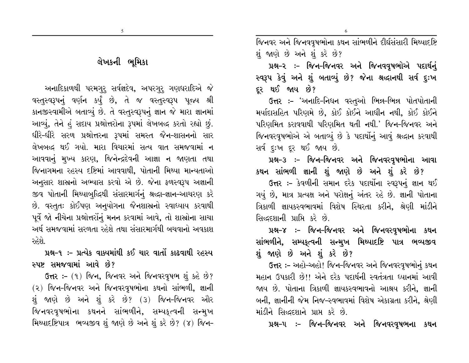જિનવર અને જિનવવૃષભોના કથન સાંભળીને દીર્ઘસંસારી મિથ્યાદષ્ટિ શું જાણે છે અને શું કરે છે?

6

પ્રશ્ન-૨ :- જિન-જિનવર અને જિનવવૃષભોએ પદાર્થનું સ્વરૂપ કેવું અને શું બતાવ્યું છે? જેના શ્રઘ્દાનથી સર્વ દુઃખ દર થઈ જાય છે?

ઉત્તર :- 'અનાદિ-નિધન વસ્તુઓ ભિન્ન-ભિન્ન પોતપોતાની મર્યાદાસહિત પરિણમે છે, કોઈ કોઈને આધીન નથી, કોઈ કોઈને પરિણમિત કરાવવાથી પરિણમિત થતી નથી.' જિન-જિનવર અને જિનવરવૃષભોએ એ બતાવ્યું છે કે પદાર્થોનું આવું શ્રદ્ધાન કરવાથી સર્વ દઃખ દર થઈ જાય છે.

પ્રશ્ન-૩ :- જિન-જિનવર અને જિનવરવૃષભોના આવા કથન સાંભળી જ્ઞાની શું જાણે છે અને શું કરે છે?

ઉત્તર :- કેવળીની સમાન દરેક પદાર્થોના સ્વરૂપનું જ્ઞાન થઈ ગયું છે, માત્ર પ્રત્યક્ષ અને પરોક્ષનું અંતર રહે છે. જ્ઞાની પોતાના ત્રિકાળી જ્ઞાયકસ્વભાવમાં વિશેષ સ્થિરતા કરીને, શ્રેણી માંડીને સિદ્ધદશાની પ્રાપ્તિ કરે છે.

પ્રશ્ન–૪ :– જિન–જિનવર અને જિનવરવૃષભોના કથન સાંભળીને, સમ્યકૃત્વની સન્મુખ મિથ્યાદષ્ટિ પાત્ર ભવ્યજીવ શું જાણે છે અને શું કરે છે?

ઉત્તર :- અહો-અહો! જિન-જિનવર અને જિનવરવૃષભોનું કથન મહાન ઉપકારી છે!! એને દરેક પદાર્થની સ્વતંત્રતા ધ્યાનમાં આવી જાય છે. પોતાના ત્રિકાળી જ્ઞાયકસ્વભાવનો આશ્રય કરીને. જ્ઞાની બની, જ્ઞાનીની જેમ નિજ–સ્વભાવમાં વિશેષ એકાગ્રતા કરીને, શ્રેણી માંડીને સિદ્ધદશાને પ્રાપ્ત કરે છે.

પ્રશ્ન–૫ ઃ– જિન–જિનવર અને જિનવરવૃષભના કથન

# લેખકની ભમિકા

અનાદિકાળથી પરમગુરૂ સર્વજ્ઞદેવ, અપરગુરૂ ગણધરાદિએ જે વસ્તુસ્વરૂપનું વર્ણન કર્યું છે, તે જ વસ્તુસ્વરૂપ પૂજ્ય શ્રી કાનજીસ્વામીએ બતાવ્યું છે. તે વસ્તુસ્વરૂપનું જ્ઞાન જે મારા જ્ઞાનમાં આવ્યું, તેને હં સદાય પ્રશ્નોત્તરોના રૂપમાં લેખબલ્દ કરતો રહ્યો છું. ધીરે-ધીરે સરળ પ્રશ્નોત્તરના રૂપમાં સમસ્ત જૈન-શાસનનો સાર લેખબદ્ધ થઈ ગયો. મારા વિચારમાં સત્ય વાત સમજવામાં ન આવવાનું મુખ્ય કારણ, જિનેન્દ્રદેવની આજ્ઞા ન જાણતા તથા જિનાગમના રહસ્ય દષ્ટિમાં આવવાથી, પોતાની મિથ્યા માન્યતાઓ અનુસાર શાસ્રનો અભ્યાસ કરવો એ છે. જેના ફળસ્વરૂપ અજ્ઞાની જીવ પોતાની મિથ્યાબુદ્ધિથી સંસારમાર્ગનું શ્રદ્ધા-જ્ઞાન-આચરણ કરે છે. વસ્તૃતઃ કોઈપણ અનુયોગના જૈનશાસ્ત્રનો સ્વાધ્યાય કરવાથી પૂર્વે જો નીચેના પ્રશ્નોત્તરોંનું મનન કરવામાં આવે, તો શાસ્રોના સાચા અર્થ સમજવામાં સરળતા રહેશે તથા સંસારમાર્ગથી બચવાનો અવકાશ રહેશે.

પ્રશ્ન-૧ :- પ્રત્યેક વાક્યમાંથી કઈ ચાર વાતોં કાઢવાથી રહસ્ય સ્પષ્ટ સમજવામાં આવે છે?

ઉત્તર :- (૧) જિન, જિનવર અને જિનવરવૃષભ શું કહે છે? (૨) જિન-જિનવર અને જિનવરવૃષભોના કથનો સાંભળી, જ્ઞાની શું જાણે છે અને શું કરે છે? (૩) જિન-જિનવર ઔર જિનવરવૃષભોના કથનને સાંભળીને, સમ્યકૃત્વની સન્મુખ મિથ્યાદષ્ટિપાત્ર ભવ્યજીવ શું જાણે છે અને શું કરે છે? (૪) જિન-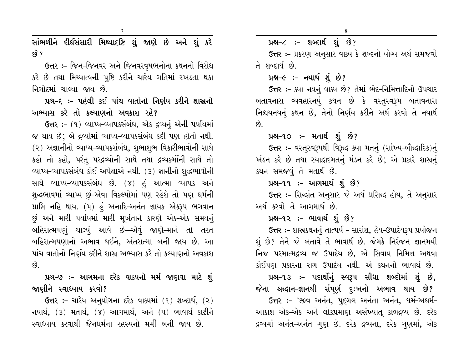સાંભળીને દીર્ઘસંસારી મિથ્યાદષ્ટિ શું જાણે છે અને શું કરે  $59^{\circ}$  ?

ઉત્તર :- જિન-જિનવર અને જિનવરવૃષભનોના કથનનો વિરોધ કરે છે તથા મિથ્યાત્વની પુષ્ટિ કરીને ચારેય ગતિમાં રખડતા થકા નિગોદમાં ચાલ્યા જાય છે.

પ્રશ્ન-૬ :- પહેલી કઈ પાંચ વાતોનો નિર્ણય કરીને શાસ્રનો અભ્યાસ કરે તો કલ્યાણનો અવકાશ રહે?

ઉત્તર :- (૧) વ્યાપ્ય-વ્યાપકસંબંધ, એક દ્રવ્યનું એની પર્યાયમાં જ થાય છે; બે દ્રવ્યોમાં વ્યાપ્ય-વ્યાપકસંબંધ કદી પણ હોતો નથી. (૨) અજ્ઞાનીનો વ્યાપ્ય-વ્યાપકસંબંધ, શુભાશુભ વિકારીભાવોની સાથે કહો તો કહો, પરંતુ પરદ્રવ્યોની સાથે તથા દ્રવ્યકર્મોની સાથે તો વ્યાપ્ય-વ્યાપકસંબંધ કોઈ અપેક્ષાએ નથી. (૩) જ્ઞાનીનો શુદ્ધભાવોની સાથે વ્યાપ્ય-વ્યાપકસંબંધ છે. (૪) હં આત્મા વ્યાપક અને શુદ્ધભાવમાં વ્યાપ્ય છું-એવા વિકલ્પોમાં પણ રહેશે તો પણ ધર્મની પ્રાપ્તિ નહિ થાય. (૫) હું અનાદિ-અનંત જ્ઞાયક એકરૂપ ભગવાન છું અને મારી પર્યાયમાં મારી મૂર્ખતાને કારણે એક-એક સમયનું બહિરાત્મપણું ચાલ્યું આવે છે—એવું જાણે–માને તો તરત બહિરાત્મપણાનો અભાવ થઈને, અંતરાત્મા બની જાય છે. આ પાંચ વાતોનો નિર્ણય કરીને શાસ્ર અભ્યાસ કરે તો કલ્યાણનો અવકાશ  $\hat{8}$ .

પ્રશ્ન-૭ :- આગમના દરેક વાક્યનો મર્મ જાણવા માટે શું જાણીને સ્વાધ્યાય કરવો?

ઉત્તર: – ચારેય અનુયોગના દરેક વાક્યમાં (૧) શબ્દાર્થ, (૨) નયાર્થ, (3) મતાર્થ, (૪) આગમાર્થ, અને (૫) ભાવાર્થ કાઢીને સ્વાઘ્યાય કરવાથી જૈનધર્મના રહસ્યનો મર્મી બની જાય છે.

પ્રશ્ન-૮ :- શબ્દાર્થ શું છે?

ઉત્તર :- પ્રકરણ અનુસાર વાક્ય કે શબ્દનો યોગ્ય અર્થ સમજવો તે શબ્દાર્થ છે.

#### પ્રશ્ન–૯ :- નયાર્થ શું છે?

ઉત્તર :- ક્યા નયનું વાક્ય છે? તેમાં ભેદ-નિમિત્તાદિનો ઉપચાર બતાવનારા વ્યવહારનયું કથન છે કે વસ્તુસ્વરૂપ બતાવનારા નિશ્ચયનયનું કથન છે, તેનો નિર્ણય કરીને અર્થ કરવો તે નયાર્થ  $\hat{Q}$ 

#### પ્રશ્ન-૧૦ ઃ- મતાર્થ શું છે?

ઉત્તર :- વસ્તુસ્વરૂપથી વિરૂદ્ધ ક્યા મતનું (સાંખ્ય-બૌદ્ધાદિક)નું ખંડન કરે છે તથા સ્યાદ્દાદમતનું મંડન કરે છે; એ પ્રકારે શાસ્ત્રનું કથન સમજવું તે મતાર્થ છે.

#### પ્રશ્ન-૧૧ :- આગમાર્થ શું છે?

ઉત્તર :- સિદ્ધાંત અનુસાર જે અર્થ પ્રસિદ્ધ હોય, તે અનુસાર અર્થ કરવો તે આગમાર્થ છે.

#### પ્રશ્ન-૧૨ :- ભાવાર્થ શું છે?

ઉત્તર :- શાસ્રકથનનું તાત્પર્ય - સારાંશ, હેય-ઉપાદેયરૂપ પ્રયોજન શું છે? તેને જે બતાવે તે ભાવાર્થ છે. જેમકે નિરંજન જ્ઞાનમયી નિજ પરમાત્મદ્રવ્ય જ ઉપાદેય છે, એ સિવાય નિમિત્ત અથવા કોઈપણ પ્રકારના રાગ ઉપાદેય નથી. એ કથનનો ભાવાર્થ છે.

# પ્રશ્ન-૧૩ ઃ- પદાર્થોનું સ્વરૂપ સીધા શબ્દોમાં શું છે, જેના શ્રદ્ધાન–જ્ઞાનથી સંપૂર્ણ દુઃખનો અભાવ થાય છે?

ઉત્તર :- 'જીવ અનંત, પુદૃગલ અનંતા અનંત, ધર્મ-અધર્મ-આકાશ એક-એક અને લોકપ્રમાણ અસંખ્યાત્ કાળદ્રવ્ય છે. દરેક દ્રવ્યમાં અનંત-અનંત ગુણ છે. દરેક દ્રવ્યના, દરેક ગુણમાં, એક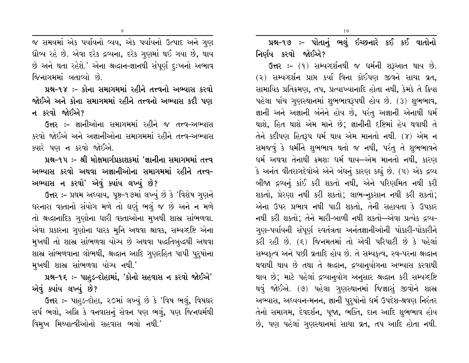$\overline{9}$ 

જ સમયમાં એક પર્યાયનો વ્યય, એક પર્યાયનો ઉત્પાદ અને ગુણ ઘ્રૌવ્ય રહે છે. એવા દરેક દ્રવ્યના, દરેક ગુણમાં થઈ ગયા છે, થાય છે અને થતા રહેશે.' એના શ્રદ્ધાન-જ્ઞાનથી સંપૂર્ણ દુઃખનો અભાવ જિનાગમમાં બતાવ્યો છે.

પ્રશ્ન-૧૪ :- કોના સમાગમમાં રહીને તત્ત્વનો અભ્યાસ કરવો જોઈએ અને કોના સમાગમમાં રહીને તત્ત્વનો અભ્યાસ કદી પણ ન કરવો જોઈએ?

ઉત્તર :- જ્ઞાનીઓના સમાગમમાં રહીને જ તત્ત્વ-અભ્યાસ કરવો જોઈએ અને અજ્ઞાનીઓના સમાગમમાં રહીને તત્ત્વ-અભ્યાસ ક્યારે પણ ન કરવો જોઈએ.

પ્રશ્ન-૧૫ :- શ્રી મોક્ષમાર્ગપ્રકાશકમાં 'જ્ઞાનીના સમાગમમાં તત્ત્વ અભ્યાસ કરવો અથવા અજ્ઞાનીઓના સમાગમમાં રહીને તત્ત્વ– અભ્યાસ ન કરવો' એવું ક્યાંય લખ્યું છે?

ઉત્તર :- પ્રથમ અધ્યાય, પૃષ્ઠ-૧૭માં લખ્યું છે કે 'વિશેષ ગુણને ધરનારા વક્તાનો સંયોગ મળે તો ઘણું ભલું જ છે અને ન મળે તો શ્રદ્ધાનાદિક ગુણોના ધારી વક્તાઓના મુખથી શાસ્ર સાંભળવા. એવા પ્રકારના ગુણોના ધારક મુનિ અથવા શ્રાવક, સમ્પગ્દષ્ટિ એના મુખથી તો શાસ્ર સાંભળવા યોગ્ય છે અથવા પદ્ધતિબુદ્ધથી અથવા શાસ્ર સાંભળવાના લોભથી, શ્રદ્ધાન આદિ ગુણરહિત પાપી પુરૂષોના મુખથી શાસ્ર સાંભળવા યોગ્ય નથી.'

પ્રશ્ન-૧૬ :- પાહુડ-દોહામાં, 'કોનો સહવાસ ન કરવો જોઈએ' એવું ક્યાંય લખ્યું છે?

ઉત્તર :- પાહડ-દોહા, ૨૦માં લખ્યું છે કે 'વિષ ભલું, વિષઘર સર્પ ભલો, અગ્નિ કે વનવાસનું સેવન પણ ભલું, પણ જિનધર્મથી વિમુખ મિથ્યાત્વીઓનો સહવાસ ભલો નથી.'

પ્રશ્ન-૧૭ :- પોતાનું ભલું ઇચ્છનારે કઈ કઈ વાતોનો નિર્ણય કરવો જોઈએ?

ઉત્તર: - (૧) સમ્યગ્દર્શનથી જ ધર્મની શરૂઆત થાય છે. (૨) સમ્યગ્દર્શન પ્રાપ્ત કર્યા વિના કોઈપણ જીવને સાચા વ્રત, સામાયિક પ્રતિક્રમણ, તપ, પ્રત્યાખ્યાનાદિ હોતા નથી, કેમકે તે ક્રિયા પહેલા પાંચ ગુણસ્થાનમાં શુભભાવરૂપથી હોય છે. (3) શુભભાવ, જ્ઞાની અને અજ્ઞાની બંનેને હોય છે, પરંતુ અજ્ઞાની એનાથી ધર્મ થાશે, હિત થાશે એમ માને છે; જ્ઞાનીની દષ્ટિમાં હેય થવાથી તે તેને કદીપણ હિતરૂપ ધર્મ થાય એમ માનતો નથી. (૪) એમ ન સમજવું કે ઘર્મીને શુભભાવ થતો જ નથી, પરંતુ તે શુભભાવને ઘર્મ અથવા તેનાથી ક્રમશઃ ધર્મ થાય—એમ માનતો નથી, કારણ કે અનંત વીતરાગદેવોએ એને બંધનું કારણ કહ્યું છે. (૫) એક દ્રવ્ય બીજા દ્રવ્યનું કાંઈ કરી શકતો નથી, એને પરિણમિત નથી કરી શકતો, પ્રેરણા નથી કરી શકતો; લાભ-નુકસાન નથી કરી શકતો; એના ઉપર પ્રભાવ નથી પાડી શકતો. તેની સહાયતા કે ઉપકાર નથી કરી શકતો; તેને મારી-બાળી નથી શકતો—એવા પ્રત્યેક દ્રવ્ય-ગુણ-પર્યાયની સંપૂર્ણ સ્વતંત્રતા અનંતજ્ઞાનીઓની પોકારી-પોકારીને કરી રહી છે. (૬) જિનમતમાં તો એવી પરિપાટી છે કે પહેલાં સમ્યકૃત્વ અને પછી વ્રતાદિ હોય છે. તે સમ્યકૃત્વ, સ્વ-પરના શ્રદ્ધાન થવાથી થાય છે તથા તે શ્રદ્ધાન, દ્રવ્યાન્યોગના અભ્યાસ કરવાથી થાય છે; માટે પહેલાં દ્રવ્યાનુયોગ અનુસાર શ્રદ્ધાન કરી સમ્યગ્દષ્ટિ થવું જોઈએ. (૭) પહેલા ગુણસ્થાનમાં જિજ્ઞાસું જીવોને શાસ્ર અભ્યાસ, અધ્યયન-મનન, જ્ઞાની પુરૂષોનો ધર્મ ઉપદેશ-શ્રવણ નિરંતર તેનો સમાગમ, દેવદર્શન, પૂજા, ભક્તિ, દાન આદિ શુભભાવ હોય છે, પણ પહેલાં ગુણસ્થાનમાં સાચા વ્રત, તપ આદિ હોતા નથી.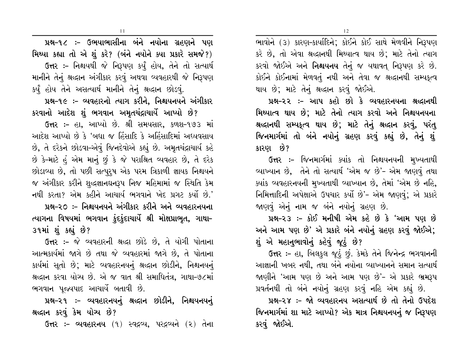ભાવોને (૩) કારણ-કાર્યાદિને; કોઈને કોઈ સાથે મેળવીને નિરૂપણ કરે છે, તો એવા શ્રદ્ધાનથી મિથ્યાત્વ થાય છે; માટે તેનો ત્યાગ કરવો જોઈએ અને **નિશ્ચયનય** તેનું જ યથાવત નિરૂપણ કરે છે. કોઈને કોઈનામાં મેળવતું નથી અને તેવા જ શ્રદ્ધાનથી સમ્યકત્વ થાય છે; માટે તેનું શ્રદ્ધાન કરવું જોઈએ.

પ્રશ્ન-૨૨ :- આપ કહો છો કે વ્યવહારનયના શ્રદ્ધાનથી મિથ્યાત્વ થાય છે: માટે તેનો ત્યાગ કરવો અને નિશ્ચયનયના શ્રલ્દાનથી સમ્પકૃત્વ થાય છે; માટે તેનું શ્રલ્દાન કરવું, પરંતુ જિનમાર્ગમાં તો બંને નયોનું ગ્રહણ કરવું કહ્યું છે, તેનું શું કારણ છે?

ઉત્તર :- જિનમાર્ગમાં ક્યાંક તો નિશ્ચયનયની મુખ્યતાથી વ્યાખ્યાન છે, તેને તો સત્યાર્થ 'એમ જ છે'- એમ જાણવું તથા ક્યાંક વ્યવહારનયની મુખ્યતાથી વ્યાખ્યાન છે, તેમાં 'એમ છે નહિ, નિમિત્તાદિની અપેક્ષાએ ઉપચાર કર્યો છે'- એમ જાણવું; એ પ્રકારે જાણવું એનું નામ જ બંને નયોનું ગ્રહણ છે.

પ્રશ્ન-૨૩ :- કોઈ મનીષી એમ કહે છે કે 'આમ પણ છે અને આમ પણ છે' એ પ્રકારે બંને નયોનું ગ્રહણ કરવું જોઈએ; શું એ મહાનભાવોનું કહેવું જૂઠું છે?

ઉત્તર :- હા, બિલકુલ જૂઠું છું. કેમકે તેને જિનેન્દ્ર ભગવાનની આજ્ઞાની ખબર નથી, તથા બંને નયોના વ્યાખ્યાનને સમાન સત્યાર્થ જાણીને 'આમ પણ છે અને આમ પણ છે'- એ પ્રકારે ભ્રમરૂપ પ્રવર્તનથી તો બંને નયોનું ગ્રહણ કરવું નહિ એમ કહ્યું છે.

પ્રશ્ન-૨૪ :- જો વ્યવહારનય અસત્યાર્થ છે તો તેનો ઉપદેશ જિનમાર્ગમાં શા માટે આપ્યો? એક માત્ર નિશ્ચયનયનું જ નિરૂપણ કરવું જોઈએ.

11

પ્રશ્ન-૧૮ :- ઉભયાભાસીના બંને નયોના ગ્રહણને પણ મિથ્યા કહ્યા તો એ શું કરે? (બંને નયોને ક્યા પ્રકારે સમજે?) ઉત્તર :- નિશ્ચયથી જે નિરૂપણ કર્યું હોય, તેને તો સત્યાર્થ માનીને તેનું શ્રદ્ધાન અંગીકાર કરવું અથવા વ્યવહારથી જે નિરૂપણ કર્યું હોય તેને અસત્યાર્થ માનીને તેનું શ્રદ્ધાન છોડવું.

પ્રશ્ન-૧૯ :- વ્યવહારનો ત્યાગ કરીને. નિશ્ચયનયને અંગીકાર કરવાનો આદેશ શું ભગવાન અમૃતચંદ્રાચાર્યે આપ્યો છે?

ઉત્તર :- હા, આપ્યો છે. શ્રી સમયસાર, કળશ-૧૭૩ માં આદેશ આપ્યો છે કે 'બધા જ હિંસાદિ કે અહિંસાદિમાં અધ્યવસાય છે, તે દરેકને છોડવા-એવું જિનદેવોએ કહ્યું છે. અમૃતચંદ્રાચાર્ય કહે છે કે-માટે હં એમ માનું છું કે જે પરાશ્રિત વ્યવહાર છે, તે દરેક છોડાવ્યા છે, તો પછી સત્પુરૂષ એક પરમ ત્રિકાળી જ્ઞાયક નિશ્ચયને જ અંગીકાર કરીને શુદ્ધજ્ઞાનઘનરૂપ નિજ મહિમામાં જ સ્થિતિ કેમ નથી કરતા? એમ કહીને આચાર્ય ભગવાને ખેદ પ્રગટ કર્યો છે.'

પ્રશ્ન–૨૦ :– નિશ્ચયનયને અંગીકાર કરીને અને વ્યવહારનયના ત્યાગના વિષયમાં ભગવાન કુંદકુંદાચાર્યે શ્રી મોક્ષપ્રાભુત, ગાથા– ૩૧માં શું કહ્યું છે?

ઉત્તર :- જે વ્યવહારની શ્રદ્ધા છોડે છે, તે યોગી પોતાના આત્મકાર્યમાં જાગે છે તથા જે વ્યવહારમાં જાગે છે, તે પોતાના કાર્યમાં સૂતો છે; માટે વ્યવહારનયનું શ્રદ્ધાન છોડીને, નિશ્ચનયનું શ્રદ્ધાન કરવા યોગ્ય છે. એ જ વાત શ્રી સમાધિતંત્ર, ગાથા-૭૮માં ભગવાન પુજ્યપાદ આચાર્યે બતાવી છે.

પ્રશ્ન-૨૧ :- વ્યવહારનયનું શ્રદ્ધાન છોડીને, નિશ્ચયનયનું શ્રઘ્દાન કરવું કેમ યોગ્ય છે?

ઉત્તર :- વ્યવહારનય (૧) સ્વદ્રવ્ય, પરદ્રવ્યને (૨) તેના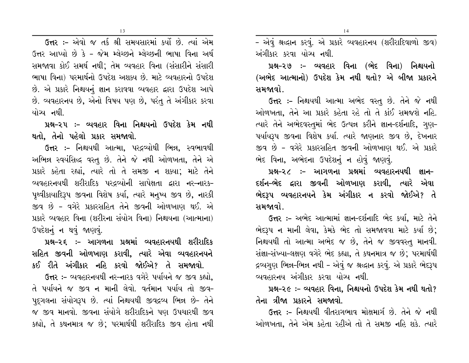13

ઉત્તર :- એવો જ તર્ક શ્રી સમયસારમાં કર્યો છે. ત્યાં એમ ઉત્તર આપ્યો છે કે – જેમ મ્લેચ્છને મ્લેચ્છની ભાષા વિના અર્થ સમજાવા કોઈ સમર્થ નથી: તેમ વ્યવહાર વિના (સંસારીને સંસારી ભાષા વિના) પરમાર્થનો ઉપદેશ અશક્ય છે. માટે વ્યવહારનો ઉપદેશ છે. એ પ્રકારે નિશ્ચયનું જ્ઞાન કરાવવા વ્યવહાર દ્વારા ઉપદેશ આપે છે. વ્યવહારનય છે, એનો વિષય પણ છે, પરંતુ તે અંગીકાર કરવા યોચ્ય નથી.

# પ્રશ્ન-૨૫ :- વ્યવહાર વિના નિશ્ચયનો ઉપદેશ કેમ નથી થતો, તેનો પહેલો પ્રકાર સમજાવો.

ઉત્તર :- નિશ્ચયથી આત્મા, પરદ્રવ્યોથી ભિન્ન, સ્વભાવથી અભિન્ન સ્વયંસિદ્ધ વસ્તુ છે. તેને જે નથી ઓળખતા, તેને એ પ્રકારે કહેતા રહ્યાં, ત્યારે તો તે સમજી ન શક્યા; માટે તેને વ્યવહારનયથી શરીરાદિક પરદ્રવ્યોની સાપેક્ષતા દ્વારા નર-નારક-પૃથ્વીકાયાદિરૂપ જીવના વિશેષ કર્યા, ત્યારે મનુષ્ય જીવ છે, નારકી જીવ છે - વગેરે પ્રકારસહિત તેને જીવની ઓળખાણ થઈ. એ પ્રકારે વ્યવહાર વિના (શરીરના સંયોગ વિના) નિશ્ચયના (આત્માના) ઉપદેશનું ન થવું જાણવું.

# પ્રશ્ન–૨૬ :– આગળના પ્રશ્નમાં વ્યવહારનયથી શરીરાદિક સહિત જીવની ઓળખાણ કરાવી, ત્યારે એવા વ્યવહારનયને કઈ રીતે અંગીકાર નહિ કરવો જોઈએ? તે સમજાવો.

ઉત્તર :- વ્યવહારનયથી નર-નારક વગેરે પર્યાયને જ જીવ કહ્યો. તે પર્યાયને જ જીવ ન માની લેવો. વર્તમાન પર્યાય તો જીવ– પદુગલના સંયોગરૂપ છે. ત્યાં નિશ્ચયથી જીવદ્રવ્ય ભિન્ન છે- તેને જ જીવ માનવો. જીવના સંયોગે શરીરાદિકને પણ ઉપચારથી જીવ કહ્યો, તે કથનમાત્ર જ છે; પરમાર્થથી શરીરાદિક જીવ હોતા નથી - એવું શ્રદ્ધાન કરવું. એ પ્રકારે વ્યવહારનય (શરીરાદિવાળો જીવ) અંગીકાર કરવા યોગ્ય નથી.

પ્રશ્ન-૨૭ :- વ્યવહાર વિના (ભેદ વિના) નિશ્ચયનો (અભેદ આત્માનો) ઉપદેશ કેમ નથી થતો? એ બીજા પ્રકારને સમજાવો.

ઉત્તર :- નિશ્ચયથી આત્મા અભેદ વસ્તુ છે. તેને જે નથી ઓળખતા, તેને આ પ્રકારે કહેતા રહે તો તે કાંઈ સમજશે નહિ. ત્યારે તેને અભેદવસ્તુમાં ભેદ ઉત્પન્ન કરીને જ્ઞાન-દર્શનાદિ, ગુણ-પર્યાયરૂપ જીવના વિશેષ કર્યા. ત્યારે જાણનાર જીવ છે, દેખનાર જીવ છે - વગેરે પ્રકારસહિત જીવની ઓળખાણ થઈ. એ પ્રકારે ભેદ વિના, અભેદના ઉપદેશનું ન હોવું જાણવું.

પ્રશ્ન–૨૮ :– આગળના પ્રશ્નમાં વ્યવહારનયથી જ્ઞાન– દર્શન–ભેદ દ્વારા જીવની ઓળખાણ કરાવી, ત્યારે એવા ભેદરૂપ વ્યવહારનયને કેમ અંગીકાર ન કરવો જોઈએ? તે સમજાવો

ઉત્તર :- અભેદ આત્મામાં જ્ઞાન-દર્શનાદિ ભેદ કર્યા, માટે તેને ભેદરૂપ ન માની લેવા, કેમકે ભેદ તો સમજાવવા માટે કર્યા છે; નિશ્ચયથી તો આત્મા અભેદ જ છે, તેને જ જીવવસ્તુ માનવી. સંજ્ઞા-સંખ્યા-લક્ષણ વગેરે ભેદ કહ્યા, તે કથનમાત્ર જ છે; પરમાર્થથી દ્રવ્યગુણ ભિન્ન-ભિન્ન નથી – એવું જ શ્રદ્ધાન કરવું. એ પ્રકારે ભેદરૂપ વ્યવહારનય અંગીકાર કરવા યોગ્ય નથી.

# પ્રશ્ન-૨૯ :- વ્યવહાર વિના, નિશ્ચયનો ઉપદેશ કેમ નથી થતો? તેના ત્રીજા પ્રકારને સમજાવો.

ઉત્તર :- નિશ્ચયથી વીતરાગભાવ મોક્ષમાર્ગ છે. તેને જે નથી ઓળખતા, તેને એમ કહેતા રહીએ તો તે સમજી નહિ શકે. ત્યારે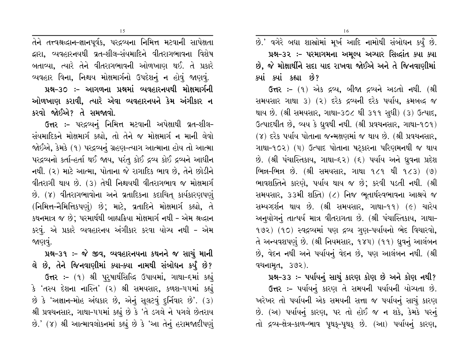15

તેને તત્ત્વશ્રદ્ધાન-જ્ઞાનપૂર્વક, પરદ્રવ્યના નિમિત્ત મટવાની સાપેક્ષતા દ્વારા, વ્યવહારનયથી વ્રત-શીલ-સંયમાદિને વીતરાગભાવના વિશેષ બતાવ્યા, ત્યારે તેને વીતરાગભાવની ઓળખાણ થઈ. તે પ્રકારે વ્યવહાર વિના, નિશ્ચય મોક્ષમાર્ગનો ઉપદેશનું ન હોવું જાણવું. પ્રશ્ન–૩૦ :– આગળના પ્રશ્નમાં વ્યવહારનયથી મોક્ષમાર્ગની ઓળખાણ કરાવી, ત્યારે એવા વ્યવહારનયને કેમ અંગીકાર ન કરવો જોઈએ? તે સમજાવો.

ઉત્તર :- પરદ્રવ્યનું નિમિત્ત મટવાની અપેક્ષાથી વ્રત-શીલ-સંયમાદિકને મોક્ષમાર્ગ કહ્યો, તો તેને જ મોક્ષમાર્ગ ન માની લેવો જોઈએ, કેમકે (૧) પરદ્રવ્યનું ગ્રહણ-ત્યાગ આત્માના હોય તો આત્મા પરદ્રવ્યનો કર્તા-હર્તા થઈ જાય, પરંતુ કોઈ દ્રવ્ય કોઈ દ્રવ્યને આધીન નથી. (૨) માટે આત્મા, પોતાના જે રાગાદિક ભાવ છે, તેને છોડીને વીતરાગી થાય છે. (૩) તેથી નિશ્ચયથી વીતરાગભાવ જ મોક્ષમાર્ગ છે. (૪) વીતરાગભાવોના અને વ્રતાદિકના કદાચિત કાર્યકારણપણું (નિમિત્ત-નૈમિત્તિકપણું) છે; માટે, વ્રતાદિને મોક્ષમાર્ગ કહ્યો, તે કથનમાત્ર જ છે; પરમાર્થથી બાહ્યક્રિયા મોક્ષમાર્ગ નથી - એમ શ્રદ્ધાન કરવું. એ પ્રકારે વ્યવહારનય અંગીકાર કરવા યોગ્ય નથી - એમ જાણવું.

પ્રશ્ન-૩૧ :- જે જીવ, વ્યવહારનયના કથનને જ સાચું માની લે છે, તેને જિનવાણીમાં ક્યા–ક્યા નામથી સંબોધન કર્યું છે? ઉત્તર :- (૧) શ્રી પુરુષાર્થસિદ્ધિ ઉપાયમાં, ગાથા-દમાં કહ્યું કે 'તસ્ય દેશના નાસ્તિ' (૨) શ્રી સમયસાર, કળશ-૫૫માં કહ્યું છે કે 'અજ્ઞાન-મોહ અંધકાર છે, એનું સૂલટવું દુર્નિવાર છે'. (3) શ્રી પ્રવચનસાર, ગાથા-૫૫માં કહ્યું છે કે 'તે ડગલે ને પગલે છેતરાય છે.' (૪) શ્રી આત્માવલોકનમાં કહ્યું છે કે 'આ તેનું હરામજાદીપણું છે.' વગેરે બધા શાસ્ત્રોમાં મૂર્ખ આદિ નામોથી સંબોધન કર્યું છે. પ્રશ્ન-૩૨ :- પરમાગમના અમૂલ્ય અગ્યાર સિદ્ધાંત ક્યા ક્યા છે, જે મોક્ષાર્થીને સદા યાદ રાખવા જોઈએ અને તે જિનવાણીમાં ક્યાં ક્યાં કહ્યા છે?

ઉત્તર :- (૧) એક દ્રવ્ય, બીજા દ્રવ્યને અડતો નથી. (શ્રી સમયસાર ગાથા ૩) (૨) દરેક દ્રવ્યની દરેક પર્યાય, ક્રમબદ્ધ જ થાય છે. (શ્રી સમયસાર, ગાથા-૩૦૮ થી ૩૧૧ સુધી) (૩) ઉત્પાદ, ઉત્પાદથીત છે, વ્યય કે ધ્રુવથી નથી. (શ્રી પ્રવચનસાર, ગાથા-૧૦૧) (૪) દરેક પર્યાય પોતાના જન્મક્ષણમાં જ થાય છે. (શ્રી પ્રવચનસાર, ગાથા–૧૦૨) (૫) ઉત્પાદ પોતાના ષટ્કારના પરિણમનથી જ થાય છે. (શ્રી પંચાસ્તિકાય, ગાથા-૬૨) (૬) પર્યાય અને ધ્રુવના પ્રદેશ ભિન્ન-ભિન્ન છે. (શ્રી સમયસાર, ગાથા ૧૮૧ થી ૧૮૩) (૭) ભાવશક્તિને કારણે, પર્યાય થાય જ છે; કરવી પડતી નથી. (શ્રી સમયસાર, ૩૩મી શક્તિ) (૮) નિજ ભુતાર્થસ્વભાવના આશ્રયે જ સમ્યગ્દર્શન થાય છે. (શ્રી સમયસાર, ગાથા-૧૧) (૯) ચારેય અન્યોગનું તાત્પર્ય માત્ર વીતરાગતા છે. (શ્રી પંચાસ્તિકાય, ગાથા-૧૭૨) (૧૦) સ્વદ્રવ્યમાં પણ દ્રવ્ય ગુણ-પર્યાયનો ભેદ વિચારવો, તે અન્યવશપણું છે. (શ્રી નિયમસાર, ૧૪૫) (૧૧) ધ્રવનું આલંબન છે, વેદન નથી અને પર્યાયનું વેદન છે, પણ આલંબન નથી. (શ્રી વચનામૃત, 392).

પ્રશ્ન-૩૩ :- પર્યાયનું સાચું કારણ કોણ છે અને કોણ નથી?

ઉત્તર :- પર્યાયનું કારણ તે સમયની પર્યાયની યોગ્યતા છે. ખરેખર તો પર્યાયની એક સમયની સત્તા જ પર્યાયનું સાચું કારણ છે. (અ) પર્યાયનું કારણ, પર તો હોઈ જ ન શકે, કેમકે પરનું તો દ્રવ્ય-ક્ષેત્ર-કાળ-ભાવ પૃથક્-પૃથક્ છે. (આ) પર્યાયનું કારણ,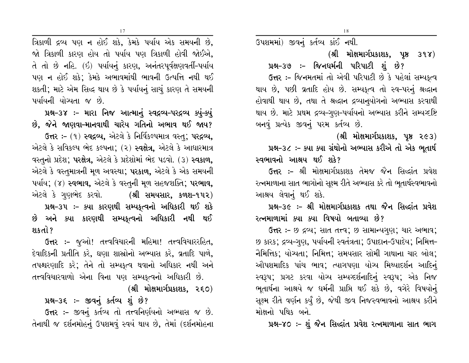ત્રિકાળી દ્રવ્ય પણ ન હોઈ શકે, કેમકે પર્યાય એક સમયની છે, જો ત્રિકાળી કારણ હોય તો પર્યાય પણ ત્રિકાળી હોવી જોઈએ, તે તો છે નહિ. (ઈ) પર્યાયનું કારણ, અનંતરપૂર્વક્ષણવર્તી-પર્યાય પણ ન હોઈ શકે; કેમકે અભાવમાંથી ભાવની ઉત્પત્તિ નથી થઈ શકતી; માટે એમ સિદ્ધ થાય છે કે પર્યાયનું સાચું કારણ તે સમયની પર્યાયની યોગ્યતા જ છે.

પ્રશ્ન-૩૪ :- મારા નિજ આત્માનું સ્વદ્રવ્ય-પરદ્રવ્ય ક્યું-ક્યું છે, જેને જાણવા–માનવાથી ચારેય ગતિનો અભાવ થઈ જાય? ઉત્તર: - (૧) સ્વદ્રવ્ય, એટલે કે નિર્વિકલ્પમાત્ર વસ્તુ; પરદ્રવ્ય, એટલે કે સવિકલ્પ ભેદ કલ્પના; (૨) **સ્વક્ષેત્ર,** એટલે કે આધારમાત્ર વસ્તુનો પ્રદેશ; **પરક્ષેત્ર,** એટલે કે પ્રદેશોમાં ભેદ પડવો. (૩) **સ્વકાળ,** એટલે કે વસ્તુમાત્રની મુળ અવસ્થા; પરકાળ, એટલે કે એક સમયની પર્યાય; (૪) **સ્વભાવ,** એટલે કે વસ્તુની મૂળ સહજશક્તિ; **પરભાવ,** એટલે કે ગુણભેદ કરવો. (શ્રી સમયસાર, કળશ–૧૫૨) પ્રશ્ન-૩૫ :- ક્યા કારણથી સમ્યકૃત્વનો અધિકારી થઈ શકે છે અને ક્યા કારણથી સમ્યકૃત્વનો અધિકારી નથી થઈ શકતો?

ઉત્તર :- જૂઓ! તત્ત્વવિચારની મહિમા! તત્ત્વવિચારરહિત, દેવાદિકની પ્રતીતિ કરે, ઘણા શાસ્રોનો અભ્યાસ કરે, વ્રતાદિ પાળે, તપશ્ચરણાદિ કરે; તેને તો સમ્યકૃત્વ થવાનો અધિકાર નથી અને તત્ત્વવિચારવાળો એના વિના પણ સમ્યકૃત્વનો અધિકારી છે.

### (શ્રી મોક્ષમાર્ગપ્રકાશક, ૨૬૦)

પ્રશ્ન-૩૬ :- જીવનું કર્તવ્ય શું છે?

ઉત્તર :- જીવનું કર્તવ્ય તો તત્ત્વનિર્ણયનો અભ્યાસ જ છે. તેનાથી જ દર્શનમોહનું ઉપશમવું સ્વયં થાય છે, તેમાં (દર્શનમોહના ઉપશમમાં) જીવનું કર્તવ્ય કાંઈ નથી.

(શ્રી મોક્ષમાર્ગપ્રકાશક, પૃષ્ઠ ૩૧૪)

પ્રશ્ન-૩૭ :- જિનધર્મની પરિપાટી શું છે?

ઉત્તર :- જિનમતમાં તો એવી પરિપાટી છે કે પહેલાં સમ્યકત્વ થાય છે, પછી વ્રતાદિ હોય છે. સમ્યકૃત્વ તો સ્વ-પરનું શ્રદ્ધાન હોવાથી થાય છે, તથા તે શ્રદ્ધાન દ્રવ્યાનુયોગનો અભ્યાસ કરવાથી થાય છે. માટે પ્રથમ દ્રવ્ય-ગુણ-પર્યાયનો અભ્યાસ કરીને સમ્યવ્દષ્ટિ બનવં પ્રત્યેક જીવનં પરમ કર્તવ્ય છે.

(શ્રી મોક્ષમાર્ગપ્રકાશક, પૃષ્ઠ ૨૯૩)

પ્રશ્ન-૩૮ :- ક્યા ક્યા ગ્રંથોનો અભ્યાસ કરીએ તો એક ભુતાર્થ સ્વભાવનો આશ્રય થઈ શકે?

ઉત્તર :- શ્રી મોક્ષમાર્ગપ્રકાશક તેમજ જૈન સિદ્ધાંત પ્રવેશ રત્નમાળાના સાત ભાગોનો સુક્ષ્મ રીતે અભ્યાસ કરે તો ભૂતાર્થસ્વભાવનો આશ્રય લેવાનું થઈ શકે.

# પ્રશ્ન-૩૯ :- શ્રી મોક્ષમાર્ગપ્રકાશક તથા જૈન સિદ્ધાંત પ્રવેશ રત્નમાળામાં ક્યા ક્યા વિષયો બતાવ્યા છે?

ઉત્તર :- છ દ્રવ્ય; સાત તત્ત્વ; છ સામાન્યગુણ; ચાર અભાવ; છ કારક; દ્રવ્ય-ગુણ, પર્યાયની સ્વતંત્રતા; ઉપાદાન-ઉપાદેય; નિમિત્ત-નૈમિત્તિક; યોગ્યતા; નિમિત્ત; સમયસાર સોમી ગાથાના ચાર બોલ; ઔપશમાદિક પાંચ ભાવ; ત્યાગપણા યોગ્ય મિથ્યાદર્શન આદિનું સ્વરૂપ; પ્રગટ કરવા યોગ્ય સમ્યગ્દર્શનાદિનું સ્વરૂપ; એક નિજ ભૂતાર્થના આશ્રયે જ ધર્મની પ્રાપ્તિ થઈ શકે છે, વગેરે વિષયોનું સુક્ષ્મ રીતે વર્ણન કર્યું છે, જેથી જીવ નિજસ્વભાવનો આશ્રય કરીને મોક્ષનો પથિક બને.

પ્રશ્ન-૪૦ :- શું જૈન સિદ્ધાંત પ્રવેશ રત્નમાળાના સાત ભાગ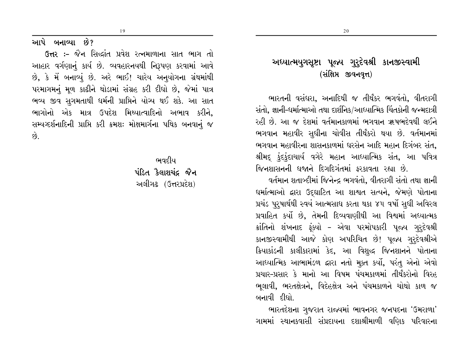આપે બનાવ્યા છે?

ઉત્તર :- જૈન સિદ્ધાંત પ્રવેશ રત્નમાળાના સાત ભાગ તો આહાર વર્ગણાનું કાર્ય છે. વ્યવહારનયથી નિરૂપણ કરવામાં આવે છે, કે મેં બનાવ્યું છે. અરે ભાઈ! ચારેય અનુયોગના ગ્રંથમાંથી પરમાગમનું મૂળ કાઢીને થોડામાં સંગ્રહ કરી દીધો છે, જેમાં પાત્ર ભવ્ય જીવ સુગમતાથી ધર્મની પ્રાપ્તિને યોગ્ય થઈ શકે. આ સાત ભાગોનો એક માત્ર ઉપદેશ મિથ્યાત્વાદિનો અભાવ કરીને. સમ્પગ્દર્શનાદિની પ્રાપ્તિ કરી ક્રમશઃ મોક્ષમાર્ગના પથિક બનવાનં જ  $\hat{g}$ .

19

ભવદીય પંડિત કૈલાશચંદ જૈન અલીગઢ (ઉત્તરપ્રદેશ)

# અધ્યાત્મયુગસૃષ્ટા પૂજ્ય ગુરુદેવશ્રી કાનજીસ્વામી (સંક્ષિપ્ત જીવનવૃત્ત)

ભારતની વસંઘરા, અનાદિથી જ તીર્થંકર ભગવંતો, વીતરાગી સંતો. જ્ઞાની-ધર્માત્માઓ તથા દાર્શનિક/આધ્યાત્મિક ચિંતકોની જન્મદાત્રી રહી છે. આ જ દેશમાં વર્તમાનકાળમાં ભગવાન ઋષભદેવથી લઈને ભગવાન મહાવીર સુધીના ચોવીસ તીર્થંકરો થયા છે. વર્તમાનમાં ભગવાન મહાવીરના શાસનકાળમાં ઘરસેન આદિ મહાન દિગંબર સંત. શ્રીમદ્ કુંદકુંદાચાર્ય વગેરે મહાન આધ્યાત્મિક સંત, આ પવિત્ર જિનશાસનની ધજાને દિગદિગંતમાં કરકાવતા રહ્યા છે.

વર્તમાન શતાબ્દીમાં જિનેન્દ્ર ભગવંતો. વીતરાગી સંતો તથા જ્ઞાની ઘર્માત્માઓ દ્વારા ઉદ્ઘાટિત આ શાશ્વત સત્યને, જેમણે પોતાના પ્રચંડ પુરુષાર્થથી સ્વયં આત્મસાધ કરતા થકા ૪૫ વર્ષો સુધી અવિરલ પ્રવાહિત કર્યો છે. તેમની દિવ્યવાણીથી આ વિશ્વમાં અધ્યાત્મક ક્રાંતિનો શંખનાદ ફંક્યો – એવા પરમોપકારી પૂજ્ય ગુરૂદેવશ્રી કાનજીસ્વામીથી આજે કોણ અપરિચિત છે! પૂજ્ય ગુરૂદેવશ્રીએ ક્રિયાકાંડની કાલીકારામાં કેદ, આ વિશુદ્ધ જિનશાનને પોતાના આઘ્યાત્મિક આભામંડળ દ્વારા નતો મૂક્ત કર્યો, પરંતુ એનો એવો પ્રચાર-પ્રસાર કે માનો આ વિષમ પંચમકાળમાં તીર્થંકરોનો વિરહ ભુલાવી, ભરતક્ષેત્રને, વિદેહક્ષેત્ર અને પંચમકાળને ચોથો કાળ જ બનાવી દીધો.

ભારતદેશના ગુજરાત રાજ્યમાં ભાવનગર જનપદના 'ઉમરાળા' ગામમાં સ્થાનકવાસી સંપ્રદાયના દશાશ્રીમાળી વણિક પરિવારના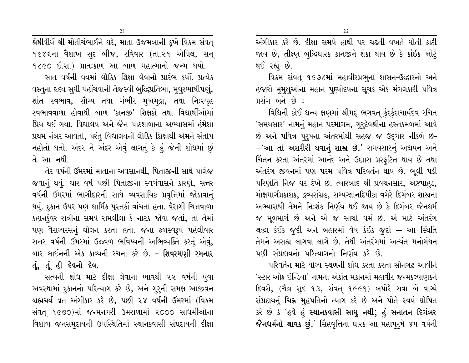શ્રેષ્ઠીવીર્ધ શ્રી મોતીચંભાઈને ઘરે, માતા ઉજમબાની કૂખે વિક્રમ સંવત્ ૧૯૪૬ના વૈશાખ સદ બીજ, રવિવાર (તા.૨૧ એપ્રિલ, સન્ ૧૮૯૦ ઇ.સ.) પ્રાતઃકાળ આ બાળ મહાત્માનો જન્મ થયો.

સાત વર્ષની વયમાં લૌકિક શિક્ષા લેવાનો પ્રારંભ કર્યો. પ્રત્યેક વસ્તુના હૃદય સુધી પહોંચવાની તેજસ્વી બુદ્ધિપ્રતિભા, મુઘુરભાષીપણું, શાંત સ્વભાવ, સૌમ્ય તથા ગંભીર મુખમુદ્રા, તથા નિઃસ્પૃહ સ્વભાવવાળા હોવાથી બાળ 'કાનજી' શિક્ષકો તથા વિદ્યાર્થીઓમાં પ્રિય થઈ ગયા. વિદ્યાલય અને જૈન પાઠશાળાના અભ્યાસમાં હંમેશા પ્રથમ નંબર આવતો, પરંતુ વિદ્યાલયની લૌકિક શિક્ષાથી એમને સંતોષ નહોતો થતો. અંદર ને અંદર એવું લાગતું કે હું જેની શોધમાં છું તે આ નથી.

તેર વર્ષની ઉંમરમાં માતાના અવસાનથી, પિતાજીની સાથે પાલેજ જવાનું થયું. ચાર વર્ષ પછી પિતાજીના સ્વર્ગવાસને કારણે, સત્તર વર્ષની ઉંમરમાં ભાગીદારની સાથે વ્યવસાયિક પ્રવૃત્તિમાં જોડાવાનું થયું. દુકાન ઉપર પણ ધાર્મિક પુસ્તકોં વાંચતા હતા. વૈરાગી ચિત્તવાળા કહાનકુંવર રાત્રીના સમયે રામલીલા કે નાટક જોવા જતાં, તો તેમાં પણ વૈરાગ્યરસનું ઘોલન કરતા હતા. જેના ફળસ્વરૂપ પહેલીવાર સત્તર વર્ષની ઉંમરમાં ઉજ્વળ ભવિષ્યની અભિવ્યક્તિ કરતું એવું, બાર લાઈનની એક કાવ્યની રચના કરે છે. – **શિવરમણી રમનાર** તું, તું હી દેવનો દેવ.

સત્યની શોધ માટે દીક્ષા લેવાના ભાવથી ૨૨ વર્ષની યુવા અવસ્થામાં દુકાનનો પરિત્યાગ કરે છે, અને ગુરૂની સમક્ષ આજીવન બ્રહ્મચર્ય વ્રત અંગીકાર કરે છે, પછી ૨૪ વર્ષની ઉમરમાં (વિક્રમ સંવત્ ૧૯૭૦)માં જન્મનગરી ઉમરાળામાં ૨૦૦૦ સાધર્મીઓના વિશાળ જનસમુદાયની ઉપસ્થિતિમાં સ્થાનકવાસી સંપ્રદાયની દીક્ષા અંગીકાર કરે છે. દીક્ષા સમયે હાથી પર ચઢતી વખતે ધોતી ફાટી જાય છે, તીક્ષ્ણ બુદ્ધિધારક કાનજીને શંકા થાય છે કે કાંઈક ખોટું થઈ રહ્યં છે.

વિક્રમ સંવત્ ૧૯૭૮માં મહાવીરપ્રભુના શાસન-ઉદ્ધારનો અને હજારો મુમુક્ષુઓના મહાન પુણ્યોદયના સુચક એક મંગલકારી પવિત્ર પ્રસંગ બને છે :

વિધિની કોઈ ધન્ય ક્ષણમાં શ્રીમદ્ ભગવત્ ફંદફંદાચાર્યદેવ રચિત 'સમયસાર' નામનું મહાન પરમાગમ, ગુરૂદેવશ્રીના હસ્તકમળમાં આવે છે અને પવિત્ર પુરૂષના અંતરમાંથી સહજ જ ઉદ્ગાર નીકળે છે-—'આ તો અશરીરી થવાનું શાસ્ર છે.' સમયસારનું અદ્યયન અને ચિંતન કરતા અંતરમાં આનંદ અને ઉલ્રાસ પ્રસ્ફટિત થાય છે તથા અંતરંગ જીવનમાં પણ પરમ પવિત્ર પરિવર્તન થાય છે. ભુલી પડી પરિણતિ નિજ ઘર દેખે છે. ત્યારબાદ શ્રી પ્રવચનસાર, અષ્ટપાહડ, મોક્ષમાર્ગપ્રકાશક, દ્રવ્યસંગ્રહ, સમ્યગ્જ્ઞાનદિપીકા વગેરે દિગંબર શાસ્રના અભ્યાસથી તેમને નિઃશંક નિર્ણય થઈ જાય છે કે દિગંબર જૈનઘર્મ જ મૂળમાર્ગ છે અને એ જ સાચો ધર્મ છે. એ માટે અંતરંગ શ્રઘ્દા કંઈક જુદી અને બહારમાં વેષ કંઈક જુદો – આ સ્થિતિ તેમને અસહ્ય લાગવા લાગે છે. તેથી અંતરંગમાં અત્યંત મનોમંથન પછી સંપ્રદાયનો પરિત્યાગનો નિર્ણય કરે છે.

પરિવર્તન માટે યોગ્ય સ્થળની શોધ કરતા કરતા સોનગઢ આવીને 'સ્ટાર ઓફ ઇન્ડિયા' નામના એકાંત મકાનમાં મહાવીર જન્મકલ્યાણકને દિવસે, (ચૈત્ર સદ ૧૩, સંવત્ ૧૯૯૧) બપોરે સવા બે વાચ્યે સંપ્રદાયનું ચિહ્ન મૂહપતિનો ત્યાગ કરે છે અને પોતે સ્વયં ઘોષિત કરે છે કે 'હવે હું સ્થાનકવાસી સાધુ નથી; હું સનાતન દિગંબર જૈનધર્મનો શ્રાવક છું.' સિંહવૃત્તિના ધારક આ મહાપુરુષે ૪૫ વર્ષની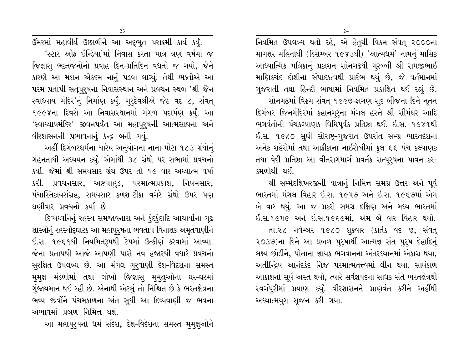નિયમિત ઉપલબ્ધ થતો રહે, એ હેતુથી વિક્રમ સંવત્ ૨૦૦૦ના માગશર મહિનાથી (ડિસેમ્બર ૧૯૪૩થી) 'આત્મધર્મ' નામનું માસિક આધ્યાત્મિક પત્રિકાનું પ્રકાશન સોનગઢથી મુરબ્બી શ્રી રામજીભાઈ માણિકચંદ દોશીના સંપાદકત્વથી પ્રારંભ થયું છે, જે વર્તમાનમાં ગુજરાતી તથા હિન્દી ભાષામાં નિયમિત પ્રકાશિત થઈ રહ્યું છે.

સોનગઢમાં વિક્રમ સંવત્ ૧૯૯૭-ફાગણ સુદ બીજના દિને નૂતન દિગંબર જિનમંદિરમાં કહાનગુરૂના મંગલ હસ્તે શ્રી સીમંઘર આદિ ભગવંતોની પંચકલ્યાણક વિધિપૂર્વક પ્રતિષ્ઠા થઈ. ઇ.સ. ૧૯૪૧થી ઈ.સ. ૧૯૮૦ સુધી સૌરાષ્ટ્ર-ગુજરાત ઉપરાંત સમ્ગ્ર ભારતદેશના અનેક શહેરોમાં તથા આક્રીકાના નાઈરોબીમાં કુલ ૬૬ પંચ કલ્યાણક તથા વેદી પ્રતિષ્ઠા આ વીતરાગમાર્ગ પ્રવર્તક સત્પુરૂષના પાવન કર-કમળોથી થઈ.

શ્રી સમ્મેદશિખરજીની યાત્રાનું નિમિત્ત સમગ્ર ઉત્તર અને પૂર્વ ભારતમાં મંગલ વિહાર ઇ.સ. ૧૯૫૭ અને ઇ.સ. ૧૯૬૭માં એમ બે વાર થયું. આ જ પ્રકરો સમગ્ર દક્ષિણ અને મધ્ય ભારતમાં ઇ.સ.૧૯૫૯ અને ઇ.સ.૧૯૬૯માં, એમ બે વાર વિહાર થયો. તા.૨૮ નવેમ્બર ૧૯૮૦ શુક્રવાર (કાર્તક વદ ૭, સંવત્ ૨૦૩૭)ના દિને આ પ્રબળ પુરૂષાર્થી આત્મજ્ઞ સંત પુરૂષ દેહાદિનું લક્ષ્ય છોડીને, પોતાના જ્ઞાયક ભગવાનના અંતરધ્યાનમાં એકાગ્ર થયા, અતીન્દ્રિય આનંદકંદ નિજ પરમાત્મતત્ત્વમાં લીન થયા. સાયંકાળ આકાશનો સૂર્ય અસ્ત થયો, ત્યારે સર્વજ્ઞપદના સાધક સંતે ભરતક્ષેત્રથી સ્વર્ગપુરીમાં પ્રયાણ કર્યું. વીરશાસનને પ્રાણવંત કરીને અહીંથી અધ્યાત્મયુગ સુજન કરી ગયા.

ઉમરમાં મહાવીર્ય ઉછાળીને આ અદ્ભુત પરાક્રમી કાર્ય કર્યું. 'સ્ટાર ઓફ ઇન્ડિયા'માં નિવાસ કરતા માત્ર ત્રણ વર્ષમાં જ જિજ્ઞાસ ભક્તજનોનો પ્રવાહ દિન-પ્રતિદિન વધતો જ ગયો. જેને કારણે આ મકાન એકદમ નાનું પડવા લાગ્યું. તેથી ભક્તોએ આ પરમ પ્રતાપી સતૃપુરૂષના નિવાસસ્થાન અને પ્રવચન સ્થળ 'શ્રી જૈન સ્વાઘ્યાય મંદિર'નું નિર્માણ કર્યું. ગુરૃદેવશ્રીએ જેઠ વદ ૮, સંવત્ ૧૯૯૪ના દિવસે આ નિવાસસ્થાનમાં મંગળ પદાર્પણ કર્યં. આ 'સ્વાધ્યાયમંદિર' જીવનપર્યંત આ મહાપુરૂષની આત્મસાધના અને વીરશાસનની પ્રભાવનાનું કેન્દ્ર બની ગયું.

અહીં દિગંબરધર્મના ચારેય અનુયોગના નાના-મોટા ૧૮૩ ગ્રંથોનું ગહનતાથી અધ્યયન કર્યું. એમાંથી ૩૮ ગ્રંથો પર સભામાં પ્રવચનો કર્યા. જેમાં શ્રી સમયસાર ગ્રંથ ઉપર તો ૧૯ વાર અઘ્યાત્મ વર્ષા કરી. પ્રવચનસાર, અષ્ટપાહડ, પરમાત્મપ્રકાશ, નિયમસાર, પંચાસ્તિકાયસંગ્રહ, સમયસાર કળશ-ટીકા વગેરે ગ્રંથો ઉપર પણ ઘણીવાર પ્રવચનો કર્યા છે.

દિવ્યધ્વનિનું રહસ્ય સમજાવનારા અને કુંદુકુંદાદિ આચાર્યોના ગુઢ શાસ્ત્રોનું રહસ્યોદ્ઘાટક આ મહાપુરુષના ભવતાપ વિનાશક અમૃતવાણીને ઇ.સ. ૧૯૬૧થી નિયમિતરૂપથી ટેપમાં ઉત્કીર્ણ કરવામાં આવ્યા. જેના પ્રતાપથી આજે આપણી પાસે નવ હજારથી વધારે પ્રવચનો સુરક્ષિત ઉપલબ્ધ છે. આ મંગલ ગુરુવાણી દેશ-વિદેશના સમસ્ત મુમુક્ષ મંડળોમાં તથા લોખો જિજ્ઞાસુ મુમુક્ષુઓના ઘર–ઘરમાં ગુંજાયમાન થઈ રહી છે. એનાથી એટલું તો નિશ્ચિત છે કે ભરતક્ષેત્રના ભવ્ય જીવોને પંચમકાળના અંત સુધી આ દિવ્યવાણી જ ભવના અભાવમાં પ્રબળ નિમિત્ત થશે.

આ મહાપુરૂષનો ધર્મ સંદેશ, દેશ-વિદેશના સમસ્ત મુમુક્ષુઓને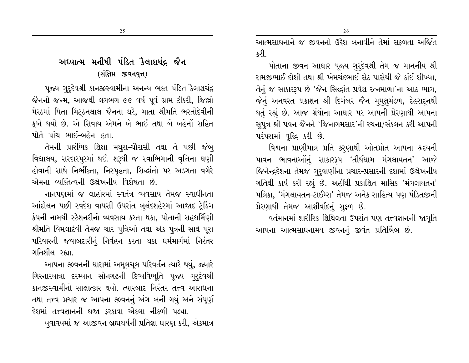25

# અધ્યાત્મ મનીષી પંડિત કૈલાશચંદ્ર જૈન (સંક્ષિપ્ત જીવનવૃત્ત)

પૂજ્ય ગુરૃદેવશ્રી કાનજીસ્વામીના અનન્ય ભક્ત પંડિત કૈલાશચંદ્ર જૈનનો જન્મ, આજથી લગભગ ૯૯ વર્ષ પૂર્વ ગ્રામ ટીકરી, જિલ્રો મેરઠમાં પિતા મિટ્ઠનલાલ જૈનના ઘરે, માતા શ્રીમતિ ભરતોદેવીની કૂખે થયો છે. એ સિવાય એમને બે ભાઈ તથા બે બહેનોં સહિત પોતે પાંચ ભાઈ-બહેન હતા.

તેમની પ્રારંભિક શિક્ષા મથુરા–ચૌરાસી તથા તે પછી જંબ્ વિદ્યાલય, સરદારપુરમાં થઈ. શરૂથી જ સ્વાભિમાની વૃત્તિના ઘણી હોવાની સાથે નિર્ભીકતા, નિસ્પૃહતા, સિદ્ધાંતો પર અડગતા વગેરે એમના વ્યક્તિત્વની ઉદ્યેખનીય વિશેષતા છે.

નાનપણમાં જ લાહોરમાં સ્વતંત્ર વ્યવસાય તેમજ સ્વાધીનતા આંદોલન પછી સ્વદેશ વાપસી ઉપરાંત બલંદશહેરમાં આજાદ ટ્રેડિંગ કંપની નામથી સ્ટેશનરીનો વ્યવસાય કરતા થકા, પોતાની સહધર્મિણી શ્રીમતિ વિમલાદેવી તેમજ ચાર પુત્રિઓ તથા એક પુત્રની સાથે પૂરા પરિવારની જવાબદારીનું નિર્વહન કરતા થકા ધર્મમાર્ગમાં નિરંતર ગતિશીલ રહ્યા

આપના જીવનની ધારામાં અમૂલચૂલ પરિવર્તન ત્યારે થયું, જ્યારે ગિરનારયાત્રા દરમ્યાન સોનગઢની દિવ્યવિભૂતિ પૂજ્ય ગુરૂદેવશ્રી કાનજીસ્વામીનો સાક્ષાત્કાર થયો. ત્યારબાદ નિરંતર તત્ત્વ આરાધના તથા તત્ત્વ પ્રચાર જ આપના જીવનનું અંગ બની ગયું અને સંપૂર્ણ દેશમાં તત્ત્વજ્ઞાનની ધજા કરકાવા એકલા નીકળી પડ્યા.

યુવાવયમાં જ આજીવન બ્રહ્મચર્યની પ્રતિજ્ઞા ધારણ કરી, એકમાત્ર

આત્મસાધનાને જ જીવનનો ઉદ્દેશ બનાવીને તેમાં સકળતા અર્જિત કરી

પોતાના જીવન આધાર પૂજ્ય ગુરૂદેવશ્રી તેમ જ માનનીય શ્રી રામજીભાઈ દોશી તથા શ્રી ખેમચંદભાઈ સેઠ પાસેથી જે કાંઈ શીખ્યા. તેનું જ સાકારરૂપ છે 'જૈન સિદ્ધાંત પ્રવેશ રત્નમાળા'ના આઠ ભાગ, જેનું અનવરત પ્રકાશન શ્રી દિગંબર જૈન મુમુક્ષુમંડળ, દેહરાદૂનથી થતું રહ્યું છે. આજ ગ્રંથોના આધાર પર આપની પ્રેરણાથી આપના સુપુત્ર શ્રી પવન જૈનને 'જિનાગમસાર'ની રચના/સંકલન કરી આપની પરંપરામાં વૃદ્ધિ કરી છે.

વિશ્વના પ્રાણીમાત્ર પ્રતિ કરણાથી ઓતપ્રોત આપના હૃદયની પાવન ભાવનાઓંનું સાકારરૂપ 'તીર્થધામ મંગલાયતન' આજે જિનેન્દ્રદેશના તેમજ ગુરૂવાણીના પ્રચાર-પ્રસારની દશામાં ઉલ્રેખનીય ગતિથી કાર્ય કરી રહ્યું છે. અહીંથી પ્રકાશિત માસિક 'મંગલાયતન' પત્રિકા, 'મંગલાયતન-ટાઈમ્સ' તેમજ અનેક સાહિત્ય પણ પંડિતજીની પ્રેરણાથી તેમજ આશીર્વાદનું સૂફળ છે.

વર્તમાનમાં શારીરિક શિથિલતા ઉપરાંત પણ તત્ત્વજ્ઞાનની જાગૃતિ આપના આત્મસાધનામય જીવનનું જીવંત પ્રતિબિંબ છે.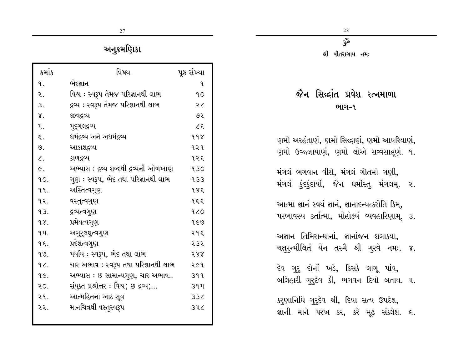શ્રી વીતરાગાય નમઃ

# જૈન સિદ્ધાંત પ્રવેશ રત્નમાળા ભાગ-૧

ણમો અરહંતાણું, ણમો સિદ્ધાણું, ણમો આયરિયાણું, ણમો ઉજ્ઝાયાણં, ણમો લોએ સવ્વસાહૂણં. ૧.

મંગલં ભગવાન વીરો, મંગલં ગૌતમો ગણી, મંગલં કુંદકુંદાર્યો, જૈન ધર્મોસ્તુ મંગલમ્. ૨.

આત્મા જ્ઞાનં સ્વયં જ્ઞાનં, જ્ઞાનાદન્યત્કરોતિ કિમુ, પરભાવસ્ય કર્તાત્મા, મોહોઙયં વ્યવહારિણામ. ૩.

અજ્ઞાન તિમિરાન્ધાનાં, જ્ઞાનાંજન શલાકયા, ચક્ષુર્ન્મીલિતં યેન તસ્મૈ શ્રી ગુરવે નમઃ. ૪.

દેવ ગુરુ દોનોં ખડે, કિસકે લાગૂ પાંવ, બલિહારી ગુરુદેવ કી, ભગવન દિયો બતાય. ૫.

કરુણાનિધિ ગુરુદેવ શ્રી, દિયા સત્ય ઉપદેશ, જ્ઞાની માને પરખ કર, કરે મૂઢ સંક્લેશ. ૬.

# અનુક્રમણિકા

| કમાંક        | વિષય                                   | પૃષ્ઠ સંખ્યા |
|--------------|----------------------------------------|--------------|
| ঀ.           | ભેદજ્ઞાન                               | 9.           |
| ર.           | વિશ્વ : સ્વરૂપ તેમજ પરિજ્ઞાનથી લાભ     | 90           |
| 3.           | દ્રવ્ય : સ્વરૂપ તેમજ પરિજ્ઞાનથી લાભ    | २८           |
| γ.           | જીવદ્રવ્ય                              | ७२           |
| ૫.           | પુદ્ગલદ્રવ્ય                           | 25           |
| ξ.           | ધર્મદ્રવ્ય અને અધર્મદ્રવ્ય             | 998          |
| ७.           | આકાશદ્રવ્ય                             | १२१          |
| $\zeta$ .    | કાળદ્રવ્ય                              | १२६          |
| $\epsilon$ . | અભ્યાસ : દ્રવ્ય શબ્દથી દ્રવ્યની ઓળખાણ  | 930          |
| 90.          | ગુણ : સ્વરૂપ, ભેદ તથા પરિજ્ઞાનથી લાભ   | 933          |
| 99.          | અસ્તિત્વગુણ                            | 985          |
| १२.          | વસ્તુત્વગુણ                            | १६६          |
| 93.          | દ્રવ્યત્વગુણ                           | 920          |
| qx.          | પ્રમેયત્વગુણ                           | १૯७          |
| 9 U.         | અગુરુલઘુત્વગુણ                         | २१६          |
| 9٤.          | પ્રદેશત્વગુણ                           | 535          |
| 99.          | પર્યાય : સ્વરૂપ, ભેદ તથા લાભ           | २४४          |
| 96.          | ચાર અભાવ : સ્વરૂપ તથા પરિજ્ઞાનથી લાભ   | २૯१          |
| qE.          | અભ્યાસ : છ સામાન્યગુણ, ચાર અભાવ        | 399          |
| २०.          | સંયુક્ત પ્રશ્નોત્તર : વિશ્વ; છ દ્રવ્ય; | ૩૧૫          |
| २१.          | આત્મહિતના આઠ સૂત્ર                     | 336          |
| २२.          | માનચિત્રથી વસ્તુસ્વરૂપ                 | <b>346</b>   |
|              |                                        |              |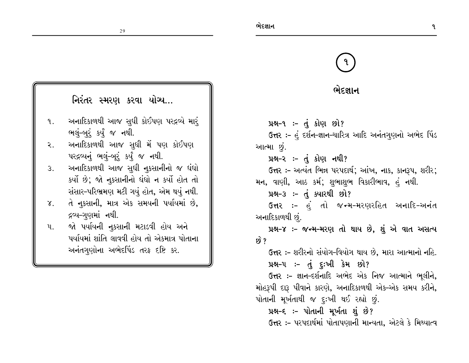# ભેદજ્ઞાન

પ્રશ્ન-૧:-  $\dot{d}$  કોણ છો? ઉત્તર :- હું દર્શન-જ્ઞાન-ચારિત્ર આદિ અનંતગુણનો અભેદ પિંડ આત્મા છું.

#### પ્રશ્ન-૨ :- તું કોણ નથી?

ઉત્તર :- અત્યંત ભિન્ન પરપદાર્થ; આંખ, નાક, કાનરૂપ, શરીર; મન, વાણી, આઠ કર્મ; શુભાશુભ વિકારીભાવ, હું નથી.

## 

ઉત્તર :- હું તો જન્મ-મરણરહિત અનાદિ-અનંત અનાદિકાળથી છું.

# પ્રશ્ન-૪ :- જન્મ-મરણ તો થાય છે, શું એ વાત અસત્ય છે ?

ઉત્તર :- શરીરનો સંયોગ-વિયોગ થાય છે, મારા આત્માનો નહિ.  $\mu$ શ્વ-૫ :-  $\dot{d}$  દુ:ખી કેમ છો?

ઉત્તર :- જ્ઞાન-દર્શનાદિ અભેદ એક નિજ આત્માને ભૂલીને, મોહરૂપી દારૂ પીવાને કારણે, અનાદિકાળથી એક-એક સમય કરીને, પોતાની મૂર્ખતાથી જ દૃઃખી થઈ રહ્યો છું.

#### પ્રશ્ન-૬ :- પોતાની મૂર્ખતા શું છે? **ઉત્તર :-** પરપદાર્થમાં પોતાપણાની માન્યતા, એટલે કે મિથ્યાત્વ

# નિરંતર સ્મરણ કરવા યોગ્ય...

- અનાદિકાળથી આજ સુધી કોઈપણ પરદ્રવ્યે માર્ ৭. ભલું-બુરૂં કર્યું જ નથી.
- અનાદિકાળથી આજ સુધી મેં પણ કોઈપણ  $\mathcal{L}$ . પરદ્રવ્યનું ભલું-બુરું કર્યું જ નથી.
- અનાદિકાળથી આજ સુધી નુકસાનીનો જ ધંધો  $3.$ કર્યો છે; જો નૂકસાનીનો ધંધો ન કર્યો હોત તો સંસાર-પરિભ્રમણ મટી ગયું હોત, એમ થયું નથી.
- તે નુકસાની, માત્ર એક સમયની પર્યાયમાં છે,  $\chi$ . દ્રવ્ય–ગુણમાં નથી.
- જો પર્યાયની નૂકસાની મટાડવી હોય અને  $\mathfrak{u}$ . પર્યાયમાં શાંતિ લાવવી હોય તો એકમાત્ર પોતાના અનંતગણોના અભેદપિંડ તરફ દષ્ટિ કર.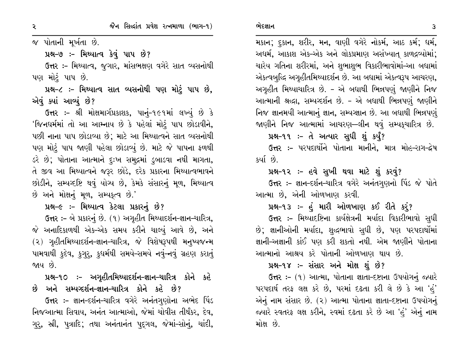જ પોતાની મૂર્ખતા છે.

પ્રશ્ન-૭ :- મિથ્યાત્વ કેવું પાપ છે?

ઉત્તર :- મિથ્યાત્વ, જગાર, માંસભક્ષણ વગેરે સાત વ્યસનોથી પણ મોટું પાપ છે.

પ્રશ્ન-૮ :- મિથ્યાત્વ સાત વ્યસનોથી પણ મોટું પાપ છે, એવું ક્યાં આવ્યું છે?

ઉત્તર :- શ્રી મોક્ષમાર્ગપ્રકાશક, પાનું-૧૯૧માં લખ્યું છે કે 'જિનધર્મમાં તો આ આમ્નાય છે કે પહેલાં મોટું પાપ છોડાવીને, પછી નાના પાપ છોડાવ્યા છે; માટે આ મિથ્યાત્વને સાત વ્યસનોથી પણ મોટું પાપ જાણી પહેલા છોડાવ્યું છે. માટે જે પાપના ફળથી ડરે છે; પોતાના આત્માને દુઃખ સમુદ્રમાં ડુબાડવા નથી માગતા, તે જીવ આ મિથ્યાત્વને જરૂર છોડે, દરેક પ્રકારના મિથ્યાત્વભાવને છોડીને, સમ્યગ્દષ્ટિ થવું યોગ્ય છે, કેમકે સંસારનું મૂળ, મિથ્યાત્વ છે અને મોક્ષનું મૂળ, સમ્પક્ત્વ છે.'

પ્રશ્ન-૯ :- મિથ્યાત્વ કેટલા પ્રકારનું છે?

ઉત્તર :- બે પ્રકારનું છે. (૧) અગૃહીત મિથ્યાદર્શન-જ્ઞાન-ચારિત્ર, જે અનાદિકાળથી એક–એક સમય કરીને ચાલ્યું આવે છે, અને (૨) ગૃહીતમિથ્યાદર્શન-જ્ઞાન-ચારિત્ર, જે વિશેષરૂપથી મનુષ્યજન્મ પામવાથી કુદેવ, કગુર, કુઘર્મથી સમયે-સમયે નવું-નવું ગ્રહણ કરાતું જાય છે.

# પ્રશ્ન-૧૦ ઃ– અગૃહીતમિથ્યાદર્શન-જ્ઞાન-ચારિત્ર કોને કહે છે અને સમ્યગ્દર્શન-જ્ઞાન-ચારિત્ર કોને કહે છે?

ઉત્તર :- જ્ઞાન-દર્શન-ચારિત્ર વગેરે અનંતગુણોના અભેદ પિંડ નિજઆત્મા સિવાય, અનંત આત્માઓ, જેમાં ચોવીસ તીર્થંકર, દેવ, ગુર, સ્રી, પુત્રાદિ; તથા અનંતાનંત પુદુગલ, જેમાં-સોનું, ચાંદી,

મકાન; દુકાન, શરીર, મન, વાણી વગેરે નોકર્મ, આઠ કર્મ; ધર્મ, અદ્યર્મ, આકાશ એક-એક અને લોકપ્રમાણ અસંખ્યાત કાળદ્રવ્યોમાં; ચારેય ગતિના શરીરમાં, અને શુભાશુભ વિકારીભાવોમાં-આ બધામાં એકત્વબુદ્ધિ અગૃહીતમિથ્યાદર્શન છે. આ બધામાં એકત્વરૂપ આચરણ, અગૃહીત મિથ્યાચારિત્ર છે. - એ બધાથી ભિન્નપણું જાણીને નિજ આત્માની શ્રદ્ધા, સમ્યગ્દર્શન છે. - એ બધાથી ભિન્નપણું જાણીને નિજ જ્ઞાનમયી આત્માનું જ્ઞાન, સમ્યગ્જ્ઞાન છે. આ બધાથી ભિન્નપણું જાણીને નિજ આત્મામાં આચરણ—લીન થવું સમ્પકુચારિત્ર છે.

#### પ્રશ્ન-૧૧ :- તે અત્યાર સુધી શું કર્યું?

ઉત્તર :- પરપદાર્થોને પોતાના માનીને, માત્ર મોહ-રાગ-દ્વેષ કર્યા છે.

#### પ્રશ્ન-૧૨ :- હવે સુખી થવા માટે શું કરવું?

ઉત્તર :- જ્ઞાન-દર્શન-ચારિત્ર વગેરે અનંતગુણનો પિંડ જે પોતે આત્મા છે, એની ઓળખાણ કરવી.

#### પ્રશ્ન-૧૩ :- હું મારી ઓળખાણ કઈ રીતે કરૂં?

ઉત્તર :- મિથ્યાદષ્ટિના કાર્યક્ષેત્રની મર્યાદા વિકારીભાવો સુધી છે; જ્ઞાનીઓની મર્યાદા, શુદ્ધભાવો સુધી છે, પણ પરપદાર્થોમાં જ્ઞાની-અજ્ઞાની કાંઈ પણ કરી શકતો નથી. એમ જાણીને પોતાના આત્માનો આશ્રય કરે પોતાની ઓળખાણ થાય છે.

#### પ્રશ્ન-૧૪ :- સંસાર અને મોક્ષ શું છે?

ઉત્તર: - (૧) આત્મા, પોતાના જ્ઞાતા-દષ્ટાના ઉપયોગનું જ્યારે પરપદાર્થ તરફ લક્ષ કરે છે, પરમાં દઢતા કરી લે છે કે આ 'હું' એનું નામ સંસાર છે. (૨) આત્મા પોતાના જ્ઞાતા-દષ્ટાના ઉપયોગનું જ્યારે સ્વતરફ લક્ષ કરીને, સ્વમાં દઢતા કરે છે આ 'હં' એનું નામ મોક્ષ છે.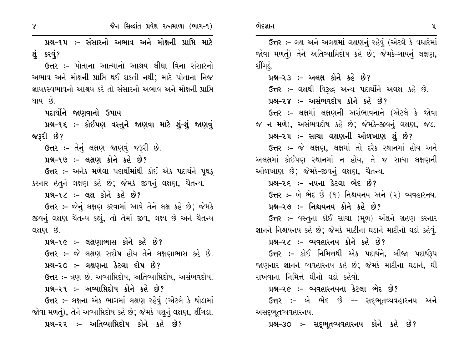$\gamma$ 

ભેદજ્ઞાન

પ્રશ્ન-૧૫ ઃ- સંસારનો અભાવ અને મોક્ષની પ્રાપ્તિ માટે શંકરવં?

**ઉત્તર :-** પોતાના આત્માનો આશ્રય લીધા વિના સંસારનો અભાવ અને મોક્ષની પ્રાપ્તિ થઈ શકતી નથી; માટે પોતાના નિજ જ્ઞાયકસ્વભાવનો આશ્રય કરે તો સંસારનો અભાવ અને મોક્ષની પ્રાપ્તિ થાય છે.

પદાર્થોને જાણવાનો ઉપાય

પ્રશ્ન-૧૬ ઃ- કોઈપણ વસ્તુને જાણવા માટે શું-શું જાણવું જરૂરી છે?

**ઉત્તર :-** તેનું લક્ષણ જાણવું જરૂરી છે.

પ્રશ્ન-૧૭ :- લક્ષણ કોને કહે છે?

ઉત્તર :- અનેક મળેલા પદાર્થોમાંથી કોઈ એક પદાર્થને પુથક કરનાર હેતૂને લક્ષણ કહે છે; જેમકે જીવનું લક્ષણ, ચૈતન્ય.

પ્રશ્ન-૧૮ :- લક્ષ કોને કહે છે?

ઉત્તર :- જેનું લક્ષણ કરવામાં આવે તેને લક્ષ કહે છે; જેમકે જીવનું લક્ષણ ચૈતન્ય કહ્યું, તો તેમાં જીવ, લક્ષ્ય છે અને ચૈતન્ય લક્ષણ છે.

પ્રશ્ન-૧૯ :- લક્ષણાભાસ કોને કહે છે?

ઉત્તર :- જે લક્ષણ સદોષ હોય તેને લક્ષણાભાસ કહે છે. પ્રશ્ન-૨૦ :- લક્ષણના કેટલા દોષ છે?

ઉત્તર :- ત્રણ છે. અવ્યાપ્તિદોષ, અતિવ્યાપ્તિદોષ, અસંભવદોષ.

પ્રશ્ન–૨૧ ઃ– અવ્યાપ્તિદોષ કોને કહે છે?

ઉત્તર :- લક્ષના એક ભાગમાં લક્ષણ રહેવું (એટલે કે થોડામાં જોવા મળતું), તેને અવ્યાપ્તિદોષ કહે છે; જેમકે પશુનું લક્ષણ, શીંગડા.

પ્રશ્ન-૨૨ :- અતિવ્યાપ્તિદોષ કોને કહે છે?

ઉત્તર :- લક્ષ અને અલક્ષમાં લક્ષણનું રહેવું (એટલે કે વધારેમાં જોવા મળતું) તેને અતિવ્યાપ્તિદોષ કહે છે; જેમકે-ગાયનું લક્ષણ, શીંગડં. પ્રશ્ન–૨૩ :– અલક્ષ કોને કહે છે? ઉત્તર :- લક્ષથી વિરૂદ્ધ અન્ય પદાર્થોને અલક્ષ કહે છે. પ્રશ્ન–૨૪ :– અસંભવદોષ કોને કહે છે? ઉત્તર :- લક્ષમાં લક્ષણની અસંભાવનાને (એટલે કે જોવા જ ન મળે), અસંભવદોષ કહે છે; જેમકે-જીવનું લક્ષણ, જડ. પ્રશ્ન–૨૫ ઃ– સાચા લક્ષણની ઓળખાણ શું છે? ઉત્તર :- જે લક્ષણ, લક્ષમાં તો દરેક સ્થાનમાં હોય અને અલક્ષમાં કોઈપણ સ્થાનમાં ન હોય, તે જ સાચા લક્ષણની ઓળખાણ છે; જેમકે-જીવનું લક્ષણ, ચૈતન્ય. પ્રશ્ન–૨૬ :– નયના કેટલા ભેદ છે? ઉત્તર: – બે ભેદ છે (૧) નિશ્ચયનય અને (૨) વ્યવહારનય. પ્રશ્ન-૨૭ :- નિશ્ચયનય કોને કહે છે? **ઉત્તર :-** વસ્તુના કોઈ સાચા (મૂળ) અંશને ગ્રહણ કરનાર જ્ઞાનને નિશ્ચયનય કહે છે; જેમકે માટીના ઘડાને માટીનો ઘડો કહેવું. પ્રશ્ન–૨૮ :– વ્યવહારનય કોને કહે છે? ઉત્તર :- કોઈ નિમિત્તથી એક પદાર્થને, બીજા પદાર્થરૂપ જાણનાર જ્ઞાનને વ્યવહારનય કહે છે; જેમકે માટીના ઘડાને, ઘી રાખવાના નિમિત્તે ઘીનો ઘડો કહેવો. પ્રશ્ન-૨૯ :- વ્યવહારનયના કેટલા ભેદ છે? **ઉત્તર :-** બે ભેદ છે –- સદ્દભુતવ્યવહારનય અને અસદ્દભુતવ્યવહારનય.

પ્રશ્ન-૩૦ :- સદ્દભૂતવ્યવહારનય કોને કહે છે?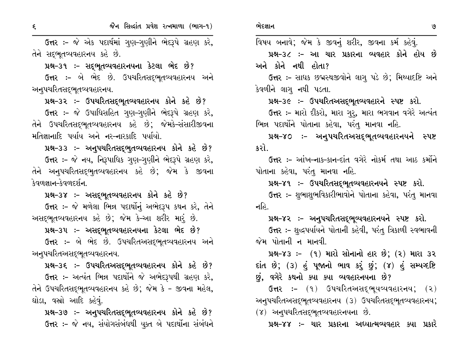જૈન સિદ્ધાંત પ્રવેશ રત્નમાળા (ભાગ-૧)

ઉત્તર :- જે એક પદાર્થમાં ગુણ-ગુણીને ભેદરૂપે ગ્રહણ કરે, તેને સદ્દભતવ્યવહારનય કહે છે.

પ્રશ્ન-૩૧ :- સદ્દભૂતવ્યવહારનયના કેટલા ભેદ છે?

ઉત્તર :- બે ભેદ છે. ઉપચરિતસદ્ભૂતવ્યવહારનય અને અન્૫ચરિતસદ્ભૂતવ્યવહારનય.

પ્રશ્ન-૩૨ :- ઉપચરિતસદ્દભૂતવ્યવહારનય કોને કહે છે?

ઉત્તર :- જે ઉપાધિસહિત ગુણ-ગુણીને ભેદરૂપે ગ્રહણ કરે, તેને ઉપચરિતસદ્દભુતવ્યવહારનય કહે છે; જેમકે-સંસારીજીવના મતિજ્ઞાનાદિ પર્યાય અને નર-નારકાદિ પર્યાયો.

42-33 :- અનુપચરિતસદ્ભુતવ્યવહારનય કોને કહે છે? ઉત્તર :- જે નય, નિરૂપાધિક ગુણ-ગુણીને ભેદરૂપે ગ્રહણ કરે, તેને અનુપચરિતસદ્દભુતવ્યવહારનય કહે છે; જેમ કે જીવના કેવળજ્ઞાન–કેવળદર્શન

પ્રશ્ન-૩૪ :- અસદ્ભૂતવ્યવહારનય કોને કહે છે? ઉત્તર :- જે મળેલા ભિન્ન પદાર્થોનું અભેદરૂપ કથન કરે, તેને અસદ્દભૂતવ્યવહારનય કહે છે; જેમ કે–આ શરીર મારૂં છે.

પ્રશ્ન-૩૫ :- અસદ્ભૂતવ્યવહારનયના કેટલા ભેદ છે?

ઉત્તર:- બે ભેદ છે. ઉપચરિતઅસદ્ભૂતવ્યવહારનય અને અન્૫ચરિતઅસદ્ભૂતવ્યવહારનય.

પ્રશ્ન-૩૬ :- ઉપચરિતઅસદ્ભૂતવ્યવહારનય કોને કહે છે? ઉત્તર :- અત્યંત ભિન્ન પદાર્થોને જે અભેદરૂપથી ગ્રહણ કરે, તેને ઉપચરિતસદ્ભૂતવ્યવહારનય કહે છે; જેમ કે - જીવના મહેલ, ઘોડા, વસ્રો આદિ કહેવું.

42-39: - અનુપચરિતસદ્દભૂતવ્યવહારનય કોને કહે છે? ઉત્તર :- જે નય, સંયોગસંબંધથી યુક્ત બે પદાર્થોના સંબંધને વિષય બનાવે; જેમ કે જીવનું શરીર, જીવના કર્મ કહેવું.

પ્રશ્ન–૩૮ :– આ ચાર પ્રકારના વ્યવહાર કોને હોય છે અને કોને નથી હોતા?

ઉત્તર :- સાધક છદ્મસ્થજીવોને લાગુ પડે છે; મિથ્યાદષ્ટિ અને કેવળીને લાગૂ નથી પડતા.

પ્રશ્ન-૩૯ :- ઉપચરિતઅસદ્ભૂતવ્યવહારને સ્પષ્ટ કરો.

ઉત્તર :- મારો દીકરો, મારા ગુરૂ, મારા ભગવાન વગેરે અત્યંત ભિન્ન પદાર્થોને પોતાના કહેવા, પરંતુ માનવા નહિ.

પ્રશ્ન-૪૦ :- અનુપચરિતઅસદ્ભૂતવ્યવહારનયને સ્પષ્ટ કરો.

ઉત્તર :- આંખ-નાક-કાન-દાંત વગેરે નોકર્મ તથા આઠ કર્મોને પોતાના કહેવા, પરંતુ માનવા નહિ.

પ્રશ્ન-૪૧ :- ઉપચરિતસદ્ભૂતવ્યવહારનયને સ્પષ્ટ કરો.

ઉત્તર :- શુભાશુભવિકારીભાવોને પોતાના કહેવા, પરંતુ માનવા નહિ

પ્રશ્ન–૪૨ :– અનુપચરિતસદ્દભૂવ્યવહારનયને સ્પષ્ટ કરો. ઉત્તર :- શુદ્ધપર્યાયને પોતાની કહેવી, પરંતુ ત્રિકાળી સ્વભાવની જેમ પોતાની ન માનવી  $\overline{a}$ 

પ્રશ્ન–૪૩ :– (૧) મારો સોનાનો હાર છે; (૨) મારા ૩૨ દાંત છે; (૩) હું પૂજાનો ભાવ કરું છું; (૪) હું સમ્યવ્દષ્ટિ છું, વગેરે કથનો ક્યા ક્યા વ્યવહારનયના છે?

 $G$ ત્તર:-  $(9)$  ઉપચરિતઅસદ્ભૂયવ્યવહારનય;  $(2)$ અનુપચરિતઅસદ્દભૂતવ્યવહારનય (૩) ઉપચરિતસદ્દભૂતવ્યવહારનય;  $(8)$  અન્ $1$ યરિતસદ્ભૃતવ્યવહારનયના છે.

પ્રશ્ન–૪૪ :– ચાર પ્રકારના અધ્યાત્મવ્યવહાર ક્યા પ્રકારે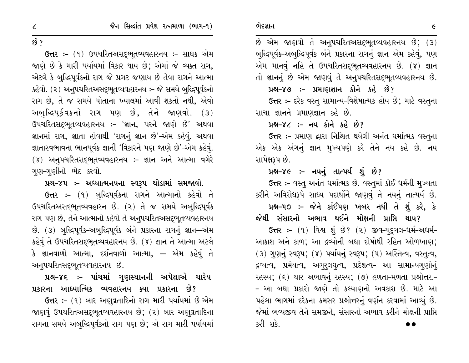# $69.2$

ઉત્તર: – (૧) ઉપચરિતઅસદ્ભૂતવ્યવહારનય: – સાધક એમ જાણે છે કે મારી પર્યાયમાં વિકાર થાય છે; એમાં જે વ્યક્ત રાગ, એટલે કે બુદ્ધિપૂર્વકનો રાગ જે પ્રગટ જણાય છે તેવા રાગને આત્મા કહેવો. (૨) અનુપચરિતઅસદ્ભૂતવ્યવહારનય :- જે સમયે બુદ્ધિપૂર્વકનો રાગ છે, તે જ સમયે પોતાના ખ્યાલમાં આવી શકતો નથી, એવો અબુદ્ધિપૂર્કવકનો રાગ પણ છે, તેને જાણવો. (૩) ઉપચરિતસદ્દભૂતવ્યવહારનય :- 'જ્ઞાન, પરને જાણે છે' અથવા જ્ઞાનમાં રાગ, જ્ઞાતા હોવાથી 'રાગનું જ્ઞાન છે'–એમ કહેવું. અથવા જ્ઞાતાસ્વભાવના ભાનપૂર્વક જ્ઞાની 'વિકારને પણ જાણે છે'–એમ કહેવું. (૪) અનુપચરિતસદ્ભુતવ્યવહારનય :- જ્ઞાન અને આત્મા વગેરે ગણ–ગણીનો ભેદ કરવો.

#### પ્રશ્ન–૪૫ :– અધ્યાત્મનયના સ્વરૂપ થોડામાં સમજાવો.

ઉત્તર :- (૧) બુદ્ધિપૂર્વકના રાગને આત્માનો કહેવો તે ઉપચરિતઅસદ્ભૂતવ્યવહારન છે. (૨) તે જ સમયે અબુદ્ધિપૂર્વક રાગ પણ છે, તેને આત્માનો કહેવો તે અનૂપચરિતઅસદ્ભૂતવ્યવહારનય છે. (3) બુદ્ધિપૂર્વક-અબુદ્ધિપૂર્વક બંને પ્રકારના રાગનું જ્ઞાન-એમ કહેવું તે ઉપચરિતસદ્દભૂતવ્યવહારનય છે. (૪) જ્ઞાન તે આત્મા અટલે કે જ્ઞાનવાળો આત્મા, દર્શનવાળો આત્મા, — એમ કહેવું તે અન્૫ચરિતસદ્ભૂતવ્યવહારનય છે.

## પ્રશ્ન–૪૬ :– પાંચમાં ગુણસ્થાનની અપેક્ષાએ ચારેય પ્રકારના આધ્યાત્મિક વ્યવહારનય ક્યા પ્રકારના છે?

ઉત્તર: – (૧) બાર અણુવ્રતાદિનો રાગ મારી પર્યાયમાં છે એમ જાણવું ઉપચરિતઅસદ્ભૂતવ્યવહારનય છે; (૨) બાર અણુવ્રતાદિના રાગના સમયે અબુદ્ધિપૂર્વકનો રાગ પણ છે; એ રાગ મારી પર્યાયમાં

 $\dot{8}$  એમ જાણવો તે અનુપચરિતઅસદ્ભૂતવ્યવહારનય છે;  $(3)$ બુદ્ધિપૂર્વક-અબુદ્ધિપૂર્વક બંને પ્રકારના રાગનું જ્ઞાન એમ કહેવું, પણ એમ માનવું નહિ તે ઉપચરિતસદ્દભૂતવ્યવહારનય છે. (૪) જ્ઞાન તો જ્ઞાનનું છે એમ જાણવું તે અનુપચરિતસદ્ભૂતવ્યવહારનય છે.

# પ્રશ્ન-૪૭ :- પ્રમાણજ્ઞાન કોને કહે છે?

ઉત્તર :- દરેક વસ્તુ સામાન્ય-વિશેષાત્મક હોય છે; માટે વસ્તુના સાચા જ્ઞાનને પ્રમાણજ્ઞાન કહે છે.

#### પ્રશ્ન–૪૮ :– નય કોને કહે છે?

ઉત્તર :- પ્રમાણ દ્વારા નિશ્ચિત થયેલી અનંત ધર્માત્મક વસ્તુના એક એક અંગનું જ્ઞાન મુખ્યપણે કરે તેને નય કહે છે. નય સાપેક્ષરૂપ છે.

### પ્રશ્ન-૪૯ :- નયનું તાત્પર્ય શું છે?

ઉત્તર :- વસ્તુ અનંત ધર્માત્મક છે. વસ્તુમાં કોઈ ધર્મની મુખ્યતા કરીને અવિરોધરૂપે સાધ્ય પદાર્થોને જાણવું તે નયનું તાત્પર્ય છે.

# પ્રશ્ન-૫૦ :- જેને કાંઈપણ ખબર નથી તે શું કરે, કે

જેથી સંસારનો અભાવ થઈને મોક્ષની પ્રાપ્તિ થાય? ઉત્તર :- (૧) વિશ્વ શું છે? (૨) જીવ-પદુગલ-ધર્મ-અધર્મ-

આકાશ અને કાળ; આ દ્રવ્યોની બધા દોષોથી રહિત ઓળખાણ; (3) ગણનું સ્વરૂપ; (૪) પર્યાયનું સ્વરૂપ; (૫) અસ્તિત્વ, વસ્તુત્વ, દ્રવ્યત્વ, પ્રમેયત્વ, અગુરૂલઘુત્વ, પ્રદેશત્વ- આ સામાન્યગુણોનું રહસ્ય; (૬) ચાર અભાવનું રહસ્ય; (૭) હળતા-મળતા પ્રશ્નોત્તર.-- આ બધા પ્રકારો જાણે તો કલ્યાણનો અવકાશ છે. માટે આ પહેલા ભાગમાં દરેકના ક્રમસર પ્રશ્નોત્તરનું વર્ણન કરવામાં આવ્યું છે. જેમાં ભવ્યજીવ તેને સમજીને. સંસારનો અભાવ કરીને મોક્ષની પ્રાપ્તિ કરી શકે.

 $\epsilon$ 

 $\mathcal{L}$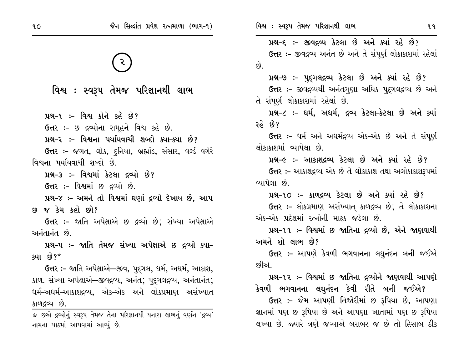વિશ્વ : સ્વરૂપ તેમજ પરિજ્ઞાનથી લાભ

પ્રશ્ન-૧ :- વિશ્વ કોને કહે છે?

ઉત્તર :- છ દ્રવ્યોના સમૂહને વિશ્વ કહે છે.

પ્રશ્ન-૨ :- વિશ્વના પર્યાયવાચી શબ્દો ક્યા-ક્યા છે?

**ઉત્તર :-** જગત, લોક, દુનિયા, બ્રહ્માંડ, સંસાર, વર્લ્ડ વગેરે વિશ્વના પર્યાયવાચી શબ્દો છે.

પ્રશ્ન-૩ :- વિશ્વમાં કેટલા દ્રવ્યો છે?

**ઉત્તર :-** વિશ્વમાં છ દ્રવ્યો છે.

પ્રશ્ન-૪ :- અમને તો વિશ્વમાં ઘણાં દ્રવ્યો દેખાય છે. આપ છ જ કેમ કહી છો?

ઉત્તર :- જાતિ અપેક્ષાએ છ દ્રવ્યો છે; સંખ્યા અપેક્ષાએ अनंतानंत छे

પ્રશ્ન-૫ :- જાતિ તેમજ સંખ્યા અપેક્ષાએ છ દ્રવ્યો ક્યા-ક્યા છે? $*$ 

ઉત્તર :- જાતિ અપેક્ષાએ—જીવ, પદ્ગલ, ધર્મ, અધર્મ, આકાશ, કાળ. સંખ્યા અપેક્ષાએ–જીવદ્રવ્ય, અનંત; પદુગલદ્રવ્ય, અનંતાનંત; ઘર્મ–અઘર્મ–આકાશદ્રવ્ય, એક–એક અને લોકપ્રમાણ અસંખ્યાત કાળદ્રવ્ય છે.

\* છએ દ્રવ્યોનું સ્વરૂપ તેમજ તેના પરિજ્ઞાનથી થનારા લાભનું વર્ણન 'દ્રવ્ય' નામના પાઠમાં આપવામાં આવ્યું છે.

પ્રશ્ન-૬ :- જીવદ્રવ્ય કેટલા છે અને ક્યાં રહે છે? ઉત્તર :- જીવદ્રવ્ય અનંત છે અને તે સંપૂર્ણ લોકાકાશમાં રહેલાં  $\hat{p}$ 

પ્રશ્ન-૭ :- પુદ્ગલદ્રવ્ય કેટલા છે અને ક્યાં રહે છે? ઉત્તર :- જીવદ્ગવ્યથી અનંતગુણા અધિક પુદગલદ્ગવ્ય છે અને તે સંપૂર્ણ લોકાકાશમાં રહેલાં છે.

પ્રશ્ન-૮ :- ધર્મ, અધર્મ, દ્રવ્ય કેટલા-કેટલા છે અને ક્યાં રહે છે?

ઉત્તર :- ધર્મ અને અધર્મદ્રવ્ય એક-એક છે અને તે સંપૂર્ણ લોકાકાશમાં વ્યાપેલા છે

પ્રશ્ન-૯ :- આકાશદ્રવ્ય કેટલા છે અને ક્યાં રહે છે? ઉત્તર :- આકાશદ્રવ્ય એક છે તે લોકાકાશ તથા અલોકાકાશરૂપમાં વ્યાપેલા છે.

પ્રશ્ન-૧૦ :- કાળદ્રવ્ય કેટલા છે અને ક્યાં રહે છે? ઉત્તર :- લોકપ્રમાણ અસંખ્યાત્ કાળદ્રવ્ય છે; તે લોકાકાશના એક-એક પ્રદેશમાં રત્નોની માકક જડેલા છે.

પ્રશ્ન-૧૧ :- વિશ્વમાં છ જાતિના દ્રવ્યો છે. એને જાણવાથી અમને શો લાભ છે?

ઉત્તર :- આપણે કેવળી ભગવાનના લઘુનંદન બની જઈએ છીએ

પ્રશ્ન-૧૨ ઃ- વિશ્વમાં છ જાતિના દ્રવ્યોને જાણવાથી આપણે

કેવળી ભગવાનના લઘુનંદન કેવી રીતે બની જઈએ? ઉત્તર :- જેમ આપણી તિજોરીમાં છ રૂપિયા છે, આપણા જ્ઞાનમાં પણ છ રૂપિયા છે અને આપણા ખાતામાં પણ છ રૂપિયા લખ્યા છે. જ્યારે ત્રણે જગ્યાએ બરાબર જ છે તો હિસાબ ઠીક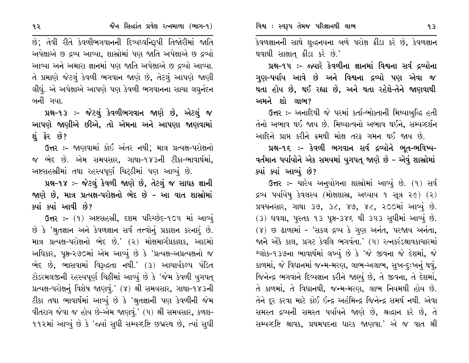૧૨

છે; તેવી રીતે કેવળીભગવાનની દિવ્યધ્વનિરૂપી તિજોરીમાં જાતિ અપેક્ષાએ છ દ્રવ્ય આવ્યા, શાસ્રોમાં પણ જાતિ અપેક્ષાએ છ દ્રવ્યો આવ્યા અને અમારા જ્ઞાનમાં પણ જાતિ અપેક્ષાએ છ દ્રવ્યો આવ્યા. તે પ્રમાણે જેટલું કેવળી ભગવાન જાણે છે, તેટલું આપણે જાણી લીધું. એ અપેક્ષાએ આપણે પણ કેવળી ભગવાનના સાચા લઘુનંદન બની ગયા.

પ્રશ્ન-૧૩ :- જેટલું કેવળીભગવાન જાણે છે, એટલું જ આપણે જાણીએ છીએ, તો એમના અને આપણા જાણવામાં શં ફેર છે?

ઉત્તર :- જાણવામાં કોઈ અંતર નથી; માત્ર પ્રત્યક્ષ-પરોક્ષનો જ ભેદ છે. એમ સમયસાર, ગાથા-૧૪૩ની ટીકા-ભાવાર્થમાં, અષ્ટસહસ્રીમાં તથા રહસ્યપૂર્ણ ચિટ્ઠીમાં પણ આવ્યું છે.

પ્રશ્ન-૧૪ :- જેટલું કેવળી જાણે છે, તેટલું જ સાધક જ્ઞાની જાણે છે, માત્ર પ્રત્યક્ષ–પરોક્ષનો ભેદ છે – આ વાત શાસ્રોમાં ક્યાં ક્યાં આવી છે?

ઉત્તર :- (૧) અષ્ટસહસ્રી, દશમ પરિચ્છેદ-૧૦૫ માં આવ્યું છે કે 'શ્રુતજ્ઞાન અને કેવળજ્ઞાન સર્વ તત્ત્વોનું પ્રકાશન કરનારું છે. માત્ર પ્રત્યક્ષ-પરોક્ષનો ભેદ છે.' (૨) મોક્ષમાર્ગપ્રકાશક, આઠમો અધિકાર, પૃષ્ઠ-૨૭૦માં એમ આવ્યું છે કે 'પ્રત્યક્ષ-અપ્રત્યક્ષનો જ ભેદ છે, ભાસવામાં વિરૂદ્ધતા નથી.' (૩) આચાર્યકલ્પ પંડિત ટોડરમલજીની રહસ્યપૂર્ણ ચિઠ્ઠીમાં આવ્યું છે કે 'જેમ કેવળી યુગપત્ પ્રત્યક્ષ-પરોક્ષનું વિશેષ જાણવું.' (૪) શ્રી સમયસાર, ગાથા-૧૪૩ની ટીકા તથા ભાવાર્થમાં આવ્યું છે કે 'શ્રુતજ્ઞાની પણ કેવળીની જેમ વીતરાગ જેવા જ હોય છે-એમ જાણવું.' (૫) શ્રી સમયસાર, કળશ-૧૧૨માં આવ્યું છે કે 'જ્યાં સુધી સમ્યવ્દષ્ટિ છદ્મસ્થ છે, ત્યાં સુધી કેવળજ્ઞાનની સાથે શુદ્ધનયના બળે પરોક્ષ ક્રીડા કરે છે, કેવળજ્ઞાન થવાથી સાક્ષાત્ ક્રીડા કરે છે.'

પ્રશ્ન-૧૫ :- જ્યારે કેવળીના જ્ઞાનમાં વિશ્વના સર્વ દ્રવ્યોના ગુણ-પર્યાય આવે છે અને વિશ્વના દ્રવ્યો પણ એવા જ થતા હોય છે, થઈ રહ્યા છે, અને થતા રહેશે-તેને જાણવાથી અમને શો લાભ?

ઉત્તર :- અનાદિથી જે પરમાં કર્તા-ભોક્તાની મિથ્યાબુદ્ધિ હતી તેનો અભાવ થઈ જાય છે. મિથ્યાત્વનો અભાવ થઈને, સમ્યગ્દર્શન આદિને પ્રાપ્ત કરીને ક્રમથી મોક્ષ તરક ગમન થઈ જાય છે.

પ્રશ્ન-૧૬ :- કેવળી ભગવાન સર્વ દ્રવ્યોને ભૂત-ભવિષ્ય-વર્તમાન પર્યાયોને એક સમયમાં યુગપત જાણે છે – એવું શાસ્રોમાં ક્યાં ક્યાં આવ્યું છે?

ઉત્તર :- ચારેય અનુયોગના શાસ્ત્રોમાં આવ્યું છે. (૧) સર્વ દ્રવ્ય પર્યાયેષ્ કેવલસ્ય (મોક્ષશાસ્ત્ર, અધ્યાય ૧ સૂત્ર ૨૯) (૨) પ્રવચનસાર, ગાથા ૩૭, ૩૮, ૪૭, ૪૮, ૨૦૦માં આવ્યું છે. (૩) ઘવલા, પુસ્તક ૧૩ પૃષ્ઠ-૩૪૬ થી ૩૫૩ સુધીમાં આવ્યું છે. (४) છ ઢાળામાં - 'સકલ દ્રવ્ય કે ગુણ અનંત, પરજાય અનંતા, જાને એકે કાલ, પ્રગટ કેવલિ ભગવંતા.' (૫) રત્નકરંડશ્રાવકાચારમાં શ્લોક-૧૩૭ના ભાવાર્થમાં લખ્યું છે કે 'જે જીવના જે દેશમાં, જે કાળમાં, જે વિધાનમાં જન્મ-મરણ, લાભ-અલાભ, સુખ-દૃઃખનું થવું, જિનેન્દ્ર ભગવાને દિવ્યજ્ઞાન કરીને જાણ્યું છે, તે જીવના, તે દેશમાં, તે કાળમાં, તે વિદ્યાનથી, જન્મ-મરણ, લાભ નિયમથી હોય છે. તેને દૂર કરવા માટે કોઈ ઇન્દ્ર અહંમિન્દ્ર જિનેન્દ્ર સમર્થ નથી. એવા સમસ્ત દ્રવ્યની સમસ્ત પર્યાયને જાણે છે, શ્રદ્ધાન કરે છે, તે સમ્પગ્દષ્ટિ શ્રાવક, પ્રથમપદના ધારક જાણવા.' એ જ વાત શ્રી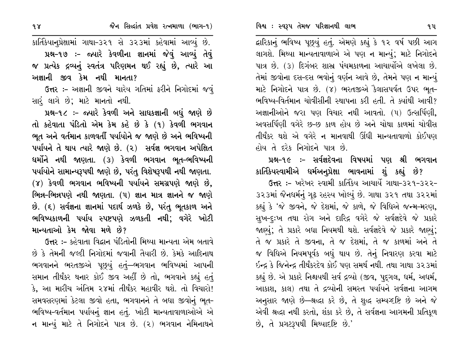દ્નારિકાનું ભવિષ્ય પૂછ્યું હતું. એમણે કહ્યું કે ૧૨ વર્ષ પછી આગ લાગશે. મિથ્યા માન્યતાવાળાએ એ પણ ન માન્યું; માટે નિગોદને પાત્ર છે. (૩) દિગંબર શાસ્ર પંચમકાળના આચાર્યોએ લખેલા છે. તેમાં જીવોના દસ-દસ ભવોનું વર્ણન આવે છે, તેમને પણ ન માન્યું માટે નિગોદને પાત્ર છે. (૪) ભરતજીએ કૈલાસપર્વત ઉપર ભુત-ભવિષ્ય-વિર્તમાન ચોવીસીની સ્થાપના કરી હતી. તે ક્યાંથી આવી? અજ્ઞાનીઓને જરા પણ વિચાર નથી આવતો. (૫) ઉત્સર્પિણી, અવસર્પિણી વગેરે છ-છ કાળ હોય છે અને ચોથા કાળમાં ચોવીસ તીર્થંકર થશે એ વગેરે ન માનવાથી ઊંઘી માન્યતાવાળો કોઈપણ હોય તે દરેક નિગોદને પાત્ર છે.

# પ્રશ્ન-૧૯ :- સર્વજ્ઞદેવના વિષયમાં પણ શ્રી ભગવાન કાર્તિકેયસ્વામીએ ધર્મઅન્પ્રેક્ષા ભાવનામાં શું કહ્યું છે?

ઉત્તર :- ખરેખર સ્વામી કાર્તિકેય આચાર્યે ગાથા-૩૨૧-૩૨૨-૩૨૩માં જૈનધર્મનું ગૃઢ રહસ્ય ખોલ્યું છે. ગાથા ૩૨૧ તથા ૩૨૨માં કહ્યું કે 'જે જીવને, જે દેશમાં, જે કાળે, જે વિધિએ જન્મ-મરણ, સુખ-દૃઃખ તથા રોગ અને દારિદ્ર વગેરે જે સર્વજ્ઞદેવે જે પ્રકારે જાણ્યું; તે પ્રકારે બધા નિયમથી થશે. સર્વજ્ઞદેવે જે પ્રકારે જાણ્યું; તે જ પ્રકારે તે જીવના, તે જ દેશમાં, તે જ કાળમાં અને તે જ વિધિએ નિયમપૂર્વક બધું થાય છે. તેનું નિવારણ કરવા માટે ઇન્દ્ર કે જિનેન્દ્ર તીર્થંકરદેવ કોઈ પણ સમર્થ નથી. તથા ગાથા ૩૨૩માં કહ્યું છે. એ પ્રકારે નિશ્ચયથી સર્વ દ્રવ્યો (જીવ, પુદ્ગલ, ધર્મ, અધર્મ, આકાશ. કાલ) તથા તે દ્રવ્યોની સમસ્ત પર્યાયને સર્વજ્ઞના આગમ અનુસાર જાણે છે—શ્રદ્ધા કરે છે, તે શુદ્ધ સમ્પગ્દષ્ટિ છે અને જે એવી શ્રદ્ધા નથી કરતો, શંકા કરે છે, તે સર્વજ્ઞના આગમની પ્રતિકૂળ છે, તે પ્રગટરૂપથી મિથ્યાદષ્ટિ છે.'

કાર્તિકેયાનુપ્રેક્ષામાં ગાથા-૩૨૧ સે ૩૨૩માં કહેવામાં આવ્યું છે. પ્રશ્ન-૧૭ :- જ્યારે કેવળીના જ્ઞાનમાં જેવું આવ્યું તેવું જ પ્રત્યેક દ્રવ્યનું સ્વતંત્ર પરિણમન થઈ રહ્યું છે, ત્યારે આ અજ્ઞાની જીવ કેમ નથી માનતા?

ઉત્તર :- અજ્ઞાની જીવને ચારેય ગતિમાં ફરીને નિગોદમાં જવું સારં લાગે છે; માટે માનતો નથી.

પ્રશ્ન-૧૮ :- જ્યારે કેવળી અને સાધકજ્ઞાની બધું જાણે છે તો કહેવાતા પંડિતો એમ કેમ કહે છે કે (૧) કેવળી ભગવાન ભૂત અને વર્તમાન કાળવર્તી પર્યાયોને જ જાણે છે અને ભવિષ્યની ૫યધિને તે થાય ત્યારે જાણે છે. (૨) સર્વજ્ઞ ભગવાન અપેક્ષિત ધર્મોને નથી જાણતા. (૩) કેવળી ભગવાન ભૂત-ભવિષ્યની પર્યાયોને સામાન્યરૂપથી જાણે છે, પરંતુ વિશેષરૂપથી નથી જાણતા. (૪) કેવળી ભગવાન ભવિષ્યની પર્યાયને સમગ્રપણે જાણે છે, ભિન્ન–ભિન્નપણે નથી જાણતા. (૫) જ્ઞાન માત્ર જ્ઞાનને જ જાણે છે. (૬) સર્વજ્ઞના જ્ઞાનમાં પદાર્થ ઝળકે છે, પરંતુ ભૂતકાળ અને ભવિષ્યકાળની પર્યાય સ્પષ્ટપણે ઝળકતી નથી; વગેરે ખોટી માન્યતાઓ કેમ જોવા મળે છે?

ઉત્તર :- કહેવાતા વિદ્વાન પંડિતોની મિથ્યા માન્યતા એમ બતાવે છે કે તેમની જલ્દી નિગોદમાં જવાની તૈયારી છે. કેમકે આદિનાથ ભગવાનને ભરતજીએ પૂછ્યું હતું—ભગવાન ભવિષ્યમાં આપની સમાન તીર્થંકર થનાર કોઈ જીવ અહીં છે તો, ભગવાને કહ્યું હતું કે, આ મારીચ અંતિમ ૨૪માં તીર્થંકર મહાવીર થશે. તો વિચારો! સમવસરણમાં કેટલા જીવો હતા, ભગવાનને તે બધા જીવોનું ભૂત-ભવિષ્ય-વર્તમાન પર્યાયનું જ્ઞાન હતું. ખોટી માન્યતાવાળાઓએ એ ન માન્યું માટે તે નિગોદને પાત્ર છે. (૨) ભગવાન નેમિનાથને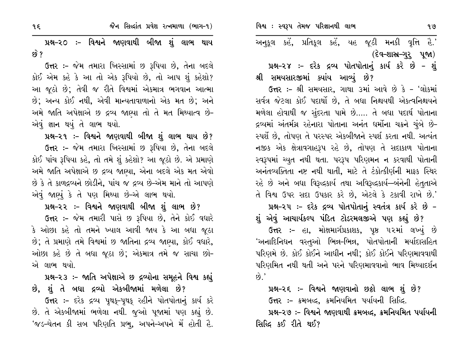અનુકૂલ કહેં, પ્રતિકૂલ કહેં, યહ જૂઠી મનકી વૃત્તિ હૈ.' (દેવ-શાસ્ત્ર-ગુરૂ પૂજા)

પ્રશ્ન-૨૪ :- દરેક દ્રવ્ય પોતપોતાનું કાર્ય કરે છે - શું શ્રી સમયસારજીમાં ક્યાંય આવ્યું છે?

ઉત્તર :- શ્રી સમયસાર, ગાથા ૩માં આવે છે કે - 'લોકમાં સર્વત્ર જેટલા કોઈ પદાર્થો છે, તે બધા નિશ્રયથી એકત્વનિશ્ચયને મળેલા હોવાથી જ સુંદરતા પામે છે….. તે બધા પદાર્થ પોતાના દ્રવ્યમાં અંતર્મગ્ન રહેનારા પોતાના અનંત ધર્મોના ચક્રને ચુંબે છે-સ્પર્શે છે, તોપણ તે પરસ્પર એકબીજાને સ્પર્શ કરતા નથી. અત્યંત નજીક એક ક્ષેત્રાવગાહરૂપ રહે છે, તોપણ તે સદાકાળ પોતાના સ્વરૂપમાં ચ્યુત નથી થતા. પરરૂપ પરિણમન ન કરવાથી પોતાની અનંતવ્યક્તિતા નષ્ટ નથી થાતી, માટે તે ટંકોત્કીર્ણની માફક સ્થિર રહે છે અને બધા વિરૂદ્ધકાર્ય તથા અવિરૂદ્ધકાર્ય—બંનેની હેતુતાએ તે વિશ્વ ઉપર સદા ઉપકાર કરે છે, એટલે કે ટકાવી રાખે છે.'

પ્રશ્ન-૨૫ :- દરેક દ્રવ્ય પોતપોતાનું સ્વતંત્ર કાર્ય કરે છે -

શું એવું આચાર્યકલ્પ પંડિત ટોડરમલજીએ પણ કહ્યું છે? ઉત્તર :- હા, મોક્ષમાર્ગપ્રકાશક, પૃષ્ઠ ૫૨માં લખ્યું છે 'અનાદિનિધન વસ્તુઓ ભિન્ન–ભિન્ન, પોતપોતાની મર્યાદાસહિત પરિણમે છે. કોઈ કોઈને આધીન નથી; કોઈ કોઈને પરિણમાવવાથી પરિણમિત નથી થતી અને પરને પરિણમાવવાનો ભાવ મિથ્યાદર્શન  $\omega$ .

#### પ્રશ્ન-૨૬ :- વિશ્વને જાણવાનો છઠ્ઠો લાભ શું છે?

ઉત્તર :- ક્રમબદ્ધ, ક્રમનિયમિત પર્યાયની સિદ્ધિ.

પ્રશ્ન-૨૭ :- વિશ્વને જાણવાથી ક્રમબદ્ધ, ક્રમનિયમિત પર્યાયની સિલ્દિ કઈ રીતે થઈ?

પ્રશ્ન-૨૦ ઃ- વિશ્વને જાણવાથી બીજા શું લાભ થાય ક્વે ?

ઉત્તર :- જેમ તમારા ખિસ્સામાં છ રૂપિયા છે, તેના બદલે કોઈ એમ કહે કે આ તો એક રૂપિયો છે, તો આપ શું કહેશો? આ જૂઠો છે; તેવી જ રીતે વિશ્વમાં એકમાત્ર ભગવાન આત્મા છે; અન્ય કોઈ નથી, એવી માન્યતાવાળાનો એક મત છે; અને અમે જાતિ અપેક્ષાએ છ દ્રવ્ય જાણ્યા તો તે મત મિથ્યાત્વ છે-એવું જ્ઞાન થયું તે લાભ થયો.

પ્રશ્ન-૨૧ ઃ- વિશ્વને જાણવાથી બીજા શું લાભ થાય છે? ઉત્તર :- જેમ તમારા ખિસ્સામાં છ રૂપિયા છે, તેના બદલે કોઈ પાંચ રૂપિયા કહે, તો તમે શું કહેશો? આ જૂઠો છે. એ પ્રમાણે અમે જાતિ અપેક્ષાએ છ દ્રવ્ય જાણ્યા, એના બદલે એક મત એવો છે કે તે કાળદ્રવ્યને છોડીને, પાંચ જ દ્રવ્ય છે-એમ માને તો આપણે એવું જાણ્યું કે તે પણ મિથ્યા છે-એ લાભ થયો.

પ્રશ્ન–૨૨ ઃ- વિશ્વને જાણવાથી બીજા શું લાભ છે?

**ઉત્તર :-** જેમ તમારી પાસે છ રૂપિયા છે, તેને કોઈ વધારે કે ઓછા કહે તો તમને ખ્યાલ આવી જાય કે આ બધા જુઠા છે; તે પ્રમાણે તમે વિશ્વમાં છ જાતિના દ્રવ્ય જાણ્યા, કોઈ વધારે, ઓછા કહે છે તે બધા જુઠા છે; એકમાત્ર તમે જ સાચા છો-એ લાભ થયો.

પ્રશ્ન-૨૩ :- જાતિ અપેક્ષાએ છ દ્રવ્યોના સમૂહને વિશ્વ કહ્યું છે, શું તે બધા દ્રવ્યો એકબીજામાં મળેલા છે?

ઉત્તર :- દરેક દ્રવ્ય પુથક-પુથક રહીને પોતપોતાનું કાર્ય કરે છે. તે એકબીજામાં ભળેલા નથી. જુઓ પૂજામાં પણ કહ્યું છે. <u>'જડ-ચેતન કી સબ પરિણતિ પ્રભુ, અપને-અપને મેં હોતી હૈ.</u>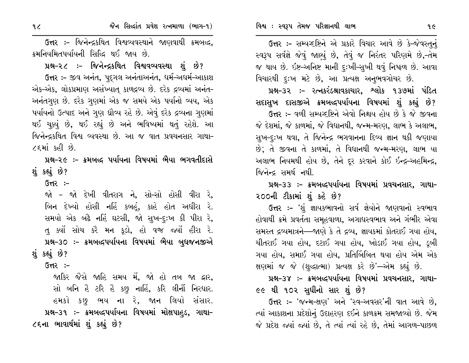ઉત્તર :- જિનેન્દ્રકથિત વિશ્વવ્યવસ્થાને જાણવાથી ક્રમબદ્ધ, ક્રમનિયમિતપર્યાયની સિદ્ધિ થઈ જાય છે.

જૈન સિલ્દાંત પ્રવેશ રત્નમાળા (ભાગ-૧)

પ્રશ્ન-૨૮ :- જિનેન્દ્રકથિત વિશ્વવ્યવસ્થા શું છે? ઉત્તર :- જીવ અનંત, પદગલ અનંતાઅનંત, ધર્મ-અધર્મ-આકાશ એક-એક, લોકપ્રમાણ અસંખ્યાત્ કાળદ્રવ્ય છે. દરેક દ્રવ્યમાં અનંત-અનંતગુણ છે. દરેક ગુણમાં એક જ સમયે એક પર્યાનો વ્યય, એક પર્યાયનો ઉત્પાદ અને ગુણ ઘ્રૌવ્ય રહે છે. એવું દરેક દ્રવ્યના ગુણમાં થઈ ચુક્યું છે, થઈ રહ્યું છે અને ભવિષ્યમાં થતું રહેશે. આ જિનેન્દ્રકથિત વિશ્વ વ્યવસ્થા છે. આ જ વાત પ્રવચનસાર ગાથા-૮૬માં કહી છે.

પ્રશ્ન-૨૯ :- ક્રમબદ્ધ પર્યાયના વિષયમાં ભૈયા ભગવતીદાસે શું કહ્યું છે?

 $G<sub>π</sub>$ :-

જો – જો દેખી વીતરાગ ને, સો–સો હોસી વીરા રે, બિન દેખ્યો હોસી નહિં કબહું, કાહે હોત અધીરા રે. સમયો એક બઢે નહિં ઘટસી, જો સુખ-દુઃખ કી પીરા રે, તુ ક્યોં સોચ કરૈ મન કૂડો, હો વજ જ્યોં હીરા રે. પ્રશ્ન-૩૦ :- ક્રમબદ્ધપર્યાયના વિષયમાં ભૈયા બુધજનજીએ શું કહ્યું છે?

 $G<sub>tl</sub>$  :-

જાકિર જૈસે જાહિ સમય મેં, જો હો તબ જા દ્વાર, સો બનિ હૈ ટરિ હૈ કછ્ નાહિં, કરિ લીનૌં નિરધાર. હમકો કછુ ભય ના રે, જાન લિયો સંસાર. પ્રશ્ન–૩૧ ઃ– ક્રમબલ્દ્દપર્યાયના વિષયમાં મોક્ષપાહ્ડ, ગાથા– ૮૬ના ભાવાર્થમાં શું કહ્યું છે?

ઉત્તર:- સમ્પષ્ટષ્ટિને એ પ્રકારે વિચાર આવે છે કે-જેવસ્તુનું સ્વરૂપ સર્વજ્ઞે જેવું જાણ્યું છે, તેવું જ નિરંતર પરિણમે છે,-તેમ જ થાય છે. ઇષ્ટ-અનિષ્ટ માની દુઃખી-સુખી થવું નિષ્ફળ છે. આવા વિચારથી દુઃખ મટે છે, આ પ્રત્યક્ષ અનુભવગોચર છે.

પ્રશ્ન–૩૨ :– રત્નકરંડશ્રાવકાચાર, શ્લોક ૧૩૭માં પંડિત સદાસુખ દાસજીએ ક્રમબદ્ધપર્યાયના વિષયમાં શું કહ્યું છે?

ઉત્તર :- વળી સમ્પગ્દષ્ટિને એવો નિશ્ચય હોય છે કે જે જીવના જે દેશમાં, જે કાળમાં, જે વિદ્યાનથી, જન્મ-મરણ, લાભ કે અલાભ, સુખ-દુઃખ થવા, તે જિનેન્દ્ર ભગવાનના દિવ્ય જ્ઞાન થકી જણાયા છે; તે જીવના તે કાળમાં, તે વિદ્યાનથી જન્મ-મરણ, લાભ યા અલાભ નિયમથી હોય છે, તેને દૂર કરવાને કોઈ ઇન્દ્ર-અહમિન્દ્ર, જિનેન્દ્ર સમર્થ નથી.

પ્રશ્ન–૩૩ :– ક્રમબદ્ધપર્યાયના વિષયમાં પ્રવચનસાર, ગાથા– ૨૦૦ની ટીકામાં શું કહે છે?

ઉત્તર :– 'શું જ્ઞાયકભાવનો સર્વ જ્ઞેયોને જાણવાનો સ્વભાવ હોવાથી ક્રમે પ્રવર્તતા સમહવાળા, અગાદ્યસ્વભાવ અને ગંભીર એવા સમસ્ત દ્રવ્યમાત્રને—જાણે કે તે દ્રવ્ય, જ્ઞાયકમાં કોતરાઈ ગયા હોય, ચીતરાઈ ગયા હોય, દટાઈ ગયા હોય, ખોડાઈ ગયા હોય, ડૂબી ગયા હોય, સમાઈ ગયા હોય, પ્રતિબિંબિત થયા હોય એમ એક ક્ષણમાં જ જે (શુદ્ધાત્મા) પ્રત્યક્ષ કરે છે'—એમ કહ્યું છે.

પ્રશ્ન–૩૪ :– ક્રમબદ્ધપર્યાયના વિષયમાં પ્રવચનસાર, ગાથા– ૯૯ થી ૧૦૨ સુધીનો સાર શું છે?

ઉત્તર:- 'જન્મ-ક્ષણ' અને 'સ્વ-અવસર'ની વાત આવે છે. ત્યાં આકાશના પ્રદેશોનું ઉદાહરણ દઈને કાળક્રમ સમજાવ્યો છે. જેમ જે પ્રદેશ જ્યાં જ્યાં છે, તે ત્યાં ત્યાં રહે છે, તેમાં આગળ-પાછળ

 $9<sub>c</sub>$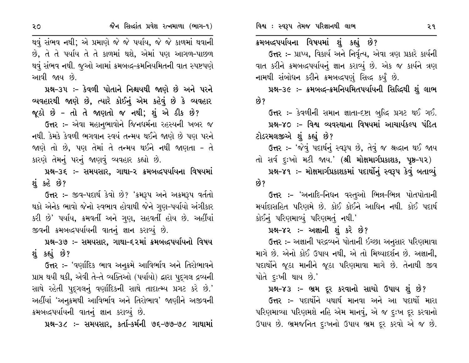$50<sub>o</sub>$ 

થવું સંભવ નથી; એ પ્રમાણે જે જે પર્યાય, જે જે કાળમાં થવાની છે, તે તે પર્યાય તે તે કાળમાં થશે, એમાં પણ આગળ-પાછળ થવું સંભવ નથી. જુઓ આમાં ક્રમબદ્ધ-ક્રમનિયમિતની વાત સ્પષ્ટપણે આવી જાય છે.

પ્રશ્ન-૩૫ :- કેવળી પોતાને નિશ્ચયથી જાણે છે અને પરને વ્યવહારથી જાણે છે, ત્યારે કોઈનું એમ કહેવું છે કે વ્યવહાર જૂઠો છે - તો તે જાણતો જ નથી; શું એ ઠીક છે?

ઉત્તર :- એવા મહાનુભાવોને જિનધર્મના રહસ્યની ખબર જ નથી. કેમકે કેવળી ભગવાન સ્વયં તન્મય થઈને જાણે છે પણ પરને જાણે તો છે, પણ તેમાં તે તન્મય થઈને નથી જાણતા - તે કારણે તેમનું પરનું જાણવું વ્યવહાર કહ્યો છે.

પ્રશ્ન–૩૬ ઃ– સમયસાર, ગાથા–૨ ક્રમબદ્ધપર્યાયના વિષયમાં શું કહે છે?

ઉત્તર :- જીવ-પદાર્થ કેવો છે? 'ક્રમરૂપ અને અક્રમરૂપ વર્તતો થકો એનેક ભાવો જેનો સ્વભાવ હોવાથી જેને ગુણ–પર્યાયો અંગીકાર કરી છે' પર્યાય, ક્રમવર્તી અને ગુણ, સહવર્તી હોય છે. અહીંયાં જીવની ક્રમબદ્ધપર્યાયની વાતનું જ્ઞાન કરાવ્યું છે.

# પ્રશ્ન-૩૭ :- સમયસાર, ગાથા-૬૨માં ક્રમબદ્ધપર્યાયનો વિષય શંકહ્યું છે?

**ઉત્તર :- '**વર્ણાદિક ભાવ અનૂક્રમે આવિર્ભાવ અને તિરોભાવને પ્રાપ્ત થયી થકી, એવી તે-તે વ્યક્તિઓ (પર્યાયો) દ્વારા પુદ્ગલ દ્રવ્યની સાથે રહેતી પુદ્ગલનું વર્ણાદિકની સાથે તાદાત્મ્ય પ્રગટ કરે છે.' અહીંયાં 'અનુક્રમથી આવિર્ભાવ અને તિરોભાવ' જાણીને અજીવની ક્રમબદ્ધપર્યાયની વાતનું જ્ઞાન કરાવ્યું છે.

પ્રશ્ન-૩૮ :- સમયસાર, કર્તા-કર્મની ૭૬-૭૭-૭૮ ગાથામાં

ક્રમબલ્દ્દપર્યાયના વિષયમાં શું કહ્યું છે?

ઉત્તર :- પ્રાપ્ય, વિકાર્ય અને નિર્વૃત્ય, એવા ત્રણ પ્રકારે કાર્યની વાત કરીને ક્રમબદ્ધપર્યાયનું જ્ઞાન કરાવ્યું છે. એક જ કાર્યને ત્રણ નામથી સંબોધન કરીને ક્રમબદ્ધપણું સિદ્ધ કર્યું છે.

પ્રશ્ન–૩૯ :- ક્રમબદ્ધ–ક્રમનિયમિતપર્યાયની સિદ્ધિથી શું લાભ છે?

ઉત્તર :- કેવળીની સમાન જ્ઞાતા-દષ્ટા બુદ્ધિ પ્રગટ થઈ ગઈ. પ્રશ્ન-૪૦ :- વિશ્વ વ્યવસ્થાના વિષયમાં આચાર્યકલ્પ પંડિત ટોડરમલજીએ શું કહ્યું છે?

ઉત્તર :- 'જેવું પદાર્થનું સ્વરૂપ છે, તેવું જ શ્રદ્ધાન થઈ જાય તો સર્વ દુઃખો મટી જાય.' (**શ્રી મોક્ષમાર્ગપ્રકાશક, પૃષ્ઠ–૫૨**) પ્રશ્ન–૪૧ ઃ– મોક્ષમાર્ગપ્રકાશકમાં પદાર્થોનું સ્વરૂપ કેવું બતાવ્યું ક્વે ?

ઉત્તર :- 'અનાદિ-નિધન વસ્તુઓ ભિન્ન-ભિન્ન પોતપોતાની મર્યાદાસહિત પરિણમે છે. કોઈ કોઈને આધિન નથી. કોઈ પદાર્થ કોઈનું પરિણમાવ્યું પરિણમતું નથી.'

#### પ્રશ્ન-૪૨ :- અજ્ઞાની શું કરે છે?

ઉત્તર :- અજ્ઞાની પરદ્રવ્યને પોતાની ઇચ્છા અનુસાર પરિણમાવા માગે છે. એનો કોઈ ઉપાય નથી, એ તો મિથ્યાદર્શન છે. અજ્ઞાની, પદાર્થોને જૂઠા માનીને જૂઠા પરિણમાવા માગે છે. તેનાથી જીવ પોતે દૃઃખી થાય છે.'

#### પ્રશ્ન-૪૩ :- ભ્રમ દૂર કરવાનો સાચો ઉપાય શું છે?

ઉત્તર :- પદાર્થોને યથાર્થ માનવા અને આ પદાર્થો મારા પરિણમાવ્યા પરિણમશે નહિ એમ માનવું, એ જ દુઃખ દૂર કરવાનો ઉપાય છે. ભ્રમજનિત દુઃખનો ઉપાય ભ્રમ દૂર કરવો એ જ છે.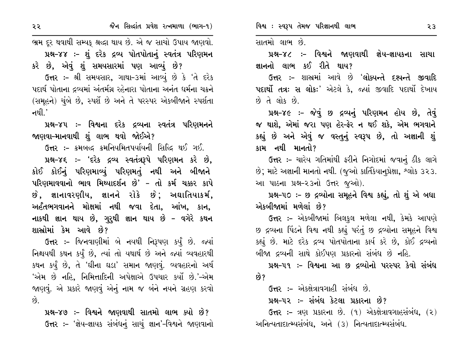રર

ભ્રમ દૂર થવાથી સમ્યક્ શ્રદ્ધા થાય છે. એ જ સાચો ઉપાય જાણવો. સાતમો લાભ છે. પ્રશ્ન-૪૪ :- શું દરેક દ્રવ્ય પોતપોતાનું સ્વતંત્ર પરિણમન પ્રશ્ન-૪૮ ઃ- વિશ્વને જાણવાથી જ્ઞેય-જ્ઞાયકના સાચા કરે છે, એવું શું સમયસારમાં પણ આવ્યું છે? જ્ઞાનનો લાભ કઈ રીતે થાય? ઉત્તર :- શ્રી સમયસાર, ગાથા-૩માં આવ્યું છે કે 'તે દરેક ઉત્તર :- શાસ્રમાં આવે છે 'લોક્યન્તે દશ્યન્તે જીવાદિ પદાર્થ પોતાના દ્રવ્યમાં અંતર્મગ્ર રહેનારા પોતાના અનંત ધર્મના ચક્રને પદાર્થો તત્રઃ સ લોકઃ' એટલે કે, જ્યાં જીવાદિ પદાર્થો દેખાય (સમૂહને) ચુંબે છે, સ્પર્શે છે અને તે પરસ્પર એકબીજાને સ્પર્શતા છે તે લોક છે. નથી. $^{\prime}$ પ્રશ્ન-૪૯ :- જેવું છ દ્રવ્યનું પરિણમન હોય છે, તેવું જ થાશે, એમાં જરા પણ હેર-ફેર ન થઈ શકે, એમ ભગવાને પ્રશ્ન–૪૫ ઃ- વિશ્વના દરેક દ્રવ્યના સ્વતંત્ર પરિણમનને કહ્યું છે અને એવું જ વસ્તુનું સ્વરૂપ છે, તો અજ્ઞાની શું જાણવા–માનવાથી શું લાભ થવો જોઈએ? ઉત્તર :- ક્રમબદ્ધ ક્રમનિયમિતપર્યાયની સિદ્ધિ થઈ ગઈ. કામ નથી માનતો? પ્રશ્ન-૪૬ :- 'દરેક દ્રવ્ય સ્વતંત્રરૂપે પરિણમન કરે છે, ઉત્તર :- ચારેય ગતિમાંથી ફરીને નિગોદમાં જવાનું ઠીક લાગે કોઈ કોઈનું પરિણમાવ્યું પરિણમતું નથી અને બીજાને છે; માટે અજ્ઞાની માનતો નથી. (જૂઓ કાર્તિકેયાનૂપ્રેક્ષા, શ્લોક ૩૨૩. પરિણમાવવાનો ભાવ મિથ્યાદર્શન છે' – તો કર્મ ચક્કર કાપે આ પાઠના પ્રશ્ન-૨૩નો ઉત્તર જૂઓ). છે, જ્ઞાનાવરણીય, જ્ઞાનને રોકે છે; અઘાતિયાકર્મ, પ્રશ્ન-૫૦ :- છ દ્રવ્યોના સમૂહને વિશ્વ કહ્યું, તો શું એ બધા એકબીજામાં મળેલાં છે? અર્હંતભગવાનને મોક્ષમાં નથી જવા દેતા, આંખ, કાન, નાકથી જ્ઞાન થાય છે, ગુરૂથી જ્ઞાન થાય છે – વગેરે કથન **ઉત્તર :-** એકબીજામાં બિલકુલ મળેલા નથી, કેમકે આપણે શાસ્ત્રોમાં કેમ આવે છે? છ દ્રવ્યના પિંડને વિશ્વ નથી કહ્યું પરંતું છ દ્રવ્યોના સમૂહને વિશ્વ ઉત્તર :- જિનવાણીમાં બે નયથી નિરૂપણ કર્યું છે. જ્યાં કહ્યું છે. માટે દરેક દ્રવ્ય પોતપોતાના કાર્ય કરે છે, કોઈ દ્રવ્યનો નિશ્ચયથી કથન કર્યું છે, ત્યાં તો યથાર્થ છે અને જ્યાં વ્યવહારથી બીજા દ્રવ્યની સાથે કોઈપણ પ્રકારનો સંબંધ છે નહિ. કથન કર્યું છે, તે 'ઘીના ઘડા' સમાન જાણવું. વ્યવહારનો અર્થ પ્રશ્ન–૫૧ ઃ– વિશ્વના આ છ દ્રવ્યોનો પરસ્પર કેવો સંબંધ 'એમ છે નહિ, નિમિત્તાદિની અપેક્ષાએ ઉપચાર કર્યો છે.'–એમ છે? જાણવું. એ પ્રકારે જાણવું એનું નામ જ બંને નયને ગ્રહણ કરવો ઉત્તર :- એકક્ષેત્રાવગાહી સંબંધ છે.  $\hat{g}$ પ્રશ્ન–૫૨ ઃ– સંબંધ કેટલા પ્રકારના છે? પ્રશ્ન-૪૭ :- વિશ્વને જાણવાથી સાતમો લાભ ક્યો છે? **ઉત્તર:-** ત્રણ પ્રકારના છે. (૧) એકક્ષેત્રાવગાહસંબંધ, (૨) ઉત્તર :- 'જ્ઞેય-જ્ઞાયક સંબંધનું સાચું જ્ઞાન'-વિશ્વને જાણવાનો અનિત્યતાદાત્મ્યસંબંધ, અને (૩) નિત્યતાદાત્મ્યસંબંધ.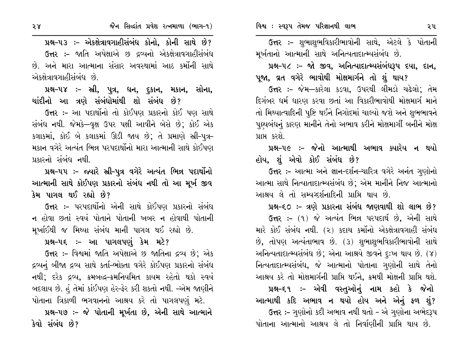ઉત્તર :- શુભાશુભવિકારીભાવોની સાથે, એટલે કે પોતાની મૂર્ખતાનો આત્માની સાથે અનિત્યતાદાત્મ્યસંબંધ છે.

પ્રશ્ન-૫૮ :- જો જીવ, અનિત્યાદાત્મ્યસંબંધરૂપ દયા, દાન, પૂજા, વ્રત વગેરે ભાવોથી મોક્ષમાર્ગને તો શું થાય?

ઉત્તર :- જેમ—કારેલા કડવા, ઉપરથી લીમડો ચઢેલો; તેમ દિગંબર ધર્મ ધારણ કરવા છતાં આ વિકારીભાવોથી મોક્ષમાર્ગ માને તો મિથ્યાત્વાદિની પૃષ્ટિ થઈને નિગોદમાં ચાલ્યો જશે અને શુભભાવને પૂણ્યબંધનું કારણ માનીને તેનો અભાવ કરીને મોક્ષમાર્ગી બનીને મોક્ષ પ્રાપ્ત કરશે.

પ્રશ્ન-૫૯ :- જેનો આત્માથી અભાવ ક્યારેય ન થયો હોય, શું એવો કોઈ સંબંધ છે?

ઉત્તર :- આત્મા અને જ્ઞાન-દર્શન-ચારિત્ર વગેરે અનંત ગુણોનો આત્મા સાથે નિત્યાતાદાત્મ્યસંબંધ છે; એમ માનીને નિજ આત્માનો આશ્રય લે તો સમ્યગ્દર્શનાદિની પ્રાપ્તિ થાય છે.

પ્રશ્ન–૬૦ ઃ– ત્રણે પ્રકારના સંબંધ જાણવાથી શો લાભ છે?

ઉત્તર :- (૧) જે અત્યંત ભિન્ન પરપદાર્થ છે, એની સાથે મારે કોઈ સંબંધ નથી. (૨) કદાચ કર્મોનો એકક્ષેત્રાવગાહી સંબંધ છે, તોપણ અત્યંતાભાવ છે. (૩) શુભાશુભવિકારીભાવોની સાથે અનિત્યતાદાત્મ્યસંબંધ છે; એના આશ્રયે જીવને દુઃખ થાય છે. (૪) નિત્યતાદાત્મ્યસંબંધ, જે આત્માનો પોતાના ગુણોની સાથે તેનો આશ્રય કરે તો મોક્ષમાર્ગની પ્રાપ્તિ થઈને, ક્રમથી મોક્ષની પ્રાપ્તિ થશે.

પ્રશ્ન-૬૧ :- એવી વસ્તુઓનું નામ કહો કે જેનો આત્માથી કદિ અભાવ ન થયો હોય અને એનું ફળ શું? ઉત્તર :- ગુણોનો કદી અભાવ નથી થતો - એ ગુણોના અભેદરૂપ

પોતાના આત્માનો આશ્રય લે તો નિર્વાણીની પ્રાપ્તિ થાય છે.

પ્રશ્ન-૫૩ :- એકક્ષેત્રાવગાહીસંબંધ કોનો, કોની સાથે છે? **ઉત્તર :-** જાતિ અપેક્ષાએ છ દ્રવ્યનો એકક્ષેત્રાવગાહીસંબંધ છે. અને મારા આત્માના સંસાર અવસ્થામાં આઠ કર્મોની સાથે એકક્ષેત્રાવગાહીસંબંધ છે.

પ્રશ્ન-૫૪ :- સ્રી, પુત્ર, ધન, દુકાન, મકાન, સોના, ચાંદીનો આ ત્રણે સંબંધોમાંથી શો સંબંધ છે?

ઉત્તર :- આ પદાર્થોનો તો કોઈપણ પ્રકારનો કોઈ પણ સાથે સંબંધ નથી. જેમકે—વુક્ષ ઉપર પક્ષી આવીને બેસે છે; કોઈ એક કલાકમાં, કોઈ બે કલાકમાં ઊડી જાય છે; તે પ્રમાણે સ્ત્રી-પુત્ર-મકાન વગેરે અત્યંત ભિન્ન પરપદાર્થોનો મારા આત્માની સાથે કોઈપણ પ્રકારનો સંબંધ નથી.

પ્રશ્ન-૫૫ :- જ્યારે સ્રી-૫ત્ર વગેરે અત્યંત ભિન્ન પદાર્થોનો આત્માની સાથે કોઈપણ પ્રકારનો સંબંધ નથી તો આ મૂર્ખ જીવ કેમ પાગલ થઈ રહ્યો છે?

ઉત્તર :- પરપદાર્થોનો એની સાથે કોઈપણ પ્રકારનો સંબંધ ન હોવા છતાં સ્વયં પોતાને પોતાની ખબર ન હોવાથી પોતાની મૂર્ખાઈથી જ મિથ્યા સંબંધ માની પાગલ થઈ રહ્યો છે.

પ્રશ્ન–૫૬ ઃ– આ પાગલપણું કેમ મટે?

ઉત્તર :- વિશ્વમાં જાતિ અપેક્ષાએ છ જાતિના દ્રવ્ય છે; એક દ્રવ્યનું બીજા દ્રવ્ય સાથે કર્તા-ભોક્તા વગેરે કોઈપણ પ્રકારનો સંબંધ નથી; દરેક દ્રવ્ય, ક્રમબદ્ધ–ક્રમનિયમિત કાયમ રહેતો થકો સ્વયં બદલાય છે. હું તેમાં કાંઈપણ હેર-ફેર કરી શકતો નથી. –એમ જાણીને પોતાના ત્રિકાળી ભગવાનનો આશ્રય કરે તો પાગલપણું મટે.

પ્રશ્ન-૫૭ :- જે પોતાની મૂર્ખતા છે, એની સાથે આત્માને કેવો સંબંધ છે?

 $58<sub>o</sub>$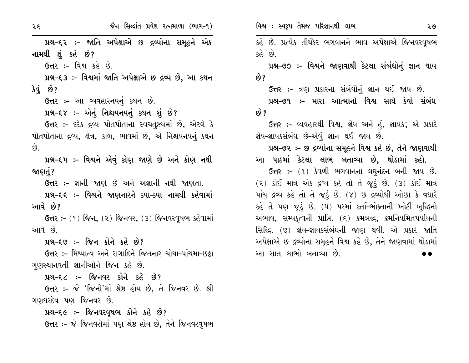પ્રશ્ન-૬૨ :- જાતિ અપેક્ષાએ છ દ્રવ્યોના સમૂહને એક નામથી શું કહે છે? ઉત્તર:- વિશ્વ કહે છે. પ્રશ્ન-૬૩ :- વિશ્વમાં જાતિ અપેક્ષાએ છ દ્રવ્ય છે, આ કથન  $3q$   $8$ ? ઉત્તર :- આ વ્યવહારનયનું કથન છે. પ્રશ્ન-૬૪ :- એનું નિશ્ચયનયનું કથન શું છે? ઉત્તર :- દરેક દ્રવ્ય પોતપોતાના સ્વચતૃષ્ટયમાં છે, એટલે કે પોતપોતાના દ્રવ્ય, ક્ષેત્ર, કાળ, ભાવમાં છે, એ નિશ્ચયનયનું કથન  $\hat{g}$ પ્રશ્ન-૬૫ ઃ- વિશ્વને એવું કોણ જાણે છે અને કોણ નથી જાણતું? **ઉત્તર :-** જ્ઞાની જાણે છે અને અજ્ઞાની નથી જાણતા. પ્રશ્ન-૬૬ ઃ- વિશ્વને જાણનારને ક્યા-ક્યા નામથી કહેવામાં આવે છે? ઉત્તર :- (૧) જિન, (૨) જિનવર, (૩) જિનવરવૃષભ કહેવામાં આવે છે. પ્રશ્ન–૬૭ :– જિન કોને કહે છે? ઉત્તર :- મિથ્યાત્વ અને રાગાદિને જિતનાર ચોથા-પાંચમા-છઠ્ઠા ગણસ્થાનવર્તી જ્ઞાનીઓને જિન કહે છે. પ્રશ્ન-૬૮ :- જિનવર કોને કહે છે? ઉત્તર :- જે 'જિનો'માં શ્રેષ્ઠ હોય છે, તે જિનવર છે. શ્રી ગણધરદેવ પણ જિનવર છે. પ્રશ્ન-૬૯ :- જિનવરવૃષભ કોને કહે છે? ઉત્તર :- જે જિનવરોમાં પણ શ્રેષ્ઠ હોય છે, તેને જિનવરવૃષભ

કહે છે. પ્રત્યેક તીર્થંકર ભગવાનને ભાવ અપેક્ષાએ જિનવરવૃષભ  $30^3$   $59^5$ 

પ્રશ્ન–૭૦ ઃ– વિશ્વને જાણવાથી કેટલા સંબંધોનું જ્ઞાન થાય છે?

ઉત્તર :- ત્રણ પ્રકારના સંબંધોનું જ્ઞાન થઈ જાય છે.

પ્રશ્ન–૭૧ :– મારા આત્માનો વિશ્વ સાથે કેવો સંબંધ છે ?

ઉત્તર :- વ્યવહારથી વિશ્વ, જ્ઞેય અને હું, જ્ઞાયક; એ પ્રકારે જ્ઞેય-જ્ઞાયકસંબંધ છે-એવું જ્ઞાન થઈ જાય છે.

#### પ્રશ્ન-૭૨ :- છ દ્રવ્યોના સમૂહને વિશ્વ કહે છે, તેને જાણવાથી

આ પાઠમાં કેટલા લાભ બતાવ્યા છે, થોડામાં કહો.

ઉત્તર :- (૧) કેવળી ભગવાનના લઘુનંદન બની જાય છે. (૨) કોઈ માત્ર એક દ્રવ્ય કહે તો તે જૂઠું છે. (3) કોઈ માત્ર પાંચ દ્રવ્ય કહે તો તે જૂઠું છે. (૪) છ દ્રવ્યોથી ઓછા કે વધારે કહે તે પણ જૂઠું છે. (૫) પરમાં કર્તા-ભોક્તાની ખોટી બુદ્ધિનો અભાવ, સમ્યકૃત્વની પ્રાપ્તિ. (૬) ક્રમબદ્ધ, ક્રમનિયમિતપર્યાયની સિદ્ધિ. (૭) જ્ઞેય-જ્ઞાયકસંબંધની જાણ થવી. એ પ્રકારે જાતિ અપેક્ષાએ છ દ્રવ્યોના સમૂહને વિશ્વ કહે છે, તેને જાણવામાં થોડામાં આ સાત લાભો બતાવ્યા છે.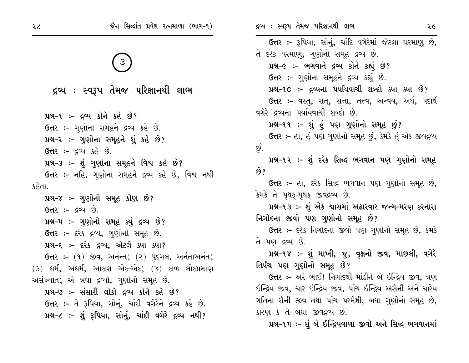| જૈન સિલ્દાંત પ્રવેશ રત્નમાળા (ભાગ-૧)                     | દ્રવ્ય : સ્વરૂપ તેમજ પરિજ્ઞાનથી લાભ<br>૨૯                                                                                                                  |
|----------------------------------------------------------|------------------------------------------------------------------------------------------------------------------------------------------------------------|
| $\frac{1}{3}$                                            | ઉત્તર :- રૂપિયા, સોનું, ચાંદિ વગેરેમાં જેટલા પરમાણુ છે,<br>તે દરેક પરમાણુ, ગુણોનો સમૂહ દ્રવ્ય છે.<br>પ્રશ્ન-૯ :- ભગવાને દ્રવ્ય કોને કહ્યું છે?             |
| વ્ય : સ્વરૂપ તેમજ પરિજ્ઞાનથી લાભ                         | ઉત્તર :- ગણોના સમૂહને દ્રવ્ય કહ્યું છે.<br>પ્રશ્ન-૧૦ :- દ્રવ્યના પર્યાયવાચી શબ્દો ક્યા ક્યા છે?<br>ઉત્તર :- વસ્તુ, સત્, સત્તા, તત્ત્વ, અન્વય, અર્થ, પદાર્થ |
| ૧ :- દ્રવ્ય કોને કહે છે?<br>ં – ગાગોના સમયને ૮૦૫ કરે છે. | વગેરે દ્રવ્યના પર્યાયવાચી શબ્દો છે.<br>પ્રશ્ન-૧૧ :- શું હું પણ ગુણોનો સમૂહ છું?                                                                            |

ઉત્તર :- હા, હું પણ ગુણોનો સમૂહ છું, કેમકે હું એક જીવદ્રવ્ય છું.

પ્રશ્ન-૧૨ :- શું દરેક સિદ્ધ ભગવાન પણ ગુણોનો સમૂહ છે?

ઉત્તર :- હા, દરેક સિદ્ધ ભગવાન પણ ગુણોનો સમૂહ છે, કેમકે તે પૃથક્-પૃથક્ જીવદ્રવ્ય છે.

પ્રશ્ન-૧૩ :- શું એક શ્વાસમાં અઢારવાર જન્મ-મરણ કરનારા નિગોદના જીવો પણ ગુણોનો સમૂહ છે?

**ઉત્તર :-** દરેક નિગોદના જીવો પણ ગુણોનો સમૂહ છે, કેમકે તે પણ દ્રવ્ય છે.

પ્રશ્ન-૧૪ :- શું માખી, જુ, વૃક્ષનો જીવ, માછલી, વગેરે તિર્યંચ પણ ગણોનો સમૂહ છે?

**ઉત્તર :-** અરે ભાઈ! નિગોદથી માંડીને બે ઇન્દ્રિય જીવ, ત્રણ ઇન્દ્રિય જીવ, ચાર ઇન્દ્રિય જીવ, પાંચ ઇન્દ્રિય અસૈની અને ચારેય ગતિના સૈની જીવ તથા પાંચ પરમેષ્ઠી, બધા ગુણોનો સમૂહ છે, કારણ કે તે બધા જીવદ્રવ્ય છે.

પ્રશ્ન-૧૫ :- શું બે ઇન્દ્રિયવાળા જીવો અને સિદ્ધ ભગવાનમાં

 $\mathbf{R}^{\mathbf{c}}$ 

 $14-$ **ઉત્તર :-** ગુણોના સમૂહને દ્રવ્ય કહે છે.

પ્રશ્ન-૨ :- ગુણોના સમૂહને શું કહે છે?

**ઉત્તર :-** દ્રવ્ય કહે છે.

પ્રશ્ન-૩ :- શું ગુણોના સમૂહને વિશ્વ કહે છે?

ઉત્તર :- નહિ, ગુણોના સમૂહને દ્રવ્ય કહે છે, વિશ્વ નથી કહેતા.

પ્રશ્ન–૪ :– ગુણોનો સમૂહ કોણ છે?  $G$ ત્તર :- દ્રવ્ય છે. પ્રશ્ન-૫ :- ગુણોનો સમૂહ ક્યું દ્રવ્ય છે? ઉત્તર :- દરેક દ્રવ્ય, ગુણોનો સમૂહ છે. પ્રશ્ન-૬ :- દરેક દ્રવ્ય, એટલે ક્યા ક્યા? ઉત્તર :- (૧) જીવ, અનન્ત; (૨) પૂદ્ગલ, અનંતાઅનંત;  $(3)$  ધર્મ, અધર્મ, આકાશ એક-એક;  $(8)$  કાળ લોકપ્રમાણ અસંખ્યાત; એ બધા દ્રવ્યો, ગુણોનો સમૂહ છે.

પ્રશ્ન-૭ :- સંસારી લોકો દ્રવ્ય કોને કહે છે? ઉત્તર :- તે રૂપિયા, સોનું, ચાંદી વગેરેને દ્રવ્ય કહે છે. પ્રશ્ન-૮ :- શું રૂપિયા, સોનું, ચાંદી વગેરે દ્રવ્ય નથી?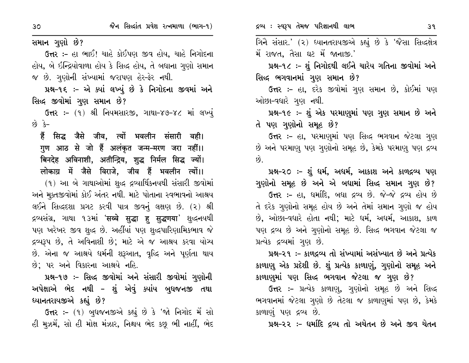સમાન ગુણો છે?

ઉત્તર :- હા ભાઈ! ચાહે કોઈપણ જીવ હોય, ચાહે નિગોદના હોય, બે ઇન્દ્રિયોવાળા હોય કે સિદ્ધ હોય, તે બધાના ગુણો સમાન જ છે. ગુણોની સંખ્યામાં જરાપણ હેર-ફેર નથી.

પ્રશ્ન-૧૬ :- એ ક્યાં લખ્યું છે કે નિગોદના જીવમાં અને સિદ્ધ જીવોમાં ગુણ સમાન છે?

ઉત્તર: - (૧) શ્રી નિયમસારજી, ગાથા-૪૭-૪૮ માં લખ્યું  $-5$   $63$ 

हैं सिद्ध जैसे जीव, त्यों भवलीन संसारी वही। गुण आठ से जो हैं अलंकृत जन्म-मरण जरा नहीं।। बिनदेह अविनाशी, अतीन्द्रिय, शुद्ध निर्मल सिद्ध ज्यों। लोकाग्र में जैसे विराजे, जीव हैं भवलीन त्यों।।

(૧) આ બે ગાથાઓમાં શુદ્ધ દ્રવ્યાર્થિકનયથી સંસારી જીવોમાં અને મુક્તજીવોમાં કોઈ અંતર નથી. માટે પોતાના સ્વભાવનો આશ્રય લઈને સિદ્ધદશા પ્રગટ કરવી પાત્ર જીવનું લક્ષણ છે. (૨) શ્રી द्रव्यसंग्र, ગાથા ૧૩માં 'सव्वे सुद्धा हु सुद्धणया' शुद्धनयथी પણ ખરેખર જીવ શુદ્ધ છે. અહીંયાં પણ શુદ્ધપારિણામિકભાવ જે દ્રવ્યરૂપ છે, તે અવિનાશી છે; માટે એ જ આશ્રય કરવા યોગ્ય છે. એના જ આશ્રયે ધર્મની શરૂઆત, વૃદ્ધિ અને પૂર્ણતા થાય છે; પર અને વિકારના આશ્રયે નહિ.

પ્રશ્ન-૧૭ ઃ- સિદ્ધ જીવોમાં અને સંસારી જીવોમાં ગુણોની અપેક્ષાએ ભેદ નથી – શું એવું ક્યાંય બુધજનજી તથા ધ્યાનતરાયજીએ કહ્યું છે?

ઉત્તર :- (૧) બુધજનજીએ કહ્યું છે કે 'જો નિગોદ મેં સો હી મૂઝમેં, સો હી મોક્ષ મંઝાર, નિશ્ચય ભેદ કછૂ ભી નાહીં, ભેદ

ગિને સંસાર.' (૨) ધ્યાનતરાયજીએ કહ્યું છે કે 'જૈસા સિદ્ધક્ષેત્ર મેં રાજત, તૈસા ઘટ મેં જાનાજી.'

પ્રશ્ન-૧૮ :- શું નિગોદથી લઈને ચારેય ગતિના જીવોમાં અને સિદ્ધ ભગવાનમાં ગુણ સમાન છે?

ઉત્તર :- હા, દરેક જીવોમાં ગુણ સમાન છે, કોઈમાં પણ ઓછા-વધારે ગુણ નથી.

પ્રશ્ન-૧૯ :- શું એક પરમાણુમાં પણ ગુણ સમાન છે અને તે પણ ગુણોનો સમૂહ છે?

ઉત્તર :- હા, પરમાણુમાં પણ સિદ્ધ ભગવાન જેટલા ગુણ છે અને પરમાણુ પણ ગુણોનો સમૂહ છે, કેમકે પરમાણુ પણ દ્રવ્ય  $\hat{8}$ .

પ્રશ્ન-૨૦ :- શું ધર્મ, અધર્મ, આકાશ અને કાળદ્રવ્ય પણ ગુણોનો સમૂહ છે અને એ બધામાં સિદ્ધ સમાન ગુણ છે?

ઉત્તર :- હા, ધર્માદિ, બધા દ્રવ્ય છે. જે-જે દ્રવ્ય હોય છે તે દરેક ગુણોનો સમૂહ હોય છે અને તેમાં સમાન ગુણો જ હોય છે, ઓછા-વધારે હોતા નથી; માટે ધર્મ, અધર્મ, આકાશ, કાળ પણ દ્રવ્ય છે અને ગુણોનો સમૂહ છે. સિદ્ધ ભગવાન જેટલા જ પ્રત્યેક દ્રવ્યમાં ગુણ છે.

પ્રશ્ન-૨૧ :- કાળદ્રવ્ય તો સંખ્યામાં અસંખ્યાત છે અને પ્રત્યેક કાળાણુ એક પ્રદેશી છે. શું પ્રત્યેક કાળાણું, ગુણોનો સમૂહ અને કાળાણુમાં પણ સિદ્ધ ભગવાન જેટલા જ ગુણ છે?

ઉત્તર :- પ્રત્યેક કાળાણ, ગણોનો સમૂહ છે અને સિદ્ધ ભગવાનમાં જેટલા ગુણો છે તેટલા જ કાળાણુમાં પણ છે, કેમકે કાળાણું પણ દ્રવ્ય છે.

પ્રશ્ન-૨૨ :- ધર્માદિ દ્રવ્ય તો અચેતન છે અને જીવ ચેતન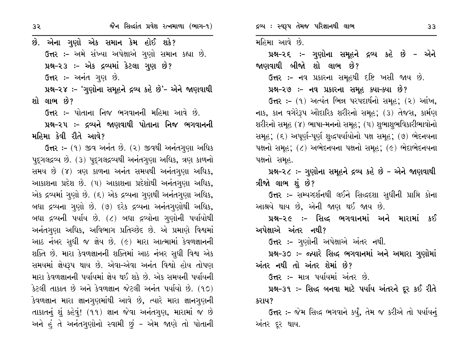છે. એના ગુણો એક સમાન કેમ હોઈ શકે? ઉત્તર :- અમે સંખ્યા અપેક્ષાએ ગુણો સમાન કહ્યા છે. પ્રશ્ન-૨૩ :- એક દ્રવ્યમાં કેટલા ગુણ છે? ઉત્તર :- અનંત ગણ છે. પ્રશ્ન-૨૪ :- 'ગુણોના સમૂહને દ્રવ્ય કહે છે'- એને જાણવાથી શો લાભ છે? ઉત્તર :- પોતાના નિજ ભગવાનની મહિમા આવે છે. પ્રશ્ન-૨૫ :- દ્રવ્યને જાણવાથી પોતાના નિજ ભગવાનની મહિમા કેવી રીતે આવે? **ઉત્તર:-** (૧) જીવ અનંત છે. (૨) જીવથી અનંતગુણા અધિક પુદ્ગલદ્રવ્ય છે. (૩) પુદ્ગલદ્રવ્યથી અનંતગુણા અધિક, ત્રણ કાળનો સમય છે (૪) ત્રણ કાળના અનંત સમયથી અનંતગણા અધિક, આકાશના પ્રદેશ છે. (૫) આકાશના પ્રદેશોથી અનંતગુણા અધિક, એક દ્રવ્યમાં ગુણો છે. (૬) એક દ્રવ્યના ગુણથી અનંતગુણા અધિક, બધા દ્રવ્યના ગુણો છે. (૭) દરેક દ્રવ્યના અનંતગુણોથી અધિક, બધા દ્રવ્યની પર્યાય છે. (૮) બધા દ્રવ્યોના ગુણોની પર્યાયોથી અનંતગણા અધિક, અવિભાગ પ્રતિચ્છેદ છે. એ પ્રમાણે વિશ્વમાં આઠ નંબર સુધી જ જ્ઞેય છે. (૯) મારા આત્મામાં કેવળજ્ઞાનની શક્તિ છે. મારા કેવળજ્ઞાનની શક્તિમાં આઠ નંબર સુધી વિશ્વ એક સમયમાં જ્ઞેયરૂપ થાય છે. એવા-એવા અનંત વિશ્વો હોય તોપણ મારા કેવળજ્ઞાનની પર્યાયમાં જ્ઞેય થઈ શકે છે. એક સમયની પર્યાયની કેટલી તાકાત છે અને કેવળજ્ઞાન જેટલી અનંત પર્યાયો છે. (૧૦) કેવળજ્ઞાન મારા જ્ઞાનગૃણમાંથી આવે છે, ત્યારે મારા જ્ઞાનગૃણની તાકાતનું શું કહેવું! (૧૧) જ્ઞાન જેવા અનંતગણ, મારામાં જ છે અને હું તે અનંતગુણોનો સ્વામી છું - એમ જાણે તો પોતાની દ્રવ્ય : સ્વરૂપ તેમજ પરિજ્ઞાનથી લાભ

મહિમા આવે છે.

પ્રશ્ન-૨૬ :- ગુણોના સમૂહને દ્રવ્ય કહે છે - એને જાણવાથી બીજો શો લાભ છે?

ઉત્તર :- નવ પ્રકારના સમૂહથી દષ્ટિ ખસી જાય છે.

પ્રશ્ન-૨૭ :- નવ પ્રકારના સમૂહ ક્યા-ક્યા છે?

ઉત્તર: – (૧) અત્યંત ભિન્ન પરપદાર્થનો સમૂહ; (૨) આંખ, નાક, કાન વગેરેરૂપ ઔદારિક શરીરનો સમૂહ; (૩) તેજસ, કાર્મણ શરીરનો સમૂહ (૪) ભાષા-મનનો સમૂહ; (૫) શુભાશુભવિકારીભાવોનો સમૂહ; (૬) અપૂર્ણ-પૂર્ણ શુદ્ધપર્યાયોનો પક્ષ સમૂહ; (૭) ભેદનયના ૫ક્ષનો સમૂહ; (૮) અભેદનયના પક્ષનો સમૂહ; (૯) ભેદાભેદનયના પક્ષનો સમૂહ.

પ્રશ્ન-૨૮ :- ગુણોના સમૂહને દ્રવ્ય કહે છે - એને જાણવાથી ત્રીજો લાભ શું છે?

ઉત્તર :- સમ્યગ્દર્શનથી લઈને સિદ્ધદશા સુધીની પ્રાપ્તિ કોના આશ્રયે થાય છે, એની જાણ થઈ જાય છે.

પ્રશ્ન-૨૯ :- સિદ્ધ ભગવાનમાં અને મારામાં કઈ અપેક્ષાએ અંતર નથી?

ઉત્તર :- ગુણોની અપેક્ષાએ અંતર નથી.

પ્રશ્ન-૩૦ :- જ્યારે સિદ્ધ ભગવાનમાં અને અમારા ગુણોમાં અંતર નથી તો અંતર શેમાં છે?

ઉત્તર :- માત્ર પર્યાયમાં અંતર છે.

પ્રશ્ન-૩૧ :- સિદ્ધ બનવા માટે પર્યાય અંતરને દૂર કઈ રીતે કરાય?

ઉત્તર :- જેમ સિદ્ધ ભગવાને કર્યું, તેમ જ કરીએ તો પર્યાયનું અંતર દર થાય.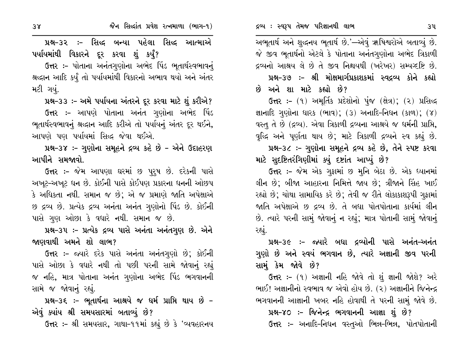પ્રશ્ન-૩૨ ઃ- સિદ્ધ બન્યા પહેલા સિદ્ધ આત્માએ પર્યાયમાંથી વિકારને દૂર કરવા શું કર્યું?

ઉત્તર :- પોતાના અનંતગણોના અભેદ પિંડ ભૂતાર્થસ્વભાવનું શ્રદ્ધાન આદિ કર્યું તો પર્યાયમાંથી વિકારનો અભાવ થયો અને અંતર મટી ગયું.

પ્રશ્ન-૩૩ :- અમે પર્યાયના અંતરને દૂર કરવા માટે શું કરીએ?

**ઉત્તર :-** આપણે પોતાના અનંત ગુણોના અભેદ પિંડ ભૂતાર્થસ્વભાવનું શ્રદ્ધાન આદિ કરીએ તો પર્યાયનું અંતર દૂર થઈને, આપણે પણ પર્યાયમાં સિદ્ધ જેવા થઈએ.

પ્રશ્ન-3૪ :- ગુણોના સમૂહને દ્રવ્ય કહે છે - એને ઉદાહરણ આપીને સમજાવો.

ઉત્તર :- જેમ આપણા ઘરમાં છ પૂરૂષ છે. દરેકની પાસે અખૂટ-અખૂટ ધન છે. કોઈની પાસે કોઈપણ પ્રકારના ધનની ઓછપ કે અધિકતા નથી. સમાન જ છે; એ જ પ્રમાણે જાતિ અપેક્ષાએ છ દ્રવ્ય છે. પ્રત્યેક દ્રવ્ય અનંતા અનંત ગુણોનો પિંડ છે. કોઈની પાસે ગુણ ઓછા કે વધારે નથી. સમાન જ છે.

પ્રશ્ન-૩૫ :- પ્રત્યેક દ્રવ્ય પાસે અનંતા અનંતગુણ છે. એને જાણવાથી અમને શો લાભ?

ઉત્તર :- જ્યારે દરેક પાસે અનંતા અનંતગુણો છે; કોઈની પાસે ઓછા કે વધારે નથી તો પછી પરની સામે જોવાનું રહ્યું જ નહિ, માત્ર પોતાના અનંત ગુણોના અભેદ પિંડ ભગવાનની સામે જ જોવાનું રહ્યું.

પ્રશ્ન-૩૬ :- ભૂતાર્થના આશ્રયે જ ધર્મ પ્રાપ્તિ થાય છે -એવું ક્યાંય શ્રી સમયસારમાં બતાવ્યું છે?

ઉત્તર :- શ્રી સમયસાર, ગાથા-૧૧માં કહ્યું છે કે 'વ્યવહારનય

અભૂતાર્થ અને શુદ્ધનય ભૂતાર્થ છે.'—એવું ૠષિશ્વરોએ બતાવ્યું છે. જે જીવ ભૂતાર્થનો એટલે કે પોતાના અનંતગુણોના અભેદ ત્રિકાળી દ્રવ્યનો આશ્રય લે છે તે જીવ નિશ્ચયથી (ખરેખર) સમ્પગ્દષ્ટિ છે. પ્રશ્ન-૩૭ :- શ્રી મોક્ષમાર્ગપ્રકાશકમાં સ્વદ્રવ્ય કોને કહ્યો છે અને શા માટે કહ્યો છે?

ઉત્તર :- (૧) અમૂર્તિક પ્રદેશોનો પુંજ (ક્ષેત્ર); (૨) પ્રસિદ્ધ જ્ઞાનાદિ ગુણોના ધારક (ભાવ); (3) અનાદિ-નિધન (કાળ); (૪) વસ્તુ તે છે (દ્રવ્ય). એવા ત્રિકાળી દ્રવ્યના આશ્રયે જ ધર્મની પ્રાપ્તિ, વૃદ્ધિ અને પૂર્ણતા થાય છે; માટે ત્રિકાળી દ્રવ્યને સ્વ કહ્યું છે. પ્રશ્ન-3૮:- ગુણોના સમૂહને દ્રવ્ય કહે છે, તેને સ્પષ્ટ કરવા માટે સદષ્ટિતરંગિણીમાં ક્યું દષ્ટાંત આપ્યું છે?

ઉત્તર :- જેમ એક ગુફામાં છ મુનિ બેઠા છે. એક ધ્યાનમાં લીન છે; બીજા આહારના નિમિત્તે જાય છે; ત્રીજાને સિંહ ખાઈ રહ્યો છે; ચોથા સામાયિક કરે છે; તેવી જ રીતે લોકાકાશરૂપી ગુફામાં જાતિ અપેક્ષાએ છ દ્રવ્ય છે. તે બધા પોતપોતાના કાર્યમાં લીન છે. ત્યારે પરની સામું જોવાનું ન રહ્યું; માત્ર પોતાની સામું જોવાનું રહ્યું.

પ્રશ્ન-૩૯ :- જ્યારે બધા દ્રવ્યોની પાસે અનંત-અનંત ગુણો છે અને સ્વયં ભગવાન છે, ત્યારે અજ્ઞાની જીવ પરની સામું કેમ જોવે છે?

ઉત્તર :- (૧) અજ્ઞાની નહિ જોવે તો શું જ્ઞાની જોશે? અરે ભાઈ! અજ્ઞાનીનો સ્વભાવ જ એવો હોય છે. (૨) અજ્ઞાનીને જિનેન્દ્ર ભગવાનની આજ્ઞાની ખબર નહિ હોવાથી તે પરની સામું જોવે છે.

પ્રશ્ન-૪૦ :- જિનેન્દ્ર ભગવાનની આજ્ઞા શું છે? ઉત્તર :- અનાદિ-નિધન વસ્તુઓ ભિન્ન-ભિન્ન, પોતપોતાની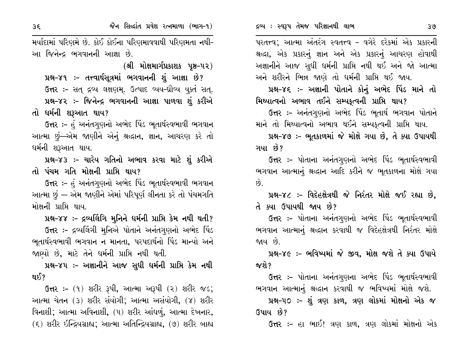પરતત્ત્વ; આત્મા અંતરંગ સ્વતત્ત્વ - વગેરે દરેકમાં એક પ્રકારની શ્રદ્ધા, એક પ્રકારનું જ્ઞાન અને એક પ્રકારનું આચરણ હોવાથી અજ્ઞાનીને આજ સુધી ધર્મની પ્રાપ્તિ નથી થઈ અને જો આત્મા અને શરીરને ભિન્ન જાણે તો ધર્મની પ્રાપ્તિ થઈ જાય.

પ્રશ્ન-૪૬ :- અજ્ઞાની પોતાને કોનું અભેદ પિંડ માને તો મિથ્યાત્વનો અભાવ તઈને સમ્યકૃત્વની પ્રાપ્તિ થાય?

ઉત્તર :– અનંતગુણનો અભેદ પિંડ ભુતાર્થ ભગવાન પોતાને માને તો મિથ્યાત્વનો અભાવ થઈને સમ્યકુત્વની પ્રાપ્તિ થાય.

પ્રશ્ન-૪૭ :- ભૂતકાળમાં જે મોક્ષે ગયા છે, તે ક્યા ઉપાયથી ગયા છે?

ઉત્તર :– પોતાના અનંતગુણનો અભેદ પિંડ ભૂતાર્થસ્વભાવી ભગવાન આત્માનું શ્રદ્ધાન આદિ કરીને જ ભૂતકાળના મોક્ષે ગયા  $\hat{p}$ 

પ્રશ્ન-૪૮ :- વિદેહક્ષેત્રથી જે નિરંતર મોક્ષે જઈ રહ્યા છે, તે ક્યા ઉપાયથી જાય છે?

ઉત્તર :– પોતાના અનંતગુણનો અભેદ પિંડ ભૂતાર્થસ્વભાવી ભગવાન આત્માનું શ્રદ્ધાન કરવાથી જ વિદેહક્ષેત્રથી નિરંતર મોક્ષે જાય છે.

પ્રશ્ન-૪૯ :- ભવિષ્યમાં જે જીવ, મોક્ષ જશે તે ક્યા ઉપાયે જશે ?

ઉત્તર :- પોતાના અનંતગુણના અભેદ પિંડ ભૂતાર્થસ્વભાવી ભગવાન આત્માનું શ્રદ્ધાન કરવાથી જ ભવિષ્યમાં મોક્ષે જશે.

પ્રશ્ન-૫૦ ઃ- શું ત્રણ કાળ, ત્રણ લોકમાં મોક્ષનો એક જ ઉપાય છે?

**ઉત્તર :-** હા ભાઈ! ત્રણ કાળ, ત્રણ લોકમાં મોક્ષનો એક

મર્યાદામાં પરિણમે છે. કોઈ કોઈના પરિણમાવવાથી પરિણમતા નથી-આ જિનેન્દ્ર ભગવાનની આજ્ઞા છે.

(શ્રી મોક્ષમાર્ગપ્રકાશક પૃષ્ઠ–૫૨)

પ્રશ્ન-૪૧ :- તત્ત્વાર્થસૂત્રમાં ભગવાનની શું આજ્ઞા છે? ઉત્તર: - સત્ દ્રવ્ય લક્ષણમ્. ઉત્પાદ વ્યય-ઘ્રૌવ્ય યૂક્ત સત્. પ્રશ્ન-૪૨ :- જિનેન્દ્ર ભગવાનની આજ્ઞા પાળવા શું કરીએ તો ધર્મની શરૂઆત થાય?

ઉત્તર :- હું અનંતગુણનો અભેદ પિંડ ભૂતાર્થસ્વભાવી ભગવાન આત્મા છું—એમ જાણીને એનું શ્રદ્ધાન, જ્ઞાન, આચરણ કરે તો ધર્મની શરૂઆત થાય.

પ્રશ્ન-૪૩ :- ચારેય ગતિનો અભાવ કરવા માટે શું કરીએ તો પંચમ ગતિ મોક્ષની પ્રાપ્તિ થાય?

ઉત્તર :- હં અનંતગુણનો અભેદ પિંડ ભૂતાર્થસ્વભાવી ભગવાન આત્મા છું — એમ જાણીને એમાં પરિપૂર્ણ લીનતા કરે તો પંચમગતિ મોક્ષની પ્રાપ્તિ થાય.

પ્રશ્ન-૪૪ :- દ્રવ્યલિંગિ મુનિને ધર્મની પ્રાપ્તિ કેમ નથી થતી? ઉત્તર :- દ્રવ્યલિંગી મુનિએ પોતાને અનંતગુણનો અભેદ પિંડ ભૂતાર્થસ્વભાવી ભગવાન ન માનતા, પરપદાર્થનો પિંડ માન્યો અને જાણ્યો છે, માટે તેને ધર્મની પ્રાપ્તિ નથી થતી.

પ્રશ્ન-૪૫ :- અજ્ઞાનીને આજ સુધી ધર્મની પ્રાપ્તિ કેમ નથી થઈ?

 $G$ ત્તર: – (૧) શરીર રૂપી, આત્મા અરૂપી (૨) શરીર જડ; આત્મા ચેતન (૩) શરીર સંયોગી; આત્મા અસંયોગી, (૪) શરીર વિનાશી; આત્મા અવિનાશી, (૫) શરીર આંધળું, આત્મા દેખનાર,  $(5)$  શરીર ઇન્દ્રિયગ્રાહ્ય; આત્મા અતિન્દ્રિયગ્રાહ્ય, (૭) શરીર બાહ્ય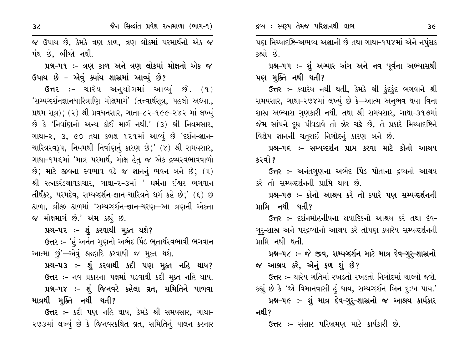જૈન સિલ્દાંત પ્રવેશ રત્નમાળા (ભાગ-૧)

જ ઉપાય છે, કેમકે ત્રણ કાળ, ત્રણ લોકમાં પરમાર્થનો એક જ પંથ છે, બીજો નથી.

# પ્રશ્ન-૫૧ :- ત્રણ કાળ અને ત્રણ લોકમાં મોક્ષનો એક જ ઉપાય છે – એવું ક્યાંય શાસ્રમાં આવ્યું છે?

ઉત્તર :- ચારેય અન્દયોગમાં આવ્યું છે. (૧) 'સમ્યગ્દર્શનજ્ઞાનચારિત્રાણિ મોક્ષમાર્ગ' (તત્ત્વાર્થસૂત્ર, પહલો અધ્યા., પ્રથમ સૂત્ર); (૨) શ્રી પ્રવચનસાર, ગાતા-૮૨-૧૯૯-૨૪૨ માં લખ્યું છે કે 'નિર્વાણનો અન્ય કોઈ માર્ગ નથી.' (૩) શ્રી નિયમસાર, ગાથા-૨, ૩, ૯૦ તથા કળશ ૧૨૧માં આવ્યું છે 'દર્શન-જ્ઞાન-ચારિત્રસ્વરૂપ, નિયમથી નિર્વાણનું કારણ છે;' (૪) શ્રી સમયસાર, ગાથા-૧૫૬માં 'માત્ર પરમાર્થ, મોક્ષ હેતુ જ એક દ્રવ્યસ્વભાવવાળો છે; માટે જીવના સ્વભાવ વડે જ જ્ઞાનનું ભવન બને છે;  $(4)$ શ્રી રત્નકરંડશ્રાવકાચાર. ગાથા-૨-૩માં ' ઘર્મના ઈશ્વર ભગવાન તીર્થંકર, પરમદેવ, સમ્યગ્દર્શન-જ્ઞાન-ચારિત્રને ધર્મ કહે છે;' (૬) છ ઢાળા, ત્રીજી ઢાળમાં 'સમ્યગ્દર્શન-જ્ઞાન-ચરણ—આ ત્રણની એકતા જ મોક્ષમાર્ગ છે.' એમ કહ્યું છે.

પ્રશ્ન-૫૨ :- શું કરવાથી મૂક્ત થશે?

ઉત્તર :- 'હું અનંત ગુણનો અભેદ પિંડ ભૂતાર્થસ્વભાવી ભગવાન આત્મા છું'—એવું શ્રદ્ધાદિ કરવાથી જ મુક્ત થશે.

પ્રશ્ન-૫૩ :- શું કરવાથી કદી પણ મુક્ત નહિ થાય? ઉત્તર :- નવ પ્રકારના પક્ષમાં પડવાથી કદી મુક્ત નહિ થાય. પ્રશ્ન-૫૪ :- શું જિનવરે કહેલા વ્રત, સમિતિને પાળવા માત્રથી મૂક્તિ નથી થતી?

ઉત્તર :- કદી પણ નહિ થાય, કેમકે શ્રી સમયસાર, ગાથા-૨૭૩માં લખ્યું છે કે જિનવરકથિત વ્રત, સમિતિનું પાલન કરનાર પણ મિથ્યાદષ્ટિ–અભવ્ય અજ્ઞાની છે તથા ગાથા–૧૫૪માં એને નપુંસક કહ્યો છે.

પ્રશ્ન-૫૫ :- શું અગ્યાર અંગ અને નવ પૂર્વના અભ્યાસથી પણ મુક્તિ નથી થતી?

ઉત્તર :- ક્યારેય નથી થતી, કેમકે શ્રી ફંદફંદ ભગવાને શ્રી સમયસાર, ગાથા-૨૭૪માં લખ્યું છે કે—આત્મ અનુભવ થયા વિના શાસ્ર અભ્યાસ ગુણકારી નથી. તથા શ્રી સમયસાર, ગાથા-૩૧૭માં જેમ સાંપને દૂધ પીવડાવે તો ઝેર ચઢે છે, તે પ્રકારે મિથ્યાદષ્ટિને વિશેષ જ્ઞાનની ચતુરાઈ નિગોદનું કારણ બને છે.

પ્રશ્ન-૫૬ ઃ- સમ્યષ્ટર્શન પ્રાપ્ત કરવા માટે કોનો આશ્રય કરવો ?

ઉત્તર :- અનંતગણના અભેદ પિંડ પોતાના દ્રવ્યનો આશ્રય કરે તો સમ્યગ્દર્શનની પ્રાપ્તિ થાય છે.

પ્રશ્ન-૫૭ :- કોનો આશ્રય કરે તો ક્યારે પણ સમ્યવ્દર્શનની પ્રાપ્તિ નથી થતી?

**ઉત્તર :-** દર્શનમોહનીયના ક્ષયાદિકનો આશ્રય કરે તથા દેવ-ગુરૂ-શાસ્ર અને પરદ્રવ્યોનો આશ્રય કરે તોપણ ક્યારેય સમ્યવ્દર્શનની પ્રાપ્તિ નથી થતી.

પ્રશ્ન-૫૮ :- જે જીવ, સમ્યગ્દર્શન માટે માત્ર દેવ-ગુરૂ-શાસ્રનો જ આશ્રય કરે, એનું ફળ શું છે?

**ઉત્તર :-** ચારેય ગતિમાં રખડતો રખડતો નિગોદમાં ચાલ્યો જશે. કહ્યું છે કે 'જો વિમાનવાસી હું થાય, સમ્યગ્દર્શન બિન દુઃખ પાય.'

પ્રશ્ન-૫૯ :- શું માત્ર દેવ-ગુરૂ-શાસ્રનો જ આશ્રય કાર્યકાર નથી?

**ઉત્તર :-** સંસાર પરિભ્રમણ માટે કાર્યકારી છે.

 $3<sub>4</sub>$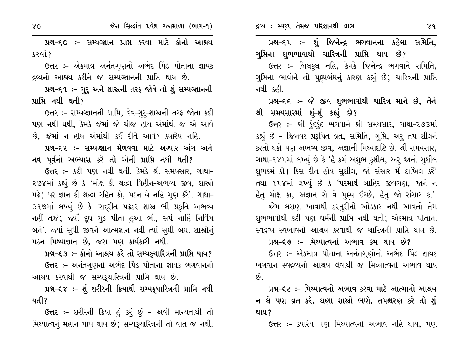પ્રશ્ન-૬૦ ઃ- સમ્યગ્જ્ઞાન પ્રાપ્ત કરવા માટે કોનો આશ્રય કરવો ?

ઉત્તર :- એકમાત્ર અનંતગુણનો અભેદ પિંડ પોતાના જ્ઞાયક દ્રવ્યનો આશ્રય કરીને જ સમ્યગ્જ્ઞાનની પ્રાપ્તિ થાય છે.

પ્રશ્ન-૬૧ :- ગુરૂ અને શાસ્ત્રની તરફ જોવે તો શું સમ્યગ્જ્ઞાનની પ્રાપ્તિ નથી થતી?

ઉત્તર :- સમ્યગ્જ્ઞાનની પ્રાપ્તિ, દેવ-ગુરૂ-શાસ્રની તરફ જોતા કદી પણ નથી થથી, કેમકે જેમાં જે ચીજ હોય એમાંથી જ એ આવે છે, જેમાં ન હોય એમાંથી કઈ રીતે આવે? ક્યારેય નહિ.

પ્રશ્ન–દર :– સમ્યગ્જ્ઞાન મેળવવા માટે અગ્યાર અંગ અને નવ પૂર્વનો અભ્યાસ કરે તો એની પ્રાપ્તિ નથી થતી?

ઉત્તર :- કદી પણ નથી થતી. કેમકે શ્રી સમયસાર, ગાથા-૨૭૪માં કહ્યું છે કે 'મોક્ષ કી શ્રદ્ધા વિહીન-અભવ્ય જીવ, શાસ્રો પઢે; પર જ્ઞાન કી શ્રદ્ધા રહિત કો, પઠન યે નહિ ગુણ કરૈ'. ગાથા-૩૧૭માં લખ્યું છે કે 'સદ્રીત પઢકર શાસ્ર ભી પ્રકૃતિ અભવ્ય નહીં તજે; જ્યોં દૂધ ગુડ પીતા હુઆ ભી, સર્પ નાહિં નિર્વિષ બને'. જ્યાં સુધી જીવને આત્મજ્ઞાન નથી ત્યાં સુધી બધા શાસ્રોનું પઠન મિથ્યાજ્ઞાન છે, જરા પણ કાર્યકારી નથી.

પ્રશ્ન-૬૩ :- કોનો આશ્રય કરે તો સમ્યક્ર્યારિત્રની પ્રાપ્તિ થાય? ઉત્તર :- અનંતગુણનો અભેદ પિંડ પોતાના જ્ઞાયક ભગવાનનો આશ્રય કરવાથી જ સમ્પકુચારિત્રની પ્રાપ્તિ થાય છે.

પ્રશ્ન-૬૪ :- શું શરીરની ક્રિયાથી સમ્પકુચારિત્રની પ્રાપ્તિ નથી થતી?

ઉત્તર :- શરીરની ક્રિયા હું કર્ં છું - એવી માન્યતાથી તો મિથ્યાત્વનું મહાન પાપ થાય છે; સમ્યક્શારિત્રની તો વાત જ નથી.

પ્રશ્ન–૬૫ ઃ- શું જિનેન્દ્ર ભગવાનના કહેલા સમિતિ, ગુપ્તિના શુભભાવાથો ચારિત્રની પ્રાપ્તિ થાય છે?

ઉત્તર :- બિલકુલ નહિ, કેમકે જિનેન્દ્ર ભગવાને સમિતિ, ગુપ્તિના ભાવોને તો પુણ્યબંધનું કારણ કહ્યું છે; ચારિત્રની પ્રાપ્તિ નથી કહી.

પ્રશ્ન-૬૬ ઃ- જે જીવ શુભભાવોથી ચારિત્ર માને છે, તેને શ્રી સમયસારમાં શં–શં કહ્યું છે?

ઉત્તર :- શ્રી કુંદકુંદ ભગવાને શ્રી સમયસાર, ગાથા-૨૭૩માં કહ્યું છે - જિનવર પ્રરૂપિત વ્રત, સમિતિ, ગુપ્તિ, અરૂ તપ શીલને કરતો થકો પણ અભવ્ય જીવ, અજ્ઞાની મિથ્યાદષ્ટિ છે. શ્રી સમયસાર, ગાથા-૧૪૫માં લખ્યું છે કે 'હૈ કર્મ અશુભ કુશીલ, અરુ જાનો સુશીલ શુભકર્મ કો | કિસ રીત હોય સુશીલ, જો સંસાર મેં દાખિલ કરેં<sup>'</sup> તથા ૧૫૪માં લખ્યું છે કે 'પરમાર્થ બાહિર જીવગણ, જાને ન હેતુ મોક્ષ કા, અજ્ઞાન સે વે પૂણ્ય ઇચ્છે, હેતુ જો સંસાર કા'. જેમ લસણ ખાવાથી કસ્તુરીનો ઓડકાર નથી આવતો તેમ શુભભાવોથી કદી પણ ધર્મની પ્રાપ્તિ નથી થતી; એકમાત્ર પોતાના સ્વદ્રવ્ય સ્વભાવનો આશ્રય કરવાથી જ ચારિત્રની પ્રાપ્તિ થાય છે.

પ્રશ્ન–દ૭ :– મિથ્યાત્વનો અભાવ કેમ થાય છે?

ઉત્તર :– એકમાત્ર પોતાના અનંતગુણોનો અભેદ પિંડ જ્ઞાયક ભગવાન સ્વદ્રવ્યનો આશ્રય લેવાથી જ મિથ્યાત્વનો અભાવ થાય  $\hat{8}$ .

પ્રશ્ન–દ૮ :– મિથ્યાત્વનો અભાવ કરવા માટે આત્માનો આશ્રય ન લે પણ વ્રત કરે, ઘણા શાસ્રો ભણે, તપશ્ચરણ કરે તો શું થાય?

ઉત્તર :- ક્યારેય પણ મિથ્યાત્વનો અભાવ નહિ થાય, પણ

 $\gamma$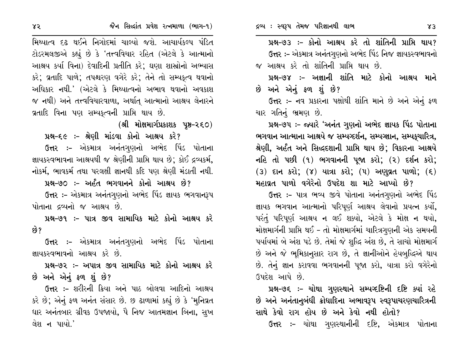પ્રશ્ન-૭૩ :- કોનો આશ્રય કરે તો શાંતિની પ્રાપ્તિ થાય? ઉત્તર :- એકમાત્ર અનંતગુણનો અભેદ પિંડ નિજ જ્ઞાયકસ્વભાવનો જ આશ્રય કરે તો શાંતિની પ્રાપ્તિ થાય છે.

પ્રશ્ન–૭૪ :– અજ્ઞાની શાંતિ માટે કોનો આશ્રય માને છે અને એનું ફળ શું છે?

ઉત્તર :- નવ પ્રકારના પક્ષોથી શાંતિ માને છે અને એનું ફળ ચાર ગતિનું ભ્રમણ છે.

પ્રશ્ન-૭૫ :- જ્યારે 'અનંત ગુણનો અભેદ જ્ઞાયક પિંડ પોતાના ભગવાન આત્માના આશ્રયે જ સમ્યગ્દર્શન, સમ્યગ્જ્ઞાન, સમ્યકચારિત્ર, શ્રેણી, અર્હંત અને સિદ્ધદશાની પ્રાપ્તિ થાય છે; વિકારના આશ્રયે નહિ તો પછી (૧) ભગવાનની પૂજા કરો; (૨) દર્શન કરો;  $(3)$  દાન કરો;  $(7)$  યાત્રા કરો;  $(4)$  અણુવ્રત પાળો;  $(5)$ મહાવ્રત પાળો વગેરેનો ઉપદેશ શા માટે આપ્યો છે?

ઉત્તર :- પાત્ર ભવ્ય જીવે પોતાના અનંતગણનો અભેદ પિંડ જ્ઞાયક ભગવાન આત્માનો પરિપૂર્ણ આશ્રય લેવાનો પ્રયત્ન કર્યો, પરંતું પરિપૂર્ણ આશ્રય ન લઈ શક્યો, એટલે કે મોક્ષ ન થયો, મોક્ષમાર્ગની પ્રાપ્તિ થઈ – તો મોક્ષમાર્ગમાં ચારિત્રગુણની એક સમયની પર્યાયમાં બે અંશ પડે છે. તેમાં જે શુદ્ધિ અંશ છે, તે સાચો મોક્ષમાર્ગ છે અને જે ભૂમિકાનુસાર રાગ છે, તે જ્ઞાનીઓને હેયબુદ્ધિએ થાય છે. તેનું જ્ઞાન કરાવવા ભગવાનની પૂજા કરો, યાત્રા કરો વગેરેનો ઉપદેશ આપે છે.

પ્રશ્ન-૭૬ :- ચોથા ગુણસ્થાને સમ્પગ્દષ્ટિની દષ્ટિ ક્યાં રહે છે અને અનંતાનુબંધી ક્રોધાદિના અભાવરૂપ સ્વરૂપાચરણચારિત્રની સાથે કેવો રાગ હોય છે અને કેવો નથી હોતો?

**ઉત્તર :-** ચોથા ગુણસ્થાનીની દષ્ટિ, એકમાત્ર પોતાના

મિથ્યાત્વ દઢ થઈને નિગોદમાં ચાલ્યો જશે. આચાર્યકલ્પ પંડિત ટોડરમલજીએ કહ્યું છે કે 'તત્ત્વવિચાર રહિત (એટલે કે આત્માનો આશ્રય કર્યા વિના) દેવાદિની પ્રતીતિ કરે; ઘણા શાસ્રોનો અભ્યાસ કરે; વ્રતાદિ પાળે; તપશ્ચરણ વગેરે કરે; તેને તો સમ્યકત્વ થવાનો અધિકાર નથી.' (એટલે કે મિથ્યાત્વનો અભાવ થવાનો અવકાશ જ નથી) અને તત્ત્વવિચારવાળા, અર્થાત્ આત્માનો આશ્રય લેનારને વ્રતાદિ વિના પણ સમ્યકત્વની પ્રાપ્તિ થાય છે.

(શ્રી મોક્ષમાર્ગપ્રકાશક પૃષ્ઠ–૨૬૦)

પ્રશ્ન-૬૯ ઃ- શ્રેણી માંડવા કોનો આશ્રય કરે? ઉત્તર :- એકમાત્ર અનંતગુણનો અભેદ પિંડ પોતાના જ્ઞાયકસ્વભાવના આશ્રયથી જ શ્રેણીની પ્રાપ્તિ થાય છે; કોઈ દ્રવ્યકર્મ, નોકર્મ, ભાવકર્મ તથા પરલક્ષી જ્ઞાનથી કદિ પણ શ્રેણી મંડાતી નથી.

પ્રશ્ન-૭૦ :- અર્હંત ભગવાનને કોનો આશ્રય છે?

ઉત્તર :- એકમાત્ર અનંતગુણનો અભેદ પિંડ જ્ઞાયક ભગવાનરૂપ પોતાના દ્રવ્યનો જ આશ્રય છે.

પ્રશ્ન–૭૧ :– પાત્ર જીવ સામાયિક માટે કોનો આશ્રય કરે છે?

**ઉત્તર :-** એકમાત્ર અનંતગુણનો અભેદ પિંડ પોતાના જ્ઞાયકસ્વભાવનો આશ્રય કરે છે.

પ્રશ્ન–૭૨ :– અપાત્ર જીવ સામાયિક માટે કોનો આશ્રય કરે છે અને એનું ફળ શું છે?

**ઉત્તર :-** શરીરની ક્રિયા અને પાઠ બોલવા આદિનો આશ્રય કરે છે; એનું ફળ અનંત સંસાર છે. છ ઢાળામાં કહ્યું છે કે 'મુનિવ્રત ધાર અનંતબાર ગ્રીવક ઉપજાયો, પૈ નિજ આતમજ્ઞાન બિના, સુખ લેશ ન પાયો.'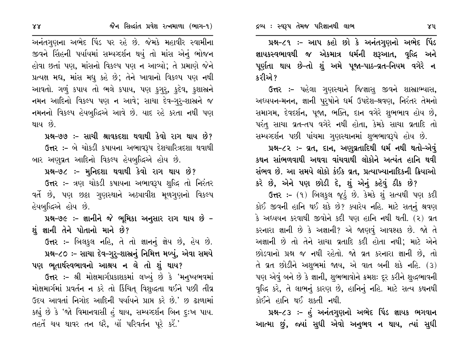પ્રશ્ન-૮૧ :- આપ કહો છો કે અનંતગુણનો અભેદ પિંડ જ્ઞાયકસ્વભાવથી જ એકમાત્ર ધર્મની શરૂઆત, વૃદ્ધિ અને પૂર્ણતા થાય છે-તો શું અમે પૂજા-પાઠ-વ્રત-નિયમ વગેરે ન કરીએ ?

ઉત્તર :- પહેલા ગુણસ્થાને જિજ્ઞાસુ જીવને શાસ્રાભ્યાસ, અધ્યયન-મનન, જ્ઞાની પુરૂષોને ધર્મ ઉપદેશ-શ્રવણ, નિરંતર તેમનો સમાગમ, દેવદર્શન, પુજા, ભક્તિ, દાન વગેરે શુભભાવ હોય છે, પરંતુ સાચા વ્રત-તપ વગેરે નથી હોતા, કેમકે સાચા વ્રતાદિ તો સમ્પગ્દર્શન પછી પાંચમા ગુણસ્થાનમાં શુભભાવરૂપે હોય છે.

પ્રશ્ન-૮૨ :- વ્રત, દાન, અણુવ્રતાદિથી ધર્મ નથી થતો-એવું કથન સાંભળવાથી અથવા વાંચવાથી લોકોને અત્યંત હાનિ થવી સંભવ છે. આ સમયે લોકો કંઈક વ્રત, પ્રત્યાખ્યાનાદિકની ક્રિયાઓ

કરે છે, એને પણ છોડી દે, શું એનું કહેવું ઠીક છે? ઉત્તર :- (૧) બિલકુલ જૂદું છે. કેમકે શું સત્યથી પણ કદી કોઈ જીવની હાનિ થઈ શકે છે? ક્યારેય નહિ. માટે સતનું શ્રવણ કે અધ્યયન કરવાથી જીવોને કદી પણ હાનિ નથી થતી. (૨) વ્રત કરનારા જ્ઞાની છે કે અજ્ઞાની? એ જાણવું આવશ્યક છે. જો તે અજ્ઞાની છે તો તેને સાચા વ્રતાદિ કદી હોતા નથી; માટે એને છોડવાનો પ્રશ્ન જ નથી રહેતો. જો વ્રત કરનારા જ્ઞાની છે, તો  $\hat{d}$  વ્રત છોડીને અશુભમાં જાય, એ વાત બની શકે નહિ. (3) પણ એવું બને છે કે જ્ઞાની, શુભભાવોને ક્રમશઃ દૂર કરીને શુદ્ધભાવની વૃદ્ધિ કરે, તે લાભનું કારણ છે, હાનિનું નહિ. માટે સત્ય કથનથી કોઈને હાનિ થઈ શકતી નથી.

પ્રશ્ન-૮૩ :- હું અનંતગુણનો અભેદ પિંડ જ્ઞાયક ભગવાન આત્મા છું, જ્યાં સુધી એવો અનુભવ ન થાય, ત્યાં સુધી

અનંતગુણના અભેદ પિંડ પર રહે છે. જેમકે મહાવીર સ્વામીના જીવને સિંહની પર્યાયમાં સમ્યગ્દર્શન થયું તો માંસ એનું ભોજન હોવા છતાં પણ, માંસનો વિકલ્પ પણ ન આવ્યો; તે પ્રમાણે જેને પ્રત્યક્ષ મદ્ય, માંસ મધુ કહે છે; તેને ખાવાનો વિકલ્પ પણ નથી આવતો. ગળું કપાય તો ભલે કપાય, પણ કગૂર, કુદેવ, કુશાસ્ત્રને નમન આદિનો વિકલ્પ પણ ન આવે; સાચા દેવ–ગુરૂ-શાસ્રને જ નમનનો વિકલ્પ હેયબુદ્ધિએ આવે છે. યાદ રહે કરતા નથી પણ થાય છે.

પ્રશ્ન–૭૭ :– સાચી શ્રાવકદશા થવાથી કેવો રાગ થાય છે? ઉત્તર :- બે ચોકડી કષાયના અભાવરૂપ દેશચારિત્રદશા થવાથી બાર અણુવ્રત આદિનો વિકલ્પ હેયબુદ્ધિએ હોય છે.

પ્રશ્ન-૭૮ :- મુનિદશા થવાથી કેવો રાગ થાય છે?

ઉત્તર :- ત્રણ ચોકડી કષાયના અભાવરૂપ શુદ્ધિ તો નિરંતર વર્તે છે, પણ છઠ્ઠા ગુણસ્થાને અઠ્યાવીશ મૂળગુણનો વિકલ્પ હેયબુદ્ધિએ હોય છે.

પ્રશ્ન-૭૯ :- જ્ઞાનીને જે ભૂમિકા અનુસાર રાગ થાય છે -શું જ્ઞાની તેને પોતાનો માને છે?

ઉત્તર :- બિલકુલ નહિ, તે તો જ્ઞાનનું જ્ઞેય છે, હેય છે. પ્રશ્ન-૮૦ ઃ- સાચા દેવ-ગુરૂ-શાસ્ત્રનું નિમિત્ત મળ્યું, એવા સમયે પણ ભૂતાર્થસ્વભાવનો આશ્રય ન લે તો શું થાય?

ઉત્તર :- શ્રી મોક્ષમાર્ગપ્રકાશકમાં લખ્યું છે કે 'મનુષ્યભવમાં મોક્ષમાર્ગમાં પ્રવર્તન ન કરે તો કિંચિત્ વિશુદ્ધતા થઈને પછી તીવ્ર ઉદય આવતાં નિગોદ આદિની પર્યાયને પ્રાપ્ત કરે છે.' છ ઢાળામાં કહ્યું છે કે 'જો વિમાનવાસી હું થાય, સમ્યગ્દર્શન બિન દુઃખ પાય. તહતેં ચય થાવર તન ધરૈ, યોં પરિવર્તન પૂરે કરેં.'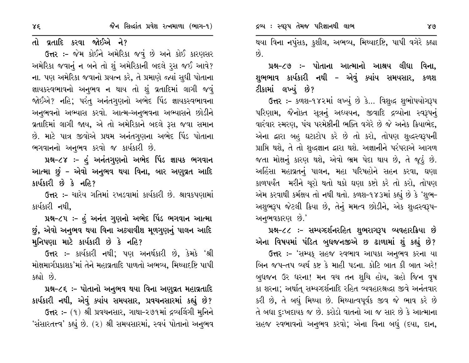તો વ્રતાદિ કરવા જોઈએ ને?

ઉત્તર :- જેમ કોઈને અમેરિકા જવું છે અને કોઈ કારણસર અમેરિકા જવાનું ન બને તો શું અમેરિકાની બદલે રૂસ જઈ આવે? ના. પણ અમેરિકા જવાનો પ્રયત્ન કરે, તે પ્રમાણે જ્યાં સુધી પોતાના જ્ઞાયકસ્વભાવનો અનુભવ ન થાય તો શું વ્રતાદિમાં લાગી જવું જોઈએ? નહિ; પરંતુ અનંતગુણનો અભેદ પિંડ જ્ઞાયકસ્વભાવના અનુભવનો અભ્યાસ કરવો. આત્મ-અનુભવના અભ્યાસને છોડીને વ્રતાદિમાં લાગી જાય, એ તો અમેરિકાને બદલે રૂસ જવા સમાન છે. માટે પાત્ર જીવોએ પ્રથમ અનંતગુણના અભેદ પિંડ પોતાના ભગવાનનો અનુભવ કરવો જ કાર્યકારી છે.

પ્રશ્ન-૮૪ :- હું અનંતગુણનો અભેદ પિંડ જ્ઞાયક ભગવાન આત્મા છું – એવો અનુભવ થયા વિના, બાર અણુવ્રત આદિ કાર્યકારી છે કે નહિ?

ઉત્તર :- ચારેય ગતિમાં રખડવામાં કાર્યકારી છે. શ્રાવકપણામાં કાર્યકારી નથી.

પ્રશ્ન-૮૫ :- હું અનંત ગુણનો અભેદ પિંડ ભગવાન આત્મા છું, એવો અનુભવ થયા વિના અઠ્યાવીશ મૂળગુણનું પાલન આદિ મુનિપણા માટે કાર્યકારી છે કે નહિ?

ઉત્તર :- કાર્યકારી નથી; પણ અનર્થકારી છે, કેમકે 'શ્રી મોક્ષમાર્ગપ્રકાશક'માં તેને મહાવ્રતાદિ પાળતો અભવ્ય, મિથ્યાદષ્ટિ પાપી કહ્યો છે.

પ્રશ્ન-૮૬ :- પોતાનો અનુભવ થયા વિના અણુવ્રત મહાવ્રતાદિ કાર્યકારી નથી, એવું ક્યાંય સમયસાર, પ્રવચનસારમાં કહ્યું છે?

ઉત્તર :- (૧) શ્રી પ્રવચનસાર, ગાથા-૨૭૧માં દ્રવ્યલિંગી મુનિને 'સંસારતત્ત્વ' કહ્યું છે. (૨) શ્રી સમયસારમાં, સ્વયં પોતાનો અનુભવ થયા વિના નપુંસક, કુશીલ, અભવ્ય, મિથ્યાદષ્ટિ, પાપી વગેરે કહ્યા  $\hat{g}$ .

પ્રશ્ન-૮૭ :- પોતાના આત્માનો આશ્રય લીધા વિના. શુભભાવ કાર્યકારી નથી – એવું ક્યાંય સમયસાર, કળશ ટીકામાં લખ્યું છે?

ઉત્તર :- કળશ-૧૪૨માં લખ્યું છે કે... વિશુદ્ધ શુભોપયોગરૂપ પરિણામ, જૈનોક્ત સૂત્રનું અધ્યયન, જીવાદિ દ્રવ્યોના સ્વરૂપનું વારંવાર સ્મરણ, પંચ પરમેષ્ઠીની ભક્તિ વગેરે છે જે અનેક ક્રિયાભેદ, એના દ્વારા બહુ ઘટાટોપ કરે છે તો કરો, તોપણ શુદ્ધસ્વરૂપની પ્રાપ્તિ થશે, તે તો શુદ્ધજ્ઞાન દ્વારા થશે. અજ્ઞાનીને પરંપરાએ આગળ જતા મોક્ષનું કારણ થશે, એવો ભ્રમ પેદા થાય છે, તે જૂઠું છે. અહિંસા મહાવ્રતનું પાલન, મહા પરિષહોને સહન કરવા, ઘણા કાળપર્યંત મરીને ચૂરો થતો થકો ઘણા કષ્ટો કરે તો કરો, તોપણ એમ કરવાથી કર્મક્ષય તો નથી થતો. કળશ-૧૪૩માં કહ્યું છે કે 'શુભ-અશુભરૂપ જેટલી ક્રિયા છે, તેનું મમત્વ છોડીને, એક શુદ્ધસ્વરૂપ-અનુભવકારણ છે.'

પ્રશ્ન-૮૮ :- સમ્યગ્દર્શનરહિત શુભરાગરૂપ વ્યવહારક્રિયા છે એના વિષયમાં પંડિત બુધજનજીએ છ ઢાળામાં શું કહ્યું છે?

ઉત્તર :- 'સમ્યક્ સહજ સ્વભાવ આપકા અનુભવ કરના યા બિન જપ-તપ વ્યર્થ કષ્ટ કે માહી પડના. કોટિ બાત કી બાત અરે! બુધજન ઉર ધરના! મન વચ તન શુચિ હોય, ગ્રહો જિન વૃષ કા શરના; અર્થાત્ સમ્યગ્દર્શનાદિ રહિત વ્યવહારશ્રદ્ધા જીવે અનંતવાર કરી છે, તે બધું મિથ્યા છે. મિથ્યાત્વપૂર્વક જીવ જે ભાવ કરે છે તે બધા દુઃખદાયક જ છે. કરોડો વાતનો આ જ સાર છે કે આત્માના સહજ સ્વભાવનો અનુભવ કરવો; એના વિના બધું (દયા, દાન,

 $\gamma \xi$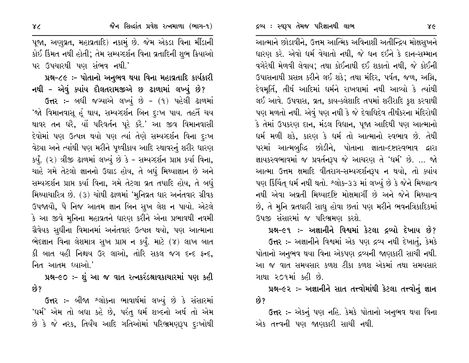આત્માને છોડાવીને, ઉત્તમ આત્મિક અવિનાશી અતીન્દ્રિય મોક્ષસુખને ધારણ કરે. એવો ધર્મ વેચાતો નથી, જે ધન દઈને કે દાન-સમ્માન વગેરેથી મેળવી લેવાય; તથા કોઈનાથી દઈ શકાતો નથી, જે કોઈની ઉપાસનાથી પ્રસન્ન કરીને લઈ શકે; તથા મંદિર, પર્વત, જળ, અગ્નિ, દેવમૂર્તિ, તીર્થ આદિમાં ધર્મને રાખવામાં નથી આવ્યો કે ત્યાંથી લઈ આવે. ઉપવાસ, વ્રત, કાય-ક્લેશાદિ તપમાં શરીરાદિ કુશ કરવાથી પણ મળતો નથી. એવું પણ નથી કે જે દેવાધિદેવ તીર્થંકરના મંદિરોથી કે તેમાં ઉપકરણ દાન, મંડલ વિધાન, પૂજા આદિથી પણ આત્માનો ઘર્મ મળી શકે, કારણ કે ઘર્મ તો આત્માનો સ્વભાવ છે. તેથી પરમાં આત્મબુદ્ધિ છોડીને, પોતાના જ્ઞાતા-દષ્ટાસ્વભાવ દ્વારા જ્ઞાયકસ્વભાવમાં જ પ્રવર્તનરૂપ જે આચરણ તે 'ધર્મ' છે. … જો આત્મા ઉત્તમ ક્ષમાદિ વીતરાગ-સમ્યગ્દર્શનરૂપ ન થયો, તો ક્યાંય પણ કિંચિંત ઘર્મ નથી થતો. શ્લોક-૩૩ માં લખ્યું છે કે જેને મિથ્યાત્વ નથી એવા અવ્રતી મિથ્યાદષ્ટિ મોક્ષમાર્ગી છે અને જેને મિથ્યાત્વ છે, તે મુનિ વ્રતધારી સાધુ હોવા છતાં પણ મરીને ભવનત્રિકાદિકમાં ઉપજી સંસારમાં જ પરિભ્રમણ કરશે.

પ્રશ્ન–૯૧ :– અજ્ઞાનીને વિશ્વમાં કેટલા દ્રવ્યો દેખાય છે?

ઉત્તર :- અજ્ઞાનીને વિશ્વમાં એક પણ દ્રવ્ય નથી દેખાતું, કેમકે પોતાનો અનુભવ થયા વિના એકપણ દ્રવ્યની જાણકારી સાચી નથી. આ જ વાત સમયસાર કળશ ટીકા કળશ એકમાં તથા સમયસાર ગાથા ૨૦૧માં કહી છે.

પ્રશ્ન-૯૨ :- અજ્ઞાનીને સાત તત્ત્વોમાંથી કેટલા તત્ત્વોનું જ્ઞાન છે?

**ઉત્તર :-** એકનું પણ નહિ. કેમકે પોતાનો અનુભવ થયા વિના એક તત્ત્વની પણ જાણકારી સાચી નથી.

પૂજા, અણુવ્રત, મહાવ્રતાદિ) નકામું છે. જેમ એકડા વિના મીંડાની કોઈ કિંમત નથી હોતી; તેમ સમ્યગ્દર્શન વિના વ્રતાદિની શુભ ક્રિયાઓ પર ઉપચારથી પણ સંભવ નથી.'

પ્રશ્ન-૮૯:- પોતાનો અનુભવ થયા વિના મહાવ્રતાદિ કાર્યકારી નથી – એવું ક્યાંય દૌલતરામજીએ છ ઢાળામાં લખ્યું છે?

ઉત્તર:- બધી જગ્યાએ લખ્યું છે - (૧) પહેલી ઢાળમાં 'જો વિમાનવાસૂ હૂં થાય, સમ્યગ્દર્શન બિન દુઃખ પાય. તહતૈં ચય થાવર તન ધરે, યોં પરિવર્તન પૂરે કરે.' આ જીવ વિમાનવાસી દેવોમાં પણ ઉત્પન્ન થયો પણ ત્યાં તેણે સમ્યગ્દર્શન વિના દુઃખ વેઠ્યા અને ત્યાંથી પણ મરીને પૃથ્વીકાય આદિ સ્થાવરનું શરીર ધારણ કર્યું. (૨) ત્રીજી ઢાળમાં લખ્યું છે કે - સમ્યગ્દર્શન પ્રાપ્ત કર્યા વિના, ચાહે ગમે તેટલો જ્ઞાનનો ઉઘાડ હોય, તે બધું મિથ્યાજ્ઞાન છે અને સમ્યગ્દર્શન પ્રાપ્ત કર્યા વિના, ગમે તેટલા વ્રત તપાદિ હોય, તે બધું મિથ્યાચારિત્ર છે. (૩) ચોથી ઢાળમાં 'મુનિવ્રત ધાર અનંતવાર ગ્રીવક ઉપજાયૌ, પૈ નિજ આતમ જ્ઞાન બિન સુખ લેશ ન પાયો. એટલે કે આ જીવે મુનિના મહાવ્રતને ધારણ કરીને એના પ્રભાવથી નવમી ગ્રૈવેયક સુધીના વિમાનમાં અનંતવાર ઉત્પન્ન થયો, પણ આત્માના ભેદજ્ઞાન વિના લેશમાત્ર સુખ પ્રાપ્ત ન કર્યું. માટે (૪) લાખ બાત કી બાત યહી નિશ્ચય ઉર લાઓ, તોરિ સકલ જગ દન્દ ફન્દ, નિત આતમ ધ્યાઓ.'

પ્રશ્ન-૯૦ :- શું આ જ વાત રત્નકરંડશ્રાવકાચારમાં પણ કહી છે?

ઉત્તર :- બીજા શ્લોકના ભાવાર્થમાં લખ્યું છે કે સંસારમાં 'ઘર્મ' એમ તો બધા કહે છે, પરંતુ ઘર્મ શબ્દનો અર્થ તો એમ છે કે જે નરક, તિર્યંચ આદિ ગતિઓમાં પરિભ્રમણરૂપ દુઃખોથી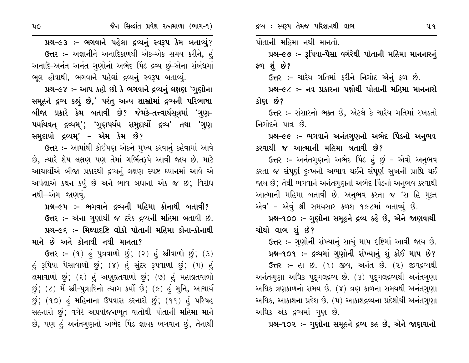પ્રશ્ન-૯૩ :- ભગવાને પહેલા દ્રવ્યનું સ્વરૂપ કેમ બતાવ્યું? ઉત્તર :- અજ્ઞાનીને અનાદિકાળથી એક-એક સમય કરીને, હં અનાદિ-અનંત અનંત ગુણોનો અભેદ પિંડ દ્રવ્ય છું-એના સંબંધમાં ભુલ હોવાથી, ભગવાને પહેલાં દ્રવ્યનું સ્વરૂપ બતાવ્યું.

પ્રશ્ન-૯૪ :- આપ કહો છો કે ભગવાને દ્રવ્યનું લક્ષણ 'ગુણોના સમૂહને દ્રવ્ય કહ્યું છે,' પરંતુ અન્ય શાસ્રોમાં દ્રવ્યની પરિભાષા બીજા પ્રકારે કેમ બતાવી છે? જેમકે–તત્ત્વાર્થસૂત્રમાં 'ગુણ– ૫યયિવત્ દ્રવ્યમ્'; 'ગુણપર્યય સમુદાયોં દ્રવ્ય' તથા 'ગુણ સમુદાયો દ્રવ્યમ્' – એમ કેમ છે?

ઉત્તર :- આમાંથી કોઈપણ એકને મુખ્ય કરવાનું કહેવામાં આવે છે, ત્યારે શેષ લક્ષણ પણ તેમાં ગર્ભિતરૂપે આવી જાય છે. માટે આચાર્યોએ બીજા પ્રકારથી દ્રવ્યનું લક્ષણ સ્પષ્ટ ધ્યાનમાં આવે એ અપેક્ષાએ કથન કર્યું છે અને ભાવ બધાનો એક જ છે; વિરોધ નથી—એમ જાણવું.

પ્રશ્ન–૯૫ :– ભગવાને દ્રવ્યની મહિમા કોનાથી બતાવી? ઉત્તર :– એના ગુણોથી જ દરેક દ્રવ્યની મહિમા બતાવી છે. પ્રશ્ન-૯૬ :- મિથ્યાદષ્ટિ લોકો પોતાની મહિમા કોના-કોનાથી માને છે અને કોનાથી નથી માનતા?

 $G$ ત્તર: – (૧) હું પુત્રવાળો છું; (૨) હું સ્રીવાળો છું; (૩) હું રૂપિયા પૈસાવાળો છું; (૪) હું સુંદર રૂપવાળો છું; (૫) હું ક્ષમાવાળો છું; (૬) હું અણુવ્રતવાળો છું; (૭) હું મહાવ્રતવાળો છું;  $($ ) મેં સ્રી-પુત્રાદિનો ત્યાગ કર્યો છે;  $($ ૯ $)$  હું મુનિ, આચાર્ય છું; (૧૦) હું મહિનાના ઉપવાસ કરનારો છું; (૧૧) હું પરિષહ સહનારો છું; વગેરે અપ્રયોજનભૂત વાતોથી પોતાની મહિમા માને છે, પણ હું અનંતગણનો અભેદ પિંડ જ્ઞાયક ભગવાન છું, તેનાથી પોતાની મહિમા નથી માનતો.

પ્રશ્ન-૯૭ :- રૂપિયા-પૈસા વગેરેથી પોતાની મહિમા માનનારનું ફળ શંછે?

ઉત્તર :- ચારેય ગતિમાં ફરીને નિગોદ એનું ફળ છે.

પ્રશ્ન–૯૮ ઃ– નવ પ્રકારના પક્ષોથી પોતાની મહિમા માનનારો કોણ છે?

ઉત્તર :- સંસારનો ભક્ત છે, એટલે કે ચારેય ગતિમાં રખડતો નિગોદને પાત્ર છે.

પ્રશ્ન–૯૯ :– ભગવાને અનંતગુણનો અભેદ પિંડનો અનુભવ કરવાથી જ આત્માની મહિમા બતાવી છે?

ઉત્તર :– અનંતગુણનો અભેદ પિંડ હું છું – એવો અનુભવ કરતા જ સંપૂર્ણ દુઃખનો અભાવ થઈને સંપૂર્ણ સુખની પ્રાપ્રિ થઈ જાય છે; તેથી ભગવાને અનંતગુણનો અભેદ પિંડનો અનુભવ કરવાથી આત્માની મહિમા બતાવી છે. અનુભવ કરતા જ 'સ હિ મુક્ત એવ' - એવું શ્રી સમયસાર કળશ ૧૯૮માં બતાવ્યું છે.

પ્રશ્ન-૧૦૦ ઃ- ગુણોના સમૂહને દ્રવ્ય કહે છે, એને જાણવાથી ચોથો લાભ શું છે?

ઉત્તર :- ગુણોની સંખ્યાનું સાચું માપ દષ્ટિમાં આવી જાય છે. પ્રશ્ન-૧૦૧ ઃ- દ્રવ્યમાં ગુણોની સંખ્યાનું શું કોઈ માપ છે?

ઉત્તર: - હા છે. (૧) જીવ, અનંત છે. (૨) જીવદ્રવ્યથી અનંતગણા અધિક પુદ્ગલદ્રવ્ય છે. (૩) પુદ્ગલદ્રવ્યથી અનંતગણા અધિક ત્રણકાળનો સમય છે. (૪) ત્રણ કાળના સમયથી અનંતગણા અધિક, આકાશના પ્રદેશ છે. (૫) આકાશદ્રવ્યના પ્રદેશોથી અનંતગુણા અધિક એક દ્રવ્યમાં ગણ છે.

પ્રશ્ન-૧૦૨ :- ગુણોના સમૂહને દ્રવ્ય કહ છે, એને જાણવાનો

 $\mathbf{u}\circ$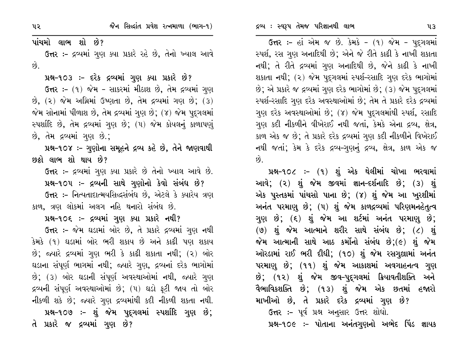ઉત્તર :- હાં એમ જ છે. કેમકે - (૧) જેમ - પુદ્ગલમાં સ્પર્શ, રસ ગુણ અનાદિથી છે; એને જે રીતે કાઢી કે નાખી શકાતા નથી; તે રીતે દ્રવ્યમાં ગુણ અનાદિથી છે, જેને કાઢી કે નાખી શકાતા નથી; (૨) જેમ પુદગલમાં સ્પર્શ-રસાદિ ગુણ દરેક ભાગોમાં છે; એ પ્રકારે જ દ્રવ્યમાં ગુણ દરેક ભાગોમાં છે; (3) જેમ પુદ્ગલમાં સ્પર્શ-રસાદિ ગુણ દરેક અવસ્થાઓમાં છે; તેમ તે પ્રકારે દરેક દ્રવ્યમાં ગણ દરેક અવસ્થાઓમાં છે; (૪) જેમ પુદગલમાંથી સ્પર્શ, રસાદિ ગુણ કદી નીકળીને વીખેરાઈ નથી જતાં, કેમકે એના દ્રવ્ય, ક્ષેત્ર, કાળ એક જ છે; તે પ્રકારે દરેક દ્રવ્યમાં ગુણ કદી નીકળીને વિખેરાઈ નથી જતાં; કેમ કે દરેક દ્રવ્ય-ગુણનું દ્રવ્ય, ક્ષેત્ર, કાળ એક જ  $\hat{8}$ .

પ્રશ્ન-૧૦૮ :- (૧) શું એક થેલીમાં ચોખા ભરવામાં આવે; (૨) શું જેમ જીવમાં જ્ઞાન-દર્શનાદિ છે; (૩) શું એક પુસ્તકમાં પાંચસો પાના છે; (૪) શું જેમ આ ખુરશીમાં અનંત પરમાણુ છે; (૫) શું જેમ કાળદ્રવ્યમાં પરિણમનહેતુત્વ ગુણ છે; (૬) શું જેમ આ શર્ટમાં અનંત પરમાણુ છે;  $(9)$  શું જેમ આત્માને શરીર સાથે સંબંધ છે;  $(2)$  શું જેમ આત્માની સાથે આઠ કર્મોનો સંબંધ છે; $(e)$  શું જેમ ઓરડામાં રાઈ ભરી દીધી; (૧૦) શું જેમ રસગુલ્રામાં અનંત પરમાણુ છે; (૧૧) શું જેમ આકાશમાં અવગાહનત્વ ગુણ છે; (૧૨) શું જેમ જીવ–પુદગલમાં ક્રિયાવતીશક્તિ અને વૈભાવિકશક્તિ છે; (૧૩) શું જેમ એક છતમાં હજારો માખીઓ છે, તે પ્રકારે દરેક દ્રવ્યમાં ગુણ છે?

ઉત્તર :- પૂર્વ પ્રશ્ન અનુસાર ઉત્તર શોધો.

પ્રશ્ન-૧૦૯ :- પોતાના અનંતગુણનો અભેદ પિંડ જ્ઞાયક

પાંચમો લાભ શો છે?

ઉત્તર :- દ્રવ્યમાં ગુણ ક્યા પ્રકારે રહે છે, તેનો ખ્યાલ આવે  $\hat{g}$ 

પ્રશ્ન-૧૦૩ :- દરેક દ્રવ્યમાં ગુણ ક્યા પ્રકારે છે?

ઉત્તર: – (૧) જેમ – સાકરમાં મીઠાશ છે, તેમ દ્રવ્યમાં ગુણ  $\hat{B}$ ,  $(2)$  જેમ અગ્નિમાં ઉષ્ણતા છે, તેમ દ્રવ્યમાં ગણ છે;  $(3)$ જેમ સોનામાં પીળાશ છે, તેમ દ્રવ્યમાં ગુણ છે; (૪) જેમ પુદગલમાં સ્પર્શાદિ છે, તેમ દ્રવ્યમાં ગુણ છે; (૫) જેમ કોયલનું કાળાપણું છે, તેમ દ્રવ્યમાં ગણ છે.;

પ્રશ્ન-૧૦૪ :- ગુણોના સમૂહને દ્રવ્ય કહે છે, તેને જાણવાથી છઠો લાભ શો થાય છે?

ઉત્તર :- દ્રવ્યમાં ગણ ક્યા પ્રકારે છે તેનો ખ્યાલ આવે છે. પ્રશ્ન-૧૦૫ :- દ્રવ્યની સાથે ગુણોનો કેવો સંબંધ છે?

ઉત્તર :- નિત્યતાદાત્મયસિદ્ધસંબંધ છે, એટલે કે ક્યારેય ત્રણ કાળ, ત્રણ લોકમાં અલગ નહિ થનારો સંબંધ છે.

પ્રશ્ન-૧૦૬ :- દ્રવ્યમાં ગુણ ક્યા પ્રકારે નથી?

ઉત્તર :- જેમ ઘડામાં બોર છે, તે પ્રકારે દ્રવ્યમાં ગણ નથી કેમકે (૧) ઘડામાં બોર ભરી શકાય છે અને કાઢી પણ શકાય છે; જ્યારે દ્રવ્યમાં ગુણ ભરી કે કાઢી શકાતા નથી; (૨) બોર ઘડાના સંપૂર્ણ ભાગમાં નથી; જ્યારે ગુણ, દ્રવ્યનાં દરેક ભાગોમાં છે; (૩) બોર ઘડાની સંપૂર્ણ અવસ્થાઓમાં નથી, જ્યારે ગુણ દ્રવ્યની સંપૂર્ણ અવસ્થાઓમાં છે; (૫) ઘડો ફટી જાય તો બોર નીકળી શકે છે; જ્યારે ગુણ દ્રવ્યમાંથી કદી નીકળી શકતા નથી. પ્રશ્ન-૧૦૭ :- શું જેમ પુદ્ગલમાં સ્પર્શાદિ ગુણ છે; તે પ્રકારે જ દ્રવ્યમાં ગુણ છે?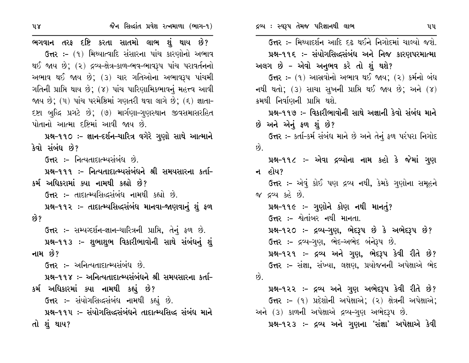| છે?       | ઉત્તર :- મિથ્યાદર્શન આદિ દઢ થઈને નિગોદમાં ચાલ્યો જશે.         |  |
|-----------|---------------------------------------------------------------|--|
| અભાવ      | પ્રશ્ન–૧૧૬ ઃ– સંયોગસિલ્દસંબંધ અને નિજ કારણપરમાત્મા            |  |
| ાવર્તનનો  | અલગ છે – એવો અનુભવ કરે તો શું થશે?                            |  |
| પાંચમી    | <b>ઉત્તર :-</b> (૧) આસ્રવોનો અભાવ થઈ જાય; (૨) કર્મનો બંધ      |  |
| ા આવી     | નથી થતો; (૩) સાચા સુખની પ્રાપ્તિ થઈ જાય છે; અને $(8)$         |  |
| ્રજ્ઞાતા- | ક્રમથી નિર્વાણની પ્રાપ્તિ થશે.                                |  |
| ાસરહિત    | પ્રશ્ન-૧૧૭ :- વિકારીભાવોની સાથે અજ્ઞાની કેવો સંબંધ માને       |  |
|           | છે અને એનું ફળ શું છે?                                        |  |
| માત્માને  | ઉત્તર :- કર્તા-કર્મ સંબંધ માને છે અને તેનું ફળ પરંપરા નિગોદ   |  |
|           | છે.                                                           |  |
|           | પ્રશ્ન-૧૧૮ :- એવા દ્રવ્યોના નામ કહો કે જેમાં ગુણ              |  |
| ા કર્તા–  | ન હોય?                                                        |  |
|           | <b>ઉત્તર ઃ-</b> એવું કોઈ પણ દ્રવ્ય નથી, કેમકે ગુણોના સમૂહને   |  |
|           | જ દ્રવ્ય કહે છે.                                              |  |
| શું ફળ    | પ્રશ્ન-૧૧૯ :- ગુણોને કોણ નથી માનતું?                          |  |
|           | ઉત્તર :- શ્વેતાંબર નથી માનતા.                                 |  |
| ં છે.     | પ્રશ્ન-૧૨૦ :- દ્રવ્ય-ગુણ, ભેદરૂપ છે કે અભેદરૂપ છે?            |  |
| ધનું શું  | ઉત્તર :- દ્રવ્ય-ગુણ, ભેદ-અભેદ બંનેરૂપ છે.                     |  |
|           | પ્રશ્ન-૧૨૧ ઃ- દ્રવ્ય અને ગુણ, ભેદરૂપ કેવી રીતે છે?            |  |
|           | <b>ઉત્તર :-</b> સંજ્ઞા, સંખ્યા, લક્ષણ, પ્રયોજનની અપેક્ષાએ ભેદ |  |
| ા કર્તા–  | છે.                                                           |  |
|           | પ્રશ્ન-૧૨૨ ઃ- દ્રવ્ય અને ગુણ અભેદરૂપ કેવી રીતે છે?            |  |
|           | ઉત્તર :- (૧) પ્રદેશોની અપેક્ષાએ; (૨) ક્ષેત્રની અપેક્ષાએ;      |  |
| ધ માને    | અને (૩) કાળની અપેક્ષાએ દ્રવ્ય-ગુણ અભેદરૂપ છે.                 |  |
|           | પ્રશ્ન-૧૨૩ ઃ- દ્રવ્ય અને ગણના 'સંજ્ઞા' અપેક્ષાએ કેવી          |  |

ભગવાન તરફ દષ્ટિ કરતા સાતમો લાભ શું થાય ઉત્તર :- (૧) મિથ્યાત્વાદિ સંસારના પાંચ કારણોનો થઈ જાય છે: (૨) દ્રવ્ય-ક્ષેત્ર-કાળ-ભવ-ભાવરૂપ પાંચ પરા અભાવ થઈ જાય છે; (૩) ચાર ગતિઓના અભાવરૂપ ગતિની પ્રાપ્તિ થાય છે; (૪) પાંચ પારિણામિકભાવનું મહત્ત્વ જાય છે; (૫) પાંચ પરમેષ્ઠિમાં ગણતરી થવા લાગે છે; (૬) દષ્ટા બુદ્ધિ પ્રગટે છે; (૭) માર્ગણા–ગુણસ્થાન જીવસમા પોતાનો આત્મા દષ્ટિમાં આવી જાય છે.

જૈન સિલ્દાંત પ્રવેશ રત્નમાળા (ભાગ–૧)

પ્રશ્ન-૧૧૦ ઃ- જ્ઞાન-દર્શન-ચારિત્ર વગેરે ગુણો સાથે ૨ કેવો સંબંધ છે?

ઉત્તર :- નિત્યતાદાત્મ્યસંબંધ છે.

પ્રશ્ન-૧૧૧ :- નિત્યતાદાત્મ્યસંબંધને શ્રી સમયસારના કર્મ અધિકરામાં ક્યા નામથી કહ્યો છે?

ઉત્તર :- તાદાત્મ્યસિદ્ધસંબંધ નામથી કહ્યો છે.

પ્રશ્ન-૧૧૨ :- તાદાત્મ્યસિદ્ધસંબંધ માનવા-જાણવાનું છે?

ઉત્તર :- સમ્યગ્દર્શન-જ્ઞાન-ચારિત્રની પ્રાપ્તિ, તેનું ફળ પ્રશ્ન-૧૧૩ :- શુભાશુભ વિકારીભાવોની સાથે સંબં નામ છે?

 $G<sub>t</sub>$ ર :- અનિત્યતાદાત્મ્યસંબંધ છે.

પ્રશ્ન-૧૧૪ :- અનિત્યતાદાત્મ્યસંબંધને શ્રી સમયસારન કર્મ અધિકારમાં ક્યા નામથી કહ્યું છે? ઉત્તર :- સંયોગસિદ્ધસંબંધ નામથી કહ્યું છે. પ્રશ્ન-૧૧૫ :- સંયોગસિદ્ધસંબંધને તાદાત્મ્યસિદ્ધ સંબંધ તો શું થાય?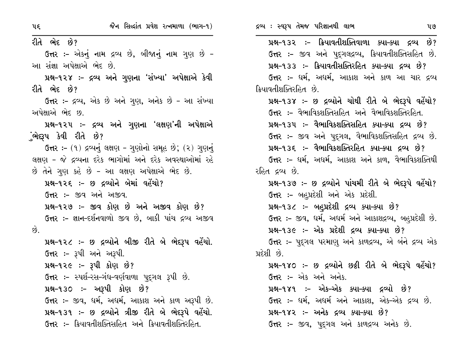| પદ્                                                      | જૈન સિદ્ધાંત પ્રવેશ રત્નમાળા (ભાગ-૧)                          | દ્રવ્ય : સ્વરૂપ તેમજ પરિજ્ઞાનથી લાભ<br>૫૭                       |
|----------------------------------------------------------|---------------------------------------------------------------|-----------------------------------------------------------------|
| રીતે ભેદ છે?                                             |                                                               | પ્રશ્ન-૧૩૨ :- ક્રિયાવતીશક્તિવાળા ક્યા-ક્યા દ્રવ્ય છે?           |
|                                                          | ઉત્તર :- એકનું નામ દ્રવ્ય છે, બીજાનું નામ ગુણ છે -            | <b>ઉત્તર :-</b> જીવ અને પુદ્દગલદ્રવ્ય, ક્રિયાવતીશક્તિસહિત છે.   |
| આ સંજ્ઞા અપેક્ષાએ ભેદ છે.                                |                                                               | પ્રશ્ન-૧૩૩ :- ક્રિયાવતીસક્તિરહિત ક્યા-ક્યા દ્રવ્ય છે?           |
|                                                          | પ્રશ્ન−૧૨૪ ઃ- દ્રવ્ય અને ગુણના 'સંખ્યા' અપેક્ષાએ કેવી         | <b>ઉત્તર :-</b> ધર્મ, અધર્મ, આકાશ અને કાળ આ ચાર દ્રવ્ય          |
| રીતે ભેદ છે?                                             |                                                               | ક્રિયાવતીશક્તિરહિત છે.                                          |
|                                                          | ઉત્તર :- દ્રવ્ય, એક છે અને ગુણ, અનેક છે - આ સંખ્યા            | પ્રશ્ન-૧૩૪ :- છ દ્રવ્યોને ચોથી રીતે બે ભેદરૂપે વહેંચો?          |
| અપેક્ષાએ ભેદ છ.                                          |                                                               | ઉત્તર :- વૈભાવિકશક્તિસહિત અને વૈભાવિકશક્તિરહિત.                 |
|                                                          | પ્રશ્ન-૧૨૫ ઃ- દ્રવ્ય અને ગુણના 'લક્ષણ'ની અપેક્ષાએ             | પ્રશ્ન-૧૩૫ ઃ- વૈભાવિકશક્તિસહિત ક્યા-ક્યા દ્રવ્ય છે?             |
| ુંભેદ્દપ કેવી રીતે છે?                                   |                                                               | ઉત્તર :- જીવ અને પુદ્ગલ, વૈભાવિકશક્તિસહિત દ્રવ્ય છે.            |
|                                                          | ઉત્તર: - (૧) દ્રવ્યનું લક્ષણ - ગુણોનો સમૂહ છે; (૨) ગુણનું     | પ્રશ્ન-૧૩૬ :- વૈભાવિકશક્તિરહિત ક્યા-ક્યા દ્રવ્ય છે?             |
| લક્ષણ - જે દ્રવ્યના દરેક ભાગોમાં અને દરેક અવસ્થાઓમાં રહે |                                                               | <b>ઉત્તર :-</b> ધર્મ, અધર્મ, આકાશ અને કાળ, વૈભાવિકશક્તિથી       |
| છે તેને ગુણ કહે છે - આ લક્ષણ અપેક્ષાએ ભેદ છે.            |                                                               | રહિત દ્રવ્ય છે.                                                 |
|                                                          | પ્રશ્ન-૧૨૬ :- છ દ્રવ્યોને બેમાં વહેંચો?                       | પ્રશ્ન-૧૩૭ :- છ દ્રવ્યોને પાંચમી રીતે બે ભેદરૂપે વહેંચો?        |
| ઉત્તર :- જીવ અને અજીવ.                                   |                                                               | ઉત્તર :- બહુપ્રદેશી અને એક પ્રદેશી.                             |
|                                                          | પ્રશ્ન-૧૨૭ :- જીવ કોણ છે અને અજીવ કોણ છે?                     | પ્રશ્ન-૧૩૮ :- બહુપ્રદેશી દ્રવ્ય ક્યા-ક્યા છે?                   |
|                                                          | <b>ઉત્તર :-</b> જ્ઞાન-દર્શનવાળો જીવ છે, બાકી પાંચ દ્રવ્ય અજીવ | <b>ઉત્તર :-</b> જીવ, ધર્મ, અધર્મ અને આકાશદ્રવ્ય, બહુપ્રદેશી છે. |
| છે.                                                      |                                                               | પ્રશ્ન-૧૩૯ :- એક પ્રદેશી દ્રવ્ય ક્યા-ક્યા છે?                   |
|                                                          | પ્રશ્ન-૧૨૮ :- છ દ્રવ્યોને બીજી રીતે બે ભેદરૂપ વહેંચો.         | <b>ઉત્તર :-</b> પુદ્ગલ પરમાણુ અને કાળદ્રવ્ય, એ બંને દ્રવ્ય એક   |
| <b>ઉત્તર :-</b> રૂપી અને અરૂપી.                          |                                                               | પ્રદેશી છે.                                                     |
|                                                          | પ્રશ્ન-૧૨૯ :- રૂપી કોણ છે?                                    | પ્રશ્ન-૧૪૦ :- છ દ્રવ્યોને છઠ્ઠી રીતે બે ભેદરૂપે વહેંચો?         |
|                                                          | <b>ઉત્તર :-</b> સ્પર્શ-રસ-ગંધ-વર્ણવાળા પુદ્દગલ રૂપી છે.       | ઉત્તર :- એક અને અનેક.                                           |
| પ્રશ્ન-૧૩૦ ઃ- અરૂપી કોણ છે?                              |                                                               | પ્રશ્ન-૧૪૧ :- એક-એક ક્યા-ક્યા દ્રવ્યો છે?                       |
| <b>ઉત્તર :-</b> જીવ, ધર્મ, અધર્મ, આકાશ અને કાળ અરૂપી છે. |                                                               | <b>ઉત્તર :-</b> ધર્મ, અધર્મ અને આકાશ, એક-એક દ્રવ્ય છે.          |
|                                                          | પ્રશ્ન-૧૩૧ ઃ- છ દ્રવ્યોને ત્રીજી રીતે બે ભેદરૂપે વહેંચો.      | પ્રશ્ન-૧૪૨ :- અનેક દ્રવ્ય ક્યા-ક્યા છે?                         |
|                                                          | <b>ઉત્તર :-</b> ક્રિયાવતીશક્તિસહિત અને ક્રિયાવતીશક્તિરહિત.    | <b>ઉત્તર :-</b> જીવ, પુદ્દગલ અને કાળદ્રવ્ય અનેક છે.             |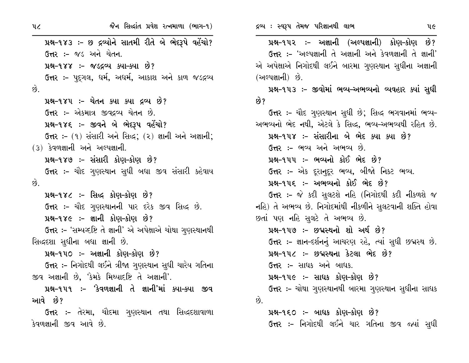જૈન સિદ્ધાંત પ્રવેશ રત્નમાળા (ભાગ-૧) પ્રશ્ન-૧૪૩ :- છ દ્રવ્યોને સાતમી રીતે બે ભેદરૂપે વહેંચો? **ઉત્તર :-** જડ અને ચેતન. પ્રશ્ન–૧૪૪ :– જડદ્રવ્ય ક્યા–ક્યા છે? ઉત્તર :- પુદગલ, ધર્મ, અધર્મ, આકાશ અને કાળ જડદ્રવ્ય  $\hat{g}$ . પ્રશ્ન-૧૪૫ :- ચેતન ક્યા ક્યા દ્રવ્ય છે? ઉત્તર :- એકમાત્ર જીવદ્રવ્ય ચેતન છે. પ્રશ્ન-૧૪૬ :- જીવને બે ભેદરૂપ વહેંચો? ઉત્તર :- (૧) સંસારી અને સિદ્ધ; (૨) જ્ઞાની અને અજ્ઞાની;  $(3)$  કેવળજ્ઞાની અને અલ્પજ્ઞાની. પ્રશ્ન-૧૪૭ :- સંસારી કોણ-કોણ છે? **ઉત્તર :-** ચૌદ ગુણસ્થાન સુધી બધા જીવ સંસારી કહેવાય  $\hat{p}$ પ્રશ્ન-૧૪૮ :- સિદ્ધ કોણ-કોણ છે? ઉત્તર :- ચૌદ ગુણસ્થાનની પાર દરેક જીવ સિદ્ધ છે. પ્રશ્ન-૧૪૯ :- જ્ઞાની કોણ-કોણ છે? ઉત્તર :- 'સમ્યગ્દષ્ટિ તે જ્ઞાની' એ અપેક્ષાએ ચોથા ગુણસ્થાનથી સિદ્ધદશા સુધીના બધા જ્ઞાની છે. પ્રશ્ન-૧૫૦ :- અજ્ઞાની કોણ-કોણ છે? ઉત્તર :- નિગોદથી લઈને ત્રીજા ગુણસ્થાન સુધી ચારેય ગતિના જીવ અજ્ઞાની છે, 'કેમકે મિથ્યાદષ્ટિ તે અજ્ઞાની'. પ્રશ્ન-૧૫૧ :- 'કેવળજ્ઞાની તે જ્ઞાની'માં ક્યા-ક્યા જીવ આવે છે? **ઉત્તર :-** તેરમા, ચૌદમા ગુણસ્થાન તથા સિદ્ધદશાવાળા કેવળજ્ઞાની જીવ આવે છે.

પ્રશ્ન-૧૫૨ :- અજ્ઞાની (અલ્પજ્ઞાની) કોણ-કોણ છે? ઉત્તર :- 'અલ્પજ્ઞાની તે અજ્ઞાની અને કેવળજ્ઞાની તે જ્ઞાની' એ અપેક્ષાએ નિગોદથી લઈને બારમા ગણસ્થાન સધીના અજ્ઞાની (અલ્પજ્ઞાની) છે. પ્રશ્ન-૧૫૩ :- જીવોમાં ભવ્ય-અભવ્યનો વ્યવહાર ક્યાં સુધી છે? ઉત્તર :- ચૌદ ગુણસ્થાન સુધી છે; સિદ્ધ ભગવાનમાં ભવ્ય-અભવ્યનો ભેદ નથી, એટલે કે સિદ્ધ, ભવ્ય-અભવ્યથી રહિત છે. પ્રશ્ન-૧૫૪ :- સંસારીના બે ભેદ ક્યા ક્યા છે? ઉત્તર :- ભવ્ય અને અભવ્ય છે. પ્રશ્ન-૧૫૫ :- ભવ્યનો કોઈ ભેદ છે? ઉત્તર :- એક દરાનુદર ભવ્ય, બીજો નિકટ ભવ્ય. પ્રશ્ન-૧૫૬ :- અભવ્યનો કોઈ ભેદ છે? ઉત્તર :- જે કદી સુલટશે નહિ (નિગોદથી કદી નીકળશે જ નહિ) તે અભવ્ય છે. નિગોદમાંથી નીકળીને સુલટવાની શક્તિ હોવા છતાં પણ નહિ સુલટે તે અભવ્ય છે. પ્રશ્ન-૧૫૭ :- છદ્મસ્થનો શો અર્થ છે? ઉત્તર:- જ્ઞાન-દર્શનનું આચરણ રહે, ત્યાં સુધી છદ્મસ્થ છે. પ્રશ્ન-૧૫૮ :- છદ્મસ્થના કેટલા ભેદ છે? ઉત્તર :- સાધક અને બાધક. પ્રશ્ન-૧૫૯ :- સાઘક કોણ-કોણ છે? ઉત્તર :- ચોથા ગુણસ્થાનથી બારમા ગુણસ્થાન સુધીના સાધક  $\hat{\mathcal{O}}$ . પ્રશ્ન-૧૬૦ ઃ- બાઘક કોણ-કોણ છે? ઉત્તર :- નિગોદથી લઈને ચાર ગતિના જીવ જ્યાં સુધી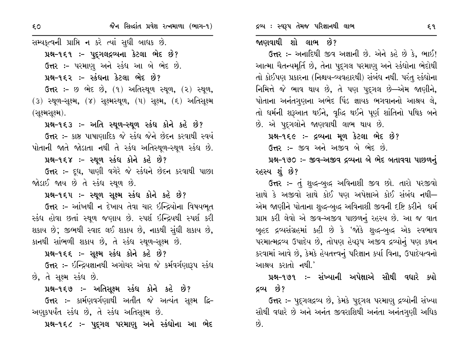સમ્યક્ત્વની પ્રાપ્તિ ન કરે ત્યાં સુધી બાધક છે. પ્રશ્ન-૧૬૧ :- પુદ્ગલદ્રવ્યના કેટલા ભેદ છે? ઉત્તર :- પરમાણુ અને સ્કંધ આ બે ભેદ છે. પ્રશ્ન-૧૬૨ :- સ્કંધના કેટલા ભેદ છે? ઉત્તર :- છ ભેદ છે, (૧) અતિસ્થૂળ સ્થૂળ, (૨) સ્થૂળ, (3) સ્થૂળ-સૂક્ષ્મ, (૪) સૂક્ષ્મસ્થૂળ, (૫) સૂક્ષ્મ, (૬) અતિસૂક્ષ્મ (સૂક્ષ્મસૂક્ષ્મ). પ્રશ્ન-૧૬૩ :- અતિ સ્થૂળ-સ્થૂળ સ્કંધ કોને કહે છે? ઉત્તર :- કાષ્ઠ પાષાણાદિક જે સ્કંધ જેને છેદન કરવાથી સ્વયં પોતાની જાતે જોડાતા નથી તે સ્કંધ અતિસ્થૂળ-સ્થૂળ સ્કંધ છે. પ્રશ્ન-૧૬૪ :- સ્થળ સ્કંધ કોને કહે છે? ઉત્તર :- દૂધ, પાણી વગેરે જે સ્કંધને છેદન કરવાથી પાછા જોડાઈ જાય છે તે સ્કંધ સ્થળ છે. પ્રશ્ન-૧૬૫ :- સ્થૂળ સૂક્ષ્મ સ્કંધ કોને કહે છે? ઉત્તર :- આંખથી ન દેખાય તેવા ચાર ઇન્દ્રિયોના વિષયભૂત સ્કંધ હોવા છતાં સ્થુળ જણાય છે. સ્પર્શ ઇન્દ્રિયથી સ્પર્શ કરી શકાય છે; જીભથી સ્વાદ લઈ શકાય છે, નાકથી સુંઘી શકાય છે, કાનથી સાંભળી શકાય છે, તે સ્કંધ સ્થળ-સૂક્ષ્મ છે. પ્રશ્ન-૧૬૬ :- સૂક્ષ્મ સ્કંધ કોને કહે છે? ઉત્તર :- ઇન્દ્રિયજ્ઞાનથી અગોચર એવા જે કર્મવર્ગણારૂપ સ્કંધ છે, તે સૂક્ષ્મ સ્કંધ છે. પ્રશ્ન-૧૬૭ :- અતિસૂક્ષ્મ સ્કંધ કોને કહે છે?

ઉત્તર :- કાર્મણવર્ગણાથી અતીત જે અત્યંત સુક્ષ્મ દ્વિ-અણુકપર્યંત સ્કંધ છે, તે સ્કંધ અતિસૂક્ષ્મ છે.

પ્રશ્ન-૧૬૮ ઃ- પુદ્ગલ પરમાણુ અને સ્કંઘોના આ ભેદ

#### જાણવાથી શો લાભ છે?

ઉત્તર :- અનાદિથી જીવ અજ્ઞાની છે. એને કહે છે કે, ભાઈ! આત્મા ચૈતન્યમૂર્તિ છે, તેના પુદ્ગલ પરમાણુ અને સ્કંધોના ભેદોથી તો કોઈપણ પ્રકારના (નિશ્ચય-વ્યવહારથી) સંબંધ નથી. પરંતુ સ્કંધોના નિમિત્તે જે ભાવ થાય છે, તે પણ પદુગલ છે—એમ જાણીને, પોતાના અનંતગુણના અભેદ પિંડ જ્ઞાયક ભગવાનનો આશ્રય લે, તો ધર્મની શરૂઆત થઈને, વૃદ્ધિ થઈને પૂર્ણ શાંતિનો પથિક બને છે. એ પદ્ગલોને જાણવાથી લાભ થાય છે.

પ્રશ્ન-૧૬૯ :- દ્રવ્યના મૂળ કેટલા ભેદ છે?

ઉત્તર :- જીવ અને અજીવ બે ભેદ છે.

પ્રશ્ન-૧૭૦ :- જીવ-અજીવ દ્રવ્યના બે ભેદ બતાવવા પાછળનું રહસ્ય શું છે?

**ઉત્તર :-** તું શુદ્ધ-બુદ્ધ અવિનાશી જીવ છો. તારો પરજીવો સાથે કે અજીવો સાથે કોઈ પણ અપેક્ષાએ કોઈ સંબંધ નથી-એમ જાણીને પોતાના શુદ્ધ-બુદ્ધ અવિનાશી જીવની દષ્ટિ કરીને ઘર્મ પ્રાપ્ત કરી લેવો એ જીવ-અજીવ પાછળનું રહસ્ય છે. આ જ વાત બુહદ દ્રવ્યસંગ્રહમાં કહી છે કે 'જોકે શુદ્ધ-બુદ્ધ એક સ્વભાવ પરમાત્મદ્રવ્ય ઉપાદેય છે, તોપણ હેયરૂપ અજીવ દ્રવ્યોનું પણ કથન કરવામાં આવે છે, કેમકે હેયતત્ત્વનું પરિજ્ઞાન કર્યા વિના, ઉપાદેયત્વનો આશ્રય કરાતો નથી.'

પ્રશ્ન–૧૭૧ :– સંખ્યાની અપેક્ષાએ સૌથી વધારે ક્યો દ્રવ્ય છે?

ઉત્તર ઃ- પુદુગલદ્રવ્ય છે, કેમકે પુદુગલ પરમાણુ દ્રવ્યોની સંખ્યા સૌથી વધારે છે અને અનંત જીવરાશિથી અનંતા અનંતગુણી અધિક છે.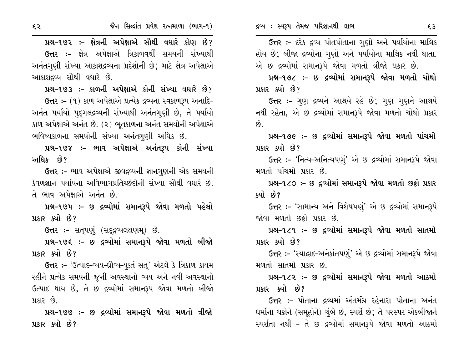ઉત્તર :- દરેક દ્રવ્ય પોતપોતાના ગુણો અને પર્યાયોના માલિક હોય છે; બીજા દ્રવ્યોના ગુણો અને પર્યાયોના માલિક નથી થાતા. એ છ દ્રવ્યોમાં સમાનરૂપે જોવા મળતો ત્રીજો પ્રકાર છે.

પ્રશ્ન-૧૭૮ :- છ દ્રવ્યોમાં સમાનરૂપે જોવા મળતો ચોથો પ્રકાર કર્યો છે?

ઉત્તર :- ગુણ દ્રવ્યને આશ્રયે રહે છે; ગુણ ગુણને આશ્રયે નથી રહેતા, એ છ દ્રવ્યોમાં સમાનરૂપે જોવા મળતો ચોથો પ્રકાર  $\hat{g}$ 

પ્રશ્ન-૧૭૯ :- છ દ્રવ્યોમાં સમાનરૂપે જોવા મળતો પાંચમો પ્રકાર ક્યો છે?

ઉત્તર :- 'નિત્ય-અનિત્યપણું' એ છ દ્રવ્યોમાં સમાનરૂપે જોવા મળતો પાંચમો પ્રકાર છે.

પ્રશ્ન-૧૮૦ :- છ દ્રવ્યોમાં સમાનરૂપે જોવા મળતો છઠ્ઠો પ્રકાર ક્યો છે?

ઉત્તર :– 'સામાન્ય અને વિશેષપણું' એ છ દ્રવ્યોમાં સમાનરૂપે જોવા મળતો છઠ્ઠો પ્રકાર છે.

પ્રશ્ન-૧૮૧ :- છ દ્રવ્યોમાં સમાનરૂપે જોવા મળતો સાતમો પ્રકાર ક્યો છે?

ઉત્તર :- 'સ્યાદ્રાદ-અનેકાંતપણું' એ છ દ્રવ્યોમાં સમાનરૂપે જોવા મળતો સાતમો પ્રકાર છે.

પ્રશ્ન-૧૮૨ :- છ દ્રવ્યોમાં સમાનરૂપે જોવા મળતો આઠમો પ્રકાર ક્યો છે?

ઉત્તર :- પોતાના દ્રવ્યમાં અંતર્મગ્ન રહેનારા પોતાના અનંત ઘર્મોના ચક્રોને (સમૂહોને) ચુંબે છે, સ્પર્શે છે; તે પરસ્પર એકબીજાને સ્પર્શતા નથી - તે છ દ્રવ્યોમાં સમાનરૂપે જોવા મળતો આઠમો

પ્રશ્ન-૧૭૨ :- ક્ષેત્રની અપેક્ષાએ સૌથી વધારે કોણ છે? ઉત્તર :- ક્ષેત્ર અપેક્ષાએ ત્રિકાળવર્થી સમયની સંખ્યાથી અનંતગણી સંખ્યા આકાશદ્રવ્યના પ્રદેશોની છે. માટે ક્ષેત્ર અપેક્ષાએ આકાશદ્રવ્ય સૌથી વધારે છે.

પ્રશ્ન-૧૭૩ :- કાળની અપેક્ષાએ કોની સંખ્યા વધારે છે? ઉત્તર: – (૧) કાળ અપેક્ષાએ પ્રત્યેક દ્રવ્યના સ્વકાળરૂપ અનાદિ-અનંત પર્યાયો પદ્ગલદ્રવ્યની સંખ્યાથી અનંતગુણી છે, તે પર્યાયો કાળ અપેક્ષાએ અનંત છે. (૨) ભૂતકાળના અનંત સમયોની અપેક્ષાએ ભવિષ્યકાળના સમયોની સંખ્યા અનંતગણી અધિક છે.

પ્રશ્ન-૧૭૪ :- ભાવ અપેક્ષાએ અનંતરૂપ કોની સંખ્યા અધિક છે?

ઉત્તર :- ભાવ અપેક્ષાએ જીવદ્રવ્યની જ્ઞાનગુણની એક સમયની કેવળજ્ઞાન પર્યાયના અવિભાગપ્રતિચ્છેદોની સંખ્યા સૌથી વધારે છે. તે ભાવ અપેક્ષાએ અનંત છે.

પ્રશ્ન-૧૭૫ :- છ દ્રવ્યોમાં સમાનરૂપે જોવા મળતો પહેલો પ્રકાર ક્યો છે?

ઉત્તર :- સતૃપણું (સદ્દદ્રવ્યલક્ષણમ્) છે.

પ્રશ્ન-૧૭૬ :- છ દ્રવ્યોમાં સમાનરૂપે જોવા મળતો બીજો પ્રકાર ક્યો છે?

ઉત્તર: - 'ઉત્પાદ-વ્યય-ધ્રૌવ્ય-યુક્તં સત્' એટલે કે ત્રિકાળ કાયમ રહીને પ્રત્યેક સમયની જૂની અવસ્થાનો વ્યય અને નવી અવસ્થાનો ઉત્પાદ થાય છે, તે છ દ્રવ્યોમાં સમાનરૂપ જોવા મળતો બીજો પ્રકાર છે.

પ્રશ્ન-૧૭૭ :- છ દ્રવ્યોમાં સમાનરૂપે જોવા મળતો ત્રીજો પ્રકાર કર્યો છે?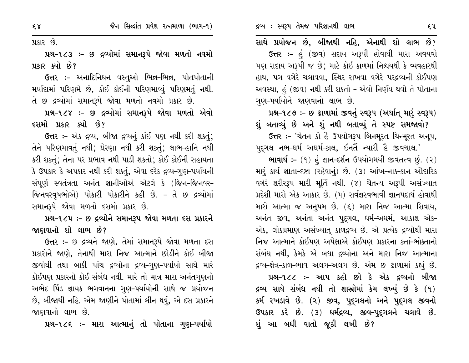પ્રકાર છે.

પ્રશ્ન-૧૮૩ :- છ દ્રવ્યોમાં સમાનરૂપે જોવા મળતો નવમો પ્રકાર કર્યો છે?

ઉત્તર :- અનાદિનિધન વસ્તુઓ ભિન્ન-ભિન્ન, પોતપોતાની મર્યાદામાં પરિણમે છે, કોઈ કોઈની પરિણમાવ્યું પરિણમતું નથી. તે છ દ્રવ્યોમાં સમાનરૂપે જોવા મળતો નવમો પ્રકાર છે.

પ્રશ્ન-૧૮૪ :- છ દ્રવ્યોમાં સમાનરૂપે જોવા મળતો એવો દસમો પ્રકાર ક્યો છે?

ઉત્તર :- એક દ્રવ્ય, બીજા દ્રવ્યનું કાંઈ પણ નથી કરી શકતું; તેને પરિણમાવતું નથી; પ્રેરણા નથી કરી શકતું; લાભ-હાનિ નથી કરી શકતું; તેના પર પ્રભાવ નથી પાડી શકતો; કોઈ કોઈની સહાયતા કે ઉપકાર કે અપકાર નથી કરી શકતું, એવા દરેક દ્રવ્ય-ગુણ-પર્યાયની સંપૂર્ણ સ્વતંત્રતા અનંત જ્ઞાનીઓએ એટલે કે (જિન-જિનવર-જિનવરવૃષભોએ) પોકારી પોકારીને કહી છે. - તે છ દ્રવ્યોમાં સમાનરૂપે જોવા મળતો દસમો પ્રકાર છે.

પ્રશ્ન-૧૮૫: - છ દ્રવ્યોને સમાનરૂપ જોવા મળતા દસ પ્રકારને જાણવાનો શો લાભ છે?

ઉત્તર :- છ દ્રવ્યને જાણે, તેમાં સમાનરૂપે જોવા મળતા દસ પ્રકારોને જાણે, તેનાથી મારા નિજ આત્માને છોડીને કોઈ બીજા જીવોથી તથા બાકી પાંચ દ્રવ્યોના દ્રવ્ય–ગુણ–પર્યાયો સાથે મારે કોઈપણ પ્રકારનો કોઈ સંબંધ નથી. મારે તો માત્ર મારા અનંતગુણનો અભેદ પિંડ જ્ઞાયક ભગવાનના ગુણ-પર્યાયોની સાથે જ પ્રયોજન છે, બીજાથી નહિ. એમ જાણીને પોતામાં લીન થવું, એ દસ પ્રકારને જાણવાનો લાભ છે.

પ્રશ્ન-૧૮૬ :- મારા આત્માનું તો પોતાના ગુણ-પર્યાયો

સાથે પ્રયોજન છે, બીજાથી નહિ, એનાથી શો લાભ છે? ઉત્તર :- હું (જીવ) સદાય અરૂપી હોવાથી મારા અવયવો પણ સદાય અરૂપી જ છે; માટે કોઈ કાળમાં નિશ્ચયથી કે વ્યવહારથી હાથ, પગ વગેરે ચલાવવા, સ્થિર રાખવા વગેરે પરદ્રવ્યની કોઈપણ અવસ્થા, હું (જીવ) નથી કરી શકતો – એવો નિર્ણય થવો તે પોતાના ગુણ-પર્યાયોને જાણવાનો લાભ છે.

પ્રશ્ન-૧૮૭ :- છ ઢાળામાં જીવનું સ્વરૂપ (અર્થાતુ મારું સ્વરૂપ) શું બતાવ્યું છે અને શું નથી બતાવ્યું તે સ્પષ્ટ સમજાવો?

ઉત્તર :- 'ચેતન કો હૈ ઉપયોગરૂપ બિનમૂરત ચિન્મૂરત અનૂપ, પદુગલ નભ-ધર્મ અધર્મ-કાલ, ઇનતૈં ન્યારી હૈ જીવચાલ.'

ભાવાર્થ :- (૧) હં જ્ઞાન-દર્શન ઉપયોગમયી જીવતત્ત્વ છું. (૨) મારૂં કાર્ય જ્ઞાતા-દષ્ટા (રહેવાનું) છે. (3) આંખ-નાક-કાન ઔદારિક વગેરે શરીરરૂપ મારી મૂર્તિ નથી. (૪) ચૈતન્ય અરૂપી અસંખ્યાત પ્રદેશી મારો એક આકાર છે. (૫) સર્વજ્ઞસ્વભાવી જ્ઞાનપદાર્થ હોવાથી મારો આત્મા જ અનૂપમ છે. (૬) મારા નિજ આત્મા સિવાય, અનંત જીવ, અનંતા અનંત પુદ્ગલ, ધર્મ-અધર્મ, આકાશ એક-એક, લોકપ્રમાણ અસંખ્યાત્ કાળદ્રવ્ય છે. એ પ્રત્યેક દ્રવ્યોથી મારા નિજ આત્માને કોઈપણ અપેક્ષાએ કોઈપણ પ્રકારના કર્તા-ભોક્તાનો સંબંધ નથી, કેમકે એ બધા દ્રવ્યોના અને મારા નિજ આત્માના દ્રવ્ય-ક્ષેત્ર-કાળ-ભાવ અલગ-અલગ છે. એમ છ ઢાળામાં કહ્યું છે.

પ્રશ્ન-૧૮૮ :- આપ કહો છો કે એક દ્રવ્યનો બીજા દ્રવ્ય સાથે સંબંધ નથી તો શાસ્રોમાં કેમ લખ્યું છે કે (૧) કર્મ રખડાવે છે. (૨) જીવ, પુદ્દગલનો અને પુદ્દગલ જીવનો ઉપકાર કરે છે. (૩) ધર્મદ્રવ્ય, જીવ-પુદ્ગલને ચલાવે છે. શું આ બધી વાતો જૂઠી લખી છે?

 $58$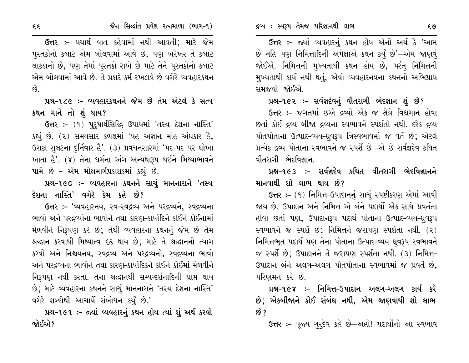ઉત્તર :- જ્યાં વ્યવહારનું કથન હોય એનો અર્થ કે 'આમ છે નહિ પણ નિમિત્તાદિની અપેક્ષાએ કથન કર્યું છે'—એમ જાણવું જોઈએ. નિમિત્તની મુખ્યતાથી કથન હોય છે, પરંતુ નિમિત્તની મુખ્યતાથી કાર્ય નથી થતું, એવો વ્યવહારનયના કથનનો અભિપ્રાય સમજવો જોઈએ.

# પ્રશ્ન-૧૯૨ :- સર્વજ્ઞદેવનું વીતરાગી ભેદજ્ઞાન શું છે?

ઉત્તર :- જગતમાં છએ દ્રવ્યો એક જ ક્ષેત્રે વિદ્યમાન હોવા છતાં કોઈ દ્રવ્ય બીજા દ્રવ્યના સ્વભાવને સ્પર્શતો નથી. દરેક દ્રવ્ય પોતપોતાના ઉત્પાદ-વ્યય-ધ્રવરૂપ ત્રિસ્વભાવમાં જ વર્તે છે; એટલે પ્રત્યેક દ્રવ્ય પોતાના સ્વભાવને જ સ્પર્શે છે -એ છે સર્વજ્ઞદેવ કથિત વીતરાગી ભેદવિજ્ઞાન.

# પ્રશ્ન-૧૯૩ :- સર્વજ્ઞદેવ કથિત વીતરાગી ભેદવિજ્ઞાનને માનવાથી શો લાભ થાય છે?

ઉત્તર :- (૧) નિમિત્ત-ઉપાદાનનું સાચું સ્પષ્ટીકરણ એમાં આવી જાય છે. ઉપાદાન અને નિમિત્ત એ બંને પદાર્થો એક સાથે પ્રવર્તતા હોવા છતાં પણ, ઉપાદાનરૂપ પદાર્થ પોતાના ઉત્પાદ-વ્યય-ધ્રુવરૂપ સ્વભાવને જ સ્પર્શે છે; નિમિત્તને જરાપણ સ્પર્શતા નથી. (૨) નિમિત્તભૂત પદાર્થ પણ તેના પોતાના ઉત્પાદ-વ્યય ધ્રુવરૂપ સ્વભાવને જ સ્પર્શે છે; ઉપાદાનને તે જરાપણ સ્પર્શતા નથી. (૩) નિમિત્ત-ઉપાદાન બંને અલગ-અલગ પોતપોતાના સ્વભાવમાં જ પ્રવર્તે છે, પરિણમન કરે છે.

પ્રશ્ન-૧૯૪ :- નિમિત્ત-ઉપાદાન અલગ-અલગ કાર્ય કરે છે; એકબીજાને કોઈ સંબંધ નથી, એમ જાણવાથી શો લાભ છે ?

**ઉત્તર :-** પૂજ્ય ગુરૃદેવ કહે છે—અહો! પદાર્થોનો આ સ્વભાવ

ઉત્તર :- યથાર્થ વાત કહેવામાં નથી આવતી; માટે જેમ પુસ્તકોનો કબાટ એમ બોલવામાં આવે છે, પણ ખરેખર તે કબાટ લાકડાનો છે, પણ તેમાં પુસ્તકો રાખે છે માટે તેને પુસ્તકોનો કબાટ એમ બોલવામાં આવે છે. તે પ્રકારે કર્મ રખડાવે છે વગેરે વ્યવહારકથન  $\hat{g}$ .

# પ્રશ્ન-૧૮૯ :- વ્યવહારકથનને જેમ છે તેમ એટલે કે સત્ય કથન માને તો શું થાય?

ઉત્તર :- (૧) પુરુષાર્થસિલ્દિ ઉપાયમાં 'તસ્ય દેશના નાસ્તિ' કહ્યું છે. (૨) સમયસાર કળશમાં 'યહ અજ્ઞાન મોહ અંઘકાર હૈ, ઉસકા સુલટના દુર્નિવાર હૈ'. (૩) પ્રવચનસારમાં 'પદ-પદ પર ધોખા ખાતા હૈ'. (૪) તેના ધર્મના અંગ અન્યથારૂપ થઈને મિથ્યાભાવને પામે છે - એમ મોક્ષમાર્ગપ્રકાશકમાં કહ્યું છે.

# પ્રશ્ન-૧૯૦ :- વ્યવહારના કથનને સાચું માનનારાને 'તસ્ય દેશના નાસ્તિ' વગેરે કેમ કહે છે?

ઉત્તર :- 'વ્યવહારનય, સ્વ-સ્વદ્રવ્ય અને પરદ્રવ્યને, સ્વદ્રવ્યના ભાવો અને પરદ્રવ્યોના ભાવોને તથા કારણ-કાર્યાદિને કોઈને કોઈનામાં મેળવીને નિરૂપણ કરે છે; તેથી વ્યવહારના કથનનું જેમ છે તેમ શ્રદ્ધાન કરવાથી મિથ્યાત્વ દઢ થાય છે; માટે તે શ્રદ્ધાનનો ત્યાગ કરવો અને નિશ્ચયનય, સ્વદ્રવ્ય અને પરદ્રવ્યનો, સ્વદ્રવ્યના ભાવો અને પરદ્રવ્યના ભાવોને તથા કારણ-કાર્યાદિકને કોઈને કોઈમાં મેળવીને નિરૂપણ નથી કરતા. તેના શ્રદ્ધાનથી સમ્યગ્દર્શનાદિની પ્રાપ્ત થાય છે; માટે વ્યવહારના કથનને સાચું માનનારાને 'તસ્ય દેશના નાસ્તિ' વગેરે શબ્દોથી આચાર્યે સંબોધન કર્યું છે.'

પ્રશ્ન-૧૯૧ :- જ્યાં વ્યવહારનું કથન હોય ત્યાં શું અર્થ કરવો જોઈએ ?

 $\xi \xi$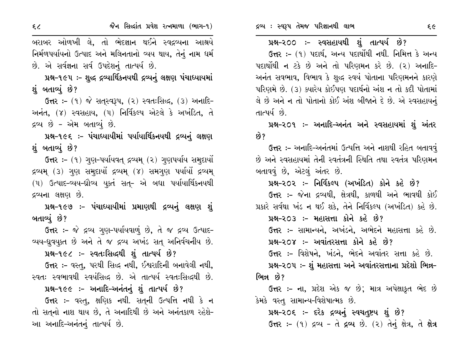બરાબર ઓળખી લે, તો ભેદજ્ઞાન થઈને સ્વદ્રવ્યના આશ્રયે નિર્મળપર્યાયનો ઉત્પાદ અને મલિનતાનો વ્યય થાય, તેનું નામ ધર્મ છે. એ સર્વજ્ઞના સર્વ ઉપદેશનું તાત્પર્ય છે.

પ્રશ્ન-૧૯૫ :- શુદ્ધ દ્રવ્યાર્થિકનયથી દ્રવ્યનું લક્ષણ પંચાધ્યાયમાં શંબતાવ્યં છે?

 $6\pi$  :-  $(9)$  જે સત્સ્વરૂપ,  $(2)$  સ્વત:સિદ્ધ,  $(3)$  અનાદિ-અનંત, (૪) સ્વસહાય, (૫) નિર્વિકલ્પ એટલે કે અખંડિત, તે દ્રવ્ય છે - એમ બતાવ્યું છે.

પ્રશ્ન-૧૯૬ :- પંચાધ્યાયીમાં પર્યાયાર્થિકનયથી દ્રવ્યનું લક્ષણ શું બતાવ્યું છે?

ઉત્તર :- (૧) ગુણ-પર્યાયવત્ દ્રવ્યમ્ (૨) ગુણપર્યાય સમુદાયો દ્રવ્યમ્ (૩) ગુણ સમુદાયોં દ્રવ્યમ્ (૪) સમગુણ પર્યાયોં દ્રવ્યમ્ (૫) ઉત્પાદ-વ્યય-ઘ્રૌવ્ય યુક્તં સતુ- એ બધા પર્યાયાર્થિકનયથી દ્રવ્યના લક્ષણ છે.

પ્રશ્ન-૧૯૭ :- પંચાધ્યાયીમાં પ્રમાણથી દ્રવ્યનું લક્ષણ શું બતાવ્યું છે?

ઉત્તર :- જે દ્રવ્ય ગુણ-પર્યાયવાળું છે, તે જ દ્રવ્ય ઉત્પાદ-વ્યય-ધ્રુવયૂક્ત છે અને તે જ દ્રવ્ય અખંડ સતુ અનિર્વચનીય છે.

પ્રશ્ન-૧૯૮ :- સ્વતઃસિદ્ધથી શું તાત્પર્ય છે?

ઉત્તર :- વસ્તુ, પરથી સિદ્ધ નથી, ઈશ્વરાદિની બનાવેલી નથી, સ્વતઃ સ્વભાવથી સ્વયંસિદ્ધ છે. એ તાત્પર્ય સ્વતઃસિદ્ધથી છે.

પ્રશ્ન-૧૯૯ :- અનાદિ-અનંતનું શું તાત્પર્ય છે?

ઉત્તર :- વસ્તુ, ક્ષણિક નથી. સત્ની ઉત્પત્તિ નથી કે ન તો સતુનો નાશ થાય છે, તે અનાદિથી છે અને અનંતકાળ રહેશે-આ અનાદિ-અનંતનું તાત્પર્ય છે.

ઉત્તર :- (૧) પદાર્થ, અન્ય પદાર્થોથી નથી. નિમિત્ત કે અન્ય પદાર્થોથી ન ટકે છે અને તો પરિણમન કરે છે. (૨) અનાદિ-અનંત સવભાવ, વિભાવ કે શુદ્ધ સ્વયં પોતાના પરિણમનને કારણે પરિણમે છે. (૩) ક્યારેય કોઈપણ પદાર્થનો અંશ ન તો કદી પોતામાં લે છે અને ન તો પોતાનો કોઈ અંશ બીજાને દે છે. એ સ્વસહાયનું તાત્પર્ય છે.

પ્રશ્ન-૨૦૧ ઃ- અનાદિ-અનંત અને સ્વસહાયમાં શું અંતર છે?

ઉત્તર :- અનાદિ-અનંતમાં ઉત્પત્તિ અને નાશથી રહિત બતાવવું છે અને સ્વસહાયમાં તેની સ્વતંત્રની સ્થિતિ તથા સ્વતંત્ર પરિણમન બતાવવું છે, એટલું અંતર છે.

પ્રશ્ન-૨૦૨ :- નિર્વિકલ્પ (અખંડિત) કોને કહે છે?

ઉત્તર :- જેના દ્રવ્યથી, ક્ષેત્રથી, કાળથી અને ભાવથી કોઈ પ્રકારે સર્વથા ખંડ ન થઈ શકે, તેને નિર્વિકલ્પ (અખંડિત) કહે છે.

પ્રશ્ન-૨૦૩ :- મહાસત્તા કોને કહે છે?

ઉત્તર :- સામાન્યને, અખંડને, અભેદને મહાસત્તા કહે છે. પ્રશ્ન-૨૦૪ :- અવાંતરસત્તા કોને કહે છે?

ઉત્તર :- વિશેષને, ખંડને, ભેદને અવાંતર સત્તા કહે છે.

પ્રશ્ન-૨૦૫ :- શું મહાસત્તા અને અવાંતરસત્તાના પ્રદેશો ભિન્ન-ભિન્ન છે?

**ઉત્તર :- ના,** પ્રદેશ એક જ છે; માત્ર અપેક્ષાકૃત ભેદ છે કેમકે વસ્તુ સામાન્ય-વિશેષાત્મક છે.

પ્રશ્ન-૨૦૬ :- દરેક દ્રવ્યનું સ્વચત્રષ્ટય શું છે? ઉત્તર :- (૧) દ્રવ્ય - તે દ્રવ્ય છે. (૨) તેનું ક્ષેત્ર, તે ક્ષેત્ર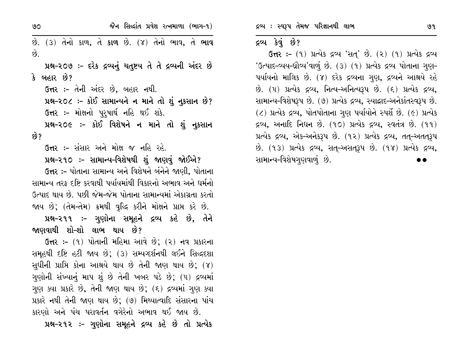જૈન સિદ્ધાંત પ્રવેશ રત્નમાળા (ભાગ-૧)  $90<sub>o</sub>$ છે. (3) તેનો કાળ, તે **કાળ** છે. (૪) તેનો ભાવ, તે **ભાવ**  $\hat{g}$ . પ્રશ્ન-૨૦૭ :- દરેક દ્રવ્યનું ચતુષ્ટય તે તે દ્રવ્યની અંદર છે કે બહાર છે? ઉત્તર :- તેની અંદર છે, બહાર નથી. પ્રશ્ન-૨૦૮ :- કોઈ સામાન્યને ન માને તો શું નૂકસાન છે? ઉત્તર :- મોક્ષનો પુરુષાર્થ નહિ થઈ શકે. પ્રશ્ન-૨૦૯ :- કોઈ વિશેષને ન માને તો શું નુકસાન છે? ઉત્તર :- સંસાર અને મોક્ષ જ નહિ રહે. પ્રશ્ન-૨૧૦ ઃ- સામાન્ય-વિશેષથી શું જાણવું જોઈએ? ઉત્તર :- પોતાના સામાન્ય અને વિશેષને બંનેને જાણી, પોતાના સામાન્ય તરક દષ્ટિ કરવાથી પર્યાયમાંથી વિકારનો અભાવ અને ધર્મનો ઉત્પાદ થાય છે. પછી જેમ-જેમ પોતાના સામાન્યમાં એકાગ્રતા કરતો જાય છે; (તેમ-તેમ) ક્રમથી વૃદ્ધિ કરીને મોક્ષને પ્રાપ્ત કરે છે. પ્રશ્ન-૨૧૧ :- ગુણોના સમૂહને દ્રવ્ય કહે છે, તેને જાણવાથી શો–શો લાભ થાય છે?

ઉત્તર: - (૧) પોતાની મહિમા આવે છે; (૨) નવ પ્રકારના સમહથી દષ્ટિ હટી જાય છે; (૩) સમ્યવ્દર્શનથી લઈને સિદ્ધદશા સુધીની પ્રાપ્તિ કોના આશ્રયે થાય છે તેની જાણ થાય છે; (૪) ગણોની સંખ્યાનું માપ શું છે તેની ખબર પડે છે; (૫) દ્રવ્યમાં ગુણ ક્યા પ્રકારે છે, તેની જાણ થાય છે; (૬) દ્રવ્યમાં ગુણ ક્યા પ્રકારે નથી તેની જાણ થાય છે; (૭) મિથ્યાત્વાદિ સંસારના પાંચ કારણો અને પંચ પરાવર્તન વગેરેનો અભાવ થઈ જાય છે.

પ્રશ્ન-૨૧૨ :- ગુણોના સમૂહને દ્રવ્ય કહે છે તો પ્રત્યેક

દ્રવ્ય: સ્વરૂપ તેમજ પરિજ્ઞાનથી લાભ

#### દ્રવ્ય કેવું છે?

ઉત્તર: - (૧) પ્રત્યેક દ્રવ્ય 'સતુ' છે. (૨) (૧) પ્રત્યેક દ્રવ્ય 'ઉત્પાદ-વ્યય-ઘ્રૌવ્ય'વાળું છે. (3) (૧) પ્રત્યેક દ્રવ્ય પોતાના ગુણ-૫યધિનો માલિક છે. (૪) દરેક દ્રવ્યના ગુણ, દ્રવ્યને આશ્રયે રહે  $\dot{\vartheta}$ . (4) પ્રત્યેક દ્રવ્ય, નિત્ય-અનિત્યરૂપ છે. (૬) પ્રત્યેક દ્રવ્ય, સામાન્ય-વિશેષરૂપ છે. (૭) પ્રત્યેક દ્રવ્ય, સ્યાદ્રાદ-અનેકાંતસ્વરૂપ છે.  $($ ) પ્રત્યેક દ્રવ્ય, પોતપોતાના ગુણ પર્યાયોને સ્પર્શે છે.  $($ e) પ્રત્યેક દ્રવ્ય, અનાદિ નિધન છે. (૧૦) પ્રત્યેક દ્રવ્ય, સ્વતંત્ર છે. (૧૧) પ્રત્યેક દ્રવ્ય, એક-અનેકરૂપ છે. (૧૨) પ્રત્યેક દ્રવ્ય, તત્-અતત્રરૂપ છે. (૧૩) પ્રત્યેક દ્રવ્ય, સત્-અસત્રુપ છે. (૧૪) પ્રત્યેક દ્રવ્ય, સામાન્ય-વિશેષગુણવાળું છે.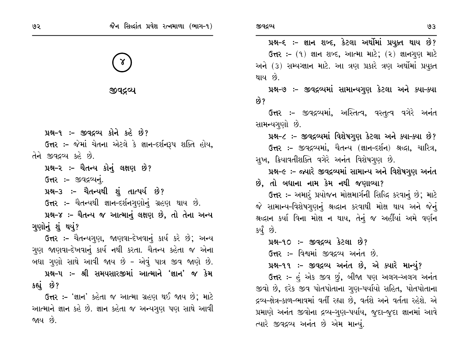γ

જીવદ્રવ્ય

પ્રશ્ન-૧ :- જીવદ્રવ્ય કોને કહે છે? ઉત્તર :- જેમાં ચેતના એટલે કે જ્ઞાન-દર્શનરૂપ શક્તિ હોય, તેને જીવદ્રવ્ય કહે છે. પ્રશ્ન-૨ :- ચૈતન્ય કોનું લક્ષણ છે? ઉત્તર :- જીવદ્રવ્યનું. પ્રશ્ન-૩ :- ચૈતન્યથી શું તાત્પર્ય છે? ઉત્તર :- ચૈતન્યથી જ્ઞાન-દર્શનગુણોનું ગ્રહણ થાય છે. પ્રશ્ન-૪ :- ચૈતન્ય જ આત્માનું લક્ષણ છે, તો તેના અન્ય ગણોનું શું થયું? ઉત્તર :- ચૈતન્યગુણ, જાણવા-દેખવાનું કાર્ય કરે છે; અન્ય ગણ જાણવા-દેખવાનું કાર્ય નથી કરતા. ચૈતન્ય કહેતા જ એના બધા ગુણો સાથે આવી જાય છે - એવું પાત્ર જીવ જાણે છે. પ્રશ્ન–૫ ઃ– શ્રી સમયસારજીમાં આત્માને 'જ્ઞાન' જ કેમ કહ્યું છે?

ઉત્તર :- 'જ્ઞાન' કહેતા જ આત્મા ગ્રહણ થઈ જાય છે: માટે આત્માને જ્ઞાન કહે છે. જ્ઞાન કહેતા જ અન્યગુણ પણ સાથે આવી જાય છે.

પ્રશ્ન-૬ ઃ- જ્ઞાન શબ્દ, કેટલા અર્થોમાં પ્રયુક્ત થાય છે? ઉત્તર: - (૧) જ્ઞાન શબ્દ, આત્મા માટે; (૨) જ્ઞાનગણ માટે અને (3) સમ્યગ્જ્ઞાન માટે. આ ત્રણ પ્રકારે ત્રણ અર્થોમાં પ્રયુક્ત થાય છે.

પ્રશ્ન-૭ :- જીવદ્રવ્યમાં સામાન્યગુણ કેટલા અને ક્યા-ક્યા છે?

ઉત્તર :- જીવદ્ગવ્યમાં, અસ્તિત્વ, વસ્તુત્વ વગેરે અનંત સામન્યગુણો છે.

પ્રશ્ન-૮ :- જીવદ્રવ્યમાં વિશેષગુણ કેટલા અને ક્યા-ક્યા છે?

ઉત્તર :- જીવદ્રવ્યમાં, ચૈતન્ય (જ્ઞાન-દર્શન) શ્રદ્ધા, ચારિત્ર, સુખ, ક્રિયાવતીશક્તિ વગેરે અનંત વિશેષગુણ છે.

પ્રશ્ન-૯ :- જ્યારે જીવદ્રવ્યમાં સામાન્ય અને વિશેષગુણ અનંત

છે, તો બધાના નામ કેમ નથી જણાવ્યા?

ઉત્તર :- અમારૂં પ્રયોજન મોક્ષમાર્ગની સિદ્ધિ કરવાનું છે; માટે જે સામાન્ય-વિશેષગુણનું શ્રદ્ધાન કરવાથી મોક્ષ થાય અને જેનું શ્રદ્ધાન કર્યા વિના મોક્ષ ન થાય, તેનું જ અહીંયાં અમે વર્ણન કર્યું છે.

પ્રશ્ન-૧૦ :- જીવદ્રવ્ય કેટલા છે?

ઉત્તર :- વિશ્વમાં જીવદ્રવ્ય અનંત છે.

પ્રશ્ન-૧૧ :- જીવદ્રવ્ય અનંત છે, એ ક્યારે માન્યું?

ઉત્તર :- હું એક જીવ છું, બીજા પણ અલગ-અલગ અનંત જીવો છે, દરેક જીવ પોતપોતાના ગુણ-પર્યાયો સહિત, પોતપોતાના દ્રવ્ય-ક્ષેત્ર-કાળ-ભાવમાં વર્તી રહ્યા છે, વર્તશે અને વર્તતા રહેશે. એ પ્રમાણે અનંત જીવોના દ્રવ્ય-ગુણ-પર્યાય, જુદા-જુદા જ્ઞાનમાં આવે ત્યારે જીવદ્રવ્ય અનંત છે એમ માન્યું.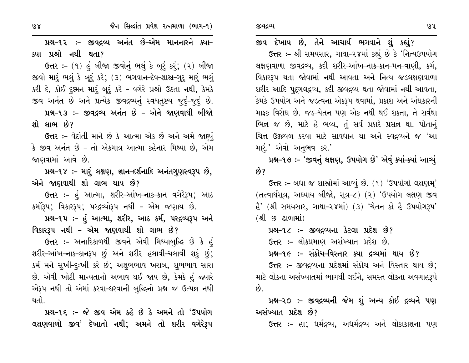$98$ 

પ્રશ્ન-૧૨ :- જીવદ્રવ્ય અનંત છે-એમ માનનારને ક્યા-ક્યા પ્રશ્નો નથી થતા?

ઉત્તર :- (૧) હું બીજા જીવોનું ભલું કે બૂરું કરું; (૨) બીજા જીવો મારું ભલું કે બૂરું કરે; (૩) ભગવાન-દેવ-શાસ્ર-ગુરુ મારું ભલું કરી દે, કોઈ દૂશ્મન મારૂં બૂરું કરે - વગેરે પ્રશ્નો ઉઠતા નથી, કેમકે જીવ અનંત છે અને પ્રત્યેક જીવદ્રવ્યનું સ્વચત્&ય જુદું-જુદું છે. પ્રશ્ન-૧૩ :- જીવદ્રવ્ય અનંત છે - એને જાણવાથી બીજો

શો લાભ છે?

**ઉત્તર :-** વેદાંતી માને છે કે આત્મા એક છે અને અમે જાણ્યું કે જીવ અનંત છે - તો એકમાત્ર આત્મા કહેનાર મિથ્યા છે, એમ જાણવામાં આવે છે.

પ્રશ્ન-૧૪ :- મારં લક્ષણ, જ્ઞાન-દર્શનાદિ અનંતગુણસ્વરૂપ છે, એને જાણવાથી શો લાભ થાય છે?

ઉત્તર :- હું આત્મા, શરીર-આંખ-નાક-કાન વગેરેરૂપ; આઠ કર્મોરૂપ; વિકારરૂપ; પરદ્રવ્યોરૂપ નથી - એમ જણાય છે.

પ્રશ્ન-૧૫ :- હું આત્મા, શરીર, આઠ કર્મ, પરદ્રવ્યરૂપ અને વિકારરૂપ નથી – એમ જાણવાથી શો લાભ છે?

ઉત્તર :- અનાદિકાળથી જીવને એવી મિથ્યાબુદ્ધિ છે કે હું શરીર–આંખ–નાક–કાનરૂપ છું અને શરીર હલાવી–ચલાવી શકું છું; કર્મ મને સુખી-દૃઃખી કરે છે; અશુભભાવ ખરાબ, શુભભાવ સારા છે. એવી ખોટી માન્યતાનો અભાવ થઈ જાય છે, કેમકે હું જ્યારે એરૂપ નથી તો એમાં કરવા-ધરવાની બુદ્ધિનો પ્રશ્ન જ ઉત્પન્ન નથી થતો.

પ્રશ્ન-૧૬ :- જે જીવ એમ કહે છે કે અમને તો 'ઉપયોગ લક્ષણવાળો જીવ' દેખાતો નથી; અમને તો શરીર વગેરેરૂપ

જીવ દેખાય છે, તેને આચાર્ય ભગવાને શું કહ્યું?

ઉત્તર :- શ્રી સમયસાર, ગાથા-૨૪માં કહ્યું છે કે 'નિત્યઉપયોગ લક્ષણવાળા જીવદ્રવ્ય, કદી શરીર-આંખ-નાક-કાન-મન-વાણી, કર્મ, વિકારરૂપ થતા જોવામાં નથી આવતા અને નિત્ય જડલક્ષણવાળા શરીર આદિ પુદ્ગલદ્રવ્ય, કદી જીવદ્રવ્ય થતા જોવામાં નથી આવતા, કેમકે ઉપયોગ અને જડત્વના એકરૂપ થવામાં, પ્રકાશ અને અંધકારની માફક વિરોધ છે. જડ-ચેતન પણ એક નથી થઈ શકતા, તે સર્વથા ભિન્ન જ છે, માટે હે ભવ્ય, તું સર્વ પ્રકારે પ્રસન્ન થા. પોતાનું ચિત્ત ઉક્ષ્ઠવળ કરવા માટે સાવધાન થા અને સ્વદ્રવ્યને જ 'આ મારે.' એવો અનુભવ કર.'

પ્રશ્ન-૧૭ :- 'જીવનું લક્ષણ, ઉપયોગ છે' એવું ક્યાં-ક્યાં આવ્યું ક્વે ?

ઉત્તર :- બધા જ શાસ્રોમાં આવ્યું છે. (૧) 'ઉપયોગો લક્ષણમુ' (તત્ત્વાર્થસૂત્ર, અધ્યાય બીજો, સૂત્ર-૮) (૨) 'ઉપયોગ લક્ષણ જીવ ેર્ડ' (શ્રી સમયસાર, ગાથા-૨૪માં) (૩) 'ચેતન કો હૈ ઉપયોગરૂપ' (શ્રી છ ઢાળામાં)

પ્રશ્ન-૧૮ :- જીવદ્રવ્યના કેટલા પ્રદેશ છે?

ઉત્તર :- લોકપ્રમાણ અસંખ્યાત પ્રદેશ છે.

પ્રશ્ન-૧૯ :- સંકોચ-વિસ્તાર ક્યા દ્રવ્યમાં થાય છે?

ઉત્તર :- જીવદ્રવ્યના પ્રદેશમાં સંકોચ અને વિસ્તાર થાય છે; માટે લોકના અસંખ્યાતમાં ભાગથી લઈને, સમસ્ત લોકના અવગાહરૂપે છે.

પ્રશ્ન-૨૦ ઃ- જીવદ્રવ્યની જેમ શું અન્ય કોઈ દ્રવ્યને પણ અસંખ્યાત પ્રદેશ છે?

**ઉત્તર :-** હા; ધર્મદ્રવ્ય, અધર્મદ્રવ્ય અને લોકાકાશના પણ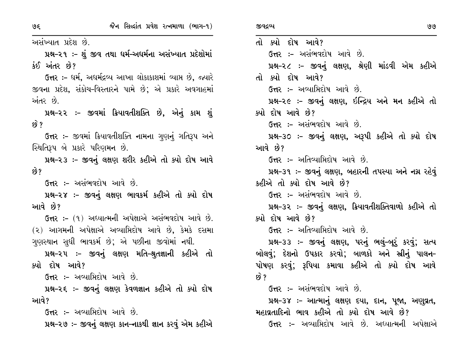અસંખ્યાત પ્રદેશ છે.

પ્રશ્ન-૨૧ :- શું જીવ તથા ધર્મ-અધર્મના અસંખ્યાત પ્રદેશોમાં  $\dot{\mathcal{S}}$ ઈ અંતર છે?

ઉત્તર :- ધર્મ, અધર્મદ્રવ્ય આખા લોકાકાશમાં વ્યાપ્ત છે, જ્યારે જીવના પ્રદેશ, સંકોચ-વિસ્તારને પામે છે; એ પ્રકારે અવગાહમાં અંતર છે.

પ્રશ્ન-૨૨ :- જીવમાં ક્રિયાવતીશક્તિ છે, એનું કામ શું  $\hat{8}$  ?

ઉત્તર :- જીવમાં ક્રિયાવતીશક્તિ નામના ગુણનું ગતિરૂપ અને સ્થિતિરૂપ બે પ્રકારે પરિણમન છે.

પ્રશ્ન-૨૩ :- જીવનું લક્ષણ શરીર કહીએ તો ક્યો દોષ આવે છે?

ઉત્તર :- અસંભવદોષ આવે છે.

પ્રશ્ન-૨૪ :- જીવનું લક્ષણ ભાવકર્મ કહીએ તો ક્યો દોષ આવે છે?

**ઉત્તર :-** (૧) અધ્યાત્મની અપેક્ષાએ અસંભવદોષ આવે છે. (૨) આગમની અપેક્ષાએ અવ્યામિદોષ આવે છે, કેમકે દસમા ગુણસ્થાન સુધી ભાવકર્મ છે; એ પછીના જીવોમાં નથી.

પ્રશ્ન-૨૫ ઃ- જીવનું લક્ષણ મતિ-શ્રુતજ્ઞાની કહીએ તો ક્યો દોષ આવે?

ઉત્તર :- અવ્યાપ્તિદોષ આવે છે.

પ્રશ્ન-૨૬ :- જીવનું લક્ષણ કેવળજ્ઞાન કહીએ તો ક્યો દોષ આવે?

**ઉત્તર :-** અવ્યાપ્તિદોષ આવે છે.

પ્રશ્ન-૨૭ :- જીવનું લક્ષણ કાન-નાકથી જ્ઞાન કરવું એમ કહીએ

તો ક્યો દોષ આવે? **ઉત્તર :-** અસંભવદોષ આવે છે. પ્રશ્ન-૨૮ :- જીવનું લક્ષણ, શ્રેણી માંડવી એમ કહીએ તો ક્યો દોષ આવે? **ઉત્તર :-** અવ્યાપ્તિદોષ આવે છે. પ્રશ્ન-૨૯ :- જીવનું લક્ષણ, ઇન્દ્રિય અને મન કહીએ તો ક્યો દોષ આવે છે? ઉત્તર :- અસંભવદોષ આવે છે. પ્રશ્ન-૩૦ :- જીવનું લક્ષણ, અરૂપી કહીએ તો ક્યો દોષ આવે છે? **ઉત્તર :-** અતિવ્યાપ્તિદોષ આવે છે. પ્રશ્ન-૩૧ :- જીવનું લક્ષણ, બહારની તપસ્યા અને નગ્ન રહેવું કહીએ તો ક્યો દોષ આવે છે? ઉત્તર :- અસંભવદોષ આવે છે. પ્રશ્ન-૩૨ :- જીવનું લક્ષણ, ક્રિયાવતીશક્તિવાળો કહીએ તો ક્યો દોષ આવે છે? **ઉત્તર :-** અતિવ્યામિદોષ આવે છે. પ્રશ્ન-૩૩ :- જીવનું લક્ષણ, પરનું ભલું-બૂરું કરવું; સત્ય બોલવું; દેશનો ઉપકાર કરવો; બાળકો અને સ્રીનું પાલન– પોષણ કરવું; રૂપિયા કમાવા કહીએ તો ક્યો દોષ આવે  $\mathcal{B}$  ? ઉત્તર :- અસંભવદોષ આવે છે. પ્રશ્ન-૩૪ :- આત્માનું લક્ષણ દયા, દાન, પૂજા, અણુવ્રત, મહાવ્રતાદિનો ભાવ કહીએ તો ક્યો દોષ આવે છે? **ઉત્તર :-** અવ્યાપ્તિદોષ આવે છે. અધ્યાત્મની અપેક્ષાએ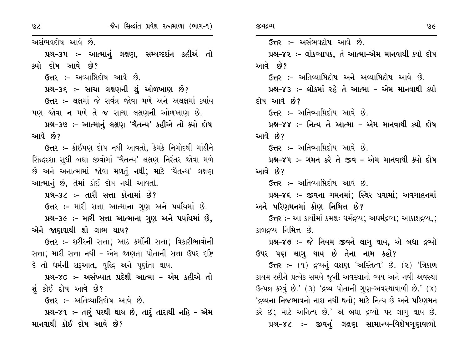$9<sub>6</sub>$ 

અસંભવદોષ આવે છે.

પ્રશ્ન-૩૫ :- આત્માનું લક્ષણ, સમ્યગ્દર્શન કહીએ તો ક્યો દોષ આવે છે?

**ઉત્તર :- અવ્યામિદોષ આવે છે.** 

પ્રશ્ન-૩૬ :- સાચા લક્ષણની શું ઓળખાણ છે?

ઉત્તર :- લક્ષમાં જે સર્વત્ર જોવા મળે અને અલક્ષમાં ક્યાંય પણ જોવા ન મળે તે જ સાચા લક્ષણની ઓળખાણ છે.

પ્રશ્ન-૩૭ :- આત્માનું લક્ષણ 'ચૈતન્ય' કહીએ તો ક્યો દોષ આવે છે?

ઉત્તર :- કોઈપણ દોષ નથી આવતો, કેમકે નિગોદથી માંડીને સિદ્ધદશા સુધી બધા જીવોમાં 'ચૈતન્ય' લક્ષણ નિરંતર જોવા મળે છે અને અનાત્મામાં જોવા મળતું નથી; માટે 'ચૈતન્ય' લક્ષણ આત્માનું છે, તેમાં કોઈ દોષ નથી આવતો.

પ્રશ્ન–૩૮ :– તારી સત્તા કોનામાં છે?

ઉત્તર :- મારી સત્તા આત્માના ગુણ અને પર્યાયમાં છે.

પ્રશ્ન-૩૯ :- મારી સત્તા આત્માના ગુણ અને પર્યાયમાં છે, એને જાણવાથી શો લાભ થાય?

ઉત્તર ઃ- શરીરની સત્તા; આઠ કર્મોની સત્તા; વિકારીભાવોની સત્તા; મારી સત્તા નથી - એમ જાણતા પોતાની સત્તા ઉપર દષ્ટિ દે તો ધર્મની શરૂઆત, વૃદ્ધિ અને પૂર્ણતા થાય.

પ્રશ્ન-૪૦ :- અસંખ્યાત પ્રદેશી આત્મા - એમ કહીએ તો શું કોઈ દોષ આવે છે?

**ઉત્તર :-** અતિવ્યાપ્તિદોષ આવે છે.

પ્રશ્ન-૪૧ :- તારું પરથી થાય છે, તારું તારાથી નહિ - એમ માનવાથી કોઈ દોષ આવે છે?

ઉત્તર :– અસંભવદોષ આવે છે. પ્રશ્ન-૪૨ :- લોકવ્યાપક, તે આત્મા-એમ માનવાથી ક્યો દોષ આવે છે? **ઉત્તર :-** અતિવ્યાપ્તિદોષ અને અવ્યાપ્તિદોષ આવે છે. પ્રશ્ન–૪૩ :– લોકમાં રહે તે આત્મા – એમ માનવાથી ક્યો દોષ આવે છે? **ઉત્તર :-** અતિવ્યામિદોષ આવે છે. પ્રશ્ન–૪૪ :– નિત્ય તે આત્મા – એમ માનવાથી ક્યો દોષ આવે છે? ઉત્તર :- અતિવ્યામિદોષ આવે છે. પ્રશ્ન–૪૫ :– ગમન કરે તે જીવ – એમ માનવાથી ક્યો દોષ આવે છે? ઉત્તર :- અતિવ્યામિદોષ આવે છે. પ્રશ્ન–૪૬ ઃ– જીવના ગમનમાં; સ્થિર થવામાં; અવગાહનમાં અને પરિણમનમાં કોણ નિમિત્ત છે? ઉત્તર ઃ- આ કાર્યોમાં ક્રમશઃ ધર્મદ્રવ્ય; અધર્મદ્રવ્ય; આકાશદ્રવ્ય,; કાળદ્રવ્ય નિમિત્ત છે. પ્રશ્ન-૪૭ :- જે નિયમ જીવને લાગૂ થાય, એ બધા દ્રવ્યો

ઉપર પણ લાગુ થાય છે તેના નામ કહો?

**ઉત્તર :-** (૧) દ્રવ્યનું લક્ષણ 'અસ્તિત્વ' છે. (૨) 'ત્રિકાળ કાયમ રહીને પ્રત્યેક સમયે જૂની અવસ્થાનો વ્યય અને નવી અવસ્થા  $G<sub>c</sub>$ પત્ર કરવું છે.' (3) 'દ્રવ્ય પોતાની ગુણ-અવસ્થાવાળી છે.' (૪) 'દ્રવ્યના નિજભાવનો નાશ નથી થતો; માટે નિત્ય છે અને પરિણમન કરે છે; માટે અનિત્ય છે.' એ બધા દ્રવ્યો પર લાગૂ થાય છે. પ્રશ્ન-૪૮ :- જીવનું લક્ષણ સામાન્ય-વિશેષગુણવાળો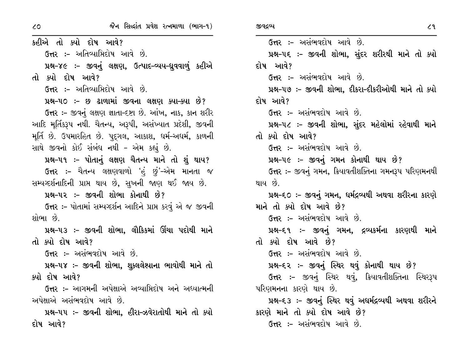$\overline{3}$ 

કહીએ તો ક્યો દોષ આવે? ઉત્તર :- અતિવ્યાપ્તિદોષ આવે છે. પ્રશ્ન-૪૯ :- જીવનું લક્ષણ, ઉત્પાદ-વ્યય-ધ્રુવવાળું કહીએ તો ક્યો દોષ આવે? **ઉત્તર :-** અતિવ્યામિદોષ આવે છે. પ્રશ્ન-૫૦ :- છ ઢાળામાં જીવના લક્ષણ ક્યા-ક્યા છે? ઉત્તર :- જીવનું લક્ષણ જ્ઞાતા-દષ્ટા છે. આંખ, નાક, કાન શરીર આદિ મર્તિકરૂપ નથી. ચૈતન્ય, અરૂપી, અસંખ્યાત પ્રદેશી, જીવની મૂર્તિ છે. ઉપમારહિત છે. પુદગલ, આકાશ, ઘર્મ-અઘર્મ, કાળની સાથે જીવનો કોઈ સંબંધ નથી - એમ કહ્યું છે. પ્રશ્ન-૫૧ :- પોતાનું લક્ષણ ચૈતન્ય માને તો શું થાય? ઉત્તર :- ચૈતન્ય લક્ષણવાળો 'હં છું'–એમ માનતા જ સમ્યવ્દર્શનાદિની પ્રાપ્ત થાય છે, સુખની જાણ થઈ જાય છે. પ્રશ્ન–૫૨ :– જીવની શોભા કોનાથી છે? ઉત્તર :- પોતામાં સમ્યગ્દર્શન આદિને પ્રાપ્ત કરવું એ જ જીવની શોભા છે. પ્રશ્ન-૫૩ ઃ- જીવની શોભા. લૌકિકમાં ઊંચા પદોથી માને તો ક્યો દોષ આવે? ઉત્તર :- અસંભવદોષ આવે છે. પ્રશ્ન-૫૪ :- જીવની શોભા, શૂક્લલેશ્યાના ભાવોથી માને તો ક્યો દોષ આવે? ઉત્તર :- આગમની અપેક્ષાએ અવ્યાપ્તિદોષ અને અધ્યાત્મની અપેક્ષાએ અસંભવદોષ આવે છે. પ્રશ્ન–૫૫ ઃ– જીવની શોભા. હીરા–ઝવેરાતોથી માને તો ક્યો દોષ આવે?

ઉત્તર :- અસંભવદોષ આવે છે. પ્રશ્ન–૫૬ ઃ– જીવની શોભા, સુંદર શરીરથી માને તો ક્યો દોષ આવે? ઉત્તર :- અસંભવદોષ આવે છે. પ્રશ્ન-૫૭ :- જીવની શોભા, દીકરા-દીકરીઓથી માને તો ક્યો દોષ આવે? ઉત્તર :- અસંભવદોષ આવે છે. પ્રશ્ન-૫૮ ઃ- જીવની શોભા, સુંદર મહેલોમાં રહેવાથી માને તો ક્યો દોષ આવે? ઉત્તર :- અસંભવદોષ આવે છે. પ્રશ્ન-૫૯ :- જીવનું ગમન કોનાથી થાય છે? ઉત્તર :- જીવનું ગમન, ક્રિયાવતીશક્તિના ગમનરૂપ પરિણમનથી થાય છે. પ્રશ્ન–૬૦ ઃ– જીવનું ગમન, ધર્મદ્રવ્યથી અથવા શરીરના કારણે માને તો ક્યો દોષ આવે છે? ઉત્તર :- અસંભવદોષ આવે છે. પ્રશ્ન–૬૧ ઃ– જીવનું ગમન, દ્રવ્યકર્મના કારણથી માને તો ક્યો દોષ આવે છે? ઉત્તર :- અસંભવદોષ આવે છે. પ્રશ્ન–૬૨ :– જીવનું સ્થિર થવું કોનાથી થાય છે? **ઉત્તર :-** જીવનું સ્થિર થવું, ક્રિયાવતીશક્તિના સ્થિરરૂપ પરિણમનના કારણે થાય છે. પ્રશ્ન–૬૩ :– જીવનું સ્થિર થવું અધર્મદ્રવ્યથી અથવા શરીરને કારણે માને તો ક્યો દોષ આવે છે? ઉત્તર :- અસંભવદોષ આવે છે.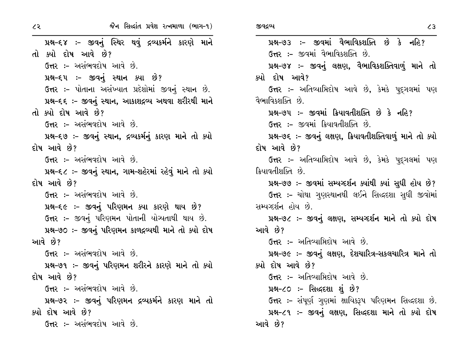પ્રશ્ન-૬૪ :- જીવનું સ્થિર થવું દ્રવ્યકર્મને કારણે માને તો ક્યો દોષ આવે છે? ઉત્તર :- અસંભવદોષ આવે છે. પ્રશ્ન–દ્દપ :– જીવનું સ્થાન ક્યા છે? ઉત્તર :- પોતાના અસંખ્યાત પ્રદેશોમાં જીવનું સ્થાન છે. પ્રશ્ન-૬૬ :- જીવનું સ્થાન, આકાશદ્રવ્ય અથવા શરીરથી માને તો ક્યો દોષ આવે છે? ઉત્તર :- અસંભવદોષ આવે છે. પ્રશ્ન-૬૭ :- જીવનું સ્થાન, દ્રવ્યકર્મનું કારણ માને તો ક્યો દોષ આવે છે? ઉત્તર :- અસંભવદોષ આવે છે. પ્રશ્ન-૬૮ :- જીવનું સ્થાન, ગામ-શહેરમાં રહેવું માને તો ક્યો દોષ આવે છે? ઉત્તર :- અસંભવદોષ આવે છે. પ્રશ્ન-૬૯ :- જીવનું પરિણમન ક્યા કારણે થાય છે? ઉત્તર :- જીવનું પરિણમન પોતાની યોગ્યતાથી થાય છે. પ્રશ્ન-૭૦ :- જીવનું પરિણમન કાળદ્રવ્યથી માને તો ક્યો દોષ આવે છે? ઉત્તર :- અસંભવદોષ આવે છે. પ્રશ્ન–૭૧ ઃ– જીવનું પરિણમન શરીરને કારણે માને તો ક્યો દોષ આવે છે? ઉત્તર :- અસંભવદોષ આવે છે. પ્રશ્ન-૭૨ :- જીવનું પરિણમન દ્રવ્યકર્મને કારણ માને તો ક્યો દોષ આવે છે? ઉત્તર :– અસંભવદોષ આવે છે.

 $\mathcal{L}3$ પ્રશ્ન-૭૩ :- જીવમાં વૈભાવિકશક્તિ છે કે નહિ? ઉત્તર :- જીવમાં વૈભાવિકશક્તિ છે. પ્રશ્ન-૭૪ :- જીવનું લક્ષણ, વૈભાવિકશક્તિવાળું માને તો ક્યો દોષ આવે? ઉત્તર :- અતિવ્યાપ્તિદોષ આવે છે, કેમકે પદ્ગલમાં પણ વૈભાવિકશક્તિ છે. પ્રશ્ન-૭૫ :- જીવમાં ક્રિયાવતીશક્તિ છે કે નહિ? ઉત્તર :- જીવમાં ક્રિયાવતીશક્તિ છે. પ્રશ્ન-૭૬ :- જીવનું લક્ષણ, ક્રિયાવતીશક્તિવાળું માને તો ક્યો દોષ આવે છે? **ઉત્તર :-** અતિવ્યાપ્તિદોષ આવે છે, કેમકે પુદ્દગલમાં પણ ક્રિયાવતીશક્તિ છે. પ્રશ્ન-૭૭ :- જીવમાં સમ્યગ્દર્શન ક્યાંથી ક્યાં સુધી હોય છે? ઉત્તર :- ચોથા ગુણસ્થાનથી લઈને સિદ્ધદશા સુધી જીવોમાં સમ્યગ્દર્શન હોય છે. પ્રશ્ન-૭૮ :- જીવનું લક્ષણ, સમ્યગ્દર્શન માને તો ક્યો દોષ આવે છે? ઉત્તર :- અતિવ્યામિદોષ આવે છે. પ્રશ્ન-૭૯ :- જીવનું લક્ષણ, દેશચારિત્ર-સકલચારિત્ર માને તો ક્યો દોષ આવે છે? **ઉત્તર :-** અતિવ્યાપ્તિદોષ આવે છે. પ્રશ્ન-૮૦ :- સિદ્ધદશા શું છે? **ઉત્તર :-** સંપૂર્ણ ગુણમાં ક્ષાયિકરૂપ પરિણમન સિદ્ધદશા છે. પ્રશ્ન-૮૧ :- જીવનું લક્ષણ, સિદ્ધદશા માને તો ક્યો દોષ આવે છે?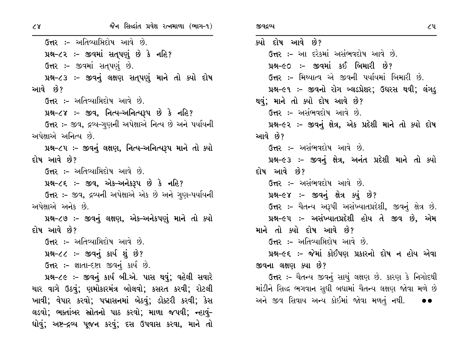ઉત્તર :- અતિવ્યાપ્તિદોષ આવે છે. પ્રશ્ન-૮૨ :- જીવમાં સત્પણું છે કે નહિ? ઉત્તર :- જીવમાં સતપણું છે. પ્રશ્ન-૮૩ :- જીવનું લક્ષણ સતપણું માને તો ક્યો દોષ આવે છે? **ઉત્તર :-** અતિવ્યાપ્તિદોષ આવે છે. પ્રશ્ન-૮૪ :- જીવ, નિત્ય-અનિત્યરૂપ છે કે નહિ? ઉત્તર :- જીવ, દ્રવ્ય-ગણની અપેક્ષાએ નિત્ય છે અને પર્યાયની અપેક્ષાએ અનિત્ય છે. પ્રશ્ન-૮૫ :- જીવનું લક્ષણ, નિત્ય-અનિત્યરૂપ માને તો ક્યો દોષ આવે છે? **ઉત્તર :-** અતિવ્યાપ્તિદોષ આવે છે. પ્રશ્ન-૮૬ :- જીવ, એક-અનેકરૂપ છે કે નહિ? ઉત્તર :- જીવ, દ્રવ્યની અપેક્ષાએ એક છે અને ગુણ-પર્યાયની અપેક્ષાએ અનેક છે. પ્રશ્ન-૮૭ :- જીવનું લક્ષણ, એક-અનેકપણું માને તો ક્યો દોષ આવે છે? ઉત્તર :- અતિવ્યામિદોષ આવે છે. પ્રશ્ન-૮૮ :- જીવનું કાર્ય શું છે? ઉત્તર: - જ્ઞાતા-દષ્ટા જીવનું કાર્ય છે. પ્રશ્ન-૮૯ :- જીવનું કાર્ય બી.એ. પાસ થવું; વહેલી સવારે ચાર વાગે ઉઠવું; ણમોકારમંત્ર બોલવો; કસરત કરવી; રોટલી ખાવી; વેપાર કરવો; પદ્માસનમાં બેઠવું; ડોક્ટરી કરવી; કેસ લડવો; ભક્તાંબર સ્રોતનો પાઠ કરવો; માળા જપવી; ન્હાવું– ધોવું; અષ્ટ–દ્રવ્ય પૂજન કરવું; દસ ઉપવાસ કરવા, માને તો

જીવદ્રવ્ય

ક્યો દોષ આવે છે? ઉત્તર :- આ દરેકમાં અસંભવદોષ આવે છે. પ્રશ્ન-૯૦ :- જીવમાં કઈ બિમારી છે? **ઉત્તર :-** મિથ્યાત્વ એ જીવની પર્યાયમાં બિમારી છે. પ્રશ્ન-૯૧ :- જીવનો રોગ બ્લડપ્રેશર; ઉધરસ થવી; લંગડ્ થવું; માને તો ક્યો દોષ આવે છે? ઉત્તર :- અસંભવદોષ આવે છે. પ્રશ્ન-૯૨ :- જીવનું ક્ષેત્ર, એક પ્રદેશી માને તો ક્યો દોષ આવે છે? **ઉત્તર :-** અસંભવદોષ આવે છે. પ્રશ્ન-૯૩ :- જીવનું ક્ષેત્ર, અનંત પ્રદેશી માને તો ક્યો દોષ આવે છે? ઉત્તર :- અસંભવદોષ આવે છે. પ્રશ્ન-૯૪ :- જીવનું ક્ષેત્ર ક્યું છે? ઉત્તર :- ચૈતન્ય અરૂપી અસંખ્યાતપ્રદેશી, જીવનું ક્ષેત્ર છે. પ્રશ્ન-૯૫ :- અસંખ્યાતપ્રદેશી હોય તે જીવ છે, એમ માને તો ક્યો દોષ આવે છે? ઉત્તર :- અતિવ્યાપ્તિદોષ આવે છે. પ્રશ્ન-૯૬ :- જેમાં કોઈપણ પ્રકારનો દોષ ન હોય એવા જીવના લક્ષણ ક્યા છે? ઉત્તર :- ચૈતન્ય જીવનું સાચું લક્ષણ છે. કારણ કે નિગોદથી માંડીને સિદ્ધ ભગવાન સુધી બધામાં ચૈતન્ય લક્ષણ જોવા મળે છે

અને જીવ સિવાય અન્ય કોઈમાં જોવા મળતું નથી.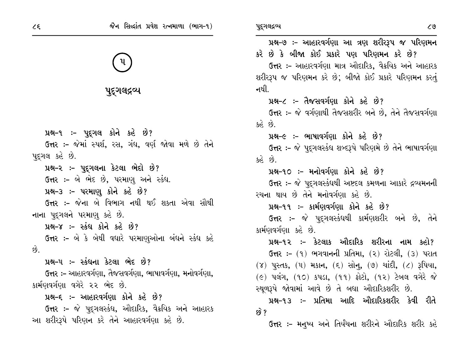

## પૂદ્ગલદ્રવ્ય

પ્રશ્ન-૧ :- પુદ્ગલ કોને કહે છે?

ઉત્તર :- જેમાં સ્પર્શ, રસ, ગંધ, વર્ણ જોવા મળે છે તેને પુદ્ગલ કહે છે.

પ્રશ્ન-૨ :- પૂદ્ગલના કેટલા ભેદો છે?

ઉત્તર :- બે ભેદ છે, પરમાણુ અને સ્કંધ.

પ્રશ્ન-3 :- પરમાણુ કોને કહે છે?

ઉત્તર :- જેના બે વિભાગ નથી થઈ શકતા એવા સૌથી નાના પુદ્ગલને પરમાણુ કહે છે.

પ્રશ્ન-૪ :- સ્કંધ કોને કહે છે?

**ઉત્તર :-** બે કે બેથી વધારે પરમાણુઓના બંધને સ્કંધ કહે છે.

પ્રશ્ન–૫ ઃ– સ્કંધના કેટલા ભેદ છે?

**ઉત્તર :-** આહારવર્ગણા, તૈજસવર્ગણા, ભાષાવર્ગણા, મનોવર્ગણા, કાર્મણવર્ગણા વગેરે ૨૨ ભેદ છે.

પ્રશ્ન-૬ :- આહારવર્ગણા કોને કહે છે?

ઉત્તર :- જે પુદ્ગલસ્કંધ, ઔદારિક, વૈક્રયિક અને આહારક આ શરીરરૂપે પરિણન કરે તેને આહારવર્ગણા કહે છે.

પ્રશ્ન–૭ :– આહારવર્ગણા આ ત્રણ શરીરરૂપ જ પરિણમન કરે છે કે બીજા કોઈ પ્રકારે પણ પરિણમન કરે છે? **ઉત્તર :-** આહારવર્ગણા માત્ર ઔદારિક, વૈક્રયિક અને આહારક શરીરરૂપ જ પરિણમન કરે છે; બીજો કોઈ પ્રકારે પરિણમન કરતું નથી. પ્રશ્ન-૮ :- તૈજસવર્ગણા કોને કહે છે? ઉત્તર :- જે વર્ગણાથી તૈજસશરીર બને છે, તેને તૈજસવર્ગણા  $\hat{g}$   $\hat{g}$ પ્રશ્ન-૯ :- ભાષાવર્ગણા કોને કહે છે? ઉત્તર :- જે પુદ્ગલસ્કંધ શબ્દરૂપે પરિણમે છે તેને ભાષાવર્ગણા  $36.8$ પ્રશ્ન-૧૦ :- મનોવર્ગણા કોને કહે છે? ઉત્તર :- જે પુદુગલસ્કંધથી અષ્ટદલ કમળના આકારે દ્રવ્યમનની રચના થાય છે તેને મનોવર્ગણા કહે છે. પ્રશ્ન-૧૧ :- કાર્મણવર્ગણા કોને કહે છે? **ઉત્તર :-** જે પુદ્ગલસ્કંધથી કાર્મણશરીર બને છે, તેને કાર્મણવર્ગણા કહે છે. પ્રશ્ન-૧૨ :- કેટલાક ઔદારિક શરીરના નામ કહો? ઉત્તર: – (૧) ભગવાનની પ્રતિમા, (૨) રોટલી, (૩) પરાત  $(8)$  પુસ્તક,  $(4)$  મકાન,  $(5)$  સોન,  $(9)$  ચાંદી,  $(2)$  રૂપિયા,  $(e)$  પલંગ, (૧૦) કપડા, (૧૧) ફોટો, (૧૨) ટેબલ વગેરે જે સ્થૂળરૂપે જોવામાં આવે છે તે બધા ઔદારિકશરીર છે. પ્રશ્ન-૧૩ ઃ- પ્રતિમા આદિ ઔદારિકશરીર કેવી રીતે  $59^{\circ}$ **ઉત્તર ઃ- મન્**ષ્ય અને તિર્યંચના શરીરને ઔદારિક શરીર કહે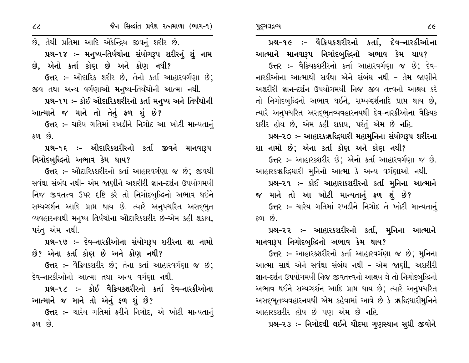પ્રશ્ન-૧૯ :- વૈક્રિયકશરીરનો કર્તા, દેવ-નારકીઓના આત્માને માનવારૂપ નિગોદબુદ્ધિનો અભાવ કેમ થાય? ઉત્તર :- વૈક્રિયકશરીરનો કર્તા આહારવર્ગણા જ છે: દેવ-નારકીઓના આત્માથી સર્વથા એને સંબંધ નથી - તેમ જાણીને અશરીરી જ્ઞાન-દર્શન ઉપયોગમયી નિજ જીવ તત્ત્વનો આશ્રય કરે તો નિગોદબુદ્ધિનો અભાવ થઈને, સમ્યગ્દર્શનાદિ પ્રાપ્ત થાય છે, ત્યારે અનુપચરિત અસદ્દભુતવ્યવહારનયથી દેવ–નારકીઓના વૈક્રિયક શરીર હોય છે, એમ કહી શકાય, પરંતું એમ છે નહિ. પ્રશ્ન-૨૦ ઃ- આહારકૠલ્દિદ્યારી મહામુનિના સંયોગરૂપ શરીરના શા નામો છે; એના કર્તા કોણ અને કોણ નથી?

ઉત્તર :- આહારકશરીર છે; એનો કર્તા આહારવર્ગણા જ છે. આહારકૠદ્ધિધારી મુનિનો આત્મા કે અન્ય વર્ગણાઓ નથી. પ્રશ્ન-૨૧ :- કોઈ આહારાકશરીરનો કર્તા મુનિના આત્માને

જ માને તો આ ખોટી માન્યતાનું ફળ શું છે? ઉત્તર :- ચારેય ગતિમાં રખડીને નિગોદ તે ખોટી માન્યતાનું  $\mathcal{S}$  or  $\mathcal{S}$ 

પ્રશ્ન-૨૨ ઃ- આહારકશરીરનો કર્તા, મુનિના આત્માને માનવારૂપ નિગોદબુદ્ધિનો અભાવ કેમ થાય?

ઉત્તર :- આહારકશરીરનો કર્તા આહારવર્ગણા જ છે; મુનિના આત્મા સાથે એને સર્વથા સંબંધ નથી – એમ જાણી, અશરીરી જ્ઞાન-દર્શન ઉપયોગમયી નિજ જીવતત્ત્વનો આશ્રય લે તો નિગોદબુદ્ધિનો અભાવ થઈને સમ્યગ્દર્શન આદિ પ્રાપ્ત થાય છે; ત્યારે અનુપચરિત અસદ્ભુતવ્યવહારનયથી એમ કહેવામાં આવે છે કે ૠદ્ધિધારીમુનિને આહારકશરીર હોય છે પણ એમ છે નહિ.

પ્રશ્ન-૨૩ :- નિગોદથી લઈને ચૌદમા ગુણસ્થાન સુધી જીવોને

છે, તેથી પ્રતિમા આદિ એકેન્દ્રિય જીવનું શરીર છે. પ્રશ્ન-૧૪ ઃ- મનુષ્ય-તિર્યંચોના સંયોગરૂપ શરીરનું શું નામ છે, એનો કર્તા કોણ છે અને કોણ નથી? ઉત્તર :- ઔદારિક શરીર છે, તેનો કર્તા આહારવર્ગણા છે; જીવ તથા અન્ય વર્ગણાઓ મનુષ્ય-તિર્યંચોની આત્મા નથી. પ્રશ્ન-૧૫ ઃ- કોઈ ઔદારિકશરીરનો કર્તા મનુષ્ય અને તિર્યંચોની આત્માને જ માને તો તેનું ફળ શું છે? ઉત્તર :- ચારેય ગતિમાં રખડીને નિગોદ આ ખોટી માન્યતાનું  $50\%$ 

પ્રશ્ન-૧૬ :- ઔદારિકશરીરનો કર્તા જીવને માનવારૂપ નિગોદબુદ્ધિનો અભાવ કેમ થાય?

ઉત્તર :- ઔદારિકશરીરનો કર્તા આહારવર્ગણા જ છે; જીવથી સર્વથા સંબંધ નથી- એમ જાણીને અશરીરી જ્ઞાન-દર્શન ઉપયોગમયી નિજ જીવતત્ત્વ ઉપર દષ્ટિ કરે તો નિગોદબુદ્ધિનો અભાવ થઈને સમ્યગ્દર્શન આદિ પ્રાપ્ત થાય છે. ત્યારે અનુપચરિત અસદ્દભૂત વ્યવહારનયથી મનુષ્ય તિર્યંચોના ઔદારિકશરીર છે-એમ કહી શકાય, પરંત એમ નથી.

પ્રશ્ન-૧૭ :– દેવ-નારકીઓના સંયોગરૂપ શરીરના શા નામો છે? એના કર્તા કોણ છે અને કોણ નથી?

**ઉત્તર :-** વૈક્રિયકશરીર છે; તેના કર્તા આહારવર્ગણા જ છે; દેવ–નારકીઓનો આત્મા તથા અન્ય વર્ગણા નથી.

પ્રશ્ન-૧૮ :- કોઈ વૈક્રિયકશરીરનો કર્તા દેવ–નારકીઓના આત્માને જ માને તો એનું ફળ શું છે?

ઉત્તર :- ચારેય ગતિમાં ફરીને નિગોદ, એ ખોટી માન્યતાનું ફળ છે.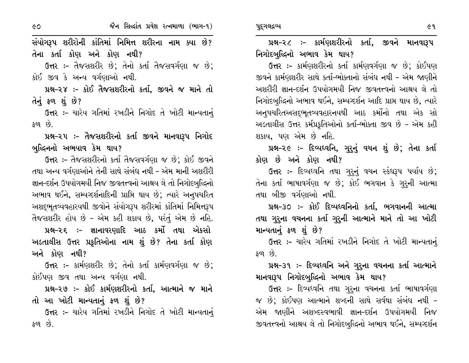સંયોગરૂપ શરીરોની કાંતિમાં નિમિત્ત શરીરના નામ ક્યા છે? તેના કર્તા કોણ અને કોણ નથી?

ઉત્તર :- તૈજસશરીર છે; તેનો કર્તા તૈજસવર્ગણા જ છે; કોઈ જીવ કે અન્ય વર્ગણાઓ નથી.

પ્રશ્ન-૨૪ :- કોઈ તૈજસશરીરનો કર્તા, જીવને જ માને તો તેનું ફળ શું છે?

ઉત્તર :- ચારેય ગતિમાં રખડીને નિગોદ તે ખોટી માન્યતાનું  $50^{\circ}$  છે.

પ્રશ્ન-૨૫ ઃ- તૈજસશરીરનો કર્તા જીવને માનવારૂપ નિગોદ બુદ્ધિનનો અભયાવ કેમ થાય?

ઉત્તર :- તૈજસશરીરનો કર્તા તૈજસવર્ગણા જ છે; કોઈ જીવને તથા અન્ય વર્ગણાઓને તેની સાથે સંબંધ નથી – એમ માની અશરીરી જ્ઞાન-દર્શન ઉપયોગમયી નિજ જીવતત્ત્વનો આશ્રય લે તો નિગોદબુદ્ધિનો અભાવ થઈને, સમ્યગ્દર્શનાદિની પ્રાપ્તિ થાય છે; ત્યારે અનુપચરિત અશદ્ભૂતવ્યવહારયથી જીવોને સંયોગરૂપ શરીરમાં કાંતિમાં નિમિત્તરૂપ તૈજસશરીર હોય છે - એમ કહી શકાય છે, પરંતું એમ છે નહિ. પ્રશ્ન-૨૬ :- જ્ઞાનાવરણાદિ આઠ કર્મો તથા એકસો

અડતાલીસ ઉત્તર પ્રકૃતિઓના નામ શું છે? તેના કર્તા કોણ અને કોણ નથી?

ઉત્તર :- કાર્મણશરીર છે; તેનો કર્તા કાર્મણવર્ગણા જ છે; કોઈપણ જીવ તથા અન્ય વર્ગણા નથી.

પ્રશ્ન-૨૭ :- કોઈ કાર્મણશરીરનો કર્તા, આત્માને જ માને તો આ ખોટી માન્યતાનું ફળ શું છે?

ઉત્તર :- ચારેય ગતિમાં રખડીને નિગોદ તે ખોટી માન્યતાનું ફળ છે.

પ્રશ્ન-૨૮ :- કાર્મણશરીરનો કર્તા, જીવને માનવારૂપ નિગોદબુદ્ધિનો અભાવ કેમ થાય?

ઉત્તર :- કાર્મણશરીરનો કર્તા કાર્મણવર્ગણા જ છે: કોઈપણ જીવને કાર્મણશરીર સાથે કર્તા-ભોક્તાનો સંબંધ નથી - એમ જાણીને અશરીરી જ્ઞાન-દર્શન ઉપયોગમયી નિજ જીવતત્ત્વનો આશ્રય લે તો નિગોદબુદ્ધિનો અભાવ થઈને, સમ્યગ્દર્શન આદિ પ્રાપ્ત થાય છે, ત્યારે અનૃપચરિતઅસદ્દભુતવ્યવહારનયથી આઠ કર્મોનો તથા એક સો અડતાલીસ ઉત્તર કર્મપ્રકૃતિઓનો કર્તા-ભોક્તા જીવ છે - એમ કહી શકાય, પણ એમ છે નહિ.

પ્રશ્ન-૨૯ :- દિવ્યધ્વનિ, ગુરૂનું વચન શું છે; તેના કર્તા કોણ છે અને કોણ નથી?

ઉત્તર :- દિવ્યધ્વનિ તથા ગુરૂનું વચન સ્કંધરૂપ પર્યાય છે; તેના કર્તા ભાષાવર્ગણા જ છે; કોઈ ભગવાન કે ગુરૂની આત્મા તથા બીજી વર્ગણાઓ નથી.

પ્રશ્ન-૩૦ :- કોઈ દિવ્યધ્વનિનો કર્તા, ભગવાનની આત્મા તથા ગુરૂના વચનના કર્તા ગુરૂની આત્માને માને તો આ ખોટી માન્યતાનું ફળ શું છે?

ઉત્તર :- ચારેય ગતિમાં રખડીને નિગોદ તે ખોટી માન્યતાનં  $50\%$ 

પ્રશ્ન–૩૧ :– દિવ્યધ્વનિ અને ગુરૂના વચનના કર્તા આત્માને માનવારૂપ નિગોદબુદ્ધિનો અભાવ કેમ થાય?

ઉત્તર :- દિવ્યધ્વનિ તથા ગુરૂના વચનના કર્તા ભાષાવર્ગણા જ છે; કોઈપણ આત્માને શબ્દની સાથે સર્વથા સંબંધ નથી -એમ જાણીને અશબ્દસ્વભાવી જ્ઞાન-દર્શન ઉપયોગમયી નિજ જીવતત્ત્વનો આશ્રય લે તો નિગોદબુદ્ધિનો અભાવ થઈને, સમ્યગ્દર્શન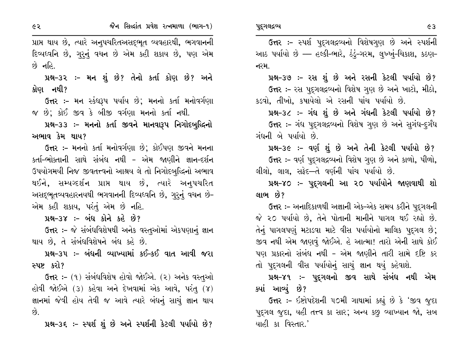પ્રાપ્ત થાય છે, ત્યારે અનુપચરિતઅસદ્દભૂત વ્યવહારથી, ભગવાનની દિવ્યધ્વનિ છે, ગુરૂનું વચન છે એમ કહી શકાય છે, પણ એમ  $\hat{g}$  નહિ.

પ્રશ્ન–૩૨ :– મન શું છે? તેનો કર્તા કોણ છે? અને કોણ નથી?

ઉત્તર :– મન સ્કંઘરૂપ પર્યાય છે; મનનો કર્તા મનોવર્ગણા જ છે; કોઈ જીવ કે બીજી વર્ગણા મનનો કર્તા નથી.

પ્રશ્ન-૩૩ :- મનનો કર્તા જીવને માનવારૂપ નિગોદબુદ્ધિનો અભાવ કેમ થાય?

ઉત્તર :- મનનો કર્તા મનોવર્ગણા છે; કોઈપણ જીવને મનના કર્તા-ભોક્તાની સાથે સંબંધ નથી - એમ જાણીને જ્ઞાન-દર્શન ઉપયોગમયી નિજ જીવતત્ત્વનો આશ્રય લે તો નિગોદબુદ્ધિનો અભાવ થઈને, સમ્યગ્દર્શન પ્રાપ્ત થાય છે, ત્યારે અનુપચરિત અસદ્દભુતવ્યવહારનયથી ભગવાનની દિવ્યધ્વનિ છે, ગુરૂનું વચન છે-એમ કહી શકાય, પરંતું એમ છે નહિ.

પ્રશ્ન-૩૪ :- બંધ કોને કહે છે?

ઉત્તર :- જે સંબંધવિશેષથી અનેક વસ્તુઓમાં એકપણાનું જ્ઞાન થાય છે. તે સંબંધવિશેષને બંધ કહે છે.

પ્રશ્ન–૩૫ :– બંધની વ્યાખ્યામાં કઈ–કઈ વાત આવી જરા સ્પષ્ટ કરો?

ઉત્તર :- (૧) સંબંધવિશેષ હોવો જોઈએ. (૨) અનેક વસ્તુઓ હોવી જોઈએ (૩) કહેવા અને દેખવામાં એક આવે, પરંતુ (૪) જ્ઞાનમાં જેવી હોય તેવી જ આવે ત્યારે બંધનું સાચું જ્ઞાન થાય  $\hat{g}$ .

પ્રશ્ન-૩૬ :- સ્પર્શ શું છે અને સ્પર્શની કેટલી પર્યાયો છે?

ઉત્તર :- સ્પર્શ પુદ્ગલદ્રવ્યનો વિશેષગુણ છે અને સ્પર્શની આઠ પર્યાયો છે — હલ્કી-ભારે, ઠંડું-ગરમ, લુખ્ખું-ચિકાશ, કઠણ-નરમ.

પ્રશ્ન-૩૭ :- રસ શું છે અને રસની કેટલી પર્યાયો છે? ઉત્તર :- રસ પદ્ગલદ્રવ્યનો વિશેષ ગુણ છે અને ખાટો, મીઠો, કડવો, તીખો, કષાયેલો એ રસની પાંચ પર્યાયો છે.

પ્રશ્ન-૩૮ :- ગંધ શું છે અને ગંધની કેટલી પર્યાયો છે? ઉત્તર:- ગંધ પદ્ગલદ્રવ્યનો વિશેષ ગુણ છે અને સુગંધ-દુર્ગંધ ગંધની બે પર્યાયો છે.

પ્રશ્ન-૩૯ :- વર્ણ શું છે અને તેની કેટલી પર્યાયો છે? ઉત્તર :- વર્ણ પુદ્ગલદ્રવ્યનો વિશેષ ગુણ છે અને કાળો, પીળો, લીલો, લાલ, સફેદ—તે વર્ણની પાંચ પર્યાયો છે.

પ્રશ્ન-૪૦ :- પુદુગલની આ ૨૦ પર્યાયોને જાણવાથી શો લાભ છે?

ઉત્તર ઃ- અનાદિકાળથી અજ્ઞાની એક-એક સમય કરીને પદુગલની જે ૨૦ પર્યાયો છે, તેને પોતાની માનીને પાગલ થઈ રહ્યો છે. તેનું પાગલપણું મટાડવા માટે વીસ પર્યાયોનો માલિક પદુગલ છે; જીવ નથી એમ જાણવું જોઈએ. હે આત્મા! તારો એની સાથે કોઈ પણ પ્રકારનો સંબંધ નથી - એમ જાણીને તારી સામે દષ્ટિ કર તો પુદ્ગલની વીસ પર્યાયોનું સાચું જ્ઞાન થયું કહેવાશે.

પ્રશ્ન–૪૧ :– પુદ્ગલનો જીવ સાથે સંબંધ નથી એમ ક્યાં આવ્યું છે?

ઉત્તર :- ઇષ્ટોપદેશની ૫૦મી ગાથામાં કહ્યું છે કે 'જીવ જુદા પદુગલ જુદા, યહી તત્ત્વ કા સાર; અન્ય કછુ વ્યાખ્યાન જો, સબ યાહી કા વિસ્તાર.'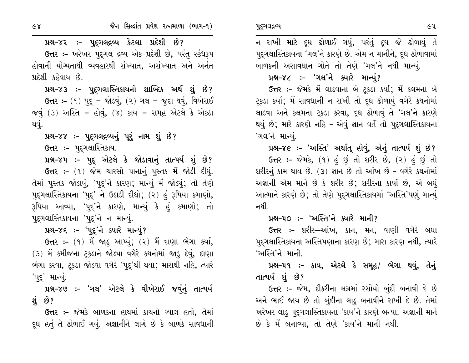પ્રશ્ન–૪૨ ઃ– પુદ્ગલદ્રવ્ય કેટલા પ્રદેશી છે?

ઉત્તર :- ખરેખર પદગલ દ્રવ્ય એક પ્રદેશી છે, પરંતુ સ્કંધરૂપ હોવાની યોગ્યતાથી વ્યવહારથી સંખ્યાત, અસંખ્યાત અને અનંત પ્રદેશી કહેવાય છે.

પ્રશ્ન-૪૩ :- પુદ્રગલાસ્તિકાયનો શાબ્દિક અર્થ શું છે? **ઉત્તર:-** (૧) પુદ્ = જોડવું, (૨) ગલ = જુદા થવું, વિખેરાઈ જવું (3) અસ્તિ = હોવું, (૪) કાય = સમૂહ એટલે કે એકઠા થવું.

પ્રશ્ન–૪૪ :– પુદ્ગલદ્રવ્યનું પૂરું નામ શું છે?

ઉત્તર :- પદ્ગલાસ્તિકાય.

પ્રશ્ન-૪૫ :- પુદ્ એટલે કે જોડાવાનું તાત્પર્ય શું છે? ઉત્તર :- (૧) જેમ ચારસો પાનાનું પુસ્તક મેં જોડી દીધું. તેમાં પુસ્તક જોડાયું, 'પુદ્'ને કારણ; માન્યું મેં જોડ્યું; તો તેણે પદુગલાસ્તિકાયના 'પદુ' ને ઉડાડી દીધો; (૨) હું રૂપિયા કમાણો, રૂપિયા આવ્યા, 'પુદ્'ને કારણે, માન્યું કે હું કમાણો; તો પુદ્ગલાસ્તિકાયના 'પુદ્'ને ન માન્યું.

પ્રશ્ન-૪૬ :- 'પૂદ્'ને ક્યારે માન્યું?

ઉત્તર :- (૧) મેં જાડુ આપ્યું; (૨) મેં દાણા ભેગા કર્યા, (૩) મેં કમીજના ટ્રકડાને જોડ્યા વગેરે કથનોમાં જાડૂ દેવું, દાણા ભેગા કરવા, ટ્રકડા જોડવા વગેરે 'પદ્ર'થી થયા; મારાથી નહિ, ત્યારે 'પદ્' માન્યું.

પ્રશ્ન-૪૭ :- 'ગલ' એટલે કે વીખેરાઈ જવનું તાત્પર્ય શં છે?

**ઉત્તર :-** જેમકે બાળકના હાથમાં કાચનો આલ હતો, તેમાં દૂધ હતું તે ઢોળાઈ ગયું. અજ્ઞાનીને લાગે છે કે બાળકે સાવધાની

ન રાખી માટે દૂધ ઢોળાઈ ગયું, પરંતું દૂધ જે ઢોળાયું તે પદુગલાસ્તિકાયના 'ગલ'ને કારણે છે. એમ ન માનીને, દૂધ ઢોળાવામાં બાળકની અસાવધાન ગોતે તો તેણે 'ગલ'ને નથી માન્યું.

#### પ્રશ્ન–૪૮ :- 'ગલ'ને ક્યારે માન્યું?

ઉત્તર :- જેમકે મેં લાડવાના બે ટ્રકડા કર્યા; મેં કલમના બે ટ્રકડા કર્યા; મેં સાવધાની ન રાખી તો દૂધ ઢોળાયું વગેરે કથનોમાં લાડવા અને કલમના ટ્રકડા કરવા, દૂધ ઢોળાવું તે 'ગલ'ને કારણે થયું છે; મારે કારણે નહિ - એવું જ્ઞાન વર્તે તો પુદુગલાસ્તિકાયના 'ગલ'ને માન્યું.

પ્રશ્ન-૪૯ :- 'અસ્તિ' અર્થાત્ હોવું, એનું તાત્પર્ય શું છે?

ઉત્તર :- જેમકે, (૧) હું છું તો શરીર છે, (૨) હું છું તો શરીરનું કામ થાય છે. (3) જ્ઞાન છે તો આંખ છે - વગેરે કથનોમાં અજ્ઞાની એમ માને છે કે શરીર છે; શરીરના કાર્યો છે, એ બધું આત્માને કારણે છે; તો તેણે પુદ્ગલાસ્તિકાયમાં 'અસ્તિ'પણું માન્યું નથી.

#### પ્રશ્ન–૫૦ ઃ– 'અસ્તિ'ને ક્યારે માની?

**ઉત્તર :-** શરીર—આંખ, કાન, મન, વાણી વગેરે બધા પદ્ગલાસ્તિકાયના અસ્તિપણાના કારણ છે; મારા કારણ નથી, ત્યારે 'અસ્તિ'ને માની.

પ્રશ્ન-૫૧ :- કાય, એટલે કે સમૂહ/ ભેગા થવું, તેનું તાત્પર્ય શું છે?

**ઉત્તર :-** જેમ, દીકરીના લગ્નમાં રસોયો બુંદી બનાવી દે છે અને ભાઈ જાય છે તો બુંદીના લાડુ બનાવીને રાખી દે છે. તેમાં ખરેખર લાડુ પુદ્ગલાસ્તિકાયના 'કાય'ને કારણે બન્યા. અજ્ઞાની માને છે કે મેં બનાવ્યા, તો તેણે 'કાય'ને માની નથી.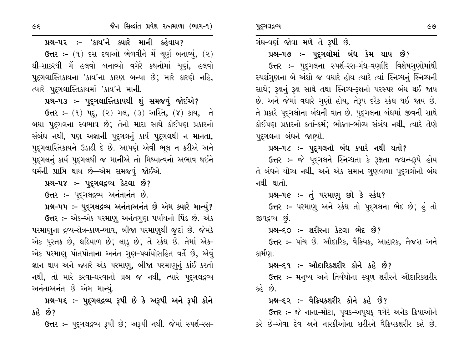$\epsilon$ 

## પ્રશ્ન-૫૨ :- 'કાય'ને ક્યારે માની કહેવાય?

ઉત્તર: - (૧) દસ દવાઓ ભેળવીને મેં ચૂર્ણ બનાવ્યું, (૨) ઘી-સાકરથી મેં હલવો બનાવ્યો વગેરે કથનોમાં ચૂર્ણ, હલવો પદુગલાસ્તિકાયના 'કાય'ના કારણ બન્યા છે; મારે કારણે નહિ, ત્યારે પદ્ગલાસ્તિકાયમાં 'કાય'ને માની.

## પ્રશ્ન-૫૩ ઃ- પુદ્દગલાસ્તિકાયથી શું સમજવું જોઈએ?

ઉત્તર: - (૧) પદ્, (૨) ગલ, (૩) અસ્તિ, (૪) કાય, તે બધા પુદ્ગલના સ્વભાવ છે; તેનો મારા સાથે કોઈપણ પ્રકારનો સંબંધ નથી, પણ અજ્ઞાની પુદ્ગલનું કાર્ય પુદ્ગલથી ન માનતા, પુદ્ગલાસ્તિકાયને ઉડાડી દે છે. આપણે એવી ભૂલ ન કરીએ અને પુદ્ગલનું કાર્ય પુદ્ગલથી જ માનીએ તો મિથ્યાત્વનો અભાવ થઈને ઘર્મની પ્રાપ્તિ થાય છે—એમ સમજવું જોઈએ.

## પ્રશ્ન-૫૪ :- પુદૃગલદ્ગવ્ય કેટલા છે?

ઉત્તર :- પદ્ગલદ્રવ્ય અનંતાનંત છે.

### પ્રશ્ન-૫૫ :- પુદુગલદ્રવ્ય અનંતાઅનંત છે એમ ક્યારે માન્યું?

ઉત્તર :- એક-એક પરમાણુ અનંતગુણ પર્યાયનો પિંડ છે. એક પરમાણુના દ્રવ્ય-ક્ષેત્ર-કાળ-ભાવ, બીજા પરમાણથી જૂદાં છે. જેમકે એક પુસ્તક છે, ઘડિયાળ છે; લાડુ છે; તે સ્કંધ છે. તેમાં એક-એક પરમાણુ પોતપોતાના અનંત ગુણ-પર્યાયોસહિત વર્તે છે, એવું જ્ઞાન થાય અને જ્યારે એક પરમાણુ, બીજા પરમાણુનું કાંઈ કરતો નથી, તો મારે કરવા-ધરવાનો પ્રશ્ન જ નથી, ત્યારે પુદ્ગલદ્રવ્ય અનંતાઅનંત છે એમ માન્યું.

# પ્રશ્ન-૫૬ :- પુદ્ગલદ્રવ્ય રૂપી છે કે અરૂપી અને રૂપી કોને  $303.69?$

ઉત્તર :- પદ્ગલદ્રવ્ય રૂપી છે; અરૂપી નથી. જેમાં સ્પર્શ-રસ-

# ગંધ-વર્ણ જોવા મળે તે રૂપી છે.

## પ્રશ્ન–૫૭ ઃ– પદ્ગલોમાં બંધ કેમ થાય છે?

ઉત્તર :- પુદૃગલના સ્પર્શ-રસ-ગંધ-વર્ણાદિ વિશેષગુણોમાંથી સ્પર્શગણના બે અંશો જ વધારે હોય ત્યારે ત્યાં સ્નિગ્ધનું સ્નિગ્ધની સાથે; રૂક્ષનું રૂક્ષ સાથે તથા સ્નિગ્ધ-રૂક્ષનો પરસ્પર બંધ થઈ જાય છે. અને જેમાં વધારે ગુણો હોય, તેરૂપ દરેક સ્કંધ થઈ જાય છે. તે પ્રકારે પુદગલોના બંધની વાત છે. પુદગલના બંધમાં જીવની સાથે કોઈપણ પ્રકારનો કર્તા-કર્મ: ભોક્તા-ભોગ્ય સંબંધ નથી, ત્યારે તેણે પદ્ગલના બંધને જાણ્યો.

## પ્રશ્ન-૫૮ :- પુદ્ગલનો બંધ ક્યારે નથી થતો?

ઉત્તર :- જે પુદ્ગલને સ્નિગ્ધતા કે રૂક્ષતા જઘન્યરૂપે હોય તે બંધને યોગ્ય નથી, અને એક સમાન ગુણવાળા પુદગલોનો બંધ નથી થાતો.

### પ્રશ્ન–૫૯:– તું પરમાણુ છો કે સ્કંધ?

ઉત્તર :- પરમાણ અને સ્કંધ તો પદ્ગલના ભેદ છે; હું તો જીવદ્રવ્ય છે.

#### પ્રશ્ન–૬૦ ઃ– શરીરના કેટલા ભેદ છે?

ઉત્તર :- પાંચ છે. ઔદારિક, વૈક્રિયક, આહારક, તૈજસ અને કાર્મણ.

#### પ્રશ્ન–૬૧ :– ઔદારિકશરીર કોને કહે છે?

**ઉત્તર :- મનુષ્ય અને તિર્યંચોના સ્થ્**ળ શરીરને ઔદારિકશરીર કહે છે.

#### પ્રશ્ન–દ૨ :– વૈક્રિયકશરીર કોને કહે છે?

ઉત્તર :- જે નાના-મોટા, પુથક-અપૃથક્ વગેરે અનેક ક્રિયાઓને કરે છે-એવા દેવ અને નારકીઓના શરીરને વૈક્રિયકશરીર કહે છે.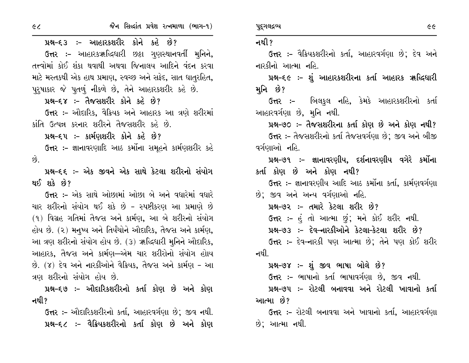પ્રશ્ન-૬૩ :- આહારકશરીર કોને કહે છે? ઉત્તર :- આહારકૠદ્ધિધારી છઠ્ઠા ગુણસ્થાનવર્તી મુનિને, તત્ત્વોમાં કોઈ શંકા થવાથી અથવા જિનાલય આદિને વંદન કરવા માટે મસ્તકથી એક હાથ પ્રમાણ, સ્વચ્છ અને સફેદ, સાત ધાતુરહિત, પુરૂષાકાર જે પુતળું નીકળે છે, તેને આહારકશરીર કહે છે. પ્રશ્ન–૬૪ :- તૈજસશરીર કોને કહે છે? ઉત્તર :- ઔદારિક, વૈક્રિયક અને આહારક આ ત્રણે શરીરમાં કાંતિ ઉત્પન્ન કરનાર શરીરને તૈજસશરીર કહે છે. પ્રશ્ન–દ્દપ :– કાર્મણશરીર કોને કહે છે? ઉત્તર :- જ્ઞાનાવરણાદિ આઠ કર્મોના સમૂહને કાર્મણશરીર કહે છે. પ્રશ્ન–૬૬ :– એક જીવને એક સાથે કેટલા શરીરનો સંયોગ થઈ શકે છે? ઉત્તર :- એક સાથે ઓછામાં ઓછા બે અને વધારેમાં વધારે ચાર શરીરનો સંયોગ થઈ શકે છે - સ્પષ્ટીકરણ આ પ્રમાણે છે (૧) વિગ્રહ ગતિમાં તૈજસ અને કાર્મણ, આ બે શરીરનો સંયોગ હોય છે. (૨) મનુષ્ય અને તિર્યંચોને ઔદારિક, તૈજસ અને કાર્મણ, આ ત્રણ શરીરનો સંયોગ હોય છે. (3) ૠદ્ધિધારી મુનિને ઔદારિક, આહારક, તૈજસ અને કાર્મણ—એમ ચાર શરીરોનો સંયોગ હોાય છે. (૪) દેવ અને નારકીઓને વૈક્રિયક, તૈજસ અને કાર્મણ - આ ત્રણ શરીરનો સંયોગ હોય છે.

પ્રશ્ન-૬૭ :- ઔદારિકશરીરનો કર્તા કોણ છે અને કોણ નથી?

**ઉત્તર :-** ઔદારિકશરીરનો કર્તા, આહારવર્ગણા છે; જીવ નથી. પ્રશ્ન–૬૮ :– વૈક્રિયકશરીરનો કર્તા કોણ છે અને કોણ પુદ્ગલદ્રવ્ય

#### નથી ?

ઉત્તર :- વૈક્રિયકશરીરનો કર્તા, આહારવર્ગણા છે; દેવ અને નારકીનો આત્મા નહિ.

પ્રશ્ન-૬૯ :- શું આહારકશરીરના કર્તા આહારક ૠહ્લિધારી મનિ છે?

**ઉત્તર :-** બિલકુલ નહિ, કેમકે આહારકશરીરનો કર્તા આહારવર્ગણા છે, મૂનિ નથી.

પ્રશ્ન-૭૦ :- તૈજસશરીરના કર્તા કોણ છે અને કોણ નથી?

ઉત્તર :- તૈજસશરીરનો કર્તા તૈજસવર્ગણા છે; જીવ અને બીજી વર્ગણાઓ નહિ.

પ્રશ્ન–૭૧ :– જ્ઞાનાવરણીય, દર્શનાવરણીય વગેરે કર્મોના કર્તા કોણ છે અને કોણ નથી?

ઉત્તર :- જ્ઞાનાવરણીય આદિ આઠ કર્મોના કર્તા, કાર્મણવર્ગણા છે: જીવ અને અન્ય વર્ગણાઓ નહિ.

પ્રશ્ન–૭૨ :– તમારે કેટલા શરીર છે? ઉત્તર :- હં તો આત્મા છું; મને કોઈ શરીર નથી. પ્રશ્ન–૭૩ :- દેવ–નારકીઓને કેટલા–કેટલા શરીર છે? ઉત્તર :- દેવ-નારકી પણ આત્મા છે: તેને પણ કોઈ શરીર નથી

પ્રશ્ન–૭૪ :– શું જીવ ભાષા બોલે છે?

ઉત્તર :- ભાષાનો કર્તા ભાષાવર્ગણા છે, જીવ નથી.

પ્રશ્ન–૭૫ :– રોટલી બનાવવા અને રોટલી ખાવાનો કર્તા આત્મા છે?

**ઉત્તર ઃ-** રોટલી બનાવવા અને ખાવાનો કર્તા. આહારવર્ગણા છે: આત્મા નથી.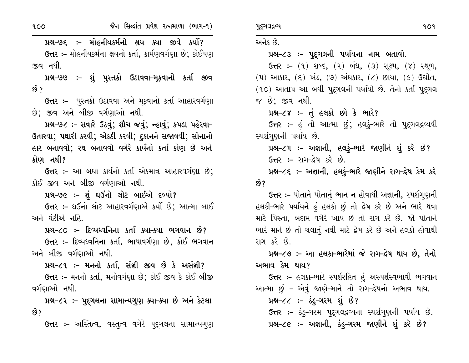પ્રશ્ન-૭૬ :- મોહનીયકર્મનો ક્ષય ક્યા જીવે કર્યો? ઉત્તર :- મોહનીયકર્મના ક્ષયનો કર્તા, કાર્મણવર્ગણા છે; કોઈપણ જીવ નથી.

પ્રશ્ન-૭૭ :- શું પુસ્તકો ઉઠાવવા-મુકવાનો કર્તા જીવ છે ?

ઉત્તર :- પુસ્તકો ઉઠાવવા અને મૂકવાનો કર્તા આહારવર્ગણા છે; જીવ અને બીજી વર્ગણાઓ નથી.

પ્રશ્ન-૭૮: - સવારે ઉઠવું; શૌચ જવું; ન્હાવું; કપડા પહેરવા-ઉતારવા; પથારી કરવી; એકઠી કરવી; દુકાનને સજાવવી; સોનાનો હાર બનાવવો; રથ બનાવવો વગેરે કાર્યનો કર્તા કોણ છે અને કોણ નથી?

ઉત્તર :- આ બધા કાર્યનો કર્તા એકમાત્ર આહારવર્ગણા છે; કોઈ જીવ અને બીજી વર્ગણાઓ નથી.

પ્રશ્ન-૭૯ :- શું ઘઉંનો લોટ બાઈએ દળ્યો?

ઉત્તર :- ઘઉંનો લોટ આહારવર્ગણાએ કર્યો છે; આત્મા બાઈ અને ઘંટીએ નહિ.

પ્રશ્ન-૮૦ :- દિવ્યધ્વનિના કર્તા ક્યા-ક્યા ભગવાન છે?

ઉત્તર :- દિવ્યધ્વનિના કર્તા, ભાષાવર્ગણા છે; કોઈ ભગવાન અને બીજી વર્ગણાઓ નથી.

પ્રશ્ન-૮૧ :- મનનો કર્તા, સંજ્ઞી જીવ છે કે અસંજ્ઞી?

ઉત્તર :- મનનો કર્તા, મનોવર્ગણા છે; કોઈ જીવ કે કોઈ બીજી વર્ગણાઓ નથી.

પ્રશ્ન-૮૨ :- પુદ્ગલના સામાન્યગુણ ક્યા-ક્યા છે અને કેટલા છે?

**ઉત્તર :-** અસ્તિત્વ, વસ્તુત્વ વગેરે પુદ્ગલના સામાન્યગુણ

પુદ્ગલદ્રવ્ય

અનેક છે.

પ્રશ્ન-૮૩ :- પૂદ્ગલની પર્યાયના નામ બતાવો.

**ઉત્તર:** (૧) શબ્દ, (૨) બંધ, (૩) સૂક્ષ્મ, (૪) સ્થૂળ, (૫) આકાર, (૬) ખંડ, (૭) અંધકાર, (૮) છાયા, (૯) ઉદ્યોત, (૧૦) આતાપ આ બધી પદ્ગલની પર્યાયો છે. તેનો કર્તા પદ્ગલ જ છે; જીવ નથી.

પ્રશ્ન-૮૪ :- તું હલકો છો કે ભારે?

ઉત્તર:- હં તો આત્મા છું; હલકું-ભારે તો પુદુગલદ્ગવ્યવી સ્પર્શગણની પર્યાય છે.

પ્રશ્ન-૮૫ :- અજ્ઞાની, હલકું-ભારે જાણીને શું કરે છે? **ઉત્તર :-** રાગ-દ્વેષ કરે છે.

પ્રશ્ન-૮૬ ઃ- અજ્ઞાની, હલકું-ભારે જાણીને રાગ-દ્વેષ કેમ કરે છે?

ઉત્તર :- પોતાને પોતાનું ભાન ન હોવાથી અજ્ઞાની, સ્પર્શગૃણની હલકી-ભારે પર્યાયને હું હલકો છું તો દ્રેષ કરે છે અને ભારે થવા માટે પિસ્તા, બદામ વગેરે ખાય છે તો રાગ કરે છે. જો પોતાને ભારે માને છે તો ચલાતું નથી માટે દ્રેષ કરે છે અને હલકો હોવાથી રાગ કરે છે.

પ્રશ્ન-૮૭ :- આ હલકા-ભારેમાં જે રાગ-દ્વેષ થાય છે. તેનો અભાવ કેમ થાય?

**ઉત્તર :-** હલકા-ભારે સ્પર્શરહિત હું અસ્પર્શસ્વભાવી ભગવાન આત્મા છું – એવું જાણે-માને તો રાગ-દ્વેષનો અભાવ થાય.

પ્રશ્ન-૮૮ :- ઠંડૂ-ગરમ શું છે?

ઉત્તર :- ઠંડુ-ગરમ પુદ્ગલદ્રવ્યના સ્પર્શગુણની પર્યાય છે.

પ્રશ્ન-૮૯ :- અજ્ઞાની, ઠંડુ-ગરમ જાણીને શું કરે છે?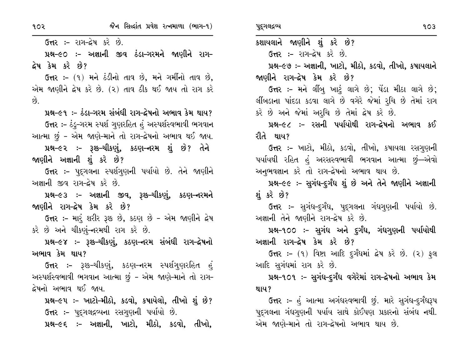**ઉત્તર :-** રાગ-દ્વેષ કરે છે.

પ્રશ્ન-૯૦ :- અજ્ઞાની જીવ ઠંડા–ગરમને જાણીને રાગ– દ્વેષ કેમ કરે છે?

ઉત્તર :- (૧) મને ઠંડીનો તાવ છે, મને ગર્મીનો તાવ છે, એમ જાણીને દ્રેષ કરે છે. (૨) તાવ ઠીક થઈ જાય તો રાગ કરે છે.

પ્રશ્ન–૯૧ ઃ– ઠંડા–ગરમ સંબંધી રાગ–દ્રેષનો અભાવ કેમ થાય? ઉત્તર :- ઠંડુ-ગરમ સ્પર્શ ગુણરહિત હું અસ્પર્શસ્વભાવી ભગવાન આત્મા છું - એમ જાણે-માને તો રાગ-દ્વેષનો અભાવ થઈ જાય.

પ્રશ્ન–૯૨ :– રૂશ્ક–ચીકર્ણુ, કઠણ–નરમ શું છે? તેને જાણીને અજ્ઞાની શું કરે છે?

ઉત્તર :- પદુગલના સ્પર્શગુણની પર્યાયો છે. તેને જાણીને અજ્ઞાની જીવ રાગ-દ્રેષ કરે છે.

પ્રશ્ન–૯૩ :– અજ્ઞાની જીવ, રૂશ્ક–ચીકણું, કઠણ–નરમને જાણીને રાગ–દ્રેષ કેમ કરે છે?

ઉત્તર :- મારૂં શરીર રૂક્ષ્ક છે, કઠણ છે - એમ જાણીને દ્વેષ કરે છે અને ચીકર્ણુ-નરમથી રાગ કરે છે.

પ્રશ્ન–૯૪ :– રૂશ્ક–ચીકર્ણુ, કઠણ–નરમ સંબંધી રાગ–દ્રેષનો અભાવ કેમ થાય?

**ઉત્તર ઃ-** રૂશ્ક-ચીકર્ણુ, કઠણ-નરમ સ્પર્શગુણરહિત હું અસ્પર્શસ્વભાવી ભગવાન આત્મા છું - એમ જાણે-માને તો રાગ-દ્વેષનો અભાવ થઈ જાય.

પ્રશ્ન–૯૫ ઃ– ખાટો–મીઠો, કડવો, કષાયેલો, તીખો શું છે? ઉત્તર :- પુદ્ગલદ્રવ્યના રસગુણની પર્યાયો છે.

પ્રશ્ન-૯૬ :- અજ્ઞાની, ખાટો, મીઠો, કડવો, તીખો,

કશાયલાને જાણીને શું કરે છે? **ઉત્તર :- રાગ-द्वेष કરે છે.** 

પ્રશ્ન-૯૭ :- અજ્ઞાની, ખાટો, મીઠો, કડવો, તીખો, કષાયલાને જાણીને રાગ–દ્વેષ કેમ કરે છે?

ઉત્તર :- મને લીંબુ ખાટું લાગે છે; પેંડા મીઠા લાગે છે; લીંબડાના પાંદડા કડવા લાગે છે વગેરે જેમાં રુચિ છે તેમાં રાગ કરે છે અને જેમાં અરૂચિ છે તેમાં દ્રેષ કરે છે.

પ્રશ્ન–૯૮ :– રસની પર્યાયોથી રાગ–દ્વેષનો અભાવ કઈ રીતે થાય?

**ઉત્તર :-** ખાટો, મીઠો, કડવો, તીખો, કષાયલા રસગુણની પર્યાયથી રહિત હું અરસસ્વભાવી ભગવાન આત્મા છું—એવો અનુભવજ્ઞાન કરે તો રાગ-દ્વેષનો અભાવ થાય છે.

પ્રશ્ન-૯૯ :- સુગંધ-દુર્ગંધ શું છે અને તેને જાણીને અજ્ઞાની શંકરે છે?

**ઉત્તર :-** સુગંધ-દ્રગંધ, પુદ્દગલના ગંધગુણની પર્યાયો છે. અજ્ઞાની તેને જાણીને રાગ-દ્વેષ કરે છે.

પ્રશ્ન-૧૦૦ ઃ- સુગંધ અને દુર્ગંધ, ગંધગુણની પર્યાયોથી અજ્ઞાની રાગ–દ્રેષ કેમ કરે છે?

ઉત્તર :- (૧) વિષ્ટા આદિ દુર્ગંધમાં દ્રેષ કરે છે. (૨) ફુલ આદિ સુગંધમાં રાગ કરે છે.

પ્રશ્ન-૧૦૧ ઃ- સુગંધ-દુર્ગંધ વગેરેમાં રાગ-દ્વેષનો અભાવ કેમ થાય?

ઉત્તર :– હું આત્મા અગંધસ્વભાવી છું. મારે સુગંધ–દુર્ગંધરૂપ પદુગલના ગંધગુણની પર્યાય સાથે કોઈપણ પ્રકારનો સંબંધ નથી. એમ જાણે-માને તો રાગ-દ્વેષનો અભાવ થાય છે.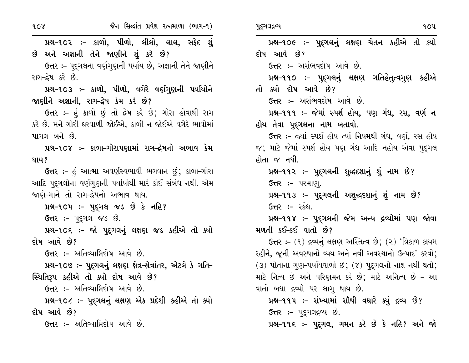ઉત્તર :- પદુગલના વર્ણગુણની પર્યાય છે, અજ્ઞાની તેને જાણીને રાગ-દ્વેષ કરે છે.

પ્રશ્ન-૧૦૩ :- કાળો, પીળો, વગેરે વર્ણગુણની પર્યાયોને જાણીને અજ્ઞાની, રાગ-દ્વેષ કેમ કરે છે?

ઉત્તર :- હું કાળો છું તો દ્રેષ કરે છે; ગોરા હોવાથી રાગ કરે છે. મને ગોરી ઘરવાળી જોઈએ, કાળી ન જોઈએ વગેરે ભાવોમાં પાગલ બને છે.

પ્રશ્ન-૧૦૪ :- કાળા-ગોરાપણામાં રાગ-દ્રેષનો અભાવ કેમ થાય?

ઉત્તર :- હું આત્મા અવર્ણસ્વભાવી ભગવાન છું; કાળા-ગોરા આદિ પુદ્ગલોના વર્ણગુણની પર્યાયોથી મારે કોઈ સંબંધ નથી. એમ જાણે-માને તો રાગ-દ્વેષનો અભાવ થાય.

પ્રશ્ન-૧૦૫: – પદ્ગલ જડ છે કે નહિ?

ઉત્તર :- પુદ્ગલ જડ છે.

પ્રશ્ન-૧૦૬ :- જો પુદ્ગલનું લક્ષણ જડ કહીએ તો ક્યો દોષ આવે છે?

ઉત્તર :- અતિવ્યાપ્તિદોષ આવે છે.

પ્રશ્ન-૧૦૭ :- પુદ્ગલનું લક્ષણ ક્ષેત્ર-ક્ષેત્રાંતર, એટલે કે ગતિ-સ્થિતિરૂપ કહીએ તો ક્યો દોષ આવે છે?

ઉત્તર :- અતિવ્યાપ્તિદોષ આવે છે.

પ્રશ્ન-૧૦૮ :- પુદ્ગલનું લક્ષણ એક પ્રદેશી કહીએ તો ક્યો દોષ આવે છે?

**ઉત્તર :-** અતિવ્યાપ્તિદોષ આવે છે.

 $90\n$ પ્રશ્ન-૧૦૯ :- પુદ્ગલનું લક્ષણ ચેતન કહીએ તો ક્યો દોષ આવે છે? ઉત્તર :- અસંભવદોષ આવે છે. પ્રશ્ન-૧૧૦ ઃ- પુદ્ગલનું લક્ષણ ગતિહેતૃત્વગુણ કહીએ તો ક્યો દોષ આવે છે? ઉત્તર :- અસંભવદોષ આવે છે. પ્રશ્ન-૧૧૧ :- જેમાં સ્પર્શ હોય, પણ ગંધ, રસ, વર્ણ ન હોય તેવા પુદ્ગલના નામ બતાવો. ઉત્તર :- જ્યાં સ્પર્શ હોય ત્યાં નિયમથી ગંધ, વર્ણ, રસ હોય જ; માટે જેમાં સ્પર્શ હોય પણ ગંધ આદિ નહોય એવા પુદ્ગલ હોતા જ નથી. પ્રશ્ન-૧૧૨ :- પુદ્રગલની શુદ્ધદશાનું શું નામ છે? ઉત્તર :- પરમાણ. પ્રશ્ન-૧૧૩ :- પુદ્ગલની અશુદ્ધદશાનું શું નામ છે? ઉત્તર :- સ્કંધ. પ્રશ્ન-૧૧૪ :- પુદુગલની જેમ અન્ય દ્રવ્યોમાં પણ જોવા મળતી કઈ-કઈ વાતો છે? ઉત્તર: –  $(9)$  દ્રવ્યનું લક્ષણ અસ્તિત્વ છે;  $(2)$  'ત્રિકાળ કાયમ રહીને, જૂની અવસ્થાનો વ્યય અને નવી અવસ્થાનો ઉત્પાદ' કરવો;  $(3)$  પોતાના ગુણ-પર્યાયવાળો છે;  $(8)$  પૂદ્ગલનો નાશ નથી થતો; માટે નિત્ય છે અને પરિણમન કરે છે; માટે અનિત્ય છે - આ વાતો બધા દ્રવ્યો પર લાગૂ થાય છે. પ્રશ્ન-૧૧૫ :- સંખ્યામાં સૌથી વધારે ક્યું દ્રવ્ય છે? **ઉત્તર :-** પુદ્ગલદ્રવ્ય છે. પ્રશ્ન-૧૧૬ :- પુદ્રગલ, ગમન કરે છે કે નહિ? અને જો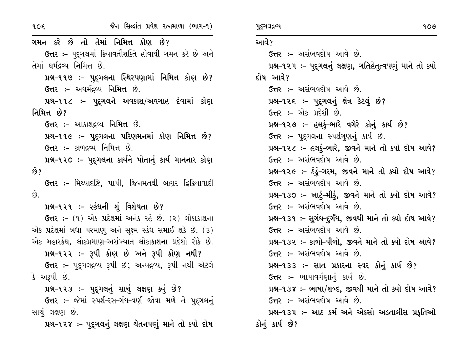ગમન કરે છે તો તેમાં નિમિત્ત કોણ છે? ઉત્તર :- પુદગલમાં ક્રિયાવતીશક્તિ હોવાથી ગમન કરે છે અને તેમાં ધર્મદ્રવ્ય નિમિત્ત છે. પ્રશ્ન-૧૧૭ :- પુદ્ગલના સ્થિરપણામાં નિમિત્ત કોણ છે? ઉત્તર :- અદ્યર્મદ્રવ્ય નિમિત્ત છે. પ્રશ્ન-૧૧૮ :- પુદૃગલને અવકાશ/અવગાહ દેવામાં કોણ નિમિત્ત છે? ઉત્તર:- આકાશદ્રવ્ય નિમિત્ત છે. પ્રશ્ન-૧૧૯ :- પુદ્ગલના પરિણમનમાં કોણ નિમિત્ત છે? ઉત્તર :- કાળદ્રવ્ય નિમિત્ત છે. પ્રશ્ન-૧૨૦ :- પુદુગલના કાર્યને પોતાનું કાર્ય માનનાર કોણ છે? ઉત્તર :- મિથ્યાદષ્ટિ, પાપી, જિનમતથી બહાર દ્વિક્રિયાવાદી  $\hat{g}$ . પ્રશ્ન-૧૨૧ :- સ્કંધની શું વિશેષતા છે? ઉત્તર :- (૧) એક પ્રદેશમાં અનેક રહે છે. (૨) લોકાકાશના એક પ્રદેશમાં બધા પરમાણુ અને સૂક્ષ્મ સ્કંધ સમાઈ શકે છે. (3) એક મહાસ્કંઘ, લોકપ્રમાણ-અસંખ્યાત લોકાકાશના પ્રદેશો રોકે છે. પ્રશ્ન-૧૨૨ :- રૂપી કોણ છે અને રૂપી કોણ નથી? ઉત્તર :- પદુગલદ્રવ્ય રૂપી છે; અન્યદ્રવ્ય, રૂપી નથી એટલે કે અરૂપી છે. પ્રશ્ન-૧૨૩ :- પદ્ગલનું સાચું લક્ષણ કર્યુ છે? ઉત્તર :- જેમાં સ્પર્શ-રસ-ગંધ-વર્ણ જોવા મળે તે પદુગલનું સાચું લક્ષણ છે. પ્રશ્ન-૧૨૪ :- પુદ્રગલનું લક્ષણ ચેતનપણું માને તો ક્યો દોષ આવે? ઉત્તર :- અસંભવદોષ આવે છે. પ્રશ્ન-૧૨૫ ઃ- પુદ્રગલનું લક્ષણ, ગતિહેતુત્વપણું માને તો ક્યો દોષ આવે? ઉત્તર :- અસંભવદોષ આવે છે. પ્રશ્ન-૧૨૬ :- પુદ્ગલનું ક્ષેત્ર કેટલું છે? ઉત્તર: – એક પ્રદેશી છે. પ્રશ્ન-૧૨૭ :- હલકું-ભારે વગેરે કોનું કાર્ય છે? ઉત્તર :- પદ્ગલના સ્પર્શગણનું કાર્ય છે. પ્રશ્ન-૧૨૮ :- હલકું-ભારે, જીવને માને તો ક્યો દોષ આવે? ઉત્તર :- અસંભવદોષ આવે છે. પ્રશ્ન-૧૨૯ :- ઠંડું-ગરમ, જીવને માને તો ક્યો દોષ આવે? ઉત્તર :- અસંભવદોષ આવે છે. પ્રશ્ન-૧૩૦ :- ખાટું-મીઠું, જીવને માને તો ક્યો દોષ આવે? ઉત્તર :- અસંભવદોષ આવે છે. પ્રશ્ન-૧૩૧ ઃ- સુગંધ-દુર્ગંધ, જીવથી માને તો ક્યો દોષ આવે? ઉત્તર :- અસંભવદોષ આવે છે. પ્રશ્ન-૧૩૨ :- કાળો-પીળો, જીવને માને તો ક્યો દોષ આવે? ઉત્તર :- અસંભવદોષ આવે છે. પ્રશ્ન-૧૩૩ :- સાત પ્રકારના સ્વર કોનું કાર્ય છે? ઉત્તર :- ભાષાવર્ગણાનું કાર્ય છે. પ્રશ્ન-૧૩૪ :- ભાષા/શબ્દ, જીવથી માને તો ક્યો દોષ આવે? **ઉત્તર :-** અસંભવદોષ આવે છે. પ્રશ્ન-૧૩૫ :- આઠ કર્મ અને એકસો અડતાલીસ પ્રકૃતિઓ કોનું કાર્ય છે?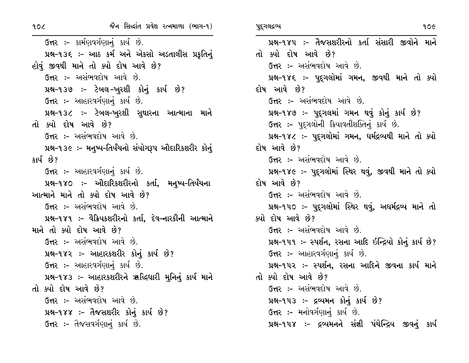ઉત્તર :- કાર્મણવર્ગણાનું કાર્ય છે. પ્રશ્ન-૧૩૬ :- આઠ કર્મ અને એકસો અડતાલીસ પ્રકૃતિનું હોવું જીવથી માને તો ક્યો દોષ આવે છે? ઉત્તર :- અસંભવદોષ આવે છે. પ્રશ્ન-૧૩૭ :- ટેબલ-ખુરશી કોનું કાર્ય છે? ઉત્તર: – આહારવર્ગણાનું કાર્ય છે. પ્રશ્ન-૧૩૮ :- ટેબલ-ખુરશી સુથારના આત્માના માને તો ક્યો દોષ આવે છે? ઉત્તર :- અસંભવદોષ આવે છે. પ્રશ્ન-૧૩૯ :- મનુષ્ય-તિર્યંચનો સંયોગરૂપ ઔદારિકશરીર કોનું કાર્ય છે? ઉત્તર :- આહારવર્ગણાનું કાર્ય છે. પ્રશ્ન-૧૪૦ ઃ- ઔદારિકશરીરનો કર્તા, મનુષ્ય-તિર્યંચના આત્માને માને તો ક્યો દોષ આવે છે? ઉત્તર :- અસંભવદોષ આવે છે. પ્રશ્ન-૧૪૧ ઃ- વૈક્રિયકશરીરનો કર્તા. દેવ–નારકીની આત્માને માને તો ક્યો દોષ આવે છે? ઉત્તર :- અસંભવદોષ આવે છે. પ્રશ્ન-૧૪૨ :- આહારકશરીર કોનું કાર્ય છે? ઉત્તર :- આહારવર્ગણાનું કાર્ય છે. પ્રશ્ન-૧૪૩ :- આહારકશરીરને ૠલ્દિઘારી મુનિનું કાર્ય માને તો ક્યો દોષ આવે છે? ઉત્તર :- અસંભવદોષ આવે છે. પ્રશ્ન-૧૪૪ :- તૈજસશરીર કોનું કાર્ય છે? ઉત્તર :- તૈજસવર્ગણાનું કાર્ય છે.

પ્રશ્ન-૧૪૫ :- તૈજસશરીરનો કર્તા સંસારી જીવોને માને તો ક્યો દોષ આવે છે? ઉત્તર :- અસંભવદોષ આવે છે. પ્રશ્ન-૧૪૬ :- પુદગલોમાં ગમન, જીવથી માને તો ક્યો દોષ આવે છે? **ઉત્તર :-** અસંભવદોષ આવે છે. પ્રશ્ન-૧૪૭ :- પુદ્ગલમાં ગમન થવું કોનું કાર્ય છે? ઉત્તર :- પુદ્ગલોની ક્રિયાવતીશક્તિનું કાર્ય છે. પ્રશ્ન-૧૪૮ :- પુદગલોમાં ગમન, ધર્મદ્રવ્યથી માને તો ક્યો દોષ આવે છે? ઉત્તર :- અસંભવદોષ આવે છે. પ્રશ્ન-૧૪૯ :- પુદ્ગલોમાં સ્થિર થવું, જીવથી માને તો ક્યો દોષ આવે છે? **ઉત્તર :- અસંભવદોષ આવે છે.** પ્રશ્ન-૧૫૦ :- પુદ્ગલોમાં સ્થિર થવું, અદ્યર્મદ્રવ્ય માને તો ક્યો દોષ આવે છે? ઉત્તર :- અસંભવદોષ આવે છે. પ્રશ્ન-૧૫૧ :- સ્પર્શન, રસના આદિ ઇન્દ્રિયો કોનું કાર્ય છે? ઉત્તર :- આહારવર્ગણાનું કાર્ય છે. પ્રશ્ન-૧૫૨ :- સ્પર્શન, રસના આદિને જીવના કાર્ય માને તો ક્યો દોષ આવે છે? ઉત્તર :- અસંભવદોષ આવે છે. પ્રશ્ન-૧૫૩ :- દ્રવ્યમન કોનું કાર્ય છે? ઉત્તર :- મનોવર્ગણાનું કાર્ય છે. પ્રશ્ન-૧૫૪ :- દ્રવ્યમનને સંજ્ઞી પંચેન્દ્રિય જીવનું કાર્ય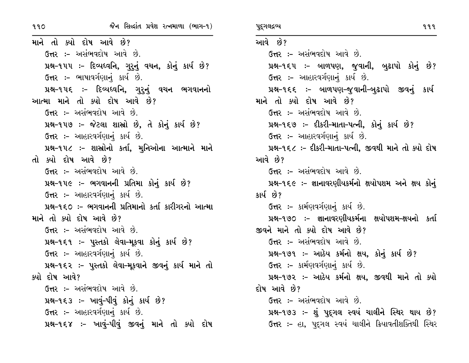માને તો ક્યો દોષ આવે છે? ઉત્તર :- અસંભવદોષ આવે છે. પ્રશ્ન-૧૫૫ :- દિવ્યધ્વનિ, ગુરુનું વચન, કોનું કાર્ય છે? ઉત્તર :- ભાષાવર્ગણાનું કાર્ય છે. પ્રશ્ન-૧૫૬ :- દિવ્યધ્વનિ, ગુરુનું વચન ભગવાનનો આત્મા માને તો ક્યો દોષ આવે છે? ઉત્તર :- અસંભવદોષ આવે છે. પ્રશ્ન-૧૫૭ :- જેટલા શાસ્રો છે, તે કોનું કાર્ય છે? ઉત્તર :- આહારવર્ગણાનું કાર્ય છે. પ્રશ્ન-૧૫૮ :- શાસ્ત્રોનો કર્તા, મુનિઓના આત્માને માને તો ક્યો દોષ આવે છે? ઉત્તર :- અસંભવદોષ આવે છે. પ્રશ્ન-૧૫૯ :- ભગવાનની પ્રતિમા કોનું કાર્ય છે? ઉત્તર :- આહારવર્ગણાનું કાર્ય છે. પ્રશ્ન-૧૬૦ :- ભગવાનની પ્રતિમાનો કર્તા કારીગરનો આત્મા માને તો ક્યો દોષ આવે છે? ઉત્તર :- અસંભવદોષ આવે છે. પ્રશ્ન-૧૬૧ :- પુસ્તકો લેવા-મૂકવા કોનું કાર્ય છે? ઉત્તર :- આહારવર્ગણાનું કાર્ય છે. પ્રશ્ન-૧૬૨ :- પુસ્તકો લેવા-મૂકવાને જીવનું કાર્ય માને તો ક્યો દોષ આવે? ઉત્તર :- અસંભવદોષ આવે છે. પ્રશ્ન-૧૬૩ :- ખાવું-પીવું કોનું કાર્ય છે? ઉત્તર :- આહારવર્ગણાનું કાર્ય છે. પ્રશ્ન-૧૬૪ :- ખાવું-પીવું જીવનું માને તો ક્યો દોષ આવે છે? ઉત્તર :- અસંભવદોષ આવે છે. પ્રશ્ન-૧૬૫ :- બાળપણ, જુવાની, બુઢાપો કોનું છે? ઉત્તર :- આહારવર્ગણાનું કાર્ય છે. પ્રશ્ન-૧૬૬ :- બાળપણ-જુવાની-બુઢાપો જીવનું કાર્ય માને તો ક્યો દોષ આવે છે? ઉત્તર :- અસંભવદોષ આવે છે. પ્રશ્ન-૧૬૭ :- દીકરી-માતા-પત્ની, કોનું કાર્ય છે? ઉત્તર :- આહારવર્ગણાનું કાર્ય છે. પ્રશ્ન-૧૬૮ :- દીકરી-માતા-પત્ની, જીવથી માને તો ક્યો દોષ આવે છે? ઉત્તર :- અસંભવદોષ આવે છે. પ્રશ્ન-૧૬૯ :- જ્ઞાનાવરણીયકર્મનો ક્ષયોપશમ અને ક્ષય કોનું કાર્ય છે? ઉત્તર :- કાર્મણવર્ગણાનું કાર્ય છે. પ્રશ્ન-૧૭૦ :- જ્ઞાનાવરણીયકર્મના ક્ષયોપશમ-ક્ષયનો કર્તા જીવને માને તો ક્યો દોષ આવે છે? ઉત્તર :- અસંભવદોષ આવે છે. પ્રશ્ન-૧૭૧ :- આઠેય કર્મનો ક્ષય, કોનું કાર્ય છે? ઉત્તર :- કાર્મણવર્ગણાનું કાર્ય છે. પ્રશ્ન-૧૭૨ :- આઠેય કર્મનો ક્ષય, જીવથી માને તો ક્યો દોષ આવે છે? **ઉત્તર :-** અસંભવદોષ આવે છે. પ્રશ્ન-૧૭૩ :- શું પુદ્ગલ સ્વયં ચાલીને સ્થિર થાય છે? **ઉત્તર :-** હા, પુદ્ગલ સ્વયં ચાલીને ક્રિયાવતીશક્તિથી સ્થિર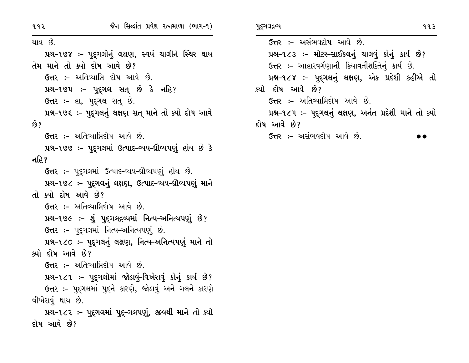થાય છે. પ્રશ્ન-૧૭૪ :- પુદ્ગલોનું લક્ષણ, સ્વયં ચાલીને સ્થિર થાય તેમ માને તો ક્યો દોષ આવે છે? **ઉત્તર :-** અતિવ્યાપ્તિ દોષ આવે છે. પ્રશ્ન-૧૭૫ :- પુદ્ગલ સત્ છે કે નહિ? ઉત્તર :- હા, પદ્ગલ સત છે. પ્રશ્ન-૧૭૬ :- પૂદ્ગલનું લક્ષણ સતુ માને તો ક્યો દોષ આવે છે? **ઉત્તર :-** અતિવ્યામિદોષ આવે છે. પ્રશ્ન-૧૭૭ :- પુદ્ગલમાં ઉત્પાદ-વ્યય-ઘ્રૌવ્યપણું હોય છે કે નહિ? ઉત્તર :- પદ્ગલમાં ઉત્પાદ-વ્યય-ઘ્રૌવ્યપણું હોય છે. પ્રશ્ન-૧૭૮ :- પુદૃગલનું લક્ષણ, ઉત્પાદ-વ્યય-ઘ્રૌવ્યપણું માને તો ક્યો દોષ આવે છે? ઉત્તર :- અતિવ્યાપ્તિદોષ આવે છે. પ્રશ્ન-૧૭૯ :- શું પુદૃગલદ્ગવ્યમાં નિત્ય-અનિત્યપણું છે? ઉત્તર :- પદ્ગલમાં નિત્ય-અનિત્યપણું છે. પ્રશ્ન-૧૮૦ :- પદુગલનું લક્ષણ, નિત્ય-અનિત્યપણું માને તો ક્યો દોષ આવે છે? ઉત્તર :- અતિવ્યાપ્તિદોષ આવે છે. પ્રશ્ન-૧૮૧ ઃ- પુદગલોમાં જોડાવું-વિખેરાવું કોનું કાર્ય છે? ઉત્તર :- પુદગલમાં પુદને કારણે, જોડાવું અને ગલને કારણે વીખેરાવું થાય છે. પ્રશ્ન-૧૮૨ ઃ- પુદ્ગલમાં પુદ્-ગલપણું, જીવથી માને તો ક્યો દોષ આવે છે?

ઉત્તર :- અસંભવદોષ આવે છે. પ્રશ્ન-૧૮૩ :- મોટર-સાઈકલનું ચાલવું કોનું કાર્ય છે? ઉત્તર :- આહારવર્ગણાની ક્રિયાવતીશક્તિનું કાર્ય છે. પ્રશ્ન-૧૮૪ :- પુદ્ગલનું લક્ષણ, એક પ્રદેશી કહીએ તો ક્યો દોષ આવે છે? **ઉત્તર :-** અતિવ્યાપ્તિદોષ આવે છે. પ્રશ્ન-૧૮૫ ઃ- પુદ્ગલનું લક્ષણ, અનંત પ્રદેશી માને તો ક્યો દોષ આવે છે?

ઉત્તર :- અસંભવદોષ આવે છે.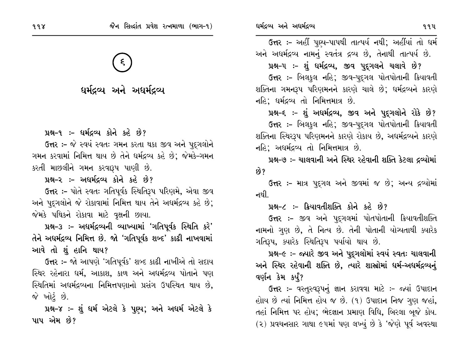ધર્મદ્રવ્ય અને અધર્મદ્રવ્ય

પ્રશ્ન-૧ :- ધર્મદ્રવ્ય કોને કહે છે?

ઉત્તર :- જે સ્વયં સ્વતઃ ગમન કરતા થકા જીવ અને પદુગલોને ગમન કરવામાં નિમિત્ત થાય છે તેને ધર્મદ્રવ્ય કહે છે; જેમકે–ગમન કરતી માછલીને ગમન કરવારૂપ પાણી છે.

પ્રશ્ન-૨ :- અધર્મદ્રવ્ય કોને કહે છે?

ઉત્તર :- પોતે સ્વતઃ ગતિપૂર્વક સ્થિતિરૂપ પરિણમે, એવા જીવ અને પૂદ્ગલોને જે રોકાવામાં નિમિત્ત થાય તેને અધર્મદ્રવ્ય કહે છે; જેમકે પથિકને રોકાવા માટે વૃક્ષની છાયા.

પ્રશ્ન-૩ ઃ- અધર્મદ્રવ્યની વ્યાખ્યામાં 'ગતિપૂર્વક સ્થિતિ કરે' તેને અધર્મદ્રવ્ય નિમિત્ત છે. જો 'ગતિપૂર્વક શબ્દ' કાઢી નાખવામાં આવે તો શું હાનિ થાય?

**ઉત્તર :-** જો આપણે 'ગતિપૂર્વક' શબ્દ કાઢી નાખીએ તો સદાય સ્થિર રહેનારા ધર્મ, આકાશ, કાળ અને અધર્મદ્રવ્ય પોતાને પણ સ્થિતિમાં અધર્મદ્રવ્યના નિમિત્તપણાનો પ્રસંગ ઉપસ્થિત થાય છે, જે ખોટ<u>ં</u> છે.

પ્રશ્ન-૪ :- શું ધર્મ એટલે કે પુણ્ય; અને અધર્મ એટલે કે પાપ એમ છે?

ઉત્તર :- અહીં પુણ્ય-પાપથી તાત્પર્ય નથી; અહીંયાં તો ધર્મ

અને અદ્યર્મદ્રવ્ય નામનું સ્વતંત્ર દ્રવ્ય છે, તેનાથી તાત્પર્ય છે.

પ્રશ્ન-૫ :- શું ધર્મદ્રવ્ય, જીવ પુદ્ગલને ચલાવે છે? ઉત્તર :- બિલકુલ નહિ; જીવ-પદ્ગલ પોતપોતાની ક્રિયાવતી શક્તિના ગમનરૂપ પરિણમનને કારણે ચાલે છે; ધર્મદ્રવ્યને કારણે નહિ; ધર્મદ્રવ્ય તો નિમિત્તમાત્ર છે.

પ્રશ્ન-૬ :- શું અધર્મદ્રવ્ય, જીવ અને પુદ્દગલોને રોકે છે? ઉત્તર :- બિલકુલ નહિ; જીવ-પદ્ગલ પોતપોતાની ક્રિયાવતી શક્તિના સ્થિરરૂપ પરિણમનને કારણે રોકાય છે, અદ્યર્મદ્રવ્યને કારણે નહિ; અધર્મદ્રવ્ય તો નિમિત્તમાત્ર છે.

પ્રશ્ન-૭ :- ચાલવાની અને સ્થિર રહેવાની શક્તિ કેટલા દ્રવ્યોમાં છે?

ઉત્તર :- માત્ર પદ્ગલ અને જીવમાં જ છે; અન્ય દ્રવ્યોમાં નથી.

#### પ્રશ્ન-૮:- ક્રિયાવતીશક્તિ કોને કહે છે?

ઉત્તર :- જીવ અને પુદ્ગલમાં પોતપોતાની ક્રિયાવતીશક્તિ નામનો ગુણ છે, તે નિત્ય છે. તેની પોતાની યોગ્યતાથી ક્યારેક ગતિરૂપ, ક્યારેક સ્થિતિરૂપ પર્યાયો થાય છે.

પ્રશ્ન-૯ :- જ્યારે જીવ અને પુદુગલોમાં સ્વયં સ્વતઃ ચાલવાની અને સ્થિર રહેવાની શક્તિ છે, ત્યારે શાસ્રોમાં ધર્મ-અધર્મદ્રવ્યનું વર્ણન કેમ કર્યું?

ઉત્તર :- વસ્તુસ્વરૂપનું જ્ઞાન કરાવવા માટે :- જ્યાં ઉપાદાન હોાય છે ત્યાં નિમિત્ત હોય જ છે. (૧) ઉપાદાન નિજ ગુણ જહાં, તહાં નિમિત્ત પર હોય; ભેદજ્ઞાન પ્રમાણ વિધિ, બિરલા બૂજે કોય. (૨) પ્રવચનસાર ગાથા ૯૫માં પણ લખ્યું છે કે 'જેણે પૂર્વ અવસ્થા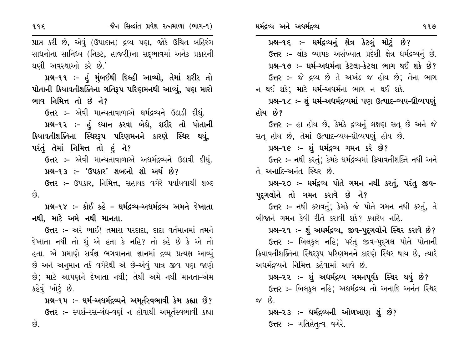| રી છે, એવું (ઉપાદાન) દ્રવ્ય પણ, જોકે ઉચિત બહિરંગ                | પ્રશ્ન-૧૬ :- ધર્મદ્રવ્યનું ક્ષેત્ર કેટલું મોટું છે?              |
|-----------------------------------------------------------------|------------------------------------------------------------------|
| ના સાનિધ્ય (નિકટ, હાજરી)ના સદ્ભાવમાં અનેક પ્રકારની              | ઉત્તર :- લોક વ્યાપક અસંખ્યાત પ્રદેશી ક્ષેત્ર ધર્મદ્રવ્યનું છે.   |
| અવસ્થાઓ કરે છે.'                                                | પ્રશ્ન-૧૭ :- ધર્મ-અધર્મના કેટલા-કેટલા ભાગ થઈ શકે છે?             |
| ય્ર−૧૧ ઃ- હું મુંબઈથી દિલ્હી આવ્યો, તેમાં શરીર તો               | ઉત્તર :- જે દ્રવ્ય છે તે અખંડ જ હોય છે; તેના ભાગ                 |
| <b>! ક્રિયાવતીશક્તિના ગતિરૂપ પરિણમનથી આવ્યું, પણ મા</b> રો      | ન થઈ શકે; માટે ધર્મ–અધર્મના ભાગ ન થઈ શકે.                        |
| નિમિત્ત તો છે ને?                                               | પ્રશ્ન-૧૮ ઃ- શું  ધર્મ-અધર્મદ્રવ્યમાં પણ ઉત્પાદ-વ્યય-ઘ્રૌવ્યપણું |
| <b>તર ઃ-</b> એવી માન્યતાવાળાએ ધર્મદ્રવ્યને ઉડાડી દીધું.         | હોય છે?                                                          |
| <b>ક્ષ−૧૨ ઃ- હું ધ્યાન કરવા બેઠો, શરીર તો પોતાની</b>            | <b>ઉત્તર :-</b> હા હોય છે, કેમકે દ્રવ્યનું લક્ષણ સત્ છે અને જે   |
| ાીશક્તિના સ્થિરરૂપ પરિણમનને કારણે સ્થિર થયું,                   | સત્ હોય છે, તેમાં ઉત્પાદ-વ્યય-ઘ્રૌવ્યપણું હોય છે.                |
| તેમાં નિમિત્ત તો હું ને?                                        | પ્રશ્ન-૧૯ :- શું ધર્મદ્રવ્ય ગમન કરે છે?                          |
| તર ઃ- એવી માન્યતાવાળાએ અધર્મદ્રવ્યને ઉડાવી દીધું.               | ઉત્તર :- નથી કરતું; કેમકે ધર્મદ્રવ્યમાં ક્રિયાવતીશક્તિ નથી અને   |
| <b>ક્ષ−૧૩ ઃ– 'ઉપકાર' શબ્દનો શો અર્થ છે</b> ?                    | તે અનાદિ-અનંત સ્થિર છે.                                          |
| <b>તર ઃ- ઉપકાર, નિમિત્ત,</b> સહાયક વગેરે પર્યાયવાચી શબ્દ        | પ્રશ્ન-૨૦ ઃ- ધર્મદ્રવ્ય પોતે ગમન નથી કરતું, પરંતુ જીવ-           |
|                                                                 | પુદ્દગલોને તો ગમન કરાવે છે ને?                                   |
| <b>ક્ષ−૧૪ ઃ− કોઈ કહે − ધર્મદ્રવ્ય</b> −અધર્મદ્રવ્ય અમને દેખાતા  | <b>ઉત્તર :- ન</b> થી કરાવતું; કેમકે જે પોતે ગમન નથી કરતું, તે    |
| માટે અમે નથી માનતા.                                             | બીજાને ગમન કેવી રીતે કરાવી શકે? ક્યારેય નહિ.                     |
| <del>ત</del> ર ઃ- અરે ભાઈ! તમારા પરદાદા, દાદા વર્તમાનમાં તમને   | પ્રશ્ન-૨૧ ઃ- શું અધર્મદ્રવ્ય, જીવ-પુદ્ગલોને સ્થિર કરાવે છે?      |
| નથી તો શું એ હતા કે નહિ? તો કહે છે કે એ તો                      | ઉત્તર :- બિલકુલ નહિ; પરંતુ જીવ-પુદ્ગલ પોતે પોતાની                |
| એ પ્રમાણે સર્વજ્ઞ ભગવાનના જ્ઞાનમાં દ્રવ્ય પ્રત્યક્ષ આવ્યું      | ક્રિયાવતીશક્તિના સ્થિરરૂપ પરિણમનને કારણે સ્થિર થાય છે, ત્યારે    |
| ા અનુમાન તર્ક વગેરેથી એ છે–એવું પાત્ર જીવ પણ જાણે               | અધર્મદ્રવ્યને નિમિત્ત કહેવામાં આવે છે.                           |
| ાટે આપણને દેખાતા નથી; તેથી અમે નથી માનતા–એમ                     | પ્રશ્ન–૨૨ :– શું અધર્મદ્રવ્ય ગમનપૂર્વક સ્થિર થયું છે?            |
| મોટું છે.                                                       | ઉત્તર :- બિલકુલ નહિ; અધર્મદ્રવ્ય તો અનાદિ અનંત સ્થિર             |
| <b>ક્ષ−૧૫ ઃ- ધર્મ–અધર્મદ્રવ્યને અમૂર્તસ્વભાવી કેમ</b> કહ્યા છે? | જ છે.                                                            |

ધર્મદ્રવ્ય અને અધર્મદ્રવ્ય

પ્રશ્ન-૨૩ :- ધર્મદ્રવ્યની ઓળખાણ શું છે? ઉત્તર:- ગતિહેતુત્વ વગેરે.

છે.

११६

પ્રાપ્ત ક સાધનોન ઘણી ર

પ્રશ્ પોતાની ભાવ શિ

 $\Im$ र પ્રશ્ ક્રિયાવત પરંતું

ઉત્ પ્રશ્

 $\Im$ र છે.

પ્રશ નથી,

 $\Im$ र દેખાતા હતા. ર છે અને છે; મા કહેવું ખ

પ્રશ્ ઉત્તર :- સ્પર્શ-રસ-ગંધ-વર્ણ ન હોવાથી અમૂર્તસ્વભાવી કહ્યા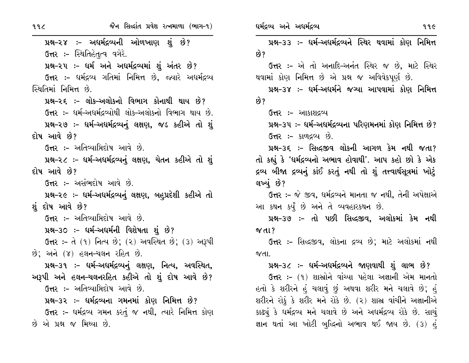પ્રશ્ન-૨૪ :- અદ્યર્મદ્રવ્યની ઓળખાણ શું છે? **ઉત્તર :-** સ્થિતિહેતૃત્વ વગેરે. પ્રશ્ન-૨૫ :- ધર્મ અને અધર્મદ્રવ્યમાં શું અંતર છે? ઉત્તર :- ધર્મદ્રવ્ય ગતિમાં નિમિત્ત છે, જ્યારે અધર્મદ્રવ્ય સ્થિતિમાં નિમિત્ત છે. પ્રશ્ન-૨૬ :- લોક-અલોકનો વિભાગ કોનાથી થાય છે? ઉત્તર :- ધર્મ-અધર્મદ્રવ્યોથી લોક-અલોકનો વિભાગ થાય છે. પ્રશ્ન-૨૭ :- ધર્મ-અધર્મદ્રવ્યનું લક્ષણ, જડ કહીએ તો શું દોષ આવે છે? **ઉત્તર :-** અતિવ્યાપ્તિદોષ આવે છે. પ્રશ્ન-૨૮ ઃ- ધર્મ-અધર્મદ્રવ્યનું લક્ષણ, ચેતન કહીએ તો શું દોષ આવે છે? ઉત્તર :- અસંભદોષ આવે છે. પ્રશ્ન-૨૯ :- ધર્મ-અધર્મદ્રવ્યનું લક્ષણ, બહપ્રદેશી કહીએ તો શું દોષ આવે છે? **ઉત્તર :-** અતિવ્યાપ્તિદોષ આવે છે. પ્રશ્ન-૩૦ ઃ- ધર્મ–અધર્મની વિશેષતા શું છે? ઉત્તર: – તે (૧) નિત્ય છે; (૨) અવસ્થિત છે; (૩) અરૂપી છે; અને (૪) હલન–ચલન રહિત છે. પ્રશ્ન-૩૧ :- ધર્મ-અધર્મદ્રવ્યનું લક્ષણ, નિત્ય, અવસ્થિત, અરૂપી અને હલન–ચલનરહિત કહીએ તો શું દોષ આવે છે? **ઉત્તર :-** અતિવ્યાપ્તિદોષ આવે છે. પ્રશ્ન–૩૨ ઃ– ધર્મદ્રવ્યના ગમનમાં કોણ નિમિત્ત છે? **ઉત્તર :-** ધર્મદ્રવ્ય ગમન કરતું જ નથી, ત્યારે નિમિત્ત કોણ છે એ પ્રશ્ન જ મિથ્યા છે.

પ્રશ્ન-૩૩ :- ધર્મ-અધર્મદ્રવ્યને સ્થિર થવામાં કોણ નિમિત્ત ક્વે ? ઉત્તર :- એ તો અનાદિ-અનંત સ્થિર જ છે. માટે સ્થિર થવામાં કોણ નિમિત્ત છે એ પ્રશ્ન જ અવિવેકપૂર્ણ છે. પ્રશ્ન–૩૪ :– ધર્મ–અધર્મને જગ્યા આપવામાં કોણ નિમિત્ત છે? ઉત્તર :- આકાશદ્રવ્ય પ્રશ્ન-૩૫ :- ધર્મ-અધર્મદ્રવ્યના પરિણમનમાં કોણ નિમિત્ત છે? ઉત્તર :- કાળદ્રવ્ય છે. પ્રશ્ન-૩૬ :- સિદ્ધજીવ લોકની આગળ કેમ નથી જતા? તો કહ્યું કે 'ધર્મદ્રવ્યનો અભાવ હોવાથી'. આપ કહો છો કે એક દ્રવ્ય બીજા દ્રવ્યનું કાંઈ કરતું નથી તો શું તત્ત્વાર્થસૂત્રમાં ખોટું લખ્યું છે? ઉત્તર :- જે જીવ, ધર્મદ્રવ્યને માનતા જ નથી, તેની અપેક્ષાએ આ કથન કર્યું છે અને તે વ્યવહારકથન છે. પ્રશ્ન-૩૭ ઃ- તો પછી સિદ્ધજીવ, અલોકમાં કેમ નથી  $\alpha$ dl? **ઉત્તર ઃ-** સિદ્ધજીવ, લોકના દ્રવ્ય છે: માટે અલોકમાં નથી  $N$ dl પ્રશ્ન-૩૮ :- ધર્મ-અધર્મદ્રવ્યને જાણવાથી શું લાભ છે? ઉત્તર :- (૧) શાસ્રોને વાંચ્યા પહેલા અજ્ઞાની એમ માનતો હતો કે શરીરને હું ચલાવું છું અથવા શરીર મને ચલાવે છે; હું શરીરને રોકું કે શરીર મને રોકે છે. (૨) શાસ્ર વાંચીને અજ્ઞાનીએ કાઢ્યું કે ધર્મદ્રવ્ય મને ચલાવે છે અને અધર્મદ્રવ્ય રોકે છે. સાચું

જ્ઞાન થતાં આ ખોટી બુદ્ધિનો અભાવ થઈ જાય છે. (૩) હું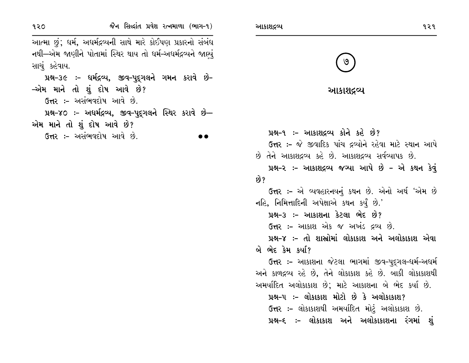આત્મા છું; ધર્મ, અધર્મદ્રવ્યની સાથે મારે કોઈપણ પ્રકારનો સંબંધ નથી—એમ જાણીને પોતામાં સ્થિર થાય તો ધર્મ-અધર્મદ્રવ્યને જાણ્યં સાચં કહેવાય.

પ્રશ્ન-૩૯ :- ધર્મદ્રવ્ય, જીવ-પુદ્ગલને ગમન કરાવે છે-–એમ માને તો શું દોષ આવે છે? ઉત્તર:- અસંભવદોષ આવે છે.

4-70 :- અદ્યર્મદ્રવ્ય, જીવ-પુદ્દગલને સ્થિર કરાવે છે-એમ માને તો શું દોષ આવે છે?

ઉત્તર :- અસંભવદોષ આવે છે.

આકાશદ્રવ્ય



| આકાશદ્રવ્ય |  |  |  |  |  |
|------------|--|--|--|--|--|
|------------|--|--|--|--|--|

પ્રશ્ન-૧ :- આકાશદ્રવ્ય કોને કહે છે? ઉત્તર :- જે જીવાદિક પાંચ દ્રવ્યોને રહેવા માટે સ્થાન આપે છે તેને આકાશદ્રવ્ય કહે છે. આકાશદ્રવ્ય સર્વવ્યાપક છે. પ્રશ્ન-૨ :- આકાશદ્રવ્ય જગ્યા આપે છે - એ કથન કેવું છે? ઉત્તર :- એ વ્યવહારનયનું કથન છે. એનો અર્થ 'એમ છે નહિ, નિમિત્તાદિની અપેક્ષાએ કથન કર્યું છે.' પ્રશ્ન–૩ :– આકાશના કેટલા ભેદ છે? ઉત્તર :- આકાશ એક જ અખંડ દ્રવ્ય છે. પ્રશ્ન–૪ :– તો શાસ્ત્રોમાં લોકાકાશ અને અલોકાકાશ એવા બે ભેદ કેમ કર્યા? ઉત્તર :- આકાશના જેટલા ભાગમાં જીવ-પદુગલ-ધર્મ-અધર્મ અને કાળદ્રવ્ય રહે છે, તેને લોકાકાશ કહે છે. બાકી લોકાકાશથી અમર્યાદિત અલોકાકાશ છે; માટે આકાશના બે ભેદ કર્યા છે. પ્રશ્ન-૫ :- લોકાકાશ મોટો છે કે અલોકાકાશ? ઉત્તર :- લોકાકાશથી અમર્યાદિત મોટું અલોકાકાશ છે. પ્રશ્ન-૬ ઃ- લોકાકાશ અને અલોકાકાશના રંગમાં શું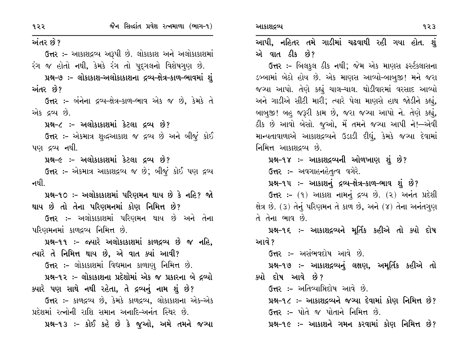# અંતર છે?

ઉત્તર :- આકાશદ્રવ્ય અરૂપી છે. લોકાકાશ અને અલોકાકાશમાં રંગ જ હોતો નથી, કેમકે રંગ તો પદ્ગલનો વિશેષગુણ છે.

પ્રશ્ન-૭ :- લોકાકાશ-અલોકાકાશના દ્રવ્ય-ક્ષેત્ર-કાળ-ભાવમાં શું અંતર છે?

ઉત્તર :- બંનેના દ્રવ્ય-ક્ષેત્ર-કાળ-ભાવ એક જ છે, કેમકે તે એક દ્રવ્ય છે.

પ્રશ્ન-૮ :- અલોકાકાશમાં કેટલા દ્રવ્ય છે?

**ઉત્તર :-** એકમાત્ર શુદ્ધઆકાશ જ દ્રવ્ય છે અને બીજું કોઈ પણ દ્રવ્ય નથી.

પ્રશ્ન-૯ :- અલોકાકાશમાં કેટલા દ્રવ્ય છે?

ઉત્તર :- એકમાત્ર આકાશદ્રવ્ય જ છે; બીજું કોઈ પણ દ્રવ્ય નથી

પ્રશ્ન-૧૦ ઃ- અલોકાકાશમાં પરિણમન થાય છે કે નહિ? જો થાય છે તો તેના પરિણમનમાં કોણ નિમિત્ત છે?

**ઉત્તર :-** અલોકાકાશમાં પરિણમન થાય છે અને તેના પરિણમનમાં કાળદ્રવ્ય નિમિત્ત છે.

પ્રશ્ન-૧૧ :- જ્યારે અલોકાકાશમાં કાળદ્રવ્ય છે જ નહિ. ત્યારે તે નિમિત્ત થાય છે, એ વાત ક્યાં આવી?

ઉત્તર :- લોકાકાશમાં વિદ્યમાન કાળાણુ નિમિત્ત છે.

પ્રશ્ન-૧૨ :- લોકાકાશના પ્રદેશોમાં એક જ પ્રકારના બે દ્રવ્યો ક્યારે પણ સાથે નથી રહેતા, તે દ્રવ્યનું નામ શું છે?

ઉત્તર :- કાળદ્રવ્ય છે, કેમકે કાળદ્રવ્ય, લોકાકાશના એક-એક પ્રદેશમાં રત્નોની રાશિ સમાન અનાદિ-અનંત સ્થિર છે.

પ્રશ્ન-૧૩ :- કોઈ કહે છે કે જુઓ, અમે તમને જગ્યા

આપી, નહિતર તમે ગાડીમાં ચઢવાથી રહી ગયા હોત. શું એ વાત ઠીક છે?

ઉત્તર :- બિલકુલ ઠીક નથી; જેમ એક માણસ ફર્સ્ટક્લાસના ડબ્બામાં બેઠો હોય છે. એક માણસ આવ્યો-બાબુજી! મને જરા જગ્યા આપો. તેણે કહ્યું ચાલ-ચાલ. થોડીવારમાં વરસાદ આવ્યો અને ગાડીએ સીટી મારી; ત્યારે પેલા માણસે હાથ જોડીને કહ્યું, બાબુજી! બહુ જરૂરી કામ છે, જરા જચ્યા આપો ને. તેણે કહ્યું, ઠીક છે આવો બેસો. જુઓ, મેં તમને જગ્યા આપી ને!--એવી માન્યતાવાળાએ આકાશદ્રવ્યને ઉડાડી દીધું, કેમકે જગ્યા દેવામાં નિમિત્ત આકાશદ્રવ્ય છે.

પ્રશ્ન-૧૪ :- આકાશદ્રવ્યની ઓળખાણ શું છે?

ઉત્તર :- અવગાહનહેતૃત્વ વગેરે.

પ્રશ્ન-૧૫:- આકાશનું દ્રવ્ય-ક્ષેત્ર-કાળ-ભાવ શું છે?

ઉત્તર: – (૧) આકાશ નામનું દ્રવ્ય છે. (૨) અનંત પ્રદેશી ક્ષેત્ર છે. (૩) તેનું પરિણમન તે કાળ છે, અને (૪) તેના અનંતગણ તે તેના ભાવ છે.

પ્રશ્ન-૧૬ :- આકાશદ્રવ્યને મૂર્તિક કહીએ તો ક્યો દોષ આવે ?

ઉત્તર :- અસંભવદોષ આવે છે.

પ્રશ્ન-૧૭ :- આકાશદ્રવ્યનું લક્ષણ, અમૂર્તિક કહીએ તો ક્યો દોષ આવે છે?

**ઉત્તર :-** અતિવ્યાપ્તિદોષ આવે છે.

પ્રશ્ન-૧૮ ઃ- આકાશદ્રવ્યને જગ્યા દેવામાં કોણ નિમિત્ત છે? ઉત્તર :- પોતે જ પોતાને નિમિત્ત છે.

પ્રશ્ન-૧૯ :- આકાશને ગમન કરવામાં કોણ નિમિત્ત છે?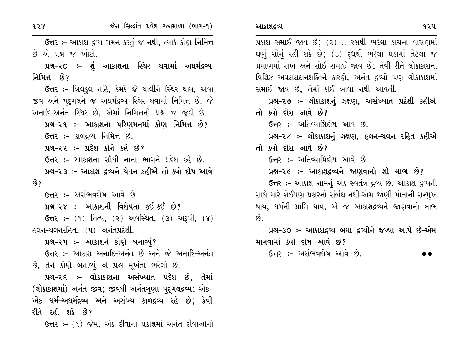$928$ 

ઉત્તર :- આકાશ દ્રવ્ય ગમન કરતું જ નથી, ત્યાકે કોણ નિમિત્ત છે એ પ્રશ્ન જ ખોટો.

પ્રશ્ન-૨૦ ઃ- શું આકાશના સ્થિર થવામાં અધર્મદ્રવ્ય નિમિત્ત છે?

ઉત્તર :- બિલકુલ નહિ, કેમકે જે ચાલીને સ્થિર થાય, એવા જીવ અને પદુગલને જ અધર્મદ્રવ્ય સ્થિર થવામાં નિમિત્ત છે. જે અનાદિ-અનંત સ્થિર છે, એમાં નિમિત્તનો પ્રશ્ન જ જુઠો છે.

પ્રશ્ન-૨૧ :- આકાશના પરિણમનમાં કોણ નિમિત્ત છે? ઉત્તર :- કાળદ્રવ્ય નિમિત્ત છે.

પ્રશ્ન-૨૨ :- પ્રદેશ કોને કહે છે?

ઉત્તર :- આકાશના સૌથી નાના ભાગને પ્રદેશ કહે છે.

પ્રશ્ન-૨૩ :- આકાશ દ્રવ્યને ચેતન કહીએ તો ક્યો દોષ આવે છે?

ઉત્તર :- અસંભવદોષ આવે છે.

પ્રશ્ન-૨૪ :- આકાશની વિશેષતા કઈ-કઈ છે?

ઉત્તર: - (૧) નિત્ય, (૨) અવસ્થિત, (૩) અરૂપી, (૪) હલન-ચલનરહિત, (૫) અનંતપ્રદેશી.

પ્રશ્ન–૨૫ ઃ– આકાશને કોણે બનાવ્યું?

ઉત્તર :- આકાશ અનાદિ-અનંત છે અને જે અનાદિ-અનંત છે, તેને કોણે બનાવ્યું એ પ્રશ્ન મૂર્ખતા ભરેલો છે.

પ્રશ્ન-૨૬ ઃ- લોકાકાશના અસંખ્યાત પ્રદેશ છે, તેમાં (લોકાકાશમાં) અનંત જીવ; જીવથી અનંતગુણા પુદ્ગલદ્રવ્ય; એક-એક ધર્મ–અધર્મદ્રવ્ય અને અસંખ્ય કાળદ્રવ્ય રહે છે; કેવી રીતે રહી શકે છે?

ઉત્તર: – (૧) જેમ, એક દીવાના પ્રકાશમાં અનંત દીવાઓનો

પ્રકાશ સમાઈ જાય છે; (૨) .. રસથી ભરેલા કાચના વાસણમાં ઘણું સોનું રહી શકે છે; (3) દૂધથી ભરેલા ઘડામાં તેટલા જ પ્રમાણમાં રાખ અને સોઈ સમાઈ જાય છે; તેવી રીતે લોકાકાશના વિશિષ્ટ અવકાશદાનશક્તિને કારણે, અનંત દ્રવ્યો પણ લોકાકાશમાં સમાઈ જાય છે, તેમાં કોઈ બાધા નથી આવતી. પ્રશ્ન-૨૭ :- લોકાકાશનું લક્ષણ, અસંખ્યાત પ્રદેશી કહીએ તો ક્યો દોશ આવે છે? **ઉત્તર :-** અતિવ્યાપ્તિદોષ આવે છે. પ્રશ્ન-૨૮ ઃ- લોકાકાશનું લક્ષણ, હલન-ચલન રહિત કહીએ

તો ક્યો દોશ આવે છે?

**ઉત્તર :-** અતિવ્યાપ્તિદોષ આવે છે.

પ્રશ્ન-૨૯ :- આકાશદ્રવ્યને જાણવાનો શો લાભ છે? ઉત્તર :- આકાશ નામનું એક સ્વતંત્ર દ્રવ્ય છે. આકાશ દ્રવ્યની સાથે મારે કોઈપણ પ્રકારનો સંબંધ નથી-એમ જાણી પોતાની સન્મુખ થાય, ધર્મની પ્રાપ્તિ થાય, એ જ આકાશદ્રવ્યને જાણવાનો લાભ  $\hat{8}$ .

પ્રશ્ન-૩૦ :- આકાશદ્રવ્ય બધા દ્રવ્યોને જગ્યા આપે છે-એમ માનવામાં ક્યો દોષ આવે છે?

ઉત્તર :- અસંભવદોષ આવે છે.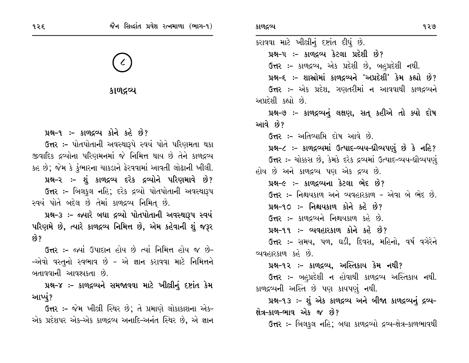કાળદ્રવ્ય

# પ્રશ્ન-૧ :- કાળદ્રવ્ય કોને કહે છે?

ઉત્તર :- પોતપોતાની અવસ્થારૂપે સ્વયં પોતે પરિણમતા થકા જીવાદિક દ્રવ્યોના પરિણમનમાં જે નિમિત્ત થાય છે તેને કાળદ્રવ્ય કહ છે; જેમ કે કુંભારના ચાકડાને ફેરવવામાં આવતી લોઢાની ખીલી. પ્રશ્ન-૨ :- શું કાળદ્રવ્ય દરેક દ્રવ્યોને પરિણમાવે છે? ઉત્તર :- બિલકુલ નહિ; દરેક દ્રવ્યો પોતપોતાની અવસ્થારૂપ સ્વયં પોતે બદેલ છે તેમાં કાળદ્રવ્ય નિમિત્ છે.

પ્રશ્ન-3 :- જ્યારે બધા દ્રવ્યો પોતપોતાની અવસ્થારૂપ સ્વયં પરિણમે છે, ત્યારે કાળદ્રવ્ય નિમિત્ત છે, એમ કહેવાની શું જરૂર છે?

ઉત્તર :- જ્યાં ઉપાદાન હોય છે ત્યાં નિમિત્ત હોય જ છે-–એવો વસ્તુનો સ્વભાવ છે – એ જ્ઞાન કરાવવા માટે નિમિત્તને બતાવવાની આવશ્યકતા છે.

પ્રશ્ન-૪ ઃ- કાળદ્રવ્યને સમજાવવા માટે ખીલ્રીનું દષ્ટાંત કેમ આપ્યં?

**ઉત્તર :-** જેમ ખીલ્રી સ્થિર છે; તે પ્રમાણે લોકાકાશના એક-એક પ્રદેશપર એક-એક કાળદ્રવ્ય અનાદિ-અનંત સ્થિર છે, એ જ્ઞાન કરાવવા માટે ખીલીનું દષ્ટાંત દીધું છે. પ્રશ્ન-૫ :- કાળદ્રવ્ય કેટલા પ્રદેશી છે? ઉત્તર :- કાળદ્રવ્ય, એક પ્રદેશી છે, બહપ્રદેશી નથી. પ્રશ્ન-૬ :- શાસ્રોમાં કાળદ્રવ્યને 'અપ્રદેશી' કેમ કહ્યો છે? ઉત્તર :- એક પ્રદેશ, ગણતરીમાં ન આવવાથી કાળદ્રવ્યને અપ્રદેશી કહ્યો છે. પ્રશ્ન-૭ :- કાળદ્રવ્યનું લક્ષણ, સત્ કહીએ તો ક્યો દોષ આવે છે? ઉત્તર :- અતિવ્યાપ્તિ દોષ આવે છે. પ્રશ્ન-૮ :- કાળદ્રવ્યમાં ઉત્પાદ-વ્યય-ધ્રૌવ્યપણું છે કે નહિ? ઉત્તર :- ચોક્કસ છે, કેમકે દરેક દ્રવ્યમાં ઉત્પાદ-વ્યય-ઘ્રૌવ્યપણું હોય છે અને કાળદ્રવ્ય પણ એક દ્રવ્ય છે. પ્રશ્ન-૯ :- કાળદ્રવ્યના કેટલા ભેદ છે? ઉત્તર :- નિશ્ચયકાળ અને વ્યવહારકાળ - એવા બે ભેદ છે. પ્રશ્ન-૧૦ :- નિશ્ચયકાળ કોને કહે છે? ઉત્તર:- કાળદ્રવ્યને નિશ્ચયકાળ કહે છે. પ્રશ્ન-૧૧ :- વ્યવહારકાળ કોને કહે છે? ઉત્તર :- સમય, પળ, ઘડી, દિવસ, મહિનો, વર્ષ વગેરેને વ્યવહારકાળ કહે છે. પ્રશ્ન-૧૨ :- કાળદ્રવ્ય, અસ્તિકાય કેમ નથી? ઉત્તર :- બહુપ્રદેશી ન હોવાથી કાળદ્રવ્ય અસ્તિકાય નથી. કાળદ્રવ્યની અસ્તિ છે પણ કાયપણું નથી. પ્રશ્ન-૧૩ :- શું એક કાળદ્રવ્ય અને બીજા કાળદ્રવ્યનું દ્રવ્ય-ક્ષેત્ર-કાળ-ભાવ એક જ છે?

**ઉત્તર :-** બિલકુલ નહિ; બધા કાળદ્રવ્યો દ્રવ્ય-ક્ષેત્ર-કાળભાવથી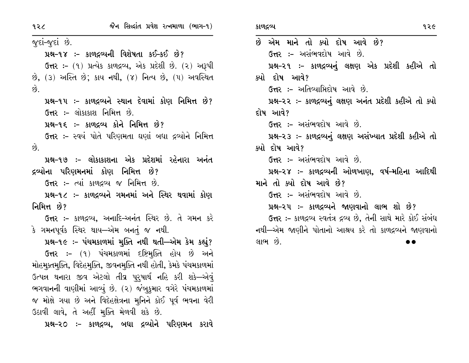$\hat{g}$ .

 $\hat{g}$ .

જુદાં-જુદાં છે. પ્રશ્ન-૧૪ :- કાળદ્રવ્યની વિશેષતા કઈ-કઈ છે? ઉત્તર: - (૧) પ્રત્યેક કાળદ્રવ્ય, એક પ્રદેશી છે. (૨) અરૂપી છે, (3) અસ્તિ છે; કાય નથી, (૪) નિત્ય છે, (૫) અવસ્થિત પ્રશ્ન-૧૫ ઃ- કાળદ્રવ્યને સ્થાન દેવામાં કોણ નિમિત્ત છે? **ઉત્તર :-** લોકાકાશ નિમિત્ત છે. 42-95 :- કાળદ્રવ્ય કોને નિમિત્ત છે? ઉત્તર :- સ્વયં પોતે પરિણમતા ઘણાં બધા દ્રવ્યોને નિમિત્ત પ્રશ્ન-૧૭ :- લોકાકાશના એક પ્રદેશમાં રહેનારા અનંત દ્રવ્યોના પરિણમનમાં કોણ નિમિત્ત છે? ઉત્તર:- ત્યાં કાળદ્રવ્ય જ નિમિત્ત છે. પ્રશ્ન-૧૮ :- કાળદ્રવ્યને ગમનમાં અને સ્થિર થવામાં કોણ નિમિત્ત છે?

**ઉત્તર :-** કાળદ્રવ્ય, અનાદિ-અનંત સ્થિર છે. તે ગમન કરે કે ગમનપૂર્વક સ્થિર થાય—એમ બનતું જ નથી.

પ્રશ્ન-૧૯ :- પંચમકાળમાં મુક્તિ નથી થતી—એમ કેમ કહ્યું? ઉત્તર :- (૧) પંચમકાળમાં દષ્ટિમક્તિ હોય છે અને મોહમૂક્તમુક્તિ, વિદેહમુક્તિ, જીવનમુક્તિ નથી હોતી, કેમકે પંચમકાળમાં ઉત્પન્ન થનારા જીવ એટલો તીવ્ર પુરૂષાર્થ નહિ કરી શકે—એવું ભગવાનની વાણીમાં આવ્યું છે. (૨) જંબુકુમાર વગેરે પંચમકાળમાં જ મોક્ષે ગયા છે અને વિદેહક્ષેત્રના મુનિને કોઈ પૂર્વ ભવના વેરી ઉઠાવી લાવે, તે અહીં મૂક્તિ મેળવી શકે છે.

પ્રશ્ન-૨૦ :- કાળદ્રવ્ય, બધા દ્રવ્યોને પરિણમન કરાવે

છે એમ માને તો ક્યો દોષ આવે છે? **ઉત્તર :-** અસંભવદોષ આવે છે. પ્રશ્ન-૨૧ :- કાળદ્રવ્યનું લક્ષણ એક પ્રદેશી કહીએ તો ક્યો દોષ આવે? **ઉત્તર :-** અતિવ્યામિદોષ આવે છે. પ્રશ્ન-૨૨ :- કાળદ્રવ્યનું લક્ષણ અનંત પ્રદેશી કહીએ તો ક્યો દોષ આવે? ઉત્તર :- અસંભવદોષ આવે છે. પ્રશ્ન-૨૩ :- કાળદ્રવ્યનું લક્ષણ અસંખ્યાત પ્રદેશી કહીએ તો ક્યો દોષ આવે? ઉત્તર :- અસંભવદોષ આવે છે. પ્રશ્ન-૨૪ :- કાળદ્રવ્યની ઓળખાણ, વર્ષ-મહિના આદિથી માને તો ક્યો દોષ આવે છે? ઉત્તર :- અસંભવદોષ આવે છે. પ્રશ્ન-૨૫ :- કાળદ્રવ્યને જાણવાનો લાભ શો છે? ઉત્તર :- કાળદ્રવ્ય સ્વતંત્ર દ્રવ્ય છે, તેની સાથે મારે કોઈ સંબંધ નથી—એમ જાણીને પોતાનો આશ્રય કરે તો કાળદ્રવ્યને જાણવાનો લાભ છે.

 $\bullet$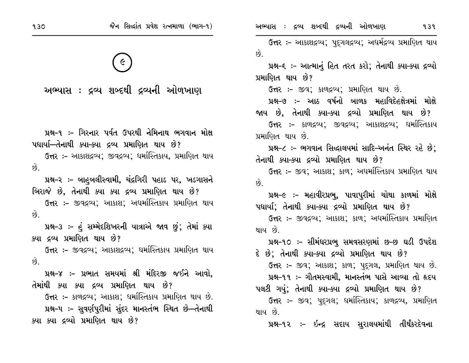E

અભ્યાસ : દ્રવ્ય શબ્દથી દ્રવ્યની ઓળખાણ

પ્રશ્ન-૧ ઃ- ગિરનાર પર્વત ઉપરથી નેમિનાથ ભગવાન મોક્ષ પદ્યાર્યા—તેનાથી ક્યા–ક્યા દ્રવ્ય પ્રમાણિત થાય છે?

ઉત્તર :- આકાશદ્રવ્ય; જીવદ્રવ્ય; ધર્માસ્તિકાય, પ્રમાણિત થાય  $\hat{g}$ .

પ્રશ્ન-૨ ઃ– બાહુબલીસ્વામી, ચંદ્રગિરી પહાડ પર, ખડગાસને બિરાજે છે, તેનાથી ક્યા ક્યા દ્રવ્ય પ્રમાણિત થાય છે?

**ઉત્તર ઃ-** જીવદ્રવ્ય; આકાશ; અદ્યમસ્તિકાય પ્રમાણિત થાય છે.

પ્રશ્ન-૩ :- હું સમ્મેદશિખરની યાત્રાએ જાવ છું; તેમાં ક્યા ક્યા દ્રવ્ય પ્રમાણિત થાય છે?

**ઉત્તર :-** જીવદ્રવ્ય; આકાશદ્રવ્ય; ધર્માસ્તિકાય પ્રમાણિત થાય  $\hat{g}$ .

પ્રશ્ન-૪ :- પ્રભાત સમયમાં શ્રી મંદિરજી જઈને આવો. તેમાંથી ક્યા ક્યા દ્રવ્ય પ્રમાણિત થાય છે?

ઉત્તર :- કાળદ્રવ્ય; આકાશ; ધર્માસ્તિકાય પ્રમાણિત થાય છે. પ્રશ્ન-૫ :- સુવર્ણપુરીમાં સુંદર માનસ્તંભ સ્થિત છે—તેનાથી ક્યા ક્યા દ્રવ્યો પ્રમાણિત થાય છે?

ઉત્તર :- આકાશદ્રવ્ય; પુદ્ગલદ્રવ્ય; અધર્મદ્રવ્ય પ્રમાણિત થાય  $\hat{g}$ . પ્રશ્ન-૬ ઃ- આત્માનું હિત તરત કરો; તેનાથી ક્યા-ક્યા દ્રવ્યો પ્રમાણિત થાય છે? ઉત્તર :- જીવ; કાળદ્રવ્ય; પ્રમાણિત થાય છે. પ્રશ્ન-૭ :- આઠ વર્ષનો બાળક મહાવિદેહક્ષેત્રમાં મોક્ષે જાય છે. તેનાથી ક્યા–ક્યા દ્રવ્યો પ્રમાણિત થાય છે? ઉત્તર :- કાળદ્રવ્ય: જીવદ્રવ્ય: આકાશદ્રવ્ય: ધર્માસ્તિકાય પ્રમાણિત થાય છે. પ્રશ્ન-૮ :- ભગવાન સિદ્ધાલયમાં સાદિ-અનંત સ્થિર રહે છે: તેનાથી ક્યા-ક્યા દ્રવ્યો પ્રમાણિત થાય છે? **ઉત્તર ઃ-** જીવ; આકાશ; કાળ; અધર્માસ્તિકાય પ્રમાણિત થાય  $\hat{p}$ પ્રશ્ન-૯ :- મહાવીરપ્રભ, પાવાપુરીમાં ચોથા કાળમાં મોક્ષે પદ્યાર્યા: તેનાથી ક્યા-ક્યા દ્રવ્યો પ્રમાણિત થાય છે? **ઉત્તર :-** જીવદ્રવ્ય; આકાશ; કાળ; અધર્માસ્તિકાય પ્રમાણિત થાય છે પ્રશ્ન-૧૦ :- સીમંઘરપ્રભૂ સમવસરણમાં છ-છ ઘડી ઉપદેશ દે છે; તેનાથી ક્યા-ક્યા દ્રવ્યો પ્રમાણિત થાય છે? ઉત્તર :- જીવ; આકાશ; કાળ; પદુગલ, પ્રમાણિત થાય છે. પ્રશ્ન-૧૧ :- ગૌતમસ્વામી, માનસ્તંભ પાસે આવ્યા તો હૃદય પલટી ગયું; તેનાથી ક્યા–ક્યા દ્રવ્યો પ્રમાણિત થાય છે? ઉત્તર :- જીવ; પદુગલ; ધર્માસ્તિકાય; કાળદ્રવ્ય, પ્રમાણિત

થાય છે.

પ્રશ્ન-૧૨ :- ઇન્દ્ર સદાય સુરાલયમાંથી તીર્થંકરદેવના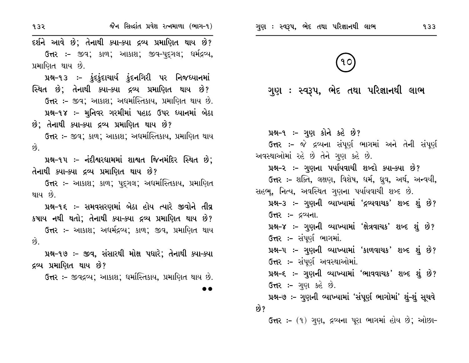| 932                                                                                                                                          | જૈન સિલ્દાંત પ્રવેશ રત્નમાળા (ભાગ-૧)                                                                                                                                                                                                                                                                                                                                                                                                                                                                   | ગુણ : સ્વરૂપ, ભેદ તથા પરિજ્ઞાનથી લાભ<br>933                                                                                                                                                                                                                                                                                                                                                                                                                                                                                                                                                                                                                                                                                                                                                                     |
|----------------------------------------------------------------------------------------------------------------------------------------------|--------------------------------------------------------------------------------------------------------------------------------------------------------------------------------------------------------------------------------------------------------------------------------------------------------------------------------------------------------------------------------------------------------------------------------------------------------------------------------------------------------|-----------------------------------------------------------------------------------------------------------------------------------------------------------------------------------------------------------------------------------------------------------------------------------------------------------------------------------------------------------------------------------------------------------------------------------------------------------------------------------------------------------------------------------------------------------------------------------------------------------------------------------------------------------------------------------------------------------------------------------------------------------------------------------------------------------------|
| પ્રમાણિત થાય છે.                                                                                                                             | દર્શને આવે છે; તેનાથી ક્યા-ક્યા દ્રવ્ય પ્રમાણિત થાય છે?<br><b>ઉત્તર :-</b> જીવ; કાળ; આકાશ; જીવ-પુદ્દગલ; ધર્મદ્રવ્ય <b>,</b><br>પ્રશ્ન-૧૩ ઃ- કુંદકુંદાચાર્ય કુંદનગિરી પર નિજધ્યાનમાં<br>સ્થિત છે; તેનાથી ક્યા–ક્યા દ્રવ્ય પ્રમાણિત થાય છે?<br>ઉત્તર :- જીવ; આકાશ; અદ્યમસ્તિકાય, પ્રમાણિત થાય છે.<br>પ્રશ્ન-૧૪ :- મુનિવર ગરમીમાં પહાડ ઉપર ધ્યાનમાં બેઠા                                                                                                                                                  | ગુણ : સ્વરૂપ, ભેદ તથા પરિજ્ઞાનથી લાભ                                                                                                                                                                                                                                                                                                                                                                                                                                                                                                                                                                                                                                                                                                                                                                            |
| છે; તેનાથી ક્યા–ક્યા દ્રવ્ય પ્રમાણિત થાય છે?<br>છે.<br>તેનાથી ક્યા–ક્યા દ્રવ્ય પ્રમાણિત થાય છે?<br>થાય છે.<br>છે.<br>દ્રવ્ય પ્રમાણિત થાય છે? | <b>ઉત્તર ઃ-</b> જીવ; કાળ; આકાશ; અધર્માસ્તિકાય, પ્રમાણિત થાય<br>પ્રશ્ન-૧૫ ઃ- નંદીશ્વરધામમાં શાશ્વત જિનમંદિર સ્થિત છે;<br>ઉત્તર :- આકાશ; કાળ; પુદ્ગલ; અદ્યર્માસ્તિકાય, પ્રમાણિત<br>પ્રશ્ન-૧૬ ઃ- સમવસરણમાં બેઠા હોય ત્યારે જીવોને તીવ્ર<br>કષાય નથી થતો; તેનાથી ક્યા–ક્યા દ્રવ્ય પ્રમાણિત થાય છે?<br><b>ઉત્તર :-</b> આકાશ; અધર્મદ્રવ્ય; કાળ; જીવ, પ્રમાણિત થાય<br>પ્રશ્ન-૧૭ :- જીવ, સંસારથી મોક્ષ પધારે; તેનાથી ક્યા-ક્યા<br><b>ઉત્તર :-</b> જીવદ્રવ્ય; આકાશ; ધર્માસ્તિકાય, પ્રમાણિત થાય છે.<br>$\bullet$ | પ્રશ્ન-૧ :- ગુણ કોને કહે છે?<br><b>ઉત્તર :-</b> જે દ્રવ્યના સંપૂર્ણ ભાગમાં અને તેની સંપૂર્ણ<br>અવસ્થાઓમાં રહે છે તેને ગુણ કહે છે.<br>પ્રશ્ન-૨ ઃ- ગુણના પર્યાયવાચી શબ્દો ક્યા-ક્યા છે?<br><b>ઉત્તર ઃ-</b> શક્તિ, લક્ષણ, વિશેષ, ધર્મ, ધ્રુવ, અર્થ, અન્વયી,<br>સહભ્, નિત્ય, અવસ્થિત ગુણના પર્યાયવાચી શબ્દ છે.<br>પ્રશ્ન-૩ ઃ- ગુણની વ્યાખ્યામાં 'દ્રવ્યવાચક' શબ્દ શું છે?<br>ઉત્તર :- દ્રવ્યના.<br>પ્રશ્ન-૪ ઃ- ગુણની વ્યાખ્યામાં 'ક્ષેત્રવાચક' શબ્દ શું છે?<br><b>ઉત્તર :-</b> સંપૂર્ણ ભાગમાં.<br>પ્રશ્ન-૫ :- ગુણની વ્યાખ્યામાં 'કાળવાચક' શબ્દ શું છે?<br><b>ઉત્તર :-</b> સંપૂર્ણ અવસ્થાઓમાં.<br>પ્રશ્ન-૬ :- ગુણની વ્યાખ્યામાં 'ભાવવાચક' શબ્દ શું છે?<br><b>ઉત્તર :-</b> ગુણ કહે છે.<br>પ્રશ્ન–૭ :– ગુણની વ્યાખ્યામાં 'સંપૂર્ણ ભાગોમાં' શું–શું સૂચવે<br>છે?<br>ઉત્તર :- (૧) ગુણ, દ્રવ્યના પૂરા ભાગમાં હોય છે; ઓછા- |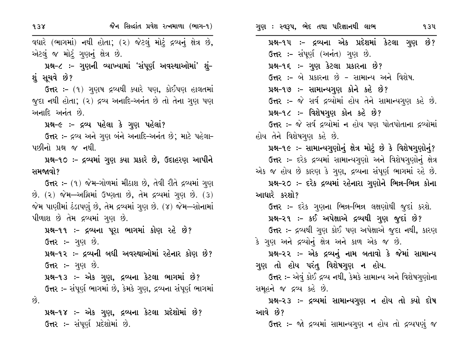| 938                     | જૈન સિલ્દાંત પ્રવેશ રત્નમાળા (ભાગ-૧)                            | ગુણ : સ્વરૂપ, ભેદ તથા પરિજ્ઞાનથી લાભ<br>934                   |
|-------------------------|-----------------------------------------------------------------|---------------------------------------------------------------|
|                         | વધારે (ભાગમાં) નથી હોતા; (૨) જેટલું મોટું દ્રવ્યનું ક્ષેત્ર છે, | પ્રશ્ન-૧૫ ઃ- દ્રવ્યના એક પ્રદેશમાં કેટલા ગુણ છે?              |
|                         | એટલું જ મોટું ગુણનું ક્ષેત્ર છે.                                | ઉત્તર :- સંપૂર્ણ (અનંત) ગુણ છે.                               |
|                         | પ્રશ્ન-૮ :– ગુણની વ્યાખ્યામાં 'સંપૂર્ણ અવસ્થાઓમાં' શું–         | પ્રશ્ન-૧૬ :- ગુણ કેટલા પ્રકારના છે?                           |
| શું સૂચવે છે?           |                                                                 | ઉત્તર :- બે પ્રકારના છે - સામાન્ય અને વિશેષ.                  |
|                         | ઉત્તર :- (૧) ગુણષ દ્રવ્યથી ક્યારે પણ, કોઈપણ હાલતમાં             | પ્રશ્ન-૧૭ :- સામાન્યગુણ કોને કહે છે?                          |
|                         | જુદા નથી હોતા; (૨) દ્રવ્ય અનાદિ-અનંત છે તો તેના ગુણ પણ          | ઉત્તર :- જે સર્વ દ્રવ્યોમાં હોય તેને સામાન્યગુણ કહે છે.       |
| અનાદિ અનંત છે.          |                                                                 | પ્રશ્ન-૧૮ :- વિશેષગુણ કોન કહે છે?                             |
|                         | પ્રશ્ન-૯ :- દ્રવ્ય પહેલા કે ગુણ પહેલાં?                         | ઉત્તર :- જે સર્વ દ્રવ્યોમાં ન હોય પણ પોતપોતાના દ્રવ્યોમાં     |
|                         | ઉત્તર :- દ્રવ્ય અને ગુણ બંને અનાદિ-અનંત છે; માટે પહેલા-         | હોય તેને વિશેષગુણ કહે છે.                                     |
| પછીનો પ્રશ્ન જ નથી.     |                                                                 | પ્રશ્ન-૧૯ ઃ- સામાન્યગુણોનું ક્ષેત્ર મોટું છે કે વિશેષગુણોનું? |
|                         | પ્રશ્ન-૧૦ ઃ- દ્રવ્યમાં ગુણ ક્યા પ્રકારે છે, ઉદાહરણ આપીને        | ઉત્તર :- દરેક દ્રવ્યમાં સામાન્યગુણો અને વિશેષગુણોનું ક્ષેત્ર  |
| સમજાવો?                 |                                                                 | એક જ હોય છે કારણ કે ગુણ, દ્રવ્યના સંપૂર્ણ ભાગમાં રહે છે.      |
|                         | ઉત્તર :- (૧) જેમ-ગોળમાં મીઠાશ છે, તેવી રીતે દ્રવ્યમાં ગુણ       | પ્રશ્ન-૨૦ ઃ- દરેક દ્રવ્યમાં રહેનારા ગુણોને ભિન્ન-ભિન્ન કોના   |
|                         | છે. (૨) જેમ—અગ્નિમાં ઉષ્ણતા છે, તેમ દ્રવ્યમાં ગુણ છે. (૩)       | આધારે કરશો?                                                   |
|                         | જેમ પાણીમાં ઠંડાપણું છે, તેમ દ્રવ્યમાં ગુણ છે. (૪) જેમ—સોનામાં  | ઉત્તર :- દરેક ગુણના ભિન્ન-ભિન્ન લક્ષણોથી જુદાં કરશે.          |
|                         | પીળાશ છે તેમ દ્રવ્યમાં ગુણ છે.                                  | પ્રશ્ન-૨૧ ઃ- કઈ અપેક્ષાએ દ્રવ્યથી ગુણ જુદાં છે?               |
|                         | પ્રશ્ન-૧૧ ઃ- દ્રવ્યના પૂરા ભાગમાં કોણ રહે છે?                   | ઉત્તર :- દ્રવ્યથી ગુણ કોઈ પણ અપેક્ષાએ જુદા નથી, કારણ          |
| <b>ઉત્તર :-</b> ગુણ છે. |                                                                 | કે ગુણ અને દ્રવ્યોનું ક્ષેત્ર અને કાળ એક જ છે.                |
|                         | પ્રશ્ન-૧૨ :- દ્રવ્યની બધી અવસ્થાઓમાં રહેનાર કોણ છે?             | પ્રશ્ન–૨૨ ઃ– એક દ્રવ્યનું નામ બતાવો કે જેમાં સામાન્ય          |
| <b>ઉત્તર :-</b> ગુણ છે. |                                                                 | ગુણ તો હોય પરંતુ વિશેષગુણ ન હોય.                              |
|                         | પ્રશ્ન-૧૩ :- એક ગુણ, દ્રવ્યના કેટલા ભાગમાં છે?                  | ઉત્તર ઃ- એવું કોઈ દ્રવ્ય નથી, કેમકે સામાન્ય અને વિશેષગુણોના   |
|                         | ઉત્તર :- સંપૂર્ણ ભાગમાં છે, કેમકે ગુણ, દ્રવ્યના સંપૂર્ણ ભાગમાં  | સમૂહને જ દ્રવ્ય કહે છે.                                       |
| છે.                     |                                                                 | પ્રશ્ન-૨૩ :- દ્રવ્યમાં સામાન્યગુણ ન હોય તો ક્યો દોષ           |
|                         | પ્રશ્ન-૧૪ :- એક ગુણ, દ્રવ્યના કેટલા પ્રદેશોમાં છે?              | આવે છે?                                                       |
|                         | ઉત્તર :- સંપૂર્ણ પ્રદેશોમાં છે.                                 | ઉત્તર :- જો દ્રવ્યમાં સામાન્યગુણ ન હોય તો દ્રવ્યપણું જ        |
|                         |                                                                 |                                                               |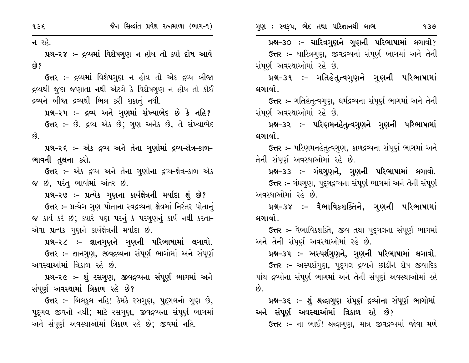ન રહે.

પ્રશ્ન-૨૪ :- દ્રવ્યમાં વિશેષગુણ ન હોય તો ક્યો દોષ આવે છે?

ઉત્તર :- દ્રવ્યમાં વિશેષગુણ ન હોય તો એક દ્રવ્ય બીજા દ્રવ્યથી જુદા જણાતા નથી એટલે કે વિશેષગુણ ન હોય તો કોઈ દ્રવ્યને બીજા દ્રવ્યથી ભિન્ન કરી શકાતું નથી.

પ્રશ્ન-૨૫ :- દ્રવ્ય અને ગુણમાં સંખ્યાભેદ છે કે નહિ? ઉત્તર :- છે. દ્રવ્ય એક છે: ગણ અનેક છે, તે સંખ્યાભેદ  $\hat{g}$ 

પ્રશ્ન-૨૬ :- એક દ્રવ્ય અને તેના ગુણોમાં દ્રવ્ય-ક્ષેત્ર-કાળ-ભાવની તુલના કરો.

ઉત્તર :- એક દ્રવ્ય અને તેના ગુણોના દ્રવ્ય-ક્ષેત્ર-કાળ એક જ છે, પરંતુ ભાવોમાં અંતર છે.

પ્રશ્ન-૨૭ :- પ્રત્યેક ગુણના કાર્યક્ષેત્રની મર્યાદા શું છે? ઉત્તર :- પ્રત્યેગ ગુણ પોતાના સ્વદ્રવ્યના ક્ષેત્રમાં નિરંતર પોતાનું જ કાર્ય કરે છે; ક્યારે પણ પરનું કે પરગુણનું કાર્ય નથી કરતા-એવા પ્રત્યેક ગુણને કાર્યક્ષેત્રની મર્યાદા છે.

પ્રશ્ન-૨૮ :- જ્ઞાનગુણને ગુણની પરિભાષામાં લગાવો. ઉત્તર :- જ્ઞાનગુણ, જીવદ્રવ્યના સંપૂર્ણ ભાગોમાં અને સંપૂર્ણ અવસ્થાઓમાં ત્રિકાળ રહે છે.

પ્રશ્ન-૨૯ :- શું રસગુણ, જીવદ્રવ્યના સંપૂર્ણ ભાગમાં અને સંપૂર્ણ અવસ્થામાં ત્રિકાળ રહે છે?

ઉત્તર :- બિલકુલ નહિ! કેમકે રસગુણ, પુદ્ગલનો ગુણ છે, પદ્ગલ જીવનો નથી; માટે રસગુણ, જીવદ્રવ્યના સંપૂર્ણ ભાગમાં અને સંપૂર્ણ અવસ્થાઓમાં ત્રિકાળ રહે છે; જીવમાં નહિ.

પ્રશ્ન-૩૦ :- ચારિત્રગુણને ગુણની પરિભાષામાં લગાવો? ઉત્તર :- ચારિત્રગણ, જીવદ્રવ્યનાં સંપૂર્ણ ભાગમાં અને તેની સંપૂર્ણ અવસ્થાઓમાં રહે છે.

પ્રશ્ન–૩૧ ઃ– ગતિહેત્ત્ત્વગુણને ગુણની પરિભાષામાં લગાવો.

ઉત્તર :- ગતિહેતુત્વગુણ, ધર્મદ્રવ્યના સંપૂર્ણ ભાગમાં અને તેની સંપૂર્ણ અવસ્થાઓમાં રહે છે.

પ્રશ્ન–૩૨ ઃ– પરિણમનહેતુત્વગુણને ગુણની પરિભાષામાં લગાવો.

ઉત્તર :- પરિણમનહેતુત્વગુણ, કાળદ્રવ્યના સંપૂર્ણ ભાગમાં અને તેની સંપૂર્ણ અવસ્થાઓમાં રહે છે.

પ્રશ્ન–૩૩ :– ગંધગુણને, ગુણની પરિભાષામાં લગાવો. ઉત્તર :- ગંધગણ, પદ્ગદ્રવ્યના સંપૂર્ણ ભાગમાં અને તેની સંપૂર્ણ અવસ્થાઓમાં રહે છે.

પ્રશ્ન-૩૪ :- વૈભાવિકશક્તિને, ગુણની પરિભાષામાં લગાવો.

ઉત્તર :- વૈભાવિકશક્તિ, જીવ તથા પદુગલના સંપૂર્ણ ભાગમાં અને તેની સંપૂર્ણ અવસ્થાઓમાં રહે છે.

પ્રશ્ન–૩૫ :– અસ્પર્શગુણને, ગુણની પરિભાષામાં લગાવો.

ઉત્તર :- અસ્પર્શગુણ, પદ્ગલ દ્રવ્યને છોડીને શેષ જીવાદિક પાંચ દ્રવ્યોના સંપૂર્ણ ભાગમાં અને તેની સંપૂર્ણ અવસ્થાઓમાં રહે છે.

પ્રશ્ન-૩૬ :- શું શ્રદ્ધાગુણ સંપૂર્ણ દ્રવ્યોના સંપૂર્ણ ભાગોમાં અને સંપૂર્ણ અવસ્થાઓમાં ત્રિકાળ રહે છે?

ઉત્તર :- ના ભાઈ! શ્રદ્ધાગુણ, માત્ર જીવદ્રવ્યમાં જોવા મળે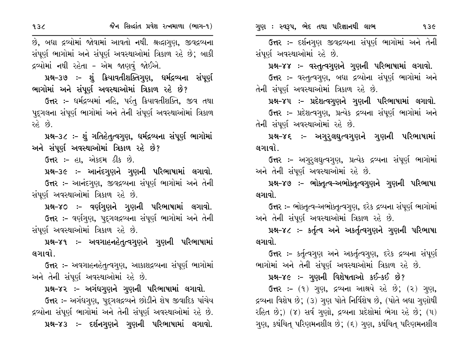$93<sub>6</sub>$ 

જૈન સિલ્દાંત પ્રવેશ રત્નમાળા (ભાગ-૧)

છે, બધા દ્રવ્યોમાં જોવામાં આવતો નથી. શ્રદ્ધાગુણ, જીવદ્રવ્યના સંપૂર્ણ ભાગોમાં અને સંપૂર્ણ અવસ્થાઓમાં ત્રિકાળ રહે છે; બાકી દ્રવ્યોમાં નથી રહેતા - એમ જાણવં જોઈએ.

પ્રશ્ન-૩૭ :- શું ક્રિયાવતીશક્તિગુણ, ધર્મદ્રવ્યના સંપૂર્ણ ભાગોમાં અને સંપૂર્ણ અવસ્થાઓમાં ત્રિકાળ રહે છે?

ઉત્તર :- ધર્મદ્રવ્યમાં નહિ, પરંતુ ક્રિયાવતીશક્તિ, જીવ તથા પદગલના સંપૂર્ણ ભાગોમાં અને તેની સંપૂર્ણ અવસ્થાઓમાં ત્રિકાળ  $26.89.$ 

પ્રશ્ન-૩૮ ઃ- શું ગતિહેત્ત્વગુણ, ધર્મદ્રવ્યના સંપૂર્ણ ભાગોમાં અને સંપૂર્ણ અવસ્થાઓમાં ત્રિકાળ રહે છે?

ઉત્તર :- હા, એકદમ ઠીક છે.

પ્રશ્ન–૩૯ :– આનંદગુણને ગુણની પરિભાષામાં લગાવો. ઉત્તર :- આનંદગણ, જીવદ્રવ્યના સંપૂર્ણ ભાગોમાં અને તેની સંપૂર્ણ અવસ્થાઓમાં ત્રિકાળ રહે છે.

પ્રશ્ન-૪૦ :- વર્ણગુણને ગુણની પરિભાષામાં લગાવો. ઉત્તર :- વર્ણગણ, પદ્ગલદ્રવ્યના સંપૂર્ણ ભાગોમાં અને તેની સંપૂર્ણ અવસ્થાઓમાં ત્રિકાળ રહે છે.

પ્રશ્ન-૪૧ :- અવગાહનહેતુત્વગુણને ગુણની પરિભાષામાં લગાવો.

ઉત્તર :– અવગાહનહેત્ત્વગુણ, આકાશદ્રવ્યના સંપૂર્ણ ભાગોમાં અને તેની સંપૂર્ણ અવસ્થાઓમાં રહે છે.

પ્રશ્ન-૪૨ :- અગંધગુણને ગુણની પરિભાષામાં લગાવો.

ઉત્તર :- અગંધગુણ, પુદ્ગલદ્રવ્યને છોડીને શેષ જીવાદિક પાંચેય દ્રવ્યોના સંપૂર્ણ ભાગોમાં અને તેની સંપૂર્ણ અવસ્થાઓમાં રહે છે. પ્રશ્ન-૪૩ :- દર્શનગુણને ગુણની પરિભાષામાં લગાવો.

ઉત્તર :- દર્શનગુણ જીવદ્રવ્યના સંપૂર્ણ ભાગોમાં અને તેની સંપૂર્ણ અવસ્થાઓમાં રહે છે.

પ્રશ્ન-૪૪ :- વસ્તુત્વગુણને ગુણની પરિભાષામાં લગાવો.

ઉત્તર :- વસ્તુત્વગુણ, બધા દ્રવ્યોના સંપૂર્ણ ભાગોમાં અને તેની સંપૂર્ણ અવસ્થાઓમાં ત્રિકાળ રહે છે.

પ્રશ્ન-૪૫ :- પ્રદેશત્વગુણને ગુણની પરિભાષામાં લગાવો. ઉત્તર :- પ્રદેશત્વગુણ, પ્રત્યેક દ્રવ્યના સંપૂર્ણ ભાગોમાં અને તેની સંપર્ણ અવસ્થાઓમાં રહે છે.

પ્રશ્ન-૪૬ ઃ- અગુર્લઘુત્વગુણને ગુણની પરિભાષામાં લગાવો.

ઉત્તર :- અગુરૂલઘુત્વગુણ, પ્રત્યેક દ્રવ્યના સંપૂર્ણ ભાગોમાં અને તેની સંપૂર્ણ અવસ્થાઓમાં રહે છે.

પ્રશ્ન-૪૭ :- ભોક્તૃત્વ-અભોક્તૃત્વગુણને ગુણની પરિભાષા લગાવો.

ઉત્તર ઃ- ભોક્તૃત્વ-અભોક્તૃત્વગુણ, દરેક દ્રવ્યના સંપૂર્ણ ભાગોમાં અને તેની સંપૂર્ણ અવસ્થાઓમાં ત્રિકાળ રહે છે.

પ્રશ્ન-૪૮ :- કર્તૃત્વ અને અકર્તૃત્વગુણને ગુણની પરિભાષા લગાવો.

**ઉત્તર :-** કર્તૃત્વગુણ અને અકર્તૃત્વગુણ, દરેક દ્રવ્યના સંપૂર્ણ ભાગોમાં અને તેની સંપૂર્ણ અવસ્થાઓમાં ત્રિકાળ રહે છે.

પ્રશ્ન-૪૯ :- ગુણની વિશેષતાઓ કઈ-કઈ છે?

ઉત્તર: - (૧) ગણ, દ્રવ્યના આશ્રયે રહે છે; (૨) ગણ, દ્રવ્યના વિશેષ છે; (૩) ગુણ પોતે નિર્વિશેષ છે, (પોતે બધા ગુણોથી રહિત છે;) (૪) સર્વ ગુણો, દ્રવ્યના પ્રદેશોમાં ભેગા રહે છે; (૫) ગુણ, કથંચિત્ પરિણમનશીલ છે; (૬) ગુણ, કથંચિત્ પરિણમનશીલ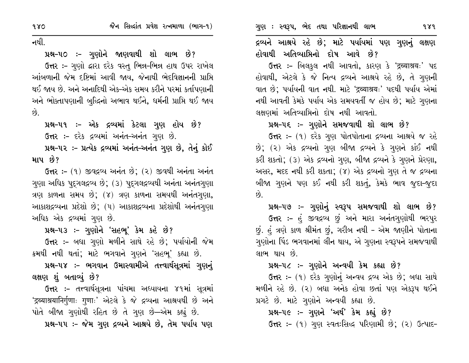નથી.

## પ્રશ્ન-૫૦ ઃ- ગુણોને જાણવાથી શો લાભ છે?

ઉત્તર :- ગુણો દ્વારા દરેક વસ્તુ ભિન્ન-ભિન્ન હાથ ઉપર રાખેલ આંબળાની જેમ દષ્ટિમાં આવી જાય, જેનાથી ભેદવિજ્ઞાનની પ્રાપ્તિ થઈ જાય છે. અને અનાદિથી એક–એક સમય કરીને પરમાં કર્તાપણાની અને ભોક્તાપણાની બુદ્ધિનો અભાવ થઈને, ધર્મની પ્રાપ્તિ થઈ જાય  $\hat{g}$ 

પ્રશ્ન-૫૧ ઃ- એક દ્રવ્યમાં કેટલા ગુણ હોય છે? ઉત્તર :- દરેક દ્રવ્યમાં અનંત-અનંત ગણ છે. પ્રશ્ન-૫૨ :- પ્રત્યેક દ્રવ્યમાં અનંત-અનંત ગુણ છે, તેનું કોઈ માપ છે?

ઉત્તર: - (૧) જીવદ્રવ્ય અનંત છે; (૨) જીવથી અનંતા અનંત ગણા અધિક પદ્ગલદ્રવ્ય છે; (૩) પદ્ગલદ્રવ્યથી અનંતા અનંતગણા ત્રણ કાળના સમય છે; (૪) ત્રણ કાળના સમયથી અનંતગુણા, આકાશદ્રવ્યના પ્રદેશો છે; (૫) આકાશદ્રવ્યના પ્રદેશોથી અનંતગુણા અધિક એક દ્રવ્યમાં ગુણ છે.

પ્રશ્ન-૫૩ :- ગુણોને 'સહભૂ' કેમ કહે છે?

ઉત્તર :- બધા ગુણો મળીને સાથે રહે છે; પર્યાયોની જેમ ક્રમથી નથી થતાં; માટે ભગવાને ગુણને 'સહભ્' કહ્યા છે.

પ્રશ્ન-૫૪ :- ભગવાન ઉમાસ્વામીએ તત્ત્વાર્થસૂત્રમાં ગુણનું લક્ષણ શું બતાવ્યું છે?

ઉત્તર :- તત્ત્વાર્થસૂત્રના પાંચમા અધ્યાયના ૪૧માં સૂત્રમાં 'द्रव्याश्रयानिर्गुणाः गुणाः' એટલે કે જે દ્રવ્યના આશ્રયથી છે અને પોતે બીજા ગણોથી રહિત છે તે ગણ છે—એમ કહ્યું છે.

પ્રશ્ન-૫૫ :- જેમ ગુણ દ્રવ્યને આશ્રયે છે, તેમ પર્યાય પણ

દ્રવ્યને આશ્રયે રહે છે; માટે પર્યાયમાં પણ ગુણનું લક્ષણ હોવાથી અતિવ્યાપ્તિનો દોષ આવે છે?

ઉત્તર :- બિલકુલ નથી આવતો, કારણ કે 'द्रव्याश्रयः' પદ હોવાથી, એટલે કે જે નિત્ય દ્રવ્યને આશ્રયે રહે છે, તે ગુણની વાત છે; પર્યાયની વાત નથી. માટે 'द्रव्याश्रयः' પદથી પર્યાય એમાં નથી આવતી કેમકે પર્યાય એક સમયવર્તી જ હોય છે; માટે ગુણના લક્ષણમાં અતિવ્યાપ્તિનો દોષ નથી આવતો.

## પ્રશ્ન-૫૬ :- ગુણોને સમજવાથી શો લાભ છે?

ઉત્તર :- (૧) દરેક ગુણ પોતપોતાના દ્રવ્યના આશ્રયે જ રહે છે; (૨) એક દ્રવ્યનો ગુણ બીજા દ્રવ્યને કે ગુણને કાંઈ નથી કરી શકતો; (૩) એક દ્રવ્યનો ગુણ, બીજા દ્રવ્યને કે ગુણને પ્રેરણા, અસર, મદદ નથી કરી શકતા; (૪) એક દ્રવ્યનો ગુણ તે જ દ્રવ્યના બીજા ગુણને પણ કઈ નથી કરી શકતું, કેમકે ભાવ જુદા-જુદા  $\hat{Q}$ .

પ્રશ્ન–૫૭ :– ગુણોનું સ્વરૂપ સમજવાથી શો લાભ છે?

ઉત્તર :- હું જીવદ્રવ્ય છું અને મારા અનંતગુણોથી ભરપુર છું. હું ત્રણે કાળ શ્રીમંત છું, ગરીબ નથી - એમ જાણીને પોતાના ગુણોના પિંડ ભગવાનમાં લીન થાય, એ ગુણના સ્વરૂપને સમજવાથી લાભ થાય છે.

### પ્રશ્ન–૫૮ :- ગુણોને અન્વયી કેમ કહ્યા છે?

ઉત્તર :- (૧) દરેક ગુણોનું અન્વય દ્રવ્ય એક છે; બધા સાથે મળીને રહે છે. (૨) બધા અનેક હોવા છતાં પણ એકરૂપ થઈને પ્રગટે છે. માટે ગુણોને અન્વયી કહ્યા છે.

# પ્રશ્ન-૫૯ :- ગુણને 'અર્થ' કેમ કહ્યું છે?

ઉત્તર :- (૧) ગુણ સ્વતઃસિદ્ધ પરિણામી છે; (૨) ઉત્પાદ-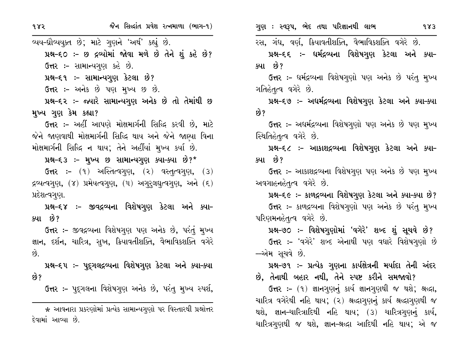વ્યય-ઘ્રૌવ્યયુક્ત છે; માટે ગુણને 'અર્થ' કહ્યું છે. પ્રશ્ન-૬૦ :- છ દ્રવ્યોમાં જોવા મળે છે તેને શું કહે છે? ઉત્તર :- સામાન્યગુણ કહે છે. પ્રશ્ન-૬૧ ઃ- સામાન્યગુણ કેટલા છે? ઉત્તર:- અનેક છે પણ મુખ્ય છ છે. પ્રશ્ન-૬૨ :- જ્યારે સામાન્યગુણ અનેક છે તો તેમાંથી છ મુખ્ય ગુણ કેમ કહ્યા? ઉત્તર :- અહીં આપણે મોક્ષમાર્ગની સિદ્ધિ કરવી છે. માટે જેને જાણવાથી મોક્ષમાર્ગની સિદ્ધિ થાય અને જેને જાણ્યા વિના મોક્ષમાર્ગની સિદ્ધિ ન થાય; તેને અહીંયાં મુખ્ય કર્યા છે. પ્રશ્ન-૬૩ :- મુખ્ય છ સામાન્યગુણ ક્યા-ક્યા છે?\*  $\delta$ त्तर:- (१) અસ્તિત્વગુણ, (२) વસ્તૃત્વગુણ, (३)  $55$   $\frac{1}{2}$   $\frac{1}{2}$   $\frac{1}{2}$   $\frac{1}{2}$   $\frac{1}{2}$   $\frac{1}{2}$   $\frac{1}{2}$   $\frac{1}{2}$   $\frac{1}{2}$   $\frac{1}{2}$   $\frac{1}{2}$   $\frac{1}{2}$   $\frac{1}{2}$   $\frac{1}{2}$   $\frac{1}{2}$   $\frac{1}{2}$   $\frac{1}{2}$   $\frac{1}{2}$   $\frac{1}{2}$   $\frac{1}{2}$   $\frac{1}{2}$   $\frac{1$ પ્રદેશત્વગુણ. પ્રશ્ન-૬૪ :- જીવદ્રવ્યના વિશેષગુણ કેટલા અને ક્યા-ક્યા છે? ઉત્તર :- જીવદ્રવ્યના વિશેષગુણ પણ અનેક છે, પરંતું મુખ્ય

જ્ઞાન, દર્શન, ચારિત્ર, સુખ, ક્રિયાવતીશક્તિ, વૈભાવિકશક્તિ વગેરે  $\hat{g}$ 

પ્રશ્ન-૬૫ ઃ- પૂદુગલદ્રવ્યના વિશેષગુણ કેટલા અને ક્યા-ક્યા છે?

**ઉત્તર :-** પદુગલના વિશેષગુણ અનેક છે, પરંતુ મુખ્ય સ્પર્શ,

\* આવનારા પ્રકરણોમાં પ્રત્યેક સામાન્યગુણો પર વિસ્તારથી પ્રશ્નોત્તર દેવામાં આવ્યા છે.

983

રસ, ગંધ, વર્ણ, ક્રિયાવતીશક્તિ, વૈભાવિકશક્તિ વગેરે છે.

પ્રશ્ન–૬૬ ઃ– ધર્મદ્રવ્યના વિશેષગુણ કેટલા અને ક્યા– ક્યા છે?

ઉત્તર :- ધર્મદ્રવ્યના વિશેષગુણો પણ અનેક છે પરંતુ મુખ્ય ગતિહેતૃત્વ વગેરે છે.

પ્રશ્ન–૬૭ :– અધર્મદ્રવ્યના વિશેષગુણ કેટલા અને ક્યા–ક્યા છે?

ઉત્તર :- અઘર્મદ્રવ્યના વિશેષગુણો પણ અનેક છે પણ મુખ્ય સ્થિતિહેતૃત્વ વગેરે છે.

પ્રશ્ન–૬૮ :– આકાશદ્રવ્યના વિશેષગુણ કેટલા અને ક્યા– ક્યા છે?

ઉત્તર :- આકાશદ્રવ્યના વિશેષગુણ પણ અનેક છે પણ મુખ્ય અવગાહનહેતૃત્વ વગેરે છે.

પ્રશ્ન-૬૯ :- કાળદ્રવ્યના વિશેષગુણ કેટલા અને ક્યા-ક્યા છે? ઉત્તર :- કાળદ્રવ્યના વિશેષગુણો પણ અનેક છે પરંતુ મુખ્ય પરિણમનહેતૃત્વ વગેરે છે.

પ્રશ્ન-૭૦ :- વિશેષગુણોમાં 'વગેરે' શબ્દ શું સૂચવે છે? ઉત્તર :- 'વગેરે' શબ્દ એનાથી પણ વધારે વિશેષગણો છે —એમ સચવે છે.

પ્રશ્ન-૭૧ :- પ્રત્યેક ગુણના કાર્યક્ષેત્રની મર્યાદા તેની અંદર છે, તેનાથી બહાર નથી, તેને સ્પષ્ટ કરીને સમજાવો?

ઉત્તર: - (૧) જ્ઞાનગણનું કાર્ય જ્ઞાનગણથી જ થશે; શ્રદ્ધા, ચારિત્ર વગેરેથી નહિ થાય; (૨) શ્રદ્ધાગુણનું કાર્ય શ્રદ્ધાગુણથી જ થશે, જ્ઞાન-ચારિત્રાદિથી નહિ થાય; (૩) ચારિત્રગણનું કાર્ય, ચારિત્રગણથી જ થશે, જ્ઞાન-શ્રદ્ધા આદિથી નહિ થાય; એ જ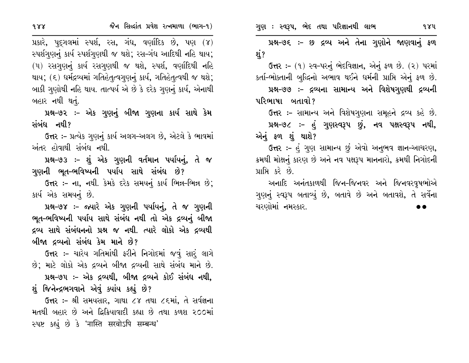ગુણ : સ્વરૂપ, ભેદ તથા પરિજ્ઞાનથી લાભ

પ્રશ્ન-૭૬ :- છ દ્રવ્ય અને તેના ગુણોને જાણવાનું ફળ શં?

ઉત્તર: – (૧) સ્વ-પરનું ભેદવિજ્ઞાન, એનું ફળ છે. (૨) પરમાં કર્તા-ભોક્તાની બુદ્ધિનો અભાવ થઈને ધર્મની પ્રાપ્તિ એનું ફળ છે. પ્રશ્ન-૭૭ :- દ્રવ્યના સામાન્ય અને વિશેષગુણથી દ્રવ્યની

પરિભાષા બતાવો?

ઉત્તર :- સામાન્ય અને વિશેષગુણના સમૂહને દ્રવ્ય કહે છે.

પ્રશ્ન-૭૮ :- હું ગુણસ્વરૂપ છું, નવ પક્ષસ્વરૂપ નથી, એનું ફળ શું થાશે?

ઉત્તર :- હું ગુણ સામાન્ય છું એવો અનુભવ જ્ઞાન-આચરણ, ક્રમથી મોક્ષનું કારણ છે અને નવ પક્ષરૂપ માનનારો, ક્રમથી નિગોદની પ્રાપ્તિ કરે છે.

અનાદિ અનંતકાળથી જિન–જિનવર અને જિનવરવૃષભોએ ગણનું સ્વરૂપ બતાવ્યું છે, બતાવે છે અને બતાવશે, તે સર્વેના ચરણોમાં નમસ્કાર.

પ્રકારે, પુદ્ગલમાં સ્પર્શ, રસ, ગંધ, વર્ણાદિક છે, પણ (૪) સ્પર્શગણનું કાર્ય સ્પર્શગણથી જ થશે; રસ–ગંધ આદિથી નહિ થાય; (૫) રસગણનું કાર્ય રસગણથી જ થશે, સ્પર્શ, વર્ણાદિથી નહિ થાય; (૬) ધર્મદ્રવ્યમાં ગતિહેતૃત્વગૃણનું કાર્ય, ગતિહેતૃત્વથી જ થશે; બાકી ગુણોથી નહિ થાય. તાત્પર્ય એ છે કે દરેક ગુણનું કાર્ય, એનાથી બહાર નથી થતું.

પ્રશ્ન–૭૨ :– એક ગુણનું બીજા ગુણના કાર્ય સાથે કેમ સંબંધ નથી?

ઉત્તર :- પ્રત્યેક ગુણનું કાર્ય અલગ-અલગ છે, એટલે કે ભાવમાં અંતર હોવાથી સંબંધ નથી.

પ્રશ્ન-૭૩ :- શું એક ગુણની વર્તમાન પર્યાયનું, તે જ ગુણની ભૂત-ભવિષ્યની પર્યાય સાથે સંબંધ છે?

ઉત્તર :- ના, નથી. કેમકે દરેક સમયનું કાર્ય ભિન્ન-ભિન્ન છે; કાર્ય એક સમયનું છે.

પ્રશ્ન-૭૪ :- જ્યારે એક ગુણની પર્યાયનું, તે જ ગુણની ભૂત-ભવિષ્યની પર્યાય સાથે સંબંધ નથી તો એક દ્રવ્યનું બીજા દ્રવ્ય સાથે સંબંધનનો પ્રશ્ન જ નથી. ત્યારે લોકો એક દ્રવ્યથી બીજા દ્રવ્યનો સંબંધ કેમ માને છે?

ઉત્તર :- ચારેય ગતિમાંથી ફરીને નિગોદમાં જવું સારં લાગે છે; માટે લોકો એક દ્રવ્યને બીજા દ્રવ્યની સાથે સંબંધ માને છે. પ્રશ્ન-૭૫ :- એક દ્રવ્યથી, બીજા દ્રવ્યને કોઈ સંબંધ નથી, શું જિનેન્દ્રભગવાને એવું ક્યાંય કહ્યું છે?

ઉત્તર :- શ્રી સમયસાર, ગાથા ૮૪ તથા ૮૬માં, તે સર્વજ્ઞના મતથી બહાર છે અને દ્વિક્રિયાવાદી કહ્યા છે તથા કળશ ૨૦૦માં स्पष्ट sह्यं છે કે 'नास्ति सरवोऽपि सम्बन्ध'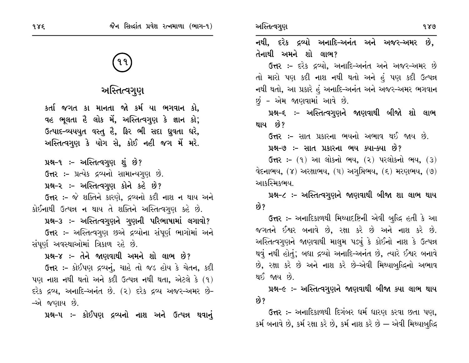# અસ્તિત્વગુણ

કર્તા જગત કા માનતા જો કર્મ યા ભગવાન કો, વહ ભૂલતા હૈ લોક મેં, અસ્તિત્વગૃણ કે જ્ઞાન કો; ઉત્પાદ-વ્યયયુત વસ્તુ હૈ, ફિર ભી સદા ધ્રુવતા ધરે, અસ્તિત્વગુણ કે યોગ સે, કોઈ નહી જગ મેં મરે.

પ્રશ્ન-૧ :- અસ્તિત્વગુણ શું છે?

ઉત્તર :- પ્રત્યેક દ્રવ્યનો સામાન્યગુણ છે.

પ્રશ્ન-૨ :- અસ્તિત્વગુણ કોને કહે છે?

ઉત્તર :- જે શક્તિને કારણે, દ્રવ્યનો કદી નાશ ન થાય અને કોઈનાથી ઉત્પન્ન ન થાય તે શક્તિને અસ્તિત્વગુણ કહે છે.

પ્રશ્ન-૩ :- અસ્તિત્વગૃણને ગૃણની પરિભાષામાં લગાવો?

ઉત્તર :- અસ્તિત્વગુણ છએ દ્રવ્યોના સંપૂર્ણ ભાગોમાં અને સંપૂર્ણ અવસ્થાઓમાં ત્રિકાળ રહે છે.

પ્રશ્ન-૪ :- તેને જાણવાથી અમને શો લાભ છે? ઉત્તર:- કોઈપણ દ્રવ્યનું, ચાહે તો જડ હોય કે ચેતન, કદી પણ નાશ નથી થતો અને કદી ઉત્પન્ન નથી થતા, એટલે કે  $(9)$ દરેક દ્રવ્ય, અનાદિ-અનંત છે. (૨) દરેક દ્રવ્ય અજર-અમર છે-–એ જણાય છે.

પ્રશ્ન-૫ :- કોઈપણ દ્રવ્યનો નાશ અને ઉત્પન્ન થવાનું

નથી, દરેક દ્રવ્યો અનાદિ–અનંત અને અજર–અમર છે. તેનાથી અમને શો લાભ? ઉત્તર :- દરેક દ્રવ્યો, અનાદિ-અનંત અને અજર-અમર છે તો મારો પણ કદી નાશ નથી થતો અને હં પણ કદી ઉત્પન્ન નથી થતો, આ પ્રકારે હું અનાદિ-અનંત અને અજર-અમર ભગવાન છું – એમ જાણવામાં આવે છે. પ્રશ્ન-૬ :- અસ્તિત્વગુણને જાણવાથી બીજો શો લાભ થાય છે? ઉત્તર :- સાત પ્રકારના ભયનો અભાવ થઈ જાય છે. પ્રશ્ન–૭ :– સાત પ્રકારના ભય ક્યા–ક્યા છે? **ઉત્તર:-** (૧) આ લોકનો ભય, (૨) પરલોકનો ભય, (૩) વેદનાભય,  $(8)$  અરક્ષાભય,  $(4)$  અગુપ્તિભય,  $(6)$  મરણભય,  $(9)$ આકસ્મિકભય. પ્રશ્ન-૮ ઃ– અસ્તિત્વગુણને જાણવાથી બીજા શા લાભ થાય છે? ઉત્તર :- અનાદિકાળથી મિથ્યાદષ્ટિની એવી બુદ્ધિ હતી કે આ જગતને ઈશ્વર બનાવે છે, રક્ષા કરે છે અને નાશ કરે છે. અસ્તિત્વગુણને જાણવાથી માલમ પડ્યું કે કોઈનો નાશ કે ઉત્પન્ન થવું નથી હોતું; બધા દ્રવ્યો અનાદિ-અનંત છે, ત્યારે ઈશ્વર બનાવે છે, રક્ષા કરે છે અને નાશ કરે છે-એવી મિથ્યાબુદ્ધિનો અભાવ થઈ જાય છે.

પ્રશ્ન-૯ :- અસ્તિત્વગુણને જાણવાથી બીજા ક્યા લાભ થાય છે?

ઉત્તર :- અનાદિકાળથી દિગંબર ધર્મ ધારણ કરવા છતા પણ. કર્મ બનાવે છે, કર્મ રક્ષા કરે છે, કર્મ નાશ કરે છે — એવી મિથ્યાબુદ્ધિ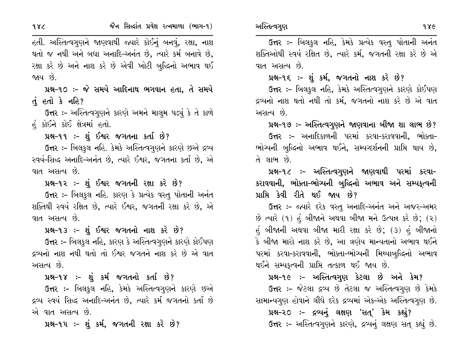હતી. અસ્તિત્વગુણને જાણવાથી જ્યારે કોઈનું બનવું, રક્ષા, નાશ થતો જ નથી અને બધા અનાદિ-અનંત છે, ત્યારે કર્મ બનાવે છે, રક્ષા કરે છે અને નાશ કરે છે એવી ખોટી બુદ્ધિનો અભાવ થઈ જાય છે.

પ્રશ્ન-૧૦ :- જે સમયે આદિનાથ ભગવાન હતા, તે સમયે તું હતો કે નહિ?

**ઉત્તર :-** અસ્તિત્વગુણને કારણે અમને માલુમ પડ્યું કે તે કાળે હં કોઈને કોઈ ક્ષેત્રમાં હતો.

પ્રશ્ન-૧૧ :- શું ઈશ્વર જગતના કર્તા છે?

ઉત્તર :- બિલકુલ નહિ. કેમકે અસ્તિત્વગુણને કારણે છએ દ્રવ્ય સ્વયં-સિદ્ધ અનાદિ-અનંત છે, ત્યારે ઈશ્વર, જગતના કર્તા છે, એ વાત અસત્ય છે.

પ્રશ્ન-૧૨ ઃ- શું ઈશ્વર જગતની રક્ષા કરે છે?

ઉત્તર :- બિલકુલ નહિ. કારણ કે પ્રત્યેક વસ્તુ પોતાની અનંત શક્તિથી સ્વયં રક્ષિત છે, ત્યારે ઈશ્વર, જગતની રક્ષા કરે છે, એ વાત અસત્ય છે.

પ્રશ્ન-૧૩ :- શું ઈશ્વર જગતનો નાશ કરે છે?

ઉત્તર :- બિલકુલ નહિ, કારણ કે અસ્તિત્વગુણને કારણે કોઈપણ દ્રવ્યનો નાશ નથી થતો તો ઈશ્વર જગતને નાશ કરે છે એ વાત અસત્ય છે.

પ્રશ્ન-૧૪ :- શું કર્મ જગતનો કર્તા છે?

ઉત્તર :- બિલકુલ નહિ, કેમકે અસ્તિત્વગુણને કારણે છએ દ્રવ્ય સ્વયં સિદ્ધ અનાદિ-અનંત છે, ત્યારે કર્મ જગતનો કર્તા છે એ વાત અસત્ય છે.

પ્રશ્ન-૧૫ ઃ- શું કર્મ, જગતની રક્ષા કરે છે?

ઉત્તર :- બિલકુલ નહિ, કેમકે પ્રત્યેક વસ્તુ પોતાની અનંત શક્તિઓથી સ્વયં રક્ષિત છે, ત્યારે કર્મ, જગતની રક્ષા કરે છે એ વાત અસત્ય છે.

પ્રશ્ન-૧૬ :- શું કર્મ, જગતનો નાશ કરે છે?

ઉત્તર :- બિલકુલ નહિ, કેમકે અસ્તિત્વગુણને કારણે કોઈપણ દ્રવ્યનો નાશ થતો નથી તો કર્મ, જગતનો નાશ કરે છે એ વાત અસત્ય છે.

પ્રશ્ન-૧૭ :- અસ્તિત્વગુણને જાણવાના બીજા શા લાભ છે?

ઉત્તર :- અનાદિકાળની પરમાં કરવા-કરાવવાની. ભોક્તા-ભોચ્યની બુદ્ધિનો અભાવ થઈને, સમ્યગ્દર્શનની પ્રાપ્તિ થાય છે, તે લાભ છે.

પ્રશ્ન-૧૮ ઃ- અસ્તિત્વગુણને જાણવાથી પરમાં કરવા-કરાવવાની, ભોક્તા-ભોચ્યની બુદ્ધિનો અભાવ અને સમ્પકૃત્વની પ્રાપ્તિ કેવી રીતે થઈ જાય છે?

ઉત્તર :- જ્યારે દરેક વસ્તુ અનાદિ-અનંત અને અજર-અમર  $\dot{\vartheta}$  ત્યારે (૧) હં બીજાને અથવા બીજા મને ઉત્પન્ન કરે છે; (૨) હું બીજાની અથવા બીજા મારી રક્ષા કરે છે; (૩) હું બીજાનો કે બીજા મારો નાશ કરે છે, આ ત્રણેય માન્યતાનો અભાવ થઈને પરમાં કરવા-કરાવવાની, ભોક્તા-ભોચ્યની મિથ્યાબુદ્ધિનો અભાવ થઈને સમ્યકૃત્વની પ્રાપ્તિ તત્કાળ થઈ જાય છે.

પ્રશ્ન-૧૯ :- અસ્તિત્વગુણ કેટલા છે અને કેમ?

ઉત્તર :- જેટલા દ્રવ્ય છે તેટલા જ અસ્તિત્વગુણ છે કેમકે સામાન્યગુણ હોવાને લીધે દરેક દ્રવ્યમાં એક-એક અસ્તિત્વગુણ છે.

પ્રશ્ન-૨૦ :- દ્રવ્યનું લક્ષણ 'સત્' કેમ કહ્યું? ઉત્તર :- અસ્તિત્વગુણને કારણે, દ્રવ્યનું લક્ષણ સતુ કહ્યું છે.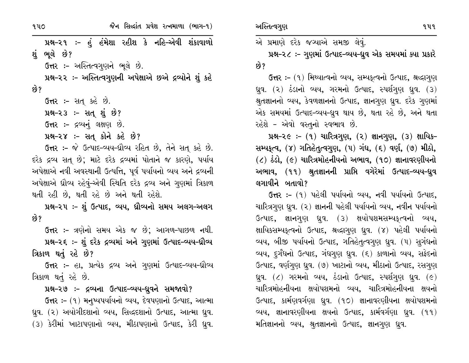જૈન સિલ્દાંત પ્રવેશ રત્નમાળા (ભાગ-૧) ૧૫૦ પ્રશ્ન–૨૧ :- હું હંમેશા રહીશ કે નહિ–એવી શંકાવાળો શંભલે છે? ઉત્તર:- અસ્તિત્વગુણને ભૂલે છે. પ્રશ્ન-૨૨ :- અસ્તિત્વગુણની અપેક્ષાએ છએ દ્રવ્યોને શું કહે છે? **ઉત્તર :-** સત્ કહે છે.  $14 - 23$  :- સતુ શું છે? ઉત્તર :- દ્રવ્યનું લક્ષણ છે. પ્રશ્ન-૨૪ :- સત્ કોને કહે છે? ઉત્તર:- જે ઉત્પાદ-વ્યય-ધ્રૌવ્ય રહિત છે, તેને સત્ કહે છે. દરેક દ્રવ્ય સત્ છે; માટે દરેક દ્રવ્યમાં પોતાને જ કારણે, પર્યાય અપેક્ષાએ નવી અવસ્થાની ઉત્પત્તિ, પૂર્વ પર્યાયનો વ્યય અને દ્રવ્યની અપેક્ષાએ ઘ્રૌવ્ય રહેવું-એવી સ્થિતિ દરેક દ્રવ્ય અને ગુણમાં ત્રિકાળ થતી રહી છે, થતી રહે છે અને થતી રહેશે. પ્રશ્ન-૨૫ :- શું ઉત્પાદ, વ્યય, ધ્રૌવ્યનો સમય અલગ-અલગ છે? ઉત્તર :- ત્રણેનો સમય એક જ છે; આગળ-પાછળ નથી. પ્રશ્ન-૨૬ :- શું દરેક દ્રવ્યમાં અને ગુણમાં ઉત્પાદ-વ્યય-ઘ્રૌવ્ય ત્રિકાળ થતું રહે છે? ઉત્તર :- હા, પ્રત્યેક દ્રવ્ય અને ગુણમાં ઉત્પાદ-વ્યય-ઘ્રૌવ્ય ત્રિકાળ થતું રહે છે. પ્રશ્ન-૨૭ :- દ્રવ્યના ઉત્પાદ-વ્યય-ધ્રુવને સમજાવો? ઉત્તર: - (૧) મનુષ્યપર્યાયનો વ્યય, દેવપણાનો ઉત્પાદ, આત્મા ધ્રુવ. (૨) અયોગીદશાનો વ્યય, સિદ્ધદશાનો ઉત્પાદ, આત્મા ધ્રુવ. (3) કેરીમાં ખાટાપણાનો વ્યય, મીઠાપણાનો ઉત્પાદ, કેરી ધ્રવ.

અસ્તિત્વગુણ

એ પ્રમાણે દરેક જગ્યાએ સમજી લેવું.

પ્રશ્ન-૨૮ :- ગુણમાં ઉત્પાદ-વ્યય-ધ્રુવ એક સમયમાં ક્યા પ્રકારે છે?

ઉત્તર: – (૧) મિથ્યાત્વનો વ્યય, સમ્યકૃત્વનો ઉત્પાદ, શ્રદ્ધાગુણ ધ્રુવ. (૨) ઠંડાનો વ્યય, ગરમનો ઉત્પાદ, સ્પર્શગુણ ધ્રુવ. (૩) શ્રુતજ્ઞાનનો વ્યય, કેવળજ્ઞાનનો ઉત્પાદ, જ્ઞાનગુણ ધ્રુવ. દરેક ગુણમાં એક સમયમાં ઉત્પાદ-વ્યય-ધ્રુવ થાય છે, થતા રહે છે, અને થતા રહેશે - એવો વસ્તુનો સ્વભાવ છે.

પ્રશ્ન-૨૯ :-  $(9)$  ચારિત્રગુણ,  $(2)$  જ્ઞાનગુણ,  $(3)$  ક્ષાયિક-સમ્પકૃત્વ, (૪) ગતિહેતુત્વગુણ, (૫) ગંધ, (૬) વર્ણ, (૭) મીઠો,  $(2)$  ઠંડો,  $(6)$  ચારિત્રમોહનીયનો અભાવ,  $(90)$  જ્ઞાનાવરણીયનો અભાવ, (૧૧) શ્રુતજ્ઞાનની પ્રાપ્તિ વગેરેમાં ઉત્પાદ-વ્યય-ધ્રુવ લગાવીને બતાવો?

ઉત્તર: – (૧) પહેલી પર્યાયનો વ્યય, નવી પર્યાયનો ઉત્પાદ, ચારિત્રગણ ધ્રુવ. (૨) જ્ઞાનની પહેલી પર્યાયનો વ્યય, નવીન પર્યાયનો ઉત્પાદ, જ્ઞાનગુણ ધ્રુવ. (૩) ક્ષયોપશમસમ્યકૃત્વનો વ્યય, ક્ષાયિકસમ્યકૃત્વનો ઉત્પાદ, શ્રદ્ધાગુણ ધ્રવ. (૪) પહેલી પર્યાયનો વ્યય, બીજી પર્યાયનો ઉત્પાદ, ગતિહેતુત્વગુણ ધ્રુવ. (૫) સુગંધનો વ્યય, દુર્ગંધનો ઉત્પાદ, ગંધગુણ ધ્રુવ. (૬) કાળાનો વ્યય, સફેદનો ઉત્પાદ, વર્ણગણ ધ્રવ. (૭) ખાટાનો વ્યય, મીઠાનો ઉત્પાદ, રસગણ ધ્રુવ.  $($ ) ગરમનો વ્યય, ઠંડાનો ઉત્પાદ, સ્પર્શગુણ ધ્રુવ.  $($ ૯ $)$ ચારિત્રમોહનીયના ક્ષયોપશમનો વ્યય, ચારિત્રમોહનીયના ક્ષયનો ઉત્પાદ, કાર્મણવર્ગણા ધ્રુવ. (૧૦) જ્ઞાનાવરણીયના ક્ષયોપશમનો વ્યય, જ્ઞાનાવરણીયના ક્ષયનો ઉત્પાદ, કાર્મવર્ગણા ધ્રવ. (૧૧) મતિજ્ઞાનનો વ્યય, શ્રુતજ્ઞાનનો ઉત્પાદ, જ્ઞાનગુણ ધ્રવ.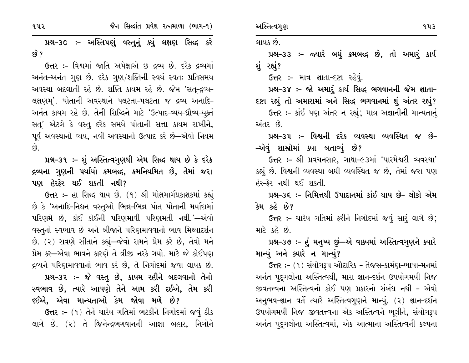જૈન સિલ્દાંત પ્રવેશ રત્નમાળા (ભાગ-૧) ૧૫૨

પ્રશ્ન-૩૦ :- અસ્તિપણું વસ્તુનું ક્યું લક્ષણ સિદ્ધ કરે ક્વે ?

ઉત્તર :- વિશ્વમાં જાતિ અપેક્ષાએ છ દ્રવ્ય છે. દરેક દ્રવ્યમાં અનંત-અનંત ગુણ છે. દરેક ગુણ/શક્તિની સ્વયં સ્વતઃ પ્રતિસમય અવસ્થા બદલાતી રહે છે. શક્તિ કાયમ રહે છે. જેમ 'સત્-દ્રવ્ય-લક્ષણમ'. પોતાની અવસ્થાને પલટતા-પલટતા જ દ્રવ્ય અનાદિ-અનંત કાયમ રહે છે. તેની સિદ્ધિને માટે 'ઉત્પાદ-વ્યય-ઘ્રૌવ્ય-યુક્તં સત્' એટલે કે વસ્તુ દરેક સમયે પોતાની સત્તા કાયમ રાખીને, પૂર્વ અવસ્થાનો વ્યય, નવી અવસ્થાનો ઉત્પાદ કરે છે—એવો નિયમ  $\hat{g}$ 

પ્રશ્ન-૩૧ :- શું અસ્તિત્વગુણથી એમ સિદ્ધ થાય છે કે દરેક દ્રવ્યના ગુણની પર્યાયો ક્રમબલ્દ, ક્રમનિયમિત છે, તેમાં જરા પણ હેરફેર થઈ શકતી નથી?

ઉત્તર :- હા સિદ્ધ થાય છે. (૧) શ્રી મોક્ષમાર્ગપ્રકાશકમાં કહ્યું છે કે 'અનાદિ-નિધન વસ્તુઓ ભિન્ન-ભિન્ન પોત પોતાની મર્યાદામાં પરિણમે છે, કોઈ કોઈની પરિણમાવી પરિણમતી નથી.'—એવો વસ્તુનો સ્વભાવ છે અને બીજાને પરિણમાવવાનો ભાવ મિથ્યાદર્શન છે. (૨) રાવણે સીતાને કહ્યું—જેવો રામને પ્રેમ કરે છે, તેવો મને પ્રેમ કર—એવા ભાવને કારણે તે ત્રીજી નરકે ગયો. માટે જે કોઈપણ દ્રવ્યને પરિણમાવવાનો ભાવ કરે છે, તે નિગોદમાં જવા લાયક છે. પ્રશ્ન-૩૨ :- જે વસ્તુ છે, કાયમ રહીને બદલવાનો તેનો સ્વભાવ છે, ત્યારે આપણે તેને આમ કરી દઈએ, તેમ કરી

દઈએ, એવા માન્યતાઓ કેમ જોવા મળે છે?

ઉત્તર :- (૧) તેને ચારેય ગતિમાં ભટકીને નિગોદમાં જવું ઠીક લાગે છે. (૨) તે જિનેન્દ્રભગવાનની આજ્ઞા બહાર, નિગોને લાયક છે.

પ્રશ્ન-૩૩ :- જ્યારે બધું ક્રમબલ્દ છે, તો અમારૂં કાર્ય શું રહ્યું?

ઉત્તર :- માત્ર જ્ઞાતા-દષ્ટા રહેવું.

પ્રશ્ન-૩૪ :- જો અમાર્ કાર્ય સિદ્ધ ભગવાનની જેમ જ્ઞાતા-દષ્ટા રહ્યું તો અમારામાં અને સિદ્ધ ભગવાનમાં શું અંતર રહ્યું?

ઉત્તર :- કાંઈ પણ અંતર ન રહ્યું; માત્ર અજ્ઞાનીની માન્યતાનું એંતર છે

પ્રશ્ન–૩૫ :- વિશ્વની દરેક વ્યવસ્થા વ્યવસ્થિત જ છે– –એવું શાસ્ત્રોમાં ક્યા બતાવ્યું છે?

ઉત્તર :- શ્રી પ્રવચનસાર, ગાથા-૯૩માં 'પારમેશ્વરી વ્યવસ્થા' કહ્યું છે. વિશ્વની વ્યવસ્થા બધી વ્યવસ્થિત જ છે, તેમાં જરા પણ <u> હેર–કેર નથી થઈ શકતી.</u>

પ્રશ્ન-૩૬ :- નિમિત્તથી ઉપાદાનમાં કાંઈ થાય છે- લોકો એમ કેમ કહે છે?

ઉત્તર :- ચારેય ગતિમાં ફરીને નિગોદમાં જવું સારં લાગે છે; માટે કહે છે.

પ્રશ્ન-૩૭ :- હું મનુષ્ય છું—એ વાક્યમાં અસ્તિત્વગુણને ક્યારે માન્યું અને ક્યારે ન માન્યું?

ઉત્તર :- (૧) સંયોગરૂપ ઔદારિક - તૈજસ-કાર્મણ-ભાષા-મનમાં અનંત પુદ્ગલોના અસ્તિત્વથી, મારા જ્ઞાન-દર્શન ઉપયોગમયી નિજ જીવતત્ત્વના અસ્તિત્વનો કોઈ પણ પ્રકારનો સંબંધ નથી - એવો અનુભવ-જ્ઞાન વર્તે ત્યારે અસ્તિત્વગુણને માન્યું. (૨) જ્ઞાન-દર્શન ઉપયોગમયી નિજ જીવતત્ત્વના એક અસ્તિત્વને ભૂલીને, સંયોગરૂપ અનંત પુદ્ગલોના અસ્તિત્વમાં, એક આત્માના અસ્તિત્વની કલ્પના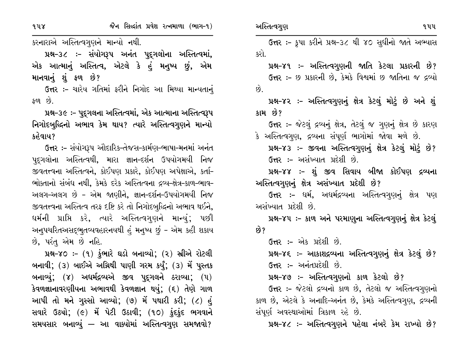$948$ 

કરનારાએ અસ્તિત્વગુણને માન્યો નથી.

પ્રશ્ન-૩૮ :- સંયોગરૂપ અનંત પુદ્ગલોના અસ્તિત્વમાં, એક આત્માનું અસ્તિત્વ, એટલે કે હું મનુષ્ય છું, એમ માનવાનું શું ફળ છે?

ઉત્તર :– ચારેય ગતિમાં ફરીને નિગોદ આ મિથ્યા માન્યતાનું  $\mathfrak{so}$  છે.

પ્રશ્ન-૩૯ :- પુદ્ગલના અસ્તિત્વમાં, એક આત્માના અસ્તિત્વરૂપ નિગોદબુદ્ધિનો અભાવ કેમ થાય? ત્યારે અસ્તિત્વગુણને માન્યો કહેવાય?

ઉત્તર :- સંયોગરૂપ ઔદારિક-તેજસ-કાર્મણ-ભાષા-મનમાં અનંત પૃદૃગલોના અસ્તિત્વથી, મારા જ્ઞાન-દર્શન ઉપયોગમયી નિજ જીવતત્ત્વના અસ્તિત્વને, કોઈપણ પ્રકારે, કોઈપણ અપેક્ષાએ, કર્તા-ભોક્તાનો સંબંધ નથી, કેમકે દરેક અસ્તિત્વના દ્રવ્ય-ક્ષેત્ર-કાળ-ભાવ-અલગ-અલગ છે - એમ જાણીને, જ્ઞાન-દર્શન-ઉપયોગમયી નિજ જીવતત્ત્વના અસ્તિત્વ તરફ દષ્ટિ કરે તો નિગોદબુદ્ધિનો અભાવ થઈને, ઘર્મની પ્રાપ્તિ કરે, ત્યારે અસ્તિત્વગુણને માન્યું; પછી અનુપચરિતઅસદ્ભુતવ્યવહારનયથી હું મનુષ્ય છું - એમ કહી શકાય છે, પરંતુ એમ છે નહિ.

પ્રશ્ન-૪૦ :- (૧) કુંભારે ઘડો બનાવ્યો; (૨) સ્રીએ રોટલી બનાવી; (3) બાઈએ અગ્નિથી પાણી ગરમ કર્યું; (3) મેં પુસ્તક બનાવ્યું; (૪) અધર્મદ્રવ્યએ જીવ પુદૃગલને ઠરાવ્યા; (૫) કેવળજ્ઞાનાવરણીયના અભાવથી કેવળજ્ઞાન થયું; (૬) તેણે ગાળ આપી તો મને ગુસ્સો આવ્યો; (૭) મેં પથારી કરી; (૮) હું સવારે ઉઠ્યો; (૯) મેં પેટી ઉઠાવી; (૧૦) કુંદકુંદ ભગવાને સમયસાર બનાવ્યું — આ વાક્યોમાં અસ્તિત્વગુણ સમજાવો?

ઉત્તર :- કૃપા કરીને પ્રશ્ન-૩૮ થી ૪૦ સુધીનો જાતે અભ્યાસ કરો.

પ્રશ્ન–૪૧ :– અસ્તિત્વગુણની જાતિ કેટલા પ્રકારની છે? ઉત્તર :- છ પ્રકારની છે, કેમકે વિશ્વમાં છ જાતિના જ દ્રવ્યો  $\hat{g}$ .

પ્રશ્ન-૪૨ :- અસ્તિત્વગુણનું ક્ષેત્ર કેટલું મોટું છે અને શું કામ છે?

ઉત્તર :- જેટલું દ્રવ્યનું ક્ષેત્ર, તેટલું જ ગુણનું ક્ષેત્ર છે કારણ કે અસ્તિત્વગુણ, દ્રવ્યના સંપૂર્ણ ભાગોમાં જોવા મળે છે.

પ્રશ્ન-૪૩ :- જીવના અસ્તિત્વગુણનું ક્ષેત્ર કેટલું મોટું છે? ઉત્તર :- અસંખ્યાત પ્રદેશી છે.

પ્રશ્ન-૪૪ :- શું જીવ સિવાય બીજા કોઈપણ દ્રવ્યના અસ્તિત્વગુણનું ક્ષેત્ર અસંખ્યાત પ્રદેશી છે?

ઉત્તર :– ધર્મ, અધર્મદ્રવ્યના અસ્તિત્વગુણનું ક્ષેત્ર પણ અસંખ્યાત પ્રદેશી છે.

પ્રશ્ન-૪૫ :- કાળ અને પરમાણુના અસ્તિત્વગુણનું ક્ષેત્ર કેટલું છે?

ઉત્તર :- એક પ્રદેશી છે.

પ્રશ્ન-૪૬ :- આકાશદ્રવ્યના અસ્તિત્વગુણનું ક્ષેત્ર કેટલું છે? ઉત્તર :- અનંતપ્રદેશી છે.

પ્રશ્ન-૪૭ :- અસ્તિત્વગુણનો કાળ કેટલો છે?

ઉત્તર :- જેટલો દ્રવ્યનો કાળ છે, તેટલો જ અસ્તિત્વગુણનો કાળ છે, એટલે કે અનાદિ-અનંત છે, કેમકે અસ્તિત્વગુણ, દ્રવ્યની સંપૂર્ણ અવસ્થાઓમાં ત્રિકાળ રહે છે.

પ્રશ્ન-૪૮ :- અસ્તિત્વગુણને પહેલા નંબરે કેમ રાખ્યો છે?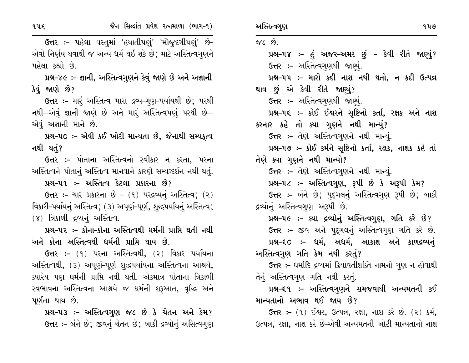૧૫૬

ઉત્તર :- પહેલા વસ્તુમાં 'હયાતીપણું' 'મૌજુદગીપણું' છે-એવો નિર્ણય થવાથી જ અન્ય ધર્મ થઈ શકે છે; માટે અસ્તિત્વગૃણને પહેલા કહ્યો છે.

પ્રશ્ન-૪૯ ઃ- જ્ઞાની, અસ્તિત્વગુણને કેવું જાણે છે અને અજ્ઞાની કેવું જાણે છે?

**ઉત્તર :- મારૂં** અસ્તિત્વ મારા દ્રવ્ય-ગુણ-પર્યાયથી છે; પરથી નથી—એવું જ્ઞાની જાણે છે અને માર્ં અસ્તિત્વપણું પરથી છે— એવં અજ્ઞાની માને છે.

પ્રશ્ન-૫૦ :- એવી કઈ ખોટી માન્યતા છે, જેનાથી સમ્યકત્વ નથી થતું?

**ઉત્તર :-** પોતાના અસ્તિત્વનો સ્વીકાર ન કરતા, પરના અસ્તિત્વને પોતાનું અસ્તિત્વ માનવાને કારણે સમ્યગ્દર્શન નથી થતું.

પ્રશ્ન–૫૧ :– અસ્તિત્વ કેટલા પ્રકારના છે?

 $6\pi$  :- ચાર પ્રકારના છે -  $(9)$  પરદ્રવ્યનું અસ્તિત્વ;  $(2)$ વિકારી-પર્યાયનું અસ્તિત્વ; (૩) અપૂર્ણ-પૂર્ણ, શુદ્ધપર્યાયનું અસ્તિત્વ;  $(8)$  ત્રિકાળી દ્રવ્યનું અસ્તિત્વ.

પ્રશ્ન-૫૨ :- કોના-કોના અસ્તિત્વથી ધર્મની પ્રાપ્તિ થતી નથી અને કોના અસ્તિત્વથી ધર્મની પ્રાપ્તિ થાય છે.

ઉત્તર :- (૧) પરના અસ્તિત્વથી, (૨) વિકાર પર્યાયના અસ્તિત્વથી, (૩) અપૂર્ણ-પૂર્ણ શુદ્ધપર્યાયના અસ્તિત્વના આશ્રયે, ક્યારેય પણ ધર્મની પ્રાપ્તિ નથી થતી. એકમાત્ર પોતાના ત્રિકાળી સ્વભાવના અસ્તિત્વના આશ્રયે જ ધર્મની શરૂઆત, વૃદ્ધિ અને પર્ણતા થાય છે.

પ્રશ્ન-૫૩ :- અસ્તિત્વગુણ જડ છે કે ચેતન અને કેમ? ઉત્તર :- બંને છે; જીવનું ચેતન છે; બાકી દ્રવ્યોનું અસિત્વગુણ જડ $\omega$ .

પ્રશ્ન-૫૪ :- હું અજર-અમર છું - કેવી રીતે જાણ્યું? ઉત્તર:- અસ્તિત્વગુણથી જાણ્યું. પ્રશ્ન-૫૫ :- મારો કદી નાશ નથી થતો, ન કદી ઉત્પન્ન થાવ છું એ કેવી રીતે જાણ્યું? ઉત્તર :- અસ્તિત્વગુણથી જાણ્યું. પ્રશ્ન-૫૬ ઃ- કોઈ ઈશ્વરને સૃષ્ટિનો કર્તા, રક્ષક અને નાશ કરનાર કહે તો ક્યા ગુણને નથી માન્યું? ઉત્તર :- તેણે અસ્તિત્વગુણને નથી માન્યું. પ્રશ્ન-૫૭ :- કોઈ કર્મને સૃષ્ટિનો કર્તા, રક્ષક, નાશક કહે તો તેણે ક્યા ગુણને નથી માન્યો? ઉત્તર :- તેણે અસ્તિત્વગુણને નથી માન્યું. પ્રશ્ન-૫૮ :- અસ્તિત્વગુણ, રૂપી છે કે અરૂપી કેમ? ઉત્તર :- બંને છે; પુદ્ગલનું અસ્તિત્વગુણ રૂપી છે; બાકી દ્રવ્યોનું અસ્તિત્વગુણ અરૂપી છે. પ્રશ્ન-૫૯ :- ક્યા દ્રવ્યોનું અસ્તિત્વગુણ, ગતિ કરે છે? ઉત્તર :- જીવ અને પદ્ગલનું અસ્તિત્વગુણ ગતિ કરે છે. પ્રશ્ન-૬૦ :- ધર્મ, અધર્મ, આકાશ અને કાળદ્રવ્યનું અસ્તિત્વગુણ ગતિ કેમ નથી કરતું?

ઉત્તર :- ધર્માદિ દ્રવ્યમાં ક્રિયાવતીશક્તિ નામનો ગુણ ન હોવાથી તેનું અસ્તિત્વગુણ ગતિ નથી કરતું.

પ્રશ્ન-૬૧ :- અસ્તિત્વગુણને સમજવાથી અન્યમતની કઈ માન્યતાનો અભાવ થઈ જાય છે?

**ઉત્તર:** – (૧) ઈશ્વર, ઉત્પન્ન, રક્ષા, નાશ કરે છે. (૨) કર્મ, ઉત્પન્ન, રક્ષા, નાશ કરે છે-એવી અન્યમતની ખોટી માન્યતાનો નાશ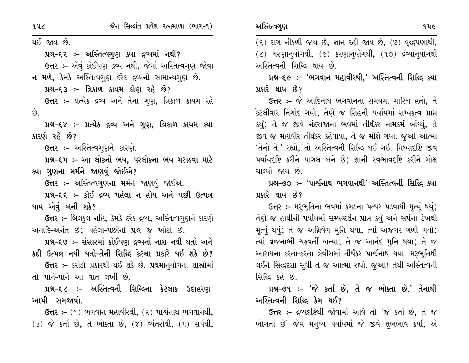થઈ જાય છે.

પ્રશ્ન-૬૨ ઃ- અસ્તિત્વગુણ ક્યા દ્રવ્યમાં નથી? ઉત્તર :- એવું કોઈપણ દ્રવ્ય નથી, જેમાં અસ્તિત્વગુણ જોવા ન મળે, કેમકે અસ્તિત્વગુણ દરેક દ્રવ્યનો સામાન્યગુણ છે.

પ્રશ્ન–૬૩ :– ત્રિકાળ કાયમ કોણ રહે છે?

ઉત્તર :- પ્રત્યેક દ્રવ્ય અને તેના ગુણ, ત્રિકાળ કાયમ રહે  $\hat{g}$ .

પ્રશ્ન-૬૪ :- પ્રત્યેક દ્રવ્ય અને ગુણ, ત્રિકાળ કાયમ ક્યા કારણે રહે છે?

**ઉત્તર :-** અસ્તિત્વગુણને કારણે.

પ્રશ્ન-૬૫ :- આ લોકનો ભય, પરલોકના ભય મટાડવા માટે ક્યા ગણના મર્મને જાણવું જોઈએ?

ઉત્તર :- અસ્તિત્વગુણના મર્મને જાણવું જોઈએ.

પ્રશ્ન-૬૬ :- કોઈ દ્રવ્ય પહેલા ન હોય અને પછી ઉત્પન્ન થાય એવું બની શકે?

ઉત્તર :- બિલકુલ નહિ, કેમકે દરેક દ્રવ્ય, અસ્તિત્વગુણને કારણે અનાદિ-અનંત છે; પહેલા-પછીનો પ્રશ્ન જ ખોટો છે.

પ્રશ્ન-૬૭ :- સંસારમાં કોઈપણ દ્રવ્યનો નાશ નથી થતો અને કદી ઉત્પન્ન નથી થતો-તેની સિદ્ધિ કેટલા પ્રકારે થઈ શકે છે? ઉત્તર :- કરોડો પ્રકારથી થઈ શકે છે. પ્રથમાનુયોગના શાસ્રોમાં

તો પાને-પાને આ વાત લખી છે.

પ્રશ્ન–૬૮ :– અસ્તિત્વની સિદ્ધિના કેટલાક ઉદાહરણ આપી સમજાવો.

ઉત્તર :- (૧) ભગવાન મહાવીરથી, (૨) પાર્શ્વનાથ ભગવાનથી,  $(3)$  જે કર્તા છે, તે ભોક્તા છે,  $(7)$  વ્યંતરોથી,  $(1)$  સર્પથી,  $(5)$  રાગ નીકળી જાય છે, જ્ઞાન રહી જાય છે,  $(9)$  વૃદ્ધપણાથી,

 $(2)$  ચરણાન્ $u$ ોગથી,  $(e)$  કરણાન્ $u$ ોગથી,  $(90)$  દ્રવ્યાન્ $u$ ોગથી અસ્તિત્વની સિદ્ધિ થાય છે.

પ્રશ્ન–૬૯ :– 'ભગવાન મહાવીરથી,' અસ્તિત્વની સિદ્ધિ ક્યા પ્રકારે થાય છે?

ઉત્તર :- જે આદિનાથ ભગવાનના સમયમાં મારિચ હતો, તે કેટલીવાર નિગોદ ગયો; તેણે જ સિંહની પર્યાયમાં સમ્યકત્વ પ્રાપ્ત કર્યું; તે જ જીવે નંદરાજાના ભવમાં તીર્થંકર નામકર્મ બાંધ્યું, તે જીવ જ મહાવીર તીર્થંકર કહેવાયા, તે જ મોક્ષે ગયા. જુઓ આત્મા 'તેનો તે.' રહ્યો, તો અસ્તિત્વની સિદ્ધિ થઈ ગઈ. મિથ્યાદષ્ટિ જીવ પર્યાયદષ્ટિ કરીને પાગલ બને છે; જ્ઞાની સ્વભાવદષ્ટિ કરીને મોક્ષ ચાલ્યો જાય છે.

પ્રશ્ન–૭૦ :– 'પાર્શ્વનાથ ભગવાનથી' અસ્તિત્વની સિદ્ધિ ક્યા પ્રકારે થાય છે?

ઉત્તર :- મરૂભૂતિના ભવમાં કમઠના પત્થર પડવાથી મૃત્યું થયું; તેણે જ હાથીની પર્યાયમાં સમ્યવ્દર્શન પ્રાપ્ત કર્યું અને સર્પના ડંખથી મૃત્યું થયું; તે જ અગ્નિવેગ મુનિ થયા, ત્યાં અજગર ગળી ગયો; ત્યાં વ્રજનાભી ચક્રવર્તી બન્યા; તે જ આનંદ મૂનિ થયા; તે જ આરાધના કરતા-કરતા ત્રેવીસમાં તીર્થંકર પાર્શ્વનાથ થયા. મરૂભુતિથી લઈને સિદ્ધદશા સુધી તે જ આત્મા રહ્યો. જુઓ! તેથી અસ્તિત્વની સિદ્ધિ કહે છે.

પ્રશ્ન-૭૧ :- 'જે કર્તા છે, તે જ ભોક્તા છે.' તેનાથી અસ્તિત્વની સિદ્ધિ કેમ થઈ?

ઉત્તર :- દ્રવ્યદષ્ટિથી જોવામાં આવે તો 'જે કર્તા છે, તે જ ભોગતા છે' જેમ મનુષ્ય પર્યાયમાં જે જીવે શુભભાવ કર્યા, એ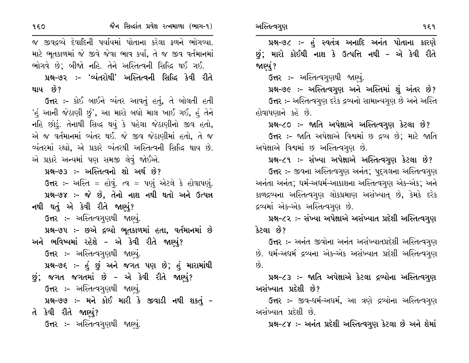જૈન સિલ્દાંત પ્રવેશ રત્નમાળા (ભાગ-૧)

જ જીવદ્રવ્યે દેવાદિની પર્યાયમાં પોતાના કરેલા ફળને ભોગવ્યા. માટે ભુતકાળમાં જે જીવે જેવા ભાવ કર્યા, તે જ જીવ વર્તમાનમાં ભોગવે છે: બીજો નહિ. તેને અસ્તિત્વની સિદ્ધિ થઈ ગઈ. પ્રશ્ન–૭૨ :– 'વ્યંતરોથી' અસ્તિત્વની સિદ્ધિ કેવી રીતે

થાય છે?

**ઉત્તર :-** કોઈ બાઈને વ્યંતર આવતું હતું, તે બોલતી હતી 'હં આની જેઠાણી છું', આ મારો બધો માલ ખાઈ ગઈ, હં તેને નહિ છોડું. તેનાથી સિદ્ધ થયું કે પહેલા જેઠાણીનો જીવ હતો, એ જ વર્તમાનમાં વ્યંતર થઈ. જે જીવ જેઠાણીમાં હતો, તે જ વ્યંતરમાં રહ્યો, એ પ્રકારે વ્યંતરથી અસ્તિત્વની સિદ્ધિ થાય છે. એ પ્રકારે અન્યમાં પણ સમજી લેવું જોઈએ.

પ્રશ્ન–૭૩ :- અસ્તિત્વનો શો અર્થ છે?

ઉત્તર :- અસ્તિ = હોવું. ત્વ = પણું એટલે કે હોવાપણું. પ્રશ્ન-૭૪ :- જે છે, તેનો નાશ નથી થતો અને ઉત્પન્ન નથી થતું એ કેવી રીતે જાણ્યું?

ઉત્તર :- અસ્તિત્વગુણથી જાણ્યું.

પ્રશ્ન-૭૫ :- છએ દ્રવ્યો ભૂતકાળમાં હતા, વર્તમાનમાં છે અને ભવિષ્યમાં રહેશે – એ કેવી રીતે જાણ્યું? ઉત્તર :- અસ્તિત્વગુણથી જાણ્યું.

પ્રશ્ન–૭૬ :– હું છું અને જગત પણ છે; હું મારામાંથી

છું; જગત જગતમાં છે – એ કેવી રીતે જાણ્યું? ઉત્તર :- અસ્તિત્વગુણથી જાણ્યું.

પ્રશ્ન-૭૭ :- મને કોઈ મારી કે જીવાડી નથી શકતું -

તે કેવી રીતે જાણ્યું?

ઉત્તર :- અસ્તિત્વગુણથી જાણ્યું.

પ્રશ્ન-૭૮ :- હું સ્વતંત્ર અનાદિ અનંત પોતાના કારણે છું; મારો કોઈથી નાશ કે ઉત્પત્તિ નથી - એ કેવી રીતે જાણ્યું ?

**ઉત્તર :-** અસ્તિત્વગુણથી જાણ્યું.

પ્રશ્ન-૭૯ :- અસ્તિત્વગુણ અને અસ્તિમાં શું અંતર છે? ઉત્તર :- અસ્તિત્વગુણ દરેક દ્રવ્યનો સામાન્યગુણ છે અને અસ્તિ હોવાપણાને કહે છે.

પ્રશ્ન-૮૦ :- જાતિ અપેક્ષાએ અસ્તિત્વગુણ કેટલા છે?

ઉત્તર :- જાતિ અપેક્ષાએ વિશ્વમાં છ દ્રવ્ય છે; માટે જાતિ અપેક્ષાએ વિશ્વમાં છ અસ્તિત્વગુણ છે.

પ્રશ્ન-૮૧ :- સંખ્યા અપેક્ષાએ અસ્તિત્વગુણ કેટલા છે? ઉત્તર :- જીવના અસ્તિત્વગુણ અનંત; પદગલના અસ્તિત્વગુણ અનંતા અનંત; ધર્મ-અધર્મ-આકાશના અસ્તિત્વગુણ એક-એક; અને કાળદ્રવ્યના અસ્તિત્વગુણ લોકપ્રમાણ અસંખ્યાત છે, કેમકે દરેક દ્રવ્યમાં એક-એક અસ્તિત્વગુણ છે.

પ્રશ્ન-૮૨ :- સંખ્યા અપેક્ષાએ અસંખ્યાત પ્રદેશી અસ્તિત્વગુણ કેટલા છે?

ઉત્તર :- અનંત જીવોના અનંત અસંખ્યાતપ્રદેશી અસ્તિત્વગુણ છે. ઘર્મ-અઘર્મ દ્રવ્યના એક-એક અસંખ્યાત પ્રદેશી અસ્તિત્વગુણ  $\hat{g}$ .

પ્રશ્ન-૮૩ :- જાતિ અપેક્ષાએ કેટલા દ્રવ્યોના અસ્તિત્વગુણ અસંખ્યાત પ્રદેશી છે?

ઉત્તર :- જીવ-ધર્મ-અધર્મ, આ ત્રણે દ્રવ્યોના અસ્તિત્વગુણ અસંખ્યાત પ્રદેશી છે.

પ્રશ્ન-૮૪ :- અનંત પ્રદેશી અસ્તિત્વગુણ કેટલા છે અને શેમાં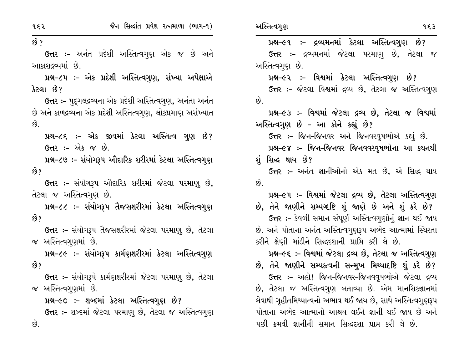$\hat{9}$  ?

છે.

ઉત્તર :- અનંત પ્રદેશી અસ્તિત્વગુણ એક જ છે અને આકાશદ્રવ્યમાં છે.

પ્રશ્ન-૮૫ :- એક પ્રદેશી અસ્તિત્વગુણ, સંખ્યા અપેક્ષાએ કેટલા છે?

ઉત્તર :- પુદૃગલદ્રવ્યના એક પ્રદેશી અસ્તિત્વગુણ, અનંતા અનંત છે અને કાળદ્રવ્યના એક પ્રદેશી અસ્તિત્વગુણ, લોકપ્રમાણ અસંખ્યાત  $\overrightarrow{8}$ .

પ્રશ્ન-૮૬ :- એક જીવમાં કેટલા અસ્તિત્વ ગુણ છે? **ઉત્તર :-** એક જ છે.

પ્રશ્ન-૮૭ :- સંયોગરૂપ ઔદારિક શરીરમાં કેટલા અસ્તિત્વગુણ છે?

ઉત્તર :- સંયોગરૂપ ઔદારિક શરીરમાં જેટલા પરમાણુ છે, તેટલા જ અસ્તિત્વગણ છે.

પ્રશ્ન-૮૮ :- સંયોગરૂપ તૈજસશરીરમાં કેટલા અસ્તિત્વગુણ છે?

ઉત્તર :- સંયોગરૂપ તૈજસશરીરમાં જેટલા પરમાણ છે, તેટલા જ અસ્તિત્વગુણમાં છે.

પ્રશ્ન-૮૯ :- સંયોગરૂપ કાર્મણશરીરમાં કેટલા અસ્તિત્વગુણ છે?

ઉત્તર :- સંયોગરૂપે કાર્મણશરીરમાં જેટલા પરમાણુ છે, તેટલા જ અસ્તિત્વગુણમાં છે.

પ્રશ્ન-૯૦ :- શબ્દમાં કેટલા અસ્તિત્વગુણ છે? ઉત્તર :- શબ્દમાં જેટલા પરમાણુ છે, તેટલા જ અસ્તિત્વગુણ

પ્રશ્ન-૯૧ :- દ્રવ્યમનમાં કેટલા અસ્તિત્વગુણ છે? ઉત્તર :- દ્રવ્યમનમાં જેટલા પરમાણુ છે, તેટલા જ અસ્તિત્વગુણ છે. પ્રશ્ન–૯૨ :- વિશ્વમાં કેટલા અસ્તિત્વગુણ છે? ઉત્તર :- જેટલા વિશ્વમાં દ્રવ્ય છે, તેટલા જ અસ્તિત્વગુણ છે. પ્રશ્ન-૯૩ :- વિશ્વમાં જેટલા દ્રવ્ય છે, તેટલા જ વિશ્વમાં અસ્તિત્વગુણ છે - આ કોને કહ્યું છે? ઉત્તર :- જિન-જિનવર અને જિનવરવૃષભોએ કહ્યું છે. પ્રશ્ન–૯૪ :– જિન–જિનવર જિનવવરવૃષભોના આ કથનથી શું સિદ્ધ થાય છે? ઉત્તર :- અનંત જ્ઞાનીઓનો એક મત છે, એ સિદ્ધ થાય  $\hat{p}$ પ્રશ્ન-૯૫ :- વિશ્વમાં જેટલા દ્રવ્ય છે, તેટલા અસ્તિત્વગુણ છે, તેને જાણીને સમ્પષ્ટષ્ટિ શું જાણે છે અને શું કરે છે? ઉત્તર :- કેવળી સમાન સંપૂર્ણ અસ્તિત્વગુણોનું જ્ઞાન થઈ જાય છે. અને પોતાના અનંત અસ્તિત્વગુણરૂપ અભેદ આત્મામાં સ્થિરતા કરીને ક્ષેણી માંડીને સિદ્ધદશાની પ્રાપ્તિ કરી લે છે. પ્રશ્ન-૯૬ :- વિશ્વમાં જેટલા દ્રવ્ય છે, તેટલા જ અસ્તિત્વગુણ છે, તેને જાણીને સમ્યક્ત્વની સન્મુખ મિથ્યાદષ્ટિ શું કરે છે? ઉત્તર :- અહો! જિન-જિનવર-જિનવવૃષભોએ જેટલા દ્રવ્ય છે, તેટલા જ અસ્તિત્વગણ બતાવ્યા છે. એમ માનસિકજ્ઞાનમાં લેવાથી ગૃહીતમિથ્યાત્વનો અભાવ થઈ જાય છે, સાથે અસ્તિત્વગૃણરૂપ પોતાના અભેદ આત્માનો આશ્રય લઈને જ્ઞાની થઈ જાય છે અને પછી ક્રમથી જ્ઞાનીની સમાન સિદ્ધદશા પ્રાપ્ત કરી લે છે.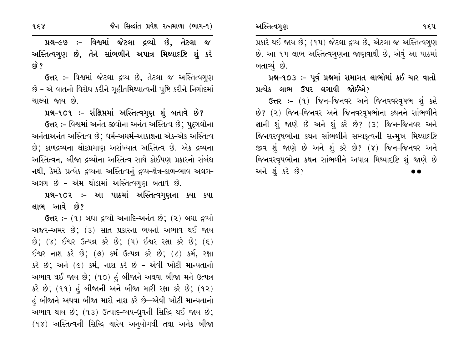958

પ્રશ્ન-૯૭ :- વિશ્વમાં જેટલા દ્રવ્યો છે, તેટલા જ અસ્તિત્વગુણ છે, તેને સાંભળીને અપાત્ર મિથ્યાદષ્ટિ શું કરે છે ?

ઉત્તર :- વિશ્વમાં જેટલા દ્રવ્ય છે, તેટલા જ અસ્તિત્વગુણ છે - એ વાતનો વિરોધ કરીને ગૃહીતમિથ્યાત્વની પુષ્ટિ કરીને નિગોદમાં ચાલ્યો જાય છે.

પ્રશ્ન-૧૦૧ ઃ- સંક્ષિપ્તમાં અસ્તિત્વગુણ શું બતાવે છે? ઉત્તર :- વિશ્વમાં અનંત જીવોના અનંત અસ્તિત્વ છે; પદ્ગલોના અનંતાઅનંત અસ્તિત્વ છે; ધર્મ-અધર્મ-આકાશના એક-એક અસ્તિત્વ છે; કાળદ્રવ્યના લોકપ્રમાણ અસંખ્યાત અસ્તિત્વ છે. એક દ્રવ્યના અસ્તિત્વન, બીજા દ્રવ્યોના અસ્તિત્વ સાથે કોઈપણ પ્રકારનો સંબંધ નથી, કેમકે પ્રત્યેક દ્રવ્યના અસ્તિત્વનું દ્રવ્ય-ક્ષેત્ર-કાળ-ભાવ અલગ-

અલગ છે - એમ થોડામાં અસ્તિત્વગુણ બતાવે છે.

પ્રશ્ન-૧૦૨ :- આ પાઠમાં અસ્તિત્વગુણના ક્યા ક્યા લાભ આવે છે?

ઉત્તર: – (૧) બધા દ્રવ્યો અનાદિ-અનંત છે; (૨) બધા દ્રવ્યો અજર–અમર છે; (૩) સાત પ્રકારના ભયનો અભાવ થઈ જાય  $\hat{B}$ ; (૪) ઈશ્વર ઉત્પન્ન કરે છે; (૫) ઈશ્વર રક્ષા કરે છે; (૬) ઈશ્વર નાશ કરે છે; (૭) કર્મ ઉત્પન્ન કરે છે; (૮) કર્મ, રક્ષા કરે છે; અને (૯) કર્મ, નાશ કરે છે - એવી ખોટી માન્યતાનો અભાવ થઈ જાય છે; (૧૦) હું બીજાને અથવા બીજા મને ઉત્પન્ન કરે છે; (૧૧) હું બીજાની અને બીજા મારી રક્ષા કરે છે; (૧૨) હં બીજાને અથવા બીજા મારો નાશ કરે છે—એવી ખોટી માન્યતાનો અભાવ થાય છે; (૧૩) ઉત્પાદ-વ્યય-ધ્રવની સિદ્ધિ થઈ જાય છે; (૧૪) અસ્તિત્વની સિદ્ધિ ચારેય અનુયોગથી તથા અનેક બીજા

પ્રકારે થઈ જાય છે; (૧૫) જેટલા દ્રવ્ય છે, એટલા જ અસ્તિત્વગુણ છે. આ ૧૫ લાભ અસ્તિત્વગુણના જાણવાથી છે, એવું આ પાઠમાં બતાવ્યં છે.

42-903: - પૂર્વ પ્રશ્નમાં સમાગત લાભોમાં કઈ ચાર વાતો પ્રત્યેક લાભ ઉપર લગાવી જોઈએ?

ઉત્તર :- (૧) જિન-જિનવર અને જિનવવરવૃષભ શું કહે છે? (૨) જિન-જિનવર અને જિનવરવૃષભોના કથનને સાંભળીને જ્ઞાની શું જાણે છે અને શું કરે છે? (૩) જિન-જિનવર અને જિનવરવૃષભોના કથન સાંભળીને સમ્યકૃત્વની સન્મુખ મિથ્યાદષ્ટિ જીવ શું જાણે છે અને શું કરે છે? (૪) જિન-જિનવર અને જિનવરવૃષભોના કથન સાંભળીને અપાત્ર મિથ્યાદષ્ટિ શું જાણે છે અને શું કરે છે?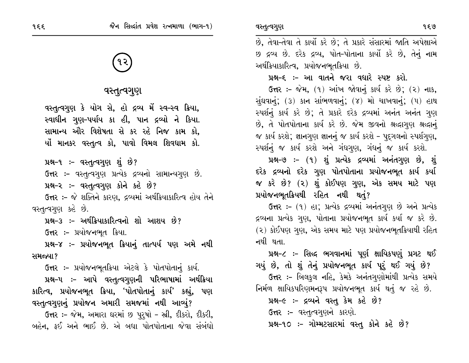# વસ્તૃત્વગુણ

વસ્તૃત્વગુણ કે યોગ સે, હો દ્રવ્ય મેં સ્વ-સ્વ ક્રિયા, સ્વાધીન ગુણ-પર્યાય કા હી, પાન દ્રવ્યો ને કિયા. સામાન્ય ઔર વિશેષતા સે કર રહે નિજ કામ કો, ર્યો માનકર વસ્તૃત્વ કો, પાવો વિમલ શિવધામ કો.

પ્રશ્ન-૧ :- વસ્તુત્વગુણ શું છે?

ઉત્તર :- વસ્તૃત્વગુણ પ્રત્યેક દ્રવ્યનો સામાન્યગુણ છે.

પ્રશ્ન-૨ :- વસ્તુત્વગુણ કોને કહે છે?

ઉત્તર :- જે શક્તિને કારણ, દ્રવ્યમાં અર્થક્રિયાકારિત્વ હોય તેને વસ્તૃત્વગુણ કહે છે.

પ્રશ્ન–૩ :– અર્થક્રિયાકારિત્વનો શો આશય છે?

ઉત્તર :- પ્રયોજનભૂત ક્રિયા.

પ્રશ્ન-૪ :- પ્રયોજનભૂત ક્રિયાનું તાત્પર્ય પણ અમે નથી સમજ્યા?

ઉત્તર :- પ્રયોજનભતક્રિયા એટલે કે પોતપોતાનં કાર્ય.

પ્રશ્ન-૫ ઃ- આપે વસ્તુત્વગુણની પરિભાષામાં અર્થક્રિયા કારિત્વ, પ્રયોજનભૂત ક્રિયા, 'પોતપોતાનું કાર્ય' કહ્યું, પણ વસ્તુત્વગુણનું પ્રયોજન અમારી સમજમાં નથી આવ્યું?

ઉત્તર :- જેમ, અમારા ઘરમાં છ પુરૂષો - સ્ત્રી, દીકરો, દીકરી, બહેન, ફઈ અને ભાઈ છે. એ બધા પોતપોતાના જેવા સંબંધો વસ્તુત્વગુણ

છ દ્રવ્ય છે. દરેક દ્રવ્ય, પોત-પોતાના કાર્યો કરે છે, તેનું નામ અર્થક્રિયાકારિત્વ, પ્રયોજનભતક્રિયા છે.

# પ્રશ્ન-૬ :- આ વાતને જરા વધારે સ્પષ્ટ કરો.

ઉત્તર: – જેમ, (૧) આંખ જોવાનું કાર્ય કરે છે; (૨) નાક, સુંઘવાનું; (3) કાન સાંભળવાનું; (૪) મો ચાખવાનું; (૫) હાથ સ્પર્શનું કાર્ય કરે છે; તે પ્રકારે દરેક દ્રવ્યમાં અનંત અનંત ગુણ છે. તે પોતપોતાના કાર્ય કરે છે. જેમ જીવનો શ્રદ્ધાગણ શ્રદ્ધાનં જ કાર્ય કરશે; જ્ઞાનગુણ જ્ઞાનનું જ કાર્ય કરશે – પુદગલનો સ્પર્શગણ, સ્પર્શનું જ કાર્ય કરશે અને ગંધગુણ, ગંધનું જ કાર્ય કરશે.

પ્રશ્ન-૭ :- (૧) શું પ્રત્યેક દ્રવ્યમાં અનંતગુણ છે, શું દરેક દ્રવ્યનો દરેક ગુણ પોતપોતાના પ્રયોજનભૂત કાર્ય કર્યા જ કરે છે? (૨) શું કોઈપણ ગુણ, એક સમય માટે પણ પ્રયોજનભૂતક્રિયથી રહિત નથી થતું?

ઉત્તર: - (૧) હા; પ્રત્યેક દ્રવ્યમાં અનંતગણ છે અને પ્રત્યેક દ્રવ્યના પ્રત્યેક ગુણ, પોતાના પ્રયોજનભૂત કાર્ય કર્યા જ કરે છે. (૨) કોઈપણ ગણ, એક સમય માટે પણ પ્રયોજનભુતક્રિયાથી રહિત નથી થતા

પ્રશ્ન-૮ ઃ- સિઘ્દ ભગવાનમાં પૂર્ણ ક્ષાયિકપણું પ્રગટ થઈ

ગયું છે, તો શું તેનું પ્રયોજનભૂત કાર્ય પૂરું થઈ ગયું છે?

**ઉત્તર :-** બિલકુલ નહિ, કેમકે અનંતગુણોમાંથી પ્રત્યેક સમયે નિર્મળ ક્ષાયિકપરિણમનરૂપ પ્રયોજનભૂત કાર્ય થતું જ રહે છે.

પ્રશ્ન-૯ :- દ્રવ્યને વસ્તુ કેમ કહે છે?

**ઉત્તર :-** વસ્તૃત્વગુણને કારણે.

પ્રશ્ન-૧૦ :- ગોમ્મટસારમાં વસ્તુ કોને કહે છે?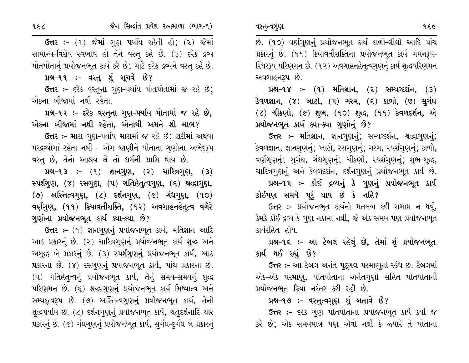956

ઉત્તર: - (૧) જેમાં ગુણ પર્યાય રહેતી હો; (૨) જેમાં સામાન્ય-વિશેષ સ્વભાવ હો તેને વસ્તુ કહે છે. (૩) દરેક દ્રવ્ય પોતપોતાનું પ્રયોજનભૂત કાર્ય કરે છે; માટે દરેક દ્રવ્યને વસ્તુ કહે છે.

પ્રશ્ન-૧૧ :- વસ્તુ શું સૂચવે છે?

ઉત્તર :- દરેક વસ્તુના ગુણ-પર્યાય પોતપોતામાં જ રહે છે; એકના બીજામાં નથી રહેતા.

પ્રશ્ન-૧૨ :- દરેક વસ્તુના ગુણ-પર્યાય પોતામાં જ રહે છે. એકના બીજામાં નથી રહેતા, એનાથી અમને શો લાભ?

ઉત્તર :- મારા ગુણ-પર્યાય મારામાં જ રહે છે; શરીમાં અથવા પરદ્રવ્યોમાં રહેતા નથી – એમ જાણીને પોતાના ગુણોના અભેદરૂપ વસ્તૂ છે, તેનો આશ્રય લે તો ધર્મની પ્રાપ્તિ થાય છે.

 $14-13$  :-  $(1)$  જ્ઞાનગુણ,  $(2)$  ચારિત્રગુણ,  $(3)$ સ્પર્શગુણ, (૪) રસગુણ, (૫) ગતિહેતૃત્વગુણ, (૬) શ્રદ્ધાગુણ,  $(9)$  અસ્તિત્વગુણ,  $(2)$  દર્શનગુણ,  $(2)$  ગંધગુણ,  $(90)$ વર્ણગુણ, (૧૧) ક્રિયાવતીશક્તિ, (૧૨) અવગાહનહેતુત્વ વગેરે ગુણોના પ્રયોજનભૂત કાર્ય ક્યા–ક્યા છે?

ઉત્તર :- (૧) જ્ઞાનગણનું પ્રયોજનભૂત કાર્ય, મતિજ્ઞાન આદિ આઠ પ્રકારનું છે. (૨) ચારિત્રગુણનું પ્રયોજનભૂત કાર્ય શુદ્ધ અને અશુદ્ધ બે પ્રકારનું છે. (૩) સ્પર્શગુણનું પ્રયોજનભૂત કાર્ય, આઠ પ્રકારના છે. (૪) રસગુણનું પ્રયોજનભૂત કાર્ય, પાંચ પ્રકારના છે. (૫) ગતિહેતૃત્વનું પ્રયોજનભૂત કાર્ય, તેનું સમય-સમયનું શુદ્ધ પરિણમન છે. (૬) શ્રદ્ધાગણનું પ્રયોજનભૂત કાર્ય મિથ્યાત્વ અને સમ્યકૃત્વરૂપ છે. (૭) અસ્તિત્વગૃણનું પ્રયોજનભૂત કાર્ય, તેની શુદ્ધપર્યાય છે. (૮) દર્શનગુણનું પ્રયોજનભૂત કાર્ય, ચક્ષદર્શનાદિ ચાર પ્રકારનું છે. (૯) ગંધગુણનું પ્રયોજનભૂત કાર્ય, સુગંધ-દુર્ગંધ બે પ્રકારનું છે. (૧૦) વર્ણગુણનું પ્રયોજનભૂત કાર્ય કાળો-લીલો આદિ પાંચ પ્રકારનું છે. (૧૧) ક્રિયાવતીશક્તિના પ્રયોજનભૂત કાર્ય ગમનરૂપ-સ્થિરરૂપ પરિણમન છે. (૧૨) અવગાહનહેતૃત્વગુણનું કાર્ય શુદ્ધપરિણમન અવગાહનરૂપ છે.

**142-98 :- (१) મતિજ્ઞાન, (२) સમ્ય**ગ્દર્શન, (३) કેવળજ્ઞાન, (૪) ખાટો, (૫) ગરમ, (૬) કાળો, (૭) સુગંધ  $(2)$  ચીકણો,  $(6)$  શુભ,  $(90)$  શુદ્ધ,  $(99)$  કેવળદર્શન, એ પ્રયોજનભૂત કાર્ય ક્યા-ક્યા ગુણોનું છે?

ઉત્તર :- મતિજ્ઞાન, જ્ઞાનગણનું; સમ્યગ્દર્શન, શ્રદ્ધાગણનું; કેવળજ્ઞાન, જ્ઞાનગુણનું; ખાટો, રસગુણનું; ગરમ, સ્પર્શગુણનું; કાળો, વર્ણગુણનું; સુગંધ, ગંધગુણનું; ચીકણો, સ્પર્શગુણનું; શુભ-શુદ્ધ, ચારિત્રગણનું અને કેવળદર્શન, દર્શનગણનું પ્રયોજનભૂત કાર્ય છે.

પ્રશ્ન-૧૫ :- કોઈ દ્રવ્યનું કે ગુણનું પ્રયોજનભૂત કાર્ય કોઈપણ સમયે પૂરું થાય છે કે નહિ?

ઉત્તર :- પ્રયોજનભૂત કાર્યનો મતલબ કદી સમાપ્ત ન થવું, કેમકે કોઈ દ્રવ્ય કે ગુણ નકામા નથી, જે એક સમય પણ પ્રયોજનભૂત કાર્યરહિત હોય.

પ્રશ્ન-૧૬ ઃ- આ ટેબલ રહેલું છે, તેમાં શું પ્રયોજનભૂત કાર્ય થઈ રહ્યું છે?

ઉત્તર :- આ ટેબલ અનંત પુદ્ગલ પરમાણનો સ્કંધ છે. ટેબલમાં એક-એક પરમાણ, પોતપોતાના અનંતગુણો સહિત પોતપોતાની પ્રયોજનભૂત ક્રિયા નરંતર કરી રહી છે.

## પ્રશ્ન-૧૭ :- વસ્તુત્વગુણ શું બતાવે છે?

ઉત્તર :- દરેક ગુણ પોતપોતાના પ્રયોજનભૂત કાર્ય કર્યા જ કરે છે; એક સમયમાત્ર પણ એવો નથી કે જ્યારે તે પોતાના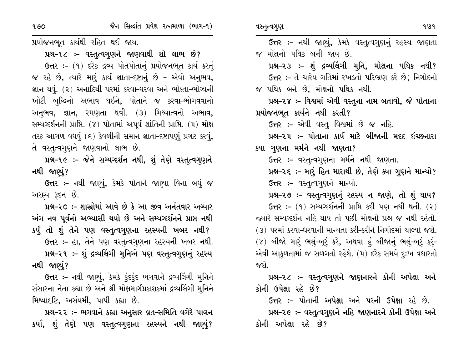પ્રયોજનભૂત કાર્યથી રહિત થઈ જાય.

પ્રશ્ન-૧૮ ઃ- વસ્તૃત્વગુણને જાણવાથી શો લાભ છે? ઉત્તર: - (૧) દરેક દ્રવ્ય પોતપોતાનું પ્રયોજનભૂત કાર્ય કરતું જ રહે છે, ત્યારે મારૂં કાર્ય જ્ઞાતા-દષ્ટાનું છે - એવો અનુભવ, જ્ઞાન થવું. (૨) અનાદિથી પરમાં કરવા-ધરવા અને ભોક્તા-ભોગ્યની ખોટી બુદ્ધિનો અભાવ થઈને, પોતાને જ કરવા-ભોગવવાનો અનુભવ, જ્ઞાન, રમણતા થવી. (૩) મિથ્યાત્વનો અભાવ, સમ્યગ્દર્શનની પ્રાપ્તિ. (૪) પોતામાં અપૂર્વ શાંતિની પ્રાપ્તિ. (૫) મોક્ષ તરફ આગળ વધવું (૬) કેવળીની સમાન જ્ઞાતા-દષ્ટાપણું પ્રગટ કરવું, તે વસ્તૃત્વગુણને જાણવાનો લાભ છે.

પ્રશ્ન-૧૯ :- જેને સમ્યગ્દર્શન નથી, શું તેણે વસ્તૃત્વગુણને નથી જાણ્યું?

ઉત્તર :- નથી જાણ્યું, કેમકે પોતાને જાણ્યા વિના બધું જ અરાચ્ય રૂદન છે.

પ્રશ્ન-૨૦ :- શાસ્રોમાં આવે છે કે આ જીવ અનંતવાર અગ્યાર અંગ નવ પૂર્વનો અભ્યાસી થયો છે અને સમ્યગ્દર્શનને પ્રાપ્ત નથી કર્યું તો શું તેને પણ વસ્તૃત્વગુણના રહસ્યની ખબર નથી? ઉત્તર :- હા, તેને પણ વસ્તુત્વગુણના રહસ્યની ખબર નથી. પ્રશ્ન-૨૧ :- શું દ્રવ્યલિંગી મુનિએ પણ વસ્તુત્વગુણનું રહસ્ય નથી જાણ્યું?

ઉત્તર :- નથી જાણ્યું, કેમકે ફંદફંદ ભગવાને દ્રવ્યલિંગી મુનિને સંસારના નેતા કહ્યા છે અને શ્રી મોક્ષમાર્ગપ્રકાશકમાં દ્રવ્યલિંગી મુનિને મિથ્યાદષ્ટિ, અસંયમી, પાપી કહ્યા છે.

પ્રશ્ન-૨૨ :- ભગવાને કહ્યા અનુસાર વ્રત-સમિતિ વગેરે પાલન કર્યા, શું તેણે પણ વસ્તુત્વગુણના રહસ્યને નથી જાણ્યું?

ઉત્તર :- નથી જાણ્યું, કેમકે વસ્તૃત્વગુણનું રહસ્ય જાણતા જ મોક્ષનો પથિક બની જાય છે. પ્રશ્ન-૨૩ ઃ- શું દ્રવ્યલિંગી મુનિ, મોક્ષના પથિક નથી? ઉત્તર :- તે ચારેય ગતિમાં રખડતો પરિભ્રણ કરે છે; નિગોદનો જ પથિક બને છે, મોક્ષનો પથિક નથી. પ્રશ્ન-૨૪ :- વિશ્વમાં એવી વસ્તુના નામ બતાવો, જે પોતાના પ્રયોજનભૂત કાર્યને નથી કરતી? ઉત્તર:- એવી વસ્ત, વિશ્વમાં છે જ નહિ. પ્રશ્ન-૨૫ :- પોતાના કાર્ય માટે બીજાની મદદ ઇચ્છનારા ક્યા ગુણના મર્મને નથી જાણતા? ઉત્તર :- વસ્તૃત્વગૃણના મર્મને નથી જાણતા. પ્રશ્ન-૨૬ ઃ- મારૂં હિત મારાથી છે, તેણે ક્યા ગુણને માન્યો? ઉત્તર :- વસ્તૃત્વગૃણને માન્યો. પ્રશ્ન-૨૭ :- વસ્તુત્વગુણનું રહસ્ય ન જાણે, તો શું થાય? **ઉત્તર:** – (૧) સમ્યગ્દર્શનની પ્રાપ્તિ કદી પણ નથી થતી. (૨) જ્યારે સમ્યવ્દર્શન નહિ થાય તો પછી મોક્ષનો પ્રશ્ન જ નથી રહેતો. (૩) પરમાં કરવા-ધરવાની માન્યતા કરી-કરીને નિગોદમાં ચાલ્યો જશે. (૪) બીજો મારું ભલું-બૂરું કરે, અથવા હું બીજાનું ભલું-બૂરું કરું-એવી આકળતામાં જ સળગતો રહેશે. (૫) દરેક સમયે દુઃખ વધારતો જશે પ્રશ્ન-૨૮ ઃ- વસ્તુત્વગુણને જાણનારને કોની અપેક્ષા અને કોની ઉપેક્ષા રહે છે?

**ઉત્તર :-** પોતાની **અપેક્ષા** અને પરની **ઉપેક્ષા** રહે છે. પ્રશ્ન-૨૯ :- વસ્તુત્વગુણને નહિ જાણનારને કોની ઉપેક્ષા અને કોની અપેક્ષા રહે છે?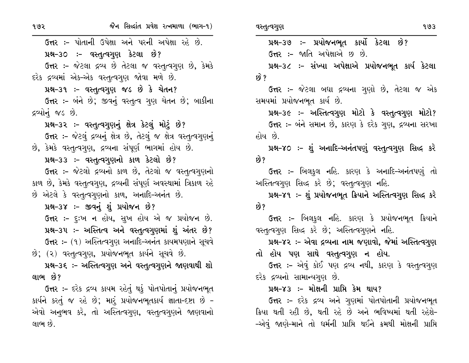ઉત્તર :- પોતાની ઉપેક્ષા અને પરની અપેક્ષા રહે છે. પ્રશ્ન-૩૦ :- વસ્તુત્વગુણ કેટલા છે? ઉત્તર :- જેટલા દ્રવ્ય છે તેટલા જ વસ્તુત્વગુણ છે, કેમકે દરેક દ્રવ્યમાં એક-એક વસ્તુત્વગુણ જોવા મળે છે.

પ્રશ્ન-૩૧ :- વસ્તુત્વગુણ જડ છે કે ચેતન?

ઉત્તર :- બંને છે; જીવનું વસ્તૃત્વ ગુણ ચેતન છે; બાકીના દ્રવ્યોનું જડ છે.

પ્રશ્ન-૩૨ ઃ- વસ્તુત્વગુણનું ક્ષેત્ર કેટલું મોટું છે?

ઉત્તર :- જેટલું દ્રવ્યનું ક્ષેત્ર છે, તેટલું જ ક્ષેત્ર વસ્તુત્વગુણનું છે, કેમકે વસ્તુત્વગુણ, દ્રવ્યના સંપૂર્ણ ભાગમાં હોય છે.

પ્રશ્ન-૩૩ :- વસ્તુત્વગુણનો કાળ કેટલો છે?

ઉત્તર :- જેટલો દ્રવ્યનો કાળ છે, તેટલો જ વસ્તૃત્વગુણનો કાળ છે, કેમકે વસ્તુત્વગુણ, દ્રવ્યની સંપૂર્ણ અવસ્થામાં ત્રિકાળ રહે છે એટલે કે વસ્તુત્વગુણનો કાળ, અનાદિ-અનંત છે.

પ્રશ્ન-૩૪ :- જીવનું શું પ્રયોજન છે?

ઉત્તર :- દુઃખ ન હોય, સુખ હોય એ જ પ્રયોજન છે. પ્રશ્ન-૩૫ :- અસ્તિત્વ અને વસ્તુત્વગુણમાં શું અંતર છે? ઉત્તર: - (१) અસ્તિત્વગુણ અનાદિ-અનંત કાયમપણાને સૂચવે છે; (૨) વસ્તૃત્વગણ, પ્રયોજનભૂત કાર્યને સૂચવે છે.

પ્રશ્ન-૩૬ :- અસ્તિત્વગુણ અને વસ્તુત્વગુણને જાણવાથી શો લાભ છે?

ઉત્તર :- દરેક દ્રવ્ય કાયમ રહેતું થકું પોતપોતાનું પ્રયોજનભૂત કાર્યને કરતું જ રહે છે; મારૂં પ્રયોજનભૂતકાર્ય જ્ઞાતા-દષ્ટા છે -એવો અનુભવ કરે, તો અસ્તિત્વગુણ, વસ્તુત્વગુણને જાણવાનો લાભ છે.

પ્રશ્ન-૩૭ :- પ્રયોજનભૂત કાર્યો કેટલા છે?

ઉત્તર :- જાતિ અપેક્ષાએ છ છે.

પ્રશ્ન-૩૮ :- સંખ્યા અપેક્ષાએ પ્રયોજનભૂત કાર્ય કેટલા છે ?

ઉત્તર :- જેટલા બધા દ્રવ્યના ગુણો છે, તેટલા જ એક સમયમાં પ્રયોજનભૂત કાર્ય છે.

પ્રશ્ન-૩૯ :- અસ્તિત્વગુણ મોટો કે વસ્તૃત્વગુણ મોટો? ઉત્તર :- બંને સમાન છે, કારણ કે દરેક ગણ, દ્રવ્યના સરખા હોય છે.

પ્રશ્ન-૪૦ ઃ- શું અનાદિ-અનંતપણું વસ્તુત્વગુણ સિદ્ધ કરે છે?

ઉત્તર :- બિલકુલ નહિ. કારણ કે અનાદિ-અનંતપણું તો અસ્તિત્વગુણ સિદ્ધ કરે છે; વસ્તુત્વગુણ નહિ.

પ્રશ્ન-૪૧ :- શું પ્રયોજનભુત ક્રિયાને અસ્તિત્વગુણ સિદ્ધ કરે છે?

ઉત્તર :- બિલકુલ નહિ. કારણ કે પ્રયોજનભૂત ક્રિયાને વસ્તૃત્વગુણ સિદ્ધ કરે છે; અસ્તિત્વગુણને નહિ.

પ્રશ્ન-૪૨ :- એવા દ્રવ્યના નામ જણાવો, જેમાં અસ્તિત્વગુણ તો હોય પણ સાથે વસ્તુત્વગુણ ન હોય.

ઉત્તર :- એવું કોઈ પણ દ્રવ્ય નથી, કારણ કે વસ્તૃત્વગુણ દરેક દ્રવ્યનો સામાન્યગુણ છે.

પ્રશ્ન–૪૩ :- મોક્ષની પ્રાપ્તિ કેમ થાય?

ઉત્તર :- દરેક દ્રવ્ય અને ગુણમાં પોતપોતાની પ્રયોજનભૂત ક્રિયા થતી રહી છે, થતી રહે છે અને ભવિષ્યમાં થતી રહેશે-–એવું જાણે–માને તો ધર્મની પ્રાપ્તિ થઈને ક્રમથી મોક્ષની પ્રાપ્તિ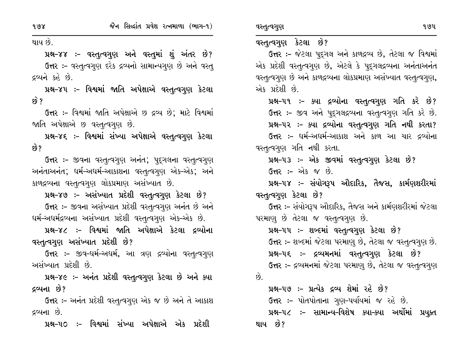થાય છે.

પ્રશ્ન-૪૪ :- વસ્તુત્વગુણ અને વસ્તુમાં શું અંતર છે? ઉત્તર :- વસ્તૃત્વગુણ દરેક દ્રવ્યનો સામાન્યગુણ છે અને વસ્ત્ દ્રવ્યને કહે છે.

પ્રશ્ન-૪૫ ઃ- વિશ્વમાં જાતિ અપેક્ષાએ વસ્તુત્વગુણ કેટલા <u>છે ?</u>

ઉત્તર :- વિશ્વમાં જાતિ અપેક્ષાએ છ દ્રવ્ય છે; માટે વિશ્વમાં જાતિ અપેક્ષાએ છ વસ્તૃત્વગુણ છે.

પ્રશ્ન–૪૬ ઃ– વિશ્વમાં સંખ્યા અપેક્ષાએ વસ્તૃત્વગુણ કેટલા છે?

ઉત્તર :- જીવના વસ્તુત્વગુણ અનંત; પુદ્ગલના વસ્તુત્વગુણ અનંતાઅનંત; ધર્મ-અધર્મ-આકાશના વસ્તુત્વગુણ એક-એક; અને કાળદ્રવ્યના વસ્તૃત્વગુણ લોકપ્રમાણ અસંખ્યાત છે.

પ્રશ્ન-૪૭ :- અસંખ્યાત પ્રદેશી વસ્તુત્વગુણ કેટલા છે? ઉત્તર :- જીવના અસંખ્યાત પ્રદેશી વસ્તૃત્વગુણ અનંત છે અને ઘર્મ-અઘર્મદ્રવ્યના અસંખ્યાત પ્રદેશી વસ્તૃત્વગુણ એક-એક છે.

પ્રશ્ન-૪૮ :- વિશ્વમાં જાતિ અપેક્ષાએ કેટલા દ્રવ્યોના વસ્તૃત્વગુણ અસંખ્યાત પ્રદેશી છે?

ઉત્તર :- જીવ-ધર્મ-અધર્મ, આ ત્રણ દ્રવ્યોના વસ્તુત્વગુણ અસંખ્યાત પ્રદેશી છે.

પ્રશ્ન-૪૯ :- અનંત પ્રદેશી વસ્તુત્વગુણ કેટલા છે અને ક્યા દ્રવ્યના છે?

ઉત્તર :- અનંત પ્રદેશી વસ્તૃત્વગુણ એક જ છે અને તે આકાશ દ્રવ્યના છે.

પ્રશ્ન–૫૦ ઃ– વિશ્વમાં સંખ્યા અપેક્ષાએ એક પ્રદેશી

## વસ્તુત્વગુણ કેટલા છે?

ઉત્તર :- જેટલા પુદ્ગલ અને કાળદ્રવ્ય છે, તેટલા જ વિશ્વમાં એક પ્રદેશી વસ્તૃત્વગુણ છે, એટલે કે પુદૃગલદ્ગવ્યના અનંતાઅનંત વસ્તૃત્વગુણ છે અને કાળદ્રવ્યના લોકપ્રમાણ અસંખ્યાત વસ્તૃત્વગુણ, એક પ્રદેશી છે.

પ્રશ્ન–૫૧ :- ક્યા દ્રવ્યોના વસ્તુત્વગુણ ગતિ કરે છે? ઉત્તર :- જીવ અને પુદ્ગલદ્રવ્યના વસ્તુત્વગુણ ગતિ કરે છે. પ્રશ્ન-૫૨ :- ક્યા દ્રવ્યોના વસ્તુત્વગુણ ગતિ નથી કરતા?

ઉત્તર :- ઘર્મ-અઘર્મ-આકાશ અને કાળ આ ચાર દ્રવ્યોના વસ્તુત્વગુણ ગતિ નથી કરતા.

પ્રશ્ન-૫૩ :- એક જીવમાં વસ્તુત્વગુણ કેટલા છે?

**ઉત્તર :-** એક જ છે.

પ્રશ્ન-૫૪ :- સંયોગરૂપ ઔદારિક, તૈજસ, કાર્મણશરીરમાં વસ્તુત્વગુણ કેટલા છે?

ઉત્તર :- સંયોગરૂપ ઔદારિક, તૈજસ અને કાર્મણશરીરમાં જેટલા પરમાણુ છે તેટલા જ વસ્તુત્વગુણ છે.

પ્રશ્ન-૫૫ :- શબ્દમાં વસ્તુત્વગુણ કેટલા છે? ઉત્તર :- શબ્દમાં જેટલા પરમાણુ છે, તેટલા જ વસ્તુત્વગુણ છે. પ્રશ્ન–૫૬ ઃ– દ્રવ્યમનમાં વસ્તુત્વગુણ કેટલા છે? ઉત્તર :- દ્રવ્યમનમાં જેટલા પરમાણુ છે, તેટલા જ વસ્તૃત્વગુણ છે.

પ્રશ્ન-૫૭ :- પ્રત્યેક દ્રવ્ય શેમાં રહે છે? ઉત્તર :- પોતપોતાના ગુણ-પર્યાયમાં જ રહે છે. પ્રશ્ન-૫૮ ઃ- સામાન્ય-વિશેષ ક્યા-ક્યા અર્થોમાં પ્રયુક્ત થાય છે?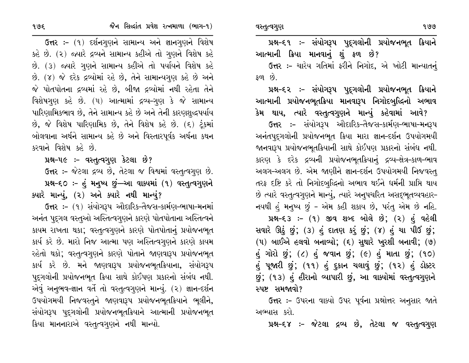ઉત્તર :- ચારેય ગતિમાં ફરીને નિગોદ, એ ખોટી માન્યાતનું  $\mathcal{S}$  or  $\mathcal{S}$ .

પ્રશ્ન–૬૨ ઃ– સંયોગરૂપ પુદ્ગલોની પ્રયોજનભૂત ક્રિયાને આત્માની પ્રયોજનભૂતક્રિયા માનવારૂપ નિગોદબુદ્ધિનો અભાવ કેમ થાય, ત્યારે વસ્તુત્વગુણને માન્યું કહેવામાં આવે?

ઉત્તર :- સંયોગરૂપ ઔદારિક-તૈજસ-કાર્મણ-ભાષા-મનરૂપ અનંતપુદગલોની પ્રયોજનભુત ક્રિયા મારા જ્ઞાન-દર્શન ઉપયોગમયી જાનવારૂપ પ્રયોજનભૂતક્રિયાની સાથે કોઈપણ પ્રકારનો સંબંધ નથી. કારણ કે દરેક દ્રવ્યની પ્રયોજનભૂતક્રિયાનું દ્રવ્ય-ક્ષેત્ર-કાળ-ભાવ અલગ-અલગ છે. એમ જાણીને જ્ઞાન-દર્શન ઉપયોગમયી નિજવસ્ત્ તરફ દષ્ટિ કરે તો નિગોદબુદ્ધિનો અભાવ થઈને ધર્મની પ્રાપ્તિ થાય છે ત્યારે વસ્તૃત્વગુણને માન્યું, ત્યારે અનુપચરિત અસદ્દભુતવ્યવહાર-નયથી હું મનુષ્ય છું - એમ કહી શકાય છે, પરંતુ એમ છે નહિ. પ્રશ્ન-૬૩ :- (૧) જીવ શબ્દ બોલે છે; (૨) હં વહેલી

સવારે ઊઠું છું; (3) હું દાતણ કરું છું; (૪) હું ચા પીઉં છું; (૫) બાઈએ હલવો બનાવ્યો; (૬) સુથારે ખુરશી બનાવી; (૭)  $\dot{\mathfrak{g}}$  ગોરો છું; (૮) હું જવાન છું; (૯) હું માતા છું; (૧૦) હું પૂજારી છું; (૧૧) હું દુકાન ચલાવું છું; (૧૨) હું ડોક્ટર છું; (૧૩) હું હીરાનો વ્યાપારી છું, આ વાક્યોમાં વસ્તુત્વગુણને સ્પષ્ટ સમજાવો?

ઉત્તર :- ઉપરના વાક્યો ઉપર પૂર્વના પ્રશ્નોત્તર અનુસાર જાતે અભ્યાસ કરો.

પ્રશ્ન–૬૪ :– જેટલા દ્રવ્ય છે, તેટલા જ વસ્તુત્વગુણ

ઉત્તર :- (૧) દર્શનગુણને સામાન્ય અને જ્ઞાનગુણને વિશેષ કહે છે. (૨) જ્યારે દ્રવ્યને સામાન્ય કહીએ તો ગુણને વિશેષ કહે છે. (3) જ્યારે ગુણને સામાન્ય કહીએ તો પર્યાયને વિશેષ કહે છે. (૪) જે દરેક દ્રવ્યોમાં રહે છે, તેને સામાન્યગુણ કહે છે અને જે પોતપોતના દ્રવ્યમાં રહે છે, બીજા દ્રવ્યોમાં નથી રહેતા તેને વિશેષગણ કહે છે. (૫) આત્મામાં દ્રવ્ય-ગણ કે જે સામાન્ય પારિણામિકભાવ છે, તેને સામાન્ય કહે છે અને તેની કારણશુદ્ધપર્યાય છે, જે વિશેષ પારિણામિક છે, તેને વિશેષ કહે છે. (૬) ટુંકમાં બોલવાના અર્થને સામાન્ય કહે છે અને વિસ્તારપૂર્વક અર્થના કથન કરવાને વિશેષ કહે છે.

પ્રશ્ન-૫૯ :- વસ્તુત્વગુણ કેટલા છે?

ઉત્તર :- જેટલા દ્રવ્ય છે, તેટલા જ વિશ્વમાં વસ્તુત્વગુણ છે. પ્રશ્ન-૬૦ :- હું મનુષ્ય છું—આ વાક્યમાં (૧) વસ્તુત્વગુણને

ક્યારે માન્યું, (૨) અને ક્યારે નથી માન્યું?

ઉત્તર :- (૧) સંયોગરૂપ ઔદારિક-તૈજસ-કાર્મણ-ભાષા-મનમાં અનંત પુદ્ગલ વસ્તુઓ અસ્તિત્વગુણને કારણે પોતપોતાના અસ્તિત્વને કાયમ રાખતા થકા; વસ્તુત્વગુણને કારણે પોતપોતાનું પ્રયોજનભૂત કાર્ય કરે છે. મારો નિજ આત્મા પણ અસ્તિત્વગુણને કારણે કાયમ રહેતો થકો; વસ્તુત્વગુણને કારણે પોતાને જાણવારૂપ પ્રયોજનભૂત કાર્ય કરે છે. મને જાણવારૂપ પ્રયોજનભૂતક્રિયાના, સંયોગરૂપ પદ્દગલોની પ્રયોજનભૂત ક્રિયા સાથે કોઈપણ પ્રકારનો સંબંધ નથી. એવું અનુભવ-જ્ઞાન વર્તે તો વસ્તુત્વગુણને માન્યું. (૨) જ્ઞાન-દર્શન ઉપયોગમયી નિજવસ્તુને જાણવારૂપ પ્રયોજનભુતક્રિયાને ભૂલીને, સંયોગરૂપ પૂદ્ગલોની પ્રયોજનભૂતક્રિયાને આત્માની પ્રયોજનભૂત ક્રિયા માનનારાએ વસ્તૃત્વગુણને નથી માન્યો.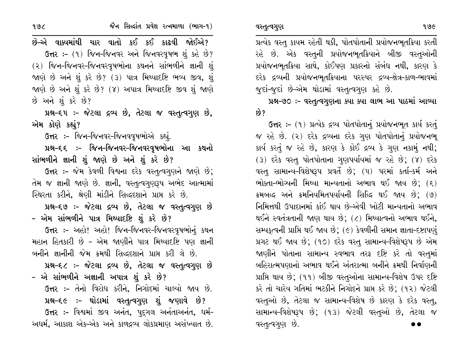જૈન સિલ્દાંત પ્રવેશ રત્નમાળા (ભાગ-૧)

છે–એ વાક્યમાંથી ચાર વાતો કઈ કઈ કાઢવી જોઈએ? ઉત્તર: - (૧) જિન-જિનવર અને જિનવરવૃષભ શું કહે છે? (૨) જિન-જિનવર-જિનવરવષભોના કથનને સાંભળીને જ્ઞાની શં જાણે છે અને શું કરે છે? (૩) પાત્ર મિથ્યાદષ્ટિ ભવ્ય જીવ, શું જાણે છે અને શું કરે છે? (૪) અપાત્ર મિથ્યાદષ્ટિ જીવ શું જાણે છે અને શું કરે છે?

પ્રશ્ન-૬૫ :- જેટલા દ્રવ્ય છે, તેટલા જ વસ્તુત્વગુણ છે, એમ કોણે કહ્યું?

ઉત્તર :- જિન-જિનવર-જિનવવૃષભોએ કહ્યું.

પ્રશ્ન–૬૬ :- જિન–જિનવર–જિનવરવૃષભોના આ કથનો સાંભળીને જ્ઞાની શું જાણે છે અને શું કરે છે?

ઉત્તર :- જેમ કેવળી વિશ્વના દરેક વસ્તૃત્વગુણને જાણે છે; તેમ જ જ્ઞાની જાણે છે. જ્ઞાની, વસ્તૃત્વગૃણરૂપ અભેદ આત્મામાં સ્થિરતા કરીને, શ્રેણી માંડીને સિદ્ધદશાને પ્રાપ્ત કરે છે.

પ્રશ્ન-૬૭ :- જેટલા દ્રવ્ય છે, તેટલા જ વસ્તુત્વગુણ છે – એમ સાંભળીને પાત્ર મિથ્યાદષ્ટિ શું કરે છે?

ઉત્તર :- અહો! અહો! જિન-જિનવર-જિનવરવૃષભોનું કથન મહાન હિતકારી છે - એમ જાણીને પાત્ર મિથ્યાદષ્ટિ પણ જ્ઞાની બનીને જ્ઞાનીની જેમ ક્રમથી સિદ્ધદશાને પ્રાપ્ત કરી લે છે.

પ્રશ્ન-૬૮ :- જેટલા દ્રવ્ય છે, તેટલા જ વસ્તુત્વગુણ છે – એ સાંભળીને અજ્ઞાની અપાત્ર શું કરે છે?

ઉત્તર :- તેનો વિરોધ કરીને, નિગોદમાં ચાલ્યો જાય છે. પ્રશ્ન-૬૯ :- થોડામાં વસ્તુત્વગુણ શું જણાવે છે? ઉત્તર :- વિશ્વમાં જીવ અનંત, પદુગલ અનંતાઅનંત, ધર્મ-અઘર્મ, આકાશ એક-એક અને કાળદ્રવ્ય લોકપ્રમાણ અસંખ્યાત છે.

પ્રત્યેક વસ્તુ કાયમ રહેતી થકી, પોતપોતાની પ્રયોજનભૂતક્રિયા કરતી રહે છે. એક વસ્તુની પ્રયોજનભૂતક્રિયાને બીજી વસ્તુઓની પ્રયોજનભૂતક્રિયા સાથે, કોઈપણ પ્રકારનો સંબંધ નથી, કારણ કે દરેક દ્રવ્યની પ્રયોજનભૂતક્રિયાના પરસ્પર દ્રવ્ય-ક્ષેત્ર-કાળ-ભાવમાં જુદાં-જૂદાં છે-એમ થોડામાં વસ્તુત્વગુણ કહે છે.

પ્રશ્ન-૭૦ :- વસ્તુત્વગુણના ક્યા ક્યા લાભ આ પાઠમાં આવ્યા ક્વે ?

ઉત્તર: - (૧) પ્રત્યેક દ્રવ્ય પોતપોતાનું પ્રયોજનભૂત કાર્ય કરતું જ રહે છે. (૨) દરેક દ્રવ્યના દરેક ગુણ પોતપોતાનું પ્રયોજનભુ કાર્ય કરતું જ રહે છે, કારણ કે કોઈ દ્રવ્ય કે ગણ નકામું નથી; (3) દરેક વસ્તુ પોતપોતાના ગુણપર્યાયમાં જ રહે છે; (૪) દરેક વસ્તુ સામાન્ય-વિશેષરૂપ પ્રવર્તે છે; (૫) પરમાં કર્તા-કર્મ અને ભોક્તા-ભોગ્યની મિથ્યા માન્યતાનો અભાવ થઈ જાય છે;  $( \xi )$ ક્રમબદ્ધ અને ક્રમનિયમિતપર્યાયની સિદ્ધિ થઈ જાય છે; (૭) નિમિત્તથી ઉપાદાનમાં કાંઈ થાય છે-એવી ખોટી માન્યતાનો અભાવ થઈને સ્વતંત્રતાની જાણ થાય છે; (૮) મિથ્યાત્વનો અભાવ થઈને, સમ્યકત્વની પ્રાપ્તિ થઈ જાય છે; (૯) કેવળીની સમાન જ્ઞાતા-દષ્ટાપણું પ્રગટ થઈ જાય છે; (૧૦) દરેક વસ્તુ સામાન્ય-વિશેષરૂપ છે એમ જાણીને પોતાના સામાન્ય સ્વભાવ તરફ દષ્ટિ કરે તો વસ્તુમાં બહિરાત્મપણાનો અભાવ થઈને અંતરાત્મા બનીને ક્રમથી નિર્વાણની પ્રાપ્તિ થાય છે; (૧૧) બીજી વસ્તુઓના સામાન્ય-વિશેષ ઉપર દષ્ટિ કરે તો ચારેય ગતિમાં ભટકીને નિગોદને પ્રાપ્ત કરે છે; (૧૨) જેટલી વસ્તુઓ છે, તેટલા જ સામાન્ય-વિશેષ છે કારણ કે દરેક વસ્તુ, સામાન્ય-વિશેષરૂપ છે; (૧૩) જેટલી વસ્તુઓ છે, તેટલા જ વસ્તુત્વગુણ છે.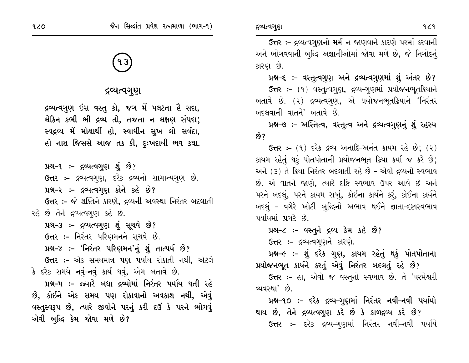# દ્રવ્યત્વગુણ

દ્રવ્યત્વગુણ ઇસ વસ્તુ કો, જગ મેં પલટતા હૈ સદા, લેકિન કભી ભી દ્રવ્ય તો, તજતા ન લક્ષણ સંપદા; સ્વદ્રવ્ય મેં મોક્ષાર્થી હો, સ્વાધીન સુખ લો સર્વદા, હો નાશ જિસસે આજ તક કી, દુઃખદાયી ભવ કથા.

પ્રશ્ન-૧ :- દ્રવ્યત્વગુણ શું છે? ઉત્તર :- દ્રવ્યત્વગુણ, દરેક દ્રવ્યનો સામાન્યગુણ છે. પ્રશ્ન-૨ :- દ્રવ્યત્વગુણ કોને કહે છે? ઉત્તર :- જે શક્તિને કારણે, દ્રવ્યની અવસ્થા નિરંતર બદલાતી રહે છે તેને દ્રવ્યત્વગુણ કહે છે.

પ્રશ્ન-૩ :- દ્રવ્યત્વગુણ શું સૂચવે છે?

ઉત્તર :- નિરંતર પરિણમનને સૂચવે છે.

પ્રશ્ન-૪ :- 'નિરંતર પરિણમન'નું શું તાત્પર્ય છે?

ઉત્તર :- એક સમયમાત્ર પણ પર્યાય રોકાતી નથી, એટલે કે દરેક સમયે નવું-નવું કાર્ય થવું, એમ બતાવે છે.

પ્રશ્ન-૫ ઃ- જ્યારે બધા દ્રવ્યોમાં નિરંતર પર્યાય થતી રહે છે, કોઈને એક સમય પણ રોકાવાનો અવકાશ નથી, એવું વસ્તુસ્વરૂપ છે, ત્યારે જીવોને પરનું કરી દઉં કે પરને ભોગવું એવી બુદ્ધિ કેમ જોવા મળે છે?

ઉત્તર :- દ્રવ્યત્વગુણનો મર્મ ન જાણવાને કારણે પરમાં કરવાની અને ભોગવવાની બુદ્ધિ અજ્ઞાનીઓમાં જોવા મળે છે, જે નિગોદનું કારણ છે.

પ્રશ્ન-૬ :- વસ્તુત્વગુણ અને દ્રવ્યત્વગુણમાં શું અંતર છે? ઉત્તર: – (૧) વસ્તુત્વગુણ, દ્રવ્ય-ગુણમાં પ્રયોજનભૂતક્રિયાને બતાવે છે. (૨) દ્રવ્યત્વગુણ, એ પ્રયોજનભૂતક્રિયાને 'નિરંતર બદલવાની વાતને' બતાવે છે.

પ્રશ્ન-૭ :- અસ્તિત્વ, વસ્તુત્વ અને દ્રવ્યત્વગુણનું શું રહસ્ય છે?

**ઉત્તર:-** (૧) દરેક દ્રવ્ય અનાદિ-અનંત કાયમ રહે છે; (૨) કાયમ રહેતું થકું પોતપોતાની પ્રયોજનભૂત ક્રિયા કર્યા જ કરે છે; અને (૩) તે ક્રિયા નિરંતર બદલાતી રહે છે - એવો દ્રવ્યનો સ્વભાવ છે. એ વાતને જાણે, ત્યારે દષ્ટિ સ્વભાવ ઉપર આવે છે અને પરને બદલું, પરને કાયમ રાખું, કોઈના કાર્યને કરું, કોઈના કાર્યને બદલું – વગેરે ખોટી બુદ્ધિનો અભાવ થઈને જ્ઞાતા-દષ્ટાસ્વભાવ પર્યાયમાં પ્રગટે છે.

પ્રશ્ન-૮ :- વસ્તુને દ્રવ્ય કેમ કહે છે?

ઉત્તર :- દ્રવ્યત્વગુણને કારણે.

પ્રશ્ન-૯ :- શું દરેક ગુણ, કાયમ રહેતું થકું પોતપોતાના પ્રયોજનભૂત કાર્યને કરતું એવું નિરંતર બદલતું રહે છે?

ઉત્તર :- હા, એવો જ વસ્તુનો સ્વભાવ છે. તે 'પરમેશ્વરી વ્યવસ્થા' છે.

પ્રશ્ન-૧૦ :- દરેક દ્રવ્ય-ગુણમાં નિરંતર નવી-નવી પર્યાયો થાય છે, તેને દ્રવ્યત્વગુણ કરે છે કે કાળદ્રવ્ય કરે છે? ઉત્તર :- દરેક દ્રવ્ય-ગુણમાં નિરંતર નવી-નવી પર્યાયે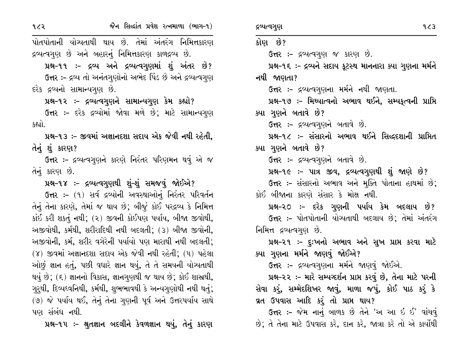પોતપોતાની યોગ્યતાથી થાય છે. તેમાં અંતરંગ નિમિત્તકારણ દ્રવ્યત્વગુણ છે અને બહારનું નિમિત્તકારણ કાળદ્રવ્ય છે.

પ્રશ્ન-૧૧ :- દ્રવ્ય અને દ્રવ્યત્વગુણમાં શું અંતર છે? ઉત્તર :- દ્રવ્ય તો અનંતગુણોનો અભેદ પિંડ છે અને દ્રવ્યત્વગુણ દરેક દ્રવ્યનો સામાન્યગુણ છે.

પ્રશ્ન-૧૨ :- દ્રવ્યત્વગુણને સામાન્યગુણ કેમ કહ્યો?

ઉત્તર :- દરેક દ્રવ્યોમાં જોવા મળે છે; માટે સામાન્યગુણ કહ્યો.

પ્રશ્ન-૧૩ ઃ- જીવમાં અજ્ઞાનદશા સદાય એક જેવી નથી રહેતી. તેનું શું કારણ?

ઉત્તર :- દ્રવ્યત્વગુણને કારણે નિરંતર પરિણમન થવું એ જ તેનું કારણ છે.

પ્રશ્ન-૧૪ :- દ્રવ્યત્વગુણથી શું-શું સમજવું જોઈએ?

ઉત્તર :- (૧) સર્વ દ્રવ્યોની અવસ્થાઓનું નિરંતર પરિવર્તન તેનું તેના કારણે, તેમાં જ થાય છે; બીજું કોઈ પરદ્રવ્ય કે નિમિત્ત કાંઈ કરી શકતું નથી; (૨) જીવની કોઈપણ પર્યાય, બીજા જીવોથી, અજીવોથી, કર્મથી, શરીરાદિથી નથી બદલતી; (૩) બીજા જીવોની, અજીવોની, કર્મ, શરીર વગેરેની પર્યાયો પણ મારાથી નથી બદલતી; (૪) જીવમાં અજ્ઞાનદશા સદાય એક જેવી નથી રહેતી; (૫) પહેલા ઓછું જ્ઞાન હતું, પછી વધારે જ્ઞાન થયું, તે તે સમયની યોચ્યતાથી થયું છે; (૬) જ્ઞાનનો વિકાસ, જ્ઞાનગુણથી જ થાય છે; કોઈ શાસ્રથી, ગુરૂથી, દિવ્યધ્વનિથી, કર્મથી, શુભભાવથી કે અન્યગુણોથી નથી થતું; (७) જે પર્યાય થઈ, તેનું તેના ગુણની પૂર્વ અને ઉત્તરપર્યાય સાથે પણ સંબંધ નથી.

પ્રશ્ન-૧૫ :- શ્રુતજ્ઞાન બદલીને કેવળજ્ઞાન થયું, તેનું કારણ

કોણ છે?

નથી જાણતા?

ક્યા ગણને બતાવે છે?

ક્યા ગુણને બતાવે છે?

ઉત્તર:- દ્રવ્યત્વગુણ જ કારણ છે. પ્રશ્ન-૧૬ :- દ્રવ્યને સદાય કુટસ્થ માનનારા ક્યા ગુણના મર્મને ઉત્તર :- દ્રવ્યત્વગુણના મર્મને નથી જાણતા. પ્રશ્ન-૧૭ :- મિથ્યાત્વનો અભાવ થઈને, સમ્પકૃત્વની પ્રાપ્તિ ઉત્તર:- દ્રવ્યત્વગુણને બતાવે છે. પ્રશ્ન-૧૮ :- સંસારનો અભાવ થઈને સિદ્ધદશાની પ્રાપ્તિત

ઉત્તર :- દ્રવ્યત્વગુણને બતાવે છે.

પ્રશ્ન-૧૯ :- પાત્ર જીવ, દ્રવ્યત્વગુણથી શું જાણે છે?

ઉત્તર :- સંસારનો અભાવ અને મુક્તિ પોતાના હાથમાં છે; કોઈ બીજાના કારણે સંસાર કે મોક્ષ નથી.

પ્રશ્ન–૨૦ ઃ– દરેક ગુણની પર્યાય કેમ બદલાય છે? ઉત્તર :- પોતપોતાની યોગ્યતાથી બદલાય છે; તેમાં અંતરંગ નિમિત્ત દ્રવ્યત્વગુણ છે.

પ્રશ્ન–૨૧ ઃ– દૃઃખનો અભાવ અને સુખ પ્રાપ્ત કરવા માટે ક્યા ગુણના મર્મને જાણવું જોઈએ?

ઉત્તર :- દ્રવ્યત્વગુણના મર્મને જાણવું જોઈએ.

પ્રશ્ન-૨૨ :- મારે સમ્યગ્દર્શન પ્રાપ્ત કરવું છે, તેના માટે પરની સેવા કરું, સમ્મેદશિખર જાવું, માળા જપું, કોઈ પાઠ કરું કે વ્રત ઉપવાસ આદિ કરું તો પ્રાપ્ત થાય?

ઉત્તર :- જેમ નાનું બાળક છે તેને 'અ આ ઈ ઈ' વાંચવું છે; તે તેના માટે ઉપવાસ કરે, દાન કરે, જાત્રા કરે તો એ કાર્યોથી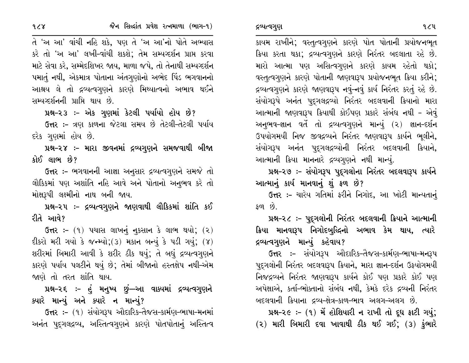કાયમ રાખીને; વસ્તુત્વગુણને કારણે પોત પોતાની પ્રયોજનભૂત ક્રિયા કરતા થકા; દ્રવ્યત્વગુણને કારણે નિરંતર બદલાતા રહે છે. મારો આત્મા પણ અસિત્વગુણને કારણે કાયમ રહેતો થકો; વસ્તૃત્વગુણને કારણે પોતાની જાણવારૂપ પ્રયોજનભુત ક્રિયા કરીને; દ્રવ્યત્વગુણને કારણે જાણવારૂપ નવું-નવું કાર્ય નિરંતર કરતું રહે છે. સંયોગરૂપે અનંત પુદ્ગલદ્ગવ્યો નિરંતર બદલવાની ક્રિયાનો મારા આત્માની જાણવારૂપ ક્રિયાથી કોઈપણ પ્રકારે સંબંધ નથી - એવું અનુભવ-જ્ઞાન વર્તે તો દ્રવ્યત્વગુણને માન્યું (૨) જ્ઞાન-દર્શન ઉપયોગમયી નિજ જીવદ્રવ્યને નિરંતર જાણવારૂપ કાર્યને ભૂલીને, સંયોગરૂપ અનંત પદુગલદ્રવ્યોની નિરંતર બદલવાની ક્રિયાને, આત્માની ક્રિયા માનનારે દ્રવ્યગુણને નથી માન્યું.

પ્રશ્ન-૨૭ :- સંયોગરૂપ પુદ્દગલોના નિરંતર બદલવારૂપ કાર્યને આત્માનું કાર્ય માનવાનું શું ફળ છે?

ઉત્તર :- ચારેય ગતિમાં ફરીને નિગોદ, આ ખોટી માન્યતાનું  $\mathcal{S}(\mathbf{0}, \mathbf{0})$ 

પ્રશ્ન–૨૮ :– પુદુગલોની નિરંતર બદલવાની ક્રિયાને આત્માની ક્રિયા માનવારૂપ નિગોદબુદ્ધિનો અભાવ કેમ થાય, ત્યારે દ્રવ્યત્વગુણને માન્યું કહેવાય?

ઉત્તર :- સંયોગરૂપ ઔદારિક-તૈજસ-કાર્મણ-ભાષા-મનરૂપ પૂદ્ગલોની નિરંતર બદલવારૂપ ક્રિયાને, મારા જ્ઞાન-દર્શન ઉફયોગમયી નિજદ્રવ્યને નિરંતર જાણવારૂપ કાર્યને કોઈ પણ પ્રકારે કોઈ પણ અપેક્ષાએ, કર્તા-ભોક્તાનો સંબંધ નથી, કેમકે દરેક દ્રવ્યની નિરંતર બદલવાની ક્રિયાના દ્રવ્ય-ક્ષેત્ર-કાળ-ભાવ અલગ-અલગ છે.

 $14-2e$  :- (9) મેં હોશિયારી ન રાખી તો દૂધ ફાટી ગયું;  $(2)$  મારી બિમારી દવા ખાવાથી ઠીક થઈ ગઈ;  $(3)$  કુંભારે

તે 'અ આ' વાંચી નહિ શકે, પણ તે 'અ આ'નો પોતે અભ્યાસ કરે તો 'અ આ' લખી-વાંચી શકશે; તેમ સમ્યવ્દર્શન પ્રાપ્ત કરવા માટે સેવા કરે, સમ્મેદશિખર જાય, માળા જપે, તો તેનાથી સમ્યગ્દર્શન પમાતું નથી, એકમાત્ર પોતાના અંતગુણોનો અભેદ પિંડ ભગવાનનો આશ્રય લે તો દ્રવ્યત્વગુણને કારણે મિથ્યાત્વનો અભાવ થઈને સમ્યવ્દર્શનની પ્રાપ્તિ થાય છે.

જૈન સિલ્દાંત પ્રવેશ રત્નમાળા (ભાગ-૧)

પ્રશ્ન-૨૩ :- એક ગુણમાં કેટલી પર્યાયો હોય છે?

ઉત્તર:- ત્રણ કાળના જેટલા સમય છે તેટલી-તેટલી પર્યાય દરેક ગણમાં હોય છે.

પ્રશ્ન–૨૪ ઃ– મારા જીવનમાં દ્રવ્યગુણને સમજવાથી બીજા કોઈ લાભ છે?

ઉત્તર :- ભગવાનની આજ્ઞા અનુસાર દ્રવ્યત્વગુણને સમજે તો લૌકિકમાં પણ અશાંતિ નહિ આવે અને પોતાનો અનુભવ કરે તો મોક્ષરૂપી લક્ષ્મીનો નાથ બની જાય.

પ્રશ્ન-૨૫ ઃ- દ્રવ્યત્વગુણને જાણવાથી લૌકિકમાં શાંતિ કઈ રીતે આવે?

ઉત્તર: –  $(9)$  પચાસ લાખનું નૂકસાન કે લાભ થયો;  $(2)$ દીકરો મરી ગયો કે જન્મ્યો; (3) મકાન બન્યું કે પડી ગયું; (૪) શરીરમાં બિમારી આવી કે શરીર ઠીક થયું; તે બધું દ્રવ્યત્વગુણને કારણે પર્યાય પલટીને થયું છે; તેમાં બીજાનો હસ્તક્ષેપ નથી-એમ જાણે તો તરત શાંતિ થાય.

પ્રશ્ન–૨૬ :– હું મનુષ્ય છું—આ વાક્યમાં દ્રવ્યત્વગુણને ક્યારે માન્યું અને ક્યારે ન માન્યું?

ઉત્તર :- (૧) સંયોગરૂપ ઔદારિક-તૈજસ-કાર્મણ-ભાષા-મનમાં અનંત પુદ્ગલદ્રવ્ય, અસ્તિત્વગુણને કારણે પોતપોતાનું અસ્તિત્વ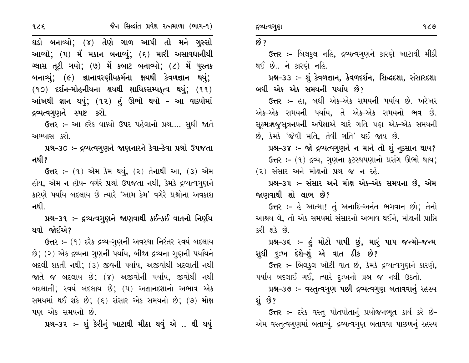જૈન સિલ્દાંત પ્રવેશ રત્નમાળા (ભાગ-૧)

ઘડો બનાવ્યો; (૪) તેણે ગાળ આપી તો મને ગુસ્સો આવ્યો; (૫) મેં મકાન બનાવ્યું; (૬) મારી અસાવધાનીથી ગ્લાસ તૂટી ગયો; (૭) મેં કબાટ બનાવ્યો; (૮) મેં પૂસ્તક બનાવ્યું; (૯) જ્ઞાનાવરણીયકર્મના ક્ષયથી કેવળજ્ઞાન થયું;  $(90)$  દર્શન-મોહનીયના ક્ષયથી ક્ષાયિકસમ્યકૃત્વ થયું;  $(99)$ આંખથી જ્ઞાન થયું; (૧૨) હું ઊભો થયો – આ વાક્યોમાં દ્રવ્યત્વગુણને સ્પષ્ટ કરો.

ઉત્તર :- આ દરેક વાક્યો ઉપર પહેલાનો પ્રશ્ન.... સુધી જાતે અભ્યાસ કરો.

પ્રશ્ન-30 :- દ્રવ્યત્વગુણને જાણનારને કેવા-કેવા પ્રશ્નો ઉપજતા નથી?

**ઉત્તર :-** (૧) એમ કેમ થયું, (૨) તેનાથી આ, (૩) એમ હોય, એમ ન હોય- વગેરે પ્રશ્નો ઉપજતા નથી, કેમકે દ્રવ્યત્વગુણને કારણે પર્યાય બદલાય છે ત્યારે 'આમ કેમ' વગેરે પ્રશ્નોના અવકાશ નથી

પ્રશ્ન-૩૧ ઃ- દ્રવ્યત્વગુણને જાણવાથી કઈ-કઈ વાતનો નિર્ણય થવો જોઈએ?

ઉત્તર :- (૧) દરેક દ્રવ્ય-ગુણની અવસ્થા નિરંતર સ્વયં બદલાય છે; (૨) એક દ્રવ્યના ગુણની પર્યાય, બીજા દ્રવ્યના ગુણની પર્યાયને બદલી શકતી નથી; (૩) જીવની પર્યાય, અજીવોથી બદલાતી નથી જાતે જ બદલાય છે; (૪) અજીવોની પર્યાય, જીવોથી નથી બદલાતી; સ્વયં બદલાય છે; (૫) અજ્ઞાનદશાનો અભાવ એક સમયમાં થઈ શકે છે; (૬) સંસાર એક સમયનો છે; (૭) મોક્ષ પણ એક સમયનો છે.

પ્રશ્ન-૩૨ :- શું કેરીનું ખાટાથી મીઠા થવું એ .. થી થયું

# $69$  ?

ઉત્તર :- બિલકુલ નહિ, દ્રવ્યત્વગુણને કારણે ખાટાથી મીઠી થઈ છે.. ને કારણે નહિ.

પ્રશ્ન-૩૩ :- શું કેવળજ્ઞાન, કેવળદર્શન, સિદ્ધદશા, સંસારદશા બધી એક એક સમયની પર્યાય છે?

**ઉત્તર :-** હા, બધી એક-એક સમયની પર્યાય છે. ખરેખર એક–એક સમયની પર્યાય, તે એક–એક સમયનો ભવ છે. સુક્ષ્મઋજુસૂત્રનયની અપેક્ષાએ ચારે ગતિ પણ એક-એક સમયની છે, કેમકે 'જેવી મતિ, તેવી ગતિ' થઈ જાય છે.

પ્રશ્ન-3૪ :- જો દ્રવ્યત્વગુણને ન માને તો શું નૂક્સાન થાય? ઉત્તર :- (૧) દ્રવ્ય, ગુણના કૂટસ્થપણાનો પ્રસંગ ઊભો થાય;

(૨) સંસાર અને મોક્ષનો પ્રશ્ન જ ન રહે.

પ્રશ્ન-૩૫ :- સંસાર અને મોક્ષ એક-એક સમયના છે. એમ જાણવાથી શો લાભ છે?

ઉત્તર :- હે આત્મા! તું અનાદિ-અનંત ભગવાન છો; તેનો આશ્રય લે, તો એક સમયમાં સંસારનો અભાવ થઈને, મોક્ષની પ્રાપ્તિ કરી શકે છે.

પ્રશ્ન–૩૬ ઃ- હું મોટો પાપી છું, મારું પાપ જન્મો–જન્મ સુધી દુઃખ દેશે-શું એ વાત ઠીક છે?

ઉત્તર :- બિલકુલ ખોટી વાત છે, કેમકે દ્રવ્યત્વગુણને કારણે, પર્યાય બદલાઈ ગઈ, ત્યારે દૃઃખનો પ્રશ્ન જ નથી ઉઠતો.

પ્રશ્ન-૩૭ :- વસ્તુત્વગુણ પછી દ્રવ્યત્વગુણ બતાવવાનું રહસ્ય શં છે?

ઉત્તર :- દરેક વસ્તુ પોતપોતાનું પ્રયોજનભૂત કાર્ય કરે છે-એમ વસ્તૃત્વગુણમાં બતાવ્યું. દ્રવ્યત્વગુણ બતાવવા પાછળનું રહસ્ય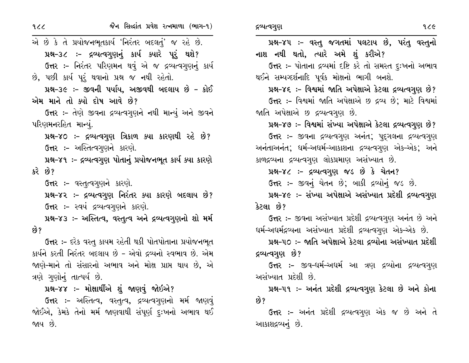| 329                                                   | જૈન સિદ્ધાંત પ્રવેશ રત્નમાળા (ભાગ-૧)                           | १८૯<br>દ્રવ્યત્વગુણ                                          |
|-------------------------------------------------------|----------------------------------------------------------------|--------------------------------------------------------------|
| એ છે કે તે પ્રયોજનભૂતકાર્ય 'નિરંતર બદલતું' જ રહે છે.  |                                                                | પ્રશ્ન-૪૫ :- વસ્તુ જગતમાં પલટાય છે, પરંતુ વસ્તુનો            |
|                                                       | પ્રશ્ન-૩૮ :- દ્રવ્યત્વગુણનું કાર્ય ક્યારે પૂરું થશે?           | નાશ નથી થતો, ત્યારે અમે શું કરીએ?                            |
|                                                       | ઉત્તર :- નિરંતર પરિણમન થવું એ જ દ્રવ્યત્વગુણનું કાર્ય          | ઉત્તર :- પોતાના દ્રવ્યમાં દષ્ટિ કરે તો સમસ્ત દુઃખનો અભાવ     |
|                                                       | છે, પછી કાર્ય પૂરું થવાનો પ્રશ્ન જ નથી રહેતો.                  | થઈને સમ્યગ્દર્શનાદિ પૂર્વક મોક્ષનો ભાગી બનશે.                |
|                                                       | પ્રશ્ન-૩૯ :- જીવની પર્યાય, અજીવથી બદલાય છે - કોઈ               | પ્રશ્ન-૪૬ ઃ- વિશ્વમાં જાતિ અપેક્ષાએ કેટલા દ્રવ્યત્વગુણ છે?   |
| એમ માને તો ક્યો દોષ આવે છે?                           |                                                                | ઉત્તર :- વિશ્વમાં જાતિ અપેક્ષાએ છ દ્રવ્ય છે; માટે વિશ્વમાં   |
|                                                       | ઉત્તર :– તેણે જીવના દ્રવ્યત્વગુણને નથી માન્યું અને જીવને       | જાતિ અપેક્ષાએ છ દ્રવ્યત્વગુણ છે.                             |
| પરિણમનરહિત માન્યું.                                   |                                                                | પ્રશ્ન-૪૭ ઃ- વિશ્વમાં સંખ્યા અપેક્ષાએ કેટલા દ્રવ્યત્વગુણ છે? |
|                                                       | પ્રશ્ન–૪૦ ઃ– દ્રવ્યત્વગુણ ત્રિકાળ ક્યા કારણથી રહે છે?          | ઉત્તર :- જીવના દ્રવ્યત્વગુણ અનંત; પુદ્ગલના દ્રવ્યત્વગુણ      |
|                                                       | ઉત્તર :- અસ્તિત્વગુણને કારણે.                                  | અનંતાઅનંત; ધર્મ-અધર્મ-આકાશના દ્રવ્યત્વગુણ એક-એક; અને         |
|                                                       | પ્રશ્ન-૪૧ :- દ્રવ્યત્વગુણ પોતાનું પ્રયોજનભૂત કાર્ય ક્યા કારણે  | કાળદ્રવ્યના દ્રવ્યત્વગુણ લોકપ્રમાણ અસંખ્યાત છે.              |
| કરે છે?                                               |                                                                | પ્રશ્ન-૪૮ :- દ્રવ્યત્વગુણ જડ છે કે ચેતન?                     |
|                                                       | <b>ઉત્તર :-</b> વસ્તુત્વગુણને કારણે.                           | ઉત્તર :- જીવનું ચેતન છે; બાકી દ્રવ્યોનું જડ છે.              |
|                                                       | પ્રશ્ન–૪૨ :– દ્રવ્યત્વગુણ નિરંતર ક્યા કારણે બદલાય છે?          | પ્રશ્ન-૪૯ :- સંખ્યા અપેક્ષાએ અસંખ્યાત પ્રદેશી દ્રવ્યત્વગુણ   |
|                                                       | ઉત્તર :- સ્વયં દ્રવ્યત્વગુણને કારણે.                           | કેટલા છે?                                                    |
|                                                       | પ્રશ્ન-૪૩ :- અસ્તિત્વ, વસ્તુત્વ અને દ્રવ્યત્વગુણનો શો મર્મ     | ઉત્તર :- જીવના અસંખ્યાત પ્રદેશી દ્રવ્યત્વગુણ અનંત છે અને     |
| છે?                                                   |                                                                | ઘર્મ-અઘર્મદ્રવ્યના અસંખ્યાત પ્રદેશી દ્રવ્યત્વગુણ એક-એક છે.   |
|                                                       | <b>ઉત્તર ઃ-</b> દરેક વસ્તુ કાયમ રહેતી થકી પોતપોતાના પ્રયોજનભૂત | પ્રશ્ન–૫૦ ઃ– જાતિ અપેક્ષાએ કેટલા દ્રવ્યોના અસંખ્યાત પ્રદેશી  |
|                                                       | કાર્યને કરતી નિરંતર બદલાય છે – એવો દ્રવ્યનો સ્વભાવ છે. એમ      | દ્રવ્યત્વગુણ છે?                                             |
| જાણે-માને તો સંસારનો અભાવ અને મોક્ષ પ્રાપ્ત થાય છે, એ |                                                                | <b>ઉત્તર :-</b> જીવ-ધર્મ-અધર્મ આ ત્રણ દ્રવ્યોના દ્રવ્યત્વગુણ |
| ત્રણે ગુણોનું તાત્પર્ય છે.                            |                                                                | અસંખ્યાત પ્રદેશી છે.                                         |
| પ્રશ્ન–૪૪ :– મોક્ષાર્થીએ શું જાણવું જોઇએ?             |                                                                | પ્રશ્ન–૫૧ ઃ– અનંત પ્રદેશી દ્રવ્યત્વગુણ કેટલા છે અને કોના     |
|                                                       | ઉત્તર :- અસ્તિત્વ, વસ્તુત્વ, દ્રવ્યત્વગુણનો મર્મ જાણવું        | છે?                                                          |

જોઈએ, કેમકે તેનો મર્મ જાણવાથી સંપૂર્ણ દુઃખનો અભાવ થઈ

જાય છે.

**ઉત્તર :-** અનંત પ્રદેશી દ્રવ્યત્વગુણ એક જ છે અને તે આકાશદ્રવ્યનું છે.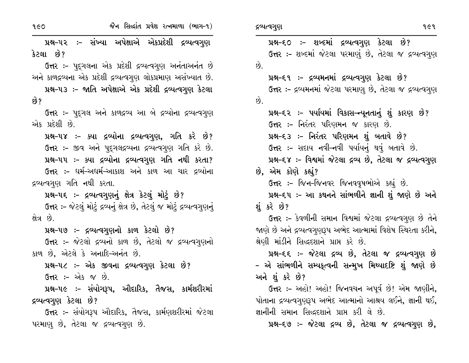પ્રશ્ન–૫૨ ઃ– સંખ્યા અપેક્ષાએ એકપ્રદેશી દ્રવ્યત્વગુણ કેટલા છે?

ઉત્તર :- પદ્ગલના એક પ્રદેશી દ્રવ્યત્વગુણ અનંતાઅનંત છે અને કાળદ્રવ્યના એક પ્રદેશી દ્રવ્યત્વગુણ લોકપ્રમાણ અસંખ્યાત છે.

પ્રશ્ન-૫૩ ઃ- જાતિ અપેક્ષાએ એક પ્રદેશી દ્રવ્યત્વગુણ કેટલા છે?

ઉત્તર :- પુદૃગલ અને કાળદ્રવ્ય આ બે દ્રવ્યોના દ્રવ્યત્વગુણ એક પ્રદેશી છે.

પ્રશ્ન-૫૪ :- ક્યા દ્રવ્યોના દ્રવ્યત્વગુણ, ગતિ કરે છે? ઉત્તર :- જીવ અને પુદ્ગલદ્રવ્યના દ્રવ્યત્વગુણ ગતિ કરે છે. પ્રશ્ન-૫૫ :- ક્યા દ્રવ્યોના દ્રવ્યત્વગુણ ગતિ નથી કરતા? ઉત્તર :- ધર્મ-અધર્મ-આકાશ અને કાળ આ ચાર દ્રવ્યોના દ્રવ્યત્વગુણ ગતિ નથી કરતા.

પ્રશ્ન-૫૬ ઃ- દ્રવ્યત્વગુણનું ક્ષેત્ર કેટલું મોટું છે?

ઉત્તર :- જેટલું મોટું દ્રવ્યનું ક્ષેત્ર છે, તેટલું જ મોટું દ્રવ્યત્વગુણનું ક્ષેત્ર છે.

પ્રશ્ન-૫૭ :- દ્રવ્યત્વગુણનો કાળ કેટલો છે?

ઉત્તર :- જેટલો દ્રવ્યનો કાળ છે, તેટલો જ દ્રવ્યત્વગુણનો કાળ છે, એટલે કે અનાદિ-અનંત છે.

પ્રશ્ન-૫૮ :- એક જીવના દ્રવ્યત્વગુણ કેટલા છે?

**ઉત્તર :-** એક જ છે.

પ્રશ્ન-૫૯ :- સંયોગરૂપ, ઔદારિક, તૈજસ, કાર્મશરીરમાં દ્રવ્યત્વગુણ કેટલા છે?

ઉત્તર :- સંયોગરૂપ ઔદારિક, તૈજસ, કાર્મણશરીરમાં જેટલા પરમાણ છે, તેટલા જ દ્રવ્યત્વગુણ છે.

પ્રશ્ન-૬૦ ઃ- શબ્દમાં દ્રવ્યત્વગુણ કેટલા છે? ઉત્તર :- શબ્દમાં જેટલા પરમાણું છે, તેટલા જ દ્રવ્યત્વગુણ  $\hat{Q}$ પ્રશ્ન-૬૧ ઃ- દ્રવ્યમનમાં દ્રવ્યત્વગુણ કેટલા છે? ઉત્તર :- દ્રવ્યમનમાં જેટલા પરમાણુ છે, તેટલા જ દ્રવ્યત્વગુણ  $\hat{8}$ . પ્રશ્ન–૬૨ :– પર્યાયમાં વિકાસ–ન્યૂનતાનું શું કારણ છે? ઉત્તર :- નિરંતર પરિણમન જ કારણ છે. પ્રશ્ન–૬૩ ઃ– નિરંતર પરિણમન શું બતાવે છે? ઉત્તર :- સદાય નવી-નવી પર્યાયનું થવું બતાવે છે. પ્રશ્ન-૬૪ :- વિશ્વમાં જેટલા દ્રવ્ય છે, તેટલા જ દ્રવ્યત્વગુણ છે, એમ કોણે કહ્યું? ઉત્તર :- જિન-જિનવર જિનવવૃષભોએ કહ્યું છે. પ્રશ્ન–૬૫ :- આ કથનને સાંભળીને જ્ઞાની શું જાણે છે અને શંકરે છે? ઉત્તર :- કેવળીની સમાન વિશ્વમાં જેટલા દ્રવ્યત્વગુણ છે તેને જાણે છે અને દ્રવ્યત્વગુણરૂપ અભેદ આત્મામાં વિશેષ સ્થિરતા કરીને, શ્રેણી માંડીને સિદ્ધદશાને પ્રાપ્ત કરે છે.

પ્રશ્ન-૬૬ :- જેટલા દ્રવ્ય છે, તેટલા જ દ્રવ્યત્વગુણ છે - એ સાંભળીને સમ્યકૃત્વની સન્મુખ મિથ્યાદષ્ટિ શું જાણે છે અને શું કરે છે?

ઉત્તર :- અહો! અહો! જિનવચન અપૂર્વ છે! એમ જાણીને, પોતાના દ્રવ્યત્વગૃણરૂપ અભેદ આત્માનો આશ્રય લઈને, જ્ઞાની થઈ, જ્ઞાનીની સમાન સિદ્ધદશાને પ્રાપ્ત કરી લે છે.

પ્રશ્ન-૬૭ :- જેટલા દ્રવ્ય છે, તેટલા જ દ્રવ્યત્વગુણ છે,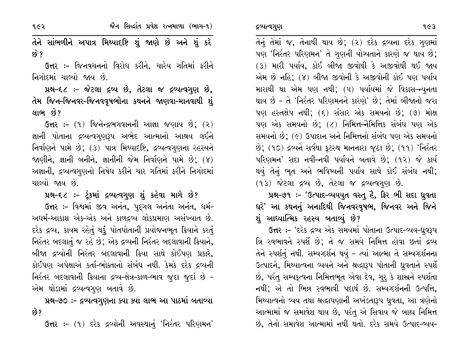१૯२

તેને સાંભળીને અપાત્ર મિથ્યાદષ્ટિ શું જાણે છે અને શું કરે ક્વે ?

**ઉત્તર :-** જિનવચનનો વિરોધ કરીને, ચારેય ગતિમાં ફરીને નિગોદમાં ચાલ્યો જાય છે.

પ્રશ્ન-૬૮ :- જેટલા દ્રવ્ય છે, તેટલા જ દ્રવ્યત્વગુણ છે, તેમ જિન–જિનવર–જિનવવૃષભોના કથનને જાણવા–માનવાથી શું લાભ છે?

**ઉત્તર:-** (૧) જિનેન્દ્રભગવાનની આજ્ઞા જણાય છે; (૨) જ્ઞાની પોતાના દ્રવ્યત્વગુણરૂપ અભેદ આત્માનો આશ્રય લઈને નિર્વાણને પામે છે; (3) પાત્ર મિથ્યાદષ્ટિ, દ્રવ્યત્વગુણના રહસ્યને જાણીને, જ્ઞાની બનીને, જ્ઞાનીની જેમ નિર્વાણને પામે છે; (૪) અજ્ઞાની, દ્રવ્યત્વગુણનો નિષેધ કરીને ચાર ગતિમાં ફરીને નિગોદમાં ચાલ્યો જાય છે.

પ્રશ્ન-૬૮ :- ટૂંકમાં દ્રવ્યત્વગુણ શું કહેવા માગે છે?

ઉત્તર :- વિશ્વમાં જીવ અનંત, પદુગલ અનંતા અનંત, ધર્મ-અદ્યર્મ-આકાશ એક-એક અને કાળદ્રવ્ય લોકપ્રમાણ અસંખ્યાત છે. દરેક દ્રવ્ય, કાયમ રહેતું થકું પોતપોતાની પ્રયોજનભૂત ક્રિયાને કરતું નિરંતર બદલાતું જ રહે છે; એક દ્રવ્યની નિરંતર બદલાવાની ક્રિયાને, બીજા દ્રવ્યોની નિરંતર બદલાવાની ક્રિયા સાથે કોઈપણ પ્રકારે, કોઈપણ અપેક્ષાએ કર્તા-ભોક્તાનો સંબંધ નથી. કેમકે દરેક દ્રવ્યની નિરંતર બદલાવાની ક્રિયાના દ્રવ્ય-ક્ષેત્ર-કાળ-ભાવ જુદા જુદાં છે -એમ થોડામાં દ્રવ્યત્વગુણ બતાવે છે.

પ્રશ્ન-૭૦ :- દ્રવ્યત્વગુણના ક્યા ક્યા લાભ આ પાઠમાં બતાવ્યા છે?

**ઉત્તર :-** (૧) દરેક દ્રવ્યોની અવસ્થાનું 'નિરંતર પરિણમન'

તેનું તેમાં જ, તેનાથી થાય છે; (૨) દરેક દ્રવ્યના દરેક ગુણમાં પણ 'નિરંતર પરિણમન' તે ગુણની યોગ્યતાને કારણે જ થાય છે; (૩) મારી પર્યાય, કોઈ બીજા જીવોથી કે અજીવોથી થઈ જાય એમ છે નહિ; (૪) બીજા જીવોની કે અજીવોની કોઈ પણ પર્યાય મારાથી થા એમ પણ નથી; (૫) પર્યાયમાં જે વિકાસ–ન્યુનતા થાય છે – તે 'નિરંતર પરિણમનને કારણે' છે; તેમાં બીજાનો જરા પણ હસ્તક્ષેપ નથી; (૬) સંસાર એક સમયનો છે; (૭) મોક્ષ પણ એક સમયનો છે; (૮) નિમિત્ત-નૈમિત્તિક સંબંધ પણ એક સમયનો છે; (૯) ઉપાદાન અને નિમિત્તનો સંબંધ પણ એક સમયનો છે; (૧૦) દ્રવ્યને સર્વથા કૂટસ્થ માનનારા જૂઠા છે; (૧૧) 'નિરંતર પરિણમન' સદા નવી-નવી પર્યાયને બતાવે છે; (૧૨) જે કાર્ય થયું તેનું ભૂત અને ભવિષ્યની પર્યાય સાથે કોઈ સંબંધ નથી; (૧૩) જેટલા દ્રવ્ય છે, તેટલા જ દ્રવ્યત્વગુણ છે.

પ્રશ્ન-૭૧ :- 'ઉત્પાદ-વ્યયયુત વસ્તુ હૈ, ફિર ભી સદા ધ્રુવતા ઘરે' આ કથનનું અનાદિથી જિનવરવૃષભ, જિનવર અને જિને શું આધ્યાત્મિક રહસ્ય બતાવ્યું છે?

ઉત્તર :- 'દરેક દ્રવ્ય એક સમયમાં પોતાના ઉત્પાદ-વ્યય-ધ્રુવરૂપ ત્રિ સ્વભાવને સ્પર્શે છે; તે જ સમયે નિમિત્ત હોવા છતાં દ્રવ્ય તેને સ્પર્શતું નથી. સમ્યગ્દર્શન થયું - ત્યાં આત્મા તે સમ્યગ્દર્શનના ઉત્પાદને, મિથ્યાત્વના વ્યયને અને શ્રદ્ધારૂપ પોતાની ધ્રુવતાને સ્પર્શે છે, પરંતુ સમ્યકૃત્વના નિમિત્તભૂત એવા દેવ, ગુરૂ કે શાસ્રને સ્પર્શતા નથી; એ તો ભિન્ન સ્વભાવી પદાર્થ છે. સમ્યગ્દર્શનની ઉત્પત્તિ, મિથ્યાત્વનો વ્યય તથા શ્રદ્ધાપણાની અખંડતારૂપ ધ્રુવતા, આ ત્રણેનો આત્મામાં જ સમાવેશ થાય છે, પરંતુ એ સિવાય જે બાહ્ય નિમિત્ત છે, તેનો સમાવેશ આત્મામાં નથી થતો. દરેક સમયે ઉત્પાદ-વ્યય-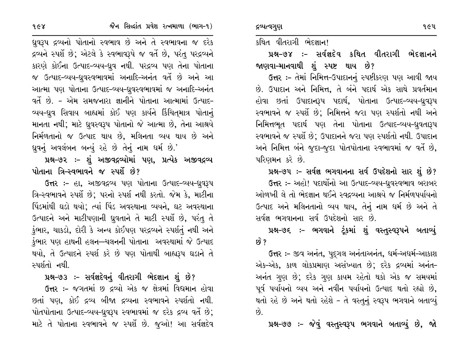$968$ 

ધ્રુવરૂપ દ્રવ્યનો પોતાનો સ્વભાવ છે અને તે સ્વભાવના જ દરેક દ્રવ્યને સ્પર્શે છે; એટલે કે સ્વભાવરૂપે જ વર્તે છે, પરંતુ પરદ્રવ્યને કારણે કોઈના ઉત્પાદ-વ્યય-ધ્રુવ નથી. પરદ્રવ્ય પણ તેના પોતાના જ ઉત્પાદ-વ્યય-ધ્રુવસ્વભાવમાં અનાદિ-અનંત વર્તે છે અને આ આત્મા પણ પોતાના ઉત્પાદ-વ્યય-ધ્રુવસ્વભાવમાં જ અનાદિ-અનંત વર્તે છે. - એમ સમજનારા જ્ઞાનીને પોતાના આત્મામાં ઉત્પાદ-વ્યય-ધ્રુવ સિવાય બાહ્યમાં કોઈ પણ કાર્યને કિંચિતમાત્ર પોતાનું માનતા નથી; માટે ધ્રુવસ્વરૂપ પોતાનો જે આત્મા છે, તેના આશ્રયે નિર્મળતાનો જ ઉત્પાદ થાય છે, મલિનતા વ્યય થાય છે અને ધ્રુવનું અવલંબન બન્યું રહે છે તેનું નામ ધર્મ છે.'

પ્રશ્ન-૭૨ :- શું અજીવદ્રવ્યોમાં પણ, પ્રત્યેક અજીવદ્રવ્ય પોતાના ત્રિ–સ્વભાવને જ સ્પર્શે છે?

ઉત્તર :- હા, અજીવદ્રવ્ય પણ પોતાના ઉત્પાદ-વ્યય-ધ્રુવરૂપ ત્રિ-સ્વભાવને સ્પર્શે છે; પરનો સ્પર્શ નથી કરતો. જેમ કે, માટીના પિંડમાંથી ઘડો થયો; ત્યાં પિંડ અવસ્થાના વ્યયને, ઘટ અવસ્થાના ઉત્પાદને અને માટીપણાની ધ્રુવતાને તે માટી સ્પર્શે છે, પરંતુ તે કુંભાર, ચાકડો, દોરી કે અન્ય કોઈપણ પરદ્રવ્યને સ્પર્શતું નથી અને કુંભાર પણ હાથની હલન—ચલનની પોતાના અવસ્થામાં જે ઉત્પાદ થયો, તે ઉત્પાદને સ્પર્શ કરે છે પણ પોતાથી બાહ્યરૂપ ઘડાને તે સ્પર્શતો નથી.

પ્રશ્ન-૭૩ :- સર્વજ્ઞદેવનું વીતરાગી ભેદજ્ઞાન શું છે? ઉત્તર :- જગતમાં છ દ્રવ્યો એક જ ક્ષેત્રમાં વિદ્યમાન હોવા છતાં પણ, કોઈ દ્રવ્ય બીજા દ્રવ્યના સ્વભાવને સ્પર્શતો નથી. પોતપોતાના ઉત્પાદ-વ્યય-ધ્રુવરૂપ સ્વભાવમાં જ દરેક દ્રવ્ય વર્તે છે; માટે તે પોતાના સ્વભાવને જ સ્પર્શે છે. જુઓ! આ સર્વજ્ઞદેવ

કથિત વીતરાગી ભેદજ્ઞાન!

દ્રવ્યત્વગુણ

પ્રશ્ન-૭૪ :- સર્વજ્ઞદેવ કથિત વીતરાગી ભેદજ્ઞાનને જાણવા-માનવાથી શું સ્પષ્ટ થાય છે?

ઉત્તર :- તેમાં નિમિત્ત-ઉપાદાનનું સ્પષ્ટીકરણ પણ આવી જાય છે. ઉપાદાન અને નિમિત્ત, તે બંને પદાર્થ એક સાથે પ્રવર્તમાન હોવા છતાં ઉપાદાનરૂપ પદાર્થ, પોતાના ઉત્પાદ-વ્યય-ધ્રુવરૂપ સ્વભાવને જ સ્પર્શે છે; નિમિત્તને જરા પણ સ્પર્શતો નથી અને નિમિત્તભૂત પદાર્થ પણ તેના પોતાના ઉત્પાદ-વ્યય-ધ્રુવતારૂપ સ્વભાવને જ સ્પર્શે છે; ઉપાદાનને જરા પણ સ્પર્શતો નથી. ઉપાદાન અને નિમિત્ત બંને જુદા-જુદા પોતપોતાના સ્વભાવમાં જ વર્તે છે, પરિણમન કરે છે.

પ્રશ્ન-૭૫ :- સર્વજ્ઞ ભગવાનના સર્વ ઉપદેશનો સાર શું છે? ઉત્તર :- અહો! પદાર્થોનો આ ઉત્પાદ-વ્યય-ધ્રુવસ્વભાવ બરાબર ઓળખી લે તો ભેદજ્ઞાન થઈને સ્વદ્રવ્યના આશ્રયે જ નિર્મળપર્યાયનો ઉત્પાદ અને મલિનતાનો વ્યય થાય, તેનું નામ ધર્મ છે અને તે સર્વજ્ઞ ભગવાનના સર્વ ઉપદેશનો સાર છે.

પ્રશ્ન-૭૬ :- ભગવાને ટૂંકમાં શું વસ્તુસ્વરૂપને બતાવ્યું છે ?

ઉત્તર :- જીવ અનંત, પુદ્ગલ અનંતાઅનંત, ધર્મ-અધર્મ-આકાશ એક-એક, કાળ લોકપ્રમાણ અસંખ્યાત છે; દરેક દ્રવ્યમાં અનંત-અનંત ગુણ છે; દરેક ગુણ કાયમ રહેતો થકો એક જ સમયમાં પૂર્વ પર્યાયનો વ્યય અને નવીન પર્યાયનો ઉત્પાદ થતો રહ્યો છે, થતો રહે છે અને થતો રહેશે - તે વસ્તુનું સ્વરૂપ ભગવાને બતાવ્યું  $\hat{g}$ .

પ્રશ્ન-૭૭ :- જેવું વસ્તુસ્વરૂપ ભગવાને બતાવ્યું છે, જો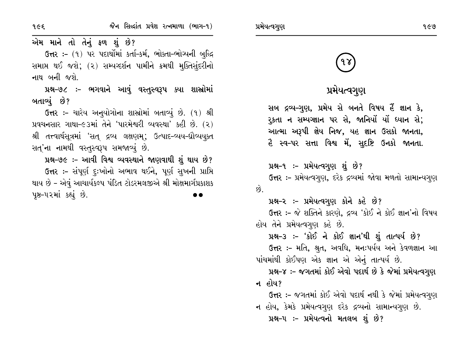જૈન સિલ્દાંત પ્રવેશ રત્નમાળા (ભાગ-૧)

१૯६

એમ માને તો તેનું ફળ શું છે?

ઉત્તર :- (૧) પર પદાર્થોમાં કર્તા-કર્મ, ભોક્તા-ભોગ્યની બુદ્ધિ સમાપ્ત થઈ જશે; (૨) સમ્યગ્દર્શન પામીને ક્રમથી મૂક્તિસુંદરીનો નાથ બની જશે.

પ્રશ્ન-૭૮ :- ભગવાને આવું વસ્તુસ્વરૂપ ક્યા શાસ્રોમાં બતાવ્યું છે?

ઉત્તર :- ચારેય અનુયોગોના શાસ્ત્રોમાં બતાવ્યું છે. (૧) શ્રી પ્રવચનસાર ગાથા-૯૩માં તેને 'પારમેશ્વરી વ્યવસ્થા' કહી છે. (૨) શ્રી તત્ત્વાર્થસૂત્રમાં 'સત્ દ્રવ્ય લક્ષણમ્; ઉત્પાદ-વ્યય-ઘ્રૌવ્યયૂક્ત સત્'ના નામથી વસ્તુસ્વરૂપ સમજાવ્યું છે.

પ્રશ્ન-૭૯ :- આવી વિશ્વ વ્યવસ્થાને જાણવાથી શું થાય છે? ઉત્તર :- સંપૂર્ણ દુઃખોનો અભાવ થઈને, પૂર્ણ સુખની પ્રાપ્તિ થાય છે - એવું આચાર્યકલ્પ પંડિત ટોડરમલજીએ શ્રી મોક્ષમાર્ગપ્રકાશક પૂષ્ઠ-૫૨માં કહ્યું છે.

# પ્રમેયત્વગુણ

સબ દ્રવ્ય–ગુણ, પ્રમેય સે બનતે વિષય હૈં જ્ઞાન કે, રુકતા ન સમ્યગ્જ્ઞાન પર સે, જાનિયોં યોં ધ્યાન સે; આત્મા અરૂપી જ્ઞેય નિજ, યહ જ્ઞાન ઉસકો જાનતા, હૈ સ્વ-પર સત્તા વિશ્વ મેં, સુદષ્ટિ ઉનકો જાનતા.

### પ્રશ્ન-૧ :- પ્રમેયત્વગુણ શું છે?

પ્રમેયત્વગુણ

**ઉત્તર :-** પ્રમેયત્વગુણ, દરેક દ્રવ્યમાં જોવા મળતો સામાન્યગુણ  $\hat{\omega}$ .

### પ્રશ્ન-૨ :- પ્રમેયત્વગુણ કોને કહે છે?

ઉત્તર :- જે શક્તિને કારણે, દ્રવ્ય 'કોઈ ને કોઈ જ્ઞાન'નો વિષય હોય તેને પ્રમેયત્વગુણ કહે છે.

પ્રશ્ન-3 :- 'કોઈ ને કોઈ જ્ઞાન'થી શું તાત્પર્ય છે?

ઉત્તર :- મતિ, શ્રુત, અવધિ, મનઃપર્યય અને કેવળજ્ઞાન આ પાંચમાંથી કોઈપણ એક જ્ઞાન એ એનું તાત્પર્ય છે.

પ્રશ્ન-૪ :- જગતમાં કોઈ એવો પદાર્થ છે કે જેમાં પ્રમેયત્વગુણ ન હોય?

ઉત્તર :- જગતમાં કોઈ એવો પદાર્થ નથી કે જેમાં પ્રમેયત્વગુણ ન હોય, કેમકે પ્રમેયત્વગુણ દરેક દ્રવ્યનો સામાન્યગુણ છે.

પ્રશ્ન–૫ :– પ્રમેયત્વનો મતલબ શું છે?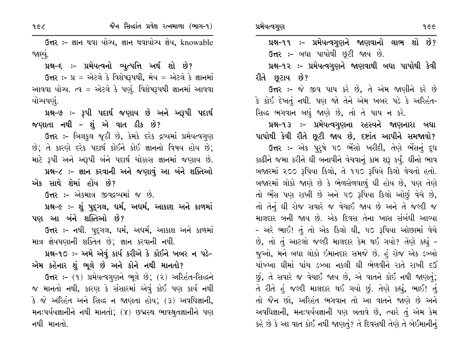**ઉત્તર: –** જ્ઞાન થવા યોગ્ય, જ્ઞાન થવાયોગ્ય જ્ઞેય, knowable જાણ્યું.

પ્રશ્ન-૬ :- પ્રમેયત્વનો વ્યુત્પત્તિ અર્થ શો છે?

ઉત્તર:-  $y = 2i$ ટલે કે વિશેષરૂપથી, મેય = એટલે કે જ્ઞાનમાં આવવા યોગ્ય. ત્વ = એટલે કે પણું. વિશેષરૂપથી જ્ઞાનમાં આવવા યોચ્યપણં.

પ્રશ્ન-૭ :- રૂપી પદાર્થ જણાય છે અને અરૂપી પદાર્થ જણાતા નથી - શું એ વાત ઠીક છે?

ઉત્તર :- બિલકુલ જૂઠી છે, કેમકે દરેક દ્રવ્યમાં પ્રમેયત્વગુણ છે; તે કારણે દરેક પદાર્થ કોઈને કોઈ જ્ઞાનનો વિષય હોય છે; માટે રૂપી અને અરૂપી બંને પદાર્થ ચોક્કસ જ્ઞાનમાં જણાય છે. પ્રશ્ન-૮ :- જ્ઞાન કરવાની અને જણાવું આ બંને શક્તિઓ એક સાથે શેમાં હોય છે?

ઉત્તર :- એકમાત્ર જીવદ્ગવ્યમાં જ છે.

પ્રશ્ન-૯ :- શું પુદ્ગલ, ધર્મ, અધર્મ, આકાશ અને કાળમાં પણ આ બંને શક્તિઓ છે?

ઉત્તર :- નથી. પદુગલ, ધર્મ, અધર્મ, આકાશ અને કાળમાં માત્ર જ્ઞેયપણાની શક્તિત છે; જ્ઞાન કરવાની નથી.

પ્રશ્ન-૧૦ :- અમે એવું કાર્ય કરીએ કે કોઈને ખબર ન પડે-એમ કહેનાર શું ભૂલે છે અને કોને નથી માનતો?

ઉત્તર :- (૧) પ્રમેયત્વગુણને ભૂલે છે; (૨) અરિહંત-સિદ્ધને જ માનતો નથી, કારણ કે સંસારમાં એવું કોઈ પણ કાર્ય નથી કે જે અરિહંત અને સિદ્ધ ન જાણતા હોય; (૩) અવધિજ્ઞાની, મનઃપર્યયજ્ઞાનીને નથી માનતો; (૪) છદ્મસ્થ ભાવશ્રુતજ્ઞાનીને પણ નથી માનતો.

પ્રશ્ન-૧૨ ઃ- પ્રમેયત્વગુણને જાણવાથી બધા પાપોથી કેવી રીતે છુટાય છે?

ઉત્તર :- જે જીવ પાપ કરે છે, તે એમ જાણીને કરે છે કે કોઈ દેખતું નથી. પણ જો તેને એમ ખબર પડે કે અરિહંત-સિદ્ધ ભગવાન બધું જાણે છે, તો તે પાપ ન કરે.

પ્રશ્ન-૧૩ ઃ- પ્રમેયત્વગુણના રહસ્યને જાણનારા બધા પાપોથી કેવી રીતે છૂટી જાય છે, દષ્ટાંત આપીને સમજાવો?

ઉત્તર :- એક પુરૂષે ૫૦ ભેંસો ખરીદી, તેણે ભેંસનું દૂધ કાઢીને જમા કરીને ઘી બનાવીને વેચવાનું કામ શરૂ કર્યું. ઘીનો ભાવ બજારમાં ૨૦૦ રૂપિયા કિલો, તે ૧૫૦ રૂપિયે કિલો વેચતો હતો. બજારમાં લોકો જાણે છે કે ભેળસેળવાળું ઘી હોય છે, પણ તેણે તો ભેંસ પણ રાખી છે અને ૫૦ રૂપિયા કિલો ઓછું વેચે છે, તો તેનું ઘી રોજ સવારે જ વેચાઈ જાય છે અને તે જલ્દી જ માલદાર બની જાય છે. એક દિવસ તેના ખાસ સંબંધી આવ્યા - અરે ભાઈ! તું તો એક કિલો ઘી, ૫૦ રૂપિયા ઓછામાં વેચે છે, તો તું આટલો જલ્દી માલદાર કેમ થઈ ગયો? તેણે કહ્યું -જૂઓ, મને બધા લોકો ઇમાનદાર સમજે છે. હું રોજ એક ડબ્બો ચોખ્ખા ઘીમાં પાંચ ડબ્બા નકલી ઘી ભેળવીને રાતે રાખી દઉં  $\mathfrak{g},$  તે સવારે જ વેચાઈ જાય છે, એ વાતને કોઈ નથી જાણતું; તે રીતે હું જલ્દી માલદાર થઈ ગયો છું. તેણે કહ્યું, ભાઈ! તું તો જૈન છો, અરિહંત ભગવાન તો આ વાતને જાણે છે અને અવધિજ્ઞાની, મનઃપર્યયજ્ઞાની પણ બતાવે છે, ત્યારે તું એમ કેમ કહે છે કે આ વાત કોઈ નથી જાણતું? તે દિવસથી તેણે તે બેઈમાનીનું

 $962$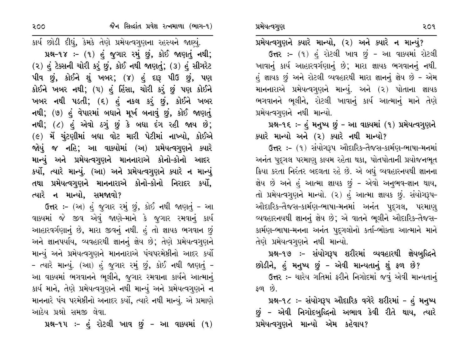પ્રમેયત્વગુણને ક્યારે માન્યો, (૨) અને ક્યારે ન માન્યું? ઉત્તર :- (૧) હું રોટલી ખાવ છું - આ વાક્યમાં રોટલી ખાવાનું કાર્ય આહારવર્ગણાનું છે; મારા જ્ઞાયક ભગવાનનું નથી. હું જ્ઞાયક છું અને રોટલી વ્યવહારથી મારા જ્ઞાનનું જ્ઞેય છે - એમ માનનારાએ પ્રમેયત્વગુણને માન્યું. અને (૨) પોતાના જ્ઞાયક ભગવાનને ભૂલીને, રોટલી ખાવાનું કાર્ય આત્માનું માને તેણે પ્રમેયત્વગુણને નથી માન્યો.

# પ્રશ્ન-૧૬ :- હું મનુષ્ય છું - આ વાક્યમાં (૧) પ્રમેયત્વગુણને ક્યારે માન્યો અને (૨) ક્યારે નથી માન્યો?

ઉત્તર :- (૧) સંયોગરૂપ ઔદારિક-તૈજસ-કાર્મણ-ભાષા-મનમાં અનંત પુદ્ગલ પરમાણુ કાયમ રહેતા થકા, પોતપોતાની પ્રયોજનભૂત ક્રિયા કરતા નિરંતર બદલતા રહે છે. એ બધું વ્યવહારનયથી જ્ઞાનના જ્ઞેય છે અને હું આત્મા જ્ઞાયક છું - એવો અનુભવ-જ્ઞાન થાય, તો પ્રમેયત્વગુણને માન્યો. (૨) હું આત્મા જ્ઞાયક છું. સંયોગરૂપ-ઔદારિક-તૈજસ-કાર્મણ-ભાષા-મનમાં અનંત પદ્ગલ, પરમાણ્ વ્યવહારનયથી જ્ઞાનનું જ્ઞેય છે; એ વાતને ભૂલીને ઔદારિક-તૈજસ-કાર્મણ-ભાષા-મનના અનંત પુદ્ગલોનો કર્તા-ભોક્તા આત્માને માને તેણે પ્રમેયત્વગણને નથી માન્યો.

# પ્રશ્ન–૧૭ :– સંયોગરૂપ શરીરમાં વ્યવહારથી જ્ઞેયબુદ્ધિને

છોડીને, હું મનુષ્ય છું - એવી માન્યતાનું શું ફળ છે? ઉત્તર :- ચારેય ગતિમાં ફરીને નિગોદમાં જવું એવી માન્યતાનું ફળ છે.

પ્રશ્ન-૧૮ :- સંયોગરૂપ ઔદારિક વગેરે શરીરમાં - હું મનુષ્ય છું – એવી નિગોદબુદ્ધિનો અભાવ કેવી રીતે થાય, ત્યારે પ્રમેયત્વગુણને માન્યો એમ કહેવાય?

કાર્ય છોડી દીધું, કેમકે તેણે પ્રમેયત્વગુણના રહસ્યને જાણ્યું. પ્રશ્ન-૧૪ :- (૧) હું જુગાર રમું છું, કોઈ જાણતું નથી; (2) હું ટેક્સની ચોરી કરું છું, કોઈ નથી જાણતું; (3) હું સીગરેટ પીવ છું, કોઈને શું ખબર; (૪) હું દારૂ પીઉ છું, પણ કોઈને ખબર નથી; (૫) હું હિંસા, ચોરી કરું છું પણ કોઈને ખબર નથી પડતી; (૬) હું નકલ કરું છું, કોઈને ખબર નથી; (૭) હું વેપારમાં બધાને મૂર્ખ બનાવું છું, કોઈ જાણતું નથી; (૮) હું એવો ઠગું છું કે બધા દંગ રહી જાય છે; (૯) મેં ચુંટણીમાં બધા વોટ મારી પેટીમાં નાખ્યો, કોઈએ જોયું જ નહિ; આ વાક્યોમાં (અ) પ્રમેયત્વગુણને ક્યારે માન્યું અને પ્રમેયત્વગુણને માનનારાએ કોનો–કોનો આદર કર્યો, ત્યારે માન્યું. (આ) અને પ્રમેયત્વગુણને ક્યારે ન માન્યું તથા પ્રમેયત્વગુણને માનનારાએ કોનો-કોનો નિરાદર કર્યો, ત્યારે ન માન્યો, સમજાવો?

ઉત્તર :- (અ) હું જુગાર રમું છું, કોઈ નથી જાણતું - આ વાક્યમાં જે જીવ એવું જાણે-માને કે જુગાર રમવાનું કાર્ય આહારવર્ગણાનું છે, મારા જીવનું નથી. હું તો જ્ઞાયક ભગવાન છું અને જ્ઞાનપર્યાય, વ્યવહારથી જ્ઞાનનું જ્ઞેય છે; તેણે પ્રમેયત્વગુણને માન્યું અને પ્રમેયત્વગુણને માનનારાએ પંચપરમેષ્ઠીનો આદર કર્યો - ત્યારે માન્યું. (આ) હું જુગાર રમું છું, કોઈ નથી જાણતું -આ વાક્યમાં ભગવાનને ભૂલીને, જુગાર રમવાના કાર્યને આત્માનું કાર્ય માને, તેણે પ્રમેયત્વગુણને નથી માન્યું અને પ્રમેયત્વગુણને ન માનનારે પંચ પરમેષ્ઠીનો અનાદર કર્યો, ત્યારે નથી માન્યું. એ પ્રમાણે આઠેય પ્રશ્નો સમજી લેવા.

પ્રશ્ન-૧૫ :- હું રોટલી ખાવ છું - આ વાક્યમાં (૧)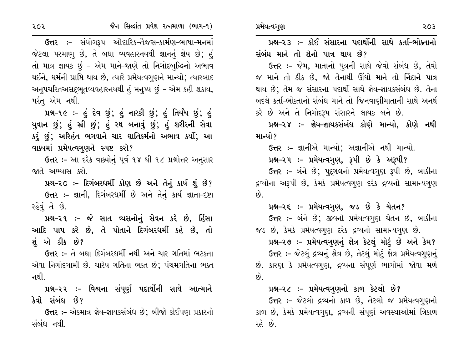૨૦૨

ઉત્તર :– સંયોગરૂપ ઔદારિક-તૈજસ-કાર્મણ-ભાષા-મનમાં જેટલા પરમાણુ છે, તે બધા વ્યવહારનયથી જ્ઞાનનું જ્ઞેય છે; હું તો માત્ર જ્ઞાયક છું - એમ માને-જાણે તો નિગોદબુદ્ધિનો અભાવ થઈને, ધર્મની પ્રાપ્તિ થાય છે, ત્યારે પ્રમેયત્વગુણને માન્યો; ત્યારબાદ અનુપચરિતઅસદ્ભૂતવ્યવહારનયથી હું મનુષ્ય છું - એમ કહી શકાય, પરંત એમ નથી.

પ્રશ્ન-૧૯ :- હું દેવ છું; હું નારકી છું; હું તિર્યંચ છું; હું યુવાન છું; હું સ્રી છું; હું રથ બનાવું છું; હું શરીરની સેવા કરું છું; અરિહંત ભગવાને ચાર ઘાતિકર્મનો અભાવ કર્યો; આ વાક્યમાં પ્રમેયત્વગુણને સ્પષ્ટ કરો?

ઉત્તર :- આ દરેક વાક્યોનું પૂર્વ ૧૪ થી ૧૮ પ્રશ્નોત્તર અનુસાર જાતે અભ્યાસ કરો.

પ્રશ્ન-૨૦ :- દિગંબરધર્મી કોણ છે અને તેનું કાર્ય શું છે? ઉત્તર :- જ્ઞાની, દિગંબરધર્મી છે અને તેનું કાર્ય જ્ઞાતા-દષ્ટા રહેવું તે છે.

પ્રશ્ન-૨૧ :- જે સાત વ્યસનોનું સેવન કરે છે, હિંસા આદિ પાપ કરે છે, તે પોતાને દિગંબરધર્મી કહે છે, તો શું એ ઠીક છે?

ઉત્તર :- તે બધા દિગંબરધર્મી નથી અને ચાર ગતિમાં ભટકતા એવા નિગોદગામી છે. ચારેય ગતિના ભક્ત છે; પંચમગતિના ભક્ત નથી.

પ્રશ્ન-૨૨ :- વિશ્વના સંપૂર્ણ પદાર્થોની સાથે આત્માને કેવો સંબંધ છે?

ઉત્તર :- એકમાત્ર જ્ઞેય-જ્ઞાયકસંબંધ છે; બીજો કોઈપણ પ્રકારનો સંબંધ નથી.

પ્રશ્ન-૨૩ :- કોઈ સંસારના પદાર્થોની સાથે કર્તા-ભોક્તાનો સંબંધ માને તો શેનો પાત્ર થાય છે?

ઉત્તર :- જેમ, માતાનો પુત્રની સાથે જેવો સંબંધ છે, તેવો જ માને તો ઠીક છે, જો તેનાથી ઊંઘો માને તો નિંદાને પાત્ર થાય છે; તેમ જ સંસારના પદાર્થો સાથે જ્ઞેય-જ્ઞાયકસંબંધ છે. તેના બદલે કર્તા-ભોક્તાનો સંબંધ માને તો જિનવાણીમાતાની સાથે અનર્થ કરે છે અને તે નિગોદરૂપ સંસારને લાયક બને છે.

પ્રશ્ન–૨૪ :– જ્ઞેય–જ્ઞાયકસંબંધ કોણે માન્યો, કોણે નથી માન્યો?

**ઉત્તર :-** જ્ઞાનીએ માન્યો; અજ્ઞાનીએ નથી માન્યો.

પ્રશ્ન-૨૫ :- પ્રમેયત્વગુણ, રૂપી છે કે અરૂપી?

ઉત્તર :- બંને છે; પુદ્ગલનો પ્રમેયત્વગુણ રૂપી છે, બાકીના દ્રવ્યોના અરૂપી છે, કેમકે પ્રમેયત્વગુણ દરેક દ્રવ્યનો સામાન્યગુણ  $\hat{g}$ .

પ્રશ્ન-૨૬ :- પ્રમેયત્વગુણ, જડ છે કે ચેતન?

ઉત્તર :- બંને છે; જીવનો પ્રમેયત્વગુણ ચેતન છે, બાકીના જડ છે, કેમકે પ્રમેયત્વગુણ દરેક દ્રવ્યનો સામાન્યગુણ છે. પ્રશ્ન-૨૭ :- પ્રમેયત્વગુણનું ક્ષેત્ર કેટલું મોટું છે અને કેમ? ઉત્તર :- જેટલું દ્રવ્યનું ક્ષેત્ર છે, તેટલું મોટું ક્ષેત્ર પ્રમેયત્વગુણનું છે. કારણ કે પ્રમેયત્વગુણ, દ્રવ્યના સંપૂર્ણ ભાગોમાં જોવા મળે

 $\hat{8}$ .

પ્રશ્ન-૨૮ :- પ્રમેયત્વગુણનો કાળ કેટલો છે?

ઉત્તર:- જેટલો દ્રવ્યનો કાળ છે, તેટલો જ પ્રમેયત્વગુણનો કાળ છે, કેમકે પ્રમેયત્વગુણ, દ્રવ્યની સંપૂર્ણ અવસ્થાઓમાં ત્રિકાળ રહે છે.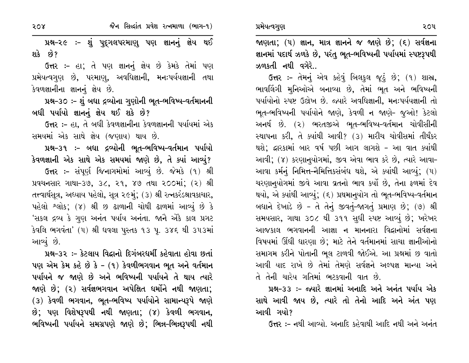પ્રમેયત્વગુણ

પ્રશ્ન-૨૯ :- શું પુદ્ગલપરમાણુ પણ જ્ઞાનનું જ્ઞેય થઈ શકે છે?

ઉત્તર :- હા; તે પણ જ્ઞાનનું જ્ઞેય છે કેમકે તેમાં પણ પ્રમેયત્વગુણ છે, પરમાણ, અવધિજ્ઞાની, મનઃપર્યયજ્ઞાની તથા કેવળજ્ઞાનીના જ્ઞાનનું જ્ઞેય છે.

પ્રશ્ન-૩૦ :- શું બધા દ્રવ્યોના ગુણોની ભૂત-ભવિષ્ય-વર્તમાનની બધી પર્યાયો જ્ઞાનનું જ્ઞેય થઈ શકે છે?

ઉત્તર :- હા, તે બધી કેવળજ્ઞાનીના કેવળજ્ઞાનની પર્યાયમાં એક સમયમાં એક સાથે જ્ઞેય (જણાય) થાય છે.

પ્રશ્ન–૩૧ :– બધા દ્રવ્યોની ભૂત–ભવિષ્ય–વર્તમાન પર્યાયો કેવળજ્ઞાની એક સાથે એક સમયમાં જાણે છે, તે ક્યાં આવ્યું? ઉત્તર :- સંપૂર્ણ જિનાગમોમાં આવ્યું છે. જેમકે (૧) શ્રી પ્રવચનસાર ગાથા-3૭, 3૮, ૨૧, ૪૭ તથા ૨૦૦માં; (૨) શ્રી તત્ત્વાર્થસૂત્ર, અઘ્યાય પહેલો, સૂત્ર ૨૯મું; (૩) શ્રી રત્નકરંડશ્રાવકાચાર, પહેલો શ્લોક; (૪) શ્રી છ ઢાળાની ચોથી ઢાળમાં આવ્યું છે કે 'સકલ દ્રવ્ય કે ગુણ અનંત પર્યાય અનંતા. જાને એકૈ કાલ પ્રગ**ટ** કેવલિ ભગવંતા' (૫) શ્રી ધવલા પસ્તક ૧૩ પુ. ૩૪૬ થી ૩૫૩માં આવ્યું છે.

પ્રશ્ન–૩૨ :– કેટલાય વિદ્વાનો દિગંબરધર્મી કહેવાતા હોવા છતાં પણ એમ કેમ કહે છે કે - (૧) કેવળીભગવાન ભૂત અને વર્તમાન પર્યાયને જ જાણે છે અને ભવિષ્યની પર્યાયને તે થાય ત્યારે જાણે છે: (૨) સર્વજ્ઞભગવાન અપેક્ષિત ધર્મોને નથી જાણતા: (3) કેવળી ભગવાન, ભૂત-ભવિષ્ય પર્યાયોને સામાન્યરૂપે જાણે છે; પણ વિશેષરૂપથી નથી જાણતા; (૪) કેવળી ભગવાન, ભવિષ્યની પર્યાયને સમગ્રપણે જાણે છે; ભિન્ન-ભિન્નરૂપથી નથી

જાણતા;  $(1)$  જ્ઞાન, માત્ર જ્ઞાનને જ જાણે છે;  $(5)$  સર્વજ્ઞના જ્ઞાનમાં પદાર્થ ઝળકે છે, પરંતુ ભૂત-ભવિષ્યની પર્યાયમાં સ્પષ્ટરૂપથી ઝળકતી નથી વગેરે..

ઉત્તર :- તેમનું એવ કહેવું બિલકુલ જૂઠું છે; (૧) શાસ્ત્ર, ભાવલિંગી મુનિઓએ બનાવ્યા છે, તેમાં ભુત અને ભવિષ્યની પર્યાયોનો સ્પષ્ટ ઉલ્રેખ છે. જ્યારે અવધિજ્ઞાની, મનઃપર્યયજ્ઞાની તો ભૂત-ભવિષ્યની પર્યાયોને જાણે, કેવળી ન જાણે- જુઓ! કેટલો અનર્થ છે. (૨) ભરતજીએ ભૂત-ભવિષ્ય-વર્તમાન ચોવીસીની સ્થાપના કરી, તે ક્યાંથી આવી? (૩) મારીચ ચોવીસમાં તીર્થંકર થશે; દ્વારકામાં બાર વર્ષ પછી આગ લાગશે - આ વાત ક્યાંથી આવી; (૪) કરણાનુયોગમાં, જીવ એવા ભાવ કરે છે, ત્યારે આવા-આવા કર્મનું નિમિત્ત-નૈમિત્તિકસંબંધ થશે, એ ક્યાંથી આવ્યું; (૫) ચરણાનયોગમાં જીવે આવા વ્રતનો ભાવ કર્યો છે, તેના ફળમાં દેવ થયો, એ ક્યાંથી આવ્યું; (૬) પ્રથમાનયોગ તો ભુત-ભવિષ્ય-વર્તમાન બધાને દેખાડે છે - તે તેનું જીવતું-જાગતું પ્રમાણ છે; (૭) શ્રી સમયસાર, ગાથા ૩૦૮ થી ૩૧૧ સુધી સ્પષ્ટ આવ્યું છે; ખરેખર આજકાલ ભગવાનની આજ્ઞા ન માનનારા વિદ્વાનોમાં સર્વજ્ઞના વિષયમાં ઊંઘી ઘારણા છે; માટે તેને વર્તમાનમાં સાચા જ્ઞાનીઓનો સમાગમ કરીને પોતાની ભુલ ટાળવી જોઈએ. આ પ્રશ્નમાં છ વાતો આવી યાદ રાખે છે તેમાં તેમણે સર્વજ્ઞને અલ્પજ્ઞ માન્યા અને તે તેની ચારેય ગતિમાં ભટકવાની વાત છે.

પ્રશ્ન–૩૩ :– જ્યારે જ્ઞાનમાં અનાદિ અને અનંત પર્યાય એક સાથે આવી જાય છે, ત્યારે તો તેનો આદિ અને અંત પણ આવી ગયો?

ઉત્તર :- નથી આવ્યો. અનાદિ કહેવાથી આદિ નથી અને અનંત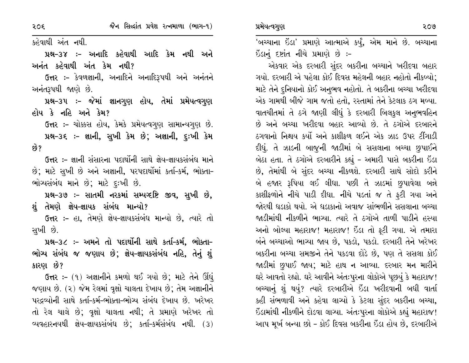કહેવાથી અંત નથી.

પ્રશ્ન–૩૪ ઃ– અનાદિ કહેવાથી આદિ કેમ નથી અને અનંત કહેવાથી અંત કેમ નથી?

ઉત્તર :- કેવળજ્ઞાની, અનાદિને અનાદિરૂપથી અને અનંતને અનંતરૂપથી જાણે છે.

પ્રશ્ન-૩૫ :- જેમાં જ્ઞાનગુણ હોય, તેમાં પ્રમેયત્વગુણ હોય કે નહિ અને કેમ?

ઉત્તર :- ચોક્કસ હોય, કેમકે પ્રમેયત્વગુણ સામાન્યગુણ છે. પ્રશ્ન-૩૬ ઃ- જ્ઞાની, સુખી કેમ છે; અજ્ઞાની, દુઃખી કેમ છે?

ઉત્તર :– જ્ઞાની સંસારના પદાર્થોની સાથે જ્ઞેય-જ્ઞાયકસંબંધ માને છે; માટે સુખી છે અને અજ્ઞાની, પરપદાર્થોમાં કર્તા-કર્મ, ભોક્તા-ભોચ્યસંબંધ માને છે; માટે દૃઃખી છે.

પ્રશ્ન-૩૭ :- સાતમી નરકમાં સમ્પષ્ટષ્ટિ જીવ, સુખી છે, શું તેમણે જ્ઞેય–જ્ઞાયક સંબંધ માન્યો?

ઉત્તર :- હા, તેમણે જ્ઞેય-જ્ઞાયકસંબંધ માન્યો છે, ત્યારે તો સુખી છે.

પ્રશ્ન-૩૮ :- અમને તો પદાર્થોની સાથે કર્તા-કર્મ, ભોક્તા-ભોગ્ય સંબંધ જ જણાય છે: જ્ઞેય-જ્ઞાયકસંબંધ નહિ, તેનું શું કારણ છે?

ઉત્તર :- (૧) અજ્ઞાનીને કમળો થઈ ગયો છે; માટે તેને ઊંઘું જણાય છે. (૨) જેમ રેલમાં વૃક્ષો ચાલતા દેખાય છે; તેમ અજ્ઞાનીને પરદ્રવ્યોની સાથે કર્તા-કર્મ-ભોક્તા-ભોગ્ય સંબંધ દેખાય છે. ખરેખર તો રેલ ચાલે છે; વૃક્ષો ચાલતા નથી; તે પ્રમાણે ખરેખર તો વ્યવહારનયથી જ્ઞેય–જ્ઞાયકસંબંધ છે; કર્તા–કર્મસંબંધ નથી.  $(3)$ 

'બચ્ચાના ઇંડા' પ્રમાણે આત્માએ કર્યું, એમ માને છે. બચ્ચાના ઇંડાનું દષ્ટાંત નીચે પ્રમાણે છે :-

એકવાર એક દરબારી સુંદર બકરીના બચ્ચાને ખરીદવા બહાર ગયો. દરબારી એ પહેલા કોઈ દિવસ મહેલની બહાર નહોતો નીકળ્યો; માટે તેને દુનિયાનો કોઈ અનુભવ નહોતો. તે બકરીના બચ્ચા ખરીદવા એક ગામથી બીજે ગામ જતો હતો, રસ્તામાં તેને કેટલાક ઠગ મળ્યા. વાતચીતમાં તે ઠગે જાણી લીધું કે દરબારી બિલકુલ અનુભવહિન છે અને બચ્ચા ખરીદવા બહાર આવ્યો છે. તે ઠગોએ દરબારને ઠગવાનો નિશ્ચય કર્યો અને કાશીકળ લઈને એક ઝાડ ઉપર ટીંગાડી દીધું. તે ઝાડની બાજૂની જાડીમાં બે સસલાના બચ્ચા છુપાઈને બેઠા હતા. તે ઠગોએ દરબારીને કહ્યું - અમારી પાસે બકરીના ઇંડા છે, તેમાંથી બે સુંદર બચ્ચા નીકળશે. દરબારી સાથે સોદો કરીને બે હજાર રૂપિયા લઈ લીધા. પછી તે ઝાડમાં છુપાવેલા બન્ને કાશીફળોને નીચે પાડી દીધા. નીચે પડતાં જ તે ફટી ગયા અને જોરથી ઘડાકો થયો. એ ઘડાકાનો અવાજ સાંભળીને સસલાના બચ્ચા જાડીમાંથી નીકળીને ભાગ્યા. ત્યારે તે ઠગોએ તાળી પાડીને હસ્યા અનો બોલ્યા મહારાજ! મહારાજ! ઇંડા તો ફટી ગયા. એ તમારા બંને બચ્ચાઓ ભાગ્યા જાય છે, પકડો, પકડો. દરબારી તેને ખરેખર બકરીના બચ્ચા સમજીને તેને પકડવા દોડે છે, પણ તે સસલા કોઈ જાડીમાં છુપાઈ જાય; માટે હાથ ન આવ્યા. દરબાર મન મારીને ઘરે આવતો રહ્યો. ઘરે આવીને અંતઃપુરના લોકોએ પૂછયું કે મહારાજ! બચ્ચાનું શું થયું? ત્યારે દરબારીએ ઇંડા ખરીદવાની બધી વાર્તા કહી સંભળાવી અને કહેવા લાગ્યો કે કેટલા સુંદર બકરીના બચ્ચા, ઇંડામાંથી નીકળીને દોડવા લાગ્યા. અંતઃપુરના લોકોએ કહ્યું મહારાજ! આપ મૂર્ખ બન્યા છો - કોઈ દિવસ બકરીના ઇંડા હોય છે, દરબારીએ

 $205$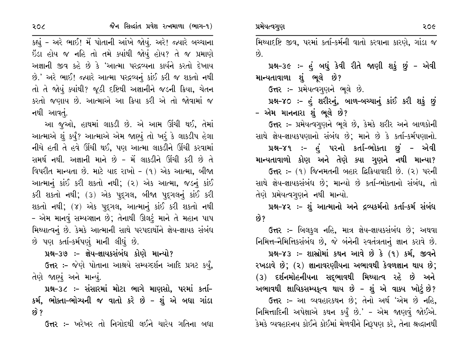| . J | પ્રનવત્પનપુરા<br>२०७                                                  |
|-----|-----------------------------------------------------------------------|
| તા  | મિથ્યાદષ્ટિ જીવ, પરમાં કર્તા-કર્મની વાતો કરવાના કારણે, ગાંડા જ        |
| ગે  | છે.                                                                   |
| ય   | પ્રશ્ન-૩૯ :- હું બધું કેવી રીતે જાણી શકું છું - એવી                   |
| યી  | માન્યતાવાળા શું ભૂલે છે?                                              |
| ન   | ઉત્તર:- પ્રમેયત્વગુણને ભૂલે છે.                                       |
| Y   | પ્રશ્ન-૪૦ :- હું શરીરનું, બાળ-બચ્ચાનું કાંઈ કરી શકું છું              |
|     | – એમ માનનારા શું ભૂલે છે?                                             |
| નાં | ઉત્તર :- પ્રમેયત્વગુણને ભૂલે છે, કેમકે શરીર અને બાળકોની               |
| 41  | સાશે લેશ-લાયકપાગાનો સંબંધ છે <sup>.</sup> માને છે કે કર્તા-કર્મપાગાનો |

 $\sum_{n=1}^{\infty}$ 

સાથ જ્ઞય-જ્ઞાયકપણાનાં સબધ છે; માને છે કે કર્તા-કર્મપણાનો. પ્રશ્ન–૪૧ :– હું પરનો કર્તા–ભોક્તા છું – એવી માન્યતાવાળો કોણ અને તેણે ક્યા ગુણને નથી માન્યા? ઉત્તર: - (૧) જિનમતની બહાર દિકિયાવાદી છે. (૨) પરની સાથે જ્ઞેય-જ્ઞાયકસંબંધ છે; માન્યો છે કર્તા-ભોક્તાનો સંબંધ, તો તેણે પ્રમેયત્વગુણને નથી માન્યો.

પ્રશ્ન-૪૨ :- શું આત્માનો અને દ્રવ્યકર્મનો કર્તા-કર્મ સંબંધ છે?

**ઉત્તર :-** બિલકુલ નહિ, માત્ર જ્ઞેય-જ્ઞાયકસંબંધ છે; અથવા નિમિત્ત-નૈમિત્તિકસંબંધ છે, જે બંનેની સ્વતંત્રતાનું જ્ઞાન કરાવે છે.

પ્રશ્ન-૪૩ :- શાસ્રોમાં કથન આવે છે કે (૧) કર્મ, જીવને રખડાવે છે; (૨) જ્ઞાનાવરણીયના અભાવથી કેવળજ્ઞાન થાય છે; (૩) દર્શનમોહનીયના સદ્દભાવથી મિથ્યાત્વ રહે છે અને અભાવથી ક્ષાયિકસમ્યકૃત્વ થાય છે – શું એ વાક્ય ખોટું છે?

ઉત્તર :- આ વ્યવહારકથન છે; તેનો અર્થ 'એમ છે નહિ, નિમિત્તાદિની અપેક્ષાએ કથન કર્યું છે.' – એમ જાણવું જોઈએ. કેમકે વ્યવહારનય કોઈને કોઈમાં મેળવીને નિરૂપણ કરે, તેના શ્રદ્ધાનથી

કહ્યું - અરે ભાઈ! મેં પોતાની આંખે જોયું. અરે! જ્યારે બચ્ચાન ઇંડા હોય જ નહિ તો તમે ક્યાંથી જોયું હોય? તે જ પ્રમાણ અજ્ઞાની જીવ કહે છે કે 'આત્મા પરદ્રવ્યના કાર્યને કરતો દેખા છે.' અરે ભાઈ! જ્યારે આત્મા પરદ્રવ્યનું કાંઈ કરી જ શકતો નથ તો તે જોયું ક્યાંથી? જૂઠી દષ્ટિથી અજ્ઞાનીને જડની ક્રિયા, ચેત કરતો જણાય છે. આત્માએ આ ક્રિયા કરી એ તો જોવામાં જ નથી આવતું.

આ જૂઓ, હાથમાં લાકડી છે. એ આમ ઊંચી થઈ, તેમ આત્માએ શું કર્યું? આત્માએ એમ જાણ્યું તો ખરૂં કે લાકડીપ હેલા નીચે હતી તે હવે ઊંચી થઈ, પણ આત્મા લાકડીને ઊંચી કરવામાં સમર્થ નથી. અજ્ઞાની માને છે - મેં લાકડીને ઊંચી કરી છે તે વિપરીત માન્યતા છે. માટે યાદ રાખો - (૧) એક આત્મા, બીજા આત્માનું કાંઈ કરી શકતો નથી; (૨) એક આત્મા, જડનું કાંઈ કરી શકતો નથી; (૩) એક પદ્ગલ, બીજા પદ્ગલનું કાંઈ કરી શકતો નથી; (૪) એક પુદ્ગલ, આત્માનું કાંઈ કરી શકતો નથી - એમ માનવું સમ્યગ્જ્ઞાન છે; તેનાથી ઊલટું માને તે મહાન પાપ મિથ્યાત્વનું છે. કેમકે આત્માની સાથે પરપદાર્થોને જ્ઞેય-જ્ઞાયક સંબંધ છે પણ કર્તા-કર્મપણું માની લીધું છે.

પ્રશ્ન–૩૭ :– જ્ઞેય–જ્ઞાયકસંબંધ કોણે માન્યો?

ઉત્તર :- જેણે પોતાના આશ્રયે સમ્યવ્દર્શન આદિ પ્રગટ કર્યું, તેણે જાણ્યું અને માન્યું.

પ્રશ્ન–૩૮ :– સંસારમાં મોટા ભાગે માણસો, પરમાં કર્તા– કર્મ, ભોક્તા-ભોગ્યની જ વાતો કરે છે - શું એ બધા ગાંડા છે ?

ઉત્તર :- ખરેખર તો નિગોદથી લઈને ચારેય ગતિના બધા

२०८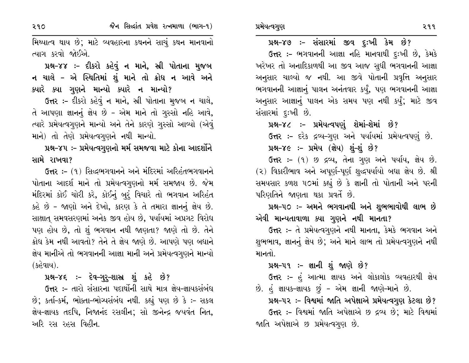પ્રમેયત્વગુણ

પ્રશ્ન-૪૭ :- સંસારમાં જીવ દુઃખી કેમ છે? ઉત્તર :- ભગવાનની આજ્ઞા નહિ માનવાથી દુઃખી છે, કેમકે ખરેખર તો અનાદિકાળથી આ જીવ આજ સુધી ભગવાનની આજ્ઞા અનુસાર ચાલ્યો જ નથી. આ જીવે પોતાની પ્રવૃત્તિ અનુસાર ભગવાનની આજ્ઞાનું પાલન અનંતવાર કર્યું, પણ ભગવાનની આજ્ઞા અનુસાર આજ્ઞાનું પાલન એક સમય પણ નથી કર્યું; માટે જીવ સંસારમાં દૃઃખી છે.

પ્રશ્ન–૪૮ :– પ્રમેયત્વપણું શેમાં–શેમાં છે? ઉત્તર :- દરેક દ્રવ્ય-ગુણ અને પર્યાયમાં પ્રમેયત્વપણું છે.

### પ્રશ્ન-૪૯ :- પ્રમેય (જ્ઞેય) શું-શું છે?

ઉત્તર :- (૧) છ દ્રવ્ય, તેના ગુણ અને પર્યાય, જ્ઞેય છે. (૨) વિકારીભાવ અને અપૂર્ણ-પૂર્ણ શુદ્ધપર્યાયો બધા જ્ઞેય છે. શ્રી સમયસાર કળશ ૫૦માં કહ્યું છે કે જ્ઞાની તો પોતાની અને પરની પરિણતિને જાણતા થકા પ્રવર્તે છે.

# પ્રશ્ન–૫૦ :– અમને ભગવાનથી અને શુભભાવોથી લાભ છે એવી માન્યતાવાળા ક્યા ગુણને નથી માનતા?

ઉત્તર :- તે પ્રમેયત્વગુણને નથી માનતા, કેમકે ભગવાન અને શુભભાવ, જ્ઞાનનું જ્ઞેય છે; અને માને લાભ તો પ્રમેયત્વગુણને નથી માનતો

### પ્રશ્ન–૫૧ :– જ્ઞાની શું જાણે છે?

ઉત્તર :- હું આત્મા જ્ઞાયક અને લોકાલોક વ્યવહારથી જ્ઞેય છે. હં જ્ઞાયક-જ્ઞાયક છું - એમ જ્ઞાની જાણે-માને છે.

પ્રશ્ન-૫૨ :- વિશ્વમાં જાતિ અપેક્ષાએ પ્રમેયત્વગુણ કેટલા છે?

ઉત્તર :- વિશ્વમાં જાતિ અપેક્ષાએ છ દ્રવ્ય છે; માટે વિશ્વમાં જાતિ અપેક્ષાએ છ પ્રમેયત્વગુણ છે.

૨૧૧

મિથ્યાત્વ થાય છે; માટે વ્યવહારના કથનને સાચું કથન માનવાનો ત્યાગ કરવો જોઈએ.

પ્રશ્ન-૪૪ :- દીકરો કહેવું ન માને, સ્રી પોતાના મુજબ ન ચાલે - એ સ્થિતિમાં શું માને તો ક્રોધ ન આવે અને ક્યારે ક્યા ગુણને માન્યો ક્યારે ન માન્યો?

ઉત્તર :- દીકરો કહેવું ન માને, સ્રી પોતાના મુજબ ન ચાલે, તે આપણા જ્ઞાનનું જ્ઞેય છે - એમ માને તો ગુસ્સો નહિ આવે, ત્યારે પ્રમેયત્વગુણને માન્યો અને તેને કારણે ગુસ્સો આવ્યો (એવું માને) તો તેણે પ્રમેયત્વગુણને નથી માન્યો.

પ્રશ્ન-૪૫ :- પ્રમેયત્વગુણનો મર્મ સમજવા માટે કોના આદર્શોને સામે રાખવા?

ઉત્તર :- (૧) સિદ્ધભગવાનને અને મંદિરમાં અરિહંતભગવાનને પોતાના આદર્શ માને તો પ્રમેયત્વગૃણનો મર્મ સમજાય છે. જેમ મંદિરમાં કોઈ ચોરી કરે, કોઈનું બરું વિચારે તો ભગવાન અરિહંત કહે છે - જાણો અને દેખો, કારણ કે તે તમારા જ્ઞાનનું જ્ઞેય છે. સાક્ષાતુ સમવસરણમાં અનેક જીવ હોય છે, પર્યાયમાં અપ્રગટ વિરોધ પણ હોય છે, તો શું ભગવાન નથી જાણતા? જાણે તો છે. તેને ક્રોધ કેમ નથી આવતો? તેને તે જ્ઞેય જાણે છે. આપણે પણ બધાને જ્ઞેય માનીએ તો ભગવાનની આજ્ઞા માની અને પ્રમેયત્વગુણને માન્યો (કહેવાય).

પ્રશ્ન-૪૬ :- દેવ-ગુરુ-શાસ્ત્ર શું કહે છે?

ઉત્તર :– તારો સંસારના પદાર્થોની સાથે માત્ર જ્ઞેય-જ્ઞાયકસંબંધ છે; કર્તા-કર્મ, ભોક્તા-ભોગ્યસંબંધ નથી. કહ્યું પણ છે કે :- સકલ જ્ઞેય-જ્ઞાયક તદપિ, નિજાનંદ રસલીન; સો જીનેન્દ્ર જયવંત નિત, અરિ રસ રહસ વિહીન.

२१०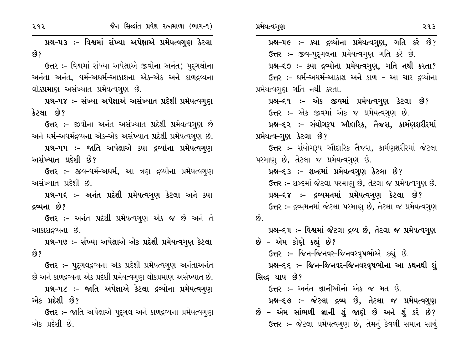| જૈન સિદ્ધાંત પ્રવેશ રત્નમાળા (ભાગ-૧)<br>૨૧૨                       | પ્રમેયત્વગુણ<br>२१३                                           |
|-------------------------------------------------------------------|---------------------------------------------------------------|
| પ્રશ્ન–૫૩ ઃ– વિશ્વમાં સંખ્યા અપેક્ષાએ પ્રમેયત્વગુણ કેટલા          | પ્રશ્ન-૫૯ :- ક્યા દ્રવ્યોના પ્રમેયત્વગુણ, ગતિ કરે છે?         |
| છે?                                                               | ઉત્તર :- જીવ-પુદ્ગલના પ્રમેયત્વગુણ ગતિ કરે છે.                |
| ઉત્તર :- વિશ્વમાં સંખ્યા અપેક્ષાએ જીવોના અનંત; પુદ્ગલોના          | પ્રશ્ન-૬૦ :- ક્યા દ્રવ્યોના પ્રમેયત્વગુણ, ગતિ નથી કરતા?       |
| અનંતા અનંત, ધર્મ-અધર્મ-આકાશના એક-એક અને કાળદ્રવ્યના               | ઉત્તર :- ધર્મ-અધર્મ-આકાશ અને કાળ - આ ચાર દ્રવ્યોના            |
| લોકપ્રમાણ અસંખ્યાત પ્રમેયત્વગુણ છે.                               | પ્રમેયત્વગુણ ગતિ નથી કરતા.                                    |
| પ્રશ્ન-૫૪ :- સંખ્યા અપેક્ષાએ અસંખ્યાત પ્રદેશી પ્રમેયત્વગુણ        | પ્રશ્ન–૬૧ :- એક જીવમાં પ્રમેયત્વગુણ કેટલા છે?                 |
| કેટલા છે?                                                         | ઉત્તર :- એક જીવમાં એક જ પ્રમેયત્વગુણ છે.                      |
| <b>ઉત્તર :-</b> જીવોના અનંત અસંખ્યાત પ્રદેશી પ્રમેયત્વગુણ છે      | પ્રશ્ન–૬૨ :– સંયોગરૂપ ઔદારિક, તૈજસ, કાર્મણશરીરમાં             |
| અને  ધર્મ-અધર્મદ્રવ્યના એક-એક અસંખ્યાત પ્રદેશી પ્રમેયત્વગુણ છે.   | પ્રમેયત્વ–ગુણ કેટલા છે?                                       |
| પ્રશ્ન–૫૫ :– જાતિ અપેક્ષાએ ક્યા દ્રવ્યોના પ્રમેયત્વગુણ            | <b>ઉત્તર :-</b> સંયોગરૂપ ઔદારિક તૈજસ, કાર્મણશરીરમાં જેટલા     |
| અસંખ્યાત પ્રદેશી છે?                                              | પરમાણુ છે, તેટલા જ પ્રમેયત્વગુણ છે.                           |
| <b>ઉત્તર :-</b> જીવ-ધર્મ-અધર્મ, આ ત્રણ દ્રવ્યોના પ્રમેયત્વગુણ     | પ્રશ્ન-૬૩ :- શબ્દમાં પ્રમેયત્વગુણ કેટલા છે?                   |
| અસંખ્યાત પ્રદેશી છે.                                              | ઉત્તર :- શબ્દમાં જેટલા પરમાણુ છે, તેટલા જ પ્રમેયત્વગુણ છે.    |
| પ્રશ્ન–૫૬ ઃ– અનંત પ્રદેશી પ્રમેયત્વગુણ કેટલા અને ક્યા             | પ્રશ્ન–૬૪ ઃ– દ્રવ્યમનમાં પ્રમેયત્વગુણ કેટલા છે?               |
| દ્રવ્યના છે?                                                      | ઉત્તર :- દ્રવ્યમનમાં જેટલા પરમાણુ છે, તેટલા જ પ્રમેયત્વગુણ    |
| ઉત્તર :- અનંત પ્રદેશી પ્રમેયત્વગુણ એક જ છે અને તે                 | છે.                                                           |
| આકાશદ્રવ્યના છે.                                                  | પ્રશ્ન-દ્દપ :- વિશ્વમાં જેટલા દ્રવ્ય છે, તેટલા જ પ્રમેયત્વગુણ |
| પ્રશ્ન–૫૭ :– સંખ્યા અપેક્ષાએ એક પ્રદેશી પ્રમેયત્વગુણ કેટલા        | છે - એમ કોણે કહ્યું છે?                                       |
| છે?                                                               | ઉત્તર :- જિન-જિનવર-જિનવરવૃષભોએ કહ્યું છે.                     |
| <b>ઉત્તર :-</b> પુદ્દગલદ્રવ્યના એક પ્રદેશી પ્રમેયત્વગુણ અનંતાઅનંત | પ્રશ્ન–૬૬ ઃ– જિન–જિનવર–જિનવરવૃષભોના આ કથનથી શું               |
| છે અને કાળદ્રવ્યના એક પ્રદેશી પ્રમેયત્વગુણ લોકપ્રમાણ અસંખ્યાત છે. | સિદ્ધ થાય છે?                                                 |
| પ્રશ્ન–૫૮ ઃ– જાતિ અપેક્ષાએ કેટલા દ્રવ્યોના પ્રમેયત્વગુણ           | <b>ઉત્તર :-</b> અનંત જ્ઞાનીઓનો એક જ મત છે.                    |
| એક પ્રદેશી છે?                                                    | પ્રશ્ન-૬૭ :- જેટલા દ્રવ્ય છે, તેટલા જ પ્રમેયત્વગુણ            |
| <b>ઉત્તર :-</b> જાતિ અપેક્ષાએ પુદ્ગલ અને કાળદ્રવ્યના પ્રમેયત્વગુણ | છે – એમ સાંભળી જ્ઞાની શું જાણે છે અને શું કરે છે?             |
| એક પ્રદેશી છે.                                                    | ઉત્તર :- જેટલા પ્રમેયત્વગુણ છે, તેમનું કેવળી સમાન સાચું       |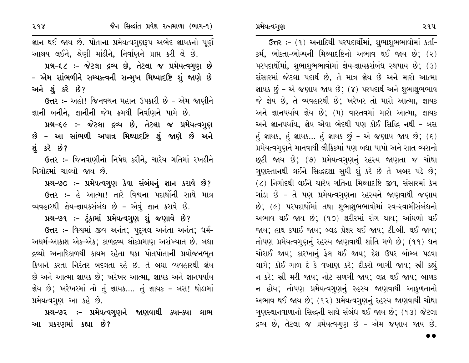ઉત્તર: - (૧) અનાદિથી પરપદાર્થોમાં, શુભાશુભભાવોમાં કર્તા-કર્મ, ભોક્તા-ભોગ્યની મિથ્યાદષ્ટિનો અભાવ થઈ જાય છે; (૨) ૫ર૫દાર્થોમાં, શુભાશુભભાવોમાં જ્ઞેય-જ્ઞાયકસંબંધ સ્થપાય છે; (3) સંસારમાં જેટલા પદાર્થ છે, તે માત્ર જ્ઞેય છે અને મારો આત્મા જ્ઞાયક છું - એ જણાય જાય છે; (૪) પરપદાર્થ અને શુભાશુભભાવ જે જ્ઞેય છે, તે વ્યવહારથી છે; ખરેખર તો મારો આત્મા, જ્ઞાયક અને જ્ઞાનપર્યાય જ્ઞેય છે; (૫) વાસ્તવમાં મારો આત્મા, જ્ઞાયક અને જ્ઞાનપર્યાય, જ્ઞેય એવા ભેદથી પણ કોઈ સિદ્ધિ નથી - બસ હું જ્ઞાયક, હું જ્ઞાયક... હું જ્ઞાયક છું – એ જણાય જાય છે;  $( \epsilon )$ પ્રમેયત્વગૃણને માનવાથી લૌકિકમાં પણ બધા પાપો અને સાત વ્યસનો છૂટી જાય છે; (૭) પ્રમેયત્વગુણનું રહસ્ય જાણતા જ ચોથા ગુણસ્તાનથી લઈને સિદ્ધદશા સુધી શું કરે છે તે ખબર પડે છે; (૮) નિગોદથી લઈને ચારેય ગતિના મિથ્યાદષ્ટિ જીવ, સંસારમાં કેમ ગાંડા છે – તે પણ પ્રમેયત્વગુણના રહસ્યને જાણવાથી જણાય છે; (૯) પરપદાર્થોમાં તથા શુભાશુભભાવોમાં સ્વ-સ્વામીસંબંધનો અભાવ થઈ જાય છે; (૧૦) શરીરમાં રોગ થાય; આંધળો થઈ જાય; હાથ કપાઈ જાય; બ્લડ પ્રેશર થઈ જાય; ટી.બી. થઈ જાય; તોપણ પ્રમેયત્વગુણનું રહસ્ય જાણવાથી શાંતિ મળે છે; (૧૧) ધન ચોરાઈ જાય; કારખાનું ફેલ થઈ જાય; દેશ ઉપર બોમ્બ પડવા લાગે; કોઈ ગાળ દે કે વખાણ કરે; દીકરો ભાગી જાય; સ્રી કહ્યું ન કરે; સ્રી મરી જાય; નોટ સળગી જાય; લચ્ન થઈ જાય; બાળક ન હોય; તોપણ પ્રમેયત્વગણનું રહસ્ય જાણવાથી આકુળતાનો અભાવ થઈ જાય છે; (૧૨) પ્રમેયત્વગુણનું રહસ્ય જાણવાથી ચોથા ગુણસ્થાનવાળાનો સિદ્ધની સાથે સંબંધ થઈ જાય છે; (૧૩) જેટલા દ્રવ્ય છે, તેટલા જ પ્રમેયત્વગુણ છે - એમ જણાય જાય છે.

જ્ઞાન થઈ જાય છે. પોતાના પ્રમેયત્વગુણરૂપ અભેદ જ્ઞાયકનો પૂર્ણ આશ્રય લઈને, શ્રેણી માંડીને, નિર્વાણને પ્રાપ્ત કરી લે છે. પ્રશ્ન-૬૮ :- જેટલા દ્રવ્ય છે, તેટલા જ પ્રમેયત્વગુણ છે - એમ સાંભળીને સમ્પક્ત્વની સન્મુખ મિથ્યાદષ્ટિ શું જાણે છે અને શું કરે છે?

ઉત્તર :- અહો! જિનવચન મહાન ઉપકારી છે - એમ જાણીને જ્ઞાની બનીને, જ્ઞાનીની જેમ ક્રમથી નિર્વાણને પામે છે.

પ્રશ્ન-૬૯ :- જેટલા દ્રવ્ય છે, તેટલા જ પ્રમેયત્વગુણ છે – આ સાંભળી અપાત્ર મિથ્યાદષ્ટિ શું જાણે છે અને શંકરે છે?

ઉત્તર :- જિનવાણીનો નિષેધ કરીને, ચારેય ગતિમાં રખડીને નિગોદમાં ચાલ્યો જાય છે.

પ્રશ્ન-૭૦ :- પ્રમેયત્વગુણ કેવા સંબંધનું જ્ઞાન કરાવે છે? **ઉત્તર :-** હે આત્મા! તારે વિશ્વના પદાર્થોની સાથે માત્ર વ્યવહારથી જ્ઞેય-જ્ઞાયકસંબંધ છે - એવું જ્ઞાન કરાવે છે.

પ્રશ્ન-૭૧ :- ટૂંકામાં પ્રમેયત્વગુણ શું જણાવે છે?

ઉત્તર :- વિશ્વમાં જીવ અનંત; પદગલ અનંતા અનંત; ધર્મ-અદ્યર્મ-આકાશ એક-એક; કાળદ્રવ્ય લોકપ્રમાણ અસંખ્યાત છે. બધા દ્રવ્યો અનાદિકાળથી કાયમ રહેતા થકા પોતપોતાની પ્રયોજનભુત ક્રિયાને કરતા નિરંતર બદલતા રહે છે. તે બધા વ્યવહારથી જ્ઞેય છે અને આત્મા જ્ઞાયક છે; ખરેખર આત્મા, જ્ઞાયક અને જ્ઞાનપર્યાય જ્ઞેય છે; ખરેખરમાં તો તું જ્ઞાયક…. તું જ્ઞાયક - બસ! થોડામાં પ્રમેયત્વગુણ આ કહે છે.

પ્રશ્ન–૭૨ :– પ્રમેયત્વગુણને જાણવાથી ક્યા–ક્યા લાભ આ પ્રકરણમાં કહ્યા છે?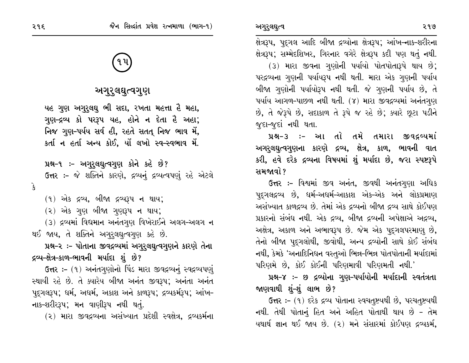ક્ષેત્રરૂપ, પુદ્ગલ આદિ બીજા દ્રવ્યોના ક્ષેત્રરૂપ; આંખ–નાક-શરીરના ક્ષેત્રરૂપ; સમ્મેદશિખર, ગિરનાર વગેરે ક્ષેત્રરૂપ કદી પણ થતું નથી. (3) મારા જીવના ગુણોની પર્યાયો પોતપોતારૂપે થાય છે; પરદ્રવ્યના ગુણની પર્યાયરૂપ નથી થતી. મારા એક ગુણની પર્યાય બીજા ગુણોની પર્યાયોરૂપ નથી થતી. જે ગુણની પર્યાય છે, તે પર્યાય આગળ-પાછળ નથી થતી. (૪) મારા જીવદ્રવ્યમાં અનંતગુણ છે, તે જેરૂપે છે, સદાકાળ તે રૂપે જ રહે છે; ક્યારે છુટા પડીને જૂદા-જૂદાં નથી થતા.

પ્રશ્ન-૩ :- આ તો તમે તમારા જીવદ્રવ્યમાં અગરુલઘુત્વગુણના કારણે દ્રવ્ય, ક્ષેત્ર, કાળ, ભાવની વાત કરી, હવે દરેક દ્રવ્યના વિષયમાં શું મર્યાદા છે, જરા સ્પષ્ટરૂપે સમજાવો ?

ઉત્તર :- વિશ્વમાં જીવ અનંત, જીવથી અનંતગુણા અધિક પુદગલદ્રવ્ય છે, ધર્મ-અધર્મ-આકાશ એક-એક અને લોકપ્રમાણ અસંખ્યાત કાળદ્રવ્ય છે. તેમાં એક દ્રવ્યનો બીજા દ્રવ્ય સાથે કોઈપણ પ્રકારનો સંબંધ નથી. એક દ્રવ્ય, બીજા દ્રવ્યની અપેક્ષાએ અદ્રવ્ય, અક્ષેત્ર, અકાળ અને અભાવરૂપ છે. જેમ એક પદુગલપરમાણુ છે, તેનો બીજા પુદ્ગલોથી, જીવોથી, અન્ય દ્રવ્યોની સાથે કોઈ સંબંધ નથી, કેમકે 'અનાદિનિધન વસ્તુઓ ભિન્ન-ભિન્ન પોતપોતાની મર્યાદામાં પરિણમે છે, કોઈ કોઈની પરિણમાવી પરિણમતી નથી.'

પ્રશ્ન-૪ :- છ દ્રવ્યોના ગુણ-પર્યાયોની મર્યાદાની સ્વતંત્રતા જાણવાથી શં–શં લાભ છે?

ઉત્તર :- (૧) દરેક દ્રવ્ય પોતાના સ્વચતૃષ્ટયથી છે, પરચતૃષ્ટયથી નથી. તેથી પોતાનું હિત અને અહિત પોતાથી થાય છે - તેમ યથાર્થ જ્ઞાન થઈ જાય છે. (૨) મને સંસારમાં કોઈપણ દ્રવ્યકર્મ,

# અગુરુલઘુત્વગુણ

યહ ગુણ અગુરુલઘુ ભી સદા, રખતા મહત્તા હૈ મહા, ગુણ-દ્રવ્ય કો પરરૂપ યહ, હોને ન દેતા હૈ અહા; નિજ ગુણ-પર્યય સર્વ હી, રહતે સતત નિજ ભાવ મેં, કર્તાન હર્તા અન્ય કોઈ, યોં લખો સ્વ-સ્વભાવ મેં.

પ્રશ્ન-૧ :- અગુરૂલઘુત્વગુણ કોને કહે છે?

ઉત્તર :- જે શક્તિને કારણે, દ્રવ્યનું દ્રવ્યત્વપણું રહે એટલે

 $\mathbf{\hat{z}}$ 

 $(9)$  એક દ્રવ્ય, બીજા દ્રવ્યરૂપ ન થાય;

(૨) એક ગુણ બીજા ગુણરૂપ ન થાય;

(3) દ્રવ્યમાં વિદ્યમાન અનંતગુણ વિખેરાઈને અલગ-અલગ ન થઈ જાય, તે શક્તિને અગુરૂલઘુત્વગુણ કહે છે.

પ્રશ્ન-૨ :- પોતાના જીવદ્રવ્યમાં અગુરૂલઘુત્વગુણને કારણે તેના દ્રવ્ય-ક્ષેત્ર-કાળ-ભાવની મર્યાદા શું છે?

ઉત્તર :- (૧) અનંતગુણોનો પિંડ મારા જીવદ્રવ્યનું સ્વદ્રવ્યપણું સ્થાયી રહે છે. તે ક્યારેય બીજા અનંત જીવરૂપ; અનંતા અનંત પદુગલરૂપ; ધર્મ, અધર્મ, અકાશ અને કાળરૂપ; દ્રવ્યકર્મરૂપ; આંખ-નાક-શરીરરૂપ; મન વાણીરૂપ નથી થતું.

(૨) મારા જીવદ્રવ્યના અસંખ્યાત પ્રદેશી સ્વક્ષેત્ર, દ્રવ્યકર્મના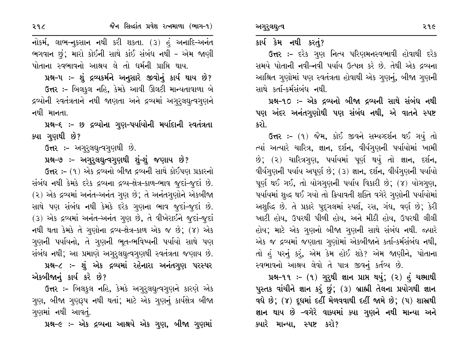### કાર્ય કેમ નથી કરતું?

ઉત્તર :- દરેક ગુણ નિત્ય પરિણમનસ્વભાવી હોવાથી દરેક સમયે પોતાની નવી-નવી પર્યાય ઉત્પન્ન કરે છે. તેથી એક દ્રવ્યના આશ્રિત ગુણોમાં પણ સ્વતંત્રતા હોવાથી એક ગુણનું, બીજા ગુણની સાથે કર્તા–કર્મસંબંધ નથી.

પ્રશ્ન-૧૦ :- એક દ્રવ્યનો બીજા દ્રવ્યની સાથે સંબંધ નથી પણ અંદર અનંતગુણોથી પણ સંબંધ નથી, એ વાતને સ્પષ્ટ કરો.

ઉત્તર :- (૧) જૈમ, કોઈ જીવને સમ્યગ્દર્શન થઈ ગયું તો ત્યાં અત્યારે ચારિત્ર, જ્ઞાન, દર્શન, વીર્યગણની પર્યાયોમાં ખામી છે; (૨) ચારિત્રગુણ, પર્યાયમાં પૂર્ણ થયું તો જ્ઞાન, દર્શન, વીર્યગુણની પર્યાય અપૂર્ણ છે; (૩) જ્ઞાન, દર્શન, વીર્યગુણની પર્યાયો પૂર્ણ થઈ ગઈ, તો યોગગણની પર્યાય વિકારી છે; (૪) યોગગણ, પર્યાયમાં શુદ્ધ થઈ ગયો તો ક્રિયાવતી શક્તિ વગેરે ગુણોની પર્યાયોમાં અશુદ્ધિ છે. તે પ્રકારે પદ્ગલમાં સ્પર્શ, રસ, ગંધ, વર્ણ છે; કેરી ખાટી હોય, ઉપરથી પીળી હોય, અને મીઠી હોય, ઉપરથી લીલી હોય; માટે એક ગુણનો બીજા ગુણની સાથે સંબંધ નથી. જ્યારે એક જ દ્રવ્યમાં જણાતા ગુણોમાં એકબીજાને કર્તા-કર્મસંબંધ નથી, તો હું પરનું કરું, એમ કેમ હોઈ શકે? એમ જાણીને, પોતાના સ્વભાવનો આશ્રય લેવો તે પાત્ર જીવનું કર્તવ્ય છે.

પ્રશ્ન-૧૧ :- (૧) ગુરૂથી જ્ઞાન પ્રાપ્ત થયું; (૨) હં ચક્ષ્માથી પુસ્તક વાંચીને જ્ઞાન કરૂં છું; (૩) બ્રાહ્મી તેલના પ્રયોગથી જ્ઞાન વધે છે; (૪) દૂધમાં દહીં મેળવવાથી દહીં જામે છે; (૫) શાસ્રથી જ્ઞાન થાય છે –વગેરે વાક્યમાં ક્યા ગુણને નથી માન્યા અને ક્યારે માન્યા, સ્પષ્ટ કરો?

જૈન સિલ્દાંત પ્રવેશ રત્નમાળા (ભાગ-૧)

પ્રશ્ન-૫ ઃ- શું દ્રવ્યકર્મને અનુસારે જીવોનું કાર્ય થાય છે? ઉત્તર :- બિલકુલ નહિ, કેમકે આવી ઊલટી માન્યતાવાળા બે દ્રવ્યોની સ્વતંત્રતાને નથી જાણતા અને દ્રવ્યમાં અગુરૂલઘુત્વગુણને નથી માનતા.

પ્રશ્ન-૬ :- છ દ્રવ્યોના ગુણ-પર્યાયોની મર્યાદાની સ્વતંત્રતા ક્યા ગુણથી છે?

ઉત્તર:- અગુરૂલઘૂત્વગુણથી છે.

પ્રશ્ન-૭ :- અગુરૂલઘુત્વગુણથી શું-શું જણાય છે?

ઉત્તર :- (૧) એક દ્રવ્યનો બીજા દ્રવ્યની સાથે કોઈપણ પ્રકારનો સંબંધ નથી કેમકે દરેક દ્રવ્યના દ્રવ્ય-ક્ષેત્ર-કાળ-ભાવ જૂદાં-જૂદાં છે. (૨) એક દ્રવ્યમાં અનંત-અનંત ગુણ છે; તે અનંતગુણોને એકબીજા સાથે પણ સંબંધ નથી કેમકે દરેક ગુણના ભાવ જુદાં-જુદાં છે. (3) એક દ્રવ્યમાં અનંત-અનંત ગુણ છે, તે વીખેરાઈને જુદાં-જુદાં નથી થતા કેમકે તે ગુણોના દ્રવ્ય-ક્ષેત્ર-કાળ એક જ છે; (૪) એક ગુણની પર્યાયનો, તે ગુણની ભૂત-ભવિષ્યની પર્યાયો સાથે પણ સંબંધ નથી; આ પ્રમાણે અગુરુલઘુત્વગુણથી સ્વતંત્રતા જણાય છે.

પ્રશ્ન-૮ :- શું એક દ્રવ્યમાં રહેનારા અનંતગુણ પરસ્પર એકબીજાનું કાર્ય કરે છે?

ઉત્તર :- બિલકુલ નહિ, કેમકે અગુરૂલઘુત્વગુણને કારણે એક ગુણ, બીજા ગુણરૂપ નથી થતાં; માટે એક ગુણનું કાર્યક્ષેત્ર બીજા ગણમાં નથી આવતું.

પ્રશ્ન-૯ :- એક દ્રવ્યના આશ્રયે એક ગુણ, બીજા ગુણમાં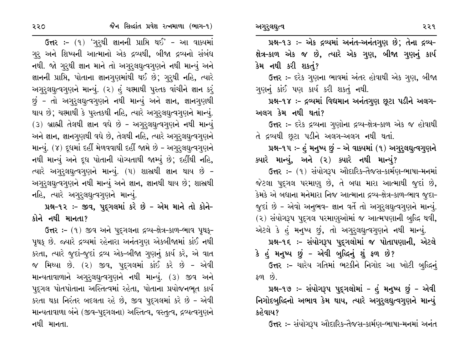જૈન સિલ્દાંત પ્રવેશ રત્નમાળા (ભાગ-૧)

ઉત્તર :- (૧) 'ગુરુથી જ્ઞાનની પ્રાપ્તિ થઈ' - આ વાક્યમાં ગુરુ અને શિષ્યની આત્માનો એક દ્રવ્યથી, બીજા દ્રવ્યનો સંબંધ નથી. જો ગુરૂથી જ્ઞાન માને તો અગુરૂલઘુત્વગુણને નથી માન્યું અને જ્ઞાનની પ્રાપ્તિ, પોતાના જ્ઞાનગુણમાંથી થઈ છે; ગુરુથી નહિ, ત્યારે અગુરુલઘુત્વગુણને માન્યું. (૨) હું ચશ્માથી પુસ્તક વાંચીને જ્ઞાન કરું છું - તો અગુરુલઘુત્વગુણને નથી માન્યું અને જ્ઞાન, જ્ઞાનગુણથી થાય છે; ચશ્માથી કે પુસ્તકથી નહિ, ત્યારે અગુરૂલઘુત્વગુણને માન્યું.  $(3)$  બ્રાહ્મી તેલથી જ્ઞાન વધે છે - અગુરૂલઘૃત્વગૃણને નથી માન્યું અને જ્ઞાન, જ્ઞાનગુણથી વધે છે, તેલથી નહિ, ત્યારે અગુરૂલઘૃત્વગુણને માન્યું. (૪) દૂધમાં દહીં મેળવવાથી દહીં જામે છે - અગુરુલઘુત્વગુણને નથી માન્યું અને દૂધ પોતાની યોગ્યતાથી જામ્યું છે; દહીંથી નહિ, ત્યારે અગુરૂલઘુત્વગુણને માન્યું. (૫) શાસ્રથી જ્ઞાન થાય છે – અગુરૂલઘુત્વગુણને નથી માન્યું અને જ્ઞાન, જ્ઞાનથી થાય છે; શાસ્રથી નહિ, ત્યારે અગુરૂલઘુત્વગુણને માન્યું.

પ્રશ્ન-૧૨ :- જીવ, પુદ્દગલમાં કરે છે - એમ માને તો કોને-કોને નથી માનતા?

ઉત્તર: - (૧) જીવ અને પદ્ગલના દ્રવ્ય-ક્ષેત્ર-કાળ-ભાવ પૃથક્-પૃથક છે. જ્યારે દ્રવ્યમાં રહેનારા અનંતગુણ એકબીજામાં કાંઈ નથી કરતા, ત્યારે જુદાં-જુદાં દ્રવ્ય એક-બીજા ગુણનું કાર્ય કરે, એ વાત જ મિથ્યા છે. (૨) જીવ, પુદ્ગલમાં કાંઈ કરે છે - એવી માન્યતાવાળાને અગુરુલઘુત્વગુણને નથી માન્યું. (3) જીવ અને પદુગલ પોતપોતાના અસ્તિત્વમાં રહેતા, પોતાના પ્રયોજનભૂત કાર્ય કરતા થકા નિરંતર બદલતા રહે છે, જીવ પદ્ગલમાં કરે છે - એવી માન્યતાવાળા બંને (જીવ-પુદ્ગલના) અસ્તિત્વ, વસ્તૃત્વ, દ્રવ્યત્વગુણને નથી માનતા.

પ્રશ્ન-૧૩ :- એક દ્રવ્યમાં અનંત-અનંતગુણ છે; તેના દ્રવ્ય-ક્ષેત્ર–કાળ એક જ છે, ત્યારે એક ગુણ, બીજા ગુણનું કાર્ય કેમ નથી કરી શકતું?

ઉત્તર :- દરેક ગુણના ભાવમાં અંતર હોવાથી એક ગુણ, બીજા ગુણનું કાંઈ પણ કાર્ય કરી શકતું નથી.

પ્રશ્ન-૧૪ :- દ્રવ્યમાં વિદ્યમાન અનંતગુણ છુટા પડીને અલગ-અલગ કેમ નથી થતાં?

ઉત્તર :- દરેક દ્રવ્યના ગુણોના દ્રવ્ય-ક્ષેત્ર-કાળ એક જ હોવાથી તે દ્રવ્યથી છુટા પડીને અલગ-અલગ નથી થતાં.

પ્રશ્ન-૧૫ :- હું મનુષ્ય છું - એ વાક્યમાં (૧) અગુરુલઘુત્વગુણને ક્યારે માન્યું, અને (૨) ક્યારે નથી માન્યું?

ઉત્તર :- (૧) સંયોગરૂપ ઔદારિક-તૈજસ-કાર્મણ-ભાષા-મનમાં જેટલા પુદ્ગલ પરમાણુ છે, તે બધા મારા આત્માથી જુદાં છે, કેમકે એ બધાના મનેમારા નિજ આત્માના દ્રવ્ય-ક્ષેત્ર-કાળ-ભાવ જુદા-જુદાં છે - એવો અનુભવ- જ્ઞાન વર્તે તો અગુરૂલઘુત્વગુણને માન્યું. (૨) સંયોગરૂપ પુદ્ગલ પરમાણુઓમાં જ આત્મપણાની બુદ્ધિ થવી, એટલે કે હું મનુષ્ય છું, તો અગુરુલઘુત્વગુણને નથી માન્યું.

પ્રશ્ન-૧૬ :- સંયોગરૂપ પુદ્દગલોમાં જ પોતાપણાની, એટલે

કે હું મનુષ્ય છું – એવી બુદ્ધિનું શું ફળ છે? ઉત્તર :- ચારેય ગતિમાં ભટકીને નિગોદ આ ખોટી બુદ્ધિનું  $\mathfrak{so}$   $\mathfrak{b}$ .

પ્રશ્ન-૧૭ :- સંયોગરૂપ પુદ્દગલોમાં - હું મનુષ્ય છું - એવી નિગોદબુદ્ધિનો અભાવ કેમ થાય, ત્યારે અગુરૂલઘુત્વગુણને માન્યું કહેવાય?

ઉત્તર :- સંયોગરૂપ ઔદારિક-તૈજસ-કાર્મણ-ભાષા-મનમાં અનંત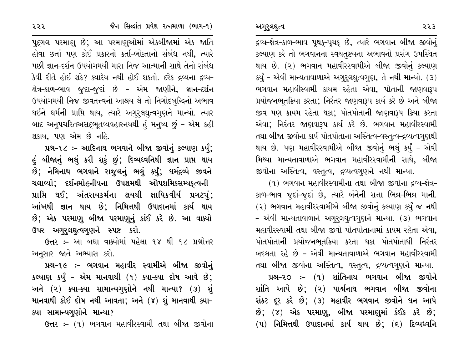દ્રવ્ય-ક્ષેત્ર-કાળ-ભાવ પૃથક્-પૃથક્ છે, ત્યારે ભગવાન બીજા જીવોનું કલ્યાણ કરે તો ભગવાનના સ્વચતુષ્ટયના અભાવનો પ્રસંગ ઉપસ્થિત થાય છે. (૨) ભગવાન મહાવીરસ્વામીએ બીજા જીવોનું કલ્યાણ કર્યું - એવી માન્યતાવાળાએ અગુરુલઘુત્વગુણ, તે નથી માન્યો. (3) ભગવાન મહાવીસ્વામી કાયમ રહેતા એવા, પોતાની જાણવારૂપ પ્રયોજનભૂતક્રિયા કરતા; નિરંતર જાણવારૂપ કાર્ય કરે છે અને બીજા જીવ પણ કાયમ રહેતા થકા; પોતપોતાની જાણવારૂપ ક્રિયા કરતા એવા; નિરંતર જાણવારૂપ કાર્ય કરે છે. ભગવાન મહાવીરસ્વામી તથા બીજા જીવોના કાર્ય પોતપોતાના અસ્તિત્વ-વસ્તૃત્વ-દ્રવ્યત્વગુણથી થાય છે. પણ મહાવીરસ્વામીએ બીજા જીવોનું ભલું કર્યું – એવી મિથ્યા માન્યતાવાળાએ ભગવાન મહાવીરસ્વામીની સાથે, બીજા જીવોના અસ્તિત્વ, વસ્તૃત્વ, દ્રવ્યત્વગુણને નથી માન્યા.

(૧) ભગવાન મહાવીરસ્વામીના તથા બીજા જીવોના દ્રવ્ય-ક્ષેત્ર-કાળ-ભાવ જુદાં-જુદાં છે, ત્યારે બંનેની સત્તા ભિન્ન-ભિન્ન માની. (૨) ભગવાન મહાવીરસ્વામીએ બીજા જીવોનું કલ્યાણ કર્યું જ નથી – એવી માન્યતાવાળાને અગુરૂલઘુત્વગુણને માન્યા. (૩) ભગવાન મહાવીરસ્વામી તથા બીજા જીવો પોતપોતાનામાં કાયમ રહેતા એવા. પોતપોતાની પ્રયોજનભૂતક્રિયા કરતા થકા પોતપોતાથી નિરંતર બદલતા રહે છે – એવી માન્યતાવાળાએ ભગવાન મહાવીરસ્વામી તથા બીજા જીવોના અસ્તિત્વ, વસ્તુત્વ, દ્રવ્યત્વગુણને માન્યા.

પ્રશ્ન-૨૦ :- (૧) શાંતિનાથ ભગવાન બીજા જીવોને શાંતિ આપે છે; (૨) પાર્શ્વનાથ ભગવાન બીજા જીવોના સંકટ દૂર કરે છે; (3) મહાવીર ભગવાન જીવોને ધન આપે છે; (૪) એક પરમાણ, બીજા પરમાણમાં કંઈક કરે છે;  $(4)$  નિમિત્તથી ઉપાદાનમાં કાર્ય થાય છે;  $(5)$  દિવ્યધ્વનિ

પુદ્ગલ પરમાણુ છે; આ પરમાણુઓમાં એકબીજામાં એક જાતિ હોવા છતાં પણ કોઈ પ્રકારનો કર્તા-ભોક્તાનો સંબંધ નથી, ત્યારે પછી જ્ઞાન-દર્શન ઉપયોગમયી મારા નિજ આત્માની સાથે તેનો સંબંધ કેવી રીતે હોઈ શકે? ક્યારેય નથી હોઈ શકતો. દરેક દ્રવ્યના દ્રવ્ય-ક્ષેત્ર-કાળ-ભાવ જુદા-જુદાં છે - એમ જાણીને, જ્ઞાન-દર્શન ઉપયોગમયી નિજ જીવતત્ત્વનો આશ્રય લે તો નિગોદબુદ્ધિનો અભાવ થઈને ધર્મની પ્રાપ્તિ થાય, ત્યારે અગુરૂલઘુત્વગુણને માન્યો. ત્યાર બાદ અનુપચરિતઅસદ્ભૂતવ્યવહારનયથી હું મનુષ્ય છું - એમ કહી શકાય, પણ એમ છે નહિ.

પ્રશ્ન-૧૮ :- આદિનાથ ભગવાને બીજા જીવોનું કલ્યાણ કર્યું; હું બીજાનું ભલું કરી શકું છું; દિવ્યધ્વનિથી જ્ઞાન પ્રાપ્ત થાય છે; નેમિનાથ ભગવાને રાજુલનું ભલું કર્યું; ધર્મદ્રવ્યે જીવને ચલાવ્યો; દર્શનમોહનીયના ઉપશમથી ઔપશમિકસમ્યફત્વની પ્રાપ્તિ થઈ; અંતરાયકર્મના ક્ષયથી ક્ષાયિકવીર્ય પ્રગટચં; આંખથી જ્ઞાન થાય છે; નિમિત્તથી ઉપાદાનમાં કાર્ય થાય છે; એક પરમાણુ બીજા પરમાણુનું કાંઈ કરે છે. આ વાક્યો ઉપર અગુરૂલઘૂત્વગૃણને સ્પષ્ટ કરો.

ઉત્તર :- આ બધા વાક્યોમાં પહેલા ૧૪ થી ૧૮ પ્રશ્નોત્તર અનુસાર જાતે અભ્યાસ કરો.

પ્રશ્ન-૧૯ :- ભગવાન મહાવીર સ્વામીએ બીજા જીવોનું કલ્યાણ કર્યું – એમ માનવાથી (૧) ક્યા-ક્યા દોષ આવે છે; અને (૨) ક્યા-ક્યા સામાન્યગુણોને નથી માન્યા? (૩) શું માનવાથી કોઈ દોષ નથી આવતા; અને (૪) શું માનવાથી ક્યા– ક્યા સામાન્યગુણોને માન્યા?

ઉત્તર :- (૧) ભગવાન મહાવીરસ્વામી તથા બીજા જીવોના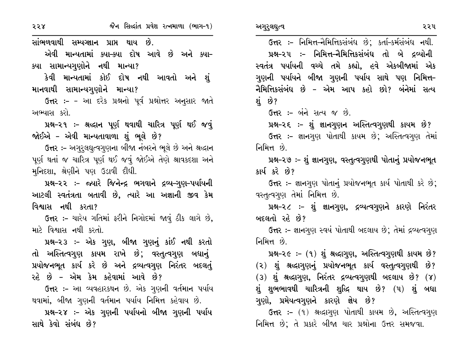સાંભળવાથી સમ્પગ્નાન પ્રાપ્ત થાય છે.

એવી માન્યતામાં ક્યા–ક્યા દોષ આવે છે અને ક્યા– ક્યા સામાન્યગુણોને નથી માન્યા?

કેવી માન્યતામાં કોઈ દોષ નથી આવતો અને શું માનવાથી સામાન્યગુણોને માન્યા?

ઉત્તર :- - આ દરેક પ્રશ્નનો પૂર્વ પ્રશ્નોત્તર અનુસાર જાતે અભ્યાસ કરો.

પ્રશ્ન-૨૧ :- શ્રદ્ધાન પૂર્ણ થવાથી ચારિત્ર પૂર્ણ થઈ જવું જોઈએ – એવી માન્યતાવાળા શું ભૂલે છે?

ઉત્તર :- અગુરૂલઘુત્વગુણના બીજા નંબરને ભૂલે છે અને શ્રદ્ધાન પૂર્ણ થતાં જ ચારિત્ર પૂર્ણ થઈ જવું જોઈએ તેણે શ્રાવકદશા અને મુનિદશા, શ્રેણીને પણ ઉડાવી દીધી.

પ્રશ્ન-૨૨ :- જ્યારે જિનેન્દ્ર ભગવાને દ્રવ્ય-ગુણ-પર્યાયની આટલી સ્વતંત્રતા બતાવી છે, ત્યારે આ અજ્ઞાની જીવ કેમ વિશ્વાસ નથી કરતા?

ઉત્તર :- ચારેય ગતિમાં ફરીને નિગોદમાં જાવું ઠીક લાગે છે, માટે વિશ્વાસ નથી કરતો.

પ્રશ્ન-૨૩ :- એક ગુણ, બીજા ગુણનું કાંઈ નથી કરતો તો અસ્તિત્વગુણ કાયમ રાખે છે; વસ્તુત્વગુણ બધાનું પ્રયોજનભૂત કાર્ય કરે છે અને દ્રવ્યત્વગુણ નિરંતર બદલતું રહે છે – એમ કેમ કહેવામાં આવે છે?

ઉત્તર :- આ વ્યવહારકથન છે. એક ગુણની વર્તમાન પર્યાય થવામાં, બીજા ગુણની વર્તમાન પર્યાય નિમિત્ત કહેવાય છે.

પ્રશ્ન–૨૪ :– એક ગુણની પર્યાયનો બીજા ગુણની પર્યાય સાથે કેવો સંબંધ છે?

અગુરુલઘુત્વ

ઉત્તર :- નિમિત્ત-નૈમિત્તિકસંબંધ છે; કર્તા-કર્મસંબંધ નથી. પ્રશ્ન-૨૫ :- નિમિત્ત-નૈમિત્તિકસંબંધ તો બે દ્રવ્યોની સ્વતંત્ર પર્યાયની વચ્ચે તમે કહ્યો, હવે એકબીજામાં એક ગુણની પર્યાયને બીજા ગુણની પર્યાય સાથે પણ નિમિત્ત-નૈમિત્તિકસંબંધ છે – એમ આપ કહો છો? બંનેમાં સત્ય શું છે?

**ઉત્તર :-** બંને સત્ય જ છે.

પ્રશ્ન-૨૬ :- શું જ્ઞાનગુણન અસ્તિત્વગુણથી કાયમ છે?

ઉત્તર :- જ્ઞાનગુણ પોતાથી કાયમ છે; અસ્તિત્વગુણ તેમાં નિમિત્ત છે.

પ્રશ્ન-૨૭ :- શું જ્ઞાનગુણ, વસ્તુત્વગુણથી પોતાનું પ્રયોજનભૂત કાર્ય કરે છે?

ઉત્તર :- જ્ઞાનગણ પોતાનું પ્રયોજનભૂત કાર્ય પોતાથી કરે છે; વસ્તૃત્વગુણ તેમાં નિમિત્ત છે.

પ્રશ્ન-૨૮ :- શું જ્ઞાનગુણ, દ્રવ્યત્વગૃણને કારણે નિરંતર બદલતો રહે છે?

ઉત્તર :- જ્ઞાનગણ સ્વયં પોતાથી બદલાય છે; તેમાં દ્રવ્યત્વગણ નિમિત્ત છે.

પ્રશ્ન-૨૯ :- (૧) શું શ્રદ્ધાગુણ, અસ્તિત્વગુણથી કાયમ છે?

(૨) શું શ્રઘ્દાગુણનું પ્રયોજનભૂત કાર્ય વસ્તુત્વગુણથી છે?

 $(3)$  શું શ્રદ્ધાગુણ, નિરંતર દ્રવ્યત્વગુણથી બદલાય છે? (૪) શું શુભભાવથી ચારિત્રની શુદ્ધિ થાય છે? (૫) શું બધા ગુણો, પ્રમેયત્વગુણને કારણે જ્ઞેય છે?

ઉત્તર :- (૧) શ્રદ્ધાગુણ પોતાથી કાયમ છે, અસ્તિત્વગુણ નિમિત્ત છે; તે પ્રકારે બીજા ચાર પ્રશ્નોના ઉત્તર સમજવા.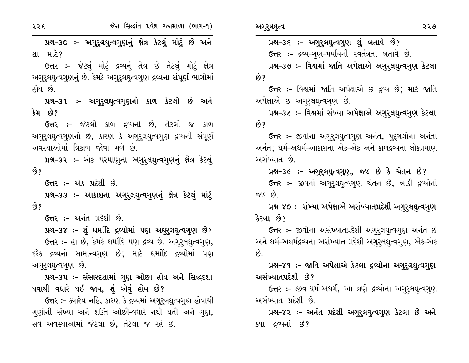પ્રશ્ન-૩૦ :- અગુરૂલઘુત્વગુણનું ક્ષેત્ર કેટલું મોટું છે અને શા માટે?

ઉત્તર :- જેટલું મોટું દ્રવ્યનું ક્ષેત્ર છે તેટલું મોટું ક્ષેત્ર અગુરૂલઘુત્વગુણનું છે. કેમકે અગુરૂલઘુત્વગુણ દ્રવ્યના સંપૂર્ણ ભાગોમાં હોય છે.

પ્રશ્ન–૩૧ ઃ– અગુરૂલઘુત્વગુણનો કાળ કેટલો છે અને કેમ છે?

**ઉત્તર :-** જેટલો કાળ દ્રવ્યનો છે. તેટલો જ કાળ અગુરૂલઘુત્વગુણનો છે, કારણ કે અગુરૂલઘુત્વગુણ દ્રવ્યની સંપૂર્ણ અવસ્થાઓમાં ત્રિકાળ જોવા મળે છે.

પ્રશ્ન-૩૨ :- એક પરમાણુના અગુરુલઘુત્વગુણનું ક્ષેત્ર કેટલું છે?

ઉત્તર :- એક પ્રદેશી છે.

રરદ

પ્રશ્ન-૩૩ :- આકાશના અગુરૂલઘુત્વગુણનું ક્ષેત્ર કેટલું મોટું છે?

ઉત્તર :- અનંત પ્રદેશી છે.

પ્રશ્ન-૩૪ :- શું ધર્માદિ દ્રવ્યોમાં પણ અઘુરૂલઘુત્વગુણ છે? ઉત્તર :- હા છે, કેમકે ધર્માદિ પણ દ્રવ્ય છે. અગુરુલઘુત્વગુણ, દરેક દ્રવ્યનો સામાન્યગુણ છે; માટે ધર્માદિ દ્રવ્યોમાં પણ અગુરૂલઘુત્વગુણ છે.

પ્રશ્ન-૩૫ :- સંસારદશામાં ગુણ ઓછા હોય અને સિદ્ધદશા થવાથી વધારે થઈ જાય, શું એવું હોય છે?

ઉત્તર :- ક્યારેય નહિ, કારણ કે દ્રવ્યમાં અગુરૂલઘૃત્વગુણ હોવાથી ગણોની સંખ્યા અને શક્તિ ઓછી-વધારે નથી થતી અને ગણ, સર્વ અવસ્થાઓમાં જેટલા છે, તેટલા જ રહે છે.

પ્રશ્ન–૩૬ :– અગુરૂલઘુત્વગુણ શું બતાવે છે?

ઉત્તર :- દ્રવ્ય-ગુણ-પર્યાયની સ્વતંત્રતા બતાવે છે.

પ્રશ્ન-૩૭ :- વિશ્વમાં જાતિ અપેક્ષાએ અગુરૂલઘૃત્વગુણ કેટલા છે?

ઉત્તર :- વિશ્વમાં જાતિ અપેક્ષાએ છ દ્રવ્ય છે: માટે જાતિ અપેક્ષાએ છ અગુરૂલઘુત્વગુણ છે.

પ્રશ્ન-૩૮ :- વિશ્વમાં સંખ્યા અપેક્ષાએ અગુરૂલઘૂત્વગુણ કેટલા છે?

ઉત્તર :- જીવોના અગુરૂલઘુત્વગુણ અનંત, પુદુગલોના અનંતા અનંત; ધર્મ-અધર્મ-આકાશના એક-એક અને કાળદ્રવ્યના લોકપ્રમાણ અસંખ્યાત છે.

પ્રશ્ન-૩૯ :- અગુરુલઘુત્વગુણ, જડ છે કે ચેતન છે? ઉત્તર :- જીવનો અગુરૂલઘુત્વગુણ ચેતન છે, બાકી દ્રવ્યોનો  $\alpha s$   $\beta$ .

પ્રશ્ન-૪૦ :- સંખ્યા અપેક્ષાએ અસંખ્યાતપ્રદેશી અગુરૂલઘૂત્વગુણ કેટલા છે?

ઉત્તર :- જીવોના અસંખ્યાતપ્રદેશી અગુરૂલઘુત્વગુણ અનંત છે અને ધર્મ-અધર્મદ્રવ્યના અસંખ્યાત પ્રદેશી અગરલઘત્વગણ, એક-એક  $\hat{\omega}$ 

પ્રશ્ન-૪૧ :- જાતિ અપેક્ષાએ કેટલા દ્રવ્યોના અગુરૂલઘૂત્વગુણ અસંખ્યાતપ્રદેશી છે?

ઉત્તર :- જીવ-ધર્મ-અધર્મ, આ ત્રણે દ્રવ્યોના અગુરૂલઘૃત્વગુણ અસંખ્યાત પ્રદેશી છે.

પ્રશ્ન–૪૨ ઃ– અનંત પ્રદેશી અગુરૂલઘુત્વગુણ કેટલા છે અને ક્યા દ્રવ્યનો છે?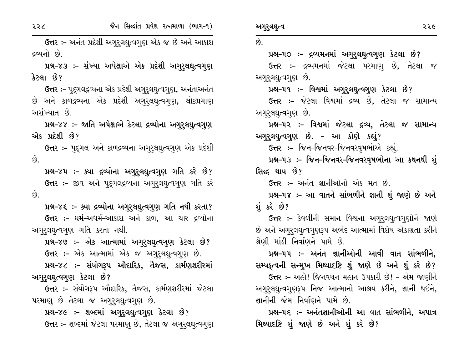૨૨૮

ઉત્તર :- અનંત પ્રદેશી અગુરુલઘુત્વગુણ એક જ છે અને આકાશ દ્રવ્યનો છે.

પ્રશ્ન–૪૩ :– સંખ્યા અપેક્ષાએ એક પ્રદેશી અગુરૂલઘુત્વગુણ કેટલા છે?

ઉત્તર :- પુદ્ગલદ્રવ્યના એક પ્રદેશી અગુરુલઘુત્વગુણ, અનંતાઅનંત છે અને કાળદ્રવ્યના એક પ્રદેશી અગુરૂલઘૃત્વગુણ, લોકપ્રમાણ અસંખ્યાત છે.

પ્રશ્ન-૪૪ :- જાતિ અપેક્ષાએ કેટલા દ્રવ્યોના અગુરૂલઘુત્વગુણ એક પ્રદેશી છે?

**ઉત્તર :-** પદ્ગલ અને કાળદ્રવ્યના અગુરૂલઘુત્વગુણ એક પ્રદેશી છે.

પ્રશ્ન-૪૫ :- ક્યા દ્રવ્યોના અગુરૂલઘુત્વગુણ ગતિ કરે છે? ઉત્તર :- જીવ અને પદ્ગલદ્રવ્યના અગુરૂલઘુત્વગુણ ગતિ કરે  $\hat{g}$ .

પ્રશ્ન-૪૬ ઃ- ક્યા દ્રવ્યોના અગુરૂલઘૂત્વગુણ ગતિ નથી કરતા? ઉત્તર :- ધર્મ-અધર્મ-આકાશ અને કાળ, આ ચાર દ્રવ્યોના અગુરૂલઘુત્વગુણ ગતિ કરતા નથી.

પ્રશ્ન-૪૭ :- એક આત્મામાં અગુરૂલઘૂત્વગુણ કેટલા છે? ઉત્તર :- એક આત્મામાં એક જ અગુરૂલઘુત્વગુણ છે.

પ્રશ્ન-૪૮ :- સંયોગરૂપ ઔદારિક, તૈજસ, કાર્મણશરીરમાં અગુરૂલઘુત્વગુણ કેટલા છે?

ઉત્તર :- સંયોગરૂપ ઔદારિક, તૈજસ, કાર્મણશરીરમાં જેટલા પરમાણુ છે તેટલા જ અગુરૂલઘુત્વગુણ છે.

પ્રશ્ન-૪૯ :- શબ્દમાં અગુરૂલઘુત્વગુણ કેટલા છે?

ઉત્તર :- શબ્દમાં જેટલા પરમાણુ છે, તેટલા જ અગુરૂલઘૂત્વગુણ

 $\hat{Q}$ 

પ્રશ્ન-૫૦ :- દ્રવ્યમનમાં અગુરૂલઘૂત્વગુણ કેટલા છે?

ઉત્તર :- દ્રવ્યમનમાં જેટલા પરમાણુ છે, તેટલા જ અગુરૂલઘુત્વગુણ છે.

પ્રશ્ન-૫૧ ઃ- વિશ્વમાં અગુરૂલઘુત્વગુણ કેટલા છે?

ઉત્તર :- જેટલા વિશ્વમાં દ્રવ્ય છે, તેટલા જ સામાન્ય અગુરૂલઘુત્વગુણ છે.

પ્રશ્ન-૫૨ :- વિશ્વમાં જેટલા દ્રવ્ય, તેટલા જ સામાન્ય અગુરૂલઘુત્વગુણ છે. – આ કોણે કહ્યું?

ઉત્તર :- જિન-જિનવર-જિનવરવૃષભોએ કહ્યું.

પ્રશ્ન-૫૩ :- જિન-જિનવર-જિનવરવૃષભોના આ કથનથી શું સિલ્દ થાય છે?

ઉત્તર :- અનંત જ્ઞાનીઓનો એક મત છે.

પ્રશ્ન-૫૪ :- આ વાતને સાંભળીને જ્ઞાની શું જાણે છે અને શંકરે છે?

**ઉત્તર :-** કેવળીની સમાન વિશ્વના અગુરૂલઘુત્વગુણોને જાણે છે અને અગુરૂલઘુત્વગુણરૂપ અભેદ આત્મામાં વિશેષ એકાગ્રતા કરીને શ્રેણી માંડી નિર્વાણને પામે છે.

પ્રશ્ન–૫૫ :– અનંત જ્ઞાનીઓની આવી વાત સાંભળીને, સમ્પક્ત્વની સન્મુખ મિથ્યાદષ્ટિ શું જાણે છે અને શું કરે છે?

ઉત્તર :- અહો! જિનવચન મહાન ઉપકારી છે! - એમ જાણીને અગુરુલઘુત્વગુણરૂપ નિજ આત્માનો આશ્રય કરીને, જ્ઞાની થઈને, જ્ઞાનીની જેમ નિર્વાણને પામે છે.

પ્રશ્ન–૫૬ ઃ– અનંતજ્ઞાનીઓની આ વાત સાંભળીને, અપાત્ર મિથ્યાદષ્ટિ શું જાણે છે અને શું કરે છે?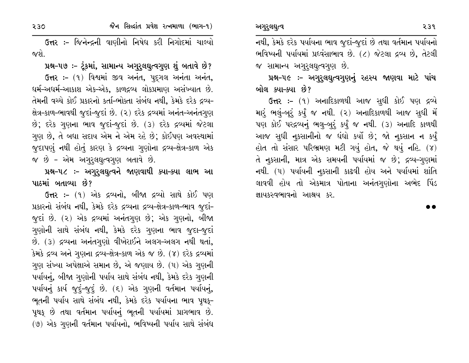જૈન સિલ્દાંત પ્રવેશ રત્નમાળા (ભાગ-૧)

230

ઉત્તર :- જિનેન્દ્રની વાણીનો નિષેધ કરી નિગોદમાં ચાલ્યો જશે.

પ્રશ્ન-૫૭ :- ટૂંકમાં, સામાન્ય અગુરૂલઘુત્વગુણ શું બતાવે છે?

ઉત્તર: - (૧) વિશ્વમાં જીવ અનંત, પદગલ અનંતા અનંત, ઘર્મ-અઘર્મ-આકાશ એક-એક, કાળદ્રવ્ય લોકપ્રમાણ અસંખ્યાત છે. તેમની વચ્ચે કોઈ પ્રકારનો કર્તા-ભોક્તા સંબંધ નથી, કેમકે દરેક દ્રવ્ય-ક્ષેત્ર-કાળ-ભાવથી જુદાં-જુદાં છે. (૨) દરેક દ્રવ્યમાં અનંત-અનંતગુણ છે; દરેક ગુણના ભાવ જુદાં-જુદાં છે. (3) દરેક દ્રવ્યમાં જેટલા ગુણ છે, તે બધા સદાય એમ ને એમ રહે છે; કોઈપણ અવસ્થામાં જુદાપણું નથી હોતું કારણ કે દ્રવ્યના ગુણોના દ્રવ્ય-ક્ષેત્ર-કાળ એક જ છે - એમ અગુરૂલઘૂત્વગુણ બતાવે છે.

પ્રશ્ન-૫૮ :- અગુરૂલઘૂત્વને જાણવાથી ક્યા-ક્યા લાભ આ પાઠમાં બતાવ્યા છે?

ઉત્તર :- (૧) એક દ્રવ્યનો, બીજા દ્રવ્યો સાથે કોઈ પણ પ્રકારનો સંબંધ નથી, કેમકે દરેક દ્રવ્યના દ્રવ્ય-ક્ષેત્ર-કાળ-ભાવ જુદાં-જુદાં છે. (૨) એક દ્રવ્યમાં અનંતગુણ છે; એક ગુણનો, બીજા ગણોની સાથે સંબંધ નથી, કેમકે દરેક ગણના ભાવ જુદા-જુદાં છે. (3) દ્રવ્યના અનંતગણો વીખેરાઈને અલગ-અલગ નથી થતાં, કેમકે દ્રવ્ય અને ગુણના દ્રવ્ય-ક્ષેત્ર-કાળ એક જ છે. (૪) દરેક દ્રવ્યમાં ગણ સંખ્યા અપેક્ષાએ સમાન છે, એ જણાય છે. (૫) એક ગણની પર્યાયનું, બીજા ગુણોની પર્યાય સાથે સંબંધ નથી, કેમકે દરેક ગુણની પર્યાયનું કાર્ય જુદું-જુદું છે. (૬) એક ગુણની વર્તમાન પર્યાયનું, ભૂતની પર્યાય સાથે સંબંધ નથી, કેમકે દરેક પર્યાયના ભાવ પૃથકુ– પૃથક્ છે તથા વર્તમાન પર્યાયનું ભૂતની પર્યાયમાં પ્રાગભાવ છે. (૭) એક ગુણની વર્તમાન પર્યાયનો, ભવિષ્યની પર્યાય સાથે સંબંધ

નથી, કેમકે દરેક પર્યાયના ભાવ જુદાં-જુદાં છે તથા વર્તમાન પર્યાયનો ભવિષ્યની પર્યાયમાં પ્રધ્વંસાભાવ છે. (૮) જેટલા દ્રવ્ય છે, તેટલી જ સામાન્ય અગુરૂલઘુત્વગુણ છે.

પ્રશ્ન-૫૯ :- અગુરૂલઘુત્વગુણનું રહસ્ય જાણવા માટે પાંચ બોલ ક્યા–ક્યા છે?

**ઉત્તર :-** (૧) અનાદિકાળથી આજ સુધી કોઈ પણ દ્રવ્યે મારૂં ભલું-બૂરું કર્યું જ નથી. (૨) અનાદિકાળથી આજ સુધી મેં પણ કોઈ પરદ્રવ્યનું ભલુ-બુરું કર્યું જ નથી. (3) અનાદિ કાળથી આજ સુધી નુકસાનીનો જ ઘંઘો કર્યો છે; જો નુકસાન ન કર્યું હોત તો સંસાર પરિભ્રમણ મટી ગયું હોત, જે થયું નહિ. (૪) તે નુકસાની, માત્ર એક સમયની પર્યાયમાં જ છે; દ્રવ્ય-ગુણમાં નથી. (૫) પર્યાયની નૂકસાની કાઢવી હોય અને પર્યાયમાં શાંતિ લાવવી હોય તો એકમાત્ર પોતાના અનંતગુણોના અભેદ પિંડ જ્ઞાયકસ્વભાવનો આશ્રય કર.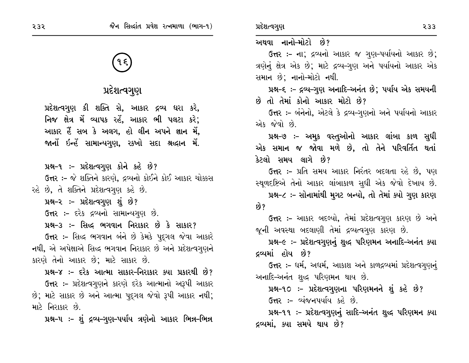# પ્રદેશત્વગુણ

પ્રદેશત્વગુણ કી શક્તિ સે, આકાર દ્રવ્ય ધરા કરે, નિજ ક્ષેત્ર મેં વ્યાપક રહેં, આકાર ભી પલટા કરે; આકાર હૈં સબ કે અલગ, હો લીન અપને જ્ઞાન મેં, જાનોં ઇન્હેં સામાન્યગુણ, રકખો સદા શ્રઘ્દાન મેં.

પ્રશ્ન-૧ :- પ્રદેશત્વગુણ કોને કહે છે?

**ઉત્તર :-** જે શક્તિને કારણે, દ્રવ્યનો કોઈને કોઈ આકાર ચોક્કસ રહે છે, તે શક્તિને પ્રદેશત્વગુણ કહે છે.

પ્રશ્ન-૨ :- પ્રદેશત્વગુણ શું છે?

ઉત્તર :- દરેક દ્રવ્યનો સામાન્યગુણ છે.

પ્રશ્ન-૩ :- સિદ્ધ ભગવાન નિરાકાર છે કે સાકાર?

ઉત્તર :- સિદ્ધ ભગવાન બંને છે કેમકે પુદ્ગલ જેવા આકારે નથી, એ અપેક્ષાએ સિદ્ધ ભગવાન નિરાકાર છે અને પ્રદેશત્વગુણને કારણે તેનો આકાર છે; માટે સાકાર છે.

પ્રશ્ન-૪ :- દરેક આત્મા સાકાર-નિરાકાર ક્યા પ્રકારથી છે? ઉત્તર :- પ્રદેશત્વગુણને કારણે દરેક આત્માનો અરૂપી આકાર છે; માટે સાકાર છે અને આત્મા પુદ્ગલ જેવો રૂપી આકાર નથી; માટે નિરાકાર છે.

પ્રશ્ન-૫ ઃ- શું દ્રવ્ય-ગુણ-પર્યાય ત્રણેનો આકાર ભિન્ન-ભિન્ન

### અથવા નાનો–મોટો છે?

ઉત્તર :- ના; દ્રવ્યનો આકાર જ ગુણ-પર્યાયનો આકાર છે; ત્રણેનું ક્ષેત્ર એક છે; માટે દ્રવ્ય-ગુણ અને પર્યાયનો આકાર એક સમાન છે; નાનો-મોટો નથી.

પ્રશ્ન-૬ :- દ્રવ્ય-ગુણ અનાદિ-અનંત છે; પર્યાય એક સમયની છે તો તેમાં કોનો આકાર મોટો છે?

ઉત્તર :- બંનેનો, એટલે કે દ્રવ્ય-ગુણનો અને પર્યાયનો આકાર એક જેવો છે.

પ્રશ્ન-૭ :- અમુક વસ્તુઓનો આકાર લાંબા કાળ સુધી એક સમાન જ જોવા મળે છે. તો તેને પરિવર્તિત થતાં કેટલો સમય લાગે છે?

**ઉત્તર :-** પ્રતિ સમય આકાર નિરંતર બદલતા રહે છે, પણ સ્થુળદષ્ટિએ તેનો આકાર લાંબાકાળ સુધી એક જેવો દેખાય છે.

પ્રશ્ન-૮ :- સોનામાંથી મુગટ બન્યો, તો તેમાં ક્યો ગુણ કારણ છે?

**ઉત્તર :-** આકાર બદલ્યો, તેમાં પ્રદેશત્વગુણ કારણ છે અને જૂની અવસ્થા બદલાણી તેમાં દ્રવ્યત્વગુણ કારણ છે.

પ્રશ્ન-૯ ઃ- પ્રદેશત્વગુણનું શુદ્ધ પરિણમન અનાદિ-અનંત ક્યા દ્રવ્યમાં હોય છે?

ઉત્તર :- ધર્મ, અધર્મ, આકાશ અને કાળદ્રવ્યમાં પ્રદેશત્વગુણનું અનાદિ–અનંત શુદ્ધ પરિણમન થાય છે.

પ્રશ્ન-૧૦ :- પ્રદેશત્વગૃણના પરિણમનને શું કહે છે?

ઉત્તર :- વ્યંજનપર્યાય કહે છે.

પ્રશ્ન-૧૧ :- પ્રદેશત્વગુણનું સાદિ-અનંત શુદ્ધ પરિણમન ક્યા દ્રવ્યમાં, ક્યા સમયે થાય છે?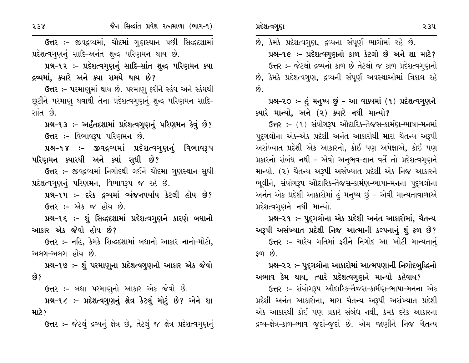ઉત્તર :- જીવદ્રવ્યમાં, ચૌદમાં ગુણસ્થાન પછી સિદ્ધદશામાં પ્રદેશત્વગુણનું સાદિ-અનંત શુદ્ધ પરિણમન થાય છે.

પ્રશ્ન-૧૨ :- પ્રદેશત્વગુણનું સાદિ-સાંત શુદ્ધ પરિણમન ક્યા દ્રવ્યમાં, ક્યારે અને ક્યા સમયે થાય છે?

ઉત્તર :- પરમાણમાં થાય છે. પરમાણુ ફરીને સ્કંધ અને સ્કંધથી છૂટીને પરમાણુ થવાથી તેના પ્રદેશત્વગુણનું શુદ્ધ પરિણમન સાદિ-સાંત છે.

પ્રશ્ન-૧૩ :- અર્હંતદશામાં પ્રદેશત્વગુણનું પરિણમન કેવું છે? ઉત્તર :- વિભાવરૂપ પરિણમન છે.

પ્રશ્ન-૧૪ :- જીવદ્રવ્યમાં પ્રદેશત્વગુણનું વિભાવરૂપ પરિણમન ક્યારથી અને ક્યાં સુધી છે?

ઉત્તર :- જીવદ્રવ્યમાં નિગોદથી લઈને ચૌદમા ગુણસ્થાન સુધી પ્રદેશત્વગૃણનું પરિણમન, વિભાવરૂપ જ રહે છે.

પ્રશ્ન-૧૫ :- દરેક દ્રવ્યમાં વ્યંજનપર્યાય કેટલી હોય છે? **ઉત્તર :-** એક જ હોય છે.

પ્રશ્ન-૧૬ ઃ- શું સિદ્ધદશામાં પ્રદેશત્વગુણને કારણે બધાનો આકાર એક જેવો હોય છે?

ઉત્તર :- નહિ, કેમકે સિદ્ધદશામાં બધાનો આકાર નાનો-મોટો, અલગ–અલગ હોય છે.

પ્રશ્ન-૧૭ :- શું પરમાણુના પ્રદેશત્વગુણનો આકાર એક જેવો છે?

ઉત્તર :- બધા પરમાણુનો આકાર એક જેવો છે.

પ્રશ્ન-૧૮ ઃ- પ્રદેશત્વગુણનું ક્ષેત્ર કેટલું મોટું છે? એને શા માટે?

ઉત્તર: - જેટલું દ્રવ્યનું ક્ષેત્ર છે, તેટલું જ ક્ષેત્ર પ્રદેશત્વગુણનું

છે, કેમકે પ્રદેશત્વગુણ, દ્રવ્યના સંપૂર્ણ ભાગોમાં રહે છે. પ્રશ્ન-૧૯ :- પ્રદેશત્વગુણનો કાળ કેટલો છે અને શા માટે? ઉત્તર:- જેટલો દ્રવ્યનો કાળ છે તેટલો જ કાળ પ્રદેશત્વગુણનો છે, કેમકે પ્રદેશત્વગુણ, દ્રવ્યની સંપૂર્ણ અવસ્થાઓમાં ત્રિકાલ રહે  $\hat{g}$ .

## પ્રશ્ન-૨૦ :- હું મનુષ્ય છું - આ વાક્યમાં (૧) પ્રદેશત્વગુણને ક્યારે માન્યો, અને (૨) ક્યારે નથી માન્યો?

ઉત્તર: - (૧) સંયોગરૂપ ઔદારિક-તૈજસ-કાર્મણ-ભાષા-મનમાં પદુગલોના એક–એક પ્રદેશી અનંત આકારોથી મારા ચૈતન્ય અરૂપી અસંખ્યાત પ્રદેશી એક આકારનો, કોઈ પણ અપેક્ષાએ, કોઈ પણ પ્રકારનો સંબંધ નથી – એવો અનુભવ-જ્ઞાન વર્તે તો પ્રદેશત્વગુણને માન્યો. (૨) ચૈતન્ય અરૂપી અસંખ્યાત પ્રદેશી એક નિજ આકારને ભૂલીને, સંયોગરૂપ ઔદારિક-તૈજસ-કાર્મણ-ભાષા-મનના પદ્ગલોના અનંત એક પ્રદેશી આકારોમાં હં મનુષ્ય છું - એવી માન્યતાવાળાએ પ્રદેશત્વગુણને નથી માન્યો.

પ્રશ્ન–૨૧ ઃ– પુદ્ગલોના એક પ્રદેશી અનંત આકારોમાં, ચૈતન્ય અરૂપી અસંખ્યાત પ્રદેશી નિજ આત્માની કલ્પનાનું શું ફળ છે? ઉત્તર :- ચારેય ગતિમાં ફરીને નિગોદ આ ખોટી માન્યતાનં  $\mathcal{S}$   $\mathcal{S}$   $\mathcal{S}$   $\mathcal{S}$   $\mathcal{S}$   $\mathcal{S}$   $\mathcal{S}$   $\mathcal{S}$   $\mathcal{S}$   $\mathcal{S}$   $\mathcal{S}$   $\mathcal{S}$   $\mathcal{S}$   $\mathcal{S}$   $\mathcal{S}$   $\mathcal{S}$   $\mathcal{S}$   $\mathcal{S}$   $\mathcal{S}$   $\mathcal{S}$   $\mathcal{S}$   $\mathcal{S}$   $\mathcal{S}$   $\mathcal{S}$   $\mathcal{$ 

# પ્રશ્ન-૨૨ :- પુદ્ગલોના આકારોમાં આત્મપણાની નિગોદબુદ્ધિનો

અભાવ કેમ થાય, ત્યારે પ્રદેશત્વગુણને માન્યો કહેવાય? ઉત્તર :- સંયોગરૂપ ઔદારિક-તૈજસ-કાર્મણ-ભાષા-મનના એક પ્રદેશી અનંત આકારોના, મારા ચૈતન્ય અરૂપી અસંખ્યાત પ્રદેશી એક આકારથી કોઈ પણ પ્રકારે સંબંધ નથી, કેમકે દરેક આકારના દ્રવ્ય-ક્ષેત્ર-કાળ-ભાવ જુદાં-જુદાં છે. એમ જાણીને નિજ ચૈતન્ય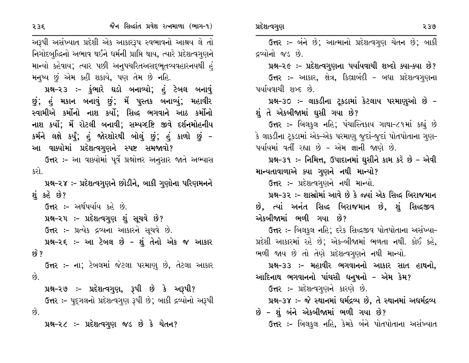ઉત્તર :- બંને છે; આત્માનો પ્રદેશત્વગુણ ચેતન છે; બાકી અરૂપી અસંખ્યાત પ્રદેશી એક આકારરૂપ સ્વભાવનો આશ્રય લે તો નિગોદબુદ્ધિનો અભાવ થઈને ધર્મની પ્રાપ્તિ થાય, ત્યારે પ્રદેશત્વગુણને દ્રવ્યોનો જડ છે. માન્યો કહેવાય; ત્યાર પછી અનુપચરિતઅસદ્ભૂતવ્યવહારનયથી હં પ્રશ્ન-૨૯ :- પ્રદેશત્વગુણના પર્યાયવાચી શબ્દો ક્યા-ક્યા છે? મનુષ્ય છું એમ કહી શકાયે, પણ તેમ છે નહિ. ઉત્તર :- આકાર, ક્ષેત્ર, કિલ્રાબંદી - બધા પ્રદેશત્વગુણના પ્રશ્ન-૨૩ ઃ- કુંભારે ઘડો બનાવ્યો; હં ટેબલ બનાવું પર્યાયવાચી શબ્દ છે. છું; હું મકાન બનાવું છું; મેં પુસ્તક બનાવ્યું; મહાવીર પ્રશ્ન-૩૦ :- લાકડીના ટુકડામાં કેટલાય પરમાણુઓ છે -સ્વામીએ કર્મોનો નાશ કર્યો; સિદ્ધ ભગવાને આઠ કર્મોનો શું તે એકબીજામાં ઘસી ગયા છે? નાશ કર્યો; મેં રોટલી બનાવી; સમ્યગ્દષ્ટિ જીવે દર્શનમોહનીય ઉત્તર :- બિલકુલ નહિ; પંચાસ્તિકાય ગાથા-૮૧માં કહ્યું છે કર્મને લક્ષે કર્યું; હું જોરશોરથી બોલું છું; હું કાળો છું – કે લાકડીના ટ્રકડામાં એક-એક પરમાણુ જુદાં-જૂદાં પોતપોતાના ગુણ-આ વાક્યોમાં પ્રદેશત્વગુણને સ્પષ્ટ સમજાવો? પર્યાયમાં વર્તી રહ્યા છે - એમ જ્ઞાની જાણે છે. ઉત્તર :- આ વાક્યોમાં પૂર્વે પ્રશ્નોત્તર અનુસાર જાતે અભ્યાસ પ્રશ્ન-૩૧ :- નિમિત્ત, ઉપાદાનમાં ઘુસીને કામ કરે છે - એવી માન્યતાવાળાએ ક્યા ગુણને નથી માન્યો? કરો. ઉત્તર :- પ્રદેશત્વગુણને નથી માન્યો. પ્રશ્ન-૨૪ ઃ- પ્રદેશત્વગુણને છોડીને, બાકી ગુણોના પરિણમનને શું કહે છે? પ્રશ્ન-૩૨ :- શાસ્રોમાં આવે છે કે જ્યાં એક સિદ્ધ બિરાજમાન છે, ત્યાં અનંત સિદ્ધ બિરાજમાન છે, શું સિદ્ધજીવ ઉત્તર :- અર્થપર્યાય કહે છે. એકબીજામાં ભળી ગયા છે? પ્રશ્ન–૨૫ ઃ– પ્રદેશત્વગુણ શું સુચવે છે? ઉત્તર :- પ્રત્યેક દ્રવ્યના આકારને સૂચવે છે. ઉત્તર :- બિલકુલ નહિ; દરેક સિદ્ધજીવ પોતપોતાના અસંખ્યા-પ્રશ્ન-૨૬ :- આ ટેબલ છે - શું તેનો એક જ આકાર પ્રદેશી આકારમાં રહે છે; એક-બીજામાં ભળતા નથી. કોઈ કહે, છે ? ભળી જાય છે તો તેણે પ્રદેશત્વગુણને નથી માન્યો. પ્રશ્ન–૩૩ :– મહાવીર ભગવાનનો આકાર સાત હાથનો. **ઉત્તર :- ના;** ટેબલમાં જેટલા પરમાણ છે, તેટલા આકાર છે. આદિનાથ ભગવાનનો પાંચસૌ ધનુષનો – એમ કેમ? પ્રશ્ન-૨૭ :- પ્રદેશત્વગુણ, રૂપી છે કે અરૂપી? ઉત્તર :- પ્રદેશત્વગુણને કારણે છે. ઉત્તર :- પદ્ગલનો પ્રદેશત્વગુણ રૂપી છે; બાકી દ્રવ્યોનો અરૂપી પ્રશ્ન-૩૪ :- જે સ્થાનમાં ધર્મદ્રવ્ય છે, તે સ્થાનમાં અધર્મદ્રવ્ય છે – શું બંને એકબીજામાં ભળી ગયા છે?  $\hat{g}$ ઉત્તર :- બિલકુલ નહિ, કેમકે બંને પોતપોતાના અસંખ્યાત પ્રશ્ન-૨૮ :- પ્રદેશત્વગુણ જડ છે કે ચેતન?

પ્રદેશત્વગુણ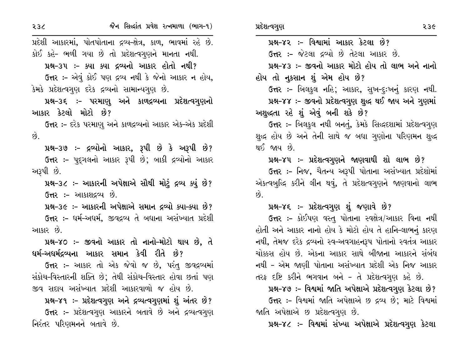પ્રદેશી આકારમાં, પોતપોતાના દ્રવ્ય-ક્ષેત્ર, કાળ, ભાવમાં રહે છે. કોઈ કહે- ભળી ગયા છે તો પ્રદેશત્વગુણને માનતા નથી. પ્રશ્ન-૩૫ :- ક્યા ક્યા દ્રવ્યનો આકાર હોતો નથી?

ઉત્તર :- એવું કોઈ પણ દ્રવ્ય નથી કે જેનો આકાર ન હોય, કેમકે પ્રદેશત્વગુણ દરેક દ્રવ્યનો સામાન્યગુણ છે.

પ્રશ્ન–૩૬ :– પરમાણુ અને કાળદ્રવ્યના પ્રદેશત્વગુણનો આકાર કેટલો મોટો છે?

ઉત્તર :- દરેક પરમાણ અને કાળદ્રવ્યનો આકાર એક-એક પ્રદેશી  $\hat{g}$ .

પ્રશ્ન-૩૭ :- દ્રવ્યોનો આકાર, રૂપી છે કે અરૂપી છે? **ઉત્તર :-** પુદ્દગલનો આકાર રૂપી છે; બાકી દ્રવ્યોનો આકાર અરૂપી છે.

પ્રશ્ન-૩૮ :- આકારની અપેક્ષાએ સૌથી મોટું દ્રવ્ય ક્યું છે? **ઉત્તર :-** આકાશદ્રવ્ય છે.

પ્રશ્ન-૩૯ :- આકારની અપેક્ષાએ સમાન દ્રવ્યો ક્યા-ક્યા છે?

ઉત્તર :- ધર્મ-અધર્મ, જીવદ્રવ્ય તે બધાના અસંખ્યાત પ્રદેશી આકાર છે.

પ્રશ્ન-૪૦ :- જીવનો આકાર તો નાનો-મોટો થાય છે, તે <u>ધર્મ–અધર્મદ્રવ્યના આકાર સમાન કેવી રીતે છે?</u>

ઉત્તર :- આકાર તો એક જેવો જ છે, પરંતુ જીવદ્રવ્યમાં સંકોચ-વિસ્તારની શક્તિ છે; તેથી સંકોચ-વિસ્તાર હોવા છતાં પણ જીવ સદાય અસંખ્યાત પ્રદેશી આકારવાળો જ હોય છે.

પ્રશ્ન-૪૧ :- પ્રદેશત્વગુણ અને દ્રવ્યત્વગુણમાં શું અંતર છે? ઉત્તર :- પ્રદેશત્વગુણ આકારને બતાવે છે અને દ્રવ્યત્વગુણ નિરંતર પરિણમનને બતાવે છે.

પ્રશ્ન-૪૨ :- વિશ્વામાં આકાર કેટલા છે? **ઉત્તર :-** જેટલા દ્રવ્યો છે તેટલા આકાર છે. પ્રશ્ન-૪૩ :- જીવનો આકાર મોટો હોય તો લાભ અને નાનો હોય તો નુકસાન શું એમ હોય છે? ઉત્તર :- બિલકુલ નહિ; આકાર, સુખ-દૃઃખનું કારણ નથી. પ્રશ્ન-૪૪ :- જીવનો પ્રદેશત્વગુણ શુદ્ધ થઈ જાય અને ગુણમાં અશુદ્ધતા રહે શું એવું બની શકે છે?

ઉત્તર :- બિલકુલ નથી બનતું, કેમકે સિદ્ધદશામાં પ્રદેશત્વગુણ શુદ્ધ હોય છે અને તેની સાથે જ બધા ગુણોના પરિણમન શુદ્ધ થઈ જાય છે.

પ્રશ્ન-૪૫ :- પ્રદેશત્વગુણને જાણવાથી શો લાભ છે? ઉત્તર :- નિજ, ચૈતન્ય અરૂપી પોતાના અસંખ્યાત પ્રદેશોમાં એકત્વબુદ્ધિ કરીને લીન થવું, તે પ્રદેશત્વગુણને જાણવાનો લાભ  $\hat{g}$ .

### પ્રશ્ન–૪૬ ઃ– પ્રદેશત્વગુણ શું જણાવે છે?

**ઉત્તર :-** કોઈપણ વસ્તુ પોતાના સ્વક્ષેત્ર/આકાર વિના નથી હોતી અને આકાર નાનો હોય કે મોટો હોય તે હાનિ-લાભનું કારણ નથી, તેમજ દરેક દ્રવ્યનો સ્વ-અવગાહનરૂપ પોતાનો સ્વતંત્ર આકાર ચોક્કસ હોય છે. એકના આકાર સાથે બીજાના આકારને સંબંધ નથી - એમ જાણી પોતાના અસંખ્યાત પ્રદેશી એક નિજ આકાર તરફ દષ્ટિ કરીને ભગવાન બને - તે પ્રદેશત્વગુણ કહે છે.

પ્રશ્ન-૪૭ :- વિશ્વમાં જાતિ અપેક્ષાએ પ્રદેશત્વગુણ કેટલા છે?

ઉત્તર :- વિશ્વમાં જાતિ અપેક્ષાએ છ દ્રવ્ય છે; માટે વિશ્વમાં જાતિ અપેક્ષાએ છ પ્રદેશત્વગુણ છે.

પ્રશ્ન-૪૮ :- વિશ્વમાં સંખ્યા અપેક્ષાએ પ્રદેશત્વગુણ કેટલા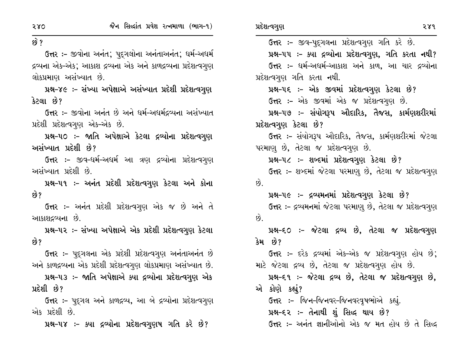२४१ ઉત્તર :- જીવ-પુદ્ગલના પ્રદેશત્વગુણ ગતિ કરે છે. ઉત્તર :- જીવોના અનંત; પુદ્ગલોના અનંતાઅનંત; ધર્મ-અધર્મ પ્રશ્ન-૫૫ :- ક્યા દ્રવ્યોના પ્રદેશત્વગુણ, ગતિ કરતા નથી? દ્રવ્યના એક-એક; આકાશ દ્રવ્યના એક અને કાળદ્રવ્યના પ્રદેશત્વગણ ઉત્તર :- ધર્મ-અધર્મ-આકાશ અને કાળ, આ ચાર દ્રવ્યોના લોકપ્રમાણ અસંખ્યાત છે. પ્રદેશત્વગુણ ગતિ કરતા નથી. પ્રશ્ન-૪૯ :- સંખ્યા અપેક્ષાએ અસંખ્યાત પ્રદેશી પ્રદેશત્વગુણ પ્રશ્ન-૫૬ :- એક જીવમાં પ્રદેશત્વગુણ કેટલા છે? ઉત્તર :- એક જીવમાં એક જ પ્રદેશત્વગુણ છે. ઉત્તર :- જીવોના અનંત છે અને ધર્મ-અધર્મદ્રવ્યના અસંખ્યાત પ્રશ્ન-૫૭ :- સંયોગરૂપ ઔદારિક, તેજસ, કાર્મણશરીરમાં પ્રદેશી પ્રદેશત્વગુણ એક-એક છે. પ્રદેશત્વગુણ કેટલા છે? પ્રશ્ન-૫૦ ઃ- જાતિ અપેક્ષાએ કેટલા દ્રવ્યોના પ્રદેશત્વગુણ ઉત્તર :- સંયોગરૂપ ઔદારિક, તૈજસ, કાર્મણશરીરમાં જેટલા પરમાણ છે, તેટલા જ પ્રદેશત્વગુણ છે. પ્રશ્ન-૫૮ :- શબ્દમાં પ્રદેશત્વગુણ કેટલા છે? ઉત્તર :- જીવ-ધર્મ-અધર્મ આ ત્રણ દ્રવ્યોના પ્રદેશત્વગુણ ઉત્તર :- શબ્દમાં જેટલા પરમાણુ છે, તેટલા જ પ્રદેશત્વગુણ પ્રશ્ન-૫૧ ઃ- અનંત પ્રદેશી પ્રદેશત્વગુણ કેટલા અને કોના  $\hat{g}$ પ્રશ્ન-૫૯ :- દ્રવ્યમનમાં પ્રદેશત્વગુણ કેટલા છે? ઉત્તર :- દ્રવ્યમનમાં જેટલા પરમાણુ છે, તેટલા જ પ્રદેશત્વગુણ **ઉત્તર :-** અનંત પ્રદેશી પ્રદેશત્વગુણ એક જ છે અને તે  $\hat{8}$ . પ્રશ્ન-૫૨ ઃ- સંખ્યા અપેક્ષાએ એક પ્રદેશી પ્રદેશત્વગુણ કેટલા પ્રશ્ન-૬૦ :- જેટલા દ્રવ્ય છે, તેટલા જ પ્રદેશત્વગુણ કેમ છે? ઉત્તર :- દરેક દ્રવ્યમાં એક-એક જ પ્રદેશત્વગુણ હોય છે; **ઉત્તર :-** પદુગલના એક પ્રદેશી પ્રદેશત્વગુણ અનંતાઅનંત છે માટે જેટલા દ્રવ્ય છે, તેટલા જ પ્રદેશત્વગુણ હોય છે. અને કાળદ્રવ્યના એક પ્રદેશી પ્રદેશત્વગુણ લોકપ્રમાણ અસંખ્યાત છે. પ્રશ્ન-૫૩ :- જાતિ અપેક્ષાએ ક્યા દ્રવ્યોના પ્રદેશત્વગુણ એક પ્રશ્ન-૬૧ ઃ- જેટલા દ્રવ્ય છે, તેટલા જ પ્રદેશત્વગુણ છે, એ કોણે કહ્યું? ઉત્તર :- પદ્ગલ અને કાળદ્રવ્ય, આ બે દ્રવ્યોના પ્રદેશત્વગુણ ઉત્તર :- જિન-જિનવર-જિનવરવૃષભોએ કહ્યું. પ્રશ્ન–૬૨ ઃ– તેનાથી શું સિદ્ધ થાય છે? ઉત્તર :- અનંત જ્ઞાનીઓનો એક જ મત હોય છે તે સિદ્ધ પ્રશ્ન-૫૪ ઃ- ક્યા દ્રવ્યોના પ્રદેશત્વગુણષ ગતિ કરે છે?

280

 $69.2$ 

કેટલા છે?

છે?

છે?

પ્રદેશી છે?

એક પ્રદેશી છે.

અસંખ્યાત પ્રદેશી છે?

અસંખ્યાત પ્રદેશી છે.

આકાશદ્રવ્યના છે.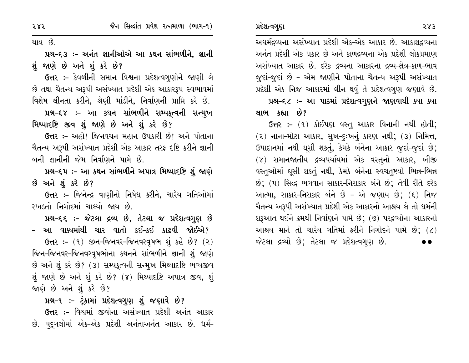થાય છે.

પ્રશ્ન–૬૩ :– અનંત જ્ઞાનીઓએ આ કથન સાંભળીને, જ્ઞાની શું જાણે છે અને શું કરે છે?

ઉત્તર :- કેવળીની સમાન વિશ્વના પ્રદેશત્વગુણોને જાણી લે છે તથા ચૈતન્ય અરૂપી અસંખ્યાત પ્રદેશી એક આકારરૂપ સ્વભાવમાં વિશેષ લીનતા કરીને, શ્રેણી માંડીને, નિર્વાણની પ્રાપ્તિ કરે છે.

પ્રશ્ન–૬૪ :– આ કથન સાંભળીને સમ્યકૃત્વની સન્મુખ મિથ્યાદષ્ટિ જીવ શું જાણે છે અને શું કરે છે?

ઉત્તર :- અહો! જિનવચન મહાન ઉપકારી છે! અને પોતાના ચૈતન્ય અરૂપી અસંખ્યાત પ્રદેશી એક આકાર તરફ દષ્ટિ કરીને જ્ઞાની બની જ્ઞાનીની જેમ નિર્વાણને પામે છે.

પ્રશ્ન-૬૫ ઃ- આ કથન સાંભળીને અપાત્ર મિથ્યાદષ્ટિ શું જાણે છે અને શું કરે છે?

ઉત્તર :- જિનેન્દ્ર વાણીનો નિષેધ કરીને, ચારેય ગતિઓમાં રખડતો નિગોદમાં ચાલ્યો જાય છે.

પ્રશ્ન-૬૬ :- જેટલા દ્રવ્ય છે, તેટલા જ પ્રદેશત્વગુણ છે – આ વાક્યમાંથી ચાર વાતો કઈ–કઈ કાઢવી જોઈએ?

ઉત્તર: - (૧) જીન-જિનવર-જિનવરવૃષભ શું કહે છે? (૨) જિન-જિનવર-જિનવરવૃષભોના કથનને સાંભળીને જ્ઞાની શું જાણે છે અને શું કરે છે? (૩) સમ્પકુત્વની સન્મુખ મિથ્યાદષ્ટિ ભવ્યજીવ શું જાણે છે અને શું કરે છે? (૪) મિથ્યાદષ્ટિ અપાત્ર જીવ, શું જાણે છે અને શું કરે છે?

પ્રશ્ન-૧ ઃ- ટૂંકામાં પ્રદેશત્વગુણ શું જણાવે છે?

**ઉત્તર :-** વિશ્વમાં જીવોના અસંખ્યાત પ્રદેશી અનંત આકાર છે. પુદ્ગલોમાં એક-એક પ્રદેશી અનંતાઅનંત આકાર છે. ધર્મ- અદ્યર્મદ્રવ્યના અસંખ્યાત પ્રદેશી એક-એક આકાર છે. આકાશદ્રવ્યના અનંત પ્રદેશી એક પ્રકાર છે અને કાળદ્રવ્યના એક પ્રદેશી લોકપ્રમાણ અસંખ્યાત આકાર છે. દરેક દ્રવ્યના આકારના દ્રવ્ય-ક્ષેત્ર-કાળ-ભાવ જુદાં-જુદાં છે - એમ જાણીને પોતાના ચૈતન્ય અરૂપી અસંખ્યાત પ્રદેશી એક નિજ આકારમાં લીન થવું તે પ્રદેશત્વગુણ જણાવે છે.

પ્રદેશત્વગુણ

પ્રશ્ન-૬૮ :- આ પાઠમાં પ્રદેશત્વગુણને જાણવાથી ક્યા ક્યા લાભ કહ્યા છે?

ઉત્તર :- (૧) કોઈપણ વસ્તુ આકાર વિનાની નથી હોતી;  $(2)$  નાના-મોટા આકાર, સુખ-દૃઃખનું કારણ નથી;  $(3)$  નિમિત્ત, ઉપાદાનમાં નથી ઘૂસી શકતું, કેમકે બંનેના આકાર જુદાં-જુદાં છે; (૪) સમાનજાતીય દ્રવ્યપર્યાયમાં એક વસ્તુનો આકાર, બીજી વસ્તુઓમાં ઘૂસી શકતું નથી, કેમકે બંનેના સ્વચતુષ્ટયો ભિન્ન-ભિન્ન છે; (૫) સિદ્ધ ભગવાન સાકાર-નિરાકાર બંને છે; તેવી રીતે દરેક આત્મા, સાકાર-નિરાકાર બંને છે – એ જણાય છે; (૬) નિજ ચૈતન્ય અરૂપી અસંખ્યાત પ્રદેશી એક આકારનો આશ્રય લે તો ધર્મની શરૂઆત થઈને ક્રમથી નિર્વાણને પામે છે; (૭) પરદ્રવ્યોના આકારનો આશ્રય માને તો ચારેય ગતિમાં ફરીને નિગોદને પામે છે: (૮) જેટલા દ્રવ્યો છે; તેટલા જ પ્રદેશત્વગુણ છે.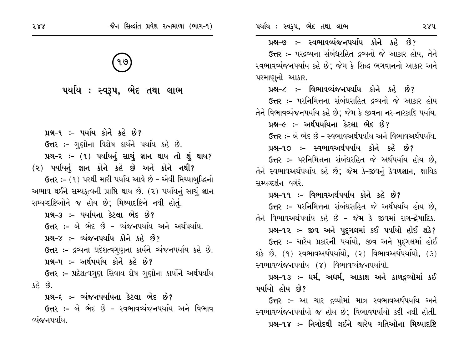૫ર્યાય : સ્વરૂપ, ભેદ તથા લાભ

પ્રશ્ન-૧ :- પર્યાય કોને કહે છે? ઉત્તર :- ગુણોના વિશેષ કાર્યને પર્યાય કહે છે. પ્રશ્ન-૨ :- (૧) પર્યાયનું સાચું જ્ઞાન થાય તો શું થાય? (૨) પર્યાયનું જ્ઞાન કોને કહે છે અને કોને નથી? ઉત્તર :- (૧) પરથી મારી પર્યાય આવે છે - એવી મિથ્યાબુદ્ધિનો અભાવ થઈને સમ્યકૃત્વની પ્રાપ્તિ થાય છે. (૨) પર્યાયનું સાચું જ્ઞાન સમ્પષ્ટષ્ટિઓને જ હોય છે; મિથ્યાદષ્ટિને નથી હોતું. પ્રશ્ન-૩ :- પર્યાયના કેટલા ભેદ છે? ઉત્તર :- બે ભેદ છે - વ્યંજનપર્યાય અને અર્થપર્યાય. પ્રશ્ન–૪ :– વ્યંજનપર્યાય કોને કહે છે? ઉત્તર :- દ્રવ્યના પ્રદેશત્વગુણના કાર્યને વ્યંજનપર્યાય કહે છે. પ્રશ્ન-૫ :- અર્થપર્યાય કોને કહે છે? **ઉત્તર :-** પ્રદેશત્વગુણ સિવાય શેષ ગુણોના કાર્યોને અર્થપર્યાય  $30<sup>2</sup>$ પ્રશ્ન-૬ :- વ્યંજનપર્યાયના કેટલા ભેદ છે?

ઉત્તર :- બે ભેદ છે - સ્વભાવવ્યંજનપર્યાય અને વિભાવ વ્યંજનપર્યાય.

પ્રશ્ન–૭ :– સ્વભાવવ્યંજનપર્યાય કોને કહે છે?

ઉત્તર :- પરદ્રવ્યના સંબંધરહિત દ્રવ્યનો જે આકાર હોય. તેને સ્વભાવવ્યંજનપર્યાય કહે છે: જેમ કે સિદ્ધ ભગવાનનો આકાર અને પરમાણનો આકાર.

પ્રશ્ન-૮ :- વિભાવવ્યંજનપર્યાય કોને કહે છે?

**ઉત્તર :-** પરનિમિત્તના સંબંધસહિત દ્રવ્યનો જે આકાર હોય તેને વિભાવવ્યંજનપર્યાય કહે છે; જેમ કે જીવના નર-નારકાદિ પર્યાય.

પ્રશ્ન–૯ :– અર્થપર્યાયના કેટલા ભેદ છે?

ઉત્તર :- બે ભેદ છે - સ્વભાવઅર્થપર્યાય અને વિભાવઅર્થપર્યાય.

પ્રશ્ન-૧૦ :- સ્વભાવઅર્થપર્યાય કોને કહે છે?

ઉત્તર :- પરનિમિત્તના સંબંધરહિત જે અર્થપર્યાય હોય છે. તેને સ્વભાવઅર્થપર્યાય કહે છે; જેમ કે-જીવનું કેવળજ્ઞાન, ક્ષાયિક સમ્યઝ્ર્શન વગેરે

પ્રશ્ન-૧૧ :- વિભાવઅર્થપર્યાય કોને કહે છે?

ઉત્તર :- પરનિમિત્તના સંબંધસહિત જે અર્થપર્યાય હોય છે. તેને વિભાવઅર્થપર્યાય કહે છે - જેમ કે જીવમાં રાગ-દ્વેષાદિક. પ્રશ્ન-૧૨ :- જીવ અને પુદ્ગલમાં કઈ પર્યાયો હોઈ શકે? ઉત્તર :- ચારેય પ્રકારની પર્યાયો, જીવ અને પુદ્ગલમાં હોઈ શકે છે. (૧) સ્વભાવઅર્થપર્યાયો, (૨) વિભાવઅર્થપર્યાયો, (૩) સ્વભાવવ્યંજનપર્યાય (૪) વિભાવવ્યંજનપર્યાયો.

પ્રશ્ન-૧૩ :- ધર્મ, અધર્મ, આકાશ અને કાળદ્રવ્યોમાં કઈ પર્યાયો હોય છે?

ઉત્તર :- આ ચાર દ્રવ્યોમાં માત્ર સ્વભાવઅર્થપર્યાય અને સ્વભાવવ્યંજનપર્યાયો જ હોય છે; વિભાવપર્યાયો કદી નથી હોતી. પ્રશ્ન-૧૪ :- નિગોદથી લઈને ચારેય ગતિઓના મિથ્યાદષ્ટિ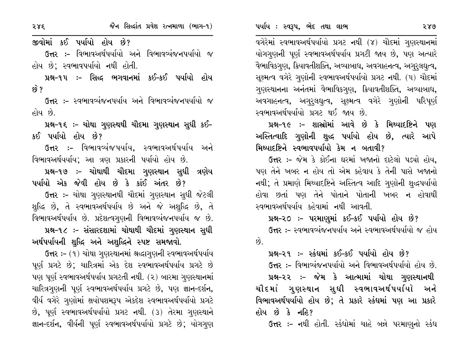જીવોમાં કઈ પર્યાયો હોય છે?

ઉત્તર :- વિભાવઅર્થપર્યાયો અને વિભાવવ્યંજનપર્યાયો જ હોય છે: સ્વભાવપર્યાયો નથી હોતી.

પ્રશ્ન-૧૫ :- સિદ્ધ ભગવાનમાં કઈ-કઈ પર્યાયો હોય  $59^{\circ}$  ?

ઉત્તર :- સ્વભાવવ્યંજનપર્યાય અને વિભાવવ્યંજનપર્યાયો *જ* હોય છે.

પ્રશ્ન-૧૬ ઃ- ચોથા ગુણસ્થથી ચૌદમા ગુણસ્થાન સુધી કઈ-કઈ પર્યાયો હોય છે?

ઉત્તર :- વિભાવવ્યંજપર્યાય, સ્વભાવઅર્થપર્યાય અને વિભાવઅર્થયર્યાય; આ ત્રણ પ્રકારની પર્યાયો હોય છે.

પ્રશ્ન-૧૭ :- ચોથાથી ચૌદમા ગુણસ્થાન સુધી ત્રણેય પર્યાયો એક જેવી હોય છે કે કાંઈ અંતર છે?

ઉત્તર :- ચોથા ગુણસ્થાનથી ચૌદમાં ગુણસ્થાન સુધી જેટલી શુદ્ધિ છે, તે સ્વભાવઅર્થપર્યાય છે અને જે અશુદ્ધિ છે, તે વિભાવઅર્થપર્યાય છે. પ્રદેશત્વગૃણની વિભાવવ્યંજનપર્યાય જ છે.

પ્રશ્ન-૧૮ :- સંસારદશામાં ચોથાથી ચૌદમાં ગુણસ્થાન સુધી અર્થપર્યાયની શુદ્ધિ અને અશુદ્ધિને સ્પષ્ટ સમજાવો.

ઉત્તર:- (૧) ચોથા ગુણસ્થાનમાં શ્રદ્ધાગુણની સ્વભાવઅર્થપર્યાય પૂર્ણ પ્રગટે છે; ચારિત્રમાં એક દેશ સ્વભાવઅર્થપર્યાય પ્રગટે છે પણ પૂર્ણ સ્વભાવઅર્થપર્યાય પ્રગટતી નથી. (૨) બારમા ગુણસ્થાનમાં ચારિત્રગણની પૂર્ણ સ્વભાવઅર્થપર્યાય પ્રગટે છે, પણ જ્ઞાન-દર્શન, વીર્ય વગેરે ગુણોમાં ક્ષયોપશમરૂપ એકદેશ સ્વભાવઅર્થપર્યાયો પ્રગટે છે, પૂર્ણ સ્વભાવઅર્થપર્યાયો પ્રગટ નથી. (૩) તેરમા ગુણસ્થાને જ્ઞાન-દર્શન, વીર્યની પૂર્ણ સ્વભાવઅર્થપર્યાયો પ્રગટે છે; યોગગુણ

વગેરેમાં સ્વભાવઅર્થપર્યાયો પ્રગટ નથી (૪) ચૌદમાં ગુણસ્થાનમાં યોગગણની પૂર્ણ સ્વભાવઅર્થપર્યાય પ્રગટી જાય છે, પણ અત્યારે વૈભાવિકગણ, ક્રિયાવતીશક્તિ, અવ્યાબાધ, અવગાહનત્વ, અગુરૂલઘૃત્વ, સુક્ષ્મત્વ વગેરે ગુણોની સ્વભાવઅર્થપર્યાયો પ્રગટ નથી. (૫) ચૌદમાં ગુણસ્થાનના અનંતમાં વૈભાવિકગુણ, ક્રિયાવતીશક્તિ, અવ્યાબાધ, અવગાહનત્વ, અગુરુલઘુત્વ, સૂક્ષ્મત્વ વગેરે ગુણોની પરિપૂર્ણ સ્વભાવઅર્થપર્યાયો પ્રગટ થઈ જાય છે.

પ્રશ્ન-૧૯ :- શાસ્રોમાં આવે છે કે મિથ્યાદષ્ટિને પણ અસ્તિત્વાદિ ગુણોની શુદ્ધ પર્યાયો હોય છે, ત્યારે આપે મિથ્યાદષ્ટિને સ્વભાવપર્યાયો કેમ ન બતાવી?

ઉત્તર :- જેમ કે કોઈના ઘરમાં ખજાનો દાટેલો પડ્યો હોય. પણ તેને ખબર ન હોય તો એમ કહેવાય કે તેની પાસે ખજાનો નથી; તે પ્રમાણે મિથ્યાદષ્ટિને અસ્તિત્વ આદિ ગુણોની શુદ્ધપર્યાયો હોવા છતાં પણ તેને પોતાને પોતાની ખબર ન હોવાથી સ્વભાવઅર્થપર્યાય કહેવામાં નથી આવતી.

પ્રશ્ન-૨૦ :- પરમાણુમાં કઈ-કઈ પર્યાયો હોય છે? ઉત્તર :- સ્વભાવવ્યંજનપર્યાય અને સ્વભાવઅર્થપર્યાયો જ હોય  $\hat{g}$ 

પ્રશ્ન-૨૧ :- સ્કંઘમાં કઈ-કઈ પર્યાયો હોય છે? ઉત્તર :- વિભાવ્યંજનપર્યાયો અને વિભાવઅર્થપર્યાયો હોય છે.

પ્રશ્ન–૨૨ ઃ– જેમ કે આત્મામાં ચોથા ગુણસ્થાનથી ચૌદમાં ગુણસ્થાન સુધી સ્વભાવઅર્થપર્યાયો અને વિભાવઅર્થપર્યાયો હોય છે; તે પ્રકારે સ્કંધમાં પણ આ પ્રકારે હોય છે કે નહિ?

ઉત્તર :- નથી હોતી. સ્કંધોમાં ચાહે બન્ને પરમાણુનો સ્કંધ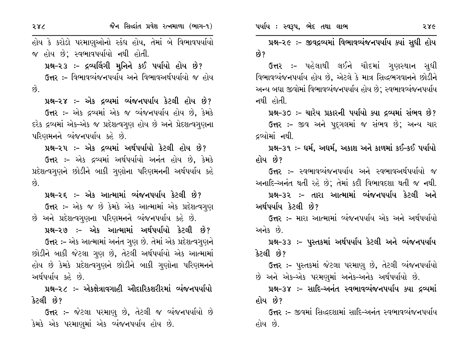286

હોય કે કરોડો પરમાણુઓનો સ્કંધ હોય, તેમાં બે વિભાવપર્યાયો જ હોય છે; સ્વભાવપર્યાયો નથી હોતી.

પ્રશ્ન-૨૩ :- દ્રવ્યલિંગી મુનિને કઈ પર્યાયો હોય છે? ઉત્તર :- વિભાવવ્યંજનપર્યાય અને વિભાવઅર્થપર્યાયો જ હોય  $\hat{g}$ .

પ્રશ્ન-૨૪ :- એક દ્રવ્યમાં વ્યંજનપર્યાય કેટલી હોય છે? ઉત્તર :- એક દ્રવ્યમાં એક જ વ્યંજનપર્યાય હોય છે, કેમકે દરેક દ્રવ્યમાં એક-એક જ પ્રદેશત્વગુણ હોય છે અને પ્રેદશત્વગુણના પરિણમનને વ્યંજનપર્યાય કહે છે.

પ્રશ્ન-૨૫ :- એક દ્રવ્યમાં અર્થપર્યાયો કેટલી હોય છે? ઉત્તર :- એક દ્રવ્યમાં અર્થપર્યાયો અનંત હોય છે, કેમકે પ્રદેશત્વગુણને છોડીને બાકી ગુણોના પરિણમનની અર્થપર્યાય કહે  $\hat{S}$ 

પ્રશ્ન-૨૬ :- એક આત્મામાં વ્યંજનપર્યાય કેટલી છે? ઉત્તર :- એક જ છે કેમકે એક આત્મામાં એક પ્રદેશત્વગુણ છે અને પ્રદેશત્વગુણના પરિણમનને વ્યંજનપર્યાય કહે છે.

પ્રશ્ન-૨૭ :- એક આત્મામાં અર્થપર્યાયો કેટલી છે? ઉત્તર :- એક આત્મામાં અનંત ગુણ છે. તેમાં એક પ્રદેશત્વગુણને છોડીને બાકી જેટલા ગુણ છે, તેટલી અર્થપર્યાયો એક આત્મામાં હોય છે કેમકે પ્રદેશત્વગુણને છોડીને બાકી ગુણોના પરિણમનને અર્થપર્યાય કહે છે.

પ્રશ્ન-૨૮ :- એકક્ષેત્રાવગાહી ઔદારિકશરીરમાં વ્યંજનપર્યાયો કેટલી છે?

ઉત્તર :- જેટલા પરમાણુ છે, તેટલી જ વ્યંજનપર્યાયો છે કેમકે એક પરમાણુમાં એક વ્યંજનપર્યાય હોય છે.

પ્રશ્ન-૨૯ :- જીવદ્રવ્યમાં વિભાવવ્યંજનપર્યાય ક્યાં સુધી હોય ક્વે ?

**ઉત્તર :-** પહેલાથી લઈને ચૌદમાં ગુણસ્થાન સુધી વિભાવવ્યંજનપર્યાય હોય છે, એટલે કે માત્ર સિદ્ધભગવાનને છોડીને અન્ય બધા જીવોમાં વિભાવવ્યંજનપર્યાય હોય છે; સ્વભાવવ્યંજનપર્યાય નથી હોતી.

પ્રશ્ન-૩૦ :- ચારેય પ્રકારની પર્યાયો ક્યા દ્રવ્યમાં સંભવ છે?

ઉત્તર :- જીવ અને પદ્ગલમાં જ સંભવ છે; અન્ય ચાર દ્રવ્યોમાં નથી.

પ્રશ્ન-૩૧ :- ધર્મ, અધર્મ, અકાશ અને કાળમાં કઈ-કઈ પર્યાયો હોય છે?

ઉત્તર :- સ્વભાવવ્યંજનપર્યાય અને સ્વભાવઅર્થપર્યાયો જ અનાદિ-અનંત થતી રહે છે; તેમાં કદી વિભાવદશા થતી જ નથી.

પ્રશ્ન–૩૨ :– તારા આત્મામાં વ્યંજનપર્યાય કેટલી અને અર્થપર્યાય કેટલી છે?

ઉત્તર :- મારા આત્મામાં વ્યંજનપર્યાય એક અને અર્થપર્યાયો અનેક છે

પ્રશ્ન–૩૩ :– પુસ્તકમાં અર્થપર્યાય કેટલી અને વ્યંજનપર્યાય કેટલી છે?

**ઉત્તર :-** પુસ્તકમાં જેટલા પરમાણુ છે, તેટલી વ્યંજનપર્યાયો છે અને એક-એક પરમણમાં અનેક-અનેક અર્થપર્યાયો છે.

પ્રશ્ન-૩૪ :- સાદિ-અનંત સ્વભાવવ્યંજનપર્યાય ક્યા દ્રવ્યમાં હોય છે?

ઉત્તર :- જીવમાં સિદ્ધદશામાં સાદિ-અનંત સ્વભાવવ્યંજનપર્યાય હોય છે.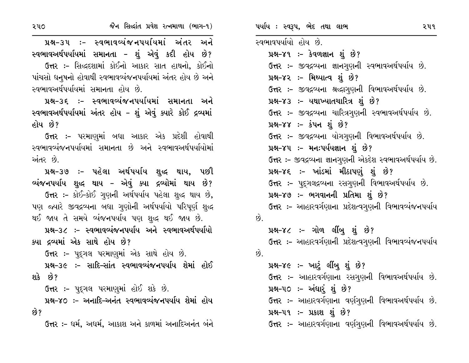૨૫૦

જૈન સિલ્દાંત પ્રવેશ રત્નમાળા (ભાગ-૧)

પ્રશ્ન-૩૫ :- સ્વભાવવ્યંજનપર્યાયમાં અંતર અને સ્વભાવઅર્થપર્યાયમાં સમાનતા – શું એવું કદી હોય છે? ઉત્તર :- સિદ્ધદશામાં કોઈનો આકાર સાત હાથનો, કોઈનો પાંચસો ધનુષનો હોવાથી સ્વભાવવ્યંજનપર્યાયમાં અંતર હોય છે અને સ્વભાવઅર્થપર્યાયમાં સમાનતા હોય છે.

પ્રશ્ન-૩૬ :- સ્વભાવવ્યંજનપર્યાયમાં સમાનતા અને સ્વભાવઅર્થપર્યાયમાં અંતર હોય – શું એવું ક્યારે કોઈ દ્રવ્યમાં હોય છે?

ઉત્તર :- પરમાણુમાં બધા આકાર એક પ્રદેશી હોવાથી સ્વભાવવ્યંજનપર્યાયમાં સમાનતા છે અને સ્વભાવઅર્થપર્યાયોમાં અંતર છે.

પ્રશ્ન-૩૭ :- પહેલા અર્થપર્યાય શુદ્ધ થાય, પછી વ્યંજનપર્યાય શુદ્ધ થાય - એવું ક્યા દ્રવ્યોમાં થાય છે? ઉત્તર :- કોઈ-કોઈ ગુણની અર્થપર્યાય પહેલા શુદ્ધ થાય છે, પણ જ્યારે જીવદ્રવ્યના બધા ગુણોની અર્થપર્યાયો પરિપૂર્ણ શુદ્ધ થઈ જાય તે સમયે વ્યંજનપર્યાય પણ શુદ્ધ થઈ જાય છે.

પ્રશ્ન-૩૮ :- સ્વભાવવ્યંજનપર્યાય અને સ્વભાવઅર્થપર્યાયો ક્યા દ્રવ્યમાં એક સાથે હોય છે?

ઉત્તર :- પદ્ગલ પરમાણમાં એક સાથે હોય છે.

પ્રશ્ન-૩૯ :- સાદિ-સાંત સ્વભાવવ્યંજનપર્યાય શેમાં હોઈ શકે છે?

ઉત્તર :- પદ્ગલ પરમાણમાં હોઈ શકે છે.

પ્રશ્ન-૪૦ :- અનાદિ-અનંત સ્વભાવવ્યંજનપર્યાય શેમાં હોય છે?

ઉત્તર :- ઘર્મ. અઘર્મ. આકાશ અને કાળમાં અનાદિઅનંત બંને

સ્વભાવપર્યાયો હોય છે. પ્રશ્ન-૪૧ :- કેવળજ્ઞાન શું છે? ઉત્તર :- જીવદ્રવ્યના જ્ઞાનગુણની સ્વભાવઅર્થપર્યાય છે. પ્રશ્ન-૪૨ :- મિથ્યાત્વ શું છે? ઉત્તર :- જીવદ્રવ્યના શ્રદ્ધાગુણની વિભાવઅર્થપર્યાય છે. પ્રશ્ન-૪૩ :- યથાખ્યાતચારિત્ર શું છે? ઉત્તર :- જીવદ્રવ્યના ચારિત્રગુણની સ્વભાવઅર્થપર્યાય છે. પ્રશ્ન–૪૪ :– કંપન શું છે? ઉત્તર :- જીવદ્રવ્યના યોગગણની વિભાવઅર્થપર્યાય છે. પ્રશ્ન–૪૫ :- મનઃપર્યયજ્ઞાન શું છે? ઉત્તર:- જીવદ્ગવ્યના જ્ઞાનગુણની એકદેશ સ્વભાવઅર્થપર્યાય છે. પ્રશ્ન-૪૬ :- ખાંડમાં મીઠાપણું શું છે? ઉત્તર :- પુદ્ગલદ્રવ્યના રસગુણની વિભાવઅર્થપર્યાય છે. પ્રશ્ન-૪૭ :- ભગવાનની પ્રતિમા શું છે? ઉત્તર :- આહારવર્ગણાના પ્રદેશત્વગૃણની વિભાવવ્યંજનપર્યાય છે. પ્રશ્ન-૪૮ :- ગોળ લીંબૂ શું છે? ઉત્તર :- આહારવર્ગણાની પ્રદેશત્વગૃણની વિભાવવ્યંજનપર્યાય  $63$ પ્રશ્ન–૪૯ :– ખાટું લીંબૂ શું છે? ઉત્તર :- આહારવર્ગણાના રસગુણની વિભાવઅર્થપર્યાય છે.

પ્રશ્ન-૫૦ ઃ- અંધાર્ શું છે? ઉત્તર :- આહારવર્ગણાના વર્ણગુણની વિભાવઅર્થપર્યાય છે. પ્રશ્ન–૫૧ :- પ્રકાશ શું છે?

ઉત્તર :- આહારવર્ગણાના વર્ણગણની વિભાવઅર્થપર્યાય છે.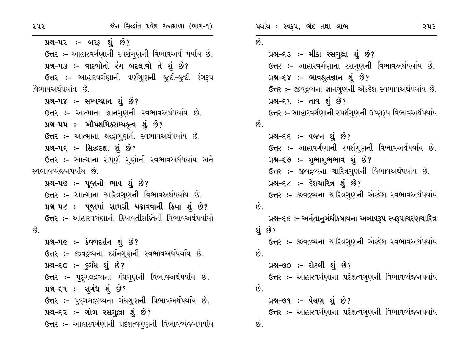પ્રશ્ન–૫૨ ઃ– બરફ શું છે? ઉત્તર :- આહારવર્ગણાની સ્પર્શગણની વિભાવઅર્થ પર્યાય છે. પ્રશ્ન-૫૩ :- વાદળોનો રંગ બદલાવો તે શું છે? ઉત્તર :- આહારવર્ગણાની વર્ણગણની જૂદી-જૂદી રંગરૂપ વિભાવઅર્થપર્યાય છે. પ્રશ્ન-૫૪ :- સમ્યગ્જ્ઞાન શું છે? ઉત્તર :- આત્માના જ્ઞાનગુણની સ્વભાવઅર્થપર્યાય છે. પ્રશ્ન-૫૫ :- ઔપશમિકસમ્પક્ત્વ શું છે? ઉત્તર :- આત્માના શ્રદ્ધાગુણની સ્વભાવઅર્થપર્યાય છે. પ્રશ્ન-૫૬ :- સિદ્ધદશા શું છે? ઉત્તર :– આત્માના સંપૂર્ણ ગુણોની સ્વભાવઅર્થપર્યાય અને સ્વભાવવ્યંજનપર્યાય છે. પ્રશ્ન-૫૭ :- પૂજાનો ભાવ શું છે? ઉત્તર :- આત્માના ચારિત્રગુણની વિભાવઅર્થપર્યાય છે. પ્રશ્ન-૫૮ :- પૂજામાં સામગ્રી ચઢાવવાની ક્રિયા શું છે? ઉત્તર:- આહારવર્ગણાની ક્રિયાવતીશક્તિની વિભાવઅર્થપર્યાયો  $\hat{g}$ . પ્રશ્ન-૫૯ :- કેવળદર્શન શું છે? ઉત્તર :- જીવદ્રવ્યના દર્શનગણની સ્વભાવઅર્થપર્યાય છે.  $14-50 - 50$  i  $20$ **ઉત્તર :-** પુદ્દગલદ્રવ્યના ગંધગુણની વિભાવઅર્થપર્યાય છે. પ્રશ્ન-૬૧ :- સુગંધ શું છે? ઉત્તર :- પુદ્ગલદ્રદવ્યના ગંધગુણની વિભાવઅર્થપર્યાય છે. પ્રશ્ન–૬૨ :- ગોળ રસગુલ્રા શું છે? ઉત્તર: – આહારવર્ગણાની પ્રદેશત્વગૃણની વિભાવવ્યંજનપર્યાય ૫ર્યાય: સ્વરૂપ, ભેદ તથા લાભ ૨૫૩  $\hat{Q}$ . પ્રશ્ન-૬૩ :- મીઠા રસગુલ્રા શું છે? ઉત્તર :- આહારવર્ગણાના રસગુણની વિભાવઅર્થપર્યાય છે. પ્રશ્ન-૬૪ :- ભાવશ્રુતજ્ઞાન શું છે? ઉત્તર:- જીવદ્રવ્યના જ્ઞાનગુણની એકદેશ સ્વભાવઅર્થપર્યાય છે. પ્રશ્ન–દ્દપ :– તાવ શું છે? ઉત્તર :- આહારવર્ગણાની સ્પર્શગુણની ઉષ્ણરૂપ વિભાવઅર્થપર્યાય  $\mathfrak{G}$ પ્રશ્ન–દદ :– વજન શું છે? ઉત્તર :- આહાવર્ગણાની સ્પર્શગણની વિભાવઅર્થપર્યાય છે. પ્રશ્ન–૬૭ :- શુભાશુભભાવ શું છે? ઉત્તર :- જીવદ્રવ્યના ચારિત્રગુણની વિભાવઅર્થપર્યાય છે. પ્રશ્ન-૬૮ :- દેશચારિત્ર શું છે? ઉત્તર :- જીવદ્રવ્યના ચારિત્રગુણની એકદેશ સ્વભાવઅર્થપર્યાય  $\hat{g}$ . પ્રશ્ન–૬૯ ઃ– અનંતાનુબંધીકષાયના અબાવરૂપ સ્વરૂપાચરણચારિત્ર શં છે? ઉત્તર :– જીવદ્રવ્યના ચારિત્રગુણની એકદેશ સ્વભાવઅર્થપર્યાય  $63$ પ્રશ્ન–૭૦ ઃ– રોટલી શું છે? ઉત્તર :– આહારવર્ગણાના પ્રદેશત્વગુણની વિભાવવ્યંજનપર્યાય  $\hat{\mathfrak{p}}$ પ્રશ્ન–૭૧ ઃ– વેલણ શું છે?

ઉત્તર :- આહારવર્ગણાના પ્રદેશત્વગુણની વિભાવવ્યંજનપર્યાય છે.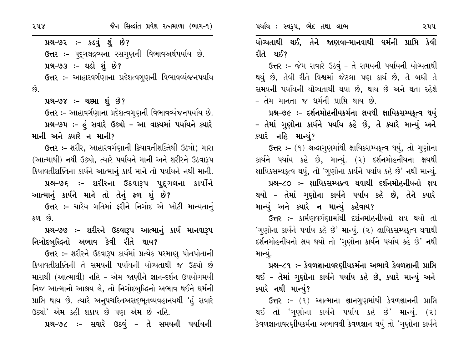પ્રશ્ન-૭૨ :- કડવું શું છે? ઉત્તર :- પદુગલદ્રવ્યના રસગણની વિભાવઅર્થપર્યાય છે. પ્રશ્ન-૭૩ :- ઘડો શું છે? ઉત્તર :- આહારવર્ગણાના પ્રદેશત્વગૃણની વિભાવવ્યંજનપર્યાય  $\hat{g}$ .

```
પ્રશ્ન–૭૪ :– ચક્ષ્મા શું છે?
```
ઉત્તર :- આહાવર્ગણાના પ્રદેશત્વગુણની વિભાવવ્યંજનપર્યાય છે. પ્રશ્ન-૭૫ :- હું સવારે ઉઠ્યો - આ વાક્યમાં પર્યાયને ક્યારે માની અને ક્યારે ન માની?

**ઉત્તર :-** શરીર, આહારવર્ગણાની ક્રિયાવતીશક્તિથી ઉઠ્યો; મારા (આત્માથી) નથી ઉઠ્યો, ત્યારે પર્યાયને માની અને શરીરને ઉઠવારૂપ ક્રિયાવતીશક્તિના કાર્યને આત્માનું કાર્ય માને તો પર્યાયને નથી માની.

પ્રશ્ન-૭૬ :- શરીરના ઉઠવારૂપ પુદ્ગલના કાર્યોને આત્માનું કાર્યને માને તો તેનું ફળ શું છે?

ઉત્તર :- ચારેય ગતિમાં ફરીને નિગોદ એ ખોટી માન્યતાનું  $50^{\circ}$  છે.

પ્રશ્ન–૭૭ :– શરીરને ઉઠવારૂપ આત્માનું કાર્ય માનવારૂપ નિગોદબુદ્ધિનો અભાવ કેવી રીતે થાય?

ઉત્તર :- શરીરને ઉઠવારૂપ કાર્યમાં પ્રત્યેક પરમાણુ પોતપોતાની ક્રિયાવતીશક્તિની તે સમયની પર્યાયની યોગ્યતાથી જ ઉઠ્યો છે મારાથી (આત્માથી) નહિ – એમ જાણીને જ્ઞાન–દર્શન ઉપયોગમયી નિજ આત્માનો આશ્રય લે, તો નિગોદબુદ્ધિનો અભાવ થઈને ધર્મની પ્રાપ્તિ થાય છે. ત્યારે અનુપચરિતઅસદ્ભૂતવ્યવહાનયથી 'હં સવારે ઉઠ્યો' એમ કહી શકાય છે પણ એમ છે નહિ.

પ્રશ્ન-૭૮ :- સવારે ઉઠવું - તે સમયની પર્યાયની

યોગ્યતાથી થઈ, તેને જાણવા-માનવાથી ધર્મની પ્રાપ્તિ કેવી રીતે થઈ?

ઉત્તર :- જેમ સવારે ઉઠવું - તે સમયની પર્યાયની યોગ્યતાથી થયું છે, તેવી રીતે વિશ્વમાં જેટલા પણ કાર્ય છે, તે બધી તે સમયની પર્યાયની યોગ્યતાથી થયા છે, થાય છે અને થતા રહેશે - તેમ માનતા જ ધર્મની પ્રાપ્તિ થાય છે.

પ્રશ્ન-૭૯ :- દર્શનમોહનીયકર્મના ક્ષયથી ક્ષાયિકસમ્પકૃત્વ થયું – તેમાં ગુણોના કાર્યને પર્યાય કહે છે, તે ક્યારે માન્યું અને ક્યારે નહિ માન્યું?

ઉત્તર :- (૧) શ્રદ્ધાગુણમાંથી ક્ષાયિકસમ્યક્ત્વ થયું, તો ગુણોના કાર્યને પર્યાય કહે છે, માન્યું. (૨) દર્શનમોહનીયના ક્ષયથી ક્ષાયિકસમ્યકૃત્વ થયું, તો 'ગુણોના કાર્યને પર્યાય કહે છે' નથી માન્યું. પ્રશ્ન-૮૦ :- ક્ષાયિકસમ્યક્ત્વ થવાથી દર્શનમોહનીયનો ક્ષય

થયો – તેમાં ગુણોના કાર્યને પર્યાય કહે છે, તેને ક્યારે માન્યું અને ક્યારે ન માન્યું કહેવાય?

ઉત્તર :- કાર્મણવર્ગણામાંથી દર્શનમોહનીયનો ક્ષય થયો તો 'ગણોના કાર્યને પર્યાય કહે છે' માન્યું. (૨) ક્ષાયિકસમ્યકૃત્વ થવાથી દર્શનમોહનીયનો ક્ષય થયો તો 'ગુણોના કાર્યને પર્યાય કહે છે' નથી માન્યું.

પ્રશ્ન–૮૧ ઃ– કેવળજ્ઞાનાવરણીયકર્મના અભાવે કેવળજ્ઞાની પ્રાપ્તિ થઈ – તેમાં ગુણોના કાર્યને પર્યાય કહે છે, ક્યારે માન્યું અને ક્યારે નથી માન્યું?

ઉત્તર :- (૧) આત્માના જ્ઞાનગુણમાંથી કેવળજ્ઞાનની પ્રાપ્તિ થઈ તો 'ગણોના કાર્યને પર્યાય કહે છે' માન્યું. (૨) કેવળજ્ઞાનાવરણીયકર્મના અભાવથી કેવળજ્ઞાન થયું તો 'ગણોના કાર્યને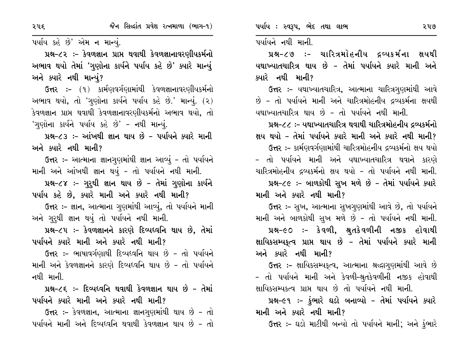પર્યાય કહે છે' એમ ન માન્યું.

પ્રશ્ન–૮૨ :- કેવળજ્ઞાન પ્રાપ્ત થવાથી કેવળજ્ઞાનાવરણીયકર્મનો અભાવ થયો તેમાં 'ગુણોના કાર્યને પર્યાય કહે છે' ક્યારે માન્યું અને ક્યારે નથી માન્યું?

ઉત્તર :- (૧) કાર્મણવર્ગણામાંથી કેવળજ્ઞાનાવરણીયકર્મનો અભાવ થયો, તો 'ગુણોના કાર્યને પર્યાય કહે છે.' માન્યું. (૨) કેવળજ્ઞાન પ્રાપ્ત થવાથી કેવળજ્ઞાનાવરણીયકર્મનો અભાવ થયો, તો 'ગુણોના કાર્યને પર્યાય કહે છે' - નથી માન્યું.

પ્રશ્ન-૮૩ :- આંખથી જ્ઞાન થાય છે - પર્યાયને ક્યારે માની અને ક્યારે નથી માની?

ઉત્તર :- આત્માના જ્ઞાનગુણમાંથી જ્ઞાન આવ્યું - તો પર્યાયને માની અને આંખથી જ્ઞાન થયું - તો પર્યાયને નથી માની.

પ્રશ્ન-૮૪ :- ગુરુથી જ્ઞાન થાય છે - તેમાં ગુણોના કાર્યને

પર્યાય કહે છે, ક્યારે માની અને ક્યારે નથી માની? ઉત્તર :- જ્ઞાન, આત્માના ગુણમાંથી આવ્યું, તો પર્યાયને માની અને ગુરૂથી જ્ઞાન થયું તો પર્યાયને નથી માની.

પ્રશ્ન-૮૫: - કેવળજ્ઞાનને કારણે દિવ્યધ્વનિ થાય છે, તેમાં પર્યાયને ક્યારે માની અને ક્યારે નથી માની?

ઉત્તર :- ભાષાવર્ગણાથી દિવ્યધ્વનિ થાય છે - તો પર્યાયને માની અને કેવળજ્ઞાનને કારણે દિવ્યધ્વનિ થાય છે - તો પર્યાયને નથી માની.

પ્રશ્ન-૮૬ :- દિવ્યધ્વનિ થવાથી કેવળજ્ઞાન થાય છે - તેમાં પર્યાયને ક્યારે માની અને ક્યારે નથી માની?

ઉત્તર :- કેવળજ્ઞાન, આત્માના જ્ઞાનગણમાંથી થાય છે - તો પર્યાયને માની અને દિવ્યધ્વનિ થવાથી કેવળજ્ઞાન થાય છે - તો પર્યાયને નથી માની.

પ્રશ્ન-૮૭ :- ચારિત્રમોહનીય દ્રવ્યકર્મના ક્ષયથી યથાખ્યાતચારિત્ર થાય છે – તેમાં પર્યાયને ક્યારે માની અને ક્યારે નથી માની?

**ઉત્તર :-** યથાખ્યાતચારિત્ર, આત્માના ચારિત્રગુણમાંથી આવે છે - તો પર્યાયને માની અને ચારિત્રમોહનીય દ્રવ્યકર્મના ક્ષયથી યથાખ્યાતચારિત્ર થાય છે – તો પર્યાયને નથી માની.

પ્રશ્ન-૮૮ :- યથાખ્યાતચારિત્ર થવાથી ચારિત્રમોહનીય દ્રવ્યકર્મનો ક્ષય થયો – તેમાં પર્યાયને ક્યારે માની અને ક્યારે નથી માની? ઉત્તર :- કાર્મણવર્ગણામાંથી ચારિત્રમોહનીય દ્રવ્યકર્મનો ક્ષય થયો – તો પર્યાયને માની અને યથાખ્યાતચારિત્ર થવાને કારણે ચારિત્રમોહનીય દ્રવ્યકર્મનો ક્ષય થયો - તો પર્યાયને નથી માની. પ્રશ્ન-૮૯ :- બાળકોથી સુખ મળે છે - તેમાં પર્યાયને ક્યારે માની અને ક્યારે નથી માની?

ઉત્તર :- સુખ, આત્માના સુખગુણમાંથી આવે છે, તો પર્યાયને માની અને બાળકોથી સુખ મળે છે - તો પર્યાયને નથી માની. પ્રશ્ન-૯૦ :- કેવળી, શ્રુતકેવળીની નજીક હોવાથી ક્ષાયિકસમ્યકૃત્વ પ્રાપ્ત થાય છે - તેમાં પર્યાયને ક્યારે માની અને ક્યારે નથી માની?

**ઉત્તર :-** ક્ષાયિકસમ્યકૃત્વ, આત્માના શ્રદ્ધાગુણમાંથી આવે છે – તો પર્યાયને માની અને કેવળી-શ્રુતકેવળીની નજીક હોવાથી ક્ષાયિકસમ્યકત્વ પ્રાપ્ત થાય છે તો પર્યાયને નથી માની.

પ્રશ્ન–૯૧ :– કુંભારે ઘડો બનાવ્યો – તેમાં પર્યાયને ક્યારે માની અને ક્યારે નથી માની?

**ઉત્તર :-** ઘડો માટીથી બન્યો તો પર્યાયને માની; અને કુંભારે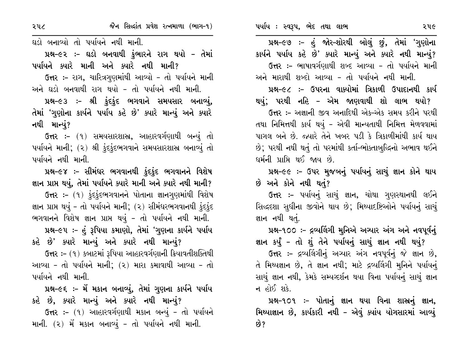પ્રશ્ન–૯૭ :- હું જોર–શોરથી બોલું છું, તેમાં 'ગુણોના કાર્યને પર્યાય કહે છે' ક્યારે માન્યું અને ક્યારે નથી માન્યું? ઉત્તર :- ભાષાવર્ગણાથી શબ્દ આવ્યા - તો પર્યાયને માની અને મારાથી શબ્દો આવ્યા - તો પર્યાયને નથી માની.

પ્રશ્ન–૯૮ :– ઉપરના વાક્યોમાં ત્રિકાળી ઉપાદાનથી કાર્ય

થયું; પરથી નહિ – એમ જાણવાથી શો લાભ થયો? ઉત્તર :- અજ્ઞાની જીવ અનાદિથી એક-એક સમય કરીને પરથી તથા નિમિત્તથી કાર્ય થયું - એવી માન્યતાથી નિમિત્ત મેળવવામાં પાગલ બને છે. જ્યારે તેને ખબર પડી કે ત્રિકાળીમાંથી કાર્ય થાય છે; પરથી નથી થતું તો પરમાંથી કર્તા-ભોક્તાબુદ્ધિનો અભાવ થઈને ઘર્મની પ્રાપ્તિ થઈ જાય છે.

પ્રશ્ન-૯૯ :- ઉપર મુજબનું પર્યાયનું સાચું જ્ઞાન કોને થાય છે અને કોને નથી થતું?

ઉત્તર :- પર્યાયનું સાચું જ્ઞાન, ચોથા ગુણસ્થાનથી લઈને સિદ્ધદશા સુધીના જીવોને થાય છે; મિથ્યાદષ્ટિઓને પર્યાયનું સાચું જ્ઞાન નથી થતું.

પ્રશ્ન-૧૦૦ :- દ્રવ્યલિંગી મુનિએ અચ્યાર અંગ અને નવપૂર્વનું

જ્ઞાન કર્યું – તો શું તેને પર્યાયનું સાચું જ્ઞાન નથી થયું?

ઉત્તર :- દ્રવ્યલિંગીનું અગ્યાર અંગ નવપૂર્વનું જે જ્ઞાન છે, તે મિથ્યજ્ઞાન છે, તે જ્ઞાન નથી; માટે દ્રવ્યલિંગી મુનિને પર્યાયનું સાચું જ્ઞાન નથી, કેમકે સમ્યગ્દર્શન થયા વિના પર્યાયનું સાચું જ્ઞાન ન હોઈ શકે.

પ્રશ્ન-૧૦૧ :- પોતાનું જ્ઞાન થયા વિના શાસ્ત્રનું જ્ઞાન, મિથ્યાજ્ઞાન છે, કાર્યકારી નથી - એવું ક્યાંય યોગસારમાં આવ્યું છે?

ઘડો બનાવ્યો તો પર્યાયને નથી માની.

પ્રશ્ન–૯૨ :– ઘડો બનવાથી કુંભારને રાગ થયો – તેમાં પર્યાયને ક્યારે માની અને ક્યારે નથી માની?

ઉત્તર :- રાગ, ચારિત્રગણમાંથી આવ્યો - તો પર્યાયને માની અને ઘડો બનવાથી રાગ થયો – તો પર્યાયને નથી માની.

પ્રશ્ન-૯૩ :- શ્રી કુંદકુંદ ભગવાને સમયસાર બનાવ્યું, તેમાં 'ગુણોના કાર્યને પર્યાય કહે છે' ક્યારે માન્યું અને ક્યારે નથી માન્યું?

ઉત્તર :- (૧) સમયસારશાસ્ત્ર, આહારવર્ગણાથી બન્યું તો પર્યાયને માની; (૨) શ્રી કુંદકુંદભગવાને સમયસારશાસ્ર બનાવ્યું તો પર્યાયને નથી માની.

પ્રશ્ન–૯૪ ઃ– સીમંધર ભગવાનથી ફંદફંદ ભગવાનને વિશેષ જ્ઞાન પ્રાપ્ત થયું, તેમાં પર્યાયને ક્યારે માની અને ક્યારે નથી માની?

ઉત્તર :- (૧) કુંદકુંદભગવાનને પોતાના જ્ઞાનગણમાંથી વિશેષ જ્ઞાન પ્રાપ્ત થયું - તો પર્યાયને માની; (૨) સીમંઘરભગવાનથી ફુંદફુંદ ભગવાનને વિશેષ જ્ઞાન પ્રાપ્ત થયું - તો પર્યાયને નથી માની. પ્રશ્ન–૯૫ :- હું રૂપિયા કમાણો, તેમાં 'ગુણના કાર્યને પર્યાય

કહે છે' ક્યારે માન્યું અને ક્યારે નથી માન્યું?

ઉત્તર: – (૧) કબાટમાં રૂપિયા આહારવર્ગણાની ક્રિયાવતીશક્તિથી આવ્યા - તો પર્યાયને માની; (૨) મારા કમાવાથી આવ્યા - તો પર્યાયને નથી માની.

પ્રશ્ન–૯૬ ઃ– મેં મકાન બનાવ્યું, તેમાં ગુણના કાર્યને પર્યાય કહે છે, ક્યારે માન્યું અને ક્યારે નથી માન્યું?

ઉત્તર :- (૧) આહારવર્ગણાથી મકાન બન્યું - તો પર્યાયને માની. (૨) મેં મકાન બનાવ્યું - તો પર્યાયને નથી માની.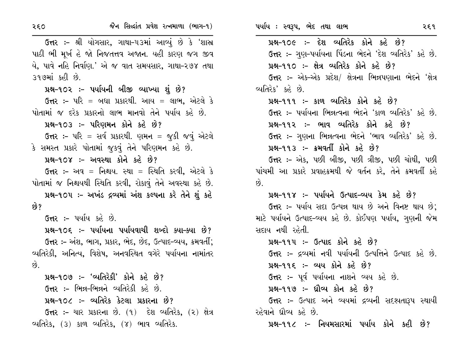| ર૬૦            | જૈન સિલ્દાંત પ્રવેશ રત્નમાળા (ભાગ-૧)                           | ૫ર્યાય : સ્વરૂપ, ભેદ તથા લાભ                                     | २६१ |  |
|----------------|----------------------------------------------------------------|------------------------------------------------------------------|-----|--|
|                | ઉત્તર :- શ્રી યોગસાર, ગાથા-૫૩માં આવ્યું છે કે 'શાસ્ર           | પ્રશ્ન-૧૦૯ :- દેશ વ્યતિરેક કોને કહે છે?                          |     |  |
|                | પાઠી ભી મૂર્ખ હે જો નિજતત્તવ અજાન. યહી કારણ જગ જીવ             | ઉત્તર :- ગુણ-પર્યાયના પિંડના ભેદને 'દેશ વ્યતિરેક' કહે છે.        |     |  |
|                | યે, પાવે નહિ નિર્વાણ.' એ જ વાત સમયસાર, ગાથા-૨૭૪ તથા            | પ્રશ્ન-૧૧૦ :- ક્ષેત્ર વ્યતિરેક કોને કહે છે?                      |     |  |
| ૩૧૭માં કહી છે. |                                                                | ઉત્તર :– એક-એક પ્રદેશ/ ક્ષેત્રના ભિન્નપણાના ભેદને 'ક્ષેત્ર       |     |  |
|                | પ્રશ્ન-૧૦૨ :- પર્યાયની બીજી વ્યાખ્યા શું છે?                   | વ્યતિરેક' કહે છે.                                                |     |  |
|                | <b>ઉત્તર :-</b> પરિ = બધા પ્રકારથી. આય = લાભ, એટલે કે          | પ્રશ્ન-૧૧૧ :- કાળ વ્યતિરેક કોને કહે છે?                          |     |  |
|                | પોતામાં જ દરેક પ્રકારનો લાભ માનવો તેને પર્યાય કહે છે.          | <b>ઉત્તર :-</b> પર્યાયના ભિન્નત્વના ભેદને 'કાળ વ્યતિરેક' કહે છે. |     |  |
|                | પ્રશ્ન-૧૦૩ :- પરિણમન કોને કહે છે?                              | પ્રશ્ન-૧૧૨ :- ભાવ વ્યતિરેક કોને કહે છે?                          |     |  |
|                | ઉત્તર :- પરિ = સર્વ પ્રકારથી. ણમન = જુકી જવું એટલે             | ઉત્તર :- ગુણના ભિન્નત્વના ભેદને 'ભાવ વ્યતિરેક' કહે છે.           |     |  |
|                | કે સમસ્ત પ્રકારે પોતામાં જુકવું તેને પરિણમન કહે છે.            | પ્રશ્ન-૧૧૩ :- ક્રમવર્તી કોને કહે છે?                             |     |  |
|                | પ્રશ્ન-૧૦૪ :- અવસ્થા કોને કહે છે?                              | ઉત્તર :- એક, પછી બીજી, પછી ત્રીજી, પછી ચોથી, પછી                 |     |  |
|                | <b>ઉત્તર :-</b> અવ = નિશ્ચય. સ્થા = સ્થિતિ કરવી, એટલે કે       | પાંચમી આ પ્રકારે પ્રવાહક્રમથી જે વર્તન કરે, તેને ક્રમવર્તી કહે   |     |  |
|                | પોતામાં જ નિશ્ચયથી સ્થિતિ કરવી, રોકાવું તેને અવસ્થા કહે છે.    | છે.                                                              |     |  |
|                | પ્રશ્ન-૧૦૫ :- અખંડ દ્રવ્યમાં અંશ કલ્પના કરે તેને શું કહે       | પ્રશ્ન-૧૧૪ :- પર્યાયને ઉત્પાદ-વ્યય કેમ કહે છે?                   |     |  |
| છે?            |                                                                | ઉત્તર :- પર્યાય સદા ઉત્પન્ન થાય છે અને વિનષ્ટ થાય છે;            |     |  |
|                | ઉત્તર :- પર્યાય કહે છે.                                        | માટે પર્યાયને ઉત્પાદ-વ્યય કહે છે. કોઈપણ પર્યાય, ગુણની જેમ        |     |  |
|                | પ્રશ્ન-૧૦૬ :- પર્યાયના પર્યાયવાચી શબ્દો ક્યા-ક્યા છે?          | સદાય નથી રહેતી.                                                  |     |  |
|                | ઉત્તર :- અંશ, ભાગ, પ્રકાર, ભેદ, છેદ, ઉત્પાદ-વ્યય, ક્રમવર્તી;   | પ્રશ્ન-૧૧૫: - ઉત્પાદ કોને કહે છે?                                |     |  |
|                | વ્યતિરેકી, અનિત્ય, વિશેષ, અનવસ્થિત વગેરે પર્યાયના નામાંતર      | ઉત્તર :- દ્રવ્યમાં નવી પર્યાયની ઉત્પત્તિને ઉત્પાદ કહે છે.        |     |  |
| છે.            |                                                                | પ્રશ્ન-૧૧૬ :- વ્યય કોને કહે છે?                                  |     |  |
|                | પ્રશ્ન-૧૦૭ :- 'વ્યતિરેકી' કોને કહે છે?                         | ઉત્તર :- પૂર્વ પર્યાયના નાશને વ્યય કહે છે.                       |     |  |
|                | <b>ઉત્તર :- ભિ</b> ન્ન-ભિન્નને વ્યતિરેકી કહે છે.               | પ્રશ્ન-૧૧૭ :- ઘ્રૌવ્ય કોન કહે છે?                                |     |  |
|                | પ્રશ્ન-૧૦૮ ઃ- વ્યતિરેક કેટલા પ્રકારના છે?                      | ઉત્તર :- ઉત્પાદ અને વ્યયમાં દ્રવ્યની સદશ્યતારૂપ સ્થાયી           |     |  |
|                | <b>ઉત્તર :-</b> ચાર પ્રકારના છે. (૧) દેશ વ્યતિરેક, (૨) ક્ષેત્ર | રહેવાને ધ્રૌવ્ય કહે છે.                                          |     |  |
|                | વ્યતિરેક, (૩) કાળ વ્યતિરેક, (૪) ભાવ વ્યતિરેક.                  | પ્રશ્ન-૧૧૮ :- નિયમસારમાં પર્યાય કોને કહી છે?                     |     |  |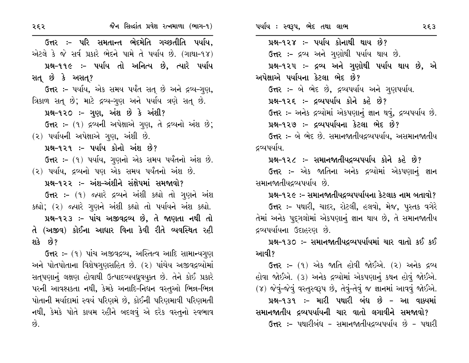ઉત્તર :- પરિ સમતાન્ત ભેદમેતિ ગચ્છતીતિ પર્યાય, એટલે કે જે સર્વ પ્રકારે ભેદને પામે તે પર્યાય છે. (ગાથા-૧૪) પ્રશ્ન-૧૧૯ :- ૫ર્યાય તો અનિત્ય છે. ત્યારે ૫ર્યાય સત છે કે અસત? ઉત્તર :- પર્યાય, એક સમય પર્યંત સત્ છે અને દ્રવ્ય-ગુણ, ત્રિકાળ સતુ છે; માટે દ્રવ્ય-ગુણ અને પર્યાય ત્રણે સતુ છે. પ્રશ્ન-૧૨૦ :- ગુણ, અંશ છે કે અંશી? ઉત્તર: - (૧) દ્રવ્યની અપેક્ષાએ ગણ, તે દ્રવ્યનો અંશ છે; (૨) પર્યાયની અપેક્ષાએ ગુણ, અંશી છે. પ્રશ્ન-૧૨૧ :- પર્યાય કોનો અંશ છે? ઉત્તર :- (૧) પર્યાય, ગુણનો એક સમય પર્યંતનો અંશ છે. (૨) પર્યાય, દ્રવ્યનો પણ એક સમય પર્યંતનો અંશ છે. પ્રશ્ન-૧૨૨ :– અંશ–અંશીને સંક્ષેપમાં સમજાવો? ઉત્તર :- (૧) જ્યારે દ્રવ્યને અંશી કહ્યો તો ગુણને અંશ કહ્યો; (૨) જ્યારે ગુણને અંશી કહ્યો તો પર્યાયને અંશ કહ્યો. પ્રશ્ન-૧૨૩ :- પાંચ અજીવદ્રવ્ય છે, તે જાણતા નથી તો તે (અજીવ) કોઈના આધાર વિના કેવી રીતે વ્યવસ્થિત રહી શકે છે? ઉત્તર :- (१) પાંચ અજીવદ્રવ્ય, અસ્તિત્વ આદિ સામાન્યગુણ

અને પોતપોતાના વિશેષગુણસહિત છે. (૨) પાંચેય અજીવદ્રવ્યોમાં સતૃપણાનું લક્ષણ હોવાથી ઉત્પાદવ્યયધ્રુવયુક્ત છે. તેને કોઈ પ્રકારે પરની આવશ્યકતા નથી, કેમકે અનાદિ-નિધન વસ્તુઓ ભિન્ન-ભિન્ન પોતાની મર્યાદામાં સ્વયં પરિણમે છે, કોઈની પરિણમાવી પરિણમતી નથી, કેમકે પોતે કાયમ રહીને બદલવું એ દરેક વસ્તુનો સ્વભાવ છે.

પ્રશ્ન-૧૨૪ :- પર્યાય કોનાથી થાય છે? ઉત્તર :- દ્રવ્ય અને ગુણોથી પર્યાય થાય છે. પ્રશ્ન-૧૨૫ :- દ્રવ્ય અને ગુણોથી પર્યાય થાય છે, એ અપેક્ષાએ પર્યાયના કેટલા ભેદ છે? ઉત્તર :- બે ભેદ છે, દ્રવ્યપર્યાય અને ગુણપર્યાય. પ્રશ્ન-૧૨૬ :- દ્રવ્યપર્યાય કોને કહે છે? ઉત્તર :- અનેક દ્રવ્યોમાં એકપણાનું જ્ઞાન થવું, દ્રવ્યપર્યાય છે. પ્રશ્ન-૧૨૭ :- દ્રવ્યપર્યાયના કેટલા ભેદ છે? ઉત્તર :- બે ભેદ છે. સમાનજાતીયદ્રવ્યપર્યાય. અસમાનજાતીય દ્રવ્યપર્યાય.

પ્રશ્ન-૧૨૮ :- સમાનજાતીયદ્રવ્યપર્યાય કોને કહે છે? ઉત્તર :- એક જાતિના અનેક દ્રવ્યોમાં એકપણાનું જ્ઞાન

સમાનજાતીયદ્રવ્યપર્યાય છે.

પ્રશ્ન–૧૨૯ :– સમાનજાતીયદ્રવ્યપર્યાયના કેટલાક નામ બતાવો?

ઉત્તર :- પથારી, ચાદર, રોટલી, હલવો, મેજ, પુસ્તક વગેરે તેમાં અનેક પદ્ગલોમાં એકપણાનું જ્ઞાન થાય છે, તે સમાનજાતીય દ્રવ્યપર્યાયના ઉદાહરણ છે.

પ્રશ્ન-૧૩૦ :- સમાનજાતીયદ્રવ્યપર્યાયમાં ચાર વાતો કઈ કઈ આવી?

ઉત્તર :- (૧) એક જાતિ હોવી જોઈએ. (૨) અનેક દ્રવ્ય હોવા જોઈએ. (૩) અનેક દ્રવ્યોમાં એકપણાનું કથન હોવું જોઈએ. (૪) જેવું-જેવું વસ્તુસ્વરૂપ છે, તેવું-તેવું જ જ્ઞાનમાં આવવું જોઈએ. પ્રશ્ન-૧૩૧ :- મારી પથારી બંધ છે - આ વાક્યમાં સમાનજાતીય દ્રવ્યપર્યાયની ચાર વાતો લગાવીને સમજાવો? ઉત્તર :- પથારીબંધ - સમાનજાતીયદ્રવ્યપર્યાય છે - પથારી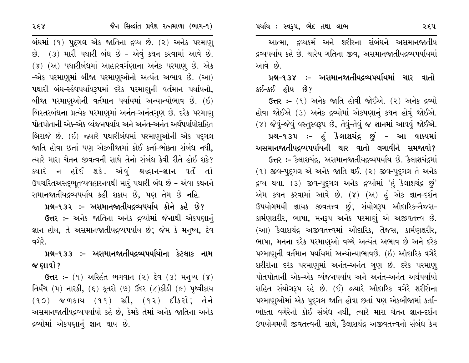આત્મા, દ્રવ્યકર્મ અને શરીરના સંબંધને અસમાનજાતીય દ્રવ્યપર્યાય કહે છે. ચારેય ગતિના જીવ, અસમાનજાતીયદ્રવ્યપર્યાયમાં આવે છે.

પ્રશ્ન–૧૩૪ ઃ– અસમાનજાતીયદ્રવ્યપર્યાયમાં ચાર વાતો કઈ-કઈ હોય છે?

ઉત્તર :- (૧) અનેક જાતિ હોવી જોઈએ. (૨) અનેક દ્રવ્યો હોવા જોઈએ (૩) અનેક દ્રવ્યોમાં એકપણાનું કથન હોવું જોઈએ. (૪) જેવું-જેવું વસ્તુસ્વરૂપ છે, તેવું-તેવું જ જ્ઞાનમાં આવવું જોઈએ. પ્રશ્ન-૧૩૫ :- હું કૈલાશચંદ્ર છું - આ વાક્યમાં અસમાનજાતીયદ્રવ્યપર્યાયની ચાર વાતો લગાવીને સમજાવો? ઉત્તર :- કૈલાશચંદ્ર, અસમાનજાતીયદ્રવ્યપર્યાય છે. કૈલાશચંદ્રમાં  $(9)$  જીવ-પુદ્ગલ એ અનેક જાતિ થઈ.  $(2)$  જીવ-પુદ્ગલ તે અનેક દ્રવ્ય થયા. (3) જીવ-પુદ્ગલ અનેક દ્રવ્યોમાં 'હું કૈલાશચંદ્ર છું' એમ કથન કરવામાં આવે છે. (૪) (અ) હું એક જ્ઞાન-દર્શન ઉપયોગમયી જ્ઞાયક જીવતત્ત્વ છું; સંયોગરૂપ ઔદારિક-તૈજસ-કાર્મણશરીર, ભાષા, મનરૂપ અનેક પરમાણું એ અજીવતત્ત્વ છે. (આ) કૈલાશચંદ્ર અજીવતત્ત્વમાં ઔદારિક, તૈજસ, કાર્મણશરીર, ભાષા, મનના દરેક પરમાણુઓ વચ્ચે અત્યંત અભાવ છે અને દરેક પરમાણુની વર્તમાન પર્યાયમાં અન્યોન્યાભાવછે. (ઇ) ઔદારિક વગેરે શરીરોના દરેક પરમાણુમાં અનંત-અનંત ગુણ છે. દરેક પરમાણ્ પોતપોતાની એક-એક વ્યંજનપર્યાય અને અનંત-અનંત અર્થપર્યાયો સહિત સંયોગરૂપ રહે છે. (ઈ) જ્યારે ઔદારિક વગેરે શરીરોના પરમાણુઓમાં એક પદ્ગલ જાતિ હોવા છતાં પણ એકબીજામાં કર્તા-ભોક્તા વગેરેનો કોઈ સંબંધ નથી. ત્યારે મારા ચેતન જ્ઞાન-દર્શન ઉપયોગમયી જીવતત્ત્વની સાથે, કૈલાશચંદ્ર અજીવતત્ત્વનો સંબંધ કેમ

બંધમાં (૧) પુદ્ગલ એક જાતિના દ્રવ્ય છે. (૨) અનેક પરમાણ્ છે. (3) મારી પથારી બંધ છે - એવું કથન કરવામાં આવે છે. (૪) (અ) પથારીબંધમાં આહારવર્ગણાના અનેક પરમાણુ છે. એક –એક પરમાણમાં બીજા પરમાણુઓનો અત્યંત અભાવ છે. (આ) પથારી બંધ-સ્કંધપર્યાયરૂપમાં દરેક પરમાણુની વર્તમાન પર્યાયનો, બીજા પરમાણુઓની વર્તમાન પર્યાયમાં અન્યાન્યોભાવ છે. (ઇ) બિસ્તરબંધના પ્રત્યેક પરમાણમાં અનંત-અનંતગણ છે. દરેક પરમાણ પોતપોતાની એક-એક વ્યંજનપર્યાય અને અનંત-અનંત અર્થપર્યાયોસહિત બિરાજે છે. (ઈ) જ્યારે પથારીબંધમાં પરમાણુઓની એક પદગલ જાતિ હોવા છતાં પણ એકબીજામાં કોઈ કર્તા-ભોક્તા સંબંધ નથી. ત્યારે મારા ચેતન જીવત્વની સાથે તેનો સંબંધ કેવી રીતે હોઈ શકે? ક્યારે ન હોઈ શકે. એવં શ્રદ્ધાન-જ્ઞાન વર્તે તો ઉપચરિતઅસદ્દભૂતવ્યવહારનયથી મારું પથારી બંધ છે - એવા કથનને સમાનજાતીયદ્રવ્યપર્યાય કહી શકાય છે, પણ તેમ છે નહિ.

પ્રશ્ન-૧૩૨ :- અસમાનજાતીયદ્રવ્યપર્યાય કોને કહે છે?

ઉત્તર :- અનેક જાતિના અનેક દ્રવ્યોમાં જેનાથી એકપણાનું જ્ઞાન હોય, તે અસમાનજાતીયદ્રવ્યપર્યાય છે; જેમ કે મનુષ્ય, દેવ વગેરે.

પ્રશ્ન–૧૩૩ ઃ– અસમાનજાતીયદ્રવ્યપર્યાયોના કેટલાક નામ જ ણાવો ?

 $G$ ત્તર: – (૧) અરિહંત ભગવાન (૨) દેવ (૩) મનુષ્ય (૪) તિર્યંચ (૫) નારકી, (૬) કૂતરો (૭) ઉંદર (૮)કીડી (૯) પૃથ્વીકાય  $(90)$  જળકાય  $(99)$  સ્ત્રી,  $(92)$  દીકરો; તેને અસમાનજાતીયદ્રવ્યપર્યાયો કહે છે, કેમકે તેમાં અનેક જાતિના અનેક દ્રવ્યોમાં એકપણાનું જ્ઞાન થાય છે.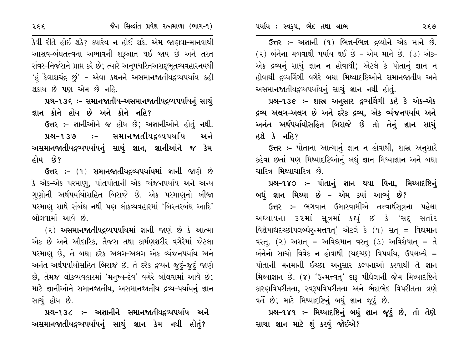ઉત્તર :- અજ્ઞાની (૧) ભિન્ન-ભિન્ન દ્રવ્યોને એક માને છે.  $(2)$  બંનેના મળવાથી પર્યાય થઈ છે – એમ માને છે.  $(3)$  એક– એક દ્રવ્યનું સાચું જ્ઞાન ન હોવાથી; એટલે કે પોતાનું જ્ઞાન ન હોવાથી દ્રવ્યલિંગી વગેરે બધા મિથ્યાદષ્ટિઓને સમાનજાતીય અને અસમાનજાતીયદ્રવ્યપર્યાયનું સાચું જ્ઞાન નથી હોતું.

પ્રશ્ન-૧૩૯ :- શાસ્ર અનુસાર દ્રવ્યલિંગી કહે કે એક-એક દ્રવ્ય અલગ-અલગ છે અને દરેક દ્રવ્ય, એક વ્યંજનપર્યાય અને અનંત અર્થપર્યાયોસહિત બિરાજે છે તો તેનું જ્ઞાન સાચું હશે કે નહિ?

ઉત્તર :- પોતાના આત્માનું જ્ઞાન ન હોવાથી, શાસ્ર અનુસારે કહેવા છતાં પણ મિથ્યાદષ્ટિઓનું બધું જ્ઞાન મિથ્યાજ્ઞાન અને બધા ચારિત્ર મિથ્યાચારિત્ર છે.

પ્રશ્ન-૧૪૦ :- પોતાનું જ્ઞાન થયા વિના, મિથ્યાદષ્ટિનું બધું જ્ઞાન મિથ્યા છે – એમ ક્યાં આવ્યું છે?

ઉત્તર :– ભગવાન ઉમાસ્વામીએ તત્ત્વાર્થસ્¢ના પહેલા અઘ્યાયના ૩૨માં સૂત્રમાં કહ્યું છે કે 'સદ્ સતોર વિશેષાદ્યદચ્છોપલબ્ધેર્ન્મત્તવત્' એટલે કે (૧) સત્ = વિદ્યમાન વસ્તુ. (૨) અસત્ = અવિદ્યમાન વસ્તુ (૩) અવિશેષાત્ = તે બંનેનો સાચો વિવેક ન હોવાથી (યદચ્છ) વિપર્યાય, ઉપલબ્ધે = પોતાની મનમાની ઇચ્છા અનુસાર કલ્પનાઓ કરવાથી તે જ્ઞાન મિથ્યાજ્ઞાન છે. (૪) 'ઉન્મત્ત્વતુ' દારૂ પીધેલાની જેમ મિથ્યાદષ્ટિને કારણવિપરીતતા, સ્વરૂપવિપરીતતા અને ભેદાભેદ વિપરીતતા ત્રણે વર્તે છે; માટે મિથ્યાદષ્ટિનું બધું જ્ઞાન જૂઠું છે.

પ્રશ્ન-૧૪૧ :- મિથ્યાદષ્ટિનું બધું જ્ઞાન જૂઠું છે, તો તેણે સાચા જ્ઞાન માટે શું કરવું જોઈએ?

કેવી રીતે હોઈ શકે? ક્યારેય ન હોઈ શકે. એમ જાણવા-માનવાથી આસ્રવ-બંધતત્ત્વના અભાવની શરૂઆત થઈ જાય છે અને તરત સંવર-નિર્જરાને પ્રાપ્ત કરે છે; ત્યારે અનુપચરિતઅસદ્ભુતવ્યવહારનયથી 'હં કૈલાશચંદ્ર છું' - એવા કથનને અસમાનજાતીયદ્રવ્યપર્યાય કહી શકાય છે પણ એમ છે નહિ.

પ્રશ્ન-૧૩૬ ઃ- સમાનજાતીય-અસમાનજાતીયદ્રવ્યપર્યાયનું સાચું જ્ઞાન કોને હોય છે અને કોને નહિ?

ઉત્તર :- જ્ઞાનીઓને જ હોય છે; અજ્ઞાનીઓને હોતું નથી.

ઃ− સમાનજાતીયદ્રવ્યપર્યાય นม- 939 અને અસમાનજાતીયદ્રવ્યપર્યાયનું સાચું જ્ઞાન, જ્ઞાનીઓને જ કેમ હોય છે?

ઉત્તર :- (૧) સમાનજાતીયદ્રવ્યપર્યાયમાં જ્ઞાની જાણે છે કે એક-એક પરમાણુ, પોતપોતાની એક વ્યંજનપર્યાય અને અન્ય ગણોની અર્થપર્યાયોસહિત બિરાજે છે. એક પરમાણનો બીજા પરમાણુ સાથે સંબંધ નથી પણ લોકવ્યવહારમાં 'બિસ્તરબંધ આદિ' બોલવામાં આવે છે.

<u>(૨) અસમાનજાતીયદ્રવ્યપર્યાયમાં જ્ઞાની જાણે છે કે આત્મા</u> એક છે અને ઔદારિક, તૈજસ તથા કાર્મણશરીર વગેરેમાં જેટલા પરમાણુ છે, તે બધા દરેક અલગ-અલગ એક વ્યંજનપર્યાય અને અનંત અર્થપર્યાયોસહિત બિરાજે છે. તે દરેક દ્રવ્યને જુદું-જુદું જાણે છે, તેમજ લોકવ્યવહારમાં 'મનુષ્ય-દેવ' વગેરે બોલવામાં આવે છે; માટે જ્ઞાનીઓને સમાનજાતીય, અસમાનજાતીય દ્રવ્ય-પર્યાયનું જ્ઞાન સાચં હોય છે.

પ્રશ્ન-૧૩૮ :- અજ્ઞાનીને સમાનજાતીયદ્રવ્યપર્યાય અને અસમાનજાતીયદ્રવ્યપર્યાયનું સાચું જ્ઞાન કેમ નથી હોતું?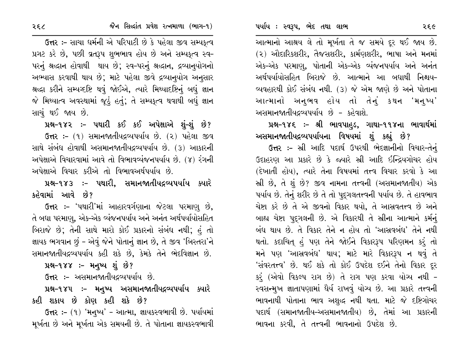આત્માનો આશ્રય લે તો મૂર્ખતા તે જ સમયે દૂર થઈ જાય છે. (૨) ઔદારિકશરીર, તૈજસશરીર, કાર્મણશરીર, ભાષા અને મનમાં એક-એક પરમાણ, પોતાની એક-એક વ્યંજનપર્યાય અને અનંત અર્થપર્યાયોસહિત બિરાજે છે. આત્માને આ બધાથી નિશ્ચય– વ્યવહારથી કોઈ સંબંધ નથી. (૩) જે એમ જાણે છે અને પોતાના આત્માનો અનુભવ હોય તો તેનું કથન 'મનુષ્ય' અસમાનજાતીયદ્રવ્યપર્યાય છે - કહેવાશે.

પ્રશ્ન-૧૪૬ :- શ્રી ભાવપાહુડ, ગાથા-૧૧૪ના ભાવાર્થમાં અસમાનજાતીયદ્રવ્યપર્યાયના વિષયમાં શું કહ્યું છે?

ઉત્તર :- સ્રી આદિ પદાર્થ ઉપરથી ભેદજ્ઞાનીનો વિચાર-તેનું ઉદાહરણ આ પ્રકારે છે કે જ્યારે સ્રી આદિ ઇન્દ્રિયગોચર હોય (દેખાતી હોય), ત્યારે તેના વિષયમાં તત્ત્વ વિચાર કરવો કે આ સ્રી છે, તે શું છે? જીવ નામના તત્ત્વની (અસમાનજાતીય) એક પર્યાય છે. તેનું શરીર છે તે તો પુદગલતત્ત્વની પર્યાય છે. તે હાવભાવ ચેષ્ટા કરે છે તે એ જીવનો વિકાર થયો, તે આસ્રવતત્ત્વ છે અને બાહ્ય ચેષ્ટા પુદુગલની છે. એ વિકારથી તે સ્રીના આત્માને કર્મનું બંધ થાય છે. તે વિકાર તેને ન હોય તો 'આસ્રવબંધ' તેને નથી થતો. કદાચિત હં પણ તેને જોઈને વિકારરૂપ પરિણમન કરં તો મને પણ 'આસ્રવબંધ' થાય; માટે મારે વિકારરૂપ ન થવું તે 'સંવરતત્ત્વ' છે. થઈ શકે તો કોઈ ઉપદેશ દઈને તેનો વિકાર દૂર કરૂં (એવો વિકલ્પ રાગ છે) તે રાગ પણ કરવા યોગ્ય નથી – સ્વસન્મુખ જ્ઞાતાપણામાં ઘૈર્ય રાખવું યોગ્ય છે. આ પ્રકારે તત્ત્વની ભાવનાથી પોતાના ભાવ અશુદ્ધ નથી થતા. માટે જે દષ્ટિગોચર પદાર્થ (સમાનજાતીય-અસમાનજાતીય) છે, તેમાં આ પ્રકારની ભાવના કરવી, તે તત્ત્વની ભાવનાનો ઉપદેશ છે.

ઉત્તર :- સાચા ધર્મની એ પરિપાટી છે કે પહેલા જીવ સમ્પકુત્વ પ્રગટ કરે છે, પછી વ્રતરૂપ શુભભાવ હોય છે અને સમ્યકૃત્વ સ્વ-પરનું શ્રદ્ધાન હોવાથી થાય છે; સ્વ-પરનું શ્રદ્ધાન, દ્રવ્યાનુયોગનો અભ્યાસ કરવાથી થાય છે; માટે પહેલા જીવે દ્રવ્યાનુયોગ અનુસાર શ્રદ્ધા કરીને સમ્યવ્દષ્ટિ થવું જોઈએ, ત્યારે મિથ્યાદષ્ટિનું બધું જ્ઞાન જે મિથ્યાત્વ અવસ્થામાં જૂઠું હતું; તે સમ્પકૃત્વ થવાથી બધું જ્ઞાન સાચું થઈ જાય છે.

પ્રશ્ન-૧૪૨ :- પથારી કઈ કઈ અપેક્ષાએ શું-શું છે? ઉત્તર: – (૧) સમાનજાતીયદ્રવ્યપર્યાય છે. (૨) પહેલા જીવ સાથે સંબંધ હોવાથી અસમાનજાતીયદ્રવ્યપર્યાય છે. (૩) આકારની અપેક્ષાએ વિચારવામાં આવે તો વિભાવવ્યંજનપર્યાય છે. (૪) રંગની અપેક્ષાએ વિચાર કરીએ તો વિભાવઅર્થપર્યાય છે.

પ્રશ્ન-૧૪૩ ઃ- પથારી, સમાનજાતીયદ્રવ્યપર્યાય ક્યારે કહેવામાં આવે છે?

**ઉત્તર :- 'પથારી'માં આહારવર્ગણાના જેટલા પરમાણ છે,** તે બધા પરમાણ, એક-એક વ્યંજનપર્યાય અને અનંત અર્થપર્યાયોસહિત બિરાજે છે; તેની સાથે મારો કોઈ પ્રકારનો સંબંધ નથી; હું તો જ્ઞાયક ભગવાન છું - એવું જેને પોતાનું જ્ઞાન છે, તે જીવ 'બિસ્તરા'ને સમાનજાતીયદ્રવ્યપર્યાય કહી શકે છે, કેમકે તેને ભેદવિજ્ઞાન છે.

પ્રશ્ન-૧૪૪ :- મનુષ્ય શું છે?

ઉ<del>ત્ત</del>ર :– અસમાનજાતીયદ્રવ્યપર્યાય છે.

પ્રશ્ન-૧૪૫ :- મનુષ્ય અસમાનજાતીયદ્રવ્યપર્યાય ક્યારે કહી શકાય છે કોણ કહી શકે છે?

ઉત્તર: – (૧) 'મનુષ્ય' – આત્મા, જ્ઞાયકસ્વભાવી છે. પર્યાયમાં મૂર્ખતા છે અને મૂર્ખતા એક સમયની છે. તે પોતાના જ્ઞાયકસ્વભાવી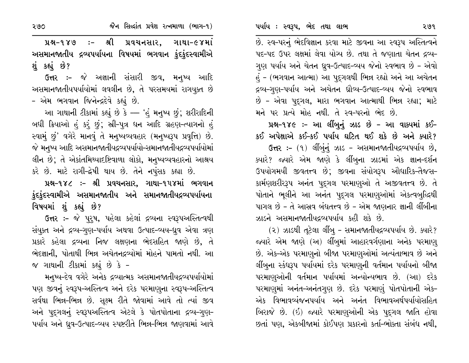છે. સ્વ-પરનું ભેદવિજ્ઞાન કરવા માટે જીવના આ સ્વરૂપ અસ્તિત્વને પદ-પદ ઉપર લક્ષમાં લેવા યોગ્ય છે. તથા તે જણાતા ચેતન દ્રવ્ય-ગુણ પર્યાય અને ચેતન ધ્રુવ-ઉત્પાદ-વ્યય જેનો સ્વભાવ છે - એવો હં - (ભગવાન આત્મા) આ પુદગલથી ભિન્ન રહ્યો અને આ અચેતન દ્રવ્ય-ગુણ-પર્યાય અને અચેતન ધ્રૌવ્ય-ઉત્પાદ-વ્યય જેનો સ્વભાવ છે - એવા પૃદ્ગલ, મારા ભગવાન આત્માથી ભિન્ન રહ્યા; માટે મને પર પ્રત્યે મોહ નથી. તે સ્વ-પરનો ભેદ છે.

પ્રશ્ન-૧૪૯ :- આ લીંબુનું ઝાડ છે - આ વાક્યમાં કઈ-કઈ અપેક્ષાએ કઈ-કઈ પર્યાય ઘટિત થઈ શકે છે અને ક્યારે?

ઉત્તર :- (૧) લીંબુંનું ઝાડ - અસમાનજાતીયદ્રવ્યપર્યાય છે, ક્યારે? જ્યારે એમ જાણે કે લીંબુના ઝાડમાં એક જ્ઞાન-દર્શન ઉપયોગમયી જીવતત્ત્વ છે; જીવના સંયોગરૂપ ઔદ્યારિક-તૈજસ-કાર્મણશરીરરૂપ અનંત પુદૃગલ પરમાણુઓ તે અજીવતત્ત્વ છે. તે પોતાને ભુલીને આ અનંત પુદગલ પરમાણુઓમાં એકત્વબુદ્ધિથી પાગલ છે - તે આસ્રવ બંધતત્ત્વ છે - એમ જાણનાર જ્ઞાની લીંબીના ઝાડને અસમાનજાતીયદ્રવ્યપર્યાય કહી શકે છે.

(૨) ઝાડથી તૂટેલા લીંબુ - સમાનજાતીયદ્રવ્યપર્યાય છે. ક્યારે? જ્યારે એમ જાણે (અ) લીંબુમાં આહારવર્ગણાના અનેક પરમાણ્ છે. એક-એક પરમાણુનો બીજા પરમાણુઓમાં અત્યંતાભાવ છે અને લીંબુના સ્કંઘરૂપ પર્યાયમાં દરેક પરમાણુની વર્તમાન પર્યાયનો બીજા પરમાણુઓની વર્તમાન પર્યાયમાં અન્યોન્યભાવ છે. (આ) દરેક પરમાણુમાં અનંત-અનંતગુણ છે. દરેક પરમાણું પોતપોતાની એક-એક વિભાવવ્યંજનપર્યાય અને અનંત વિભાવઅર્થપર્યાયોસહિત બિરાજે છે. (ઇ) જ્યારે પરમાણુઓની એક પદ્ગલ જાતિ હોવા છતાં પણ, એકબીજામાં કોઈપણ પ્રકારનો કર્તા-ભોક્તા સંબંધ નથી,

:- શ્રી પ્રવચનસાર, ગાથા-૯૪માં પ્રશ્ન-૧૪૭ અસમાનજાતીય દ્રવ્યપર્યાયના વિષયમાં ભગવાન ફંદફંદસ્વામીએ શું કહ્યું છે?

ઉત્તર :- જે અજ્ઞાની સંસારી જીવ, મનુષ્ય આદિ અસમાનજાતીયપર્યાયોમાં લવલીન છે, તે પરસમયમાં રાગયુક્ત છે - એમ ભગવાન જિનેન્દ્રદેવે કહ્યું છે.

આ ગાથાની ટીકામાં કહ્યું છે કે — 'હું મનુષ્ય છું; શરીરાદિની બધી ક્રિયાઓ હું કરું છું; સ્રી-પુત્ર ધન આદિ ગ્રહણ-ત્યાગનો હું સ્વામું છું' વગેરે માનવું તે મનુષ્યવ્યવહાર (મનુષ્યરૂપ પ્રવૃત્તિ) છે. જે મનુષ્ય આદિ અસમાનજાતીયદ્રવ્યપર્યાયો-સમાનજાતીયદ્રવ્યપર્યાયોમાં લીન છે; તે એકાંતમિથ્યાદષ્ટિવાળા લોકો, મનુષ્યવ્યવહારનો આશ્રય કરે છે. માટે રાગી-દ્રેષી થાય છે. તેને નપુંસક કહ્યા છે.

પ્રશ્ન-૧૪૮ :- શ્રી પ્રવચનસાર, ગાથા-૧૫૪માં ભગવાન કુંદકુંદસ્વામીએ અસમાનજાતીય અને સમાનજાતીયદ્રવ્યપર્યાયના વિષયમાં શું કહ્યું છે?

ઉત્તર :- જે પુરૂષ, પહેલા કહેલાં દ્રવ્યના સ્વરૂપઅસ્તિત્વથી સંયુક્ત અને દ્રવ્ય-ગુણ-પર્યાય અથવા ઉત્પાદ-વ્યય-ધ્રુવ એવા ત્રણ પ્રકારે કહેલા દ્રવ્યના નિજ લક્ષણના ભેદસહિત જાણે છે, તે ભેદજ્ઞાની, પોતાથી ભિન્ન અચેતનદ્રવ્યોમાં મોહને પામતો નથી. આ જ ગાથાની ટીકામાં કહ્યું છે કે -

મનુષ્ય-દેવ વગેરે અનેક દ્રવ્યાત્મક અસમાનજાતીયદ્રવ્યપર્યાયોમાં પણ જીવનું સ્વરૂપ-અસ્તિત્વ અને દરેક પરમાણુના સ્વરૂપ-અસ્તિત્વ સર્વથા ભિન્ન-ભિન્ન છે. સુક્ષ્મ રીતે જોવામાં આવે તો ત્યાં જીવ અને પુદ્ગલનું સ્વરૂપઅસ્તિત્વ એટલે કે પોતપોતાના દ્રવ્ય-ગુણ-પર્યાય અને ધ્રુવ-ઉત્પાદ-વ્યય સ્પષ્ટરીતે ભિન્ન-ભિન્ન જાણવામાં આવે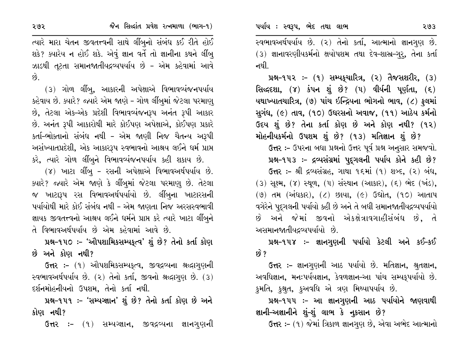**14-142 :- (1) સમ્પક્**ચારિત્ર, (૨) તૈજસશરીર, (૩) સિલ્દ્રશા, (૪) કંપન શું છે? (૫) વીર્યની પૂર્ણતા, (૬) યથાખ્યાતચારિત્ર, (૭) પાંચ ઇન્દ્રિયના ભોગનો ભાવ, (૮) ફલમાં સુગંધ, (૯) તાવ, (૧૦) ઉધરસનો અવાજ, (૧૧) આઠેય કર્મનો ઉદય શું છે? તેના કર્તા કોણ છે અને કોણ નથી? (૧૨) મોહનીયકર્મનો ઉપશમ શું છે? (૧૩) મતિજ્ઞાન શું છે?

ઉત્તર :- ઉપરના બધા પ્રશ્નનો ઉત્તર પૂર્વ પ્રશ્ન અનુસાર સમજવો. પ્રશ્ન-૧૫૩ :- દ્રવ્યસંગ્રમાં પુદૃગલની પર્યાય કોને કહી છે? ઉત્તર :- શ્રી દ્રવ્યસંગ્રહ, ગાથા ૧૬માં (૧) શબ્દ, (૨) બંધ, (3) સૂક્ષ્મ, (૪) સ્થૂળ, (૫) સંસ્થાન (આકાર), (૬) ભેદ (ખંડ), (૭) તમ (અંધકાર), (૮) છાયા, (૯) ઉદ્યોત, (૧૦) આતાપ વગેરેને પદુગલની પર્યાયો કહી છે અને તે બધી સમાનજાતીયદ્રવ્યપર્યાયો છે અને જેમાં જીવનો એકક્ષેત્રાવગાહીસંબંધ છે, તે

અસમાનજાતીયદ્રવ્યપર્યાયો છે.

## પ્રશ્ન-૧૫૪ ઃ- જ્ઞાનગુણની પર્યાયો કેટલી અને કઈ-કઈ છે ?

ઉત્તર :– જ્ઞાનગુણની આઠ પર્યાયો છે. મતિજ્ઞાન, શ્રુતજ્ઞાન, અવધિજ્ઞાન, મનઃપર્યયજ્ઞાન, કેવળજ્ઞાન–આ પાંચ સમ્યક્પર્યાયો છે. કુમતિ, કુશ્રુત, કુઅવધિ એ ત્રણ મિથ્યાપર્યાય છે.

પ્રશ્ન-૧૫૫ :- આ જ્ઞાનગુણની આઠ પર્યાયોને જાણવાથી જ્ઞાની-અજ્ઞાનીને શું-શું લાભ કે નુકસાન છે?

ઉત્તર: – (૧) જેમાં ત્રિકાળ જ્ઞાનગણ છે, એવા અભેદ આત્માનો

ત્યારે મારા ચેતન જીવતત્ત્વની સાથે લીંબુનો સંબંધ કઈ રીતે હોઈ શકે? ક્યારેય ન હોઈ શકે. એવું જ્ઞાન વર્તે તો જ્ઞાનીના કથને લીંબુ ઝાડથી તૂટતા સમાનજાતીયદ્રવ્યપર્યાય છે - એમ કહેવામાં આવે  $\hat{g}$ 

(૩) ગોળ લીંબ, આકારની અપેક્ષાએ વિભાવવ્યંજનપર્યાય કહેવાય છે. ક્યારે? જ્યારે એમ જાણે – ગોળ લીંબુમાં જેટલા પરમાણ્ છે, તેટલા એક-એક પ્રદેશી વિભાવવ્યંજનરૂપ અનંત રૂપી આકાર છે. અનંત રૂપી આકારોથી મારે કોઈપણ અપેક્ષાએ, કોઈપણ પ્રકારે કર્તા-ભોક્તાનો સંબંધ નથી - એમ જાણી નિજ ચૈતન્ય અરૂપી અસંખ્યાતપ્રદેશી, એક આકારરૂપ સ્વભાવનો આશ્રય લઈને ધર્મ પ્રાપ્ત કરે, ત્યારે ગોળ લીંબુને વિભાવવ્યંજનપર્યાય કહી શકાય છે.

(૪) ખાટા લીંબુ – રસની અપેક્ષાએ વિભાવઅર્થપર્યાય છે. ક્યારે? જ્યારે એમ જાણે કે લીંબુમાં જેટલા પરમાણુ છે. તેટલા જ ખાટારૂપ રસ વિભાવઅર્થપર્યાયો છે. લીંબુના ખાટારસની પર્યાયોથી મારે કોઈ સંબંધ નથી – એમ જાણતા નિજ અરસસ્વભાવી જ્ઞાયક જીવતત્ત્વનો આશ્રય લઈને ધર્મને પ્રાપ્ત કરે ત્યારે ખાટા લીંબુને તે વિભાવઅર્થપર્યાય છે એમ કહેવામાં આવે છે.

પ્રશ્ન-૧૫૦ :- 'ઔપશામિકસમ્પકૃત્વ' શું છે? તેનો કર્તા કોણ છે અને કોણ નથી?

ઉત્તર :- (૧) ઔપશમિકસમ્પકૃત્વ, જીવદ્રવ્યના શ્રદ્ધાગુણની સ્વભાવઅર્થપર્યાય છે. (૨) તેનો કર્તા, જીવનો શ્રદ્ધાગુણ છે. (૩) દર્શનમોહનીયનો ઉપશમ, તેનો કર્તા નથી.

પ્રશ્ન-૧૫૧ :- 'સમ્યગ્જ્ઞાન' શું છે? તેનો કર્તા કોણ છે અને કોણ નથી?

ઉત્તર :- (૧) સમ્યગ્જ્ઞાન, જીવદ્રવ્યના જ્ઞાનગુણની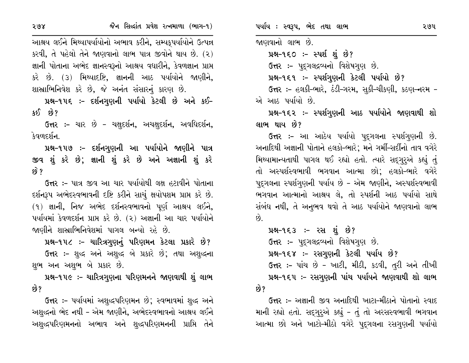આશ્રય લઈને મિથ્યાપર્યાયોનો અભાવ કરીને, સમ્યકુપર્યાયોને ઉત્પન્ન કરવી, તે પહેલો તેને જાણવાનો લાભ પાત્ર જીવોને થાય છે. (૨) જ્ઞાની પોતાના અભેદ જ્ઞાનસ્વરૂનો આશ્રય વધારીને, કેવળજ્ઞાન પ્રાપ્ત કરે છે. (૩) મિથ્યાદષ્ટિ, જ્ઞાનની આઠ પર્યાયોને જાણીને, શાસ્રાભિનિવેશ કરે છે, જે અનંત સંસારનું કારણ છે.

પ્રશ્ન-૧૫૬ :- દર્શનગુણની પર્યાયો કેટલી છે અને કઈ- $380$   $83$ ?

**ઉત્તર :-** ચાર છે - ચક્ષુદર્શન, અચક્ષુદર્શન, અવધિદર્શન, કેવળદર્શન.

પ્રશ્ન-૧૫૭ :- દર્શનગુણની આ પર્યાયોને જાણીને પાત્ર જીવ શું કરે છે; જ્ઞાની શું કરે છે અને અજ્ઞાની શું કરે છે ?

ઉત્તર :- પાત્ર જીવ આ ચાર પર્યાયોથી લક્ષ હટાવીને પોતાના દર્શનરૂપ અભેદસ્વભાવની દષ્ટિ કરીને સાચું ક્ષયોપશમ પ્રાપ્ત કરે છે.  $(9)$  જ્ઞાની, નિજ અભેદ દર્શનસ્વભાવનો પૂર્ણ આશ્રય લઈને, પર્યાયમાં કેવળદર્શન પ્રાપ્ત કરે છે. (૨) અજ્ઞાની આ ચાર પર્યાયોને જાણીને શાસ્રાભિનિવેશમાં પાગલ બન્યો રહે છે.

પ્રશ્ન-૧૫૮ :- ચારિત્રગુણનું પરિણમન કેટલા પ્રકારે છે? ઉત્તર :- શુદ્ધ અને અશુદ્ધ બે પ્રકારે છે; તથા અશુદ્ધના શુભ અન અશુભ બે પ્રકાર છે.

પ્રશ્ન-૧૫૯ ઃ- ચારિત્રગુણના પરિણમનને જાણવાથી શું લાભ છે?

ઉત્તર :- પર્યાયમાં અશુદ્ધપરિણમન છે; સ્વભાવમાં શુદ્ધ અને અશુદ્ધનો ભેદ નથી – એમ જાણીને, અભેદસ્વભાવનો આશ્રય લઈને અશુદ્ધપરિણમનનો અભાવ અને શુદ્ધપરિણમનની પ્રાપ્તિ તેને

જાણવાનો લાભ છે.

 $14 - 150 - - 212$  i  $8$ ?

ઉત્તર :- પુદ્ગલદ્રવ્યનો વિશેષગુણ છે.

પ્રશ્ન-૧૬૧ :- સ્પર્શગુણની કેટલી પર્યાયો છે?

ઉત્તર :- હલકી-ભારે, ઠંડી-ગરમ, સુકી-ચીકણી, કઠણ-નરમ -એ આઠ પર્યાયો છે.

પ્રશ્ન-૧૬૨ :- સ્પર્શગુણની આઠ પર્યાયોને જાણવાથી શો લાભ થાય છે?

ઉત્તર :- આ આઠેય પર્યાયો પદ્ગલના સ્પર્શગુણની છે. અનાદિથી અજ્ઞાની પોતાને હલકો-ભારે∶ મને ગર્મી-સર્દીનો તાવ વગેરે મિથ્યામાન્યતાથી પાગલ થઈ રહ્યો હતો. ત્યારે સદ્ગુરુએ કહ્યું તું તો અસ્પર્શસ્વભાવી ભગવાન આત્મા છો; હલકો-ભારે વગેરે પદુગલના સ્પર્શગણની પર્યાય છે - એમ જાણીને, અસ્પર્શસ્વભાવી ભગવાન આત્માનો આશ્રય લે, તો સ્પર્શની આઠ પર્યાયો સાથે સંબંધ નથી, તે અનુભવ થવો તે આઠ પર્યાયોને જાણવાનો લાભ છે.

```
પ્રશ્ન-૧૬૩ :- રસ શું છે?
   ઉત્તર :- પૃદ્ગલદ્રવ્યનો વિશેષગણ છે.
   પ્રશ્ન-૧૬૪ :- રસગુણની કેટલી પર્યાય છે?
   ઉત્તર :- પાંચ છે - ખાટી, મીઠી, કડવી, તૂરી અને તીખી
   પ્રશ્ન-૧૬૫ ઃ- રસગુણની પાંચ પર્યાયને જાણવાથી શો લાભ
છે?
```
ઉત્તર :- અજ્ઞાની જીવ અનાદિથી ખાટા-મીઠાને પોતાનો સ્વાદ માની રહ્યો હતો. સદ્ગુર્એ કહ્યું - તું તો અરસસ્વભાવી ભગવાન આત્મા છો અને ખાટો-મીઠો વગેરે પુદ્દગલના રસગુણની પર્યાયો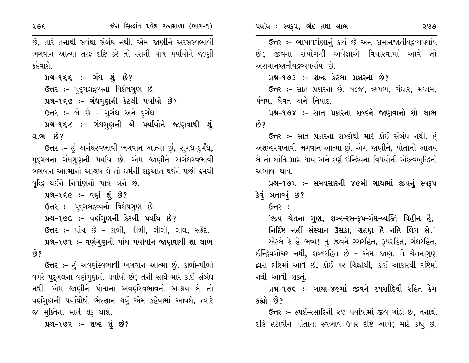२७६

છે, તારે તેનાથી સર્વથા સંબંધ નથી. એમ જાણીને અરસસ્વભાવી ભગવાન આત્મા તરફ દષ્ટિ કરે તો રસની પાંચ પર્યાયોને જાણી કહેવાશે.

પ્રશ્ન-૧૬૬ :- ગંધ શું છે? ઉત્તર :- પદ્ગલદ્રવ્યનો વિશેષગણ છે. પ્રશ્ન-૧૬૭ :- ગંધગુણની કેટલી પર્યાયો છે? ઉત્તર :- બે છે - સુગંધ અને દુર્ગંધ. પ્રશ્ન-૧૬૮ :- ગંધગુણની બે પર્યાયોને જાણવાથી શું લાભ છે?

ઉત્તર :- હું અગંધસ્વભાવી ભગવાન આત્મા છું, સુગંધ-દુર્ગંધ, પદ્ગલના ગંધગણની પર્યાય છે. એમ જાણીને અગંધસ્વભાવી ભગવાન આત્માનો આશ્રય લે તો ધર્મની શરૂઆત થઈને પછી ક્રમથી વૃદ્ધિ થઈને નિર્વાણનો પાત્ર બને છે.

પ્રશ્ન-૧૬૯ :- વર્ણ શું છે? ઉત્તર :- પદ્ગલદ્રવ્યનો વિશેષગણ છે. પ્રશ્ન-૧૭૦ :- વર્ણગુણની કેટલી પર્યાય છે? ઉત્તર :- પાંચ છે - કાળી, પીળી, લીલી, લાલ, સફેદ. પ્રશ્ન-૧૭૧ ઃ- વર્ણગુણની પાંચ પર્યાયોને જાણવાથી શા લાભ છે?

ઉત્તર :- હું અવર્ણસ્વભાવી ભગવાન આત્મા છું. કાળો-પીળો વગેરે પુદુગલના વર્ણગુણની પર્યાયો છે; તેની સાથે મારે કાંઈ સંબંધ નથી. એમ જાણીને પોતાના અવર્ણસ્વભાવનો આશ્રય લે તો વર્ણગણની પર્યાયોથી ભેદજ્ઞાન થયું એમ કહેવામાં આવશે, ત્યારે જ મૂક્તિનો માર્ગ શરૂ થાશે.

પ્રશ્ન-૧૭૨ :- શબ્દ શું છે?

ઉત્તર :- ભાષાવર્ગણાનું કાર્ય છે અને સમાનજાતીયદ્રવ્યપર્યાય

છે; જીવના સંયોગની અપેક્ષાએ વિચારવામાં આવે તો અસમાનજાતીયદ્રવ્યપર્યાય છે.

પ્રશ્ન-૧૭૩ :- શબ્દ કેટલા પ્રકારના છે?

ઉત્તર :- સાત પ્રકારના છે. ષડજ, ઋષભ, ગંધાર, મધ્યમ, પંચમ, થૈવત અને નિષાદ.

પ્રશ્ન-૧૭૪ :- સાત પ્રકારના શબ્દને જાણવાનો શો લાભ છે?

**ઉત્તર :-** સાત પ્રકારના શબ્દોથી મારે કોઈ સંબંધ નથી. હું અશબ્દસ્વભાવી ભગવાન આત્મા છું. એમ જાણીને, પોતાનો આશ્રય લે તો શાંતિ પ્રાપ્ત થાય અને કર્ણ ઇન્દ્રિયના વિષયોની એકત્વબુદ્ધિનો અભાવ થાય.

પ્રશ્ન-૧૭૫ :- સમયસારની ૪૯મી ગાથામાં જીવનું સ્વરૂપ કેવું બતાવ્યું છે?

 $G<sub>π</sub>$  :-

<u>'જીવ ચેતના ગુણ, શબ્દ–રસ–રૂપ–ગંધ–વ્યક્તિ વિહીન હૈ,</u> નિર્દિષ્ટ નહીં સંસ્થાન ઉસકા, ગ્રહણ હૈ નહિ લિંગ સે.' એટલે કે હે ભવ્ય! તુ જીવને રસરહિત, રૂપરહિત, ગંધરહિત, ઇન્દ્રિયગોચર નથી, શબ્દરહિત છે - એમ જાણ. તે ચેતનાગુણ દ્વારા દષ્ટિમાં આવે છે, કોઈ પર ચિહ્નોથી, કોઈ આકારથી દષ્ટિમાં નથી આવી શકતું.

પ્રશ્ન-૧૭૬ :- ગાથા-૪૯માં જીવને સ્પર્શાદિથી રહિત કેમ કહ્યો છે?

ઉત્તર :- સ્પર્શ-રસાદિની ૨૭ પર્યાયોમાં જીવ ગાંડો છે, તેનાથી દષ્ટિ હટાવીને પોતાના સ્વભાવ ઉપર દષ્ટિ આપે; માટે કહ્યું છે.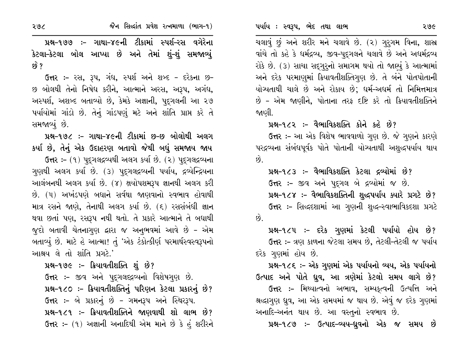ચલાવું છું અને શરીર મને ચલાવે છે. (૨) ગુરુગમ વિના, શાસ્ર વાંચે તો કહે કે ધર્મદ્રવ્ય, જીવ-પુદ્ગલને ચલાવે છે અને અધર્મદ્રવ્ય રોકે છે. (૩) સાચા સદ્ગુરૂનો સમાગમ થયો તો જાણ્યું કે આત્મામાં અને દરેક પરમાણમાં ક્રિયાવતીશક્તિગણ છે. તે બંને પોતપોતાની યોગ્યતાથી ચાલે છે અને રોકાય છે; ધર્મ-અધર્મ તો નિમિત્તમાત્ર છે - એમ જાણીને, પોતાના તરફ દષ્ટિ કરે તો ક્રિયાવતીશક્તિને જાણી.

પ્રશ્ન-૧૮૨ :- વૈભાવિકશક્તિ કોને કહે છે?

ઉત્તર :- આ એક વિશેષ ભાવવાળો ગુણ છે. જે ગુણને કારણે પરદ્રવ્યના સંબંધપૂર્વક પોતે પોતાની યોગ્યતાથી અશુદ્ધપર્યાય થાય છે.

પ્રશ્ન-૧૮૩ :- વૈભાવિકશક્તિ કેટલા દ્રવ્યોમાં છે? ઉત્તર :- જીવ અને પદ્ગલ બે દ્રવ્યોમાં જ છે. પ્રશ્ન-૧૮૪ :- વૈભાવિકશક્તિની શુદ્ધપર્યાય ક્યારે પ્રગટે છે? ઉત્તર :- સિદ્ધદશામાં આ ગુણની શુદ્ધ-સ્વાભાવિકદશા પ્રગટે  $\hat{8}$ .

પ્રશ્ન-૧૮૫ :- દરેક ગુણમાં કેટલી પર્યાયો હોય છે? ઉત્તર :- ત્રણ કાળના જેટલા સમય છે. તેટલી-તેટલી જ પર્યાય દરેક ગણમાં હોય છે.

પ્રશ્ન-૧૮૬ ઃ- એક ગુણમાં એક પર્યાયનો વ્યય, એક પર્યાયનો ઉત્પાદ અને પોતે ધ્રુવ, આ ત્રણેમાં કેટલો સમય લાગે છે?

ઉત્તર :- મિથ્યાત્વનો અભાવ, સમ્યક્ત્વની ઉત્પત્તિ અને શ્રદ્ધાગુણ ઘુવ, આ એક સમયમાં જ થાય છે. એવું જ દરેક ગુણમાં અનાદિ-અનંત થાય છે. આ વસ્તુનો સ્વભાવ છે.

પ્રશ્ન-૧૮૭ :- ઉત્પાદ-વ્યય-ધ્રુવનો એક જ સમય છે

પ્રશ્ન-૧૭૭ :- ગાથા-૪૯ની ટીકામાં સ્પર્શ-રસ વગેરેના કેટલા-કેટલા બોલ આપ્યા છે અને તેમાં શું-શું સમજાવ્યું  $\hat{8}$  ?

ઉત્તર :- રસ, રૂપ, ગંધ, સ્પર્શ અને શબ્દ - દરેકના છ-છ બોલથી તેનો નિષેધ કરીને, આત્માને અરસ, અરૂપ, અગંધ, અસ્પર્શ, અશબ્દ બતાવ્યો છે, કેમકે અજ્ઞાની, પુદૃગલની આ ૨૭ પર્યાયોમાં ગાંડો છે. તેનું ગાંડપણું મટે અને શાંતિ પ્રાપ્ત કરે તે સમજાવ્યું છે.

પ્રશ્ન–૧૭૮ :– ગાથા–૪૯ની ટીકામાં છ–છ બોલોથી અલગ કર્યા છે, તેનું એક ઉદાહરણ બતાવો જેથી બધું સમજાય જાય

**ઉત્તર:-** (૧) પુદ્દગલદ્રવ્યથી અલગ કર્યા છે. (૨) પુદ્દગલદ્રવ્યના ગુણથી અલગ કર્યા છે. (૩) પુદ્ગલદ્રવ્યની પર્યાય, દ્રવ્યેન્દ્રિયના આલંબનથી અલગ કર્યા છે. (૪) ક્ષયોપશમરૂપ જ્ઞાનથી અલગ કરી છે. (૫) અખંડપણે બધાને સર્વથા જાણવાનો સ્વભાવ હોવાથી માત્ર રસને જાણે, તેનાથી અલગ કર્યા છે. (૬) રસસંબંધી જ્ઞાન થવા છતાં પણ, રસરૂપ નથી થતો. તે પ્રકારે આત્માને તે બધાથી જુદો બતાવી ચેતનાગુણ દ્વારા જ અનુભવમાં આવે છે - એમ બતાવ્યું છે. માટે હે આત્મા! તું 'એક ટંકોત્કીર્ણ પરમાર્થસ્વસ્વરૂપનો આશ્રય લે તો શાંતિ પ્રગટે.'

પ્રશ્ન-૧૭૯ :- ક્રિયાવતીશક્તિ શું છે?

ઉત્તર :- જીવ અને પુદ્ગલદ્દ્રવ્યનો વિશેષગુણ છે. પ્રશ્ન-૧૮૦: - ક્રિયાવતીશક્તિનું પરિણન કેટલા પ્રકારનું છે? ઉત્તર :- બે પ્રકારનું છે - ગમનરૂપ અને સ્થિરરૂપ. પ્રશ્ન-૧૮૧ :- ક્રિયાવતીશક્તિને જાણવાથી શો લાભ છે? ઉત્તર :- (૧) અજ્ઞાની અનાદિથી એમ માને છે કે હું શરીરને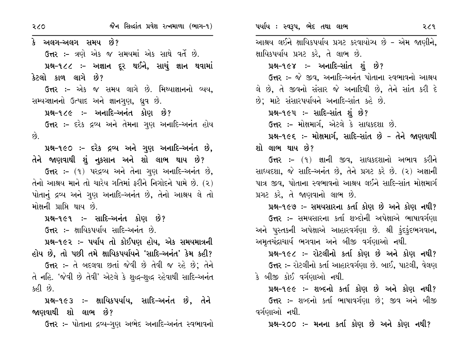જૈન સિદ્ધાંત પ્રવેશ રત્નમાળા (ભાગ-૧) २८० કે અલગ–અલગ સમય છે? ઉત્તર :- ત્રણે એક જ સમયમાં એક સાથે વર્તે છે. પ્રશ્ન-૧૮૮ :- અજ્ઞાન દૂર થઈને, સાચું જ્ઞાન થવામાં કેટલો કાળ લાગે છે? ઉત્તર :- એક જ સમય લાગે છે. મિથ્યાજ્ઞાનનો વ્યય, સમ્યગ્જ્ઞાનનો ઉત્પાદ અને જ્ઞાનગુણ, ધ્રુવ છે. પ્રશ્ન-૧૮૯ :- અનાદિ-અનંત કોણ છે? **ઉત્તર :-** દરેક દ્રવ્ય અને તેમના ગણ અનાદિ-અનંત હોય  $\hat{Q}$ . પ્રશ્ન-૧૯૦ :- દરેક દ્રવ્ય અને ગુણ અનાદિ-અનંત છે, તેને જાણવાથી શું નૂકસાન અને શો લાભ થાય છે? ઉત્તર :- (૧) પરદ્રવ્ય અને તેના ગણ અનાદિ-અનંત છે, તેનો આશ્રય માને તો ચારેય ગતિમાં કરીને નિગોદને પામે છે. (૨) પોતાનું દ્રવ્ય અને ગુણ અનાદિ-અનંત છે, તેનો આશ્રય લે તો મોક્ષની પ્રાપ્તિ થાય છે. પ્રશ્ન-૧૯૧ :- સાદિ-અનંત કોણ છે? ઉત્તર :- ક્ષાયિકપર્યાય સાદિ-અનંત છે. પ્રશ્ન-૧૯૨ :- પર્યાય તો કોઈપણ હોય, એક સમયમાત્રની હોય છે, તો પછી તમે ક્ષાયિકપર્યાયને 'સાદિ-અનંત' કેમ કહી? ઉત્તર :- તે બદલવા છતાં જેવી છે તેવી જ રહે છે; તેને તે નહિ. 'જેવી છે તેવી' એટલે કે શુદ્ધ-શુદ્ધ રહેવાથી સાદિ-અનંત કહી છે. પ્રશ્ન-૧૯૩ ઃ- ક્ષાયિકપર્યાય, સાદિ-અનંત છે, તેને જાણવાથી શો લાભ છે? ઉત્તર :- પોતાના દ્રવ્ય-ગુણ અભેદ અનાદિ-અનંત સ્વભાવનો પર્યાય : સ્વરૂપ, ભેદ તથા લાભ २८१ આશ્રય લઈને ક્ષાયિકપર્યાય પ્રગટ કરવાયોગ્ય છે - એમ જાણીને, ક્ષાયિકપર્યાય પ્રગટ કરે, તે લાભ છે. પ્રશ્ન-૧૯૪ ઃ- અનાદિ-સાંત શું છે? ઉત્તર :- જે જીવ, અનાદિ-અનંત પોતાના સ્વભાવનો આશ્રય લે છે, તે જીવનો સંસાર જે અનાદિથી છે, તેને સાંત કરી દે છે; માટે સંસારપર્યાયને અનાદિ-સાંત કહે છે. પ્રશ્ન-૧૯૫: – સાદિ-સાંત શું છે? ઉત્તર :- મોક્ષમાર્ગ, એટલે કે સાધકદશા છે. પ્રશ્ન-૧૯૬ :- મોક્ષમાર્ગ, સાદિ-સાંત છે - તેને જાણવાથી શો લાભ થાય છે? **ઉત્તર :-** (૧) જ્ઞાની જીવ, સાધકદશાનો અભાવ કરીને સાધ્યદશા, જે સાદિ-અનંત છે, તેને પ્રગટ કરે છે. (૨) અજ્ઞાની પાત્ર જીવ, પોતાના સ્વભાવનો આશ્રય લઈને સાદિ-સાંત મોક્ષમાર્ગ પ્રગટ કરે, તે જાણવાનો લાભ છે. પ્રશ્ન-૧૯૭ ઃ- સમયસારના કર્તા કોણ છે અને કોણ નથી? **ઉત્તર :-** સમયસારના કર્તા શબ્દોની અપેક્ષાએ ભાષાવર્ગણા અને પુસ્તકની અપેક્ષાએ આહારવર્ગણા છે. શ્રી ફંદફંદભગવાન, અમૃતચંદ્રાચાર્ય ભગવાન અને બીજી વર્ગણાઓ નથી. પ્રશ્ન-૧૯૮ :- રોટલીનો કર્તા કોણ છે અને કોણ નથી? ઉત્તર :- રોટલીનો કર્તા આહારવર્ગણા છે. બાઈ, પાટલી, વેલણ

કે બીજી કોઈ વર્ગણાઓ નથી.

પ્રશ્ન-૧૯૯ :- શબ્દનો કર્તા કોણ છે અને કોણ નથી? ઉત્તર :- શબ્દનો કર્તા ભાષાવર્ગણા છે: જીવ અને બીજી વર્ગણાઓ નથી.

પ્રશ્ન–૨૦૦ ઃ– મનના કર્તા કોણ છે અને કોણ નથી?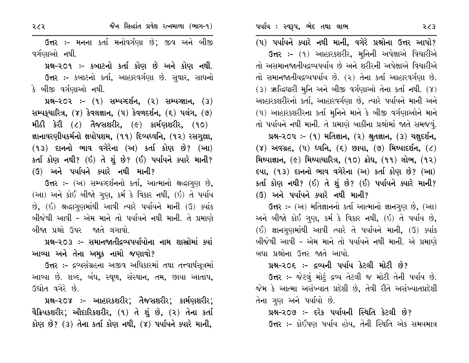પર્યાય : સ્વરૂપ, ભેદ તથા લાભ

(૫) પર્યાયને ક્યારે નથી માની, વગેરે પ્રશ્નોના ઉત્તર આપો? **ઉત્તર :-** (૧) આહારકશરીર, મુનિની અપેક્ષાએ વિચારીએ તો અસમાનજાતીયદ્રવ્યપર્યાય છે અને શરીરની અપેક્ષાએ વિચારીએ તો સમાનજાતીયદ્રવ્યપર્યાય છે. (૨) તેના કર્તા આહારવર્ગણા છે.  $(3)$   $*$ ક્દિધારી મુનિ અને બીજી વર્ગણાઓ તેના કર્તા નથી.  $(8)$ આહારકશરીરનો કર્તા, આહારવર્ગણા છે, ત્યારે પર્યાયને માની અને (૫) આહારકશરીરના કર્તા મુનિને માને કે બીજી વર્ગણાઓને માને તો પર્યાયને નથી માની. તે પ્રમાણે બાકીના પ્રશ્નોમાં જાતે સમજવું. પ્રશ્ન-૨૦૫:- (૧) મતિજ્ઞાન, (૨) શ્રુતજ્ઞાન, (૩) ચક્ષદર્શન,  $(8)$  અવગ્રહ,  $(4)$  ધ્વનિ,  $(5)$  છાયા,  $(9)$  મિથ્યાદર્શન,  $(2)$ મિથ્યાજ્ઞાન, (૯) મિથ્યાચારિત્ર, (૧૦) ક્રોધ, (૧૧) લોભ, (૧૨) દયા, (૧૩) દાનનો ભાવ વગેરેના (અ) કર્તા કોણ છે? (આ) કર્તા કોણ નથી? (ઇ) તે શું છે? (ઈ) પર્યાયને ક્યારે માની?  $(3)$  અને પર્યાયને ક્યારે નથી માની?

ઉત્તર: - (અ) મતિજ્ઞાનનો કર્તા આત્માનો જ્ઞાનગુણ છે, (આ) અને બીજો કોઈ ગણ, કર્મ કે વિકાર નથી, (ઇ) તે પર્યાય છે,  $(5)$  જ્ઞાનગણમાંથી આવી ત્યારે તે પર્યાયને માની,  $(3)$  ક્યાંક બીજેથી આવી - એમ માને તો પર્યાયને નથી માની. એ પ્રમાણે બધા પ્રશ્નોના ઉત્તર જાતે આપો.

#### પ્રશ્ન-૨૦૬ :- દ્રવ્યની પર્યાય કેટલી મોટી છે?

ઉત્તર :- જેટલું મોટું દ્રવ્ય તેટલી જ મોટી તેની પર્યાય છે. જેમ કે આત્મા અસંખ્યાત પ્રદેશી છે. તેવી રીતે અસંખ્યાતપ્રદેશી તેના ગુણ અને પર્યાયો છે.

### પ્રશ્ન-૨૦૭ :- દરેક પર્યાયની સ્થિતિ કેટલી છે?

**ઉત્તર :-** કોઈપણ પર્યાય હોય, તેની સ્થિતિ એક સમયમાત્ર

ઉત્તર :- મનના કર્તા મનોવર્ગણા છે; જીવ અને બીજી વર્ગણાઓ નથી.

પ્રશ્ન-૨૦૧ ઃ- કબાટનો કર્તા કોણ છે અને કોણ નથી. ઉત્તર :- કબાટનો કર્તા, આહારવર્ગણા છે. સુથાર, સાધનો કે બીજી વર્ગણાઓ નથી.

 $14-202$  :-  $(9)$  સમ્યગ્દર્શન,  $(2)$  સમ્યગ્જ્ઞાન,  $(3)$ સમ્પક્ષ્યારિત્ર, (૪) કેવલજ્ઞાન, (૫) કેવળદર્શન, (૬) પલંગ, (૭) મીઠી કેરી  $(2)$  તૈજસશરીર,  $(6)$  કાર્મણશરીર,  $(90)$ જ્ઞાનાવરણીયકર્મનો ક્ષયોપશમ, (૧૧) દિવ્યધ્વનિ, (૧૨) રસગુલ્રા, (૧૩) દાનનો ભાવ વગેરેના (અ) કર્તા કોણ છે? (આ) કર્તા કોણ નથી? (ઈ) તે શું છે? (ઈ) પર્યાયને ક્યારે માની?  $(3)$  અને પર્યાયને ક્યારે નથી માની?

ઉત્તર: – (અ) સમ્યગ્દર્શનનો કર્તા, આત્માનો શ્રદ્ધાગુણ છે, (આ) અને કોઈ બીજો ગુણ, કર્મ કે વિકાર નથી, (ઇ) તે પર્યાય  $\hat{B}$ ,  $(\hat{b})$  શ્રદ્ધાગુણમાંથી આવી ત્યારે પર્યાયને માની  $(3)$  ક્યાંક બીજેથી આવી – એમ માને તો પર્યાયને નથી માની. તે પ્રમાણે બીજા પ્રશ્નો ઉપર જાતે લગાવો.

#### પ્રશ્ન-૨૦૩ ઃ- સમાનજાતીદ્રવ્યપર્યાયોના નામ શાસ્રોમાં ક્યાં આવ્યા અને તેના અમૂક નામો જણાવો?

ઉત્તર :- દ્રવ્યસંગ્રહના અજીવ અધિકારમાં તથા તત્ત્વાર્થસૂત્રમાં આવ્યા છે. શબ્દ, બંધ, સ્થૂળ, સંસ્થાન, તમ, છાયા આતાપ, ઉદ્યોત વગેરે છે.

પ્રશ્ન-૨૦૪ :- આહારકશરીર; તૈજસશરીર; કાર્મણશરીર; વૈક્રિયકશરીર; ઔદારિકશરીર, (૧) તે શું છે, (૨) તેના કર્તા કોણ છે? (3) તેના કર્તા કોણ નથી, (૪) પર્યાયને ક્યારે માની,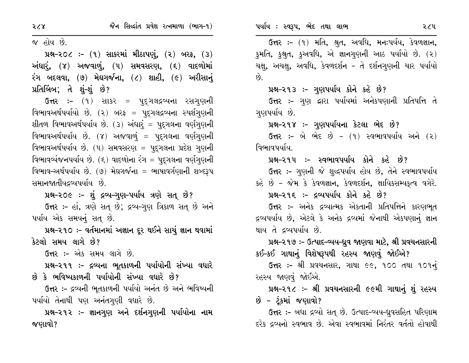જ હોય છે.

 $14 - 20$  :-  $(9)$  સાકરમાં મીઠાપણું,  $(2)$  બરફ,  $(3)$ અંધાર, (૪) અજવાળું, (૫) સમવસરણ, (૬) વાદળોમાં  $30$  બદલવા,  $(9)$  મેઘગર્જના,  $(2)$  શાહી,  $(6)$  અરીસાનું પ્રતિબિંબ; તે શું-શું છે?

ઉત્તર :- (૧) સાકર = પુદ્ગલદ્રવ્યના રસગુણની વિભાવઅર્થપર્યાયો છે. (૨) બરફ = પૂદ્ગલદ્રવ્યના સ્પર્શગણની શીતળ વિભાવઅર્થપર્યાય છે. (૩) અંધાર્, = પુદ્ગલના વર્ણગુણની વિભાવઅર્થપર્યાય છે. (૪) અજવાળું = પુદ્ગલના વર્ણગુણની વિભાવઅર્થપર્યાય છે. (૫) સમવસરણ = પદુગલના પ્રદેશ ગુણની વિભાવવ્યંજનપર્યાય છે. (૬) વાદળોના રંગ = પદ્ગલના વર્ણગણની વિભાવ–અર્થપર્યાય છે. (૭) મેઘગર્જના = ભાષાવર્ગણાની શબ્દરૂપ સમાનજાતીયદવ્યપર્યાય છે.

પ્રશ્ન-૨૦૯ :- શું દ્રવ્ય-ગુણ-પર્યાય ત્રણે સત્ છે? ઉત્તર :- હાં, ત્રણે સત્ છે; દ્રવ્ય-ગણ ત્રિકાળ સત્ છે અને પર્યાય એક સમયનું સતુ છે.

પ્રશ્ન-૨૧૦ :- વર્તમાનમાં અજ્ઞાન દૂર થઈને સાચું જ્ઞાન થવામાં કેટલો સમય લાગે છે?

ઉત્તર :- એક સમય લાગે છે.

પ્રશ્ન–૨૧૧ :- દ્રવ્યના ભૂતકાળની પર્યાયોની સંખ્યા વધારે છે કે ભવિષ્યકાળની પર્યાયોની સંખ્યા વધારે છે?

ઉત્તર :- દ્રવ્યની ભૂતકાળની પર્યાયો અનંત છે અને ભવિષ્યની પર્યાયો તેનાથી પણ અનંતગણી વધારે છે.

પ્રશ્ન–૨૧૨ :- જ્ઞાનગુણ અને દર્શનગુણની પર્યાયોના નામ જણાવો?

પર્યાય : સ્વરૂપ, ભેદ તથા લાભ

ઉત્તર :- (૧) મતિ, શ્રુત, અવધિ, મનઃપર્યય, કેવળજ્ઞાન, કુમતિ, કુશ્રુત, કુઅવધિ, એ જ્ઞાનગુણની આઠ પર્યાયો છે. (૨) ચક્ષુ, અચક્ષુ, અવધિ, કેવળદર્શન - તે દર્શનગુણની ચાર પર્યાયો  $\hat{g}$ 

પ્રશ્ન-૨૧૩ :- ગુણપર્યાય કોને કહે છે?

**ઉત્તર :-** ગુણ દ્વારા પર્યાયમાં અનેકપણાની પ્રતિપત્તિ તે ગણપર્યાય છે.

પ્રશ્ન-૨૧૪ :- ગુણપર્યાયના કેટલા ભેદ છે?

 $6\pi$ ર: – બે ભેદ છે –  $(9)$  સ્વભાવપર્યાય અને  $(2)$ વિભાવપર્યાય

પ્રશ્ન-૨૧૫ :- સ્વભાવપર્યાય કોને કહે છે?

ઉત્તર :- ગુણની જે શુદ્ધપર્યાય હોય છે, તેને સ્વભાવપર્યાય કહે છે - જેમ કે કેવળજ્ઞાન, કેવળદર્શન, ક્ષાયિકસમ્પકૃત્વ વગેરે.

#### પ્રશ્ન-૨૧૬ :- દ્રવ્યપર્યાય કોને કહે છે?

ઉત્તર :- અનેક દ્રવ્યાત્મક એકતાની પ્રતિપત્તિને કારણભુત દ્રવ્યપર્યાય છે, એટલે કે અનેક દ્રવ્યમાં જેનાથી એકપણાનું જ્ઞાન થાય તે દ્રવ્યપર્યાય છે.

પ્રશ્ન-૨૧૭ :- ઉત્પાદ-વ્યય-ધ્રુવ જાણવા માટે, શ્રી પ્રવચનસારની કઈ-કઈ ગાથાનું વિશેષરૂપથી રહસ્ય જાણવું જોઈએ?

ઉત્તર :- શ્રી પ્રવચનસાર, ગાથા ૯૯, ૧૦૦ તથા ૧૦૧નું રહસ્ય જાણવું જોઈએ.

પ્રશ્ન-૨૧૮ :- શ્રી પ્રવચનસારની ૯૯મી ગાથાનું શું રહસ્ય છે – ટૂંકમાં જણાવો?

**ઉત્તર :-** બધા દ્રવ્યો સત્ છે. ઉત્પાદ-વ્યય-ધ્રુવસહિત પરિણામ દરેક દ્રવ્યનો સ્વભાવ છે. એવા સ્વભાવમાં નિરંતર વર્તતો હોવાથી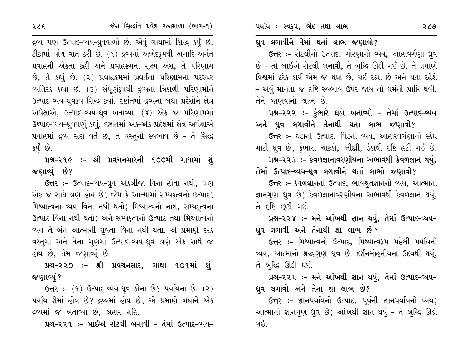#### ધ્રુવ લગાવીને તેમાં થતાં લાભ જણાવો?

ઉત્તર :- રોટલીનો ઉત્પાદ, ગોરણાનો વ્યય, આહાવર્ગણા ધ્રુવ છે - તો બાઈએ રોટલી બનાવી, તે બુદ્ધિ ઊડી ગઈ છે. તે પ્રમાણે વિશ્વમાં દરેક કાર્ય એમ જ થયા છે, થઈ રહ્યા છે અને થતા રહેશે - એવું માનતા જ દષ્ટિ સ્વભાવ ઉપર જાય તો ધર્મની પ્રાપ્તિ થવી, તેને જાણવાનો લાભ છે.

પ્રશ્ન-૨૨૨ :- ફુંભારે ઘડો બનાવ્યો - તેમાં ઉત્પાદ-વ્યય અને ધ્રુવ લગાવીને તેનાથી થતા લાભ જણાવો?

ઉત્તર :- ઘડાનો ઉત્પાદ, પિંડનો વ્યય, આહારવર્ગણાનો સ્કંધ માટી ધ્રુવ છે; કુંભાર, ચાકડો, ખીલ્રી, ડંડાથી દષ્ટિ હટી ગઈ છે.

પ્રશ્ન-૨૨૩ :- કેવળજ્ઞાનાવરણીયના અભાવથી કેવળજ્ઞાન થયું,

તેમાં ઉત્પાદ-વ્યય-ધ્રુવ લગાવીને થતાં લાભો જણાવો?

ઉત્તર :- કેવળજ્ઞાનનો ઉત્પાદ, ભાવશ્રુતજ્ઞાનનો વ્યય, આત્માનો જ્ઞાનગુણ ધ્રુવ છે; કેવળજ્ઞાનાવરણીયના અભાવથી કેવળજ્ઞાન થયું, તે દષ્ટિ છૂટી ગઈ.

પ્રશ્ન-૨૨૪ :- મને આંખથી જ્ઞાન થયું, તેમાં ઉત્પાદ-વ્યય-ધ્રુવ લગાવી અને તેનાથી શા લાભ છે?

ઉત્તર :- મિથ્યાત્વનો ઉત્પાદ, મિથ્યાત્વરૂપ પહેલી પર્યાયનો વ્યય, આત્માનો શ્રદ્ધાગુણ ધ્રુવ છે. દર્શનમોહનીયના ઉદયથી થયું, તે બુદ્ધિ ઊડી ઘઈ.

પ્રશ્ન-૨૨૫ :- મને આંખથી જ્ઞાન થયું, તેમાં ઉત્પાદ-વ્યય-ધ્રુવ લગાવો અને તેના શા લાભ છે?

ઉત્તર :- જ્ઞાનપર્યાયનો ઉત્પાદ, પૂર્વની જ્ઞાનપર્યાયનો વ્યય; આત્માનો જ્ઞાનગણ ધ્રુવ છે; આંખથી જ્ઞાન થયું - તે બુદ્ધિ ઊડી ગઈ.

દ્રવ્ય પણ ઉત્પાદ-વ્યય-ધ્રુવવાળો છે. એવું ગાથામાં સિદ્ધ કર્યું છે. ટીકામાં પાંચ વાત કરી છે. (૧) દ્રવ્યમાં અભેદરૂપથી અનાદિ-અનંત પ્રવાહની એકતા કહી અને પ્રવાહક્રમના સુક્ષ્મ અંશ, તે પરિણામ છે, તે કહ્યું છે. (૨) પ્રવાહક્રમમાં પ્રવર્તતા પરિણામના પરસ્પર વ્યતિરેક કહ્યા છે. (૩) સંપૂર્ણરૂપથી દ્રવ્યના ત્રિકાળી પરિણામોને ઉત્પાદ-વ્યય-ધ્રુવરૂપ સિદ્ધ કર્યા. દષ્ટાંતમાં દ્રવ્યના બધા પ્રદેશોને ક્ષેત્ર અપેક્ષાએ, ઉત્પાદ-વ્યય-ધ્રુવ બતાવ્યા. (૪) એક જ પરિણામમાં ઉથ્પાદ-વ્યય-દ્યવપણું કહ્યું. દષ્ટાંતમાં એક-એક પ્રદેશમાં ક્ષેત્ર અપેક્ષાએ પ્રવાહમાં દ્રવ્ય સદા વર્તે છે, તે વસ્તુનો સ્વભાવ છે - તે સિદ્ધ કર્યું છે.

પ્રશ્ન-૨૧૯ :- શ્રી પ્રવચનસારની ૧૦૦મી ગાથામાં શું જણાવ્યું છે?

ઉત્તર :- ઉત્પાદ-વ્યય-ધ્રુવ એકબીજા વિના હોતા નથી, પણ એક જ સાથે ત્રણે હોય છે; જેમ કે આત્મામાં સમ્યકૃત્વનો ઉત્પાદ; મિથ્યાત્વના વ્યય વિના નથી થતો; મિથ્યાત્વનો નાશ, સમ્યકુત્વના ઉત્પાદ વિના નથી થતો; અને સમ્યકુત્વનો ઉત્પાદ તથા મિથ્યાત્વનો વ્યય તે બંને આત્માની ધ્રુવતા વિના નથી થતા. એ પ્રમાણે દરેક વસ્તુમાં અને તેના ગુણમાં ઉત્પાદ-વ્યય-ઘ્રુવ ત્રણે એક સાથે જ હોય છે, તેમ જણાવ્યું છે.

પ્રશ્ન-૨૨૦ ઃ- શ્રી પ્રવચનસાર, ગાથા ૧૦૧માં શું જણાવ્યું ?

**ઉત્તર:-** (૧) ઉત્પાદ-વ્યય-ધ્રુવ કોના છે? પર્યાયના છે. (૨) પર્યાય શેમાં હોય છે? દ્રવ્યમાં હોય છે; એ પ્રમાણે બધાને એક દ્રવ્યમાં જ બતાવ્યા છે, બહાર નહિ.

પ્રશ્ન-૨૨૧ :- બાઈએ રોટલી બનાવી - તેમાં ઉત્પાદ-વ્યય-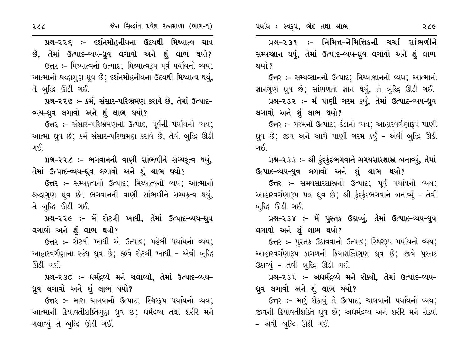પ્રશ્ન–૨૨૬ :– દર્શનમોહનીયના ઉદયથી મિથ્યાત્વ થાય છે, તેમાં ઉત્પાદ-વ્યય-ઘુવ લગાવો અને શું લાભ થયો? ઉત્તર :- મિથ્યાત્વનો ઉત્પાદ; મિથ્યાત્વરૂપ પૂર્વ પર્યાયનો વ્યય;

આત્માનો શ્રદ્ધાગણ ધ્રુવ છે; દર્શનમોહનીયના ઉદયથી મિથ્યાત્વ થયું, તે બુદ્ધિ ઊડી ગઈ.

પ્રશ્ન-૨૨૭ :- કર્મ, સંસાર-પરિભ્રમણ કરાવે છે, તેમાં ઉત્પાદ-વ્યય-ધ્રુવ લગાવો અને શું લાભ થયો?

ઉત્તર :- સંસાર-પરિભ્રમણનો ઉત્પાદ, પૂર્વની પર્યાયનો વ્યય; આત્મા ઘ્રુવ છે; કર્મ સંસાર-પરિભ્રમણ કરાવે છે, તેવી બુદ્ધિ ઊડી ીરા⊂

પ્રશ્ન-૨૨૮ :- ભગવાનની વાણી સાંભળીને સમ્પક્ત્વ થયું, તેમાં ઉત્પાદ-વ્યય-ધ્રુવ લગાવો અને શું લાભ થયો?

ઉત્તર:- સમ્યકૃત્વનો ઉત્પાદ; મિથ્યાત્વનો વ્યય; આત્માનો શ્રદ્ધાગુણ ધ્રુવ છે; ભગવાનની વાણી સાંભળીને સમ્પકૃત્વ થયું, તે બુદ્ધિ ઊડી ગઈ.

પ્રશ્ન-૨૨૯ :- મેં રોટલી ખાધી, તેમાં ઉત્પાદ-વ્યય-ધ્રુવ લગાવો અને શું લાભ થયો?

ઉત્તર :- રોટલી ખાધી એ ઉત્પાદ; પહેલી પર્યાયનો વ્યય; આહારવર્ગણાના સ્કંધ ધ્રવ છે; જીવે રોટલી ખાધી - એવી બુદ્ધિ ઊડી ગઈ.

પ્રશ્ન-૨૩૦ :- ધર્મદ્રવ્યે મને ચલાવ્યો, તેમાં ઉત્પાદ-વ્યય-ધ્રુવ લગાવો અને શું લાભ થયો?

ઉત્તર :- મારા ચાલવાનો ઉત્પાદ; સ્થિરરૂપ પર્યાયનો વ્યય; આત્માની ક્રિયાવતીશક્તિગુણ ધ્રુવ છે; ધર્મદ્રવ્ય તથા શરીરે મને ચલાવ્યું તે બુદ્ધિ ઊડી ગઈ.

પ્રશ્ન-૨૩૧ ઃ- નિમિત્ત-નૈમિત્તિકની ચર્ચા સાંભળીને સમ્પગ્જ્ઞાન થયું, તેમાં ઉત્પાદ-વ્યય-ધ્રુવ લગાવો અને શું લાભ થયો ?

ઉત્તર :- સમ્યગ્જ્ઞાનનો ઉત્પાદ; મિથ્યાજ્ઞાનનો વ્યય; આત્માનો જ્ઞાનગુણ ધ્રુવ છે; સાંભળતા જ્ઞાન થયું, તે બુદ્ધિ ઊડી ગઈ.

પ્રશ્ન-૨૩૨ :- મેં પાણી ગરમ કર્યું, તેમાં ઉત્પાદ-વ્યય-ઘુવ લગાવો અને શું લાભ થયો?

ઉત્તર :- ગરમનો ઉત્પાદ; ઠંડાનો વ્યય; આહારવર્ગણારૂપ પાણી ઘુવ છે; જીવ અને આગે પાણી ગરમ કર્યું - એવી બુદ્ધિ ઊડી ાર્ક\

પ્રશ્ન-૨૩૩ :- શ્રી ફંદફંદભગવાને સમયસારશાસ્ર બનાવ્યું, તેમાં ઉત્પાદ-વ્યય-ધ્રુવ લગાવો અને શું લાભ થયો?

ઉત્તર :- સમયસારશાસ્રનો ઉત્પાદ; પૂર્વ પર્યાયનો વ્યય; આહારવર્ગણારૂપ પત્ર ધ્રુવ છે; શ્રી કુંદકુંદભગવાને બનાવ્યું - તેવી બુદ્ધિ ઊડી ગઈ.

પ્રશ્ન-૨૩૪ :- મેં પુસ્તક ઉઠાવ્યું, તેમાં ઉત્પાદ-વ્યય-ધ્રુવ લગાવો અને શું લાભ થયો?

ઉત્તર :- પુસ્તક ઉઠાવવાનો ઉત્પાદ; સ્થિરરૂપ પર્યાયનો વ્યય; આહારવર્ગણારૂપ કાગળની ક્રિયાશક્તિગુણ ધ્રુવ છે; જીવે પુસ્તક ઉઠાવ્યું - તેવી બુદ્ધિ ઊડી ગઈ.

પ્રશ્ન-૨૩૫ :- અધર્મદ્રવ્યે મને રોક્યો, તેમાં ઉત્પાદ-વ્યય-ધ્રુવ લગાવો અને શું લાભ થયો?

ઉત્તર :- મારૂં રોકાવું તે ઉત્પાદ; ચાલવાની પર્યાયનો વ્યય; જીવની ક્રિયાવતીશક્તિ ધ્રુવ છે; અધર્મદ્રવ્ય અને શરીરે મને રોક્યો - એવી બુદ્ધિ ઊડી ગઈ.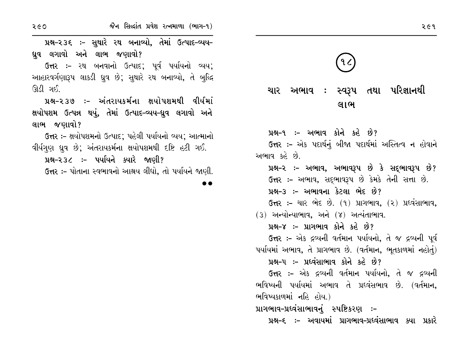જૈન સિલ્દાંત પ્રવેશ રત્નમાળા (ભાગ-૧)

પ્રશ્ન-૨૩૬ :- સુથારે ૨થ બનાવ્યો, તેમાં ઉત્પાદ-વ્યય-ધ્રુવ લગાવો અને લાભ જણાવો?

ઉત્તર :- ૨થ બનવાનો ઉત્પાદ: ૫ર્વ પર્યાયનો વ્યય: આહારવર્ગણારૂપ લાકડી ધ્રુવ છે; સુથારે રથ બનાવ્યો, તે બુદ્ધિ ઊડી ગઈ.

પ્રશ્ન–૨૩૭ :– અંતરાયકર્મના ક્ષયોપશમથી વીર્યમાં ક્ષયોપશમ ઉત્પન્ન થયું, તેમાં ઉત્પાદ-વ્યય-ધ્રુવ લગાવો અને લાભ જણાવો?

ઉત્તર :- ક્ષયોપશમનો ઉત્પાદ; પહેલી પર્યાયનો વ્યય; આત્માનો વીર્યગુણ ધ્રુવ છે; અંતરાયકર્મના ક્ષયોપશમથી દષ્ટિ હટી ગઈ.

પ્રશ્ન–૨૩૮ :– પર્યાયને ક્યારે જાણી?

ઉત્તર :- પોતાના સ્વભાવનો આશ્રય લીધો, તો પર્યાયને જાણી.

ચાર અભાવ : સ્વરૂપ તથા પરિજ્ઞાનથી લાભ

પ્રશ્ન-૧ :- અભાવ કોને કહે છે? ઉત્તર :- એક પદાર્થનું બીજા પદાર્થમાં અસ્તિત્વ ન હોવાને અભાવ કહે છે.

પ્રશ્ન-૨ :- અભાવ, અભાવરૂપ છે કે સદ્દભાવરૂપ છે? ઉત્તર :- અભાવ, સદ્ભાવરૂપ છે કેમકે તેની સત્તા છે. પ્રશ્ન-૩ :- અભાવના કેટલા ભેદ છે? ઉત્તર: – ચાર ભેદ છે. (૧) પ્રાગભાવ, (૨) પ્રધ્વંસાભાવ,

 $(3)$  અન્યોન્યાભાવ, અને  $(8)$  અત્યંતાભાવ.

પ્રશ્ન-૪ :- પ્રાગભાવ કોને કહે છે?

ઉત્તર :- એક દ્રવ્યની વર્તમાન પર્યાયનો, તે જ દ્રવ્યની પૂર્વ પર્યાયમાં અભાવ, તે પ્રાગભાવ છે. (વર્તમાન, ભુતકાળમાં નહોતું)

પ્રશ્ન–૫ :– પ્રધ્વંસાભાવ કોને કહે છે?

ઉત્તર :- એક દ્રવ્યની વર્તમાન પર્યાયનો, તે જ દ્રવ્યની ભવિષ્યની પર્યાયમાં અભાવ તે પ્રઘ્વંસભાવ છે. (વર્તમાન, ભવિષ્યકાળમાં નહિ હોય.)

પ્રાગભાવ-પ્રધ્વંસાભાવનું સ્પષ્ટિકરણ :-

પ્રશ્ન–૬ :– અવાયમાં પ્રાગભાવ–પ્રધ્વંસાભાવ ક્યા પ્રકારે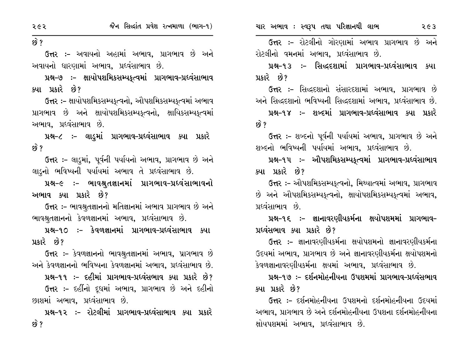$69$   $?$ 

ઉત્તર :- અવાયનો અહામાં અભાવ, પ્રાગભાવ છે અને અવાયનો ધારણામાં અભાવ, પ્રધ્વંસાભાવ છે.

પ્રશ્ન–૭ :– ક્ષાયોપશમિકસમ્યકૃત્વમાં પ્રાગભાવ–પ્રધ્વંસાભાવ ક્યા પ્રકારે છે?

ઉત્તર :- ક્ષાયોપશમિકસમ્યકુત્વનો, ઔપશમિકસમ્યકુત્વમાં અભાવ પ્રાગભાવ છે અને ક્ષાયોપશમિકસમ્યકત્વનો, ક્ષાયિકસમ્યકત્વમાં અભાવ. પ્રદવંસાભાવ છે.

પ્રશ્ન-૮ :- લાડમાં પ્રાગભાવ-પ્રધ્વંસાભાવ ક્યા પ્રકારે  $\mathcal{B}$  ?

ઉત્તર :- લાડુમાં, પૂર્વની પર્યાયનો અભાવ, પ્રાગભાવ છે અને લાડુનો ભવિષ્યની પર્યાયમાં અભાવ તે પ્રધ્વંસાભાવ છે.

પ્રશ્ન-૯ :- ભાવશ્રુતજ્ઞાનમાં પ્રાગભાવ-પ્રધ્વંસાભાવનો અભાવ ક્યા પ્રકારે છે?

ઉત્તર:- ભાવશ્રુતજ્ઞાનનો મતિજ્ઞાનમાં અભાવ પ્રાગભાવ છે અને ભાવશ્રુતજ્ઞાનનો કેવળજ્ઞાનમાં અભાવ, પ્રધ્વંસાભાવ છે.

પ્રશ્ન-૧૦ :– કેવળજ્ઞાનમાં પ્રાગભાવ-પ્રદવંસાભાવ ક્યા પ્રકારે છે?

ઉત્તર :- કેવળજ્ઞાનનો ભાવશ્રુતજ્ઞાનમાં અભાવ, પ્રાગભાવ છે અને કેવળજ્ઞાનનો ભવિષ્યના કેવળજ્ઞાનમાં અભાવ, પ્રધ્વંસાભાવ છે.

પ્રશ્ન-૧૧ :- દહીમાં પ્રાગભાવ-પ્રધ્વંસભાવ ક્યા પ્રકારે છે? ઉત્તર :- દહીંનો દૂધમાં અભાવ, પ્રાગભાવ છે અને દહીનો

છાશમાં અભાવ. પ્રઘ્વંસાભાવ છે. પ્રશ્ન-૧૨ ઃ- રોટલીમાં પ્રાગભાવ-પ્રધ્વંસાભાવ ક્યા પ્રકારે છે ?

ઉત્તર :- રોટલીનો ગોરણામાં અભાવ પ્રાગભાવ છે અને રોટલીનો વમનમાં અભાવ, પ્રધ્વંસાભાવ છે.

પ્રશ્ન-૧૩ ઃ- સિદ્ધદશામાં પ્રાગભાવ-પ્રધ્વંસાભાવ ક્યા પ્રકારે છે?

ઉત્તર :- સિદ્ધદશાનો સંસારદશામાં અભાવ, પ્રાગભાવ છે અને સિદ્ધદશાનો ભવિષ્યની સિદ્ધદશામાં અભાવ, પ્રધ્વંસાભાવ છે.

પ્રશ્ન-૧૪ :- શબ્દમાં પ્રાગભાવ-પ્રદવંસાભાવ ક્યા પ્રકારે <u>છે ?</u>

ઉત્તર :- શબ્દનો પૂર્વની પર્યાયમાં અભાવ, પ્રાગભાવ છે અને શબ્દનો ભવિષ્યની પર્યાયમાં અભાવ, પ્રધ્વંસાભાવ છે.

પ્રશ્ન-૧૫ :- ઔપશમિકસમ્યકૃત્વમાં પ્રાગભાવ-પ્રધ્વંસાભાવ ક્યા પ્રકારે છે?

ઉત્તર :- ઔપશમિકસમ્યકુત્વનો, મિથ્યાત્વમાં અભાવ, પ્રાગભાવ છે અને ઔપશમિકસમ્પકત્વનો, ક્ષાયોપશમિકસમ્પકત્વમાં અભાવ, પ્રદવંસાભાવ છે

પ્રશ્ન–૧૬ ઃ– જ્ઞાનાવરણીયકર્મના ક્ષયોપશમમાં પ્રાગભાવ– પ્રધ્વંસભાવ ક્યા પ્રકારે છે?

ઉત્તર :– જ્ઞાનાવરણીયકર્મના ક્ષયોપશમનો જ્ઞાનાવરણીયકર્મના ઉદયમાં અભાવ, પ્રાગભાવ છે અને જ્ઞાનાવરણીયકર્મના ક્ષયોપશમનો કેવળજ્ઞાનાવરણીયકર્મના ક્ષયમાં અભાવ, પ્રધ્વંસાભાવ છે.

પ્રશ્ન-૧૭ :- દર્શનમોહનીયના ઉપશમમાં પ્રાગભાવ-પ્રધ્વંસભાવ ક્યા પ્રકારે છે?

ઉત્તર :- દર્શનમોહનીયના ઉપશમનો દર્શનમોહનીયના ઉદયમાં અભાવ. પ્રાગભાવ છે અને દર્શનમોહનીયના ઉપશના દર્શનમોહનીયના ક્ષોયપશમમાં અભાવ, પ્રધ્વંસાભાવ છે.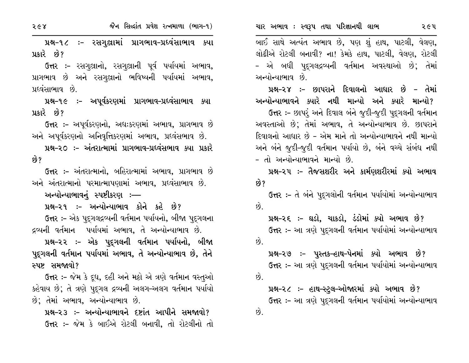બાઈ સાથે અત્યંત અભાવ છે, પણ શું હાથ, પાટલી, વેલણ, લોઢીએ રોટલી બનાવી? ના! કેમકે હાથ, પાટલી, વેલણ, રોટલી - એ બધી પુદ્ગલદ્રવ્યની વર્તમાન અવસ્થાઓ છે; તેમાં અન્યોન્યાભાવ છે.

પ્રશ્ન–૨૪ :– છાપરાને દિવાલનો આધાર છે – તેમાં અન્યોન્યાભાવને ક્યારે નથી માન્યો અને ક્યારે માન્યો? ઉત્તર :- છાપર અને દિવાલ બંને જૂદી-જૂદી પુદગલની વર્તમાન

અવસ્તાઓ છે; તેમાં અભાવ, તે અન્યોન્યાભાવ છે. છાપરાને દિવાલનો આધાર છે – એમ માને તો અન્યોન્યાભાવને નથી માન્યો અને બંને જૂદી-જૂદી વર્તમાન પર્યાયો છે, બંને વચ્ચે સંબંધ નથી – તો અન્યોન્યાભાવને માન્યો છે.

પ્રશ્ન–૨૫ ઃ– તૈજસશરીર અને કાર્મણશરીરમાં ક્યો અભાવ છે?

ઉત્તર :- તે બંને પુદ્ગલોની વર્તમાન પર્યાયોમાં અન્યોન્યાભાવ  $\hat{g}$ .

પ્રશ્ન-૨૬ :- ઘડો, ચાકડો, ડંડોમાં ક્યો અભાવ છે? ઉત્તર :- આ ત્રણે પુદુગલની વર્તમાન પર્યાયોમાં અન્યોન્યાભાવ  $\hat{\mathcal{B}}$ .

પ્રશ્ન-૨૭ :- પુસ્તક-હાથ-પેનમાં ક્યો અભાવ છે? ઉત્તર :- આ ત્રણે પુદ્ગલની વર્તમાન પર્યાયોમાં અન્યોન્યાભાવ છે.

પ્રશ્ન-૨૮ :- હાથ-સ્ટ્લ-ઓજારમાં ક્યો અભાવ છે? ઉત્તર :- આ ત્રણે પુદ્ગલની વર્તમાન પર્યાયોમાં અન્યોન્યાભાવ છે.

પ્રશ્ન-૧૮ ઃ- રસગુલ્રામાં પ્રાગભાવ-પ્રધ્વંસાભાવ ક્યા પ્રકારે છે?

ઉત્તર :- રસગુલ્રાનો, રસગુલ્રાની પૂર્વ પર્યાયમાં અભાવ, પ્રાગભાવ છે અને રસગુલ્રાનો ભવિષ્યની પર્યાયમાં અભાવ, પ્રદવંસાભાવ છે.

પ્રશ્ન-૧૯ :- અપૂર્વકરણમાં પ્રાગભાવ-પ્રધ્વંસાભાવ ક્યા પ્રકારે છે?

ઉત્તર :- અપર્વકરણનો, અદ્ય:કરણમાં અભાવ, પ્રાગભાવ છે અને અપૂર્વકરણનો અનિવૃત્તિકરણમાં અભાવ, પ્રઘ્વંસભાવ છે.

પ્રશ્ન-૨૦ :- અંતરાત્મામાં પ્રાગભાવ-પ્રધ્વંસભાવ ક્યા પ્રકારે છે?

ઉત્તર :- અંતરાત્માનો, બહિરાત્મામાં અભાવ, પ્રાગભાવ છે અને અંતરાત્માનો પરમાત્માપણામાં અભાવ, પ્રધ્વંસાભાવ છે.

અન્યોન્યાભાવનું સ્પષ્ટીકરણ ઃ—

પ્રશ્ન–૨૧ :– અન્યોન્યાભાવ કોને કહે છે?

ઉત્તર :- એક પદુગલદ્ગવ્યની વર્તમાન પર્યાયનો, બીજા પદુગલના દ્રવ્યની વર્તમાન પર્યાયમાં અભાવ, તે અન્યોન્યાભાવ છે.

પ્રશ્ન-૨૨ :- એક પુદ્ગલની વર્તમાન પર્યાયનો, બીજા પુદ્ગલની વર્તમાન પર્યાયમાં અભાવ, તે અન્યોન્યાભાવ છે, તેને સ્પષ્ટ સમજાવો?

ઉત્તર :- જેમ કે દૂધ, દહી અને મઢો એ ત્રણે વર્તમાન વસ્તુઓ કહેવાય છે; તે ત્રણે પુદુગલ દ્રવ્યની અલગ-અલગ વર્તમાન પર્યાયો છે; તેમાં અભાવ, અન્યોન્યાભાવ છે.

પ્રશ્ન-૨૩ :- અન્યોન્યાભાવને દષ્ટાંત આપીને સમજાવો? ઉત્તર :- જેમ કે બાઈએ રોટલી બનાવી, તો રોટલીનો તો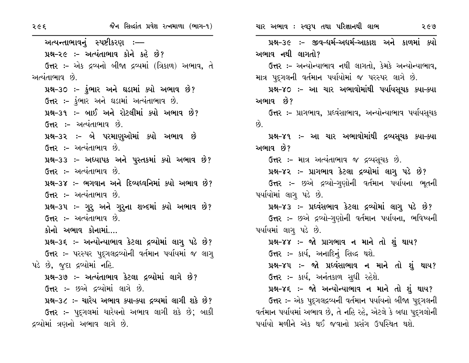| २૯६                             | જૈન સિલ્દાંત પ્રવેશ રત્નમાળા (ભાગ-૧)                     | ચાર અભાવ : સ્વરૂપ તથા પરિજ્ઞાનથી લાભ<br>२૯७                     |
|---------------------------------|----------------------------------------------------------|-----------------------------------------------------------------|
| અત્યન્તાભાવનું સ્પષ્ટીકરણ ઃ—    |                                                          | પ્રશ્ન-૩૯ :- જીવ-ધર્મ-અધર્મ-આકાશ અને કાળમાં ક્યો                |
|                                 | પ્રશ્ન-૨૯ :- અત્યંતાભાવ કોને કહે છે?                     | અભાવ નથી લાગતો?                                                 |
|                                 | ઉત્તર :- એક દ્રવ્યનો બીજા દ્રવ્યમાં (ત્રિકાળ) અભાવ, તે   | ઉત્તર :- અન્યોન્યાભાવ નથી લાગતો, કેમકે અન્યોન્યાભાવ,            |
| અત્યંતાભાવ છે.                  |                                                          | માત્ર પુદ્ગલની વર્તમાન પર્યાયોમાં જ પરસ્પર લાગે છે.             |
|                                 | પ્રશ્ન-૩૦ :- ડુંભાર અને ઘડામાં ક્યો અભાવ છે?             | પ્રશ્ન–૪૦ ઃ– આ ચાર અભાવોમાંથી પર્યાયસૂચક ક્યા–ક્યા              |
|                                 | ઉત્તર :- કુંભાર અને ઘડામાં અત્યંતાભાવ છે.                | અભાવ છે?                                                        |
|                                 | પ્રશ્ન–૩૧ :– બાઈ અને રોટલીમાં ક્યો અભાવ છે?              | <b>ઉત્તર :-</b> પ્રાગભાવ, પ્રધ્વંસાભાવ, અન્યોન્યાભાવ પર્યાયસૂચક |
|                                 | ઉત્તર :- અત્યંતાભાવ છે.                                  | છે.                                                             |
|                                 | પ્રશ્ન-૩૨ :- બે પરમાણુઓમાં ક્યો અભાવ છે                  | પ્રશ્ન–૪૧ ઃ– આ ચાર અભાવોમાંથી દ્રવ્યસૂચક ક્યા–ક્યા              |
|                                 | ઉત્તર :- અત્યંતાભાવ છે.                                  | અભાવ છે?                                                        |
|                                 | પ્રશ્ન-૩૩ :- અધ્યાપક અને પુસ્તકમાં ક્યો અભાવ છે?         | <b>ઉત્તર :- માત્ર અત્યંતાભાવ જ દ્રવ્યસૂચક છે.</b>               |
|                                 | ઉત્તર :- અત્યંતાભાવ છે.                                  | પ્રશ્ન-૪૨ :- પ્રાગભાવ કેટલા દ્રવ્યોમાં લાગુ પડે છે?             |
|                                 | પ્રશ્ન–૩૪ :– ભગવાન અને દિવ્યધ્વનિમાં ક્યો અભાવ છે?       | ઉત્તર :- છએ દ્રવ્યો-ગુણોની વર્તમાન પર્યાયના ભૂતની               |
|                                 | ઉત્તર :- અત્યંતાભાવ છે.                                  | પર્યાયોમાં લાગુ પડે છે.                                         |
|                                 | પ્રશ્ન-૩૫ :- ગુરુ અને ગુરુના શબ્દમાં ક્યો અભાવ છે?       | પ્રશ્ન-૪૩ :- પ્રધ્વંસભાવ કેટલા દ્રવ્યોમાં લાગુ પડે છે?          |
|                                 | ઉત્તર :- અત્યંતાભાવ છે.                                  | ઉત્તર :- છએ દ્રવ્યો-ગુણોની વર્તમાન પર્યાયના, ભવિષ્યની           |
| કોનો અભાવ કોનામાં….             |                                                          | પર્યાયમાં લાગુ પડે છે.                                          |
|                                 | પ્રશ્ન-૩૬ :- અન્યોન્યાભાવ કેટલા દ્રવ્યોમાં લાગુ પડે છે?  | પ્રશ્ન–૪૪ :– જો પ્રાગભાવ ન માને તો શું થાય?                     |
|                                 | ઉત્તર :- પરસ્પર પુદ્ગલદ્રવ્યોની વર્તમાન પર્યાયમાં જ લાગુ | ઉત્તર :- કાર્ય, અનાદિનું સિદ્ધ થશે.                             |
| પડે છે, જુદા દ્રવ્યોમાં નહિ.    |                                                          | પ્રશ્ન–૪૫ :– જો પ્રધ્વંસાભાવ ન માને તો શું થાય?                 |
|                                 | પ્રશ્ન-૩૭ :- અત્યંતાભાવ કેટલા દ્રવ્યોમાં લાગે છે?        | <b>ઉત્તર :-</b> કાર્ય, અનંતકાળ સુધી રહેશે.                      |
|                                 | ઉત્તર :- છએ દ્રવ્યોમાં લાગે છે.                          | પ્રશ્ન–૪૬ :– જો અન્યોન્યાભાવ ન માને તો શું થાય?                 |
|                                 | પ્રશ્ન-૩૮ :- ચારેય અભાવ ક્યા-ક્યા દ્રવ્યમાં લાગી શકે છે? | ઉત્તર :- એક પુદ્ગલદ્રવ્યની વર્તમાન પર્યાયનો બીજા પુદ્ગલની       |
|                                 | <b>ઉત્તર :-</b> પુદ્ગલમાં ચારેયનો અભાવ લાગી શકે છે; બાકી | વર્તમાન પર્યાયમાં અભાવ છે, તે નહિ રહે, એટલે કે બધા પુદ્દગલોની   |
| દ્રવ્યોમાં ત્રણનો અભાવ લાગે છે. |                                                          | પર્યાયો મળીને એક થઈ જવાનો પ્રસંગ ઉપસ્થિત થશે.                   |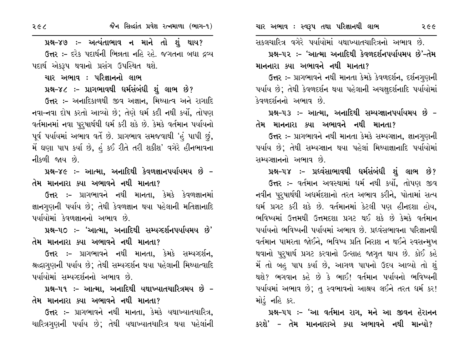પ્રશ્ન-૪૭ :- અત્યંતાભાવ ન માને તો શું થાય?

**ઉત્તર :-** દરેક પદાર્થની ભિન્નતા નહિ રહે. જગતના બધા દ્રવ્ય પદાર્થ એકરૂપ થવાનો પ્રસંગ ઉપસ્થિત થશે.

ચાર અભાવ : પરિજ્ઞાનનો લાભ

પ્રશ્ન-૪૮ ઃ- પ્રાગભાવથી ધર્મસંબંધી શું લાભ છે?

ઉત્તર :- અનાદિકાળથી જીવ અજ્ઞાન, મિથ્યાત્વ અને રાગાદિ નવા–નવા દોષ કરતો આવ્યો છે; તેણે ઘર્મ કદી નથી કર્યો, તોપણ વર્તમાનમાં નવા પુરુષાર્થથી ઘર્મ કરી શકે છે. કેમકે વર્તમાન પર્યાયનો પૂર્વ પર્યાયમાં અભાવ વર્તે છે. પ્રાગભાવ સમજવાથી 'હં પાપી છું, મેં ઘણા પાપ કર્યા છે, હું કઈ રીતે તરી શકીશ' વગેરે હીનભાવના નીકળી જાય છે.

પ્રશ્ન-૪૯ :- આત્મા, અનાદિથી કેવળજ્ઞાનપર્યાયમય છે  $d$ મ માનનારા ક્યા અભાવને નથી માનતા?

ઉત્તર :- પ્રાગભાવને નથી માનતા, કેમકે કેવળજ્ઞાનમાં જ્ઞાનગુણની પર્યાય છે; તેથી કેવળજ્ઞાન થયા પહેલાની મતિજ્ઞાનાદિ પર્યાયોમાં કેવળજ્ઞાનનો અભાવ છે.

પ્રશ્ન-૫૦ ઃ– 'આત્મા, અનાદિથી સમ્યગ્દર્શનપર્યાયમય છે'  $d$ મ માનનારા ક્યા અભાવને નથી માનતા?

ઉત્તર :- પ્રાગભાવને નથી માનતા, કેમકે સમ્યગ્દર્શન, શ્રદ્ધાગુણની પર્યાય છે; તેથી સમ્યગ્દર્શન થયા પહેલાની મિથ્યાત્વાદિ પર્યાયોમાં સમ્યવ્દર્શનનો અભાવ છે.

પ્રશ્ન–૫૧ ઃ– આત્મા, અનાદિથી યથાખ્યાતચારિત્રમય છે –  $\overline{d}$ મ માનનારા ક્યા અભાવને નથી માનતા?

ઉત્તર :- પ્રાગભાવને નથી માનતા. કેમકે યથાખ્યાતચારિત્ર. ચારિત્રગણની પર્યાય છે; તેથી યથાખ્યાતચારિત્ર થયા પહેલાંની સકલચારિત્ર વગેરે પર્યાયોમાં યથાખ્યાતચારિત્રનો અભાવ છે. પ્રશ્ન–૫૨ :– 'આત્મા અનાદિથી કેવળદર્શનપર્યાયમય છે'–તેમ માનનારા ક્યા અભાવને નથી માનતા?

ઉત્તર :- પ્રાગભાવને નથી માનતા કેમકે કેવળદર્શન, દર્શનગુણની પર્યાય છે; તેથી કેવળદર્શન થયા પહેલાની અચક્ષદર્શનાદિ પર્યાયોમાં કેવળદર્શનનો અભાવ છે.

પ્રશ્ન–૫૩ ઃ– આત્મા, અનાદિથી સમ્યગ્જ્ઞાનપર્યાયમય છે –  $\hat{d}$ મ માનનારા ક્યા અભાવને નથી માનતા?

ઉત્તર :- પ્રાગભાવને નથી માનતા કેમકે સમ્યગ્જ્ઞાન, જ્ઞાનગુણની પર્યાય છે; તેથી સમ્યગ્જ્ઞાન થયા પહેલાં મિથ્યાજ્ઞાનાદિ પર્યાયોમાં સમ્યગ્જ્ઞાનનો અભાવ છે.

પ્રશ્ન–૫૪ ઃ– પ્રઘ્વંસાભાવથી ઘર્મસંબંધી શું લાભ છે? ઉત્તર :- વર્તમાન અવસ્થામાં ધર્મ નથી કર્યો, તોપણ જીવ નવીન પુરુષાર્થથી અદ્યર્મદશાનો તરત અભાવ કરીને, પોતામાં સત્ય ઘર્મ પ્રગટ કરી શકે છે. વર્તમાનમાં કેટલી પણ હીનદશા હોય, ભવિષ્યમાં ઉત્તમથી ઉત્તમદશા પ્રગટ થઈ શકે છે કેમકે વર્તમાન ્પર્યાયનો ભવિષ્યની પર્યાયમાં અભાવ છે. પ્રદવંસભાવના પરિજ્ઞાનથી વર્તમાન પામરતા જોઈને, ભવિષ્ય પ્રતિ નિરાશ ન થઈને સ્વસન્મુખ થવાનો પુરૂષાર્થ પ્રગટ કરવાનો ઉત્સાહ જાગૃત થાય છે. કોઈ કહે મેં તો બહુ પાપ કર્યા છે, આગળ પાપનો ઉદય આવ્યો તો શું થશે? ભગવાન કહે છે કે ભાઈ! વર્તમાન પર્યાયનો ભવિષ્યની પર્યાયમાં અભાવ છે; તુ સ્વભાવનો આશ્રય લઈને તરત ધર્મ કર! મોડું નહિ કર.

પ્રશ્ન–૫૫ :– 'આ વર્તમાન રાગ, મને આ જીવન હેરાનન કરશે' – તેમ માનનારાએ ક્યા અભાવને નથી માન્યો?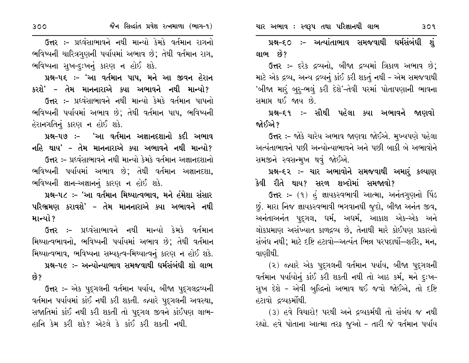પ્રશ્ન–૬૦ ઃ– અત્યાંતાભાવ સમજવાથી ધર્મસંબંધી શં લાભ છે?

ઉત્તર :- દરેક દ્રવ્યનો, બીજા દ્રવ્યમાં ત્રિકાળ અભાવ છે; માટે એક દ્રવ્ય, અન્ય દ્રવ્યનું કાંઈ કરી શકતું નથી - એમ સમજવાથી 'બીજા મારૂં બુરૂ-ભલું કરી દેશે'-તેવી પરમાં પોતાપણાની ભાવના સમાપ્ત થઈ જાય છે.

પ્રશ્ન–૬૧ ઃ– સૌથી પહેલા ક્યા અભાવને જાણવો જોઈએ ?

ઉત્તર :- જોકે ચારેય અભાવ જાણવા જોઈએ. મુખ્યપણે પહેલા અત્યંતાભાવને પછી અન્યોન્યાભાવને અને પછી બાકી બે અભાવોને સમજીને સ્વસન્મુખ થવું જોઈએ.

પ્રશ્ન-૬૨ :- ચાર અભાવોને સમજવાથી અમાર્ કલ્યાણ કેવી રીતે થાય? સરળ શબ્દોમાં સમજાવો?

ઉત્તર :- (૧) હું જ્ઞાયકસ્વભાવી આત્મા, અનંતગણનો પિંડ છું. મારા નિજ જ્ઞાયકસ્વભાવી ભગવાનથી જુદો, બીજા અનંત જીવ, અનંતાઅનંત પુદ્ગલ, ધર્મ, અધર્મ, આકાશ એક-એક અને લોકપ્રમાણ અસંખ્યાત કાળદ્રવ્ય છે, તેનાથી મારે કોઈપણ પ્રકારનો સંબંધ નથી; માટે દષ્ટિ હટાવો—અત્યંત ભિન્ન પરપદાર્થો—શરીર, મન, વાણીથી.

(૨) જ્યારે એક પદુગલની વર્તમાન પર્યાય, બીજા પદુગલની વર્તમાન પર્યાયોનું કાંઈ કરી શકતી નથી તો આઠ કર્મ, મને દુઃખ-સુખ દેશે - એવી બુદ્ધિનો અભાવ થઈ જવો જોઈએ, તો દષ્ટિ હટાવો દ્રવ્યકર્મોથી.

(3) હવે વિચારો! પરથી અને દ્રવ્યકર્મથી તો સંબંધ જ નથી રહ્યો. હવે પોતાના આત્મા તરફ જૂઓ – તારી જે વર્તમાન પર્યાય

ઉત્તર :– પ્રદવંસાભાવને નથી માન્યો કેમકે વર્તમાન રાગનો ભવિષ્યની ચારિત્રગણની પર્યાયમાં અભાવ છે; તેથી વર્તમાન રાગ, ભવિષ્યના સુખ-દૃઃખનું કારણ ન હોઈ શકે.

પ્રશ્ન-૫૬ ઃ- 'આ વર્તમાન પાપ, મને આ જીવન હેરાન કરશે' – તેમ માનનારાએ ક્યા અભાવને નથી માન્યો? ઉત્તર :- પ્રધ્વંસાભાવને નથી માન્યો કેમકે વર્તમાન પાપનો ભવિષ્યની પર્યાયમાં અભાવ છે; તેથી વર્તમાન પાપ, ભવિષ્યની હેરાનગતિનું કારણ ન હોઈ શકે.

પ્રશ્ન–૫૭ :– 'આ વર્તમાન અજ્ઞાનદશાનો કદી અભાવ નહિ થાય' – તેમ માનનારાએ ક્યા અભાવને નથી માન્યો? ઉત્તર :- પ્રદવંસાભાવને નથી માન્યો કેમકે વર્તમાન અજ્ઞાનદશાનો ભવિષ્યની પર્યાયમાં અભાવ છે; તેથી વર્તમાન અજ્ઞાનદશા, ભવિષ્યની જ્ઞાન-અજ્ઞાનનું કારણ ન હોઈ શકે.

પ્રશ્ન-૫૮ :- 'આ વર્તમાન મિથ્યાત્વભાવ, મને હંમેશા સંસાર પરિભ્રમણ કરાવશે' – તેમ માનનારાએ ક્યા અભાવને નથી માન્યો ?

ઉત્તર :- પ્રદવંસાભાવને નથી માન્યો કેમકે વર્તમાન મિથ્યાત્વભાવનો, ભવિષ્યની પર્યાયમાં અભાવ છે; તેથી વર્તમાન મિથ્યાત્વભાવ, ભવિષ્યના સમ્યકૃત્વ-મિથ્યાત્વનું કારણ ન હોઈ શકે.

પ્રશ્ન-૫૯ :- અન્યોન્યાભાવ સમજવાથી ધર્મસંબંધી શો લાભ છે?

ઉત્તર :- એક પદ્ગલની વર્તમાન પર્યાય, બીજા પદ્ગલદ્રવ્યની વર્તમાન પર્યાયમાં કાંઈ નથી કરી શકતી. જ્યારે પુદૃગલની અવસ્થા, સજાતિમાં કાંઈ નથી કરી શકતી તો પદ્ગલ જીવને કાંઈપણ લાભ-હાનિ કેમ કરી શકે? એટલે કે કાંઈ કરી શકતી નથી.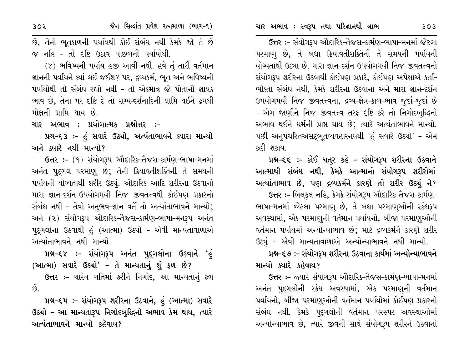ઉત્તર :- સંયોગરૂપ ઔદારિક-તૈજસ-કાર્મણ-ભાષા-મનમાં જેટલા પરમાણુ છે, તે બધા ક્રિયાવતીશક્તિની તે સમયની પર્યાયની યોગ્યતાથી ઉઠ્યા છે. મારા જ્ઞાન-દર્શન ઉપયોગમયી નિજ જીવતત્ત્વનો સંયોગરૂપ શરીરના ઉઠવાથી કોઈપણ પ્રકારે, કોઈપણ અપેક્ષાએ કર્તા-ભોક્તા સંબંધ નથી, કેમકે શરીરના ઉઠવાના અને મારા જ્ઞાન-દર્શન ઉપયોગમયી નિજ જીવતત્ત્વના, દ્રવ્ય-ક્ષેત્ર-કાળ-ભાવ જુદાં-જુદાં છે - એમ જાણીને નિજ જીવતત્ત્વ તરફ દષ્ટિ કરે તો નિગોદબુદ્ધિનો અભાવ થઈને ધર્મની પ્રાપ્ત થાય છે; ત્યારે અત્યંતાભાવને માન્યો. પછી અનુપચરિતઅસદ્દભુતવ્યવહારનયથી 'હં સવારે ઉઠ્યો' – એમ કહી શકાય.

# પ્રશ્ન-૬૬ :- કોઈ ચતુર કહે - સંયોગરૂપ શરીરના ઉઠવાને આત્માથી સંબંધ નથી, કેમકે આત્માનો સંયોગરૂપ શરીરોમાં અત્યાંતાભાવ છે, પણ દ્રવ્યકર્મને કારણે તો શરીર ઉઠ્યું ને?

ઉત્તર :- બિલકુલ નહિ, કેમકે સંયોગરૂપ ઔદારિક-તૈજસ-કાર્મણ-ભાષા-મનમાં જેટલા પરમાણુ છે, તે બધા પરમાણુઓની સ્કંધરૂપ અવસ્થામાં, એક પરમાણુની વર્તમાન પર્યાયનો, બીજા પરમાણુઓની વર્તમાન પર્યાયમાં અન્યોન્યાભાવ છે; માટે દ્રવ્યકર્મને કારણે શરીર ઉઠ્યું - એવી માન્યતાવાળાએ અન્યોન્યાભાવને નથી માન્યો.

## પ્રશ્ન–૬૭ ઃ– સંયોગરૂપ શરીરના ઉઠવાના કાર્યમાં અન્યોન્યાભાવને માન્યો ક્યારે કહેવાય?

ઉત્તર :- જ્યારે સંયોગરૂપ ઔદારિક-તૈજસ-કાર્મણ-ભાષા-મનમાં અનંત પુદ્ગલોની સ્કંધ અવસ્થામાં, એક પરમાણની વર્તમાન પર્યાયનો, બીજા પરમાણુઓની વર્તમાન પર્યાયોમાં કોઈપણ પ્રકારનો સંબંધ નથી. કેમકે પદ્ગલોની વર્તમાન પરસ્પર અવસ્થાઓમાં અન્યોન્યાભાવ છે, ત્યારે જીવની સાથે સંયોગરૂપ શરીરને ઉઠવાનો

છે, તેનો ભૂતકાળની પર્યાયથી કોઈ સંબંધ નથી કેમકે જો તે છે જ નહિ - તો દષ્ટિ ઉઠાવ પાછળની પર્યાયોથી.

(૪) ભવિષ્યની પર્યાય હજી આવી નથી. હવે તું તારી વર્તમાન જ્ઞાનની પર્યાયને ક્યાં લઈ જઈશ? પર, દ્રવ્યકર્મ, ભૂત અને ભવિષ્યની પર્યાયોથી તો સંબંધ રહ્યો નથી - તો એકમાત્ર જે પોતાનો જ્ઞાયક ભાવ છે, તેના પર દષ્ટિ દે તો સમ્યગ્દર્શનાદિની પ્રાપ્તિ થઈને ક્રમથી મોક્ષની પ્રાપ્તિ થાય છે.

ચાર અભાવ : પ્રયોગાત્મક પ્રશ્નોત્તર :-

પ્રશ્ન-૬૩ :- હું સવારે ઉઠ્યો, અત્યંતાભાવને ક્યારા માન્યો અને ક્યારે નથી માન્યો?

ઉત્તર :- (૧) સંયોગરૂપ ઔદારિક-તૈજસ-કાર્મણ-ભાષા-મનમાં અનંત પુદ્ગલ પરમાણ છે; તેની ક્રિયાવતીશક્તિની તે સમયની પર્યાયની યોગ્યતાથી શરીર ઉઠ્યું. ઔદારિક આદિ શરીરના ઉઠવાનો મારા જ્ઞાન-દર્શન-ઉપયોગમયી નિજ જીવતત્ત્વથી કોઈપણ પ્રકારનો સંબંધ નથી - તેવો અનુભવ-જ્ઞાન વર્તે તો અત્યાંતાભાવને માન્યો; અને (૨) સંયોગરૂપ ઔદારિક-તૈજસ-કાર્મણ-ભાષા-મનરૂપ અનંત પદુગલોના ઉઠવાથી હું (આત્મા) ઉઠ્યો - એવી માન્યતાવાળાએ અત્યાંતાભાવને નથી માન્યો

પ્રશ્ન–૬૪ :– સંયોગરૂપ અનંત પુદ્ગલોના ઉઠવાને 'હું (આત્મા) સવારે ઉઠ્યો' – તે માન્યતાનું શું ફળ છે? ઉત્તર :- ચારેય ગતિમાં ફરીને નિગોદ, આ માન્યતાનું ફળ  $\hat{g}$ .

પ્રશ્ન–૬૫ :– સંયોગરૂપ શરીરના ઉઠવાને, હું (આત્મા) સવારે ઉઠ્યો - આ માન્યતારૂપ નિગોદબુદ્ધિનો અભાવ કેમ થાય, ત્યારે અત્યંતાભાવને માન્યો કહેવાય?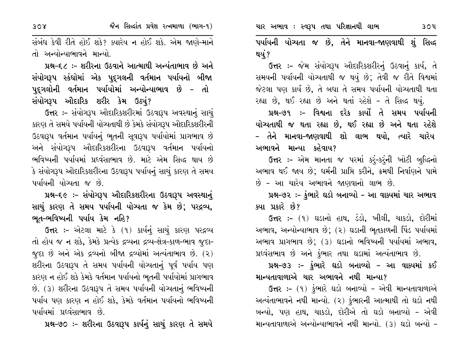ચાર અભાવ : સ્વરૂપ તથા પરિજ્ઞાનથી લાભ

સંબંધ કેવી રીતે હોઈ શકે? ક્યારેય ન હોઈ શકે. એમ જાણે-માને તો અન્યોન્યાભાવને માન્યો.

પ્રશ્ન–૬૮ :– શરીરના ઉઠવાને આત્માથી અન્યંતાભાવ છે અને સંયોગરૂપ સ્કંધોમાં એક પુદ્ગલની વર્તમાન પર્યાયનો બીજા પૂદૃગલોની વર્તમાન પર્યાયોમાં અન્યોન્યાભાવ છે – તો સંયોગરૂપ ઔદારિક શરીર કેમ ઉઠ્યું?

ઉત્તર :- સંયોગરૂપ ઔદારિકશરીરમાં ઉઠવારૂપ અવસ્થાનું સાચું કારણ તે સમયે પર્યાયની યોગ્યતાથી છે કેમકે સંયોગરૂપ ઔદારિકશરીરની ઉઠવારૂપ વર્તમાન પર્યાયનું ભૂતની સૂવારૂપ પર્યાયોમાં પ્રાગભાવ છે અને સંયોગરૂપ ઔદારિકશરીરના ઉઠવારૂપ વર્તમાન પર્યાયનો ભવિષ્યની પર્યાયમાં પ્રધ્વંસાભાવ છે. માટે એમ સિદ્ધ થાય છે કે સંયોગરૂપ ઔદારિકશરીરના ઉઠવારૂપ પર્યાયનું સાચું કારણ તે સમય પર્યાયની યોચ્યતા જ છે

પ્રશ્ન-૬૯ :- સંયોગરૂપ ઔદારિકશરીરના ઉઠવારૂપ અવસ્થાનું સાચું કારણ તે સમય પર્યાયની યોગ્યતા જ કેમ છે; પરદ્રવ્ય, ભૂત-ભવિષ્યની પર્યાય કેમ નહિ?

ઉત્તર :- એટલા માટે કે (૧) કાર્યનું સાચું કારણ પરદ્રવ્ય તો હોય જ ન શકે, કેમકે પ્રત્યેક દ્રવ્યના દ્રવ્ય-ક્ષેત્ર-કાળ-ભાવ જુદા-જુદા છે અને એક દ્રવ્યનો બીજા દ્રવ્યોમાં અત્યંતાભાવ છે. (૨) શરીરના ઉઠવારૂપ તે સમય પર્યાયની યોચ્યતાનું પૂર્વ પર્યાય પણ કારણ ન હોઈ શકે કેમકે વર્તમાન પર્યાયનો ભૂતની પર્યાયોમાં પ્રાગભાવ છે. (3) શરીરના ઉઠવારૂપ તે સમય પર્યાયની યોગ્યતાનું ભવિષ્યની પર્યાય પણ કારણ ન હોઈ શકે, કેમકે વર્તમાન પર્યાયનો ભવિષ્યની પર્યાયમાં પ્રદવંસાભાવ છે

પ્રશ્ન-૭૦ :- શરીરના ઉઠવારૂપ કાર્યનું સાચું કારણ તે સમયે

પર્યાયની યોગ્યતા જ છે, તેને માનવા-જાણવાથી શું સિદ્ધ થયું?

ઉત્તર :- જેમ સંયોગરૂપ ઔદારિકશરીરનું ઉઠવાનું કાર્ય, તે સમયની પર્યાયની યોચ્યતાથી જ થયું છે; તેવી જ રીતે વિશ્વમાં જેટલા પણ કાર્ય છે, તે બધા તે સમય પર્યાયની યોચ્યતાથી થતા રહ્યા છે, થઈ રહ્યા છે અને થતાં રહેશે - તે સિદ્ધ થયું.

પ્રશ્ન–૭૧ :– વિશ્વના દરેક કાર્યો તે સમય પર્યાયની યોગ્યતાથી જ થતા રહ્યા છે, થઈ રહ્યા છે અને થતા રહેશે – તેને માનવા–જાણવાથી શો લાભ થયો, ત્યારે ચારેય અભાવને માન્યા કહેવાય?

ઉત્તર :- એમ માનતા જ પરમાં કરૂં-કરૂંની ખોટી બુદ્ધિનો અભાવ થઈ જાય છે; ધર્મની પ્રાપ્તિ કરીને, ક્રમથી નિર્વાણને પામે છે - આ ચારેય અભાવને જાણવાનો લાભ છે.

પ્રશ્ન-૭૨ :- કુંભારે ઘડો બનાવ્યો - આ વાક્યમાં ચાર અભાવ ક્યા પ્રકારે છે?

ઉત્તર :- (૧) ઘડાનો હાથ, ડંડો, ખીલી, ચાકડો, દોરીમાં અભાવ, અન્યોન્યાભાવ છે; (૨) ઘડાની ભૂતકાળની પિંડ પર્યાયમાં અભાવ પ્રાગભાવ છે; (3) ઘડાનો ભવિષ્યની પર્યાયમાં અભાવ, પ્રધ્વંસભાવ છે અને કુંભાર તથા ઘડામાં અત્યંતાભાવ છે.

પ્રશ્ન-૭૩ :- ફુંભારે ઘડો બનાવ્યો - આ વાક્યમાં કઈ માન્યતાવાળાએ ચાર અભાવને નથી માન્યા?

ઉત્તર :- (૧) કુંભારે ઘડો બનાવ્યો - એવી માન્યતાવાળાએ અત્યંતાભાવને નથી માન્યો. (૨) કુંભારની આત્માથી તો ઘડો નથી બન્યો. પણ હાથ, ચાકડો, દોરીએ તો ઘડો બનાવ્યો - એવી માન્યતાવાળાએ અન્યોન્યાભાવને નથી માન્યો. (૩) ઘડો બન્યો –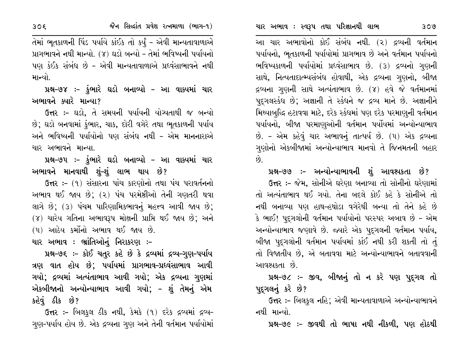આ ચાર અભાવોનો કોઈ સંબંધ નથી. (૨) દ્રવ્યની વર્તમાન પર્યાયનો, ભૂતકાળની પર્યાયોમાં પ્રાગભાવ છે અને વર્તમાન પર્યાયનો ભવિષ્યકાળની પર્યાયોમાં પ્રદવંસાભાવ છે. (3) દ્રવ્યનો ગુણની સાથે, નિત્યતાદાત્મ્યસંબંધ હોવાથી, એક દ્રવ્યના ગુણનો, બીજા દ્રવ્યના ગુણની સાથે અત્યંતાભાવ છે. (૪) હવે જે વર્તમાનમાં પદુગલસ્કંધ છે; અજ્ઞાની તે સ્કંધને જ દ્રવ્ય માને છે. અજ્ઞાનીને મિથ્યાબુદ્ધિ હટાવવા માટે, દરેક સ્કંધમાં પણ દરેક પરમાણુની વર્તમાન પર્યાયનો, બીજા પરમાણુઓની વર્તમાન પર્યોયમાં અન્યોન્યાભાવ છે. - એમ કહેવું ચાર અભાવનું તાત્પર્ય છે. (૫) એક દ્રવ્યના ગુણોનો એકબીજામાં અન્યોન્યાભાવ માનવો તે જિનમતની બહાર છે.

પ્રશ્ન–૭૭ :– અન્યોન્યાભાવની શું આવશ્યકતા છે? ઉત્તર :- જેમ, સોનીએ ઘરેણા બનાવ્યા તો સોનીનો ઘરેણામાં તો અત્યંતાભાવ થઈ ગયો. તેના બદલે કોઈ કહે કે સોનીએ તો નથી બનાવ્યા પણ હાથ-હથોડા વગેરેથી બન્યા તો તેને કહે છે કે ભાઈ! પુદ્ગલોની વર્તમાન પર્યાયોનો પરસ્પર અબાવ છે – એમ અન્યોન્યાભાવ જણાવે છે. જ્યારે એક પદગલની વર્તમાન પર્યાય, બીજા પુદ્દગલોની વર્તમાન પર્યાયમાં કાંઈ નથી કરી શકતી તો તું તો વિજાતીય છે, એ બતાવવા માટે અન્યોન્યાભાવને બતાવવાની આવશ્યકતા છે.

પ્રશ્ન-૭૮ :- જીવ, બીજાનું તો ન કરે પણ પુદ્દગલ તો પૂદ્ગલનું કરે છે?

ઉત્તર :- બિલકુલ નહિ; એવી માન્યતાવાળાએ અન્યોન્યાભાવને નથી માન્યો

પ્રશ્ન-૭૯ :- જીવથી તો ભાષા નથી નીકળી, પણ હોઠથી

તેમાં ભૂતકાળની પિંડ પર્યાયે કાંઈક તો કર્યું - એવી માન્યતાવાળાએ પ્રાગભાવને નથી માન્યો. (૪) ઘડો બન્યો - તેમાં ભવિષ્યની પર્યાયનો પણ કંઈક સંબંધ છે - એવી માન્યતાવાળાએ પ્રધ્વંસાભાવને નથી માન્યો.

પ્રશ્ન-૭૪ :- ફુંભારે ઘડો બનાવ્યો – આ વાક્યમાં ચાર અભાવને ક્યારે માન્યા?

ઉત્તર :- ઘડો, તે સમયની પર્યાયની યોગ્યતાથી જ બન્યો છે; ઘડો બનવામાં કુંભાર, ચાક, દોરી વગેરે તથા ભૂતકાળની પર્યાય અને ભવિષ્યની પર્યાયોનો પણ સંબંધ નથી – એમ માનનારાએ ચાર અભાવને માન્યા

પ્રશ્ન–૭૫ :- કુંભારે ઘડો બનાવ્યો – આ વાક્યમાં ચાર અભાવને માનવાથી શં-શં લાભ થાય છે?

ઉત્તર :- (૧) સંસારના પાંચ કારણોનો તથા પંચ પરાવર્તનનો અભાવ થઈ જાય છે; (૨) પંચ પરમેષ્ઠીઓ તેની ગણતરી થવા લાગે છે; (૩) પંચમ પારિણામિકભાવનું મહત્ત્વ આવી જાય છે; (૪) ચારેય ગતિના અભાવરૂપ મોક્ષની પ્રાપ્તિ થઈ જાય છે; અને (૫) આઠેય કર્મોનો અભાવ થઈ જાય છે.

ચાર અભાવ : ભ્રાંતિઓનું નિરાકરણ :-

પ્રશ્ન-૭૬ :- કોઈ ચતુર કહે છે કે દ્રવ્યમાં દ્રવ્ય-ગુણ-પર્યાય ત્રણ વાત હોય છે; પર્યાયમાં પ્રાગભાવ-પ્રધ્વંસાભાવ આવી ગયો; દ્રવ્યમાં અત્યંતાભાવ આવી ગયો; એક દ્રવ્યના ગુણમાં એકબીજાનો અન્યોન્યાભાવ આવી ગયો; – શું તેમનું એમ કહેવું ઠીક છે?

ઉત્તર :- બિલકુલ ઠીક નથી, કેમકે (૧) દરેક દ્રવ્યમાં દ્રવ્ય-ગુણ-પર્યાય હોય છે. એક દ્રવ્યના ગુણ અને તેની વર્તમાન પર્યાયોમાં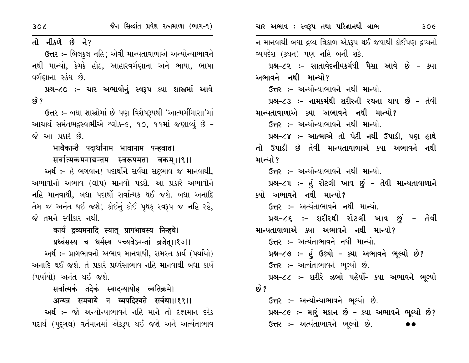| 30 <sub>6</sub>                                         | જૈન સિલ્દાંત પ્રવેશ રત્નમાળા (ભાગ-૧)                        | ચાર અભાવ : સ્વરૂપ તથા પરિજ્ઞાનથી લાભ<br>30 <sub>c</sub>    |  |  |
|---------------------------------------------------------|-------------------------------------------------------------|------------------------------------------------------------|--|--|
| તો નીકળે છે ને?                                         |                                                             | ન માનવાથી બધા દ્રવ્ય ત્રિકાળ એકરૂપ થઈ જવાથી કોઈપણ દ્રવ્યનો |  |  |
| ઉત્તર :- બિલકુલ નહિ; એવી માન્યતાવાળાએ અન્યોન્યાભાવને    |                                                             | વ્યપદેશ (કથન) પણ નહિ બની શકે.                              |  |  |
|                                                         | નથી માન્યો, કેમકે હોઠ, આહારવર્ગણાના અને ભાષા, ભાષા          | પ્રશ્ન–૮૨ :– સાતાવેદનીયકર્મથી પૈસા આવે છે – ક્યા           |  |  |
| વર્ગણાના સ્કંધ છે.                                      |                                                             | અભાવને નથી માન્યો?                                         |  |  |
|                                                         | પ્રશ્ન-૮૦ :- ચાર અભાવોનું સ્વરૂપ ક્યા શાસ્રમાં આવે          | ઉત્તર :- અન્યોન્યાભાવને નથી માન્યો.                        |  |  |
| <u>છે ?</u>                                             |                                                             | પ્રશ્ન–૮૩ ઃ– નામકર્મથી શરીરની રચના થાય છે – તેવી           |  |  |
|                                                         | ઉત્તર :- બધા શાસ્રોમાં છે પણ વિશેષરૂપથી 'આત્મમીંમાસા'માં    | માન્યતાવાળાએ ક્યા અભાવને નથી માન્યો?                       |  |  |
| આચાર્ય સમંતભદ્રસ્વામીએ શ્લોક-૯, ૧૦, ૧૧માં જણાવ્યું છે - |                                                             | <b>ઉત્તર :-</b> અન્યોન્યાભાવને નથી માન્યો.                 |  |  |
| જે આ પ્રકારે છે.                                        |                                                             | પ્રશ્ન-૮૪ :- આત્માએ તો પેટી નથી ઉપાડી, પણ હાથે             |  |  |
|                                                         | भावैकान्तै पदार्थानाम भावानाम पन्हवात।                      | તો ઉપાડી છે તેવી માન્યતાવાળાએ ક્યા અભાવને નથી              |  |  |
|                                                         | सर्वात्मकमनाद्यन्तम स्वरूपमता वकम्।।९।।                     | માન્યો ?                                                   |  |  |
|                                                         | અર્થઃ- હે ભગવાન! પદાર્થોને સર્વથા સદ્ભાવ જ માનવાથી,         | ઉત્તર :– અન્યોન્યાભાવને નથી માન્યો.                        |  |  |
| અભાવોનો અભાવ (લોપ) માનવો પડશે. આ પ્રકારે અભાવોને        |                                                             | પ્રશ્ન–૮૫ :- હું રોટલી ખાવ છું – તેવી માન્યતાવાળાને        |  |  |
| નહિ માનવાથી, બધા પદાર્થો સર્વાત્મક થઈ જશે. બધા અનાદિ    |                                                             | ક્યો અભાવને નથી માન્યો?                                    |  |  |
|                                                         | તેમ જ અનંત થઈ જશે; કોઈનું કોઈ પૃથક્ સ્વરૂપ જ નહિ રહે,       | ઉત્તર :- અત્યંતાભાવને નથી માન્યો.                          |  |  |
| જે તમને સ્વીકાર નથી.                                    |                                                             | પ્રશ્ન-૮૬ ઃ- શરીરથી રોટલી ખાવ છું - તેવી                   |  |  |
|                                                         | कार्य द्रव्यमनादि स्यात् प्रागभावस्य निन्हवे।               | માન્યતાવાળાએ ક્યા અભાવને નથી માન્યો?                       |  |  |
|                                                         | प्रध्वंसस्य च धर्मस्य पच्यवेऽनन्तां व्रजेत्।।१०।।           | ઉત્તર :- અત્યંતાભાવને નથી માન્યો.                          |  |  |
|                                                         | અર્થઃ- પ્રાગભાવનો અભાવ માનવાથી, સમસ્ત કાર્ય (પર્યાયો)       | પ્રશ્ન-૮૭ :- હું ઉઠ્યો - ક્યા અભાવને ભૂલ્યો છે?            |  |  |
|                                                         | અનાદિ થઈ જશે. તે પ્રકારે પ્રધ્વંસાભાવ નહિ માનવાથી બધા કાર્ય | ઉત્તર :- અત્યંતાભાવને ભૂલ્યો છે.                           |  |  |
| (પર્યાયો) અનંત થઈ જશે.                                  |                                                             | પ્રશ્ન-૮૮ :- શરીરે ઝભો પહેર્યો- ક્યા અભાવને ભૂલ્યો         |  |  |
|                                                         | सर्वात्मकं तदेकं स्यादन्यायोह व्यतिक्रमे।                   | છે ?                                                       |  |  |
|                                                         | अन्यत्र समवाये न व्यपदिश्यते सर्वथा।।११।।                   | ઉત્તર :- અન્યોન્યાભાવને ભૂલ્યો છે.                         |  |  |
|                                                         | અર્થ :– જો અન્યોન્યાભાવને નહિ માને તો દશ્યમાન દરેક          | પ્રશ્ન-૮૯ :- મારું મકાન છે - ક્યા અભાવને ભૂલ્યો છે?        |  |  |
|                                                         | પદાર્થ (પુદ્ગલ) વર્તમાનમાં એકરૂપ થઈ જશે અને અત્યંતાભાવ      | ઉત્તર :- અત્યંતાભાવને ભૂલ્યો છે.                           |  |  |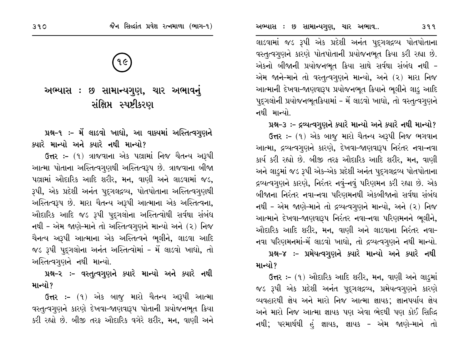લાડવામાં જડ રૂપી એક પ્રદેશી અનંત પુદ્ગલદ્રવ્ય પોતપોતાના વસ્તૃત્વગુણને કારણે પોતપોતાની પ્રયોજનભૂત ક્રિયા કરી રહ્યા છે. એકનો બીજાની પ્રયોજનભુત ક્રિયા સાથે સર્વથા સંબંધ નથી – એમ જાને-માને તો વસ્તુત્વગુણને માન્યો, અને (૨) મારા નિજ આત્માની દેખવા-જાણવારૂપ પ્રયોજનભૂત ક્રિયાને ભૂલીને લાડુ આદિ પદ્ગલોની પ્રયોજનભૂતક્રિયામાં - મેં લાડવો ખાધો, તો વસ્તૃત્વગુણને નથી માન્યો.

#### પ્રશ્ન-૩ :- દ્રવ્યત્વગુણને ક્યારે માન્યો અને ક્યારે નથી માન્યો?

ઉત્તર :- (૧) એક બાજૂ મારો ચૈતન્ય અરૂપી નિજ ભગવાન આત્મા, દ્રવ્યત્વગુણને કારણે, દેખવા-જાણવારૂપ નિરંતર નવા-નવા કાર્ય કરી રહ્યો છે. બીજી તરફ ઔદારિક આદિ શરીર, મન, વાણી અને લાડુમાં જડ રૂપી એક-એક પ્રદેશી અનંત પુદગલદ્રવ્ય પોતપોતાના દ્રવ્યત્વગુણને કારણે, નિરંતર નવું-નવું પરિણમન કરી રહ્યા છે. એક બીજાના નિરંતર નવા–નવા પરિણમનથી એકબીજાનો સર્વથા સંબંધ નથી – એમ જાણે–માને તો દ્રવ્યત્વગુણને માન્યો, અને (૨) નિજ આત્માને દેખવા-જાણવારૂપ નિરંતર નવા-નવા પરિણમનને ભૂલીને, ઔદારિક આદિ શરીર, મન, વાણી અને લાડવાના નિરંતર નવા<del>-</del> નવા પરિણમનમાં-મેં લાડવો ખાધો, તો દ્રવ્યત્વગુણને નથી માન્યો.

# પ્રશ્ન-૪ :- પ્રમેયત્વગુણને ક્યારે માન્યો અને ક્યારે નથી માન્યો ?

ઉત્તર :- (૧) ઔદારિક આદિ શરીર, મન, વાણી અને લાડ્માં જડ રૂપી એક પ્રદેશી અનંત પદ્ગલદ્રવ્ય, પ્રમેયત્વગુણને કારણે વ્યવહારથી જ્ઞેય અને મારો નિજ આત્મા જ્ઞાયક; જ્ઞાનપર્યાય જ્ઞેય અને મારો નિજ આત્મા જ્ઞાયક પણ એવા ભેદથી પણ કોઈ સિદ્ધિ નથી; પરમાર્થથી હું જ્ઞાયક, જ્ઞાયક – એમ જાણે–માને તો

# १૯

# અભ્યાસ : છ સામાન્યગુણ, ચાર અભાવનું સંક્ષિપ્ત સ્પષ્ટીકરણ

## પ્રશ્ન-૧ ઃ- મેં લાડવો ખાધો, આ વાક્યમાં અસ્તિત્વગુણને ક્યારે માન્યો અને ક્યારે નથી માન્યો?

ઉત્તર :- (૧) ત્રાજવાના એક પલ્રામાં નિજ ચૈતન્ય અરૂપી આત્મા પોતાના અસ્તિત્વગુણથી અસ્તિત્વરૂપ છે. ત્રાજવાના બીજા પલ્રામાં ઔદારિક આદિ શરીર, મન, વાણી અને લાડવામાં જડ, રૂપી, એક પ્રદેશી અનંત પુદ્ગલદ્રવ્ય, પોતપોતાના અસ્તિત્વગુણથી અસ્તિત્વરૂપ છે. મારા ચૈતન્ય અરૂપી આત્માના એક અસ્તિત્વના, ઔદારિક આદિ જડ રૂપી પુદ્ગલોના અસ્તિત્વોથી સર્વથા સંબંધ નથી – એમ જાણે-માને તો અસ્તિત્વગુણને માન્યો અને (૨) નિજ ચૈનત્ય અરૂપી આત્માના એક અસ્તિત્વને ભૂલીને, લાડવા આદિ જડ રૂપી પુદગલોના અનંત અસ્તિત્વોમાં - મેં લાડવો ખાધો, તો અસ્તિત્વગુણને નથી માન્યો.

પ્રશ્ન-૨ ઃ- વસ્તુત્વગુણને ક્યારે માન્યો અને ક્યારે નથી માન્યો?

ઉત્તર :- (૧) એક બાજુ મારો ચૈતન્ય અરૂપી આત્મા વસ્તૃત્વગુણને કારણે દેખવા-જાણવારૂપ પોતાની પ્રયોજનભૂત ક્રિયા કરી રહ્યો છે. બીજી તરફ ઔદારિક વગેરે શરીર, મન, વાણી અને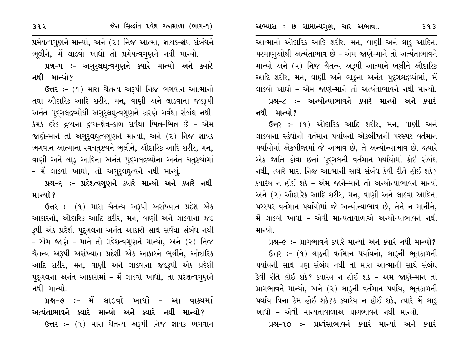આત્માનો ઔદારિક આદિ શરીર, મન, વાણી અને લાડુ આદિના પરમાણુઓથી અત્યંતાભાવ છે - એમ જાણે-માને તો અત્યંતાભાવને માન્યો અને (૨) નિજ ચૈતન્ય અરૂપી આત્માને ભૂલીને ઔદારિક આદિ શરીર, મન, વાણી અને લાડુના અનંત પુદગલદ્રવ્યોમાં, મેં લાડવો ખાધો - એમ જાણે-માને તો અત્યંતાભાવને નથી માન્યો. પ્રશ્ન-૮ :- અન્યોન્યાભાવને ક્યારે માન્યો અને ક્યારે નથી માન્યો?

ઉત્તર :- (૧) ઔદારિક આદિ શરીર, મન, વાણી અને લાડવાના સ્કંઘોની વર્તમાન પર્યાયનો એકબીજાની પરસ્પર વર્તમાન પર્યાયોમાં એકબીજામાં જે અભાવ છે, તે અન્યોન્યાભાવ છે. જ્યારે એક જાતિ હોવા છતાં પુદ્ગલની વર્તમાન પર્યાયોમાં કોઈ સંબંધ નથી, ત્યારે મારા નિજ આત્માની સાથે સંબંધ કેવી રીતે હોઈ શકે? ક્યારેય ન હોઈ શકે - એમ જાને-માને તો અન્યોન્યાભાવને માન્યો અને (૨) ઔદારિક આદિ શરીર, મન, વાણી અને લાડવા આદિના પરસ્પર વર્તમાન પર્યાયોમાં જે અન્યોન્યાભાવ છે, તેને ન માનીને, મેં લાડવો ખાદ્યો – એવી માન્યતાવાળાએ અન્યોન્યાભાવને નથી માન્યો

#### પ્રશ્ન–૯ :– પ્રાગભાવને ક્યારે માન્યો અને ક્યારે નથી માન્યો?

ઉત્તર :- (૧) લાડુની વર્તમાન પર્યાયનો, લાડુની ભૂતકાળની પર્યાયની સાથે પણ સંબંધ નથી તો મારા આત્માની સાથે સંબંધ કેવી રીતે હોઈ શકે? ક્યારેય ન હોઈ શકે - એમ જાણે-માને તો પ્રાગભાવને માન્યો, અને (૨) લાડુની વર્તમાન પર્યાય, ભૂતકાળની પર્યાય વિના કેમ હોઈ શકે?ક ક્યારેય ન હોઈ શકે, ત્યારે મેં લાડ્ ખાદ્યો – એવી માન્યતાવાળાએ પ્રાગભાવને નથી માન્યો.

પ્રશ્ન-૧૦ :- પ્રધ્વંસાભાવને ક્યારે માન્યો અને ક્યારે

392

પ્રમેયત્વગુણને માન્યો, અને (૨) નિજ આત્મા, જ્ઞાયક-જ્ઞેય સંબંધને ભૂલીને, મેં લાડવો ખાધો તો પ્રમેયત્વગુણને નથી માન્યો. પ્રશ્ન-૫ :- અગુરુલઘુત્વગુણને ક્યારે માન્યો અને ક્યારે

નથી માન્યો?

ઉત્તર :- (૧) મારા ચૈતન્ય અરૂપી નિજ ભગવાન આત્માનો તથા ઔદારિક આદિ શરીર, મન, વાણી અને લાડવાના જડરૂપી અનંત પુદ્ગલદ્રવ્યોથી અગુરૂલઘુત્વગુણને કારણે સર્વથા સંબંધ નથી. કેમકે દરેક દ્રવ્યના દ્રવ્ય-ક્ષેત્ર-કાળ સર્વથા ભિન્ન-ભિન્ન છે - એમ જાણે-માને તો અગુરૂલઘુત્વગુણને માન્યો, અને (૨) નિજ જ્ઞાયક ભગવાન આત્માના સ્વચત્રષ્ટયને ભૂલીને, ઔદારિક આદિ શરીર, મન, વાણી અને લાડુ આદિના અનંત પુદુગલદ્ગવ્યોના અનંત ચતુષ્ટયોમાં - મેં લાડવો ખાધો, તો અગુરુલઘુત્વને નથી માન્યું.

પ્રશ્ન-૬ :- પ્રદેશત્વગૃણને ક્યારે માન્યો અને ક્યારે નથી માન્યો ?

**ઉત્તર :-** (૧) મારા ચૈતન્ય અરૂપી અસંખ્યાત પ્રદેશ એક આકારનો, ઔદારિક આદિ શરીર, મન, વાણી અને લાડવાના જડ રૂપી એક પ્રદેશી પુદુગલના અનંત આકારો સાથે સર્વથા સંબંધ નથી - એમ જાણે - માને તો પ્રદેશત્વગૃણને માન્યો, અને (૨) નિજ ચૈતન્ય અરૂપી અસંખ્યાત પ્રદેશી એક આકારને ભૂલીને, ઔદારિક આદિ શરીર, મન, વાણી અને લાડવાના જડરૂપી એક પ્રદેશી પૂદ્ગલના અનંત આકારોમાં - મેં લાડવો ખાધો, તો પ્રદેશત્વગુણને નથી માન્યો.

પ્રશ્ન-૭ :- મેં લાડવો ખાઘો - આ વાક્યમાં અત્યંતાભાવને ક્યારે માન્યો અને ક્યારે નથી માન્યો? **ઉત્તર :-** (૧) મારા ચૈતન્ય અરૂપી નિજ જ્ઞાયક ભગવાન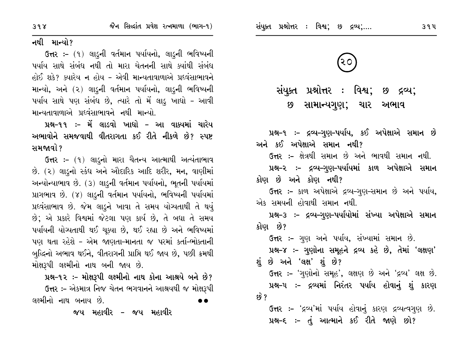નથી માન્યો?

ઉત્તર: – (૧) લાડૂની વર્તમાન પર્યાયનો, લાડૂની ભવિષ્યની પર્યાય સાથે સંબંધ નથી તો મારા ચેતનની સાથે ક્યાંથી સંબંધ હોઈ શકે? ક્યારેય ન હોય – એવી માન્યતાવાળાએ પ્રદવંસાભાવને માન્યો, અને (૨) લાડુની વર્તમાન પર્યાયનો, લાડુની ભવિષ્યની પર્યાય સાથે પણ સંબંધ છે, ત્યારે તો મેં લાડુ ખાધો - આવી માન્યતાવાળાએ પ્રદવંસાભાવને નથી માન્યો.

પ્રશ્ન-૧૧ :- મેં લાડવો ખાદ્યો – આ વાક્યમાં ચારેય અભાવોને સમજવાથી વીતરાગતા કઈ રીતે નીકળે છે? સ્પષ્ટ સમજાવો ?

ઉત્તર :- (૧) લાડુનો મારા ચૈતન્ય આત્માથી અત્યંતાભાવ છે. (૨) લાડૂનો સ્કંધ અને ઔદારિક આદિ શરીર, મન, વાણીમાં અન્યોન્યાભાવ છે. (3) લાડૂની વર્તમાન પર્યાયનો, ભૂતની પર્યાયમાં પ્રાગભાવ છે. (૪) લાડુની વર્તમાન પર્યાયનો, ભવિષ્યની પર્યાયમાં પ્રઘ્વંસાભાવ છે. જેમ લાડૂને ખાવા તે સમય યોગ્યતાથી તે થયું છે; એ પ્રકારે વિશ્વમાં જેટલા પણ કાર્ય છે, તે બધા તે સમય પર્યાયની યોગ્યતાથી થઈ ચુક્યા છે, થઈ રહ્યા છે અને ભવિષ્યમાં પણ થતા રહેશે - એમ જાણતા-માનતા જ પરમાં કર્તા-ભોકતાની બુદ્ધિનો અભાવ થઈને, વીતરાગની પ્રાપ્તિ થઈ જાય છે, પછી ક્રમથી મોક્ષરૂપી લક્ષ્મીનો નાથ બની જાય છે.

પ્રશ્ન-૧૨ :- મોક્ષરૂપી લક્ષ્મીનો નાથ કોના આશ્રયે બને છે? ઉત્તર :- એકમાત્ર નિજ ચેતન ભગવાનને આશ્રયથી જ મોક્ષરૂપી લક્ષ્મીનો નાથ બનાય છે.

જય મહાવીર – જય મહાવીર



સંયુક્ત પ્રશ્નોત્તર : વિશ્વ; છ દ્રવ્ય; સામાન્યગુણ; ચાર અભાવ  $\boldsymbol{8}$ 

પ્રશ્ન-૧ ઃ- દ્રવ્ય-ગુણ-પર્યાય, કઈ અપેક્ષાએ સમાન છે અને કઈ અપેક્ષાએ સમાન નથી? ઉત્તર :– ક્ષેત્રથી સમાન છે અને ભાવથી સમાન નથી. પ્રશ્ન-૨ ઃ– દ્રવ્ય–ગુણ–પર્યાયમાં કાળ અપેક્ષાએ સમાન કોણ છે અને કોણ નથી?

ઉત્તર :- કાળ અપેક્ષાએ દ્રવ્ય-ગણ-સમાન છે અને પર્યાય, એક સમયની હોવાથી સમાન નથી.

પ્રશ્ન-૩ :- દ્રવ્ય-ગુણ-પર્યાયોમાં સંખ્યા અપેક્ષાએ સમાન કોણ છે?

ઉત્તર :- ગુણ અને પર્યાય, સંખ્યામાં સમાન છે. પ્રશ્ન-૪ :- ગુણોના સમૂહને દ્રવ્ય કહે છે, તેમાં 'લક્ષણ' શું છે અને 'લક્ષ' શું છે?

ઉત્તર :- 'ગુણોનો સમૂહ', લક્ષણ છે અને 'દ્રવ્ય' લક્ષ છે. પ્રશ્ન-૫ ઃ- દ્રવ્યમાં નિરંતર પર્યાય હોવાનું શું કારણ  $59^{\circ}$ 

ઉત્તર :- 'દ્રવ્ય'માં પર્યાય હોવાનું કારણ દ્રવ્યત્વગુણ છે. પ્રશ્ન-૬ :- તું આત્માને કઈ રીતે જાણે છો?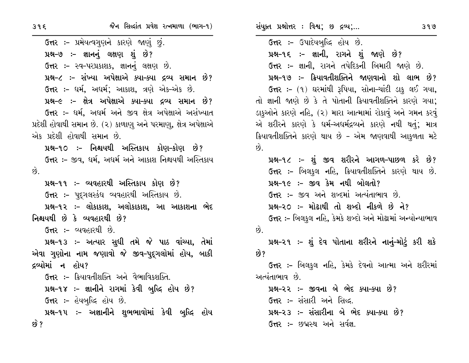**ઉત્તર :-** પ્રમેયત્વગુણને કારણે જાણું છું. પ્રશ્ન-૭ :- જ્ઞાનનું લક્ષણ શું છે? ઉત્તર :- સ્વ-પરપ્રકાશક, જ્ઞાનનું લક્ષણ છે. પ્રશ્ન-૮ :- સંખ્યા અપેક્ષાએ ક્યા-ક્યા દ્રવ્ય સમાન છે? ઉત્તર :- ધર્મ, અધર્મ; આકાશ, ત્રણે એક-એક છે. પ્રશ્ન-૯ :- ક્ષેત્ર અપેક્ષાએ ક્યા-ક્યા દ્રવ્ય સમાન છે? ઉત્તર :- ધર્મ, અધર્મ અને જીવ ક્ષેત્ર અપેક્ષાએ અસંખ્યાત પ્રદેશી હોવાથી સમાન છે. (૨) કાળાણુ અને પરમાણુ, ક્ષેત્ર અપેક્ષાએ એક પ્રદેશી હોવાથી સમાન છે. પ્રશ્ન-૧૦ :- નિશ્ચયથી અસ્તિકાય કોણ-કોણ છે? ઉત્તર :- જીવ, ધર્મ, અધર્મ અને આકાશ નિશ્ચયથી અસ્તિકાય  $\hat{g}$ . પ્રશ્ન-૧૧ ઃ- વ્યવહારથી અસ્તિકાય કોણ છે? ઉત્તર :- પદગલસ્કંધ વ્યવહારથી અસ્તિકાય છે. પ્રશ્ન-૧૨ :- લોકાકાશ, અલોકાકાશ, આ આકાશના ભેદ નિશ્ચયથી છે કે વ્યવહારથી છે? ઉત્તર :- વ્યવહારથી છે. પ્રશ્ન-૧૩ :- અત્યાર સુધી તમે જે પાઠ વાંચ્યા, તેમાં એવા ગુણોના નામ જણાવો જે જીવ-પુદ્દગલોમાં હોય, બાકી દ્રવ્યોમાં ન હોય? ઉ<del>ત્ત</del>ર :- ક્રિયાવતીશક્તિ અને વૈભાવિકશક્તિ. પ્રશ્ન-૧૪ :- જ્ઞાનીને રાગમાં કેવી બુદ્ધિ હોય છે? **ઉત્તર :-** હેયબુદ્ધિ હોય છે. પ્રશ્ન-૧૫ ઃ- અજ્ઞાનીને શુભભાવોમાં કેવી બુદ્ધિ હોય છે ?

સંયુક્ત પ્રશ્નોત્તર : વિશ્વ; છ દ્રવ્ય;...

ઉત્તર :- ઉપાદેયબુદ્ધિ હોય છે. પ્રશ્ન-૧૬ :- જ્ઞાની, રાગને શું જાણે છે? ઉત્તર :- જ્ઞાની, રાગને તપેદિકની બિમારી જાણે છે. પ્રશ્ન-૧૭ :- ક્રિયાવતીશક્તિને જાણવાનો શો લાભ છે? ઉત્તર :- (૧) ઘરમાંથી રૂપિયા, સોના-ચાંદી ડાકુ લઈ ગયા, તો જ્ઞાની જાણે છે કે તે પોતાની ક્રિયાવતીશક્તિને કારણે ગયા; ડાકુઓને કારણે નહિ, (૨) મારા આત્મામાં રોકાવું અને ગમન કરવું એ શરીરને કારણે કે ઘર્મ-અઘર્મદ્રવ્યને કારણે નથી થતું; માત્ર ક્રિયાવતીશક્તિને કારણે થાય છે - એમ જાણવાથી આકળતા મટે  $\hat{g}$ . પ્રશ્ન-૧૮ :- શું જીવ શરીરને આગળ-પાછળ કરે છે? ઉત્તર :- બિલકુલ નહિ, ક્રિયાવતીશક્તિને કારણે થાય છે. પ્રશ્ન-૧૯ :- જીવ કેમ નથી બોલતો? ઉત્તર :- જીવ અને શબ્દમાં અત્યંતાભાવ છે. પ્રશ્ન-૨૦ :- મોઢાથી તો શબ્દો નીકળે છે ને? ઉત્તર :- બિલકુલ નહિ, કેમકે શબ્દો અને મોઢામાં અન્યોન્યાભાવ  $\overrightarrow{9}$ . <u>પ્રશ્ન-૨૧ ઃ- શું દેવ પોતાના શરીરને નાનું-મોટું કરી શકે</u> છે? **ઉત્તર :-** બિલકુલ નહિ, કેમકે દેવનો આત્મા અને શરીરમાં અત્યંતાભાવ છે. પ્રશ્ન-૨૨ :- જીવના બે ભેદ ક્યા-ક્યા છે? ઉત્તર :- સંસારી અને સિદ્ધ. પ્રશ્ન-૨૩ :- સંસારીના બે ભેદ ક્યા-ક્યા છે?

ઉત્તર :- છ**વ્રસ્થ અને સર્વજ્ઞ.**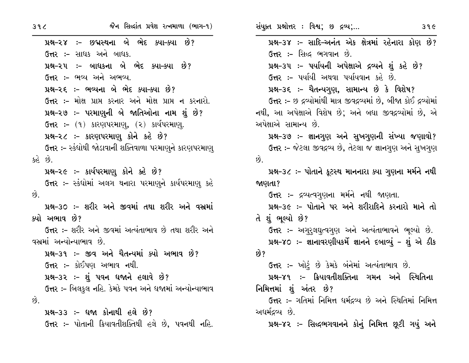$39<sup>2</sup>$ 

પ્રશ્ન-૨૪ :- છદ્મસ્થના બે ભેદ ક્યા-ક્યા છે? ઉત્તર :- સાધક અને બાધક. પ્રશ્ન-૨૫ :- બાધકના બે ભેદ ક્યા-ક્યા છે? ઉત્તર :- ભવ્ય અને અભવ્ય. પ્રશ્ન-૨૬ :- ભવ્યના બે ભેદ ક્યા-ક્યા છે? ઉત્તર :- મોક્ષ પ્રાપ્ત કરનાર અને મોક્ષ પ્રાપ્ત ન કરનારો. પ્રશ્ન-૨૭ :- પરમાણુની બે જાતિઓના નામ શું છે? ઉત્તર: – (૧) કારણપરમાણ, (૨) કાર્યપરમાણ. પ્રશ્ન-૨૮ :- કારણપરમાણુ કોને કહે છે? ઉત્તર :- સ્કંધોથી જોડાવાની શક્તિવાળા પરમાણુને કારણપરમાણ્ કહે છે. પ્રશ્ન-૨૯ :- કાર્યપરમાણૂ કોને કહે છે? ઉત્તર :- સ્કંઘોમાં અલગ થનારા પરમાણુને કાર્યપરમાણુ કહે  $\hat{g}$ પ્રશ્ન–૩૦ ઃ– શરીર અને જીવમાં તથા શરીર અને વસ્રમાં ક્યો અભાવ છે? ઉત્તર :- શરીર અને જીવમાં અત્યંતાભાવ છે તથા શરીર અને વસ્રમાં અન્યોન્યાભાવ છે. પ્રશ્ન-૩૧ :- જીવ અને ચૈતન્યમાં ક્યો અભાવ છે? ઉત્તર :- કોઈપણ અભાવ નથી. પ્રશ્ન-૩૨ :- શું પવન ધજાને હલાવે છે? ઉત્તર ઃ- બિલકુલ નહિ. કેમકે પવન અને ધજામાં અન્યોન્યાભાવ  $\hat{\omega}$ . પ્રશ્ન-33 :- ધજા કોનાથી હલે છે? **ઉત્તર :-** પોતાની ક્રિયાવતીશક્તિથી હલે છે. પવનથી નહિ. સંયુક્ત પ્રશ્નોત્તર : વિશ્વ; છ દ્રવ્ય;... પ્રશ્ન-3૪ :- સાદિ-અનંત એક ક્ષેત્રમાં રહેનારા કોણ છે? **ઉત્તર :- સિદ્ધ ભગવાન છે.** પ્રશ્ન-૩૫ :- પર્યાયની અપેક્ષાએ દ્રવ્યને શું કહે છે? ઉત્તર :- પર્યાયી અથવા પર્યાયવાન કહે છે. પ્રશ્ન-૩૬ ઃ- ચૈતન્યગુણ, સામાન્ય છે કે વિશેષ? ઉત્તર :- છ દ્રવ્યોમાંથી માત્ર જીવદ્રવ્યમાં છે, બીજા કોઈ દ્રવ્યોમાં નથી, આ અપેક્ષાએ વિશેષ છે; અને બધા જીવદ્રવ્યોમાં છે, એ અપેક્ષાએ સામાન્ય છે. પ્રશ્ન-૩૭ :- જ્ઞાનગુણ અને સુખગુણની સંખ્યા જણાવો? ઉત્તર :- જેટલા જીવદ્રવ્ય છે, તેટલા જ જ્ઞાનગુણ અને સુખગુણ  $\vartheta$ . પ્રશ્ન-૩૮ :- પોતાને કૂટસ્થ માનનારા ક્યા ગુણના મર્મને નથી જાણતા? ઉત્તર :- દ્રવ્યત્વગુણના મર્મને નથી જાણતા. પ્રશ્ન-૩૯ :- પોતાને પર અને શરીરાદિને કરનારો માને તો તે શું ભુલ્યો છે? ઉત્તર :- અગુરૂલઘુત્વગુણ અને અત્યંતાભાવને ભૂલ્યો છે. પ્રશ્ન-૪૦ :- જ્ઞાનાવરણીયકર્મે જ્ઞાનને દબાવ્યું - શું એ ઠીક છે? ઉત્તર :- ખોટું છે કેમકે બંનેમાં અત્યંતાભાવ છે. પ્રશ્ન–૪૧ :– ક્રિયાવતીશક્તિના ગમન અને સ્થિતિના નિમિત્તમાં શું અંતર છે? ઉત્તર :- ગતિમાં નિમિત્ત ધર્મદ્રવ્ય છે અને સ્થિતિમાં નિમિત્ત અધર્મદ્રવ્ય છે. પ્રશ્ન-૪૨ :- સિદ્ધભગવાનને કોનું નિમિત્ત છૂટી ગયું અને

 $39C$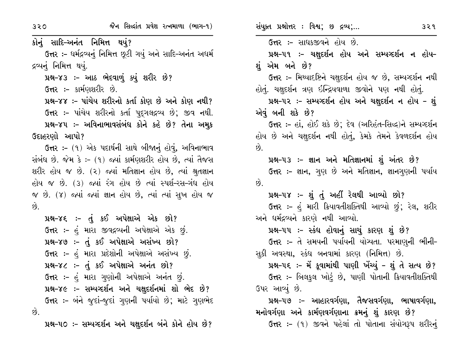320

કોનું સાદિ-અનંત નિમિત્ત થયું? ઉત્તર :- ધર્મદ્રવ્યનું નિમિત્ત છુટી ગયું અને સાદિ-અનંત અધર્મ દ્રવ્યનું નિમિત્ત થયું. પ્રશ્ન-૪૩ :- આઠ ભેદવાળું ક્યું શરીર છે?

ઉત્તર :- કાર્મણશરીર છે.

પ્રશ્ન-૪૪ :- પાંચેય શરીરનો કર્તા કોણ છે અને કોણ નથી? ઉત્તર :- પાંચેય શરીરનો કર્તા પૂદ્ગલદ્રવ્ય છે; જીવ નથી. પ્રશ્ન-૪૫ :- અવિનાભાવસંબંધ કોને કહે છે? તેના અમૂક ઉદાહરણો આપો?

ઉત્તર :- (૧) એક પદાર્થની સાથે બીજાનું હોવું, અવિનાભાવ સંબંધ છે. જેમ કે :- (૧) જ્યાં કાર્મણશરીર હોય છે, ત્યાં તૈજસ શરીર હોય જ છે. (૨) જ્યાં મતિજ્ઞાન હોય છે, ત્યાં શ્રુતજ્ઞાન હોય જ છે. (3) જ્યાં રંગ હોય છે ત્યાં સ્પર્શ-રસ-ગંધ હોય જ છે. (૪) જ્યાં જ્યાં જ્ઞાન હોય છે, ત્યાં ત્યાં સુખ હોય જ છે.

પ્રશ્ન-૪૬ :- તું કઈ અપેક્ષાએ એક છો? ઉત્તર :- હું મારા જીવદ્રવ્યની અપેક્ષાએ એક છું. **122-89 :- તું કઈ અપેક્ષાએ અસંખ્ય છો?** ઉત્તર :- હું મારા પ્રદેશોની અપેક્ષાએ અસંખ્ય છું. પ્રશ્ન-૪૮ :- તું કઈ અપેક્ષાએ અનંત છો? ઉત્તર :- હં મારા ગુણોની અપેક્ષાએ અનંત છું. પ્રશ્ન-૪૯ :- સમ્યગ્દર્શન અને ચક્ષદર્શનમાં શો ભેદ છે? ઉત્તર :- બંને જુદાં-જુદાં ગુણની પર્યાયો છે; માટે ગુણભેદ છે.

પ્રશ્ન-૫૦ :- સમ્યગ્દર્શન અને ચક્ષદર્શન બંને કોને હોય છે?

સંયુક્ત પ્રશ્નોત્તર: વિશ્વ; છ દ્રવ્ય;...

ઉત્તર :- સાધકજીવને હોય છે. પ્રશ્ન-૫૧ :- ચક્ષુદર્શન હોય અને સમ્યગ્દર્શન ન હોય-શં એમ બને છે? ઉત્તર :- મિથ્યાદષ્ટિને ચક્ષુદર્શન હોય જ છે, સમ્યગ્દર્શન નથી હોતું. ચક્ષદર્શન ત્રણ ઇન્દ્રિયવાળા જીવોને પણ નથી હોતું. પ્રશ્ન-૫૨ :- સમ્યગ્દર્શન હોય અને ચક્ષદર્શન ન હોય - શું એવું બની શકે છે? ઉત્તર :- હાં, હોઈ શકે છે; દેવ (અરિહંત-સિદ્ધ)ને સમ્યવ્દર્શન હોય છે અને ચક્ષદર્શન નથી હોતું, કેમકે તેમને કેવળદર્શન હોય  $\hat{g}$ . પ્રશ્ન-૫૩ ઃ- જ્ઞાન અને મતિજ્ઞાનમાં શું અંતર છે? ઉત્તર :- જ્ઞાન, ગુણ છે અને મતિજ્ઞાન, જ્ઞાનગુણની પર્યાય  $\hat{p}$ પ્રશ્ન-૫૪ :- શું તું અહીં રેલથી આવ્યો છો? ઉત્તર :- હું મારી ક્રિયાવતીશક્તિથી આવ્યો છું; રેલ, શરીર અને ધર્મદ્રવ્યને કારણે નથી આવ્યો. પ્રશ્ન-૫૫ :- સ્કંધ હોવાનું સાચું કારણ શું છે? ઉત્તર :- તે સમયની પર્યાયની યોગ્યતા. પરમાણુની ભીની-સૂકી અવસ્થા, સ્કંધ બનવામાં કારણ (નિમિત્ત) છે. પ્રશ્ન-૫૬ ઃ- મેં કુવામાંથી પાણી ખેંચ્યું - શું તે સત્ય છે? **ઉત્તર :-** બિલકુલ ખોટું છે, પાણી પોતાની ક્રિયાવતીશક્તિથી ઉપર આવ્યું છે. પ્રશ્ન–૫૭ ઃ– આહારવર્ગણા, તૈજસવર્ગણા, ભાષાવર્ગણા, મનોવર્ગણા અને કાર્મણવર્ગણાના ક્રમનું શું કારણ છે?

ઉત્તર :- (૧) જીવને પહેલાં તો પોતાના સંયોગરૂપ શરીરનું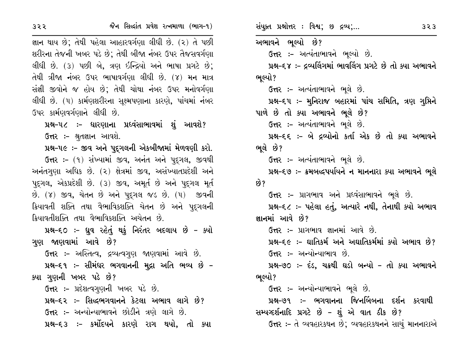જ્ઞાન થાય છે; તેથી પહેલા આહારવર્ગણા લીધી છે. (૨) તે પછી શરીરના તેજની ખબર પડે છે; તેથી બીજા નંબર ઉપર તૈજસવર્ગણા લીધી છે. (૩) પછી બે, ત્રણ ઇન્દ્રિયો અને ભાષા પ્રગટે છે; તેથી ત્રીજા નંબર ઉપર ભાષાવર્ગણા લીધી છે. (૪) મન માત્ર સંજ્ઞી જીવોને જ હોય છે; તેથી ચોથા નંબર ઉપર મનોવર્ગણા લીધી છે. (૫) કાર્મણશરીરના સુક્ષ્મપણાના કારણે, પાંચમાં નંબર ઉપર કાર્મણવર્ગણાને લીધી છે.

પ્રશ્ન–૫૮ ઃ– ધારણાના પ્રધ્વંસાભાવમાં શું આવશે? ઉત્તર :- શ્રુતજ્ઞાન આવશે.

પ્રશ્ન-૫૯ :- જીવ અને પુદ્ગલની એકબીજામાં મેળવણી કરો.

ઉત્તર :- (૧) સંખ્યામાં જીવ, અનંત અને પુદ્ગલ, જીવથી અનંતગણા અધિક છે. (૨) ક્ષેત્રમાં જીવ, અસંખ્યાતપ્રદેશી અને પદુગલ, એકપ્રદેશી છે. (૩) જીવ, અમૂર્ત છે અને પદુગલ મૂર્ત છે. (૪) જીવ, ચેતન છે અને પદુગલ જડ છે. (૫) જીવની ક્રિયાવતી શક્તિ તથા વૈભાવિકશક્તિ ચેતન છે અને પુદ્ગલની ક્રિયાવતીશક્તિ તથા વૈભાવિકશક્તિ અચેતન છે.

પ્રશ્ન-૬૦ :- ધ્રુવ રહેતું થકું નિરંતર બદલાય છે - ક્યો ગણ જાણવામાં આવે છે? ઉત્તર :- અસ્તિત્વ, દ્રવ્યત્વગુણ જાણવામાં આવે છે. પ્રશ્ન–૬૧ ઃ– સીમંઘર ભગવાનની મુદ્રા અતિ ભવ્ય છે – ક્યા ગુણની ખબર પડે છે?

ઉત્તર :- પ્રદેશત્વગુણની ખબર પડે છે.

પ્રશ્ન-૬૨ :- સિદ્ધભગવાનને કેટલા અભાવ લાગે છે? ઉત્તર :- અન્યોન્યાભાવને છોડીને ત્રણે લાગે છે.

પ્રશ્ન-૬૩ :- કર્મોદયને કારણે રાગ થયો, તો ક્યા

સંયુક્ત પ્રશ્નોત્તર : વિશ્વ; છ દ્રવ્ય;...

અભાવને ભૂલ્યો છે? ઉત્તર :- અત્યંતાભાવને ભુલ્યો છે. પ્રશ્ન-૬૪ :- દ્રવ્યલિંગમાં ભાવલિંગ પ્રગટે છે તો ક્યા અભાવને ભૂલ્યો? ઉત્તર :- અત્યંતાભાવને ભુલે છે. પ્રશ્ન–૬૫ :- મુનિરાજ બહારમાં પાંચ સમિતિ, ત્રણ ગુપ્તિને પાળે છે તો ક્યા અભાવને ભૂલે છે? ઉત્તર :- અત્યંતાભાવને ભૂલે છે. પ્રશ્ન-૬૬ :- બે દ્રવ્યોનો કર્તા એક છે તો ક્યા અભાવને ભૂલે છે? ઉત્તર :- અત્યંતાભાવને ભૂલે છે. પ્રશ્ન–૬૭ :- ક્રમબદ્ધપર્યાયને ન માનનારા ક્યા અભાવને ભૂલે છે? **ઉત્તર :-** પ્રાગભાવ અને પ્રધ્વંસાભાવને ભૂલે છે. પ્રશ્ન-૬૮ :- પહેલા હતું, અત્યારે નથી, તેનાથી ક્યો અભાવ જ્ઞાનમાં આવે છે? ઉત્તર :- પ્રાગભાવ જ્ઞાનમાં આવે છે. પ્રશ્ન-૬૯ :- ઘાતિકર્મ અને અઘાતિકર્મમાં ક્યો અભાવ છે? ઉત્તર :- અન્યોન્યાભાવ છે. પ્રશ્ન-૭૦ :- દંડ, ચક્રથી ઘડો બન્યો - તો ક્યા અભાવને ભલ્યો? **ઉત્તર :-** અન્યોન્યાભાવને ભૂલે છે. પ્રશ્ન–૭૧ ઃ– ભગવાનના જિનબિંબના દર્શન કરવાથી સમ્પગ્દર્શનાદિ પ્રગટે છે - શું એ વાત ઠીક છે? ઉત્તર :- તે વ્યવહારકથન છે; વ્યવહારકથનને સાચું માનનારાએ

 $323$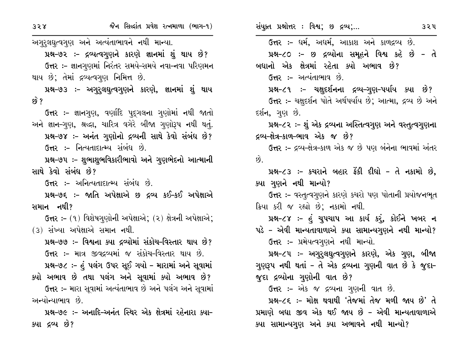| 358                 | જૈન સિલ્દાંત પ્રવેશ રત્નમાળા (ભાગ-૧)                              | સંયુક્ત પ્રશ્નોત્તર : વિશ્વ; છ દ્રવ્ય;                        | 324 |
|---------------------|-------------------------------------------------------------------|---------------------------------------------------------------|-----|
|                     | અગુરૂલઘુત્વગુણ અને અત્યંતાભાવને નથી માન્યા.                       | ઉત્તર :- ધર્મ, અધર્મ, આકાશ અને કાળદ્રવ્ય છે.                  |     |
|                     | પ્રશ્ન–૭૨ :– દ્રવ્યત્વગુણને કારણે જ્ઞાનમાં શું થાય છે?            | પ્રશ્ન-૮૦ :- છ દ્રવ્યોના સમૂહને વિશ્વ કહે છે - તે             |     |
|                     | ઉત્તર :- જ્ઞાનગુણમાં નિરંતર સમયે-સમયે નવા-નવા પરિણમન              | બધાનો એક ક્ષેત્રમાં રહેતા ક્યો અભાવ છે?                       |     |
|                     | થાય છે; તેમાં દ્રવ્યત્વગુણ નિમિત્ત છે.                            | <b>ઉત્તર :-</b> અત્યંતાભાવ છે.                                |     |
|                     | પ્રશ્ન–૭૩ :– અગુરુલઘુત્વગુણને કારણે, જ્ઞાનમાં શું થાય             | પ્રશ્ન−૮૧ ઃ- ચક્ષુદર્શનના દ્રવ્ય–ગુણ–પર્યાય ક્યા છે?          |     |
| $\mathcal{G}$ ?     |                                                                   | ઉત્તર :- ચક્ષુદર્શન પોતે અર્થપર્યાય છે; આત્મા, દ્રવ્ય છે અને  |     |
|                     | ઉત્તર :- જ્ઞાનગુણ, વર્ણાદિ પુદ્ગલના ગુણોમાં નથી જાતો              | દર્શન, ગુણ છે.                                                |     |
|                     | અને જ્ઞાન–ગુણ, શ્રદ્ધા, ચારિત્ર વગેરે બીજા ગુણોરૂપ નથી થતું.      | પ્રશ્ન-૮૨ ઃ- શું એક દ્રવ્યના અસ્તિત્વગુણ અને વસ્તુત્વગુણના    |     |
|                     | પ્રશ્ન–૭૪ :– અનંત ગુણોનો દ્રવ્યની સાથે કેવો સંબંધ છે?             | દ્રવ્ય–ક્ષેત્ર–કાળ–ભાવ એક જ છે?                               |     |
|                     | ઉત્તર :- નિત્યતાદાત્મ્ય સંબંધ છે.                                 | ઉત્તર :- દ્રવ્ય-ક્ષેત્ર-કાળ એક જ છે પણ બંનેના ભાવમાં અંતર     |     |
|                     | પ્રશ્ન–૭૫ ઃ– શુભાશુભવિકારીભાવો અને ગુણભેદનો આત્માની               | છે.                                                           |     |
| સાથે કેવો સંબંધ છે? |                                                                   | પ્રશ્ન-૮૩ :- કચરાને બહાર ફેંકી દીધો - તે નકામો છે,            |     |
|                     | <b>ઉત્તર :-</b> અનિત્યતાદાત્મ્ય સંબંધ છે.                         | ક્યા ગુણને નથી માન્યો?                                        |     |
|                     | પ્રશ્ન–૭૬ :– જાતિ અપેક્ષાએ છ દ્રવ્ય કઈ–કઈ અપેક્ષાએ                | <b>ઉત્તર ઃ-</b> વસ્તુત્વગુણને કારણે કચરો પણ પોતાની પ્રયોજનભૂત |     |
| સમાન નથી?           |                                                                   | ક્રિયા કરી જ રહ્યો છે; નકામો નથી.                             |     |
|                     | <b>ઉત્તર ઃ-</b> (૧) વિશેષગુણોની અપેક્ષાએ; (૨) ક્ષેત્રની અપેક્ષાએ; | પ્રશ્ન−૮૪ ઃ- હું ચુપચાપ આ કાર્ય કરું, કોઈને ખબર ન             |     |
|                     | (3) સંખ્યા અપેક્ષાએ સમાન નથી.                                     | પડે – એવી માન્યતાવાળાએ ક્યા સામાન્યગુણને નથી માન્યો?          |     |
|                     | પ્રશ્ન–૭૭ :– વિશ્વના ક્યા દ્રવ્યોમાં સંકોચ–વિસ્તાર થાય છે?        | ઉત્તર :- પ્રમેયત્વગુણને નથી માન્યો.                           |     |
|                     | ઉત્તર :- માત્ર જીવદ્રવ્યમાં જ સંકોચ-વિસ્તાર થાય છે.               | પ્રશ્ન-૮૫ ઃ- અગુરુલઘુત્વગુણને કારણે, એક ગુણ, બીજા             |     |
|                     | પ્રશ્ન–૭૮ :– હું પલંગ ઉપર સૂઈ ગયો – મારામાં અને સૂવામાં           | ગુણરૂપ નથી થતાં – તે એક દ્રવ્યના ગુણની વાત છે કે જુદા–        |     |
|                     | ક્યો અભાવ છે તથા પલંગ અને સૂવામાં ક્યો અભાવ છે?                   | જુદા દ્રવ્યોના ગુણોની વાત છે?                                 |     |
|                     | ઉત્તર :- મારા સૂવામાં અત્યંતાભાવ છે અને પલંગ અને સૂવામાં          | ઉત્તર :- એક જ દ્રવ્યના ગુણની વાત છે.                          |     |
| અન્યોન્યાભાવ છે.    |                                                                   | પ્રશ્ન-૮૬ ઃ- મોક્ષ થવાથી 'તેજમાં તેજ મળી જાય છે' તે           |     |
|                     | પ્રશ્ન–૭૯ :– અનાદિ–અનંત સ્થિર એક ક્ષેત્રમાં રહેનારા ક્યા–         | પ્રમાણે બધા જીવ એક થઈ જાય છે – એવી માન્યતાવાળાએ               |     |
| ક્યા દ્રવ્ય છે?     |                                                                   | ક્યા સામાન્યગુણ અને ક્યા અભાવને નથી માન્યો?                   |     |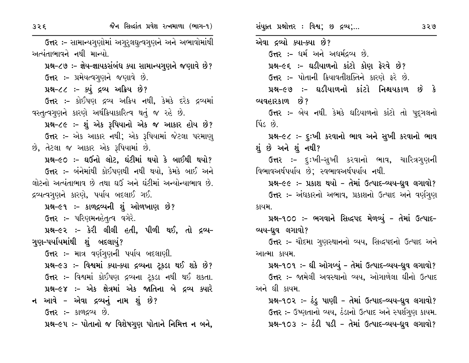જૈન સિલ્દાંત પ્રવેશ રત્નમાળા (ભાગ-૧)

ઉત્તર :- સામાન્યગુણોમાં અગુરુલઘુત્વગુણને અને અભાવોમાંથી અત્યંતાભાવને નથી માન્યો. પ્રશ્ન-૮૭ :- જ્ઞેય-જ્ઞાયકસંબંધ ક્યા સામાન્યગુણને જણાવે છે? ઉત્તર:- પ્રમેયત્વગુણને જણાવે છે. પ્રશ્ન-૮૮ :- ક્યું દ્રવ્ય અક્રિય છે? **ઉત્તર :-** કોઈપણ દ્રવ્ય અક્રિય નથી, કેમકે દરેક દ્રવ્યમાં વસ્તૃત્વગુણને કારણે અર્થક્રિયાકારિત્વ થતું જ રહે છે. પ્રશ્ન-૮૯ :- શું એક રૂપિયાનો એક જ આકાર હોય છે? ઉત્તર :- એક આકાર નથી; એક રૂપિયામાં જેટલા પરમાણ્ છે, તેટલા જ આકાર એક રૂપિયામાં છે. પ્રશ્ન-૯૦ :- ઘઉંનો લોટ, ઘંટીમાં થયો કે બાઈથી થયો? ઉત્તર :- બંનેમાંથી કોઈપણથી નથી થયો, કેમકે બાઈ અને લોટનો અત્યંતાભાવ છે તથા ઘઉં અને ઘંટીમાં અન્યોન્યાભાવ છે. દ્રવ્યત્વગુણને કારણે, પર્યાય બદલાઈ ગઈ. પ્રશ્ન-૯૧ :- કાળદ્રવ્યની શું ઓળખાણ છે? **ઉત્તર :-** પરિણમનહેતૃત્વ વગેરે. પ્રશ્ન-૯૨ :- કેરી લીલી હતી. પીળી થઈ. તો દ્રવ્ય-ગણ–પર્યાયમાંથી શું બદલાયું? ઉત્તર :- માત્ર વર્ણગુણની પર્યાય બદલાણી. પ્રશ્ન-૯૩ :- વિશ્વમાં ક્યા-ક્યા દ્રવ્યના ટ્કડા થઈ શકે છે? ઉત્તર :- વિશ્વમાં કોઈપણ દ્રવ્યના ટ્રકડા નથી થઈ શકતા. પ્રશ્ન-૯૪ :- એક ક્ષેત્રમાં એક જાતિના બે દ્રવ્ય ક્યારે ન આવે – એવા દ્રવ્યનું નામ શું છે? **ઉત્તર :-** કાળદ્રવ્ય છે. પ્રશ્ન-૯૫ :- પોતાનો જ વિશેષગુણ પોતાને નિમિત્ત ન બને, સંયુક્ત પ્રશ્નોત્તર : વિશ્વ; છ દ્રવ્ય;... એવા દ્રવ્યો ક્યા-ક્યા છે? ઉત્તર :- ધર્મ અને અધર્મદ્રવ્ય છે. પ્રશ્ન-૯૬ :- ઘડીયાળનો કાંટો કોણ ફેરવે છે? ઉત્તર :- પોતાની ક્રિયાવતીશક્તિને કારણે ફરે છે. પ્રશ્ન-૯૭ :- ઘડીયાળનો કાંટો નિશ્ચયકાળ છે કે વ્યવહારકાળ છે? ઉત્તર :- બેય નથી. કેમકે ઘડિયાળનો કાંટો તો પદુગલનો <u>us</u> 8. પ્રશ્ન-૯૮ :- દુ:ખી કરવાનો ભાવ અને સુખી કરવાનો ભાવ શું છે અને શું નથી? **ઉત્તર :-** દુ:ખી-સુખી કરવાનો ભાવ, ચારિત્રગુણની વિભાવઅર્થપર્યાય છે; સ્વભાવઅર્થપર્યાય નથી. પ્રશ્ન-૯૯ :- પ્રકાશ થયો - તેમાં ઉત્પાદ-વ્યય-ધ્રુવ લગાવો? ઉત્તર :- અંધકારનો અભાવ, પ્રકાશનો ઉત્પાદ અને વર્ણગણ કાયમ. 42-900: - ભગવાને સિદ્ધપદ મેળવ્યું - તેમાં ઉત્પાદ-વ્યય-ધ્રુવ લગાવો? ઉત્તર :- ચૌદમા ગુણસ્થાનનો વ્યય, સિદ્ધપદનો ઉત્પાદ અને આત્મા કાયમ. પ્રશ્ન-૧૦૧ :- ઘી ઓગળ્યું - તેમાં ઉત્પાદ-વ્યય-ધ્રુવ લગાવો? ઉત્તર :– જામેલી અવસ્થાનો વ્યય, ઓગાળેલા ઘીનો ઉત્પાદ અને ઘી કાયમ. પ્રશ્ન-૧૦૨ :- ઠંડુ પાણી - તેમાં ઉત્પાદ-વ્યય-દ્યુવ લગાવો? ઉત્તર :- ઉષ્ણતાનો વ્યય, ઠંડાનો ઉત્પાદ અને સ્પર્શગુણ કાયમ. 42-903: - ઠંડી પડી - તેમાં ઉત્પાદ-વ્યય-ધ્રુવ લગાવો?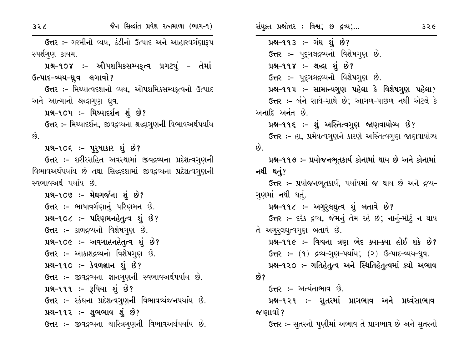ઉત્તર :- ગરમીનો વ્યય, ઠંડીનો ઉત્પાદ અને આહારવર્ગણારૂપ સ્પર્શગણ કાયમ.

પ્રશ્ન-૧૦૪ ઃ- ઔપશમિકસમ્યકૃત્વ પ્રગટ્યું - તેમાં ઉત્પાદ-વ્યય-ધ્રુવ લગાવો?

ઉત્તર :- મિથ્યાત્વદશાનો વ્યય, ઔપશમિકસમ્યકત્વનો ઉત્પાદ અને આત્માનો શ્રદ્ધાગુણ ધ્રુવ.

પ્રશ્ન-૧૦૫ :- મિથ્યાદર્શન શું છે?

ઉત્તર :- મિથ્યાદર્શન, જીવદ્રવ્યના શ્રદ્ધાગણની વિભાવઅર્થપર્યાય  $\hat{g}$ .

પ્રશ્ન–૧૦૬ ઃ– પુરુષાકાર શું છે?

ઉત્તર :- શરીરસહિત અવસ્થામાં જીવદ્રવ્યના પ્રદેશત્વગુણની વિભાવઅર્થપર્યાય છે તથા સિદ્ધદશામાં જીવદ્રવ્યના પ્રદેશત્વગુણની સ્વભાવઅર્થ પર્યાય છે.

પ્રશ્ન-૧૦૭ :- મેઘગર્જના શું છે? ઉત્તર :- ભાષાવર્ગણાનું પરિણમન છે. પ્રશ્ન-૧૦૮ :- પરિણમનહેતૃત્વ શું છે? ઉત્તર :- કાળદ્રવ્યનો વિશેષગુણ છે. પ્રશ્ન-૧૦૯ :- અવગાહનહેતૃત્વ શું છે? ઉત્તર :- આકાશદ્રવ્યનો વિશેષગણ છે. પ્રશ્ન-૧૧૦ :- કેવળજ્ઞાન શું છે? ઉત્તર :- જીવદ્રવ્યના જ્ઞાનગુણની સ્વભાવઅર્થપર્યાય છે. પ્રશ્ન-૧૧૧ :- રૂપિયા શું છે? ઉત્તર :- સ્કંધના પ્રદેશત્વગુણની વિભાવવ્યંજનપર્યાય છે. પ્રશ્ન-૧૧૨ :- શુભભાવ શું છે? ઉત્તર :- જીવદ્રવ્યના ચારિત્રગણની વિભાવઅર્થપર્યાય છે.

પ્રશ્ન-૧૧૩ :- ગંધ શું છે? ઉત્તર :- પદ્ગલદ્રવ્યનો વિશેષગુણ છે. પ્રશ્ન-૧૧૪ :- શ્રઘ્દા શું છે? ઉત્તર:- પુદગલદ્રવ્યનો વિશેષગુણ છે. પ્રશ્ન-૧૧૫ ઃ- સામાન્યગુણ પહેલા કે વિશેષગુણ પહેલા? ઉત્તર :- બંને સાથે-સાથે છે; આગળ-પાછળ નથી એટલે કે અનાદિ અનંત છે. પ્રશ્ન-૧૧૬ :- શું અસ્તિત્વગુણ જાણવાયોચ્ય છે? ઉત્તર :- હા, પ્રમેયત્વગુણને કારણે અસ્તિત્વગુણ જાણવાયોચ્ય  $\hat{\omega}$ પ્રશ્ન-૧૧૭ :- પ્રયોજનભુતકાર્ય કોનામાં થાય છે અને કોનામાં નથી થતં? ઉત્તર:- પ્રયોજનભૂતકાર્ય, પર્યાયમાં જ થાય છે અને દ્રવ્ય-ગણમાં નથી થતું. પ્રશ્ન-૧૧૮ :- અગુરૂલઘૂત્વ શું બતાવે છે? ઉત્તર :- દરેક દ્રવ્ય, જેમનું તેમ રહે છે; નાનું-મોટું ન થાય તે અગુરૂલઘુત્વગુણ બતાવે છે. પ્રશ્ન-૧૧૯ :- વિશ્વના ત્રણ ભેદ ક્યા-ક્યા હોઈ શકે છે? ઉત્તર: - (૧) દ્રવ્ય-ગુણ-પર્યાય; (૨) ઉત્પાદ-વ્યય-ધ્રુવ. પ્રશ્ન-૧૨૦ :- ગતિહેતૃત્વ અને સ્થિતિહેતૃત્વમાં ક્યો અભાવ છે? ઉત્તર :- અત્યંતાભાવ છે. પ્રશ્ન-૧૨૧ ઃ- સુતરમાં પ્રાગભાવ અને પ્રધ્વંસાભાવ જ ણાવો ? ઉત્તર :- સૂતરનો પૂણીમાં અભાવ તે પ્રાગભાવ છે અને સૂતરનો

 $32c$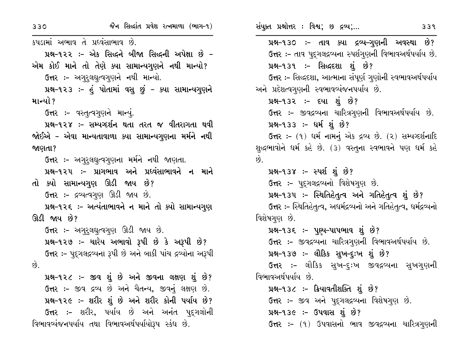કપડામાં અભાવ તે પ્રદવંસાભાવ છે. પ્રશ્ન-૧૨૨ :- એક સિદ્ધને બીજા સિદ્ધની અપેક્ષા છે -એમ કોઈ માને તો તેણે ક્યા સામાન્યગુણને નથી માન્યો? ઉત્તર :- અગુરૂલઘુત્વગુણને નથી માન્યો. પ્રશ્ન-૧૨૩ :- હં પોતામાં વસૂ છું - ક્યા સામાન્યગુણને માન્યો ? ઉત્તર :- વસ્તુત્વગુણને માન્યું. પ્રશ્ન-૧૨૪ :- સમ્યગ્દર્શન થતા તરત જ વીતરાગતા થવી જોઈએ – એવા માન્યતાવાળા ક્યા સામાન્યગુણના મર્મને નથી જાણતા? **ઉત્તર :-** અગુરૂલઘુત્વગુણના મર્મને નથી જાણતા. પ્રશ્ન-૧૨૫ :- પ્રાગભાવ અને પ્રધ્વંસાભાવને ન માને તો ક્યો સામાન્યગુણ ઊડી જાય છે? ઉત્તર :- દ્રવ્યત્વગુણ ઊડી જાય છે. પ્રશ્ન-૧૨૬ :- અત્યંતાભાવને ન માને તો ક્યો સામાન્યગુણ ઊડી જાય છે? ઉત્તર :- અગુરૂલઘુત્વગુણ ઊડી જાય છે. પ્રશ્ન-૧૨૭ :- ચારેય અભાવો રૂપી છે કે અરૂપી છે? ઉત્તર :- પુદગલદ્રવ્યના રૂપી છે અને બાકી પાંચ દ્રવ્યોના અરૂપી  $\hat{g}$ . પ્રશ્ન-૧૨૮ :- જીવ શું છે અને જીવના લક્ષણ શું છે? ઉત્તર :- જીવ દ્રવ્ય છે અને ચૈતન્ય, જીવનું લક્ષણ છે. પ્રશ્ન-૧૨૯ :- શરીર શું છે અને શરીર કોની પર્યાય છે? ઉત્તર :- શરીર, પર્યાય છે અને અનંત પદુગલોની વિભાવવ્યંજનપર્યાય તથા વિભાવઅર્થપર્યાયોરૂપ સ્કંધ છે.

સંયુક્ત પ્રશ્નોત્તર : વિશ્વ; છ દ્રવ્ય;...  $339$ પ્રશ્ન-૧૩૦ :- તાવ ક્યા દ્રવ્ય-ગુણની અવસ્થા છે? ઉત્તર :- તાવ પુદ્ગલદ્રવ્યના સ્પર્શગુણની વિભાવઅર્થપર્યાય છે. પ્રશ્ન-૧૩૧ :- સિદ્ધદશા શું છે? ઉત્તર :- સિદ્ધદશા, આત્માના સંપૂર્ણ ગુણોની સ્વભાવઅર્થપર્યાય અને પ્રદેશત્વગુણની સ્વભાવવ્યંજનપર્યાય છે. પ્રશ્ન-૧૩૨ :- દયા શું છે? ઉત્તર :- જીવદ્રવ્યના ચારિત્રગુણની વિભાવઅર્થપર્યાય છે. પ્રશ્ન-૧૩૩ :- ધર્મ શું છે? ઉત્તર: - (૧) ધર્મ નામનું એક દ્રવ્ય છે. (૨) સમ્યગ્દર્શનાદિ શુદ્ધભાવોને ધર્મ કહે છે. (3) વસ્તુના સ્વભાવને પણ ધર્મ કહે પ્રશ્ન-૧૩૪ :- સ્પર્શ શું છે? ઉત્તર :- પૃદૃગલદ્ગવ્યનો વિશેષગુણ છે. પ્રશ્ન-૧૩૫ :- સ્થિતિહેતુત્વ અને ગતિહેતુત્વ શું છે? ઉત્તર :- સ્થિતિહેતૃત્વ, અદ્યર્મદ્રવ્યનો અને ગતિહેતૃત્વ, ધર્મદ્રવ્યનો વિશેષગુણ છે. પ્રશ્ન-૧૩૬ :- પૂણ્ય-પાપભાવ શું છે? ઉત્તર :- જીવદ્રવ્યના ચારિત્રગુણની વિભાવઅર્થપર્યાય છે. પ્રશ્ન-૧૩૭ :- લૌકિક સુખ-દુઃખ શું છે? ઉત્તર :- લૌકિક સુખ-દુઃખ જીવદ્રવ્યના સુખગ્ણની વિભાવઅર્થપર્યાય છે. પ્રશ્ન-૧૩૮ :- ક્રિયાવતીશક્તિ શું છે? ઉત્તર :- જીવ અને પદ્ગલદ્રવ્યના વિશેષગુણ છે. પ્રશ્ન-૧૩૯ :- ઉપવાસ શું છે?

છે.

ઉત્તર :- (૧) ઉપવાસનો ભાવ જીવદ્રવ્યના ચારિત્રગુણની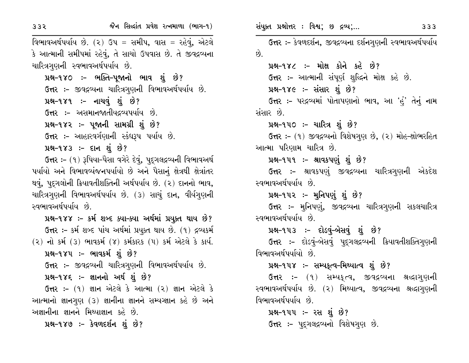વિભાવઅર્થપર્યાય છે. (૨) ઉપ = સમીપ, વાસ = રહેવું, એટલે કે આત્માની સમીપમાં રહેવું, તે સાચો ઉપવાસ છે. તે જીવદ્રવ્યના ચારિત્રગુણની સ્વભાવઅર્થપર્યાય છે.

પ્રશ્ન-૧૪૦ :- ભક્તિ-પૂજાનો ભાવ શું છે? ઉત્તર :- જીવદ્રવ્યના ચારિત્રગણની વિભાવઅર્થપર્યાય છે. પ્રશ્ન-૧૪૧ :- નાચવું શું છે? ઉત્તર :- અસમાનજાતીયદ્રવ્યપર્યાય છે. પ્રશ્ન-૧૪૨ :- પૂજાની સામગ્રી શું છે? ઉત્તર :- આહારવર્ગણાની સ્કંધરૂપ પર્યાય છે.

 $14 - 983$  :- દાન શું છે?

ઉત્તર :- (૧) રૂપિયા-પૈસા વગેરે દેવું, પુદ્ગલદ્રવ્યની વિભાવઅર્થ પર્યાયો અને વિભાવવ્યંજનપર્યાયો છે અને પૈસાનું ક્ષેત્રથી ક્ષેત્રાંતર થવું, પદુગલોની ક્રિયાવતીશક્તિની અર્થપર્યાય છે. (૨) દાનનો ભાવ, ચારિત્રગણની વિભાવઅર્થપર્યાય છે. (૩) સાચું દાન, વીર્યગણની સ્વભાવઅર્થપર્યાય છે.

પ્રશ્ન-૧૪૪ :- કર્મ શબ્દ ક્યા-ક્યા અર્થમાં પ્રયુક્ત થાય છે? ઉત્તર :- કર્મ શબ્દ પાંચ અર્થમાં પ્રયુક્ત થાય છે. (૧) દ્રવ્યકર્મ (૨) નો કર્મ (3) ભાવકર્મ (૪) કર્મકારક (૫) કર્મ એટલે કે કાર્ય.

પ્રશ્ન-૧૪૫ :- ભાવકર્મ શું છે?

ઉત્તર :- જીવદ્રવ્યની ચારિત્રગુણની વિભાવઅર્થપર્યાય છે.

પ્રશ્ન-૧૪૬ :- જ્ઞાનનો અર્થ શું છે?

ઉત્તર:- (૧) જ્ઞાન એટલે કે આત્મા (૨) જ્ઞાન એટલે કે આત્માનો જ્ઞાનગણ (3) જ્ઞાનીના જ્ઞાનને સમ્યગ્જ્ઞાન કહે છે અને અજ્ઞાનીના જ્ઞાનને મિથ્યાજ્ઞાન કહે છે.

પ્રશ્ન–૧૪૭ :– કેવળદર્શન શું છે?

સંયુક્ત પ્રશ્નોત્તર : વિશ્વ; છ દ્રવ્ય;...

333

ઉત્તર :- કેવળદર્શન, જીવદ્રવ્યના દર્શનગુણની સ્વભાવઅર્થપર્યાય  $\hat{g}$ .

પ્રશ્ન-૧૪૮ :- મોક્ષ કોને કહે છે? ઉત્તર :- આત્માની સંપૂર્ણ શુદ્ધિને મોક્ષ કહે છે.

પ્રશ્ન-૧૪૯: - સંસાર શું છે?

ઉત્તર :- પરદ્રવ્યમાં પોતાપણાનો ભાવ, આ 'હું' તેનું નામ સંસાર છે.

પ્રશ્ન-૧૫૦ ઃ- ચારિત્ર શું છે?

ઉત્તર :- (૧) જીવદ્રવ્યનો વિશેષગુણ છે, (૨) મોહ-ક્ષોભરહિત આત્મા પરિણામ ચારિત્ર છે.

#### પ્રશ્ન–૧૫૧ ઃ– શ્રાવકપણું શું છે?

**ઉત્તર ઃ-** શ્રાવકપણું જીવદ્રવ્યના ચારિત્રગુણની એકદેશ સ્વભાવઅર્થપર્યાય છે.

#### પ્રશ્ન–૧૫૨ ઃ– મુનિપણું શું છે?

ઉત્તર :- મુનિપણું, જીવદ્રવ્યના ચારિત્રગુણની સકલચારિત્ર સ્વભાવઅર્થપર્યાય છે.

#### પ્રશ્ન-૧૫૩ :- દોડવું-બેસવું શું છે?

ઉત્તર :- દોડવું-બેસવું પુદ્ગલદ્રવ્યની ક્રિયાવતીશક્તિગુણની વિભાવઅર્થપર્યાયો છે.

## પ્રશ્ન-૧૫૪ :- સમ્પકૃત્વ-મિથ્યાત્વ શું છે?

ઉત્તર :- (૧) સમ્યક્¢વ, જીવદ્રવ્યના શ્રદ્ધાગુણની સ્વભાવઅર્થપર્યાય છે. (૨) મિથ્યાત્વ, જીવદ્રવ્યના શ્રદ્ધાગુણની વિભાવઅર્થપર્યાય છે.

પ્રશ્ન–૧૫૫ઃ– રસ શું છે? ઉત્તર :- પદ્ગલદ્રવ્યનો વિશેષગણ છે.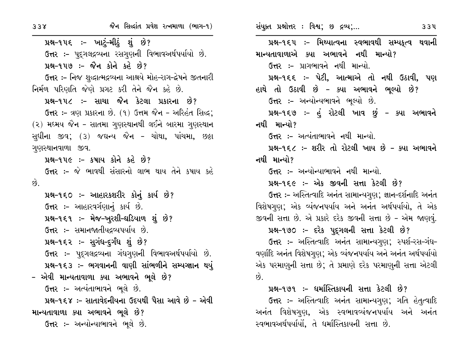પ્રશ્ન-૧૫૬ ઃ- ખાટું-મીઠું શું છે? ઉત્તર :- પૂદ્ગલદ્રવ્યના રસગુણની વિભાવઅર્થપર્યાયો છે. પ્રશ્ન-૧૫૭ :- જૈન કોને કહે છે? ઉત્તર :- નિજ શુદ્ધાત્મદ્રવ્યના આશ્રયે મોહ-રાગ-દ્વેષને જીતનારી નિર્મળ પરિણતિ જેણે પ્રગટ કરી તેને જૈન કહે છે. પ્રશ્ન-૧૫૮ :- સાચા જૈન કેટલા પ્રકારના છે? ઉત્તર :- ત્રણ પ્રકારના છે. (૧) ઉત્તમ જૈન - અરિહંત સિદ્ધ: (૨) મધ્મય જૈન - સાતમા ગુણસ્થાનથી લઈને બારમા ગુણસ્થાન સુધીના જીવ; (૩) જઘન્ય જૈન - ચોથા, પાંચમા, છઠ્ઠા ગુણસ્થાનવાળા જીવ. પ્રશ્ન-૧૫૯ :- કષાય કોને કહે છે? ઉત્તર :- જે ભાવથી સંસારનો લાભ થાય તેને કષાય કહે  $\hat{p}$ પ્રશ્ન-૧૬૦ :- આહારકશરીર કોનું કાર્ય છે? ઉત્તર :- આહારવર્ગણાનું કાર્ય છે. પ્રશ્ન–૧૬૧ :- મેજ–ખુરશી–ઘડિયાળ શું છે? ઉત્તર :- સમાનજાતીયદ્રવ્યપર્યાય છે. પ્રશ્ન-૧૬૨ :- સુગંધ-દુર્ગંધ શું છે? ઉત્તર :- પદુગલદ્રવ્યના ગંધગણની વિભાવઅર્થપર્યાયો છે. પ્રશ્ન-૧૬૩ :- ભગવાનની વાણી સાંભળીને સમ્યગ્જ્ઞાન થયું – એવી માન્યતાવાળા ક્યા અભાવને ભૂલે છે? ઉત્તર :- અત્યંતાભાવને ભૂલે છે. પ્રશ્ન-૧૬૪ :- સાતાવેદનીયના ઉદયથી પૈસા આવે છે - એવી

માન્યતાવાળા ક્યા અભાવને ભૂલે છે? ઉત્તર :- અન્યોન્યાભાવને ભૂલે છે. સંયુક્ત પ્રશ્નોત્તર: વિશ્વ; છ દ્રવ્ય;...

 $33<sup>u</sup>$ 

પ્રશ્ન-૧૬૫ :- મિથ્યાત્વના સ્વભાવથી સમ્પકૃત્વ થવાની માન્યતાવાળાએ ક્યા અભાવને નથી માન્યો? ઉત્તર :- પ્રાગભાવને નથી માન્યો. પ્રશ્ન-૧૬૬ :- પેટી, આત્માએ તો નથી ઉઠાવી, પણ હાથે તો ઉઠાવી છે - ક્યા અભાવને ભૂલ્યો છે? ઉત્તર :- અન્યોન્યભાવને ભૂલ્યો છે. પ્રશ્ન-૧૬૭ :- હું રોટલી ખાવ છું - ક્યા અભાવને નથી માન્યો? ઉત્તર :- અત્યંતાભાવને નથી માન્યો. પ્રશ્ન-૧૬૮ :- શરીર તો રોટલી ખાય છે - ક્યા અભાવને નથી માન્યો? ઉત્તર :- અન્યોન્યાભાવને નથી માન્યો. પ્રશ્ન-૧૬૯ :- એક જીવની સત્તા કેટલી છે? ઉત્તર :- અસ્તિત્વાદિ અનંત સામાન્યગુણ; જ્ઞાન-દર્શનાદિ અનંત વિશેષગણ; એક વ્યંજનપર્યાય અને અનંત અર્થપર્યાયો, તે એક જીવની સત્તા છે. એ પ્રકારે દરેક જીવની સત્તા છે - એમ જાણવું. પ્રશ્ન-૧૭૦ :- દરેક પૂદ્ગલની સત્તા કેટલી છે? ઉત્તર :- અસ્તિત્વાદિ અનંત સામાન્યગુણ; સ્પર્શ-રસ-ગંધ-

વર્ણાદિ અનંત વિશેષગુણ; એક વ્યંજનપર્યાય અને અનંત અર્થપર્યાયો એક પરમાણુની સત્તા છે; તે પ્રમાણે દરેક પરમાણુની સત્તા એટલી  $\vartheta$ .

<u>પ્રશ્ન-૧૭૧ :- ધર્માસ્તિકાયની સત્તા કેટલી છે?</u>

ઉત્તર :- અસ્તિત્વાદિ અનંત સામાન્યગુણ; ગતિ હેતુત્વાદિ અનંત વિશેષગણ, એક સ્વભાવવ્યંજનપર્યાય અને અનંત સ્વભાવઅર્થપર્યાયો, તે ધર્માસ્તિકાયની સત્તા છે.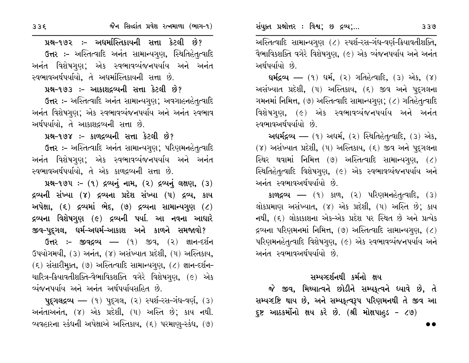પ્રશ્ન-૧૭૨ :- અધર્માસ્તિકાયની સત્તા કેટલી છે? ઉત્તર :- અસ્તિત્વાદિ અનંત સામાન્યગુણ, સ્થિતિહેતૃત્વાદિ અનંત વિશેષગણ: એક સ્વભાવવ્યંજનપર્યાય અને અનંત સ્વભાવઅર્થપર્યાયો. તે અદ્યમસ્તિકાયની સત્તા છે.

# પ્રશ્ન-૧૭૩ :- આકાશદ્રવ્યની સત્તા કેટલી છે?

ઉત્તર :- અસ્તિત્વાદિ અનંત સામાન્યગુણ; અવગાહનહેતૃત્વાદિ અનંત વિશેષગુણ; એક સ્વભાવવ્યંજનપર્યાય અને અનંત સ્વભાવ અર્થપર્યાયો, તે આકાશદ્રવ્યની સત્તા છે.

#### પ્રશ્ન-૧૭૪ :- કાળદ્રવ્યની સત્તા કેટલી છે?

ઉત્તર :- અસ્તિત્વાદિ અનંત સામાન્યગુણ; પરિણમનહેતૃત્વાદિ અનંત વિશેષગુણ; એક સ્વભાવવ્યંજનપર્યાય અને અનંત સ્વભાવઅર્થપર્યાયો, તે એક કાળદ્રવ્યની સત્તા છે.

પ્રશ્ન-૧૭૫: - (૧) દ્રવ્યનું નામ, (૨) દ્રવ્યનું લક્ષણ, (3) દ્રવ્યની સંખ્યા (૪) દ્રવ્યના પ્રદેશ સંખ્યા (૫) દ્રવ્ય, કાય અપેક્ષા,  $(5)$  દ્રવ્યમાં ભેદ,  $(9)$  દ્રવ્યના સામાન્યગુણ  $(2)$ દ્રવ્યના વિશેષગુણ (૯) દ્રવ્યની પર્યા. આ નવના આધારે જીવ-પુદ્ગલ, ધર્મ-અધર્મ-આકાશ અને કાળને સમજાવો?

ઉત્તર :- જીવદ્રવ્ય – (૧) જીવ, (૨) જ્ઞાન-દર્શન ઉપયોગમયી, (3) અનંત, (૪) અસંખ્યાત પ્રદેશી, (૫) અસ્તિકાય,  $(5)$  સંસારીમૂક્ત,  $(9)$  અસ્તિત્વાદિ સામાન્યગુણ,  $(2)$  જ્ઞાન-દર્શન-ચારિત્ર–ક્રિયાવતીશક્તિ–વૈભાવિકશક્તિ વગેરે વિશેષગુણ, (૯) એક વ્યંજનપર્યાય અને અનંત અર્થપર્યાયસભિત છે.

 $\mathbf{u}$ દુગલદ્ગવ્ય — (૧) પદુગલ, (૨) સ્પર્શ-રસ-ગંધ-વર્ણ, (૩) અનંતાઅનંત, (૪) એક પ્રદેશી, (૫) અસ્તિ છે; કાય નથી. વ્યવહારના સ્કંધની અપેક્ષાએ અસ્તિકાય, (૬) પરમાણ-સ્કંધ, (૭)

અસ્તિત્વાદિ સામાન્યગુણ (૮) સ્પર્શ-રસ-ગંધ-વર્ણ-ક્રિયાવતીશક્તિ, વૈભાવિકશક્તિ વગેરે વિશેષગુણ, (૯) એક વ્યંજનપર્યાય અને અનંત અર્થપર્યાયો છે.

 $445\alpha$  – (9)  $44, (2)$  or  $26\alpha$  (3)  $\alpha$ , (8) અસંખ્યાત પ્રદેશી, (૫) અસ્તિકાય, (૬) જીવ અને પુદ્ગલના ગમનમાં નિમિત્ત, (૭) અસ્તિત્વાદિ સામાન્યગુણ; (૮) ગતિહેતુત્વાદિ વિશેષગણ, (૯) એક સ્વભાવવ્યંજનપર્યાય અને અનંત સ્વભાવઅર્થપર્યાયો છે

**અધર્મદ્રવ્ય —** (૧) અધર્મ, (૨) સ્થિતિહેત્¢ત્વાદિ, (૩) એક,  $(8)$  અસંખ્યાત પ્રદેશી,  $(4)$  અસ્તિકાય,  $(5)$  જીવ અને પુદ્ગલના સ્થિર થવામાં નિમિત્ત (૭) અસ્તિત્વાદિ સામાન્યગુણ, (૮) સ્થિતિહેતૃત્વાદિ વિશેષગુણ, (૯) એક સ્વભાવવ્યંજનપર્યાય અને અનંત સ્વભાવઅર્થપર્યાયો છે

**કાળદ્રવ્ય ––** (૧) કાળ, (૨) પરિણમનહેતૃત્વાદિ, (૩) લોકપ્રમાણ અસંખ્યાત, (૪) એક પ્રદેશી, (૫) અસ્તિ છે; કાય નથી, (૬) લોકાકાશના એક-એક પ્રદેશ પર સ્થિત છે અને પ્રત્યેક દ્રવ્યના પરિણમનમાં નિમિત્ત, (૭) અસ્તિત્વાદિ સામાન્યગુણ,  $($ ૮) પરિણમનહેતૃત્વાદિ વિશેષગુણ, (૯) એક સ્વભાવવ્યંજનપર્યાય અને અનંત સ્વભાવઅર્થપર્યાયો છે.

#### સમ્યગ્દર્શનથી કર્મનો ક્ષય

જે જીવ, મિથ્યાત્વને છોડીને સમ્યકૃત્વને ધ્યાવે છે, તે સમ્પગ્દષ્ટિ થાય છે, અને સમ્પકૃત્વરૂપ પરિણમનથી તે જીવ આ દ્રષ્ટ આઠકર્મોનો ક્ષય કરે છે. (શ્રી મોક્ષપાહુડ - ૮૭)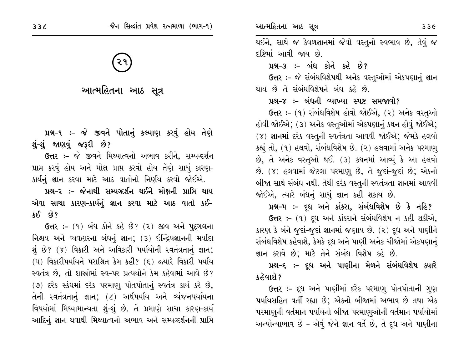આત્મહિતના આઠ સૂત્ર

પ્રશ્ન-૧ :- જે જીવને પોતાનું કલ્યાણ કરવું હોય તેણે શું-શું જાણવું જરૂરી છે?

**ઉત્તર :-** જે જીવને મિથ્યાત્વનો અભાવ કરીને, સમ્યવ્દર્શન પ્રાપ્ત કરવું હોય અને મોક્ષ પ્રાપ્ત કરવો હોય તેણે સાચું કારણ-કાર્યનું જ્ઞાન કરવા માટે આઠ વાતોનો નિર્ણય કરવો જોઈએ.

પ્રશ્ન-૨ :- જેનાથી સમ્યગ્દર્શન થઈને મોક્ષની પ્રાપ્તિ થાય એવા સાચા કારણ-કાર્યનું જ્ઞાન કરવા માટે આઠ વાતો કઈ- $380.69?$ 

ઉત્તર :- (૧) બંધ કોને કહે છે? (૨) જીવ અને પદુગલના નિશ્ચય અને વ્યવહારના બંધનું જ્ઞાન; (૩) ઇન્દ્રિયજ્ઞાનની મર્યાદા શું છે? (૪) વિકારી અને અવિકારી પર્યાયોની સ્વતંત્રતાનું જ્ઞાન; (૫) વિકારીપર્યાયને પરાશ્રિત કેમ કહી? (૬) જ્યારે વિકારી પર્યાય સ્વતંત્ર છે, તો શાસ્રોમાં સ્વ-પર પ્રત્યયોને કેમ કહેવામાં આવે છે? (૭) દરેક સ્કંધમાં દરેક પરમાણુ પોતપોતાનું સ્વતંત્ર કાર્ય કરે છે, તેની સ્વતંત્રતાનું જ્ઞાન; (૮) અર્થપર્યાય અને વ્યંજનપર્યાયના વિષયોમાં મિથ્યામાન્યતા શું-શું છે. તે પ્રમાણે સાચા કારણ-કાર્ય આદિનું જ્ઞાન થવાથી મિથ્યાત્વનો અભાવ અને સમ્યવ્દર્શનની પ્રાપ્તિ

થઈને, સાથે જ કેવળજ્ઞાનમાં જેવો વસ્તુનો સ્વભાવ છે, તેવું જ દષ્ટિમાં આવી જાય છે.

પ્રશ્ન-3 :- બંધ કોને કહે છે?

ઉત્તર :- જે સંબંધવિશેષથી અનેક વસ્તુઓમાં એકપણાનું જ્ઞાન થાય છે તે સંબંધવિશેષને બંધ કહે છે.

#### પ્રશ્ન-૪ :- બંધની વ્યાખ્યા સ્પષ્ટ સમજાવો?

ઉત્તર :- (૧) સંબંધવિશેષ હોવો જોઈએ, (૨) અનેક વસ્તુઓ હોવી જોઈએ; (૩) અનેક વસ્તુઓમાં એકપણાનું કથન હોવું જોઈએ; (૪) જ્ઞાનમાં દરેક વસ્તુની સ્વતંત્રતા આવવી જોઈએ; જેમકે હલવો કહ્યું તો, (૧) હલવો, સંબંધવિશેષ છે. (૨) હલવામાં અનેક પરમાણ્ છે, તે અનેક વસ્તુઓ થઈ. (3) કથનમાં આવ્યું કે આ હલવો છે. (૪) હલવામાં જેટલા પરમાણુ છે, તે જુદાં-જુદાં છે; એકનો બીજા સાથે સંબંધ નથી. તેથી દરેક વસ્તુની સ્વતંત્રતા જ્ઞાનમાં આવવી જોઈએ, ત્યારે બંધનું સાચું જ્ઞાન કહી શકાય છે.

પ્રશ્ન-૫ :- દૂધ અને કાંકરા, સંબંધવિશેષ છે કે નહિ?

ઉત્તર :- (૧) દૂધ અને કાંકરાને સંબંધવિશેષ ન કહી શકીએ, કારણ કે બંને જુદાં-જુદાં જ્ઞાનમાં જણાય છે. (૨) દૂધ અને પાણીને સંબંધવિશેષ કહેવાશે, કેમકે દૂધ અને પાણી અનેક ચીજોમાં એકપણાનું જ્ઞાન કરાવે છે; માટે તેને સંબંધ વિશેષ કહે છે.

પ્રશ્ન–૬ ઃ– દૂધ અને પાણીના મેળને સંબંધવિશેષ ક્યારે કહેવાશે ?

ઉત્તર :- દૂધ અને પાણીમાં દરેક પરમાણુ પોતપોતાની ગુણ પર્યાયસહિત વર્તી રહ્યા છે; એકનો બીજામાં અભાવ છે તથા એક પરમાણુની વર્તમાન પર્યાયનો બીજા પરમાણુઓની વર્તમાન પર્યાયોમાં અન્યોન્યાભાવ છે - એવું જેને જ્ઞાન વર્તે છે, તે દૂધ અને પાણીના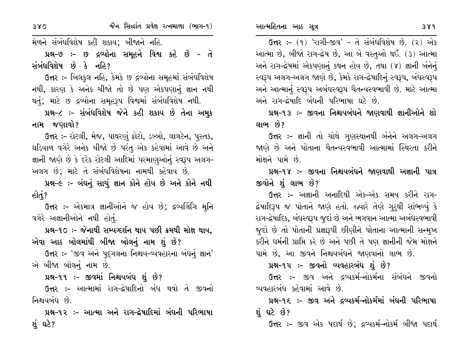ઉત્તર: - (૧) 'રાગી-જીવ' - તે સંબંધવિશેષ છે. (૨) એક આત્મા છે, બીજો રાગ-દ્વેષ છે, આ બે વસ્તુઓ થઈ. (૩) આત્મા અને રાગ-દ્વેષમાં એકપણાનું કથન હોય છે, તથા (૪) જ્ઞાની બંનેનું સ્વરૂપ અલગ-અલગ જાણે છે, કેમકે રાગ-દ્વેષાદિનું સ્વરૂપ, બંધસ્વરૂપ અને આત્માનું સ્વરૂપ અબંધસ્વરૂપ ચૈતન્યસ્વભાવી છે. માટે આત્મા અને રાગ-દ્વેષાદિ બંધની પરિભાષા ઘટે છે.

પ્રશ્ન-૧૩ ઃ- જીવના નિશ્ચયબંધને જાણવાથી જ્ઞાનીઓને શો લાભ છે?

ઉત્તર :- જ્ઞાની તો ચોથે ગુણસ્થાનથી બંનેને અલગ-અલગ જાણે છે અને પોતાના ચૈતન્યસ્વભાવી આત્મામાં સ્થિરતા કરીને મોક્ષને પામે છે.

પ્રશ્ન-૧૪ ઃ- જીવના નિશ્ચયબંધને જાણવાથી અજ્ઞાની પાત્ર જીવોને શું લાભ છે?

ઉત્તર :– અજ્ઞાની અનાદિથી એક-એક સમય કરીને રાગ<del>-</del> દ્રેષાદિરૂપ જ પોતાને જાણે હતો. જ્યારે તેણે ગુરૂથી સાંભળ્યું કે રાગ-દ્રેષાદિક, બંધસ્વરૂપ જુદાં છે અને ભગવાન આત્મા અબંધસ્વભાવી જુદો છે તો પોતાની પ્રજ્ઞારૂપી છીણીને પોતાના આત્માની સન્મુખ કરીને ધર્મની પ્રાપ્તિ કરે છે અને પછી તે પણ જ્ઞાનીની જેમ મોક્ષને પામે છે, આ જીવને નિશ્ચયબંધને જાણવાનો લાભ છે.

#### પ્રશ્ન-૧૫ :- જીવનો વ્યવહારબંધ શું છે?

ઉત્તર :- જીવ અને દ્રવ્યકર્મ-નોકર્મના સંબંધને જીવનો વ્યવહારબંધ કહેવામાં આવે છે.

પ્રશ્ન-૧૬ ઃ- જીવ અને દ્રવ્યકર્મ–નોકર્મમાં બંધની પરિભાષા શંઘટે છે?

**ઉત્તર :-** જીવ એક પદાર્થ છે; દ્રવ્યકર્મ-નોકર્મ બીજા પદાર્થ

મેળને સંબંધવિશેષ કહી શકાય; બીજાને નહિ.

પ્રશ્ન-૭ :- છ દ્રવ્યોના સમૂહને વિશ્વ કહે છે - તે સંબંધવિશેષ છે કે નહિ?

ઉત્તર :- બિલકુલ નહિ, કેમકે છ દ્રવ્યોના સમૂહમાં સંબંધવિશેષ નથી, કારણ કે અનેક ચીજો તો છે પણ એકપણાનું જ્ઞાન નથી થતું; માટે છ દ્રવ્યોના સમૂહરૂપ વિશ્વમાં સંબંધવિશેષ નથી.

પ્રશ્ન-૮ ઃ- સંબંધવિશેષ જેને કહી શકાય છે તેના અમુક નામ જણાવો?

ઉત્તર :- રોટલી, મેજ, પાથરણું ફોટો, ડબ્બો, લાલટેન, પુસ્તક, ઘડિયાળ વગેરે અનેક ચીજો છે પરંતુ એક કહેવામાં આવે છે અને જ્ઞાની જાણે છે કે દરેક રોટલી આદિમાં પરમાણુઓનું સ્વરૂપ અલગ-અલગ છે; માટે તે સંબંધવિશેષના નામથી કહેવાય છે.

પ્રશ્ન-૯ :- બંધનું સાચું જ્ઞાન કોને હોય છે અને કોને નથી હોતું?

**ઉત્તર :-** એકમાત્ર જ્ઞાનીઓને જ હોય છે; દ્રવ્યલિંગિ મુનિ વગેરે અજ્ઞાનીઓને નથી હોતું.

પ્રશ્ન-૧૦ :- જેનાથી સમ્યગ્દર્શન થાય પછી ક્રમથી મોક્ષ થાય. એવા આઠ બોલમાંથી બીજા બોલનું નામ શું છે?

ઉત્તર :- 'જીવ અને પુદ્ગલના નિશ્ચય-વ્યવહારના બંધનું જ્ઞાન' એ બીજા બોલનું નામ છે.

પ્રશ્ન-૧૧ :- જીવમાં નિશ્ચયબંધ શું છે?

ઉત્તર :- આત્મામાં રાગ-દ્વેષાદિનો બંધ થવો તે જીવનો નિશ્ચયબંધ છે.

પ્રશ્ન-૧૨ ઃ- આત્મા અને રાગ-દ્વેષાદિમાં બંધની પરિભાષા શું ઘટે?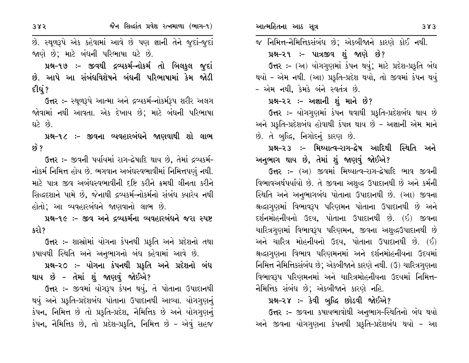છે. સ્થૂળરૂપે એક કહેવામાં આવે છે પણ જ્ઞાની તેને જુદાં-જુદાં જાણે છે; માટે બંધની પરિભાષા ઘટે છે.

પ્રશ્ન-૧૭ :- જીવથી દ્રવ્યકર્મ-નોકર્મ તો બિલકુલ જુદાં છે. આપે આ સંબંધવિશેષને બંધની પરિભાષામાં કેમ જોડી દીધું?

ઉત્તર :- સ્થૂળરૂપે આત્મા અને દ્રવ્યકર્મ-નોકર્મરૂપ શરીર અલગ જોવામાં નથી આવતા. એક દેખાય છે; માટે બંધની પરિભાષા દ્યારે દંબે.

પ્રશ્ન-૧૮ :- જીવના વ્યવહારબંધને જાણવાથી શો લાભ  $\mathcal{B}$  ?

ઉત્તર :- જીવની પર્યાયમાં રાગ-દ્વેષાદિ થાય છે, તેમાં દ્રવ્યકર્મ-નોકર્મ નિમિત્ત હોય છે. ભગવાન અબંધસ્વભાવીમાં નિમિત્તપણું નથી. માટે પાત્ર જીવ અબંધસ્વભાવીની દષ્ટિ કરીને ક્રમથી લીનતા કરીને સિદ્ધદશાને પામે છે, જેનાથી દ્રવ્યકર્મ-નોકર્મનો સંબંધ ક્યારેય નથી હોતો; આ વ્યવહારબંધને જાણવાનો લાભ છે.

પ્રશ્ન-૧૯ :- જીવ અને દ્રવ્યકર્મના વ્યવહારબંધને જરા સ્પષ્ટ કરો?

ઉત્તર :- શાસ્રોમાં યોગના કંપનથી પ્રકૃતિ અને પ્રદેશનો તથા કષાયથી સ્થિતિ અને અનુભાગનો બંધ કહેવામાં આવે છે.

પ્રશ્ન-૨૦ :- યોગના કંપનથી પ્રકૃતિ અને પ્રદેશનો બંધ થાય છે – તેમાં શું જાણવું જોઈએ?

ઉત્તર :- જીવમાં યોગરૂપ કંપન થયું, તે પોતાના ઉપાદાનથી થયું અને પ્રકૃતિ-પ્રદેશબંધ પોતાના ઉપાદાનથી આવ્યા. યોગગુણનું કંપન, નિમિત્ત છે તો પ્રકૃતિ-પ્રદેશ, નૈમિત્તિક છે અને યોગગણનું કંપન, નૈમિત્તિક છે, તો પ્રદેશ-પ્રકૃતિ, નિમિત્ત છે - એવું સહજ જ નિમિત્ત–નૈમિત્તિકસંબંધ છે; એકબીજાને કારણે કોઈ નથી.

# પ્રશ્ન-૨૧ ઃ- પાત્રજીવ શું જાણે છે?

ઉત્તર :- (અ) યોગગણમાં કંપન થયું; માટે પ્રદેશ-પ્રકૃતિ બંધ થયો - એમ નથી. (આ) પ્રકૃતિ-પ્રદેશ થયો, તો જીવમાં કંપન થયું - એમ નથી, કેમકે બંને સ્વતંત્ર છે.

# પ્રશ્ન–૨૨ :- અજ્ઞાની શું માને છે?

ઉત્તર :- યોગગુણમાં કંપન થવાથી પ્રકૃતિ-પ્રદેશબંધ થાય છે અને પ્રકૃતિ-પ્રદેશબંધ હોવાથી કંપન્ન થાય છે - અજ્ઞાની એમ માને છે. તે બુદ્ધિ, નિગોદનું કારણ છે.

# પ્રશ્ન-૨૩ ઃ- મિથ્યાત્વ-રાગ-દ્વેષ આદિથી સ્થિતિ અને અનુભાગ થાય છે, તેમાં શું જાણવું જોઈએ?

ઉત્તર :- (અ) જીવમાં મિથ્યાત્વ-રાગ-દ્વેષાદિ ભાવ જીવની વિભાવઅર્થપર્યાયો છે. તે જીવના અશુદ્ધ ઉપાદાનથી છે અને કર્મની સ્થિતિ અને અનુભાગબંધ પોતાના ઉપાદાનથી છે. (આ) જીવના શ્રદ્ધાગુણમાં વિભાવરૂપ પરિણમન પોતાના ઉપાદાનથી છે અને દર્શનમોહનીયનો ઉદય, પોતાના ઉપાદાનથી છે. (ઇ) જીવના ચારિત્રગણમાં વિભાવરૂપ પરિણમન, જીવના અશુદ્ધઉપાદાનથી છે અને ચારિત્ર મોહનીયનો ઉદય, પોતાના ઉપાદાનથી છે. (ઈ) શ્રદ્ધાગુણના વિભાવ પરિણમનમાં અને દર્શનમોહનીયના ઉદયમાં નિમિત્ત નૈમિત્તિકસંબંધ છે; એકબીજાને કારણે નથી. (ઉ) ચારિત્રગણના વિભાવરૂપ પરિણમનમાં અને ચારિત્રમોહનીયના ઉદયમાં નિમિત્ત-નૈમિત્તિક સંબંધ છે; એકબીજાને કારણે નહિ.

# પ્રશ્ન-૨૪ :- કેવી બુદ્ધિ છોડવી જોઈએ?

ઉત્તર :- જીવના કષાયભાવોથી અનુભાગ-સ્થિતિનો બંધ થયો અને જીવના યોગગુણના કંપનથી પ્રકૃતિ-પ્રદેશબંધ થયો - આ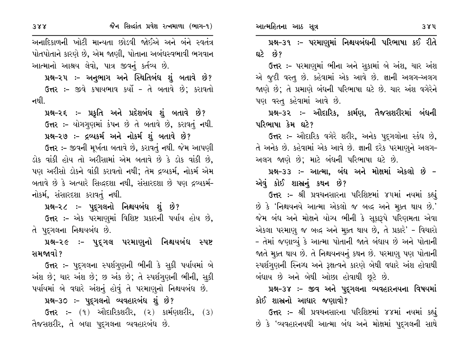અનાદિકાળની ખોટી માન્યતા છોડવી જોઈએ અને બંને સ્વતંત્ર પોતપોતાને કારણે છે, એમ જાણી, પોતાના અબંધસ્વભાવી ભગવાન આત્માનો આશ્રય લેવો, પાત્ર જીવનું કર્તવ્ય છે.

પ્રશ્ન-૨૫ :- અનુભાગ અને સ્થિતિબંધ શું બતાવે છે? ઉત્તર :- જીવે કષાયભાવ કર્યો - તે બતાવે છે; કરાવતો નથી.

પ્રશ્ન-૨૬ :- પ્રકૃતિ અને પ્રદેશબંધ શું બતાવે છે? ઉત્તર:- યોગગણમાં કંપન છે તે બતાવે છે, કરાવતું નથી. પ્રશ્ન-૨૭ :- દ્રવ્યકર્મ અને નોકર્મ શું બતાવે છે?

ઉત્તર :- જીવની મૂર્ખતા બતાવે છે, કરાવતું નથી. જેમ આપણી ડોક વાંકી હોય તો અરીસામાં એમ બતાવે છે કે ડોક વાંકી છે, પણ અરીસો ડોકને વાંકી કરાવતો નથી; તેમ દ્રવ્યકર્મ, નોકર્મ એમ બતાવે છે કે અત્યારે સિદ્ધદશા નથી, સંસારદશા છે પણ દ્રવ્યકર્મ-નોકર્મ, સંસારદશા કરાવતું નથી.

પ્રશ્ન-૨૮ ઃ- પુદ્ગલનો નિશ્ચયબંધ શું છે?

ઉત્તર :- એક પરમાણુમાં વિશિષ્ટ પ્રકારની પર્યાય હોય છે, તે પુદ્ગલના નિશ્ચયબંધ છે.

પ્રશ્ન-૨૯ ઃ- પુદ્ગલ પરમાણુનો નિશ્ચયબંધ સ્પષ્ટ સમજાવો ?

**ઉત્તર :-** પદ્દગલના સ્પર્શગણની ભીની કે સુકી પર્યાયમાં બે અંશ છે; ચાર અંશ છે; છ અંક છે; તે સ્પર્શગુણની ભીની, સૂકી પર્યાયમાં બે વધારે અંશનું હોવું તે પરમાણુનો નિશ્ચયબંધ છે.

પ્રશ્ન-૩૦ :- પુદ્ગલનો વ્યવહારબંધ શું છે?

ઉત્તર :- (૧) ઔદારિકશરીર, (૨) કાર્મણશરીર, (૩) તૈજસશરીર, તે બધા પદ્ગલના વ્યવહારબંધ છે.

પ્રશ્ન-૩૧ :- પરમાણુમાં નિશ્ચયબંધની પરિભાષા કઈ રીતે ઘટે છે?

ઉત્તર :- પરમાણુમાં ભીના અને સુકામાં બે અંશ, ચાર અંશ એ જુદી વસ્તુ છે. કહેવામાં એક આવે છે. જ્ઞાની અલગ-અલગ જાણે છે; તે પ્રમાણે બંધની પરિભાષા ઘટે છે. ચાર અંશ વગેરેને પણ વસ્તુ કહેવામાં આવે છે.

પ્રશ્ન–૩૨ ઃ– ઔદારિક, કાર્મણ, તૈજસશરીરમાં બંધની પરિભાષા કેમ ઘટે?

ઉત્તર :- ઔદારિક વગેરે શરીર, અનેક પદુગલોના સ્કંધ છે, તે અનેક છે. કહેવામાં એક આવે છે. જ્ઞાની દરેક પરમાણુને અલગ-અલગ જાણે છે; માટે બંધની પરિભાષા ઘટે છે.

પ્રશ્ન-૩૩ :- આત્મા, બંધ અને મોક્ષમાં એકલો છે -એવું કોઈ શાસ્ત્રનું કથન છે?

ઉત્તર :- શ્રી પ્રવચનસારના પરિશિષ્ટમાં ૪૫માં નયમાં કહ્યું છે કે 'નિશ્ચયનયે આત્મા એકલો જ બદ્ધ અને મૂક્ત થાય છે.' જેમ બંધ અને મોક્ષને યોગ્ય ભીની કે સુકારૂપે પરિણમતા એવા એકલા પરમાણુ જ બદ્ધ અને મૂક્ત થાય છે, તે પ્રકારે' - વિચારો - તેમાં જણાવ્યું કે આત્મા પોતાની જાતે બંધાય છે અને પોતાની જાતે મૂક્ત થાય છે. તે નિશ્ચયનયનું કથન છે. પરમાણુ પણ પોતાની સ્પર્શગુણની સ્નિગ્ધ અને રૂક્ષત્વને કારણે બેથી વધારે અંશ હોવાથી બંધાય છે અને બેથી ઓછા હોવાથી છૂટે છે.

પ્રશ્ન-૩૪ :- જીવ અને પુદ્ગલના વ્યવહારનયના વિષયમાં કોઈ શાસ્ત્રનો આધાર જણાવો?

ઉત્તર :- શ્રી પ્રવચનસારના પરિશિષ્ટમાં ૪૪માં નયમાં કહ્યું છે કે 'વ્યવહારનયથી આત્મા બંધ અને મોક્ષમાં પુદ્ગલની સાથે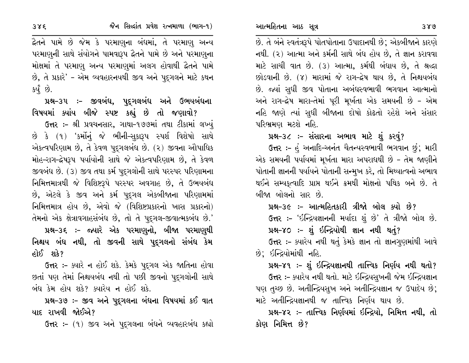છે. તે બંને સ્વતંત્રરૂપે પોતપોતાના ઉપાદાનથી છે; એકબીજાને કારણે નથી. (૨) આત્મા અને કર્મની સાથે બંધ હોય છે, તે જ્ઞાન કરાવવા માટે સાચી વાત છે. (3) આત્મા, કર્મથી બંધાય છે, તે શ્રદ્ધા છોડવાની છે. (૪) મારામાં જે રાગ-દ્વેષ થાય છે, તે નિશ્ચયબંધ છે. જ્યાં સુધી જીવ પોતાના અબંધસ્વભાવી ભગવાન આત્માનો અને રાગ-દ્વેષ મારા-તેમાં પૂરી મૂર્ખતા એક સમયની છે - એમ નહિ જાણે ત્યાં સુધી બીજાના દોષો કોઢતો રહેશે અને સંસાર પરિભ્રમણ મટશે નહિ.

પ્રશ્ન-૩૮ :- સંસારના અભાવ માટે શું કરવું?

ઉત્તર :- હું અનાદિ-અનંત ચૈતન્યસ્વભાવી ભગવાન છું; મારી એક સમયની પર્યાયમાં મૂર્ખતા મારા અપરાધથી છે - તેમ જાણીને પોતાની જ્ઞાનની પર્યાયને પોતાની સન્મુખ કરે, તો મિથ્યાત્વનો અભાવ થઈને સમ્યકૃત્વાદિ પ્રાપ્ત થઈને ક્રમથી મોક્ષનો પથિક બને છે. તે બીજા બોલનો સાર છે.

પ્રશ્ન–૩૯ :– આત્મહિતકારી ત્રીજો બોલ ક્યો છે? ઉત્તર :- 'ઇન્દ્રિયજ્ઞાનની મર્યાદા શું છે' તે ત્રીજો બોલ છે. પ્રશ્ન-૪૦:- શું ઇન્દ્રિયોથી જ્ઞાન નથી થતું? ઉત્તર :- ક્યારેય નથી થતું કેમકે જ્ઞાન તો જ્ઞાનગુણમાંથી આવે છે; ઇન્દ્રિયોમાંથી નહિ.

પ્રશ્ન-૪૧ :- શું ઇન્દ્રિયજ્ઞાનથી તાત્ત્વિક નિર્ણય નથી થતો? ઉત્તર :- ક્યારેય નથી થતો. માટે ઇન્દ્રિયસુખની જેમ ઇન્દ્રિયજ્ઞાન પણ તચ્છ છે. અતીન્દ્રિયસુખ અને અતીન્દ્રિયજ્ઞાન જ ઉપાદેય છે; માટે અતીન્દ્રિયજ્ઞાનથી જ તાત્ત્વિક નિર્ણય થાય છે.

પ્રશ્ન-૪૨ ઃ- તાત્ત્વિક નિર્ણયમાં ઇન્દ્રિયો, નિમિત્ત નથી, તો કોણ નિમિત્ત છે?

દ્નૈતને પામે છે જેમ કે પરમાણુના બંધમાં, તે પરમાણુ અન્ય પરમાણુની સાથે સંયોગને પામવારૂપ દ્વૈતને પામે છે અને પરમાણુના મોક્ષમાં તે પરમાણુ અન્ય પરમાણુમાં અલગ હોવાથી દ્વૈતને પામે છે, તે પ્રકારે' - એમ વ્યવહારનયથી જીવ અને પુદગલને માટે કથન કર્યું છે.

પ્રશ્ન–૩૫ :– જીવબંધ, પુદ્ગલબંધ અને ઉભયબંધના વિષયમાં ક્યાંય બીજે સ્પષ્ટ કહ્યું છે તો જણાવો?

ઉત્તર :- શ્રી પ્રવચનસાર, ગાથા-૧૭૭માં તથા ટીકામાં લખ્યું છે કે (૧) 'કર્મોનું જે ભીની-સૂકારૂપ સ્પર્શ વિશેષો સાથે એકત્વપરિણામ છે, તે કેવળ પદ્ગલબંધ છે. (૨) જીવના ઔપાધિક મોહ–રાગ–દ્રેષરૂપ પર્યાયોની સાથે જે એકત્વપરિણામ છે, તે કેવળ જીવબંધ છે. (૩) જીવ તથા કર્મ પદુગલોની સાથે પરસ્પર પરિણામના નિમિત્તમાત્રથી જે વિશિષ્ટરૂપે પરસ્પર અવગાહ છે, તે ઉભયબંધ છે, એટલે કે જીવ અને કર્મ પૂદ્ગલ એકબીજાના પરિણામમાં નિમિત્તમાત્ર હોય છે, એવો જે (વિશિષ્ટપ્રકારનો ખાસ પ્રકારનો) તેમનો એક ક્ષેત્રાવગાહસંબંધ છે, તો તે પુદ્ગલ-જીવાત્મકબંધ છે.'

પ્રશ્ન-૩૬ :- જ્યારે એક પરમાણુનો, બીજા પરમાણુથી નિશ્ચય બંધ નથી, તો જીવની સાથે પુદ્ગલનો સંબંધ કેમ હોઈ શકે?

**ઉત્તર :-** ક્યારે ન હોઈ શકે. કેમકે પુદ્દગલ એક જાતિના હોવા છતાં પણ તેમાં નિશ્ચયબંધ નથી તો પછી જીવનો પુદ્ગલોની સાથે બંધ કેમ હોય શકે? ક્યારેય ન હોઈ શકે.

પ્રશ્ન-૩૭ :- જીવ અને પુદ્દગલના બંધના વિષયમાં કઈ વાત યાદ રાખવી જોઈએ?

ઉત્તર :- (૧) જીવ અને પુદ્ગલના બંધને વ્યવહારબંધ કહ્યો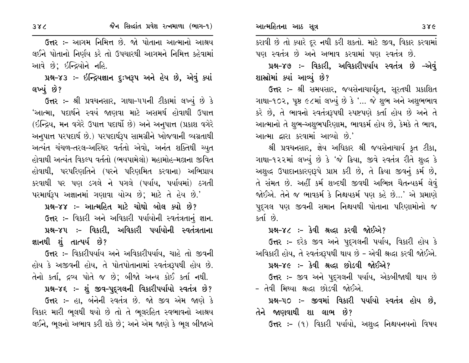ઉત્તર :- આગમ નિમિત્ત છે. જો પોતાના આત્માનો આશ્રય લઈને પોતાનો નિર્ણય કરે તો ઉપચારથી આગમને નિમિત્ત કહેવામાં આવે છે: ઇન્દ્રિયોને નહિ.

પ્રશ્ન-૪૩ :- ઇન્દ્રિયજ્ઞાન દુઃખરૂપ અને હેય છે, એવું ક્યાં લખ્યું છે?

ઉત્તર :- શ્રી પ્રવચનસાર, ગાથા-૫૫ની ટીકામાં લખ્યું છે કે 'આત્મા, પદાર્થને સ્વયં જાણવા માટે અસમર્થ હોવાથી ઉપાત્ત (ઇન્દ્રિય, મન વગેરે ઉપાત્ત પદાર્થો છે) અને અનુપાત્ત (પ્રકાશ વગેરે અનુપાત્ત પરપદાર્થ છે.) પરપદાર્થરૂપ સામગ્રીને ખોજવાની વ્યગ્રતાથી અત્યંત ચંચળ-તરલ-અસ્થિર વર્તતો એવો, અનંત શક્તિથી ચ્યુત હોવાથી અત્યંત વિકલ્પ વર્તતો (ભયપામેલો) મહામોહ-મલ્નના જીવિત હોવાથી, પરપરિણતિને (પરને પરિણમિત કરવાના) અભિપ્રાય કરવાથી પર પણ ડગલે ને પગલે (પર્યાય, પર્યાયમાં) ઠગતી પરમાર્થરૂપ અજ્ઞાનમાં ગણાવા યોગ્ય છે; માટે તે હેય છે.'

પ્રશ્ન-૪૪ :- આત્મહિત માટે ચોથો બોલ ક્યો છે? ઉત્તર :- વિકારી અને અવિકારી પર્યાયોની સ્વતંત્રતાનું જ્ઞાન. પ્રશ્ન–૪૫ ઃ– વિકારી, અવિકારી પર્યાયોની સ્વતંત્રતાના જ્ઞાનથી શું તાત્પર્ય છે?

ઉત્તર :- વિકારીપર્યાય અને અવિકારીપર્યાય, ચાહે તો જીવની હોય કે અજીવની હોય, તે પોતપોતાનામાં સ્વતંત્રરૂપથી હોય છે. તેનો કર્તા, દ્રવ્ય પોતે જ છે; બીજો અન્ય કોઈ કર્તા નથી.

પ્રશ્ન-૪૬ :- શું જીવ-પુદૃગલની વિકારીપર્યાયો સ્વતંત્ર છે?

ઉત્તર :- હા, બંનેની સ્વતંત્ર છે. જો જીવ એમ જાણે કે વિકાર મારી ભૂલથી થયો છે તો તે ભૂલરહિત સ્વભાવનો આશ્રય લઈને, ભૂલનો અભાવ કરી શકે છે; અને એમ જાણે કે ભૂલ બીજાએ

કરાવી છે તો ક્યારે દૂર નથી કરી શકતો. માટે જીવ, વિકાર કરવામાં પણ સ્વતંત્ર છે અને અભાવ કરવામાં પણ સ્વતંત્ર છે.

પ્રશ્ન-૪૭ :- વિકારી, અવિકારીપર્યાય સ્વતંત્ર છે –એવું શાસ્ત્રોમાં ક્યાં આવ્યું છે?

ઉત્તર :- શ્રી સમયસાર, જયસેનાચાર્યકૃત, સૂરતથી પ્રકાશિત ગાથા-૧૦૨, પૃષ્ઠ ૯૮માં લખ્યું છે કે '... જે શુભ અને અશુભભાવ કરે છે, તે ભાવનો સ્વતંત્રરૂપથી સ્પષ્ટપણે કર્તા હોય છે અને તે આત્માનો તે શુભ-અશુભપરિણામ, ભાવકર્મ હોય છે, કેમકે તે ભાવ, આત્મા દ્વારા કરવામાં આવ્યો છે.'

શ્રી પ્રવચનસાર, જ્ઞેય અધિકાર શ્રી જયસેનાચાર્ય કૃત ટીકા, ગાથા-૧૨૨માં લખ્યું છે કે 'જે ક્રિયા, જીવે સ્વતંત્ર રીતે શુદ્ધ કે અશુદ્ધ ઉપાદાનકારણરૂપે પ્રાપ્ત કરી છે, તે ક્રિયા જીવનું કર્મ છે, તે સંમત છે. અહીં કર્મ શબ્દથી જીવથી અભિન્ન ચૈતન્યકર્મ લેવું જોઈએ. તેને જ ભાવકર્મ કે નિશ્ચયકર્મ પણ કહે છે...' એ પ્રમાણે પદુગલ પણ જીવની સમાન નિશ્ચયથી પોતાના પરિણામોનો જ કર્તા છે.

#### પ્રશ્ન–૪૮ :- કેવી શ્રઘ્દા કરવી જોઈએ?

ઉત્તર :- દરેક જીવ અને પુદ્ગલની પર્યાય, વિકારી હોય કે અવિકારી હોય, તે સ્વતંત્રરૂપથી થાય છે - એવી શ્રદ્ધા કરવી જોઈએ.

# પ્રશ્ન-૪૯ :- કેવી શ્રદ્ધા છોડવી જોઈએ?

ઉત્તર :- જીવ અને પુદ્ગલની પર્યાય, એકબીજાથી થાય છે - તેવી મિથ્યા શ્રદ્ધા છોડવી જોઈએ.

પ્રશ્ન-૫૦ :- જીવમાં વિકારી પર્યાયો સ્વતંત્ર હોય છે. તેને જાણવાથી શા લાભ છે?

**ઉત્તર :-** (૧) વિકારી પર્યાયો, અશુદ્ધ નિશ્ચયનયનો વિષય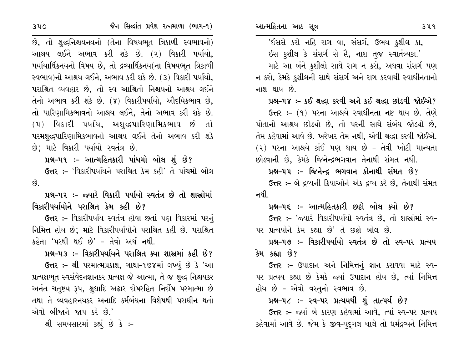છે, તો શુદ્ધનિશ્ચયનયનો (તેના વિષયભૂત ત્રિકાળી સ્વભાવનો) આશ્રય લઈને અભાવ કરી શકે છે. (૨) વિકારી પર્યાયો, પર્યાયાર્થિકનયનો વિષય છે. તો દ્રવ્યાર્થિકનય(ના વિષયભત ત્રિકાળી સ્વભાવ)નો આશ્રય લઈને, અભાવ કરી શકે છે. (૩) વિકારી પર્યાયો, પરાશ્રિત વ્યવહાર છે, તો સ્વ આશ્રિતો નિશ્ચયનો આશ્રય લઈને તેનો અભાવ કરી શકે છે. (૪) વિકારીપર્યાયો, ઔદયિકભાવ છે, તો પારિણામિકભાવનો આશ્રય લઈને, તેનો અભાવ કરી શકે છે.  $(4)$  વિકારી પર્યાય, અશુદ્ધપારિણામિકભાવ છે તો પરમશુદ્ધપારિણામિકભાવનો આશ્રય લઈને તેનો અભાવ કરી શકે છે; માટે વિકારી પર્યાયો સ્વતંત્ર છે.

પ્રશ્ન–૫૧ ઃ– આત્મહિતકારી પાંચમો બોલ શું છે? ઉત્તર :- 'વિકારીપર્યાયને પરાશ્રિત કેમ કહી' તે પાંચમો બોલ  $\hat{g}$ 

પ્રશ્ન–૫૨ :– જ્યારે વિકારી પર્યાયો સ્વતંત્ર છે તો શાસ્રોમાં વિકારીપર્યાયોને પરાશ્રિત કેમ કહી છે?

ઉત્તર :- વિકારીપર્યાય સ્વતંત્ર હોવા છતાં પણ વિકારમાં પરનું નિમિત્ત હોય છે; માટે વિકારીપર્યાયોને પરાશ્રિત કહી છે. પરાશ્રિત કહેતા 'પરથી થઈ છે' - તેવો અર્થ નથી.

પ્રશ્ન-૫૩ ઃ- વિકારીપર્યાયને પરાશ્રિત ક્યા શાસ્રમાં કહી છે?

ઉત્તર :- શ્રી પરમાત્મપ્રકાશ, ગાથા-૧૭૪માં લખ્યું છે કે 'આ પ્રત્યક્ષભૂત સ્વસંવેદનજ્ઞાનકર પ્રત્યક્ષ જે આત્મા, તે જ શુદ્ધ નિશ્ચયકર અનંત ચતૃષ્ટય રૂપ, ક્ષુધાદિ અઢાર દોષરહિત નિર્દોષ પરમાત્મા છે તથા તે વ્યવહારનયકર અનાદિ કર્મબંધના વિશેષથી પરાધીન થતો એવો બીજાને જાપ કરે છે.'

શ્રી સમયસારમાં કહ્યું છે કે :-

<u>'ઇસસે કરો નહિ રાગ વા, સંસર્ગ, ઉભય કુશીલ કા,</u> ઇસ કશીલ કે સંસર્ગ સે હૈ, નાશ તુજ સ્વાતંત્ર્યકા.'

માટે આ બંને કશીલો સાથે રાગ ન કરો, અથવા સંસર્ગ પણ ન કરો, કેમકે કશીલની સાથે સંસર્ગ અને રાગ કરવાથી સ્વાધીનતાનો નાશ થાય છે.

પ્રશ્ન-૫૪ :- કઈ શ્રદ્ધા કરવી અને કઈ શ્રદ્ધા છોડવી જોઈએ?

ઉત્તર: - (૧) પરના આશ્રયે સ્વાધીનતા નષ્ટ થાય છે. તેણે પોતાનો આશ્રય છોડ્યો છે. તો પરની સાથે સંબંધ જોડ્યો છે. તેમ કહેવામાં આવે છે. ખરેખર તેમ નથી, એવી શ્રદ્ધા કરવી જોઈએ. (૨) પરના આશ્રયે કાંઈ પણ થાય છે - તેવી ખોટી માન્યતા છોડવાની છે, કેમકે જિનેન્દ્રભગવાન તેનાથી સંમત નથી.

પ્રશ્ન–૫૫ :- જિનેન્દ્ર ભગવાન કોનાથી સંમત છે? ઉત્તર :- બે દ્રવ્યની ક્રિયાઓને એક દ્રવ્ય કરે છે. તેનાથી સંમત નથી

પ્રશ્ન-૫૬ :- આત્મહિતકારી છઠ્ઠો બોલ ક્યો છે?

ઉત્તર :- 'જ્યારે વિકારીપર્યાયો સ્વતંત્ર છે, તો શાસ્રોમાં સ્વ-પર પ્રત્યયોને કેમ કહ્યા છે' તે છઠ્ઠો બોલ છે.

પ્રશ્ન-૫૭ :- વિકારીપર્યાયો સ્વતંત્ર છે તો સ્વ-૫ર પ્રત્યય કેમ કહ્યા છે?

ઉત્તર :- ઉપાદાન અને નિમિત્તનું જ્ઞાન કરાવવા માટે સ્વ-પર પ્રત્યય કહ્યા છે કેમકે જ્યાં ઉપાદાન હોય છે, ત્યાં નિમિત્ત હોય છે - એવો વસ્તુનો સ્વભાવ છે.

પ્રશ્ન–૫૮ :– સ્વ–૫ર પ્રત્યયથી શું તાત્પર્ય છે?

ઉત્તર :- જ્યાં બે કારણ કહેવામાં આવે, ત્યાં સ્વ-પર પ્રત્યય કહેવામાં આવે છે. જેમ કે જીવ-પદુગલ ચાલે તો ધર્મદ્રવ્યને નિમિત્ત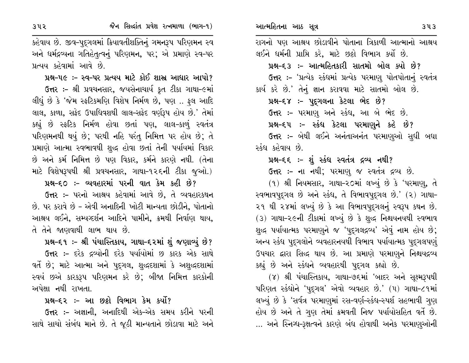કહેવાય છે. જીવ-પુદ્ગલમાં ક્રિયાવતીશક્તિનું ગમનરૂપ પરિણમન સ્વ અને ધર્મદ્રવ્યના ગતિહેતુત્વનું પરિણમન, પર; એ પ્રમાણે સ્વ-પર પ્રત્યય કહેવામાં આવે છે.

પ્રશ્ન-૫૯ :- સ્વ-૫ર પ્રત્યય માટે કોઈ શાસ્ર આધાર આપો? ઉત્તર :- શ્રી પ્રવચનસાર, જયસેનાચાર્ય કૃત ટીકા ગાથા-૯માં લીધું છે કે 'જેમ સ્ફટિકમણિ વિશેષ નિર્મળ છે, પણ .. ફલ આદિ લાલ, કાળા, સફેદ ઉપાધિવશથી લાલ-સફેદ વર્ણરૂપ હોય છે.' તેમાં કહ્યું છે સ્ફટિક નિર્મળ હોવા છતાં પણ, લાલ-કાળું સ્વતંત્ર પરિણમનથી થયું છે; પરથી નહિ પરંતુ નિમિત્ત પર હોય છે; તે પ્રમાણે આત્મા સ્વભાવથી શુદ્ધ હોવા છતાં તેની પર્યાયમાં વિકાર છે અને કર્મ નિમિત્ત છે પણ વિકાર, કર્મને કારણે નથી. (તેના માટે વિશેષરૂપથી શ્રી પ્રવચનસાર, ગાથા-૧૨૬ની ટીકા જૂઓ.)

પ્રશ્ન-૬૦ :- વ્યવહારમાં પરની વાત કેમ કહી છે?

ઉત્તર :- પરનો આશ્રય કહેવામાં આવે છે, તે વ્યવહારકથન છે. પર કરાવે છે - એવી અનાદિની ખોટી માન્યતા છોડીને. પોતાનો આશ્રય લઈને, સમ્યગ્દર્શન આદિને પામીને, ક્રમથી નિર્વાણ થાય, તે તેને જાણવાથી લાભ થાય છે.

પ્રશ્ન-૬૧ :- શ્રી પંચાસ્તિકાય, ગાથા-૬૨માં શું જણાવ્યું છે?

ઉત્તર :- દરેક દ્રવ્યોની દરેક પર્યાયોમાં છ કારક એક સાથે વર્તે છે; માટે આત્મા અને પુદ્ગલ, શુદ્ધદશામાં કે અશુદ્ધદશામાં સ્વયં છએ કારકરૂપ પરિણમન કરે છે; બીજા નિમિત્ત કારકોની અપેક્ષા નથી રાખતા.

# પ્રશ્ન–૬૨ ઃ– આ છઠ્ઠો વિભાગ કેમ કર્યો?

ઉત્તર :- અજ્ઞાની. અનાદિથી એક-એક સમય કરીને પરની સાથે સાચો સંબંધ માને છે. તે જૂઠી માન્યતાને છોડાવા માટે અને રાગનો પણ આશ્રય છોડાવીને પોતાના ત્રિકાળી આત્માનો આશ્રય

લઈને ઘર્મની પ્રાપ્તિ કરે, માટે છઠ્ઠો વિભાગ કર્યો છે. પ્રશ્ન-૬૩ :- આત્મહિતકારી સાતમો બોલ ક્યો છે? ઉત્તર :- 'પ્રત્યેક સ્કંધમાં પ્રત્યેક પરમાણુ પોતપોતાનું સ્વતંત્ર કાર્ય કરે છે.' તેનું જ્ઞાન કરાવવા માટે સાતમો બોલ છે.

પ્રશ્ન-૬૪ :- પુદગલના કેટલા ભેદ છે?

ઉત્તર :- પરમાણુ અને સ્કંધ, આ બે ભેદ છે.

પ્રશ્ન-૬૫ :- સ્કંધ કેટલા પરમાણુને કહે છે?

ઉત્તર :- બેથી લઈને અનંતાઅનંત પરમાણુઓ સુધી બધા સ્કંધ કહેવાય છે.

# પ્રશ્ન-૬૬ :- શું સ્કંધ સ્વતંત્ર દ્રવ્ય નથી?

ઉત્તર :- ના નથી; પરમાણ જ સ્વતંત્ર દ્રવ્ય છે.

 $(9)$  શ્રી નિયમસાર, ગાથા-૨૦માં લખ્યું છે કે 'પરમાણ, તે સ્વભાવપૂદ્ગલ છે અને સ્કંધ, તે વિભાવપૂદ્ગલ છે.' (૨) ગાથા-૨૧ થી ૨૪માં લખ્યું છે કે આ વિભાવપુદ્ગલનું સ્વરૂપ કથન છે. (3) ગાથા-૨૯ની ટીકામાં લખ્યું છે કે શુદ્ધ નિશ્ચયનયથી સ્વભાવ શુદ્ધ પર્યાયાત્મક પરમાણુને જ 'પુદ્દગલદ્રવ્ય' એવું નામ હોય છે; અન્ય સ્કંધ પુદ્ગલોને વ્યવહારનયથી વિભાવ પર્યાયાત્મક પુદ્ગલપણું ઉપચાર દ્વારા સિદ્ધ થાય છે. આ પ્રમાણે પરમાણને નિશ્ચયદ્રવ્ય કહ્યું છે અને સ્કંધને વ્યવહારથી પુદ્ગલ કહ્યો છે.

(૪) શ્રી પંચાસ્તિકાય, ગાથા-૭૬માં 'બાદર અને સુક્ષ્મરૂપથી પરિણત સ્કંઘોને 'પદ્ગલ' એવો વ્યવહાર છે.' (૫) ગાથા-૮૧માં લખ્યું છે કે 'સર્વત્ર પરમાણુમાં રસ-વર્ણ-સ્કંધ-સ્પર્શ સહભાવી ગુણ હોય છે અને તે ગણ તેમાં ક્રમવતી નિજ પર્યાયોસહિત વર્તે છે. … અને સ્નિગ્ધ-રૂક્ષત્વને કારણે બંધ હોવાથી અનેક પરમાણુઓની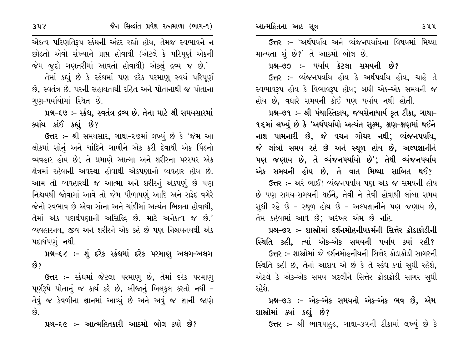એકત્વ પરિણતિરૂપ સ્કંધની અંદર રહ્યો હોય, તેમજ સ્વભાવને ન છોડતો એવો સંખ્યાને પ્રાપ્ત હોવાથી (એટલે કે પરિપૂર્ણ એકની જેમ જૂદો ગણતરીમાં આવતો હોવાથી) એકલું દ્રવ્ય જ છે.'

તેમાં કહ્યું છે કે સ્કંઘમાં પણ દરેક પરમાણુ સ્વયં પરિપૂર્ણ છે, સ્વતંત્ર છે. પરની સહાયતાથી રહિત અને પોતાનાથી જ પોતાના ગણ–પર્યાયોમાં સ્થિત છે.

પ્રશ્ન-૬૭ :- સ્કંધ, સ્વતંત્ર દ્રવ્ય છે. તેના માટે શ્રી સમયસારમાં ક્યાંય કાંઈ કહ્યું છે?

ઉત્તર :- શ્રી સમયસાર, ગાથા-૨૭માં લખ્યું છે કે 'જેમ આ લોકમાં સોનું અને ચાંદિને ગાળીને એક કરી દેવાથી એક પિંડનો વ્યવહાર હોય છે; તે પ્રમાણે આત્મા અને શરીરના પરસ્પર એક ક્ષેત્રમાં રહેવાની અવસ્થા હોવાથી એકપણાનો વ્યવહાર હોય છે. આમ તો વ્યવહારથી જ આત્મા અને શરીરનું એકપણું છે પણ નિશ્ચયથી જોવામાં આવે તો જેમ પીળાપણું આદિ અને સફેદ વગેરે જેનો સ્વભાવ છે એવા સોના અને ચાંદીમાં અત્યંત ભિન્નતા હોવાથી, તેમાં એક પદાર્થપણાની અસિદ્ધિ છે. માટે અનેકત્વ જ છે.' વ્યવહારનય. જીવ અને શરીરને એક કહે છે પણ નિશ્ચયનયથી એક પદાર્થપણું નથી.

પ્રશ્ન–૬૮ :– શું દરેક સ્કંઘમાં દરેક પરમાણુ અલગ–અલગ છે?

ઉત્તર :- સ્કંઘમાં જેટલા પરમાણ છે, તેમાં દરેક પરમાણ્ પૂર્ણરૂપે પોતાનું જ કાર્ય કરે છે, બીજાનું બિલકુલ કરતો નથી -તેવું જ કેવળીના જ્ઞાનમાં આવ્યું છે અને અવું જ જ્ઞાની જાણે  $\hat{g}$ 

પ્રશ્ન-૬૯ :- આત્મહિતકારી આઠમો બોલ ક્યો છે?

ઉત્તર :– 'અર્થપર્યાય અને વ્યંજનપર્યાયના વિષયમાં મિથ્યા માન્યતા શું છે?' તે આઠમો બોલ છે.

પ્રશ્ન-૭૦ :- પર્યાય કેટલા સમયની છે?

ઉત્તર :- વ્યંજનપર્યાય હોય કે અર્થપર્યાય હોય, ચાહે તે સ્વભાવરૂપ હોય કે વિભાવરૂપ હોય; બધી એક-એક સમયની જ હોય છે, વધારે સમયની કોઈ પણ પર્યાય નથી હોતી.

પ્રશ્ન–૭૧ ઃ– શ્રી પંચાસ્તિકાય, જયસેનાચાર્ય કૃત ટીકા, ગાથા– ૧૬માં લખ્યું છે કે 'અર્થપર્યાયો અત્યંત સૂક્ષ્મ, ક્ષણ-ક્ષણમાં થઈને નાશ પામનારી છે, જે વચન ગોચર નથી; વ્યંજનપર્યાય, જે લાંબો સમય રહે છે અને સ્થૂળ હોય છે, અલ્પજ્ઞાનીને પણ જણાય છે, તે વ્યંજનપર્યાયો છે'; તેથી વ્યંજનપર્યાય એક સમયની હોય છે, તે વાત મિથ્યા સાબિત થઈ?

ઉત્તર :- અરે ભાઈ! વ્યંજનપર્યાય પણ એક જ સમયની હોય છે પણ સમય-સમયની થઈને, તેવી ને તેવી હોવાથી લાંબા સમય સુધી રહે છે - સ્થૂળ હોય છે - અલ્પજ્ઞાનીને પણ જણાય છે, તેમ કહેવામાં આવે છે; ખરેખર એમ છે નહિ.

પ્રશ્ન-૭૨ :- શાસ્રોમાં દર્શનમોહનીયકર્મની સિત્તેર ક્રોડાક્રોડીની સ્થિતિ કહી, ત્યાં એક–એક સમયની પર્યાય ક્યાં રહી?

ઉત્તર :- શાસ્રોમાં જે દર્શનમોહનીયની સિત્તેર ક્રોડાક્રોડી સાગરની સ્થિતિ કહી છે, તેનો આશય એ છે કે તે સ્કંધ ક્યાં સુધી રહેશે, એટલે કે એક-એક સમય બદલીને સિત્તેર ક્રોડાક્રોડી સાગર સુધી રહેશે.

પ્રશ્ન-૭૩ :- એક-એક સમયનો એક-એક ભવ છે, એમ શાસ્ત્રોમાં ક્યાં કહ્યું છે?

ઉત્તર :- શ્રી ભાવપાહડ, ગાથા-૩૨ની ટીકામાં લખ્યું છે કે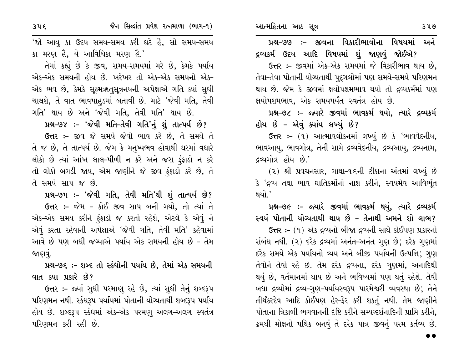પ્રશ્ન–૭૭ :- જીવના વિકારીભાવોના વિષયમાં અને દ્રવ્યકર્મ ઉદય આદિ વિષયમાં શું જાણવું જોઈએ?

ઉત્તર :- જીવમાં એક-એક સમયમાં જે વિકારીભાવ થાય છે. તેવા-તેવા પોતાની યોગ્યતાથી પુદગલોમાં પણ સમયે-સમયે પરિણમન થાય છે. જેમ કે જીવમાં ક્ષયોપશમભાવ થયો તો દ્રવ્યકર્મમાં પણ ક્ષયોપશમભાવ, એક સમયપર્યંત સ્વતંત્ર હોય છે.

પ્રશ્ન-૭૮ :- જ્યારે જીવમાં ભાવકર્મ થયો, ત્યારે દ્રવ્યકર્મ હોય છે - એવું ક્યાંય લખ્યું છે?

ઉત્તર: – (૧) આત્માવલોકનમાં લખ્યું છે કે 'ભાવવેદનીય, ભાવઆયુ, ભાવગોત્ર, તેની સામે દ્રવ્યવેદનીય, દ્રવ્યઆયુ, દ્રવ્યનામ, દ્રવ્યગોત્ર હોય છે.'

(૨) શ્રી પ્રવચનસાર, ગાથા-૧૬ની ટીકાના અંતમાં લખ્યું છે કે 'દ્રવ્ય તથા ભાવ ઘાતિકર્મોનો નાશ કરીને, સ્વયમેવ આવિર્ભૂત થયો.'

પ્રશ્ન-૭૯ :- જ્યારે જીવમાં ભાવકર્મ થયું, ત્યારે દ્રવ્યકર્મ સ્વયં પોતાની યોગ્યતાથી થાય છે – તેનાથી અમને શો લાભ?

ઉત્તર :- (૧) એક દ્રવ્યનો બીજા દ્રવ્યની સાથે કોઈપણ પ્રકારનો સંબંધ નથી. (૨) દરેક દ્રવ્યમાં અનંત-અનંત ગુણ છે; દરેક ગુણમાં દરેક સમયે એક પર્યાયનો વ્યય અને બીજી પર્યાયની ઉત્પત્તિ; ગુણ તેવોને તેવો રહે છે. તેમ દરેક દ્રવ્યના, દરેક ગુણમાં, અનાદિથી થયું છે, વર્તમાનમાં થાય છે અને ભવિષ્યમાં પણ થતું રહેશે. તેવી બધા દ્રવ્યોમાં દ્રવ્ય-ગુણ-પર્યાયસ્વરૂપ પારમેશ્વરી વ્યવસ્થા છે; તેને તીર્થંકરદેવ આદિ કોઈપણ હેર-ફેર કરી શકતું નથી. તેમ જાણીને પોતાના ત્રિકાળી ભગવાનની દષ્ટિ કરીને સમ્યવ્દર્શનાદિની પ્રાપ્તિ કરીને. ક્રમથી મોક્ષનો પથિક બનવું તે દરેક પાત્ર જીવનું પરમ કર્તવ્ય છે.

'જો આયુ કા ઉદય સમય-સમય કરી ઘટે હૈ, સો સમય-સમય કા મરણ હૈ, યે આવિચિકા મરણ હૈ.'

તેમાં કહ્યું છે કે જીવ, સમય-સમયમાં મરે છે. કેમકે પર્યાય એક-એક સમયની હોય છે. ખરેખર તો એક-એક સમયનો એક-એક ભવ છે, કેમકે સૂક્ષ્મૠતુસૂત્રનયની અપેક્ષાએ ગતિ ક્યાં સુધી ચાલશે, તે વાત ભાવપાહડમાં બતાવી છે. માટે 'જેવી મતિ, તેવી ગતિ' થાય છે અને 'જેવી ગતિ, તેવી મતિ' થાય છે.

પ્રશ્ન-૭૪ :- 'જેવી મતિ-તેવી ગતિ'નું શું તાત્પર્ય છે?

ઉત્તર :- જીવ જે સમયે જેવો ભાવ કરે છે, તે સમયે તે તે જ છે, તે તાત્પર્ય છે. જેમ કે મનુષ્યભવ હોવાથી ઘરમાં વધારે લોકો છે ત્યાં આંખ લાલ-પીળી ન કરે અને જરા ફંફાડો ન કરે તો લોકો બગડી જાય, એમ જાણીને જે જીવ ફંફાડો કરે છે, તે તે સમયે સાપ જ છે.

પ્રશ્ન-૭૫ :- 'જેવી ગતિ, તેવી મતિ'થી શું તાત્પર્ય છે? ઉત્તર :- જેમ - કોઈ જીવ સાપ બની ગયો, તો ત્યાં તે એક-એક સમય કરીને ફંફાડો જ કરતો રહેશે, એટલે કે એવું ને એવું કરતા રહેવાની અપેક્ષાએ 'જેવી ગતિ, તેવી મતિ' કહેવામાં આવે છે પણ બધી જગ્યાએ પર્યાય એક સમયની હોય છે - તેમ જાણવું.

પ્રશ્ન-૭૬ :- શબ્દ તો સ્કંધોની પર્યાય છે, તેમાં એક સમયની વાત ક્યા પ્રકારે છે?

ઉત્તર :- જ્યાં સુધી પરમાણુ રહે છે, ત્યાં સુધી તેનું શબ્દરૂપ પરિણમન નથી. સ્કંઘરૂપ પર્યાયમાં પોતાની યોગ્યતાથી શબ્દરૂપ પર્યાય હોય છે. શબ્દરૂપ સ્કંધમાં એક-એક પરમણૂ અલગ-અલગ સ્વતંત્ર પરિણમન કરી રહી છે.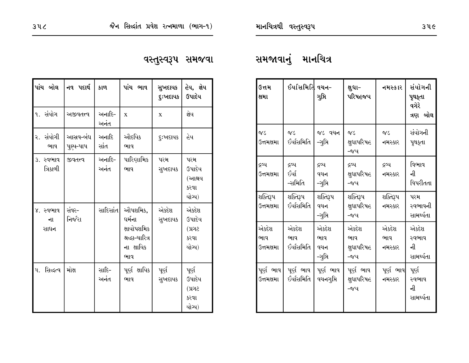# વસ્તુસ્વરૂપ સમજવા

| પાંચ બોલ                | નવ પદાર્થ              | કાળ            | પાંચ ભાવ                                                                 | સુખદાયક<br>દુઃખદાયક | હેય, જ્ઞેય<br>ઉપાદેય                              |
|-------------------------|------------------------|----------------|--------------------------------------------------------------------------|---------------------|---------------------------------------------------|
| ૧. સંયોગ                | અજીવતત્ત્વ             | અનાદિ−<br>અનંત | $\mathbf X$                                                              | $\mathbf X$         | જ્ઞેય                                             |
| ર. સંયોગી<br>ભાવ        | આસ્રવ-બંધ<br>પૂણ્ય-પાપ | અનાદિ<br>સાંત  | ઔદયિક<br>ભાવ                                                             | <b>દુઃખદાયક</b>     | હેય                                               |
| ૩. સ્વભાવ<br>ત્રિકાળી   | જીવતત્ત્વ              | અનાદિ–<br>અનંત | પારિણામિક<br>ભાવ                                                         | પરમ<br>સુખદાયક      | પરમ<br>ઉપાદેય<br>(આશ્રય<br>કરવા<br>યોચ્ય)         |
| ૪. સ્વભાવ<br>ના<br>સાધન | સંવર-<br>નિર્જરા       | સાદિસાંત       | ઔપશમિક,<br>ધર્મના<br>ક્ષાયોપશમિક<br>શ્રદ્ધા-ચારિત્ર<br>ના ક્ષાયિક<br>ભાવ | એક્દેશ<br>સુખદાયક   | એક્દેશ<br>ઉપાદેય<br>$S$ Ick $)$<br>કરવા<br>યોચ્ય) |
| સિદ્ધત્વ<br>પ.          | મોક્ષ                  | સાદિ-<br>અનંત  | પૂર્ણ ક્ષાયિક<br>ભાવ                                                     | પૂર્ણ<br>સુખદાયક    | પૂર્ણ<br>ઉપાદેય<br>$S$ Ick $)$<br>કરવા<br>યોચ્ય)  |

# સમજાવાનું માનચિત્ર

| ઉત્તમ<br>ક્ષમા              | ઈર્યાસમિતિ વચન–            | ગુપ્તિ                         | ક્ષુધા-<br>પરિષહજય                  | નમસ્કાર                 | સંયોગની<br>પૃથકૃતા<br>વગેરે<br>ત્રણ બોલ |
|-----------------------------|----------------------------|--------------------------------|-------------------------------------|-------------------------|-----------------------------------------|
| ०४८<br>ઉત્તમક્ષમા           | ०४८<br>ઈર્યાસમિતિ          | જડ વચન<br>-ગુપ્તિ              | ०४८<br>ક્ષુઘાપરિષહ<br>-જય           | ०४८<br>નમસ્કાર          | સંયોગની<br>પૃથક્તા                      |
| દ્રવ્ય<br>ઉત્તમક્ષમા        | દ્રવ્ય<br>ઈર્યા<br>-સમિતિ  | દ્રવ્ય<br>વચન<br>-ગુપ્તિ       | દ્રવ્ય<br>ક્ષુઘાપરિષહ<br>-જય        | દ્રવ્ય<br>નમસ્કાર       | વિભાવ<br>ની<br>વિપરીતતા                 |
| શક્તિરૂપ<br>ઉત્તમક્ષમા      | શક્તિરૂપ<br>ઈર્યાસમિતિ     | શક્તિરૂપ<br>વચન<br>-ગુપ્તિ     | શક્તિરૂપ<br>ક્ષુઘાપરિષહ<br>-જય      | શક્તિરૂપ<br>નમસ્કાર     | પરમ<br>સ્વભાવની<br>સામર્થ્યતા           |
| એક્દેશ<br>ભાવ<br>ઉત્તમક્ષમા | એકદેશ<br>ભાવ<br>ઈર્યાસમિતિ | એકદેશ<br>ભાવ<br>વચન<br>-ગુપ્તિ | એક્દેશ<br>ભાવ<br>ક્ષુઘાપરિષહ<br>-જય | એકદેશ<br>ભાવ<br>નમસ્કાર | એક્દેશ<br>સ્વભાવ<br>ની<br>સામર્થ્યતા    |
| પૂર્ણ ભાવ<br>ઉત્તમક્ષમા     | પૂર્ણ ભાવ<br>ઈર્યાસમિતિ    | પૂર્ણ ભાવ<br>વચનગુપ્તિ         | પૂર્ણ ભાવ<br>ક્ષુઘાપરિષહ<br>-જય     | પૂર્ણ ભાવ <br>નમસ્કાર   | પૂર્ણ<br>સ્વભાવ<br>ની<br>સામર્થ્યતા     |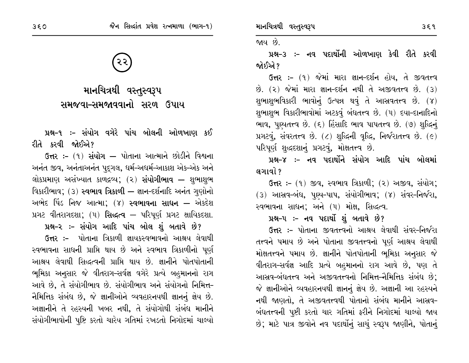માનચિત્રથી વસ્તુસ્વરૂપ સમજવા–સમજાવવાનો સરળ ઉપાય

પ્રશ્ન-૧ ઃ- સંયોગ વગેરે પાંચ બોલની ઓળખાણ કઈ રીતે કરવી જોઈએ?

ઉત્તર :- (૧) સંયોગ — પોતાના આત્માને છોડીને વિશ્વના અનંત જીવ, અનંતાઅનંત પુદ્ગલ, ધર્મ-અધર્મ-આકાશ એક-એક અને લોકપ્રમાણ અસંખ્યાત કાળદ્રવ્ય; (૨) **સંયોગીભાવ —** શુભાશુભ વિકારીભાવ; (3) સ્વભાવ ત્રિકાળી – જ્ઞાન-દર્શનાદિ અનંત ગુણોનો અભેદ પિંડ નિજ આત્મા; (૪) **સ્વભાવના સાધન —** એકદેશ પ્રગટ વીતરાગદશા;  $(4)$  સિદ્ધત્વ — પરિપૂર્ણ પ્રગટ ક્ષાયિકદશા.

પ્રશ્ન-૨ :- સંયોગ આદિ પાંચ બોલ શું બતાવે છે? ઉત્તર :– પોતાના ત્રિકાળી જ્ઞાયકસ્વભાવનો આશ્રય લેવાથી સ્વભાવના સાધની પ્રાપ્તિ થાય છે અને સ્વભાવ ત્રિકાળીનો પૂર્ણ આશ્રય લેવાથી સિદ્ધત્વની પ્રાપ્તિ થાય છે. જ્ઞાનીને પોતપોતાની ભૂમિકા અનુસાર જે વીતરાગ-સર્વજ્ઞ વગેરે પ્રત્યે બહુમાનનો રાગ આવે છે, તે સંયોગીભાવ છે. સંયોગીભાવ અને સંયોગનો નિમિત્ત-નૈમિત્તિક સંબંધ છે. જે જ્ઞાનીઓને વ્યવહારનયથી જ્ઞાનનં જ્ઞેય છે. અજ્ઞાનીને તે રહસ્યની ખબર નથી, તે સંયોગોથી સંબંધ માનીને સંયોગીભાવોની પુષ્ટિ કરતો ચારેય ગતિમાં રખડતો નિગોદમાં ચાલ્યો

જાય છે.

પ્રશ્ન-૩ ઃ- નવ પદાર્થોની ઓળખાણ કેવી રીતે કરવી જોઈએ ?

ઉત્તર: - (૧) જેમાં મારા જ્ઞાન-દર્શન હોય, તે જીવતત્ત્વ  $\dot{\vartheta}$ . (૨) જેમાં મારા જ્ઞાન-દર્શન નથી તે અજીવતત્ત્વ છે. (3) શુભાશુભવિકારી ભાવોનું ઉત્પન્ન થવું તે આસ્રવતત્ત્વ છે. (૪) શુભાશુભ વિકારીભાવોમાં અટકવું બંધતત્ત્વ છે. (૫) દયા-દાનાદિનો ભાવ, પુષ્યતત્ત્વ છે. (૬) હિંસાદિ ભાવ પાપતત્ત્વ છે. (૭) શુદ્ધિનું uગટવું, સંવરતત્ત્વ છે.  $(z)$  શુદ્ધિની વૃદ્ધિ, નિર્જરાતત્ત્વ છે.  $(e)$ પરિપૂર્ણ શુદ્ધદશાનું પ્રગટવું, મોક્ષતત્ત્વ છે.

પ્રશ્ન–૪ :– નવ પદાર્થોને સંયોગ આદિ પાંચ બોલમાં લગાવો ?

ઉત્તર: - (૧) જીવ, સ્વભાવ ત્રિકાળી; (૨) અજીવ, સંયોગ; (૩) આસ્રવ-બંધ, પા્ચ-પાપ, સંયોગીભાવ; (૪) સંવર-નિર્જરા, સ્વભાવના સાધન; અને (૫) મોક્ષ, સિદ્ધત્વ.

# પ્રશ્ન-૫ :- નવ પદાર્થો શું બતાવે છે?

ઉત્તર :- પોતાના જીવતત્ત્વનો આશ્રય લેવાથી સંવર-નિર્જરા તત્ત્વને પમાય છે અને પોતાના જીવતત્ત્વનો પૂર્ણ આશ્રય લેવાથી મોક્ષતત્ત્વને પમાય છે. જ્ઞાનીને પોતપોતાની ભૂમિકા અનુસાર જે વીતરાગ-સર્વજ્ઞ આદિ પ્રત્યે બહુમાનનો રાગ આવે છે, પણ તે આસ્રવ-બંધતત્ત્વ અને અજીવતત્ત્વનો નિમિત્ત-નૈમિત્તિક સંબંધ છે: જે જ્ઞાનીઓને વ્યવહારનયથી જ્ઞાનનું જ્ઞેય છે. અજ્ઞાની આ રહસ્યને નથી જાણતો, તે અજીવતત્ત્વથી પોતાનો સંબંધ માનીને આસ્રવ-બંધતત્ત્વની પૃષ્ટી કરતો ચાર ગતિમાં ફરીને નિગોદમાં ચાલ્યો જાય છે; માટે પાત્ર જીવોને નવ પદાર્થોનું સાચું સ્વરૂપ જાણીને, પોતાનું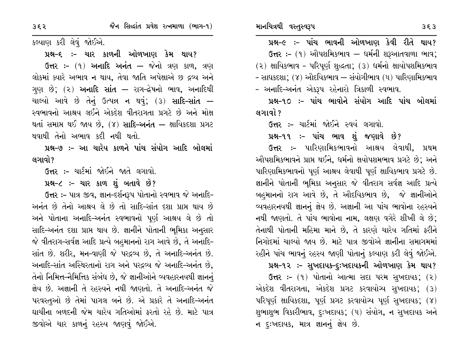પ્રશ્ન–૯ :– પાંચ ભાવની ઓળખાણ કેવી રીતે થાય?  $6\pi$ ર:- (૧) ઔપશમિકભાવ – ધર્મની શરૂઆતવાળા ભાવ; (૨) ક્ષાયિકભાવ - પરિપૂર્ણ શુદ્ધતા; (૩) ધર્મનો ક્ષાયોપશમિકભાવ - સાધકદશા; (૪) ઔદયિકભાવ — સંયોગીભાવ (૫) પારિણામિકભાવ - અનાદિ-અનંત એકરૂપ રહેનારો ત્રિકાળી સ્વભાવ.

પ્રશ્ન-૧૦ :– પાંચ ભાવોને સંયોગ આદિ પાંચ બોલમાં લગાવો ?

**ઉત્તર :-** ચાર્ટમાં જોઈને સ્વયં લગાવો.

પ્રશ્ન-૧૧ :- પાંચ ભાવ શું જણાવે છે?

ઉત્તર :- પારિણામિકભાવનો આશ્રય લેવાથી, પ્રથમ ઔપશમિકભાવને પ્રાપ્ત થઈને, ધર્મનો ક્ષયોપશમભાવ પ્રગટે છે; અને પારિણામિકભાવનો પૂર્ણ આશ્રય લેવાથી પૂર્ણ ક્ષાયિકભાવ પ્રગટે છે. જ્ઞાનીને પોતાની ભૂમિકા અનુસાર જે વીતરાગ સર્વજ્ઞ આદિ પ્રત્યે બહમાનનો રાગ આવે છે, તે ઔદયિકભાવ છે, જે જ્ઞાનીઓને વ્યવહારનયથી જ્ઞાનનું જ્ઞેય છે. અજ્ઞાની આ પાંચ ભાવોના રહસ્યને નથી જાણતો. તે પાંચ ભાવોના નામ, લક્ષણ વગેરે શીખી લે છે; તેનાથી પોતાની મહિમા માને છે, તે કારણે ચારેય ગતિમાં ફરીને નિગોદમાં ચાલ્યો જાય છે. માટે પાત્ર જીવોએ જ્ઞાનીના સમાગમમાં રહીને પાંચ ભાવનું રહસ્ય જાણી પોતાનું કલ્યાણ કરી લેવું જોઈએ.

#### પ્રશ્ન-૧૨ :- સુખદાયક-દૃઃખદાયકની ઓળખાણ કેમ થાય?

ઉત્તર: – (૧) પોતાનો આત્મા સદા પરમ સુખદાયક; (૨) એકદેશ વીતરાગતા, એકદેશ પ્રગટ કરવાયોચ્પ સુખદાયક; (૩) પરિપૂર્ણ ક્ષાયિકદશા, પૂર્ણ પ્રગટ કરવાયોચ્ય પૂર્ણ સુખદાયક; (૪) શુભાશુભ વિકારીભાવ, દુઃખદાયક; (૫) સંયોગ, ન સુખદાયક અને ન દુઃખદાયક, માત્ર જ્ઞાનનું જ્ઞેય છે.

કલ્યાણ કરી લેવું જોઈએ.

પ્રશ્ન–૬ :– ચાર કાળની ઓળખાણ કેમ થાય?

ઉત્તર :- (૧) અનાદિ અનંત – જેનો ત્રણ કાળ, ત્રણ લોકમાં ક્યારે અભાવ ન થાય, તેવા જાતિ અપેક્ષાએ છ દ્રવ્ય અને ગુણ છે; (૨) **અનાદિ સાંત —** રાગ-દ્રેષનો ભાવ, અનાદિથી ચાલ્યો આવે છે તેનું ઉત્પન્ન ન થવું; (3) **સાદિ-સાંત —** સ્વભાવનો આશ્રય લઈને એકદેશ વીતરાગતા પ્રગટે છે અને મોક્ષ થતાં સમાપ્ત થઈ જાય છે. (૪) **સાદિ-અનંત —** ક્ષાયિકદશા પ્રગટ થવાથી તેનો અભાવ કદી નથી થતો.

પ્રશ્ન–૭ :– આ ચારેય કાળને પાંચ સંયોગ આદિ બોલમાં લગાવો?

ઉત્તર :- ચાર્ટમાં જોઈને જાતે લગાવો.

પ્રશ્ન-૮ :- ચાર કાળ શું બતાવે છે?

ઉત્તર :- પાત્ર જીવ, જ્ઞાન-દર્શનરૂપ પોતાનો સ્વભાવ જે અનાદિ-અનંત છે તેનો આશ્રય લે છે તો સાદિ-સાંત દશા પ્રાપ્ત થાય છે અને પોતાના અનાદિ-અનંત સ્વભાવનો પૂર્ણ આશ્રય લે છે તો સાદિ-અનંત દશા પ્રાપ્ત થાય છે. જ્ઞાનીને પોતાની ભુમિકા અનુસાર જે વીતરાગ-સર્વજ્ઞ આદિ પ્રત્યે બહમાનનો રાગ આવે છે, તે અનાદિ-સાંત છે. શરીર, મન-વાણી જે પરદ્રવ્ય છે, તે અનાદિ-અનંત છે. અનાદિ-સાંત અસ્થિરતાનો રાગ અને પરદ્રવ્ય જે અનાદિ-અનંત છે. તેનો નિમિત્ત-નૈમિત્તિક સંબંધ છે, જે જ્ઞાનીઓને વ્યવહારનયથી જ્ઞાનનું જ્ઞેય છે. અજ્ઞાની તે રહસ્યને નથી જાણતો. તે અનાદિ-અનંત જે પરવસ્તુઓ છે તેમાં પાગલ બને છે. એ પ્રકારે તે અનાદિ-અનંત ઘાચીના બળદની જેમ ચારેય ગતિઓમાં ફરતો રહે છે. માટે પાત્ર જીવોએ ચાર કાળનું રહસ્ય જાણવું જોઈએ.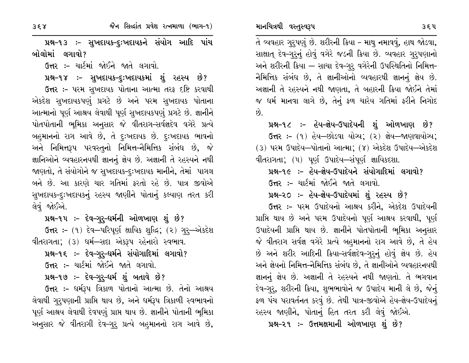પ્રશ્ન-૧૩ ઃ- સુખદાયક-દુઃખદાયકને સંયોગ આદિ પાંચ બોલોમાં લગાવો?

ઉત્તર :- ચાર્ટમાં જોઈને જાતે લગાવો.

પ્રશ્ન-૧૪ :- સુખદાયક-દુઃખદાયકમાં શું રહસ્ય છે?

ઉત્તર :- પરમ સુખદાયક પોતાના આત્મા તરફ દષ્ટિ કરવાથી એકદેશ સુખદાયકપણું પ્રગટે છે અને પરમ સુખદાયક પોતાના આત્માનો પૂર્ણ આશ્રય લેવાથી પૂર્ણ સુખદાયકપણું પ્રગટે છે. જ્ઞાનીને પોતપોતાની ભૂમિકા અનુસાર જે વીતરાગ-સર્વજ્ઞદેવ વગેરે પ્રત્યે બહુમાનનો રાગ આવે છે, તે દુઃખદાયક છે. દુઃખદાયક ભાવનો અને નિમિત્તરૂપ પરવસ્તુનો નિમિત્ત–નૈમિત્તિક સંબંધ છે, જે જ્ઞાનિઓને વ્યવહારનયથી જ્ઞાનનું જ્ઞેય છે. અજ્ઞાની તે રહસ્યને નથી જાણતો, તે સંયોગોને જ સુખદાયક-દુઃખદાયક માનીને, તેમાં પાગલ બને છે. આ કારણે ચાર ગતિમાં ફરતો રહે છે. પાત્ર જીવોએ સુખદાયક-દૃઃખદાયકનું રહસ્ય જાણીને પોતાનું કલ્યાણ તરત કરી લેવું જોઈએ.

પ્રશ્ન–૧૫ ઃ– દેવ–ગુરૂ–ધર્મની ઓળખાણ શું છે?

ઉત્તર: - (૧) દેવ-પરિપૂર્ણ ક્ષાયિક શુદ્ધિ; (૨) ગુરૂ-એકદેશ વીતરાગતા; (3) ધર્મ-સદા એકરૂપ રહેનારો સ્વભાવ.

પ્રશ્ન-૧૬ ઃ- દેવ–ગુરૂ–ધર્મને સંયોગાદિમાં લગાવો?

ઉત્તર :- ચાર્ટમાં જોઈને જાતે લગાવો.

પ્રશ્ન-૧૭ :- દેવ-ગુરૂ-ધર્મ શું બતાવે છે?

ઉત્તર :- ધર્મરૂપ ત્રિકાળ પોતાનો આત્મા છે. તેનો આશ્રય લેવાથી ગુરૂપણાની પ્રાપ્તિ થાય છે, અને ધર્મરૂપ ત્રિકાળી સ્વભાવનો પૂર્ણ આશ્રય લેવાથી દેવપણું પ્રાપ્ત થાય છે. જ્ઞાનીને પોતાની ભૂમિકા અનુસાર જે વીતરાગી દેવ–ગુરૂ પ્રત્યે બહુમાનનો રાગ આવે છે,

તે વ્યવહાર ગુરૂપણું છે. શરીરની ક્રિયા - માથુ નમાવવું, હાથ જોડવા, સાક્ષાત્ દેવ-ગુરુનું હોવું વગેરે જડની ક્રિયા છે. વ્યવહાર ગુરુપણાનો અને શરીરની ક્રિયા — સાચા દેવ-ગુરૂ વગેરેની ઉપસ્થિતિનો નિમિત્ત-નૈમિત્તિક સંબંધ છે, તે જ્ઞાનીઓનો વ્યવહારથી જ્ઞાનનું જ્ઞેય છે. અજ્ઞાની તે રહસ્યને નથી જાણતા, તે બહારની ક્રિયા જોઈને તેમાં જ ધર્મ માનવા લાગે છે, તેનું ફળ ચારેય ગતિમાં ફરીને નિગોદ છે.

પ્રશ્ન-૧૮ ઃ- હેય-જ્ઞેય-ઉપાદેયની શું ઓળખાણ છે?

ઉત્તર :- (૧) હેય--છોડવા યોગ્ય; (૨) જ્ઞેય--જાણવાયોગ્ય; (3) પરમ ઉપાદેય—પોતાનો આત્મા; (૪) એકદેશ ઉપાદેય—એકદેશ વીતરાગતા; (૫) પૂર્ણ ઉપાદેય—સંપૂર્ણ જ્ઞાયિકદશા.

પ્રશ્ન-૧૯ :- હેય-જ્ઞેય-ઉપાદેયને સંયોગાદિમાં લગાવો? ઉત્તર :- ચાર્ટમાં જોઈને જાતે લગાવો.

પ્રશ્ન-૨૦ :- હેય-જ્ઞેય-ઉપાદેયમાં શું રહસ્ય છે?

ઉત્તર :- પરમ ઉપાદેયનો આશ્રય કરીને. એકદેશ ઉપાદેયની પ્રાપ્તિ થાય છે અને પરમ ઉપાદેયનો પૂર્ણ આશ્રય કરવાથી, પૂર્ણ ઉપાદેયની પ્રાપ્તિ થાય છે. જ્ઞાનીને પોતપોતાની ભુમિકા અનુસાર જે વીતરાગ સર્વજ્ઞ વગેરે પ્રત્યે બહુમાનનો રાગ આવે છે, તે હેય છે અને શરીર આદિની ક્રિયા-સર્વજ્ઞદેવ-ગુરૂનું હોવું જ્ઞેય છે. હેય અને જ્ઞેયનો નિમિત્ત-નૈમિત્તિક સંબંધ છે, તે જ્ઞાનીઓને વ્યવહારનયથી જ્ઞાનનું જ્ઞેય છે. અજ્ઞાની તે રહસ્યને નથી જાણતો. તે ભગવાન દેવ-ગુર, શરીરની ક્રિયા, શુભભાવોને જ ઉપાદેય માની લે છે, જેનું ફળ પંચ પરાવર્તનત કરવું છે. તેથી પાત્ર-જીવોએ હેય-જ્ઞેય-ઉપાદેયનું રહસ્ય જાણીને, પોતાનું હિત તરત કરી લેવું જોઈએ.

પ્રશ્ન-૨૧ :- ઉત્તમક્ષમાની ઓળખાણ શું છે?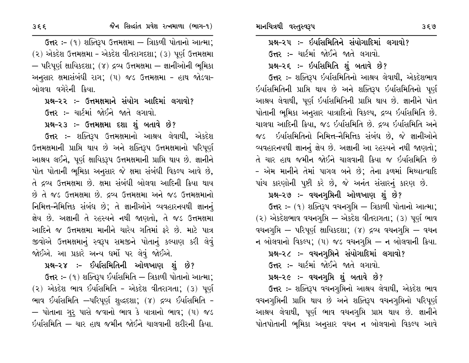ઉત્તર :- (૧) શક્તિરૂપ ઉત્તમક્ષમા – ત્રિાકળી પોતાનો આત્મા; (२) એકદેશ ઉત્તમક્ષમા - એકદેશ વીતરાગદશા; (૩) પૂર્ણ ઉત્તમક્ષમા – પરિપર્ણ ક્ષાયિકદશા: (૪) દ્રવ્ય ઉત્તમક્ષમા – જ્ઞાનીઓની ભમિકા અનુસાર ક્ષમાસંબંધી રાગ; (૫) જડ ઉત્તમક્ષમા - હાથ જોડવા-બોલવા વગેરેની ક્રિયા.

પ્રશ્ન–૨૨ :– ઉત્તમક્ષમાને સંયોગ આદિમાં લગાવો?

ઉત્તર :- ચાર્ટમાં જોઈને જાતે લગાવો.

પ્રશ્ન-૨૩ ઃ- ઉત્તમક્ષમા દશા શું બતાવે છે?

ઉત્તર :- શક્તિરૂપ ઉત્તમક્ષમાનો આશ્રય લેવાથી, એકદેશ ઉત્તમક્ષમાની પ્રાપ્તિ થાય છે અને શક્તિરૂપ ઉત્તમક્ષમાનો પરિપૂર્ણ આશ્રય લઈને, પૂર્ણ ક્ષાયિકરૂપ ઉત્તમક્ષમાની પ્રાપ્તિ થાય છે. જ્ઞાનીને પોત પોતાની ભૂમિકા અનુસાર જે ક્ષમા સંબંધી વિકલ્પ આવે છે, તે દ્રવ્ય ઉત્તમક્ષમા છે. ક્ષમા સંબંધી બોલવા આદિની ક્રિયા થાય છે તે જડ ઉત્તમક્ષમા છે. દ્રવ્ય ઉત્તમક્ષમા અને જડ ઉત્તમક્ષમાનો નિમિત્ત-નૈમિત્તિક સંબંધ છે; તે જ્ઞાનીઓને વ્યવહારનયથી જ્ઞાનનું જ્ઞેય છે. અજ્ઞાની તે રહસ્યને નથી જાણતો, તે જડ ઉત્તમક્ષમા આદિને જ ઉત્તમક્ષમા માનીને ચારેય ગતિમાં કરે છે. માટે પાત્ર જીવોએ ઉત્તમક્ષમાનું સ્વરૂપ સમજીને પોતાનું કલ્યાણ કરી લેવું જોઈએ. આ પ્રકારે અન્ય ધર્મો પર લેવું જોઈએ.

## પ્રશ્ન–૨૪ :- ઈર્ધાસમિતિની ઓળખાણ શું છે?

**ઉત્તર :-** (૧) શક્તિરૂપ ઈર્યાસમિતિ — ત્રિકાળી પોતાનો આત્મા; (૨) એકદેશ ભાવ ઈર્યાસમિતિ - એકદેશ વીતરાગતા; (૩) પૂર્ણ ભાવ ઈર્યાસમિતિ –પરિપૂર્ણ શુદ્ધદશા; (૪) દ્રવ્ય ઈર્યાસમિતિ -— પોતાના ગુરૂ પાસે જવાનો ભાવ કે યાત્રાનો ભાવ; (૫) જડ ઇર્યાસમિતિ – ચાર હાથ જમીન જોઈને ચાલવાની શરીરની ક્રિયા.

પ્રશ્ન-૨૫ ઃ- ઇર્યાસમિતિને સંયોગાદિમાં લગાવો? ઉત્તર :- ચાર્ટમાં જોઈને જાતે લગાવો.

પ્રશ્ન-૨૬ :- ઇર્યાસમિતિ શું બતાવે છે?

ઉત્તર :- શક્તિરૂપ ઇર્યાસમિતિનો આશ્રય લેવાથી, એકદેશભાવ ઇર્યાસમિતિની પ્રાપ્તિ થાય છે અને શક્તિરૂપ ઇર્યાસમિતિનો પૂર્ણ આશ્રય લેવાથી, પૂર્ણ ઇર્યાસમિતિની પ્રાપ્તિ થાય છે. જ્ઞાનીને પોત પોતાની ભુમિકા અનુસાર યાત્રાદિનો વિકલ્પ, દ્રવ્ય ઇર્યાસમિતિ છે. ચાલવા આદિની ક્રિયા, જડ ઇર્યાસમિતિ છે. દ્રવ્ય ઇર્યાસમિતિ અને જડ ઇર્યાસમિતિનો નિમિત્ત–નૈમિત્તિક સંબંધ છે, જે જ્ઞાનીઓને વ્યવહારનયથી જ્ઞાનનું જ્ઞેય છે. અજ્ઞાની આ રહસ્યને નથી જાણતો; તે ચાર હાથ જમીન જોઈને ચાલવાની ક્રિયા જ ઇર્યાસમિતિ છે – એમ માનીને તેમાં પાગલ બને છે; તેના ફળમાં મિથ્યાત્વાદિ પાંચ કારણોની પૂષ્ટી કરે છે, જે અનંત સંસારનું કારણ છે.

#### પ્રશ્ન-૨૭ :- વચનગુપ્તિની ઓળખાણ શું છે?

ઉત્તર :- (૧) શક્તિરૂપ વચનગૃપ્તિ – ત્રિકાળી પોતાનો આત્મા;  $(2)$  એકદેશભાવ વચનગૃપ્તિ – એકદેશ વીતરાગતા;  $(3)$  પૂર્ણ ભાવ વચનગૃપ્તિ – પરિપૂર્ણ ક્ષાયિકદશા; (૪) દ્રવ્ય વચનગૃપ્તિ – વચન ન બોલવાનો વિકલ્પ;  $(4)$  જડ વચનગૃપ્તિ – ન બોલવાની ક્રિયા.

# પ્રશ્ન-૨૮ :- વચનગુપ્તિને સંયોગાદિમાં લગાવો?

ઉત્તર :- ચાર્ટમાં જોઈને જાતે લગાવો.

#### પ્રશ્ન–૨૯ ઃ– વચનગૃપ્તિ શું બતાવે છે?

ઉત્તર :- શક્તિરૂપ વચનગૃપ્તિનો આશ્રય લેવાથી, એકદેશ ભાવ વચનગુપ્તિની પ્રાપ્તિ થાય છે અને શક્તિરૂપ વચનગુપ્તિનો પરિપૂર્ણ આશ્રય લેવાથી, પૂર્ણ ભાવ વચનગૃપ્તિ પ્રાપ્ત થાય છે. જ્ઞાનીને પોતપોતાની ભૂમિકા અનુસાર વચન ન બોલવાનો વિકલ્પ આવે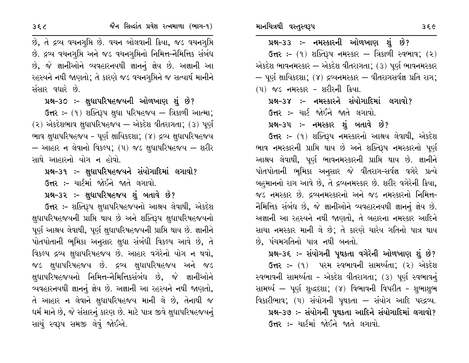$6\pi$  :- (9) શક્તિરૂપ નમસ્કાર – ત્રિકાળી સ્વભાવ; (2) એકદેશ ભાવનમસ્કાર — એકદેશ વીતરાગતા; (૩) પૂર્ણ ભાવનમસ્કાર  $-$  પૂર્ણ ક્ષાયિકદશા; (૪) દ્રવ્યનમસ્કાર – વીતરાગસર્વજ્ઞ પ્રતિ રાગ; (૫) જડ નમસ્કાર – શરીરની ક્રિયા.

પ્રશ્ન-૩૪ :- નમસ્કારને સંયોગાદિમાં લગાવો?

ઉત્તર :- ચાર્ટ જોઈને જાતે લગાવો.

પ્રશ્ન–૩૫ ઃ– નમસ્કાર શું બતાવે છે?

ઉત્તર :- (૧) શક્તિરૂપ નમસ્કારનો આશ્રય લેવાથી, એકદેશ ભાવ નમસ્કારની પ્રાપ્તિ થાય છે અને શક્તિરૂપ નમસ્કારનો પૂર્ણ આશ્રય લેવાથી, પૂર્ણ ભાવનમસ્કારની પ્રાપ્તિ થાય છે. જ્ઞાનીને પોતપોતાની ભૂમિકા અનુસાર જે વીતરાગ-સર્વજ્ઞ વગેરે પ્રત્યે બહમાનનો રાગ આવે છે, તે દ્રવ્યનમસ્કાર છે. શરીર વગેરેની ક્રિયા, જડ નમસ્કાર છે. દ્રવ્યનમસ્કારનો અને જડ નમસ્કારનો નિમિત્ત-નૈમિત્તિક સંબંધ છે, જે જ્ઞાનીઓને વ્યવહારનયથી જ્ઞાનનું જ્ઞેય છે. અજ્ઞાની આ રહસ્યને નથી જાણતો, તે બહારના નમસ્કાર આદિને સાચા નમસ્કાર માની લે છે; તે કારણે ચારેય ગતિનો પાત્ર થાય છે. પંચમગતિનો પાત્ર નથી બનતો.

## પ્રશ્ન–૩૬ :– સંયોગની પૃથકતા વગેરેની ઓળખાણ શું છે?

ઉત્તર :- (૧) પરમ સ્વભાવની સામર્થ્યતા; (૨) એકદેશ સ્વભાવની સામર્થ્યતા - એકદેશ વીતરાગતા; (૩) પૂર્ણ સ્વભાવનું સામર્થ્ય – પૂર્ણ શુદ્ધદશા; (૪) વિભાવની વિપરીત - શુભાશુભ વિકારીભાવ; (૫) સંયોગની પુથકતા — સંયોગ આદિ પરદ્રવ્ય. પ્રશ્ન-૩૭ :- સંયોગની પુથકતા આદિને સંયોગાદિમાં લગાવો? ઉત્તર :- ચાર્ટમાં જોઈને જાતે લગાવો.

છે, તે દ્રવ્ય વચનગૃપ્તિ છે. વચન બોલવાની ક્રિયા, જડ વચનગુપ્તિ છે. દ્રવ્ય વચનગુપ્તિ અને જડ વચનગુપ્તિનો નિમિત્ત-નૈમિત્તિક સંબંધ છે, જે જ્ઞાનીઓને વ્યવહારનયથી જ્ઞાનનું જ્ઞેય છે. અજ્ઞાની આ રહસ્યને નથી જાણતો; તે કારણે જડ વચનગુપ્તિને જ સત્યાર્થ માનીને સંસાર વધારે છે.

પ્રશ્ન-30: - ક્ષુધાપરિષહજયની ઓળખાણ શું છે?

 $6\pi$  :- (9) શક્તિરૂપ ક્ષુધા પરિષહજય – ત્રિકાળી આત્મા;  $(2)$  એકદેશભાવ ક્ષુધાપરિષહજય – એકદેશ વીતરાગતા;  $(3)$  પૂર્ણ ભાવ ક્ષુધાપરિષહજય - પૂર્ણ ક્ષાયિકદશા; (૪) દ્રવ્ય ક્ષુધાપરિષહજય — આહાર ન લેવાનો વિકલ્પ;  $(4)$  જડ ક્ષુધાપરિષહજય — શરીર સાથે આહારનો યોગ ન હોવો.

પ્રશ્ન-૩૧ :- ક્ષુધાપરિષહજયને સંયોગાદિમાં લગાવો?

ઉત્તર :- ચાર્ટમાં જોઈને જાતે લગાવો.

પ્રશ્ન-૩૨ :- ક્ષુધાપરિષહજય શું બતાવે છે?

ઉત્તર :- શક્તિરૂપ ક્ષુધાપરિષહજયનો આશ્રય લેવાથી, એકદેશ ક્ષુધાપરિષહજયની પ્રાપ્તિ થાય છે અને શક્તિરૂપ ક્ષુધાપરિષહજયનો પૂર્ણ આશ્રય લેવાથી, પૂર્ણ ક્ષુધાપરિષહજયની પ્રાપ્તિ થાય છે. જ્ઞાનીને પોતપોતાની ભૂમિકા અનુસાર ક્ષુઘા સંબંધી વિકલ્પ આવે છે, તે વિકલ્પ દ્રવ્ય ક્ષુધાપરિષહજય છે. આહાર વગેરેનો યોગ ન થવો, જડ ક્ષુધાપરિષહજય છે. દ્રવ્ય ક્ષુધાપરિષહજય અને જડ ક્ષુઘાપરિષહજયનો નિમિત્ત-નૈમિત્તિકસંબંધ છે, જે જ્ઞાનીઓને વ્યવહારનયથી જ્ઞાનનું જ્ઞેય છે. અજ્ઞાની આ રહસ્યને નથી જાણતો, તે આહાર ન લેવાને ક્ષુઘાપરિષહજય માની લે છે, તેનાથી જ ધર્મ માને છે, જે સંસારનું કારણ છે. માટે પાત્ર જીવે ક્ષુધાપરિષહજયનું સાચું સ્વરૂપ સમજી લેવું જોઈએ.

 $35<sub>c</sub>$